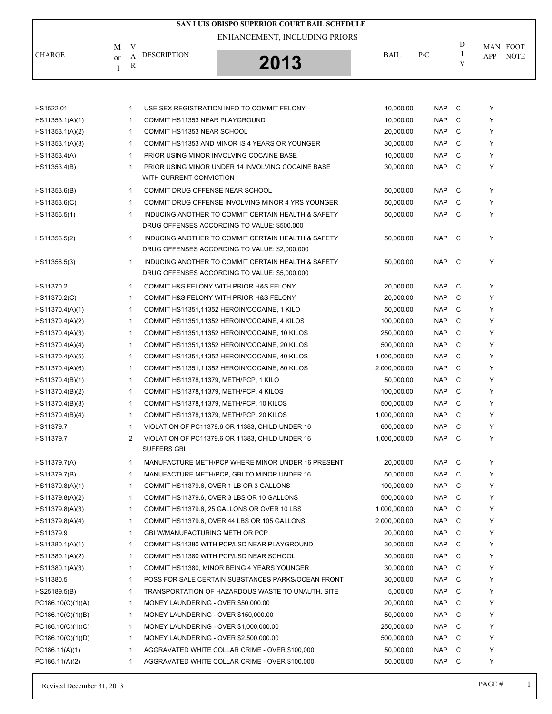|                   |                         |                     | SAN LUIS OBISPO SUPERIOR COURT BAIL SCHEDULE                                                        |              |            |             |                                |
|-------------------|-------------------------|---------------------|-----------------------------------------------------------------------------------------------------|--------------|------------|-------------|--------------------------------|
|                   |                         |                     | ENHANCEMENT, INCLUDING PRIORS                                                                       |              |            |             |                                |
| <b>CHARGE</b>     | M<br><sub>or</sub><br>Ι | V<br>A<br>${\bf R}$ | <b>DESCRIPTION</b><br>2013                                                                          | <b>BAIL</b>  | P/C        | D<br>I<br>V | MAN FOOT<br>APP<br><b>NOTE</b> |
|                   |                         |                     |                                                                                                     |              |            |             |                                |
| HS1522.01         |                         | 1                   | USE SEX REGISTRATION INFO TO COMMIT FELONY                                                          | 10,000.00    | <b>NAP</b> | C)          | Υ                              |
| HS11353.1(A)(1)   |                         | 1                   | COMMIT HS11353 NEAR PLAYGROUND                                                                      | 10,000.00    | NAP        | C           | Y                              |
| HS11353.1(A)(2)   |                         | 1                   | <b>COMMIT HS11353 NEAR SCHOOL</b>                                                                   | 20,000.00    | <b>NAP</b> | C           | Υ                              |
| HS11353.1(A)(3)   |                         | 1                   | COMMIT HS11353 AND MINOR IS 4 YEARS OR YOUNGER                                                      | 30,000.00    | <b>NAP</b> | C           | Y                              |
| HS11353.4(A)      |                         | $\mathbf{1}$        | PRIOR USING MINOR INVOLVING COCAINE BASE                                                            | 10,000.00    | <b>NAP</b> | C           | Y                              |
| HS11353.4(B)      |                         | 1                   | PRIOR USING MINOR UNDER 14 INVOLVING COCAINE BASE<br>WITH CURRENT CONVICTION                        | 30,000.00    | <b>NAP</b> | C           | Υ                              |
| HS11353.6(B)      |                         | $\mathbf{1}$        | COMMIT DRUG OFFENSE NEAR SCHOOL                                                                     | 50,000.00    | <b>NAP</b> | C           | Y                              |
| HS11353.6(C)      |                         | $\mathbf{1}$        | COMMIT DRUG OFFENSE INVOLVING MINOR 4 YRS YOUNGER                                                   | 50,000.00    | <b>NAP</b> | C           | Υ                              |
| HS11356.5(1)      |                         | $\mathbf{1}$        | INDUCING ANOTHER TO COMMIT CERTAIN HEALTH & SAFETY<br>DRUG OFFENSES ACCORDING TO VALUE; \$500,000   | 50,000.00    | <b>NAP</b> | C           | Y                              |
| HS11356.5(2)      |                         | $\mathbf{1}$        | INDUCING ANOTHER TO COMMIT CERTAIN HEALTH & SAFETY<br>DRUG OFFENSES ACCORDING TO VALUE: \$2,000,000 | 50,000.00    | <b>NAP</b> | C           | Y                              |
| HS11356.5(3)      |                         | 1                   | INDUCING ANOTHER TO COMMIT CERTAIN HEALTH & SAFETY<br>DRUG OFFENSES ACCORDING TO VALUE; \$5,000,000 | 50,000.00    | <b>NAP</b> | - C         | Y                              |
| HS11370.2         |                         | $\mathbf 1$         | COMMIT H&S FELONY WITH PRIOR H&S FELONY                                                             | 20,000.00    | <b>NAP</b> | C           | Υ                              |
| HS11370.2(C)      |                         | 1                   | COMMIT H&S FELONY WITH PRIOR H&S FELONY                                                             | 20,000.00    | NAP        | C           | Y                              |
| HS11370.4(A)(1)   |                         | 1                   | COMMIT HS11351,11352 HEROIN/COCAINE, 1 KILO                                                         | 50,000.00    | NAP        | C           | Υ                              |
| HS11370.4(A)(2)   |                         | 1                   | COMMIT HS11351,11352 HEROIN/COCAINE, 4 KILOS                                                        | 100,000.00   | <b>NAP</b> | С           | Y                              |
| HS11370.4(A)(3)   |                         | 1                   | COMMIT HS11351,11352 HEROIN/COCAINE, 10 KILOS                                                       | 250,000.00   | <b>NAP</b> | C           | Y                              |
| HS11370.4(A)(4)   |                         | 1                   | COMMIT HS11351,11352 HEROIN/COCAINE, 20 KILOS                                                       | 500,000.00   | NAP        | C           | Υ                              |
| HS11370.4(A)(5)   |                         | 1                   | COMMIT HS11351,11352 HEROIN/COCAINE, 40 KILOS                                                       | 1,000,000.00 | <b>NAP</b> | C           | Υ                              |
| HS11370.4(A)(6)   |                         | 1                   | COMMIT HS11351,11352 HEROIN/COCAINE, 80 KILOS                                                       | 2,000,000.00 | <b>NAP</b> | C           | Y                              |
| HS11370.4(B)(1)   |                         | 1                   | COMMIT HS11378,11379, METH/PCP, 1 KILO                                                              | 50,000.00    | NAP        | C           | Υ                              |
| HS11370.4(B)(2)   |                         | 1                   | COMMIT HS11378,11379, METH/PCP, 4 KILOS                                                             | 100,000.00   | <b>NAP</b> | C           | Υ                              |
| HS11370.4(B)(3)   |                         | $\mathbf 1$         | COMMIT HS11378,11379, METH/PCP, 10 KILOS                                                            | 500,000.00   | <b>NAP</b> | C           | Y                              |
| HS11370.4(B)(4)   |                         | 1                   | COMMIT HS11378,11379, METH/PCP, 20 KILOS                                                            | 1,000,000.00 | <b>NAP</b> | C           | Y                              |
| HS11379.7         |                         | 1                   | VIOLATION OF PC11379.6 OR 11383, CHILD UNDER 16                                                     | 600,000.00   | <b>NAP</b> | - C         | Υ                              |
| HS11379.7         |                         | 2                   | VIOLATION OF PC11379.6 OR 11383, CHILD UNDER 16<br>SUFFERS GBI                                      | 1,000,000.00 | <b>NAP</b> | C           | Y                              |
| HS11379.7(A)      |                         | 1                   | MANUFACTURE METH/PCP WHERE MINOR UNDER 16 PRESENT                                                   | 20,000.00    | NAP        | C           | Y                              |
| HS11379.7(B)      |                         | $\mathbf 1$         | MANUFACTURE METH/PCP, GBI TO MINOR UNDER 16                                                         | 50,000.00    | <b>NAP</b> | C           | Y                              |
| HS11379.8(A)(1)   |                         | 1                   | COMMIT HS11379.6, OVER 1 LB OR 3 GALLONS                                                            | 100,000.00   | NAP        | C           | Y                              |
| HS11379.8(A)(2)   |                         | 1                   | COMMIT HS11379.6, OVER 3 LBS OR 10 GALLONS                                                          | 500,000.00   | NAP        | С           | Y                              |
| HS11379.8(A)(3)   |                         | 1                   | COMMIT HS11379.6, 25 GALLONS OR OVER 10 LBS                                                         | 1,000,000.00 | NAP        | С           | Y                              |
| HS11379.8(A)(4)   |                         | 1                   | COMMIT HS11379.6, OVER 44 LBS OR 105 GALLONS                                                        | 2,000,000.00 | NAP        | C           | Y                              |
| HS11379.9         |                         | 1                   | <b>GBI W/MANUFACTURING METH OR PCP</b>                                                              | 20,000.00    | NAP        | C           | Y                              |
| HS11380.1(A)(1)   |                         | 1                   | COMMIT HS11380 WITH PCP/LSD NEAR PLAYGROUND                                                         | 30,000.00    | <b>NAP</b> | C           | Y                              |
| HS11380.1(A)(2)   |                         | 1                   | COMMIT HS11380 WITH PCP/LSD NEAR SCHOOL                                                             | 30,000.00    | NAP        | C           | Y                              |
| HS11380.1(A)(3)   |                         | 1                   | COMMIT HS11380, MINOR BEING 4 YEARS YOUNGER                                                         | 30,000.00    | NAP        | С           | Y                              |
| HS11380.5         |                         | 1                   | POSS FOR SALE CERTAIN SUBSTANCES PARKS/OCEAN FRONT                                                  | 30,000.00    | NAP        | С           | Y                              |
| HS25189.5(B)      |                         | 1                   | TRANSPORTATION OF HAZARDOUS WASTE TO UNAUTH. SITE                                                   | 5,000.00     | NAP        | C           | Y                              |
| PC186.10(C)(1)(A) |                         | 1                   | MONEY LAUNDERING - OVER \$50,000.00                                                                 | 20,000.00    | NAP        | C           | Y                              |
| PC186.10(C)(1)(B) |                         | 1                   | MONEY LAUNDERING - OVER \$150,000.00                                                                | 50,000.00    | <b>NAP</b> | C           | Y                              |
| PC186.10(C)(1)(C) |                         | 1                   | MONEY LAUNDERING - OVER \$1,000,000.00                                                              | 250,000.00   | NAP        | C           | Y                              |
| PC186.10(C)(1)(D) |                         | 1                   | MONEY LAUNDERING - OVER \$2,500,000.00                                                              | 500,000.00   | <b>NAP</b> | С           | Y                              |
| PC186.11(A)(1)    |                         | 1                   | AGGRAVATED WHITE COLLAR CRIME - OVER \$100,000                                                      | 50,000.00    | <b>NAP</b> | С           | Y                              |
| PC186.11(A)(2)    |                         | 1                   | AGGRAVATED WHITE COLLAR CRIME - OVER \$100,000                                                      | 50,000.00    | NAP        | C           | Y                              |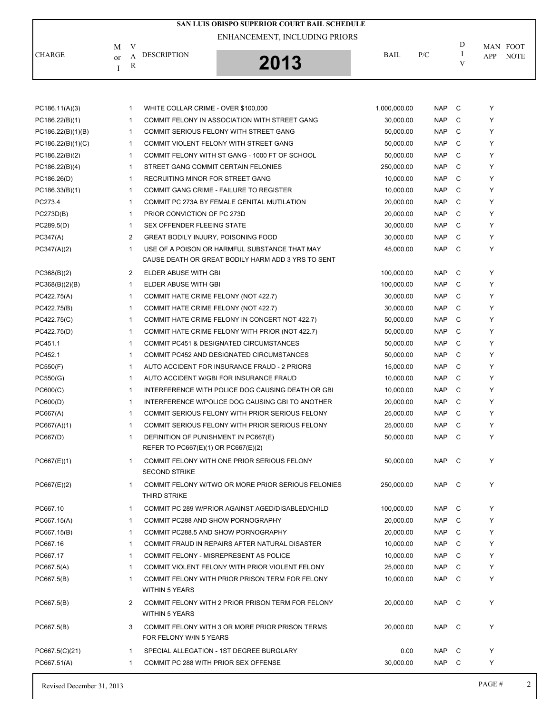|                   |    |                |                                                                             | SAN LUIS OBISPO SUPERIOR COURT BAIL SCHEDULE       |              |            |              |            |             |
|-------------------|----|----------------|-----------------------------------------------------------------------------|----------------------------------------------------|--------------|------------|--------------|------------|-------------|
|                   |    |                |                                                                             | ENHANCEMENT, INCLUDING PRIORS                      |              |            |              |            |             |
|                   | M  | V              |                                                                             |                                                    |              |            | D            |            | MAN FOOT    |
| <b>CHARGE</b>     | or | А<br>R         | <b>DESCRIPTION</b>                                                          | 2013                                               | BAIL         | P/C        | 1<br>V       | <b>APP</b> | <b>NOTE</b> |
|                   | I  |                |                                                                             |                                                    |              |            |              |            |             |
| PC186.11(A)(3)    |    | 1              | WHITE COLLAR CRIME - OVER \$100,000                                         |                                                    | 1,000,000.00 | <b>NAP</b> | C            | Υ          |             |
| PC186.22(B)(1)    |    | $\mathbf{1}$   |                                                                             | COMMIT FELONY IN ASSOCIATION WITH STREET GANG      | 30,000.00    | <b>NAP</b> | C            | Y          |             |
| PC186.22(B)(1)(B) |    | $\mathbf{1}$   |                                                                             | COMMIT SERIOUS FELONY WITH STREET GANG             | 50,000.00    | <b>NAP</b> | C            | Y          |             |
| PC186.22(B)(1)(C) |    | $\mathbf{1}$   |                                                                             | COMMIT VIOLENT FELONY WITH STREET GANG             | 50,000.00    | <b>NAP</b> | C            | Y          |             |
| PC186.22(B)(2)    |    | 1              |                                                                             | COMMIT FELONY WITH ST GANG - 1000 FT OF SCHOOL     | 50,000.00    | <b>NAP</b> | C            | Y          |             |
| PC186.22(B)(4)    |    | $\mathbf{1}$   | STREET GANG COMMIT CERTAIN FELONIES                                         |                                                    | 250,000.00   | <b>NAP</b> | C            | Y          |             |
| PC186.26(D)       |    | 1              | RECRUITING MINOR FOR STREET GANG                                            |                                                    | 10,000.00    | <b>NAP</b> | C            | Y          |             |
| PC186.33(B)(1)    |    | 1              |                                                                             | COMMIT GANG CRIME - FAILURE TO REGISTER            | 10,000.00    | <b>NAP</b> | C            | Y          |             |
| PC273.4           |    | 1              |                                                                             | COMMIT PC 273A BY FEMALE GENITAL MUTILATION        | 20,000.00    | <b>NAP</b> | C            | Y          |             |
| PC273D(B)         |    | 1              | PRIOR CONVICTION OF PC 273D                                                 |                                                    | 20,000.00    | <b>NAP</b> | C            | Y          |             |
| PC289.5(D)        |    | $\mathbf{1}$   | SEX OFFENDER FLEEING STATE                                                  |                                                    | 30,000.00    | <b>NAP</b> | C            | Y          |             |
| PC347(A)          |    | 2              | <b>GREAT BODILY INJURY, POISONING FOOD</b>                                  |                                                    | 30,000.00    | <b>NAP</b> | C            | Y          |             |
| PC347(A)(2)       |    | 1              |                                                                             | USE OF A POISON OR HARMFUL SUBSTANCE THAT MAY      | 45,000.00    | <b>NAP</b> | C            | Y          |             |
|                   |    |                |                                                                             | CAUSE DEATH OR GREAT BODILY HARM ADD 3 YRS TO SENT |              |            |              |            |             |
| PC368(B)(2)       |    | $\overline{2}$ | ELDER ABUSE WITH GBI                                                        |                                                    | 100,000.00   | <b>NAP</b> | C            | Y          |             |
| PC368(B)(2)(B)    |    | $\mathbf{1}$   | ELDER ABUSE WITH GBI                                                        |                                                    | 100,000.00   | <b>NAP</b> | C            | Y          |             |
| PC422.75(A)       |    | 1              | COMMIT HATE CRIME FELONY (NOT 422.7)                                        |                                                    | 30,000.00    | <b>NAP</b> | C            | Υ          |             |
| PC422.75(B)       |    | 1              | COMMIT HATE CRIME FELONY (NOT 422.7)                                        |                                                    | 30,000.00    | <b>NAP</b> | C            | Y          |             |
| PC422.75(C)       |    | $\mathbf{1}$   |                                                                             | COMMIT HATE CRIME FELONY IN CONCERT NOT 422.7)     | 50,000.00    | <b>NAP</b> | C            | Y          |             |
| PC422.75(D)       |    | 1              |                                                                             | COMMIT HATE CRIME FELONY WITH PRIOR (NOT 422.7)    | 50,000.00    | <b>NAP</b> | C            | Y          |             |
| PC451.1           |    | 1              |                                                                             | COMMIT PC451 & DESIGNATED CIRCUMSTANCES            | 50,000.00    | <b>NAP</b> | C            | Y          |             |
| PC452.1           |    | $\mathbf{1}$   |                                                                             | COMMIT PC452 AND DESIGNATED CIRCUMSTANCES          | 50,000.00    | <b>NAP</b> | C            | Y          |             |
| PC550(F)          |    | $\mathbf{1}$   |                                                                             | AUTO ACCIDENT FOR INSURANCE FRAUD - 2 PRIORS       | 15,000.00    | <b>NAP</b> | C            | Y          |             |
| PC550(G)          |    | 1              |                                                                             | AUTO ACCIDENT W/GBI FOR INSURANCE FRAUD            | 10,000.00    | <b>NAP</b> | C            | Y          |             |
| PC600(C)          |    | 1              |                                                                             | INTERFERENCE WITH POLICE DOG CAUSING DEATH OR GBI  | 10,000.00    | <b>NAP</b> | C            | Y          |             |
| PC600(D)          |    | 1              |                                                                             | INTERFERENCE W/POLICE DOG CAUSING GBI TO ANOTHER   | 20,000.00    | <b>NAP</b> | C            | Υ          |             |
| PC667(A)          |    | 1              |                                                                             | COMMIT SERIOUS FELONY WITH PRIOR SERIOUS FELONY    | 25,000.00    | <b>NAP</b> | C            | Y          |             |
| PC667(A)(1)       |    | 1              |                                                                             | COMMIT SERIOUS FELONY WITH PRIOR SERIOUS FELONY    | 25,000.00    | <b>NAP</b> | C            | Υ          |             |
| PC667(D)          |    | $\mathbf{1}$   | DEFINITION OF PUNISHMENT IN PC667(E)<br>REFER TO PC667(E)(1) OR PC667(E)(2) |                                                    | 50.000.00    | <b>NAP</b> | C            | Υ          |             |
| PC667(E)(1)       |    | 1              | <b>SECOND STRIKE</b>                                                        | COMMIT FELONY WITH ONE PRIOR SERIOUS FELONY        | 50,000.00    | NAP        | C            | Y          |             |
| PC667(E)(2)       |    | 1              | THIRD STRIKE                                                                | COMMIT FELONY W/TWO OR MORE PRIOR SERIOUS FELONIES | 250,000.00   | NAP C      |              | Υ          |             |
| PC667.10          |    | 1              |                                                                             | COMMIT PC 289 W/PRIOR AGAINST AGED/DISABLED/CHILD  | 100,000.00   | NAP        | C            | Υ          |             |
| PC667.15(A)       |    | 1              | COMMIT PC288 AND SHOW PORNOGRAPHY                                           |                                                    | 20,000.00    | <b>NAP</b> | C            | Υ          |             |
| PC667.15(B)       |    | $\mathbf{1}$   |                                                                             | COMMIT PC288.5 AND SHOW PORNOGRAPHY                | 20,000.00    | NAP        | C            | Υ          |             |
| PC667.16          |    | $\mathbf{1}$   |                                                                             | COMMIT FRAUD IN REPAIRS AFTER NATURAL DISASTER     | 10,000.00    | NAP        | C            | Υ          |             |
| PC667.17          |    | 1              |                                                                             | COMMIT FELONY - MISREPRESENT AS POLICE             | 10,000.00    | <b>NAP</b> | C            | Υ          |             |
| PC667.5(A)        |    | $\mathbf{1}$   |                                                                             | COMMIT VIOLENT FELONY WITH PRIOR VIOLENT FELONY    | 25,000.00    | <b>NAP</b> | C            | Υ          |             |
| PC667.5(B)        |    | 1              |                                                                             | COMMIT FELONY WITH PRIOR PRISON TERM FOR FELONY    | 10,000.00    | <b>NAP</b> | C            | Υ          |             |
|                   |    |                | <b>WITHIN 5 YEARS</b>                                                       |                                                    |              |            |              |            |             |
| PC667.5(B)        |    | 2              | <b>WITHIN 5 YEARS</b>                                                       | COMMIT FELONY WITH 2 PRIOR PRISON TERM FOR FELONY  | 20,000.00    | NAP C      |              | Υ          |             |
| PC667.5(B)        |    | 3              | FOR FELONY W/IN 5 YEARS                                                     | COMMIT FELONY WITH 3 OR MORE PRIOR PRISON TERMS    | 20,000.00    | NAP        | $\mathbf{C}$ | Υ          |             |
| PC667.5(C)(21)    |    | $\mathbf 1$    |                                                                             | SPECIAL ALLEGATION - 1ST DEGREE BURGLARY           | 0.00         | NAP        | C            | Y          |             |
| PC667.51(A)       |    | 1              | COMMIT PC 288 WITH PRIOR SEX OFFENSE                                        |                                                    | 30,000.00    | NAP C      |              | Υ          |             |
|                   |    |                |                                                                             |                                                    |              |            |              |            |             |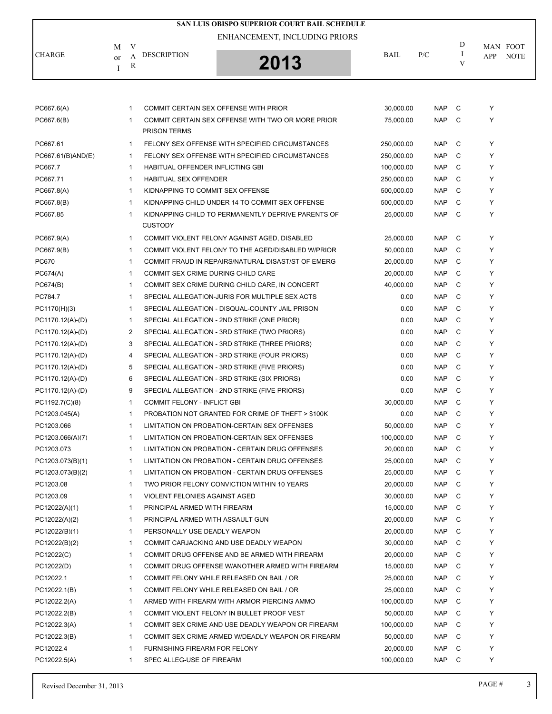|                   |    |                |                                    | SAN LUIS OBISPO SUPERIOR COURT BAIL SCHEDULE       |             |            |     |     |             |
|-------------------|----|----------------|------------------------------------|----------------------------------------------------|-------------|------------|-----|-----|-------------|
|                   |    |                |                                    | ENHANCEMENT, INCLUDING PRIORS                      |             |            |     |     |             |
|                   | М  | V              |                                    |                                                    |             |            | D   |     | MAN FOOT    |
| <b>CHARGE</b>     | or | A              | <b>DESCRIPTION</b>                 |                                                    | <b>BAIL</b> | P/C        | I   | APP | <b>NOTE</b> |
|                   | I  | R              |                                    | 2013                                               |             |            | V   |     |             |
|                   |    |                |                                    |                                                    |             |            |     |     |             |
| PC667.6(A)        |    | 1              |                                    | COMMIT CERTAIN SEX OFFENSE WITH PRIOR              | 30,000.00   | <b>NAP</b> | C   | Υ   |             |
| PC667.6(B)        |    | 1              | <b>PRISON TERMS</b>                | COMMIT CERTAIN SEX OFFENSE WITH TWO OR MORE PRIOR  | 75,000.00   | <b>NAP</b> | C   | Y   |             |
| PC667.61          |    | 1              |                                    | FELONY SEX OFFENSE WITH SPECIFIED CIRCUMSTANCES    | 250,000.00  | <b>NAP</b> | C   | Y   |             |
| PC667.61(B)AND(E) |    | 1              |                                    | FELONY SEX OFFENSE WITH SPECIFIED CIRCUMSTANCES    | 250,000.00  | <b>NAP</b> | C   | Y   |             |
| PC667.7           |    | 1              | HABITUAL OFFENDER INFLICTING GBI   |                                                    | 100,000.00  | <b>NAP</b> | C   | Y   |             |
| PC667.71          |    | 1              | <b>HABITUAL SEX OFFENDER</b>       |                                                    | 250,000.00  | <b>NAP</b> | C   | Y   |             |
| PC667.8(A)        |    | 1              | KIDNAPPING TO COMMIT SEX OFFENSE   |                                                    | 500,000.00  | <b>NAP</b> | C   | Y   |             |
| PC667.8(B)        |    | 1              |                                    | KIDNAPPING CHILD UNDER 14 TO COMMIT SEX OFFENSE    | 500,000.00  | <b>NAP</b> | C   | Υ   |             |
| PC667.85          |    | 1              |                                    | KIDNAPPING CHILD TO PERMANENTLY DEPRIVE PARENTS OF | 25,000.00   | <b>NAP</b> | C   | Y   |             |
|                   |    |                | <b>CUSTODY</b>                     |                                                    |             |            |     |     |             |
| PC667.9(A)        |    | 1              |                                    | COMMIT VIOLENT FELONY AGAINST AGED, DISABLED       | 25,000.00   | <b>NAP</b> | C   | Y   |             |
| PC667.9(B)        |    | 1              |                                    | COMMIT VIOLENT FELONY TO THE AGED/DISABLED W/PRIOR | 50,000.00   | <b>NAP</b> | C   | Y   |             |
| PC670             |    | 1              |                                    | COMMIT FRAUD IN REPAIRS/NATURAL DISAST/ST OF EMERG | 20,000.00   | <b>NAP</b> | C   | Y   |             |
| PC674(A)          |    | 1              | COMMIT SEX CRIME DURING CHILD CARE |                                                    | 20,000.00   | <b>NAP</b> | C   | Y   |             |
| PC674(B)          |    | 1              |                                    | COMMIT SEX CRIME DURING CHILD CARE, IN CONCERT     | 40,000.00   | <b>NAP</b> | C   | Y   |             |
| PC784.7           |    | 1              |                                    | SPECIAL ALLEGATION-JURIS FOR MULTIPLE SEX ACTS     | 0.00        | <b>NAP</b> | C   | Y   |             |
| PC1170(H)(3)      |    | 1              |                                    | SPECIAL ALLEGATION - DISQUAL-COUNTY JAIL PRISON    | 0.00        | <b>NAP</b> | C   | Y   |             |
| PC1170.12(A)-(D)  |    | 1              |                                    | SPECIAL ALLEGATION - 2ND STRIKE (ONE PRIOR)        | 0.00        | <b>NAP</b> | C   | Υ   |             |
| PC1170.12(A)-(D)  |    | $\overline{c}$ |                                    | SPECIAL ALLEGATION - 3RD STRIKE (TWO PRIORS)       | 0.00        | <b>NAP</b> | C   | Y   |             |
| PC1170.12(A)-(D)  |    | 3              |                                    | SPECIAL ALLEGATION - 3RD STRIKE (THREE PRIORS)     | 0.00        | <b>NAP</b> | C   | Y   |             |
| PC1170.12(A)-(D)  |    | 4              |                                    | SPECIAL ALLEGATION - 3RD STRIKE (FOUR PRIORS)      | 0.00        | <b>NAP</b> | C   | Υ   |             |
| PC1170.12(A)-(D)  |    | 5              |                                    | SPECIAL ALLEGATION - 3RD STRIKE (FIVE PRIORS)      | 0.00        | <b>NAP</b> | C   | Y   |             |
| PC1170.12(A)-(D)  |    | 6              |                                    | SPECIAL ALLEGATION - 3RD STRIKE (SIX PRIORS)       | 0.00        | <b>NAP</b> | C   | Y   |             |
| PC1170.12(A)-(D)  |    | 9              |                                    | SPECIAL ALLEGATION - 2ND STRIKE (FIVE PRIORS)      | 0.00        | <b>NAP</b> | C   | Υ   |             |
| PC1192.7(C)(8)    |    | 1              | <b>COMMIT FELONY - INFLICT GBI</b> |                                                    | 30.000.00   | <b>NAP</b> | C   | Υ   |             |
| PC1203.045(A)     |    | 1              |                                    | PROBATION NOT GRANTED FOR CRIME OF THEFT > \$100K  | 0.00        | <b>NAP</b> | C   | Υ   |             |
| PC1203.066        |    | 1              |                                    | LIMITATION ON PROBATION-CERTAIN SEX OFFENSES       | 50,000.00   | <b>NAP</b> | - C | Υ   |             |
| PC1203.066(A)(7)  |    | 1              |                                    | LIMITATION ON PROBATION-CERTAIN SEX OFFENSES       | 100,000.00  | <b>NAP</b> | C   | Y   |             |
| PC1203.073        |    | 1              |                                    | LIMITATION ON PROBATION - CERTAIN DRUG OFFENSES    | 20,000.00   | NAP        | C   | Y   |             |
| PC1203.073(B)(1)  |    | 1              |                                    | LIMITATION ON PROBATION - CERTAIN DRUG OFFENSES    | 25,000.00   | <b>NAP</b> | C   | Y   |             |
| PC1203.073(B)(2)  |    | 1              |                                    | LIMITATION ON PROBATION - CERTAIN DRUG OFFENSES    | 25,000.00   | <b>NAP</b> | C   | Y   |             |
| PC1203.08         |    | 1              |                                    | TWO PRIOR FELONY CONVICTION WITHIN 10 YEARS        | 20,000.00   | NAP        | C   | Y   |             |
| PC1203.09         |    | 1              | VIOLENT FELONIES AGAINST AGED      |                                                    | 30,000.00   | <b>NAP</b> | C   | Y   |             |
| PC12022(A)(1)     |    | 1              | PRINCIPAL ARMED WITH FIREARM       |                                                    | 15,000.00   | <b>NAP</b> | C   | Y   |             |
| PC12022(A)(2)     |    | 1              | PRINCIPAL ARMED WITH ASSAULT GUN   |                                                    | 20,000.00   | NAP        | C   | Y   |             |
| PC12022(B)(1)     |    | 1              | PERSONALLY USE DEADLY WEAPON       |                                                    | 20,000.00   | <b>NAP</b> | C   | Y   |             |
| PC12022(B)(2)     |    | 1              |                                    | COMMIT CARJACKING AND USE DEADLY WEAPON            | 30,000.00   | <b>NAP</b> | C   | Y   |             |
| PC12022(C)        |    | 1              |                                    | COMMIT DRUG OFFENSE AND BE ARMED WITH FIREARM      | 20,000.00   | <b>NAP</b> | C   | Y   |             |
| PC12022(D)        |    | 1              |                                    | COMMIT DRUG OFFENSE W/ANOTHER ARMED WITH FIREARM   | 15,000.00   | <b>NAP</b> | C   | Y   |             |
| PC12022.1         |    | 1              |                                    | COMMIT FELONY WHILE RELEASED ON BAIL / OR          | 25,000.00   | <b>NAP</b> | C   | Y   |             |
| PC12022.1(B)      |    | 1              |                                    | COMMIT FELONY WHILE RELEASED ON BAIL / OR          | 25,000.00   | NAP        | C   | Y   |             |
|                   |    |                |                                    |                                                    |             |            |     | Y   |             |
| PC12022.2(A)      |    | 1              |                                    | ARMED WITH FIREARM WITH ARMOR PIERCING AMMO        | 100,000.00  | <b>NAP</b> | C   |     |             |
| PC12022.2(B)      |    | 1              |                                    | COMMIT VIOLENT FELONY IN BULLET PROOF VEST         | 50,000.00   | <b>NAP</b> | C   | Y   |             |
| PC12022.3(A)      |    | 1              |                                    | COMMIT SEX CRIME AND USE DEADLY WEAPON OR FIREARM  | 100,000.00  | NAP        | C   | Y   |             |
| PC12022.3(B)      |    | 1              |                                    | COMMIT SEX CRIME ARMED W/DEADLY WEAPON OR FIREARM  | 50,000.00   | <b>NAP</b> | C   | Y   |             |
| PC12022.4         |    | 1              | FURNISHING FIREARM FOR FELONY      |                                                    | 20,000.00   | <b>NAP</b> | C   | Y   |             |
| PC12022.5(A)      |    | 1              | SPEC ALLEG-USE OF FIREARM          |                                                    | 100,000.00  | NAP.       | C   | Y   |             |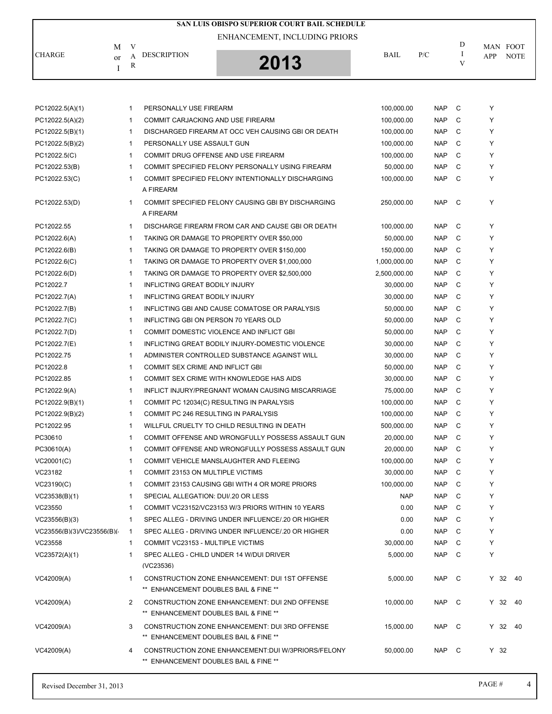|                           |              |                                       | SAN LUIS OBISPO SUPERIOR COURT BAIL SCHEDULE        |              |            |              |            |             |
|---------------------------|--------------|---------------------------------------|-----------------------------------------------------|--------------|------------|--------------|------------|-------------|
|                           |              |                                       | ENHANCEMENT, INCLUDING PRIORS                       |              |            |              |            |             |
| M                         | V            |                                       |                                                     |              |            | D<br>Ι       |            | MAN FOOT    |
| <b>CHARGE</b><br>or<br>I  | A<br>R       | <b>DESCRIPTION</b>                    | 2013                                                | BAIL         | P/C        | V            | <b>APP</b> | <b>NOTE</b> |
|                           |              |                                       |                                                     |              |            |              |            |             |
| PC12022.5(A)(1)           | $\mathbf{1}$ | PERSONALLY USE FIREARM                |                                                     | 100,000.00   | <b>NAP</b> | C            | Υ          |             |
| PC12022.5(A)(2)           | $\mathbf{1}$ | COMMIT CARJACKING AND USE FIREARM     |                                                     | 100,000.00   | <b>NAP</b> | C            | Y          |             |
| PC12022.5(B)(1)           | $\mathbf{1}$ |                                       | DISCHARGED FIREARM AT OCC VEH CAUSING GBI OR DEATH  | 100,000.00   | <b>NAP</b> | C            | Y          |             |
| PC12022.5(B)(2)           | $\mathbf{1}$ | PERSONALLY USE ASSAULT GUN            |                                                     | 100,000.00   | <b>NAP</b> | C            | Y          |             |
| PC12022.5(C)              | $\mathbf{1}$ |                                       | COMMIT DRUG OFFENSE AND USE FIREARM                 | 100,000.00   | <b>NAP</b> | C            | Y          |             |
| PC12022.53(B)             | $\mathbf{1}$ |                                       | COMMIT SPECIFIED FELONY PERSONALLY USING FIREARM    | 50,000.00    | <b>NAP</b> | C            | Y          |             |
| PC12022.53(C)             | $\mathbf{1}$ | A FIREARM                             | COMMIT SPECIFIED FELONY INTENTIONALLY DISCHARGING   | 100,000.00   | <b>NAP</b> | C            | Y          |             |
| PC12022.53(D)             | $\mathbf{1}$ | A FIREARM                             | COMMIT SPECIFIED FELONY CAUSING GBI BY DISCHARGING  | 250,000.00   | <b>NAP</b> | C            | Υ          |             |
| PC12022.55                | $\mathbf 1$  |                                       | DISCHARGE FIREARM FROM CAR AND CAUSE GBI OR DEATH   | 100,000.00   | <b>NAP</b> | C            | Y          |             |
| PC12022.6(A)              | $\mathbf{1}$ |                                       | TAKING OR DAMAGE TO PROPERTY OVER \$50,000          | 50,000.00    | <b>NAP</b> | C            | Y          |             |
| PC12022.6(B)              | $\mathbf{1}$ |                                       | TAKING OR DAMAGE TO PROPERTY OVER \$150,000         | 150,000.00   | <b>NAP</b> | C            | Y          |             |
| PC12022.6(C)              | $\mathbf{1}$ |                                       | TAKING OR DAMAGE TO PROPERTY OVER \$1,000,000       | 1,000,000.00 | <b>NAP</b> | C            | Y          |             |
| PC12022.6(D)              | 1            |                                       | TAKING OR DAMAGE TO PROPERTY OVER \$2,500,000       | 2,500,000.00 | <b>NAP</b> | C            | Y          |             |
| PC12022.7                 | $\mathbf{1}$ | INFLICTING GREAT BODILY INJURY        |                                                     | 30,000.00    | <b>NAP</b> | C            | Y          |             |
| PC12022.7(A)              | $\mathbf{1}$ | INFLICTING GREAT BODILY INJURY        |                                                     | 30,000.00    | <b>NAP</b> | C            | Y          |             |
| PC12022.7(B)              | $\mathbf{1}$ |                                       | INFLICTING GBI AND CAUSE COMATOSE OR PARALYSIS      | 50,000.00    | <b>NAP</b> | C            | Y          |             |
| PC12022.7(C)              | $\mathbf{1}$ | INFLICTING GBI ON PERSON 70 YEARS OLD |                                                     | 50,000.00    | <b>NAP</b> | C            | Υ          |             |
| PC12022.7(D)              | $\mathbf{1}$ |                                       | COMMIT DOMESTIC VIOLENCE AND INFLICT GBI            | 50,000.00    | <b>NAP</b> | C            | Y          |             |
| PC12022.7(E)              | 1            |                                       | INFLICTING GREAT BODILY INJURY-DOMESTIC VIOLENCE    | 30,000.00    | <b>NAP</b> | C            | Y          |             |
| PC12022.75                | $\mathbf{1}$ |                                       | ADMINISTER CONTROLLED SUBSTANCE AGAINST WILL        | 30,000.00    | <b>NAP</b> | C            | Y          |             |
| PC12022.8                 | $\mathbf 1$  | COMMIT SEX CRIME AND INFLICT GBI      |                                                     | 50,000.00    | <b>NAP</b> | C            | Y          |             |
| PC12022.85                | $\mathbf{1}$ |                                       | COMMIT SEX CRIME WITH KNOWLEDGE HAS AIDS            | 30,000.00    | <b>NAP</b> | C            | Y          |             |
| PC12022.9(A)              | $\mathbf{1}$ |                                       | INFLICT INJURY/PREGNANT WOMAN CAUSING MISCARRIAGE   | 75,000.00    | <b>NAP</b> | C            | Υ          |             |
| PC12022.9(B)(1)           | $\mathbf{1}$ |                                       | COMMIT PC 12034(C) RESULTING IN PARALYSIS           | 100,000.00   | <b>NAP</b> | C            | Υ          |             |
| PC12022.9(B)(2)           | $\mathbf{1}$ | COMMIT PC 246 RESULTING IN PARALYSIS  |                                                     | 100,000.00   | <b>NAP</b> | C            | Y          |             |
| PC12022.95                | 1            |                                       | WILLFUL CRUELTY TO CHILD RESULTING IN DEATH         | 500,000.00   | <b>NAP</b> | C            | Υ          |             |
| PC30610                   | 1            |                                       | COMMIT OFFENSE AND WRONGFULLY POSSESS ASSAULT GUN   | 20,000.00    | <b>NAP</b> | C            | Y          |             |
| PC30610(A)                | $\mathbf{1}$ |                                       | COMMIT OFFENSE AND WRONGFULLY POSSESS ASSAULT GUN   | 20,000.00    | <b>NAP</b> | C            | Y          |             |
| VC20001(C)                | $\mathbf{1}$ |                                       | COMMIT VEHICLE MANSLAUGHTER AND FLEEING             | 100,000.00   | <b>NAP</b> | C            | Υ          |             |
| VC23182                   | 1            | COMMIT 23153 ON MULTIPLE VICTIMS      |                                                     | 30,000.00    | <b>NAP</b> | C            | Y          |             |
| VC23190(C)                | 1            |                                       | COMMIT 23153 CAUSING GBI WITH 4 OR MORE PRIORS      | 100,000.00   | <b>NAP</b> | C            | Y          |             |
| VC23538(B)(1)             | $\mathbf{1}$ | SPECIAL ALLEGATION: DUI/.20 OR LESS   |                                                     | <b>NAP</b>   | <b>NAP</b> | C            | Y          |             |
| VC23550                   | $\mathbf 1$  |                                       | COMMIT VC23152/VC23153 W/3 PRIORS WITHIN 10 YEARS   | 0.00         | <b>NAP</b> | C            | Υ          |             |
| VC23556(B)(3)             | 1            |                                       | SPEC ALLEG - DRIVING UNDER INFLUENCE/.20 OR HIGHER  | 0.00         | <b>NAP</b> | C            | Y          |             |
| VC23556(B)(3)/VC23556(B)( | $\mathbf{1}$ |                                       | SPEC ALLEG - DRIVING UNDER INFLUENCE/20 OR HIGHER   | 0.00         | <b>NAP</b> | C            | Y          |             |
| VC23558                   | $\mathbf{1}$ | COMMIT VC23153 - MULTIPLE VICTIMS     |                                                     | 30,000.00    | <b>NAP</b> | C            | Y          |             |
| VC23572(A)(1)             | 1            | (VC23536)                             | SPEC ALLEG - CHILD UNDER 14 W/DUI DRIVER            | 5,000.00     | <b>NAP</b> | C            | Y          |             |
| VC42009(A)                | 1            | ** ENHANCEMENT DOUBLES BAIL & FINE ** | CONSTRUCTION ZONE ENHANCEMENT: DUI 1ST OFFENSE      | 5,000.00     | NAP C      |              |            | Y 32 40     |
| VC42009(A)                | 2            | ** ENHANCEMENT DOUBLES BAIL & FINE ** | CONSTRUCTION ZONE ENHANCEMENT: DUI 2ND OFFENSE      | 10,000.00    | NAP C      |              |            | Y 32 40     |
| VC42009(A)                | 3            | ** ENHANCEMENT DOUBLES BAIL & FINE ** | CONSTRUCTION ZONE ENHANCEMENT: DUI 3RD OFFENSE      | 15,000.00    | NAP        | $\mathbf{C}$ |            | Y 32 40     |
| VC42009(A)                | 4            | ** ENHANCEMENT DOUBLES BAIL & FINE ** | CONSTRUCTION ZONE ENHANCEMENT: DUI W/3PRIORS/FELONY | 50,000.00    | NAP C      |              | $Y$ 32     |             |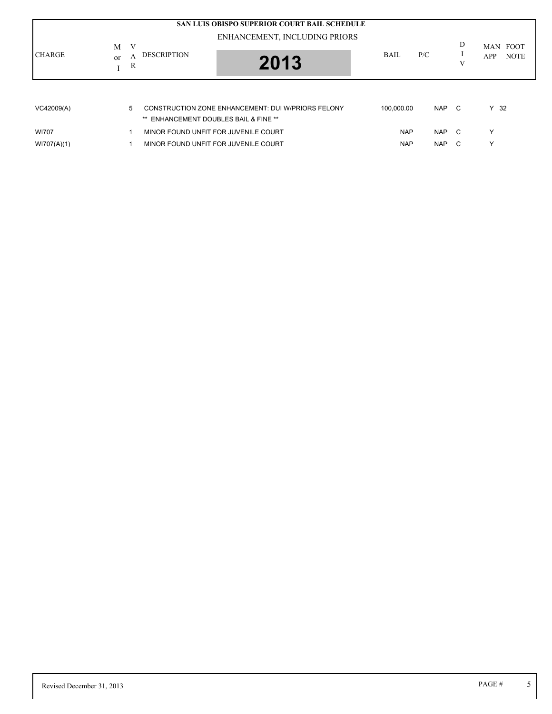| <b>CHARGE</b>               | <b>SAN LUIS OBISPO SUPERIOR COURT BAIL SCHEDULE</b><br>ENHANCEMENT, INCLUDING PRIORS<br>V<br>M<br><b>DESCRIPTION</b><br>A<br><sub>or</sub><br>2013<br>R | BAII.                    | P/C                      | D<br>V       | <b>FOOT</b><br><b>MAN</b><br><b>NOTE</b><br>APP |
|-----------------------------|---------------------------------------------------------------------------------------------------------------------------------------------------------|--------------------------|--------------------------|--------------|-------------------------------------------------|
| VC42009(A)                  | CONSTRUCTION ZONE ENHANCEMENT: DUI W/PRIORS FELONY<br>5<br>** ENHANCEMENT DOUBLES BAIL & FINE **                                                        | 100.000.00               | <b>NAP</b>               | $\mathbf{C}$ | $Y$ 32                                          |
| <b>WI707</b><br>W1707(A)(1) | MINOR FOUND UNFIT FOR JUVENILE COURT<br>MINOR FOUND UNFIT FOR JUVENILE COURT                                                                            | <b>NAP</b><br><b>NAP</b> | <b>NAP</b><br><b>NAP</b> | C.<br>C      | $\check{ }$                                     |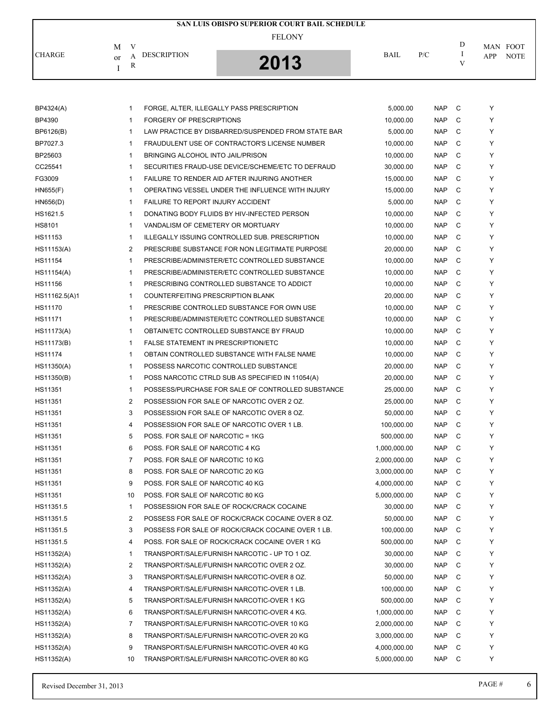|               |                                                         | SAN LUIS OBISPO SUPERIOR COURT BAIL SCHEDULE |             |     |   |                                |
|---------------|---------------------------------------------------------|----------------------------------------------|-------------|-----|---|--------------------------------|
| <b>CHARGE</b> | V<br>M<br><b>DESCRIPTION</b><br>А<br><sub>or</sub><br>R | <b>FELONY</b><br>$2012$                      | <b>BAIL</b> | P/C | D | MAN FOOT<br><b>NOTE</b><br>APP |

| BP4324(A)     | 1              | FORGE, ALTER, ILLEGALLY PASS PRESCRIPTION          | 5,000.00     | <b>NAP</b> | C | Y |
|---------------|----------------|----------------------------------------------------|--------------|------------|---|---|
| <b>BP4390</b> | $\mathbf{1}$   | FORGERY OF PRESCRIPTIONS                           | 10,000.00    | <b>NAP</b> | С | Y |
| BP6126(B)     | $\mathbf{1}$   | LAW PRACTICE BY DISBARRED/SUSPENDED FROM STATE BAR | 5,000.00     | <b>NAP</b> | C | Y |
| BP7027.3      | $\mathbf{1}$   | FRAUDULENT USE OF CONTRACTOR'S LICENSE NUMBER      | 10,000.00    | <b>NAP</b> | C | Y |
| BP25603       | $\mathbf{1}$   | BRINGING ALCOHOL INTO JAIL/PRISON                  | 10,000.00    | <b>NAP</b> | C | Y |
| CC25541       | $\mathbf{1}$   | SECURITIES FRAUD-USE DEVICE/SCHEME/ETC TO DEFRAUD  | 30,000.00    | <b>NAP</b> | C | Y |
| FG3009        | $\mathbf{1}$   | FAILURE TO RENDER AID AFTER INJURING ANOTHER       | 15,000.00    | <b>NAP</b> | C | Y |
| H N655(F)     | $\mathbf{1}$   | OPERATING VESSEL UNDER THE INFLUENCE WITH INJURY   | 15,000.00    | <b>NAP</b> | C | Y |
| HN656(D)      | $\mathbf{1}$   | FAILURE TO REPORT INJURY ACCIDENT                  | 5,000.00     | <b>NAP</b> | C | Y |
| HS1621.5      | $\mathbf{1}$   | DONATING BODY FLUIDS BY HIV-INFECTED PERSON        | 10.000.00    | <b>NAP</b> | C | Y |
| HS8101        | $\mathbf{1}$   | VANDALISM OF CEMETERY OR MORTUARY                  | 10,000.00    | <b>NAP</b> | C | Y |
| HS11153       | $\mathbf{1}$   | ILLEGALLY ISSUING CONTROLLED SUB. PRESCRIPTION     | 10,000.00    | <b>NAP</b> | C | Y |
| HS11153(A)    | 2              | PRESCRIBE SUBSTANCE FOR NON LEGITIMATE PURPOSE     | 20,000.00    | <b>NAP</b> | C | Y |
| HS11154       | $\mathbf{1}$   | PRESCRIBE/ADMINISTER/ETC CONTROLLED SUBSTANCE      | 10,000.00    | <b>NAP</b> | C | Y |
| HS11154(A)    | $\mathbf{1}$   | PRESCRIBE/ADMINISTER/ETC CONTROLLED SUBSTANCE      | 10,000.00    | <b>NAP</b> | C | Y |
| HS11156       | $\mathbf{1}$   | PRESCRIBING CONTROLLED SUBSTANCE TO ADDICT         | 10,000.00    | <b>NAP</b> | C | Y |
| HS11162.5(A)1 | $\mathbf{1}$   | COUNTERFEITING PRESCRIPTION BLANK                  | 20,000.00    | <b>NAP</b> | C | Y |
| HS11170       | $\mathbf{1}$   | PRESCRIBE CONTROLLED SUBSTANCE FOR OWN USE         | 10,000.00    | <b>NAP</b> | C | Y |
| HS11171       | $\mathbf{1}$   | PRESCRIBE/ADMINISTER/ETC CONTROLLED SUBSTANCE      | 10,000.00    | <b>NAP</b> | C | Y |
| HS11173(A)    | $\mathbf{1}$   | OBTAIN/ETC CONTROLLED SUBSTANCE BY FRAUD           | 10,000.00    | <b>NAP</b> | C | Y |
| HS11173(B)    | $\mathbf{1}$   | FALSE STATEMENT IN PRESCRIPTION/ETC                | 10,000.00    | <b>NAP</b> | C | Y |
| HS11174       | $\mathbf{1}$   | OBTAIN CONTROLLED SUBSTANCE WITH FALSE NAME        | 10,000.00    | <b>NAP</b> | C | Y |
| HS11350(A)    | $\mathbf{1}$   | POSSESS NARCOTIC CONTROLLED SUBSTANCE              | 20,000.00    | <b>NAP</b> | C | Y |
| HS11350(B)    | $\mathbf{1}$   | POSS NARCOTIC CTRLD SUB AS SPECIFIED IN 11054(A)   | 20,000.00    | <b>NAP</b> | C | Y |
| HS11351       | $\mathbf{1}$   | POSSESS/PURCHASE FOR SALE OF CONTROLLED SUBSTANCE  | 25,000.00    | <b>NAP</b> | C | Y |
| HS11351       | 2              | POSSESSION FOR SALE OF NARCOTIC OVER 2 OZ.         | 25,000.00    | <b>NAP</b> | C | Y |
| HS11351       | 3              | POSSESSION FOR SALE OF NARCOTIC OVER 8 OZ.         | 50,000.00    | <b>NAP</b> | C | Y |
| HS11351       | 4              | POSSESSION FOR SALE OF NARCOTIC OVER 1 LB.         | 100,000.00   | <b>NAP</b> | C | Y |
| HS11351       | 5              | POSS. FOR SALE OF NARCOTIC = 1KG                   | 500,000.00   | <b>NAP</b> | C | Y |
| HS11351       | 6              | POSS. FOR SALE OF NARCOTIC 4 KG                    | 1,000,000.00 | <b>NAP</b> | C | Y |
| HS11351       | 7              | POSS. FOR SALE OF NARCOTIC 10 KG                   | 2,000,000.00 | <b>NAP</b> | C | Y |
| HS11351       | 8              | POSS. FOR SALE OF NARCOTIC 20 KG                   | 3,000,000.00 | <b>NAP</b> | C | Y |
| HS11351       | 9              | POSS. FOR SALE OF NARCOTIC 40 KG                   | 4,000,000.00 | <b>NAP</b> | C | Y |
| HS11351       | 10             | POSS. FOR SALE OF NARCOTIC 80 KG.                  | 5,000,000.00 | <b>NAP</b> | C | Y |
| HS11351.5     | $\mathbf{1}$   | POSSESSION FOR SALE OF ROCK/CRACK COCAINE          | 30,000.00    | NAP C      |   | Y |
| HS11351.5     | 2              | POSSESS FOR SALE OF ROCK/CRACK COCAINE OVER 8 OZ.  | 50,000.00    | <b>NAP</b> | C | Y |
| HS11351.5     | 3              | POSSESS FOR SALE OF ROCK/CRACK COCAINE OVER 1 LB.  | 100,000.00   | <b>NAP</b> | C | Υ |
| HS11351.5     | 4              | POSS. FOR SALE OF ROCK/CRACK COCAINE OVER 1 KG     | 500,000.00   | <b>NAP</b> | C | Y |
| HS11352(A)    | $\mathbf{1}$   | TRANSPORT/SALE/FURNISH NARCOTIC - UP TO 1 OZ.      | 30,000.00    | <b>NAP</b> | C | Y |
| HS11352(A)    | $\overline{2}$ | TRANSPORT/SALE/FURNISH NARCOTIC OVER 2 OZ.         | 30,000.00    | <b>NAP</b> | C | Y |
| HS11352(A)    | 3              | TRANSPORT/SALE/FURNISH NARCOTIC-OVER 8 OZ.         | 50,000.00    | <b>NAP</b> | C | Y |
| HS11352(A)    | 4              | TRANSPORT/SALE/FURNISH NARCOTIC-OVER 1 LB.         | 100,000.00   | <b>NAP</b> | C | Y |
| HS11352(A)    | 5              | TRANSPORT/SALE/FURNISH NARCOTIC-OVER 1 KG          | 500,000.00   | <b>NAP</b> | C | Y |
| HS11352(A)    | 6              | TRANSPORT/SALE/FURNISH NARCOTIC-OVER 4 KG.         | 1,000,000.00 | <b>NAP</b> | С | Y |
| HS11352(A)    | 7              | TRANSPORT/SALE/FURNISH NARCOTIC-OVER 10 KG         | 2,000,000.00 | <b>NAP</b> | C | Y |
| HS11352(A)    | 8              | TRANSPORT/SALE/FURNISH NARCOTIC-OVER 20 KG         | 3,000,000.00 | <b>NAP</b> | C | Y |
| HS11352(A)    | 9              | TRANSPORT/SALE/FURNISH NARCOTIC-OVER 40 KG         | 4,000,000.00 | <b>NAP</b> | C | Y |
| HS11352(A)    | 10             | TRANSPORT/SALE/FURNISH NARCOTIC-OVER 80 KG         | 5,000,000.00 | <b>NAP</b> | C | Y |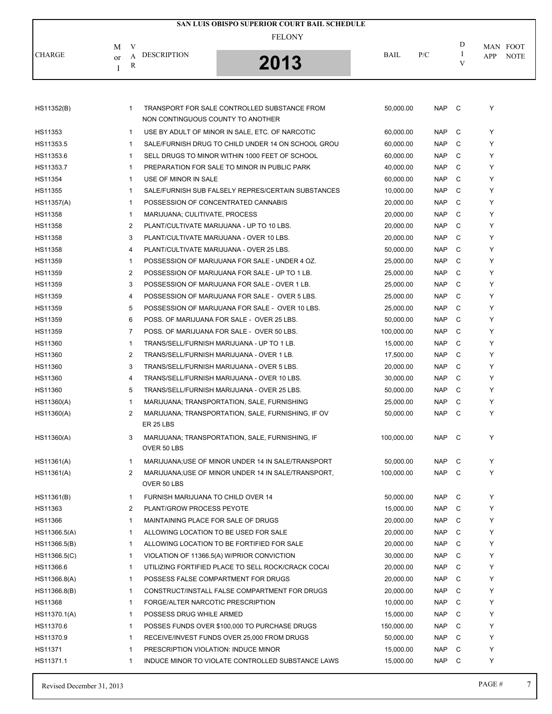|               |                                               | SAN LUIS OBISPO SUPERIOR COURT BAIL SCHEDULE |             |     |   |                    |
|---------------|-----------------------------------------------|----------------------------------------------|-------------|-----|---|--------------------|
|               | M<br>V                                        | <b>FELONY</b>                                |             |     | D | MAN FOOT           |
| <b>CHARGE</b> | <b>DESCRIPTION</b><br>А<br><sub>or</sub><br>R | 2013                                         | <b>BAIL</b> | P/C |   | <b>NOTE</b><br>APP |
|               |                                               |                                              |             |     |   |                    |

| NON CONTINGUOUS COUNTY TO ANOTHER<br>C<br>USE BY ADULT OF MINOR IN SALE, ETC. OF NARCOTIC<br>Y<br>$\mathbf{1}$<br>60,000.00<br><b>NAP</b><br>C<br>Y<br>HS11353.5<br>$\mathbf{1}$<br>SALE/FURNISH DRUG TO CHILD UNDER 14 ON SCHOOL GROU<br>60,000.00<br><b>NAP</b><br><b>NAP</b><br>C<br>Y<br>HS11353.6<br>$\mathbf{1}$<br>SELL DRUGS TO MINOR WITHIN 1000 FEET OF SCHOOL<br>60,000.00<br><b>NAP</b><br>C<br>Y<br>HS11353.7<br>$\mathbf{1}$<br>PREPARATION FOR SALE TO MINOR IN PUBLIC PARK<br>40,000.00<br>C<br>HS11354<br>1<br>USE OF MINOR IN SALE<br>60,000.00<br><b>NAP</b><br>Y<br>C<br>HS11355<br>SALE/FURNISH SUB FALSELY REPRES/CERTAIN SUBSTANCES<br>10,000.00<br><b>NAP</b><br>Y<br>$\mathbf{1}$<br>C<br><b>NAP</b><br>HS11357(A)<br>1<br>POSSESSION OF CONCENTRATED CANNABIS<br>20,000.00<br>Y<br>C<br><b>NAP</b><br>Y<br>HS11358<br>$\mathbf{1}$<br>MARIJUANA; CULITIVATE, PROCESS<br>20,000.00<br>C<br>HS11358<br>2<br>PLANT/CULTIVATE MARIJUANA - UP TO 10 LBS.<br>20,000.00<br><b>NAP</b><br>Y<br>3<br><b>NAP</b><br>C<br>Y<br>HS11358<br>PLANT/CULTIVATE MARIJUANA - OVER 10 LBS.<br>20,000.00<br>C<br>4<br>HS11358<br>PLANT/CULTIVATE MARIJUANA - OVER 25 LBS.<br>50,000.00<br><b>NAP</b><br>Y<br>HS11359<br>POSSESSION OF MARIJUANA FOR SALE - UNDER 4 OZ.<br>25,000.00<br><b>NAP</b><br>C<br>Y<br>$\mathbf{1}$<br>2<br>C<br>Y<br>HS11359<br>POSSESSION OF MARIJUANA FOR SALE - UP TO 1 LB.<br>25,000.00<br><b>NAP</b><br>C<br>3<br>Y<br>HS11359<br>POSSESSION OF MARIJUANA FOR SALE - OVER 1 LB.<br>25,000.00<br><b>NAP</b><br>$\overline{4}$<br><b>NAP</b><br>C<br>Y<br>POSSESSION OF MARIJUANA FOR SALE - OVER 5 LBS.<br>25,000.00<br>5<br>C<br>Y<br>HS11359<br>POSSESSION OF MARIJUANA FOR SALE - OVER 10 LBS.<br>25,000.00<br><b>NAP</b><br>6<br>C<br>HS11359<br>POSS. OF MARIJUANA FOR SALE - OVER 25 LBS.<br>50,000.00<br><b>NAP</b><br>Y<br>HS11359<br>$\overline{7}$<br>POSS. OF MARIJUANA FOR SALE - OVER 50 LBS.<br>100,000.00<br><b>NAP</b><br>C<br>Y<br>C<br>HS11360<br>1<br>TRANS/SELL/FURNISH MARIJUANA - UP TO 1 LB.<br>15,000.00<br><b>NAP</b><br>Y<br>C<br>2<br><b>NAP</b><br>Y<br>HS11360<br>TRANS/SELL/FURNISH MARIJUANA - OVER 1 LB.<br>17,500.00<br>3<br>20,000.00<br><b>NAP</b><br>C<br>Y<br>HS11360<br>TRANS/SELL/FURNISH MARIJUANA - OVER 5 LBS.<br>C<br>HS11360<br>4<br>TRANS/SELL/FURNISH MARIJUANA - OVER 10 LBS.<br>30,000.00<br><b>NAP</b><br>Y<br>5<br>C<br>HS11360<br>TRANS/SELL/FURNISH MARIJUANA - OVER 25 LBS.<br>50,000.00<br><b>NAP</b><br>Y<br>$\mathbf{1}$<br><b>NAP</b><br>C<br>Y<br>HS11360(A)<br>MARIJUANA; TRANSPORTATION, SALE, FURNISHING<br>25,000.00<br><b>NAP</b><br>C<br>Y<br>HS11360(A)<br>$\overline{2}$<br>MARIJUANA; TRANSPORTATION, SALE, FURNISHING, IF OV<br>50,000.00<br>ER 25 LBS<br><b>NAP</b><br>C<br>Y<br>HS11360(A)<br>3<br>MARIJUANA; TRANSPORTATION, SALE, FURNISHING, IF<br>100,000.00<br>OVER 50 LBS<br>MARIJUANA; USE OF MINOR UNDER 14 IN SALE/TRANSPORT<br>C<br>Y<br>HS11361(A)<br>$\mathbf{1}$<br>50,000.00<br><b>NAP</b><br><b>NAP</b><br>C<br>HS11361(A)<br>$\overline{2}$<br>MARIJUANA;USE OF MINOR UNDER 14 IN SALE/TRANSPORT,<br>100,000.00<br>Y<br>OVER 50 LBS<br><b>NAP</b><br>$\mathbf{C}$<br>Y<br>HS11361(B)<br>$\mathbf{1}$<br>FURNISH MARIJUANA TO CHILD OVER 14<br>50,000.00<br>2<br>PLANT/GROW PROCESS PEYOTE<br>15,000.00<br><b>NAP</b><br>C<br>HS11366<br>$\mathbf{1}$<br>MAINTAINING PLACE FOR SALE OF DRUGS<br>20,000.00<br><b>NAP</b><br>C<br>Y<br><b>NAP</b><br>C<br>Y<br>$\mathbf{1}$<br>ALLOWING LOCATION TO BE USED FOR SALE<br>20,000.00<br><b>NAP</b><br>C<br>Y<br>HS11366.5(B)<br>$\mathbf{1}$<br>ALLOWING LOCATION TO BE FORTIFIED FOR SALE<br>20,000.00<br><b>NAP</b><br>C<br>HS11366.5(C)<br>VIOLATION OF 11366.5(A) W/PRIOR CONVICTION<br>30,000.00<br>Y<br>1<br>C<br>HS11366.6<br>UTILIZING FORTIFIED PLACE TO SELL ROCK/CRACK COCAI<br>20,000.00<br><b>NAP</b><br>Y<br>1<br>C<br>HS11366.8(A)<br>$\mathbf{1}$<br>POSSESS FALSE COMPARTMENT FOR DRUGS<br>20,000.00<br><b>NAP</b><br>Y<br>C<br>HS11366.8(B)<br>$\mathbf{1}$<br>CONSTRUCT/INSTALL FALSE COMPARTMENT FOR DRUGS<br>20,000.00<br><b>NAP</b><br>Y<br>C<br>HS11368<br>FORGE/ALTER NARCOTIC PRESCRIPTION<br>10,000.00<br><b>NAP</b><br>Y<br>1<br>C<br>HS11370.1(A)<br>POSSESS DRUG WHILE ARMED<br>15,000.00<br><b>NAP</b><br>Y<br>1<br>C<br>HS11370.6<br>POSSES FUNDS OVER \$100,000 TO PURCHASE DRUGS<br>150,000.00<br><b>NAP</b><br>Y<br>1<br>C<br>HS11370.9<br>RECEIVE/INVEST FUNDS OVER 25,000 FROM DRUGS<br>50,000.00<br><b>NAP</b><br>Y<br>1<br>HS11371<br>C<br>$\mathbf{1}$<br>PRESCRIPTION VIOLATION: INDUCE MINOR<br>15,000.00<br><b>NAP</b><br>Y<br>INDUCE MINOR TO VIOLATE CONTROLLED SUBSTANCE LAWS<br>Y<br>1 | HS11352(B)   | $\mathbf{1}$ | TRANSPORT FOR SALE CONTROLLED SUBSTANCE FROM | 50,000.00 | <b>NAP</b> | C | Y |
|---------------------------------------------------------------------------------------------------------------------------------------------------------------------------------------------------------------------------------------------------------------------------------------------------------------------------------------------------------------------------------------------------------------------------------------------------------------------------------------------------------------------------------------------------------------------------------------------------------------------------------------------------------------------------------------------------------------------------------------------------------------------------------------------------------------------------------------------------------------------------------------------------------------------------------------------------------------------------------------------------------------------------------------------------------------------------------------------------------------------------------------------------------------------------------------------------------------------------------------------------------------------------------------------------------------------------------------------------------------------------------------------------------------------------------------------------------------------------------------------------------------------------------------------------------------------------------------------------------------------------------------------------------------------------------------------------------------------------------------------------------------------------------------------------------------------------------------------------------------------------------------------------------------------------------------------------------------------------------------------------------------------------------------------------------------------------------------------------------------------------------------------------------------------------------------------------------------------------------------------------------------------------------------------------------------------------------------------------------------------------------------------------------------------------------------------------------------------------------------------------------------------------------------------------------------------------------------------------------------------------------------------------------------------------------------------------------------------------------------------------------------------------------------------------------------------------------------------------------------------------------------------------------------------------------------------------------------------------------------------------------------------------------------------------------------------------------------------------------------------------------------------------------------------------------------------------------------------------------------------------------------------------------------------------------------------------------------------------------------------------------------------------------------------------------------------------------------------------------------------------------------------------------------------------------------------------------------------------------------------------------------------------------------------------------------------------------------------------------------------------------------------------------------------------------------------------------------------------------------------------------------------------------------------------------------------------------------------------------------------------------------------------------------------------------------------------------------------------------------------------------------------------------------------------------------------------------------------------------------------------------------------------------------------------------------------------------------------------------------------------------------------------------------------------------------------------------------------------------------------------------------------------------------------------------------------------------------------------------------------------------------------------------------------------------------------------------|--------------|--------------|----------------------------------------------|-----------|------------|---|---|
|                                                                                                                                                                                                                                                                                                                                                                                                                                                                                                                                                                                                                                                                                                                                                                                                                                                                                                                                                                                                                                                                                                                                                                                                                                                                                                                                                                                                                                                                                                                                                                                                                                                                                                                                                                                                                                                                                                                                                                                                                                                                                                                                                                                                                                                                                                                                                                                                                                                                                                                                                                                                                                                                                                                                                                                                                                                                                                                                                                                                                                                                                                                                                                                                                                                                                                                                                                                                                                                                                                                                                                                                                                                                                                                                                                                                                                                                                                                                                                                                                                                                                                                                                                                                                                                                                                                                                                                                                                                                                                                                                                                                                                                                                                         |              |              |                                              |           |            |   |   |
|                                                                                                                                                                                                                                                                                                                                                                                                                                                                                                                                                                                                                                                                                                                                                                                                                                                                                                                                                                                                                                                                                                                                                                                                                                                                                                                                                                                                                                                                                                                                                                                                                                                                                                                                                                                                                                                                                                                                                                                                                                                                                                                                                                                                                                                                                                                                                                                                                                                                                                                                                                                                                                                                                                                                                                                                                                                                                                                                                                                                                                                                                                                                                                                                                                                                                                                                                                                                                                                                                                                                                                                                                                                                                                                                                                                                                                                                                                                                                                                                                                                                                                                                                                                                                                                                                                                                                                                                                                                                                                                                                                                                                                                                                                         | HS11353      |              |                                              |           |            |   |   |
|                                                                                                                                                                                                                                                                                                                                                                                                                                                                                                                                                                                                                                                                                                                                                                                                                                                                                                                                                                                                                                                                                                                                                                                                                                                                                                                                                                                                                                                                                                                                                                                                                                                                                                                                                                                                                                                                                                                                                                                                                                                                                                                                                                                                                                                                                                                                                                                                                                                                                                                                                                                                                                                                                                                                                                                                                                                                                                                                                                                                                                                                                                                                                                                                                                                                                                                                                                                                                                                                                                                                                                                                                                                                                                                                                                                                                                                                                                                                                                                                                                                                                                                                                                                                                                                                                                                                                                                                                                                                                                                                                                                                                                                                                                         |              |              |                                              |           |            |   |   |
|                                                                                                                                                                                                                                                                                                                                                                                                                                                                                                                                                                                                                                                                                                                                                                                                                                                                                                                                                                                                                                                                                                                                                                                                                                                                                                                                                                                                                                                                                                                                                                                                                                                                                                                                                                                                                                                                                                                                                                                                                                                                                                                                                                                                                                                                                                                                                                                                                                                                                                                                                                                                                                                                                                                                                                                                                                                                                                                                                                                                                                                                                                                                                                                                                                                                                                                                                                                                                                                                                                                                                                                                                                                                                                                                                                                                                                                                                                                                                                                                                                                                                                                                                                                                                                                                                                                                                                                                                                                                                                                                                                                                                                                                                                         |              |              |                                              |           |            |   |   |
|                                                                                                                                                                                                                                                                                                                                                                                                                                                                                                                                                                                                                                                                                                                                                                                                                                                                                                                                                                                                                                                                                                                                                                                                                                                                                                                                                                                                                                                                                                                                                                                                                                                                                                                                                                                                                                                                                                                                                                                                                                                                                                                                                                                                                                                                                                                                                                                                                                                                                                                                                                                                                                                                                                                                                                                                                                                                                                                                                                                                                                                                                                                                                                                                                                                                                                                                                                                                                                                                                                                                                                                                                                                                                                                                                                                                                                                                                                                                                                                                                                                                                                                                                                                                                                                                                                                                                                                                                                                                                                                                                                                                                                                                                                         |              |              |                                              |           |            |   |   |
|                                                                                                                                                                                                                                                                                                                                                                                                                                                                                                                                                                                                                                                                                                                                                                                                                                                                                                                                                                                                                                                                                                                                                                                                                                                                                                                                                                                                                                                                                                                                                                                                                                                                                                                                                                                                                                                                                                                                                                                                                                                                                                                                                                                                                                                                                                                                                                                                                                                                                                                                                                                                                                                                                                                                                                                                                                                                                                                                                                                                                                                                                                                                                                                                                                                                                                                                                                                                                                                                                                                                                                                                                                                                                                                                                                                                                                                                                                                                                                                                                                                                                                                                                                                                                                                                                                                                                                                                                                                                                                                                                                                                                                                                                                         |              |              |                                              |           |            |   |   |
|                                                                                                                                                                                                                                                                                                                                                                                                                                                                                                                                                                                                                                                                                                                                                                                                                                                                                                                                                                                                                                                                                                                                                                                                                                                                                                                                                                                                                                                                                                                                                                                                                                                                                                                                                                                                                                                                                                                                                                                                                                                                                                                                                                                                                                                                                                                                                                                                                                                                                                                                                                                                                                                                                                                                                                                                                                                                                                                                                                                                                                                                                                                                                                                                                                                                                                                                                                                                                                                                                                                                                                                                                                                                                                                                                                                                                                                                                                                                                                                                                                                                                                                                                                                                                                                                                                                                                                                                                                                                                                                                                                                                                                                                                                         |              |              |                                              |           |            |   |   |
|                                                                                                                                                                                                                                                                                                                                                                                                                                                                                                                                                                                                                                                                                                                                                                                                                                                                                                                                                                                                                                                                                                                                                                                                                                                                                                                                                                                                                                                                                                                                                                                                                                                                                                                                                                                                                                                                                                                                                                                                                                                                                                                                                                                                                                                                                                                                                                                                                                                                                                                                                                                                                                                                                                                                                                                                                                                                                                                                                                                                                                                                                                                                                                                                                                                                                                                                                                                                                                                                                                                                                                                                                                                                                                                                                                                                                                                                                                                                                                                                                                                                                                                                                                                                                                                                                                                                                                                                                                                                                                                                                                                                                                                                                                         |              |              |                                              |           |            |   |   |
|                                                                                                                                                                                                                                                                                                                                                                                                                                                                                                                                                                                                                                                                                                                                                                                                                                                                                                                                                                                                                                                                                                                                                                                                                                                                                                                                                                                                                                                                                                                                                                                                                                                                                                                                                                                                                                                                                                                                                                                                                                                                                                                                                                                                                                                                                                                                                                                                                                                                                                                                                                                                                                                                                                                                                                                                                                                                                                                                                                                                                                                                                                                                                                                                                                                                                                                                                                                                                                                                                                                                                                                                                                                                                                                                                                                                                                                                                                                                                                                                                                                                                                                                                                                                                                                                                                                                                                                                                                                                                                                                                                                                                                                                                                         |              |              |                                              |           |            |   |   |
|                                                                                                                                                                                                                                                                                                                                                                                                                                                                                                                                                                                                                                                                                                                                                                                                                                                                                                                                                                                                                                                                                                                                                                                                                                                                                                                                                                                                                                                                                                                                                                                                                                                                                                                                                                                                                                                                                                                                                                                                                                                                                                                                                                                                                                                                                                                                                                                                                                                                                                                                                                                                                                                                                                                                                                                                                                                                                                                                                                                                                                                                                                                                                                                                                                                                                                                                                                                                                                                                                                                                                                                                                                                                                                                                                                                                                                                                                                                                                                                                                                                                                                                                                                                                                                                                                                                                                                                                                                                                                                                                                                                                                                                                                                         |              |              |                                              |           |            |   |   |
|                                                                                                                                                                                                                                                                                                                                                                                                                                                                                                                                                                                                                                                                                                                                                                                                                                                                                                                                                                                                                                                                                                                                                                                                                                                                                                                                                                                                                                                                                                                                                                                                                                                                                                                                                                                                                                                                                                                                                                                                                                                                                                                                                                                                                                                                                                                                                                                                                                                                                                                                                                                                                                                                                                                                                                                                                                                                                                                                                                                                                                                                                                                                                                                                                                                                                                                                                                                                                                                                                                                                                                                                                                                                                                                                                                                                                                                                                                                                                                                                                                                                                                                                                                                                                                                                                                                                                                                                                                                                                                                                                                                                                                                                                                         |              |              |                                              |           |            |   |   |
|                                                                                                                                                                                                                                                                                                                                                                                                                                                                                                                                                                                                                                                                                                                                                                                                                                                                                                                                                                                                                                                                                                                                                                                                                                                                                                                                                                                                                                                                                                                                                                                                                                                                                                                                                                                                                                                                                                                                                                                                                                                                                                                                                                                                                                                                                                                                                                                                                                                                                                                                                                                                                                                                                                                                                                                                                                                                                                                                                                                                                                                                                                                                                                                                                                                                                                                                                                                                                                                                                                                                                                                                                                                                                                                                                                                                                                                                                                                                                                                                                                                                                                                                                                                                                                                                                                                                                                                                                                                                                                                                                                                                                                                                                                         |              |              |                                              |           |            |   |   |
|                                                                                                                                                                                                                                                                                                                                                                                                                                                                                                                                                                                                                                                                                                                                                                                                                                                                                                                                                                                                                                                                                                                                                                                                                                                                                                                                                                                                                                                                                                                                                                                                                                                                                                                                                                                                                                                                                                                                                                                                                                                                                                                                                                                                                                                                                                                                                                                                                                                                                                                                                                                                                                                                                                                                                                                                                                                                                                                                                                                                                                                                                                                                                                                                                                                                                                                                                                                                                                                                                                                                                                                                                                                                                                                                                                                                                                                                                                                                                                                                                                                                                                                                                                                                                                                                                                                                                                                                                                                                                                                                                                                                                                                                                                         |              |              |                                              |           |            |   |   |
|                                                                                                                                                                                                                                                                                                                                                                                                                                                                                                                                                                                                                                                                                                                                                                                                                                                                                                                                                                                                                                                                                                                                                                                                                                                                                                                                                                                                                                                                                                                                                                                                                                                                                                                                                                                                                                                                                                                                                                                                                                                                                                                                                                                                                                                                                                                                                                                                                                                                                                                                                                                                                                                                                                                                                                                                                                                                                                                                                                                                                                                                                                                                                                                                                                                                                                                                                                                                                                                                                                                                                                                                                                                                                                                                                                                                                                                                                                                                                                                                                                                                                                                                                                                                                                                                                                                                                                                                                                                                                                                                                                                                                                                                                                         |              |              |                                              |           |            |   |   |
|                                                                                                                                                                                                                                                                                                                                                                                                                                                                                                                                                                                                                                                                                                                                                                                                                                                                                                                                                                                                                                                                                                                                                                                                                                                                                                                                                                                                                                                                                                                                                                                                                                                                                                                                                                                                                                                                                                                                                                                                                                                                                                                                                                                                                                                                                                                                                                                                                                                                                                                                                                                                                                                                                                                                                                                                                                                                                                                                                                                                                                                                                                                                                                                                                                                                                                                                                                                                                                                                                                                                                                                                                                                                                                                                                                                                                                                                                                                                                                                                                                                                                                                                                                                                                                                                                                                                                                                                                                                                                                                                                                                                                                                                                                         |              |              |                                              |           |            |   |   |
|                                                                                                                                                                                                                                                                                                                                                                                                                                                                                                                                                                                                                                                                                                                                                                                                                                                                                                                                                                                                                                                                                                                                                                                                                                                                                                                                                                                                                                                                                                                                                                                                                                                                                                                                                                                                                                                                                                                                                                                                                                                                                                                                                                                                                                                                                                                                                                                                                                                                                                                                                                                                                                                                                                                                                                                                                                                                                                                                                                                                                                                                                                                                                                                                                                                                                                                                                                                                                                                                                                                                                                                                                                                                                                                                                                                                                                                                                                                                                                                                                                                                                                                                                                                                                                                                                                                                                                                                                                                                                                                                                                                                                                                                                                         | HS11359      |              |                                              |           |            |   |   |
|                                                                                                                                                                                                                                                                                                                                                                                                                                                                                                                                                                                                                                                                                                                                                                                                                                                                                                                                                                                                                                                                                                                                                                                                                                                                                                                                                                                                                                                                                                                                                                                                                                                                                                                                                                                                                                                                                                                                                                                                                                                                                                                                                                                                                                                                                                                                                                                                                                                                                                                                                                                                                                                                                                                                                                                                                                                                                                                                                                                                                                                                                                                                                                                                                                                                                                                                                                                                                                                                                                                                                                                                                                                                                                                                                                                                                                                                                                                                                                                                                                                                                                                                                                                                                                                                                                                                                                                                                                                                                                                                                                                                                                                                                                         |              |              |                                              |           |            |   |   |
|                                                                                                                                                                                                                                                                                                                                                                                                                                                                                                                                                                                                                                                                                                                                                                                                                                                                                                                                                                                                                                                                                                                                                                                                                                                                                                                                                                                                                                                                                                                                                                                                                                                                                                                                                                                                                                                                                                                                                                                                                                                                                                                                                                                                                                                                                                                                                                                                                                                                                                                                                                                                                                                                                                                                                                                                                                                                                                                                                                                                                                                                                                                                                                                                                                                                                                                                                                                                                                                                                                                                                                                                                                                                                                                                                                                                                                                                                                                                                                                                                                                                                                                                                                                                                                                                                                                                                                                                                                                                                                                                                                                                                                                                                                         |              |              |                                              |           |            |   |   |
|                                                                                                                                                                                                                                                                                                                                                                                                                                                                                                                                                                                                                                                                                                                                                                                                                                                                                                                                                                                                                                                                                                                                                                                                                                                                                                                                                                                                                                                                                                                                                                                                                                                                                                                                                                                                                                                                                                                                                                                                                                                                                                                                                                                                                                                                                                                                                                                                                                                                                                                                                                                                                                                                                                                                                                                                                                                                                                                                                                                                                                                                                                                                                                                                                                                                                                                                                                                                                                                                                                                                                                                                                                                                                                                                                                                                                                                                                                                                                                                                                                                                                                                                                                                                                                                                                                                                                                                                                                                                                                                                                                                                                                                                                                         |              |              |                                              |           |            |   |   |
|                                                                                                                                                                                                                                                                                                                                                                                                                                                                                                                                                                                                                                                                                                                                                                                                                                                                                                                                                                                                                                                                                                                                                                                                                                                                                                                                                                                                                                                                                                                                                                                                                                                                                                                                                                                                                                                                                                                                                                                                                                                                                                                                                                                                                                                                                                                                                                                                                                                                                                                                                                                                                                                                                                                                                                                                                                                                                                                                                                                                                                                                                                                                                                                                                                                                                                                                                                                                                                                                                                                                                                                                                                                                                                                                                                                                                                                                                                                                                                                                                                                                                                                                                                                                                                                                                                                                                                                                                                                                                                                                                                                                                                                                                                         |              |              |                                              |           |            |   |   |
|                                                                                                                                                                                                                                                                                                                                                                                                                                                                                                                                                                                                                                                                                                                                                                                                                                                                                                                                                                                                                                                                                                                                                                                                                                                                                                                                                                                                                                                                                                                                                                                                                                                                                                                                                                                                                                                                                                                                                                                                                                                                                                                                                                                                                                                                                                                                                                                                                                                                                                                                                                                                                                                                                                                                                                                                                                                                                                                                                                                                                                                                                                                                                                                                                                                                                                                                                                                                                                                                                                                                                                                                                                                                                                                                                                                                                                                                                                                                                                                                                                                                                                                                                                                                                                                                                                                                                                                                                                                                                                                                                                                                                                                                                                         |              |              |                                              |           |            |   |   |
|                                                                                                                                                                                                                                                                                                                                                                                                                                                                                                                                                                                                                                                                                                                                                                                                                                                                                                                                                                                                                                                                                                                                                                                                                                                                                                                                                                                                                                                                                                                                                                                                                                                                                                                                                                                                                                                                                                                                                                                                                                                                                                                                                                                                                                                                                                                                                                                                                                                                                                                                                                                                                                                                                                                                                                                                                                                                                                                                                                                                                                                                                                                                                                                                                                                                                                                                                                                                                                                                                                                                                                                                                                                                                                                                                                                                                                                                                                                                                                                                                                                                                                                                                                                                                                                                                                                                                                                                                                                                                                                                                                                                                                                                                                         |              |              |                                              |           |            |   |   |
|                                                                                                                                                                                                                                                                                                                                                                                                                                                                                                                                                                                                                                                                                                                                                                                                                                                                                                                                                                                                                                                                                                                                                                                                                                                                                                                                                                                                                                                                                                                                                                                                                                                                                                                                                                                                                                                                                                                                                                                                                                                                                                                                                                                                                                                                                                                                                                                                                                                                                                                                                                                                                                                                                                                                                                                                                                                                                                                                                                                                                                                                                                                                                                                                                                                                                                                                                                                                                                                                                                                                                                                                                                                                                                                                                                                                                                                                                                                                                                                                                                                                                                                                                                                                                                                                                                                                                                                                                                                                                                                                                                                                                                                                                                         |              |              |                                              |           |            |   |   |
|                                                                                                                                                                                                                                                                                                                                                                                                                                                                                                                                                                                                                                                                                                                                                                                                                                                                                                                                                                                                                                                                                                                                                                                                                                                                                                                                                                                                                                                                                                                                                                                                                                                                                                                                                                                                                                                                                                                                                                                                                                                                                                                                                                                                                                                                                                                                                                                                                                                                                                                                                                                                                                                                                                                                                                                                                                                                                                                                                                                                                                                                                                                                                                                                                                                                                                                                                                                                                                                                                                                                                                                                                                                                                                                                                                                                                                                                                                                                                                                                                                                                                                                                                                                                                                                                                                                                                                                                                                                                                                                                                                                                                                                                                                         |              |              |                                              |           |            |   |   |
|                                                                                                                                                                                                                                                                                                                                                                                                                                                                                                                                                                                                                                                                                                                                                                                                                                                                                                                                                                                                                                                                                                                                                                                                                                                                                                                                                                                                                                                                                                                                                                                                                                                                                                                                                                                                                                                                                                                                                                                                                                                                                                                                                                                                                                                                                                                                                                                                                                                                                                                                                                                                                                                                                                                                                                                                                                                                                                                                                                                                                                                                                                                                                                                                                                                                                                                                                                                                                                                                                                                                                                                                                                                                                                                                                                                                                                                                                                                                                                                                                                                                                                                                                                                                                                                                                                                                                                                                                                                                                                                                                                                                                                                                                                         |              |              |                                              |           |            |   |   |
|                                                                                                                                                                                                                                                                                                                                                                                                                                                                                                                                                                                                                                                                                                                                                                                                                                                                                                                                                                                                                                                                                                                                                                                                                                                                                                                                                                                                                                                                                                                                                                                                                                                                                                                                                                                                                                                                                                                                                                                                                                                                                                                                                                                                                                                                                                                                                                                                                                                                                                                                                                                                                                                                                                                                                                                                                                                                                                                                                                                                                                                                                                                                                                                                                                                                                                                                                                                                                                                                                                                                                                                                                                                                                                                                                                                                                                                                                                                                                                                                                                                                                                                                                                                                                                                                                                                                                                                                                                                                                                                                                                                                                                                                                                         |              |              |                                              |           |            |   |   |
|                                                                                                                                                                                                                                                                                                                                                                                                                                                                                                                                                                                                                                                                                                                                                                                                                                                                                                                                                                                                                                                                                                                                                                                                                                                                                                                                                                                                                                                                                                                                                                                                                                                                                                                                                                                                                                                                                                                                                                                                                                                                                                                                                                                                                                                                                                                                                                                                                                                                                                                                                                                                                                                                                                                                                                                                                                                                                                                                                                                                                                                                                                                                                                                                                                                                                                                                                                                                                                                                                                                                                                                                                                                                                                                                                                                                                                                                                                                                                                                                                                                                                                                                                                                                                                                                                                                                                                                                                                                                                                                                                                                                                                                                                                         |              |              |                                              |           |            |   |   |
|                                                                                                                                                                                                                                                                                                                                                                                                                                                                                                                                                                                                                                                                                                                                                                                                                                                                                                                                                                                                                                                                                                                                                                                                                                                                                                                                                                                                                                                                                                                                                                                                                                                                                                                                                                                                                                                                                                                                                                                                                                                                                                                                                                                                                                                                                                                                                                                                                                                                                                                                                                                                                                                                                                                                                                                                                                                                                                                                                                                                                                                                                                                                                                                                                                                                                                                                                                                                                                                                                                                                                                                                                                                                                                                                                                                                                                                                                                                                                                                                                                                                                                                                                                                                                                                                                                                                                                                                                                                                                                                                                                                                                                                                                                         |              |              |                                              |           |            |   |   |
|                                                                                                                                                                                                                                                                                                                                                                                                                                                                                                                                                                                                                                                                                                                                                                                                                                                                                                                                                                                                                                                                                                                                                                                                                                                                                                                                                                                                                                                                                                                                                                                                                                                                                                                                                                                                                                                                                                                                                                                                                                                                                                                                                                                                                                                                                                                                                                                                                                                                                                                                                                                                                                                                                                                                                                                                                                                                                                                                                                                                                                                                                                                                                                                                                                                                                                                                                                                                                                                                                                                                                                                                                                                                                                                                                                                                                                                                                                                                                                                                                                                                                                                                                                                                                                                                                                                                                                                                                                                                                                                                                                                                                                                                                                         |              |              |                                              |           |            |   |   |
|                                                                                                                                                                                                                                                                                                                                                                                                                                                                                                                                                                                                                                                                                                                                                                                                                                                                                                                                                                                                                                                                                                                                                                                                                                                                                                                                                                                                                                                                                                                                                                                                                                                                                                                                                                                                                                                                                                                                                                                                                                                                                                                                                                                                                                                                                                                                                                                                                                                                                                                                                                                                                                                                                                                                                                                                                                                                                                                                                                                                                                                                                                                                                                                                                                                                                                                                                                                                                                                                                                                                                                                                                                                                                                                                                                                                                                                                                                                                                                                                                                                                                                                                                                                                                                                                                                                                                                                                                                                                                                                                                                                                                                                                                                         |              |              |                                              |           |            |   |   |
|                                                                                                                                                                                                                                                                                                                                                                                                                                                                                                                                                                                                                                                                                                                                                                                                                                                                                                                                                                                                                                                                                                                                                                                                                                                                                                                                                                                                                                                                                                                                                                                                                                                                                                                                                                                                                                                                                                                                                                                                                                                                                                                                                                                                                                                                                                                                                                                                                                                                                                                                                                                                                                                                                                                                                                                                                                                                                                                                                                                                                                                                                                                                                                                                                                                                                                                                                                                                                                                                                                                                                                                                                                                                                                                                                                                                                                                                                                                                                                                                                                                                                                                                                                                                                                                                                                                                                                                                                                                                                                                                                                                                                                                                                                         |              |              |                                              |           |            |   |   |
|                                                                                                                                                                                                                                                                                                                                                                                                                                                                                                                                                                                                                                                                                                                                                                                                                                                                                                                                                                                                                                                                                                                                                                                                                                                                                                                                                                                                                                                                                                                                                                                                                                                                                                                                                                                                                                                                                                                                                                                                                                                                                                                                                                                                                                                                                                                                                                                                                                                                                                                                                                                                                                                                                                                                                                                                                                                                                                                                                                                                                                                                                                                                                                                                                                                                                                                                                                                                                                                                                                                                                                                                                                                                                                                                                                                                                                                                                                                                                                                                                                                                                                                                                                                                                                                                                                                                                                                                                                                                                                                                                                                                                                                                                                         |              |              |                                              |           |            |   |   |
|                                                                                                                                                                                                                                                                                                                                                                                                                                                                                                                                                                                                                                                                                                                                                                                                                                                                                                                                                                                                                                                                                                                                                                                                                                                                                                                                                                                                                                                                                                                                                                                                                                                                                                                                                                                                                                                                                                                                                                                                                                                                                                                                                                                                                                                                                                                                                                                                                                                                                                                                                                                                                                                                                                                                                                                                                                                                                                                                                                                                                                                                                                                                                                                                                                                                                                                                                                                                                                                                                                                                                                                                                                                                                                                                                                                                                                                                                                                                                                                                                                                                                                                                                                                                                                                                                                                                                                                                                                                                                                                                                                                                                                                                                                         |              |              |                                              |           |            |   |   |
|                                                                                                                                                                                                                                                                                                                                                                                                                                                                                                                                                                                                                                                                                                                                                                                                                                                                                                                                                                                                                                                                                                                                                                                                                                                                                                                                                                                                                                                                                                                                                                                                                                                                                                                                                                                                                                                                                                                                                                                                                                                                                                                                                                                                                                                                                                                                                                                                                                                                                                                                                                                                                                                                                                                                                                                                                                                                                                                                                                                                                                                                                                                                                                                                                                                                                                                                                                                                                                                                                                                                                                                                                                                                                                                                                                                                                                                                                                                                                                                                                                                                                                                                                                                                                                                                                                                                                                                                                                                                                                                                                                                                                                                                                                         | HS11363      |              |                                              |           |            |   |   |
|                                                                                                                                                                                                                                                                                                                                                                                                                                                                                                                                                                                                                                                                                                                                                                                                                                                                                                                                                                                                                                                                                                                                                                                                                                                                                                                                                                                                                                                                                                                                                                                                                                                                                                                                                                                                                                                                                                                                                                                                                                                                                                                                                                                                                                                                                                                                                                                                                                                                                                                                                                                                                                                                                                                                                                                                                                                                                                                                                                                                                                                                                                                                                                                                                                                                                                                                                                                                                                                                                                                                                                                                                                                                                                                                                                                                                                                                                                                                                                                                                                                                                                                                                                                                                                                                                                                                                                                                                                                                                                                                                                                                                                                                                                         |              |              |                                              |           |            |   |   |
|                                                                                                                                                                                                                                                                                                                                                                                                                                                                                                                                                                                                                                                                                                                                                                                                                                                                                                                                                                                                                                                                                                                                                                                                                                                                                                                                                                                                                                                                                                                                                                                                                                                                                                                                                                                                                                                                                                                                                                                                                                                                                                                                                                                                                                                                                                                                                                                                                                                                                                                                                                                                                                                                                                                                                                                                                                                                                                                                                                                                                                                                                                                                                                                                                                                                                                                                                                                                                                                                                                                                                                                                                                                                                                                                                                                                                                                                                                                                                                                                                                                                                                                                                                                                                                                                                                                                                                                                                                                                                                                                                                                                                                                                                                         | HS11366.5(A) |              |                                              |           |            |   |   |
|                                                                                                                                                                                                                                                                                                                                                                                                                                                                                                                                                                                                                                                                                                                                                                                                                                                                                                                                                                                                                                                                                                                                                                                                                                                                                                                                                                                                                                                                                                                                                                                                                                                                                                                                                                                                                                                                                                                                                                                                                                                                                                                                                                                                                                                                                                                                                                                                                                                                                                                                                                                                                                                                                                                                                                                                                                                                                                                                                                                                                                                                                                                                                                                                                                                                                                                                                                                                                                                                                                                                                                                                                                                                                                                                                                                                                                                                                                                                                                                                                                                                                                                                                                                                                                                                                                                                                                                                                                                                                                                                                                                                                                                                                                         |              |              |                                              |           |            |   |   |
|                                                                                                                                                                                                                                                                                                                                                                                                                                                                                                                                                                                                                                                                                                                                                                                                                                                                                                                                                                                                                                                                                                                                                                                                                                                                                                                                                                                                                                                                                                                                                                                                                                                                                                                                                                                                                                                                                                                                                                                                                                                                                                                                                                                                                                                                                                                                                                                                                                                                                                                                                                                                                                                                                                                                                                                                                                                                                                                                                                                                                                                                                                                                                                                                                                                                                                                                                                                                                                                                                                                                                                                                                                                                                                                                                                                                                                                                                                                                                                                                                                                                                                                                                                                                                                                                                                                                                                                                                                                                                                                                                                                                                                                                                                         |              |              |                                              |           |            |   |   |
|                                                                                                                                                                                                                                                                                                                                                                                                                                                                                                                                                                                                                                                                                                                                                                                                                                                                                                                                                                                                                                                                                                                                                                                                                                                                                                                                                                                                                                                                                                                                                                                                                                                                                                                                                                                                                                                                                                                                                                                                                                                                                                                                                                                                                                                                                                                                                                                                                                                                                                                                                                                                                                                                                                                                                                                                                                                                                                                                                                                                                                                                                                                                                                                                                                                                                                                                                                                                                                                                                                                                                                                                                                                                                                                                                                                                                                                                                                                                                                                                                                                                                                                                                                                                                                                                                                                                                                                                                                                                                                                                                                                                                                                                                                         |              |              |                                              |           |            |   |   |
|                                                                                                                                                                                                                                                                                                                                                                                                                                                                                                                                                                                                                                                                                                                                                                                                                                                                                                                                                                                                                                                                                                                                                                                                                                                                                                                                                                                                                                                                                                                                                                                                                                                                                                                                                                                                                                                                                                                                                                                                                                                                                                                                                                                                                                                                                                                                                                                                                                                                                                                                                                                                                                                                                                                                                                                                                                                                                                                                                                                                                                                                                                                                                                                                                                                                                                                                                                                                                                                                                                                                                                                                                                                                                                                                                                                                                                                                                                                                                                                                                                                                                                                                                                                                                                                                                                                                                                                                                                                                                                                                                                                                                                                                                                         |              |              |                                              |           |            |   |   |
|                                                                                                                                                                                                                                                                                                                                                                                                                                                                                                                                                                                                                                                                                                                                                                                                                                                                                                                                                                                                                                                                                                                                                                                                                                                                                                                                                                                                                                                                                                                                                                                                                                                                                                                                                                                                                                                                                                                                                                                                                                                                                                                                                                                                                                                                                                                                                                                                                                                                                                                                                                                                                                                                                                                                                                                                                                                                                                                                                                                                                                                                                                                                                                                                                                                                                                                                                                                                                                                                                                                                                                                                                                                                                                                                                                                                                                                                                                                                                                                                                                                                                                                                                                                                                                                                                                                                                                                                                                                                                                                                                                                                                                                                                                         |              |              |                                              |           |            |   |   |
|                                                                                                                                                                                                                                                                                                                                                                                                                                                                                                                                                                                                                                                                                                                                                                                                                                                                                                                                                                                                                                                                                                                                                                                                                                                                                                                                                                                                                                                                                                                                                                                                                                                                                                                                                                                                                                                                                                                                                                                                                                                                                                                                                                                                                                                                                                                                                                                                                                                                                                                                                                                                                                                                                                                                                                                                                                                                                                                                                                                                                                                                                                                                                                                                                                                                                                                                                                                                                                                                                                                                                                                                                                                                                                                                                                                                                                                                                                                                                                                                                                                                                                                                                                                                                                                                                                                                                                                                                                                                                                                                                                                                                                                                                                         |              |              |                                              |           |            |   |   |
|                                                                                                                                                                                                                                                                                                                                                                                                                                                                                                                                                                                                                                                                                                                                                                                                                                                                                                                                                                                                                                                                                                                                                                                                                                                                                                                                                                                                                                                                                                                                                                                                                                                                                                                                                                                                                                                                                                                                                                                                                                                                                                                                                                                                                                                                                                                                                                                                                                                                                                                                                                                                                                                                                                                                                                                                                                                                                                                                                                                                                                                                                                                                                                                                                                                                                                                                                                                                                                                                                                                                                                                                                                                                                                                                                                                                                                                                                                                                                                                                                                                                                                                                                                                                                                                                                                                                                                                                                                                                                                                                                                                                                                                                                                         |              |              |                                              |           |            |   |   |
|                                                                                                                                                                                                                                                                                                                                                                                                                                                                                                                                                                                                                                                                                                                                                                                                                                                                                                                                                                                                                                                                                                                                                                                                                                                                                                                                                                                                                                                                                                                                                                                                                                                                                                                                                                                                                                                                                                                                                                                                                                                                                                                                                                                                                                                                                                                                                                                                                                                                                                                                                                                                                                                                                                                                                                                                                                                                                                                                                                                                                                                                                                                                                                                                                                                                                                                                                                                                                                                                                                                                                                                                                                                                                                                                                                                                                                                                                                                                                                                                                                                                                                                                                                                                                                                                                                                                                                                                                                                                                                                                                                                                                                                                                                         |              |              |                                              |           |            |   |   |
|                                                                                                                                                                                                                                                                                                                                                                                                                                                                                                                                                                                                                                                                                                                                                                                                                                                                                                                                                                                                                                                                                                                                                                                                                                                                                                                                                                                                                                                                                                                                                                                                                                                                                                                                                                                                                                                                                                                                                                                                                                                                                                                                                                                                                                                                                                                                                                                                                                                                                                                                                                                                                                                                                                                                                                                                                                                                                                                                                                                                                                                                                                                                                                                                                                                                                                                                                                                                                                                                                                                                                                                                                                                                                                                                                                                                                                                                                                                                                                                                                                                                                                                                                                                                                                                                                                                                                                                                                                                                                                                                                                                                                                                                                                         |              |              |                                              |           |            |   |   |
|                                                                                                                                                                                                                                                                                                                                                                                                                                                                                                                                                                                                                                                                                                                                                                                                                                                                                                                                                                                                                                                                                                                                                                                                                                                                                                                                                                                                                                                                                                                                                                                                                                                                                                                                                                                                                                                                                                                                                                                                                                                                                                                                                                                                                                                                                                                                                                                                                                                                                                                                                                                                                                                                                                                                                                                                                                                                                                                                                                                                                                                                                                                                                                                                                                                                                                                                                                                                                                                                                                                                                                                                                                                                                                                                                                                                                                                                                                                                                                                                                                                                                                                                                                                                                                                                                                                                                                                                                                                                                                                                                                                                                                                                                                         |              |              |                                              |           |            |   |   |
|                                                                                                                                                                                                                                                                                                                                                                                                                                                                                                                                                                                                                                                                                                                                                                                                                                                                                                                                                                                                                                                                                                                                                                                                                                                                                                                                                                                                                                                                                                                                                                                                                                                                                                                                                                                                                                                                                                                                                                                                                                                                                                                                                                                                                                                                                                                                                                                                                                                                                                                                                                                                                                                                                                                                                                                                                                                                                                                                                                                                                                                                                                                                                                                                                                                                                                                                                                                                                                                                                                                                                                                                                                                                                                                                                                                                                                                                                                                                                                                                                                                                                                                                                                                                                                                                                                                                                                                                                                                                                                                                                                                                                                                                                                         | HS11371.1    |              |                                              | 15,000.00 | <b>NAP</b> | C |   |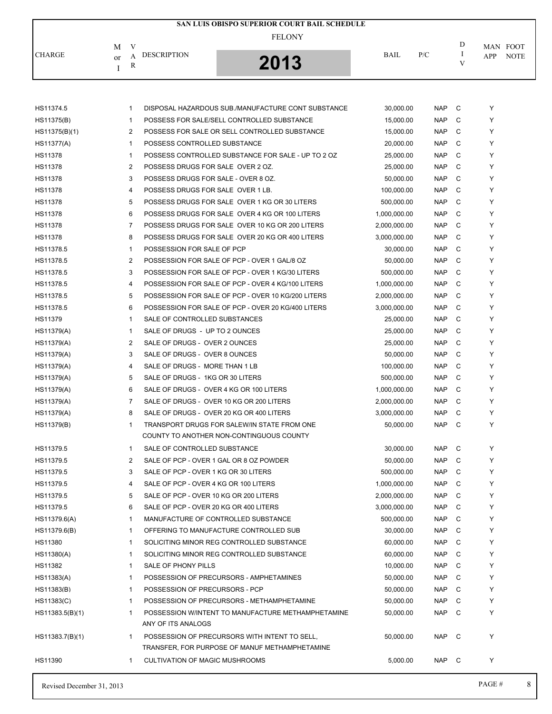|               |                                              | SAN LUIS OBISPO SUPERIOR COURT BAIL SCHEDULE |             |     |                         |
|---------------|----------------------------------------------|----------------------------------------------|-------------|-----|-------------------------|
|               | V<br>M                                       | <b>FELONY</b>                                |             |     | D<br>MAN FOOT           |
| <b>CHARGE</b> | <b>DESCRIPTION</b><br>A<br>or<br>$\mathbf R$ | 2013                                         | <b>BAIL</b> | P/C | <b>NOTE</b><br>APP<br>V |

| Revised December 31, 2013 |              |                                                                                                 |                           |                          |        | PAGE#  | 8 |
|---------------------------|--------------|-------------------------------------------------------------------------------------------------|---------------------------|--------------------------|--------|--------|---|
| HS11390                   | 1            | <b>CULTIVATION OF MAGIC MUSHROOMS</b>                                                           | 5,000.00                  | <b>NAP</b>               | C      | Y      |   |
| HS11383.7(B)(1)           | 1            | POSSESSION OF PRECURSORS WITH INTENT TO SELL,<br>TRANSFER, FOR PURPOSE OF MANUF METHAMPHETAMINE | 50,000.00                 | <b>NAP</b>               | C      | Υ      |   |
|                           |              | ANY OF ITS ANALOGS                                                                              |                           |                          |        |        |   |
| HS11383.5(B)(1)           | $\mathbf{1}$ | POSSESSION W/INTENT TO MANUFACTURE METHAMPHETAMINE                                              | 50,000.00                 | <b>NAP</b>               | C      | Y      |   |
| HS11383(C)                | $\mathbf{1}$ | POSSESSION OF PRECURSORS - METHAMPHETAMINE                                                      | 50,000.00                 | <b>NAP</b>               | C      | Y      |   |
| HS11383(B)                | $\mathbf{1}$ | POSSESSION OF PRECURSORS - PCP                                                                  | 50,000.00                 | <b>NAP</b>               | C      | Y      |   |
| HS11383(A)                | 1            | POSSESSION OF PRECURSORS - AMPHETAMINES                                                         | 50,000.00                 | <b>NAP</b>               | C      | Y      |   |
| HS11382                   | $\mathbf{1}$ | SALE OF PHONY PILLS                                                                             | 10,000.00                 | <b>NAP</b>               | C      | Y      |   |
| HS11380(A)                | 1            | SOLICITING MINOR REG CONTROLLED SUBSTANCE                                                       | 60,000.00                 | <b>NAP</b>               | C      | Y      |   |
| HS11380                   | $\mathbf{1}$ | SOLICITING MINOR REG CONTROLLED SUBSTANCE                                                       | 60,000.00                 | <b>NAP</b>               | C      | Y      |   |
| HS11379.6(B)              | $\mathbf{1}$ | OFFERING TO MANUFACTURE CONTROLLED SUB                                                          | 30,000.00                 | <b>NAP</b>               | C      | Y      |   |
| HS11379.6(A)              | 1            | MANUFACTURE OF CONTROLLED SUBSTANCE                                                             | 500,000.00                | <b>NAP</b>               | C      | Y      |   |
| HS11379.5                 | 6            | SALE OF PCP - OVER 20 KG OR 400 LITERS                                                          | 3,000,000.00              | <b>NAP</b>               | C      | Y      |   |
| HS11379.5                 | 5            | SALE OF PCP - OVER 10 KG OR 200 LITERS                                                          | 2,000,000.00              | <b>NAP</b>               | C      | Y      |   |
| HS11379.5                 | 4            | SALE OF PCP - OVER 4 KG OR 100 LITERS                                                           | 1,000,000.00              | <b>NAP</b>               | C      | Υ      |   |
| HS11379.5                 | 3            | SALE OF PCP - OVER 1 KG OR 30 LITERS                                                            | 500,000.00                | <b>NAP</b>               | C      | Y      |   |
| HS11379.5                 | 2            | SALE OF PCP - OVER 1 GAL OR 8 OZ POWDER                                                         | 50,000.00                 | <b>NAP</b>               | C      | Y      |   |
| HS11379.5                 | $\mathbf{1}$ | SALE OF CONTROLLED SUBSTANCE                                                                    | 30,000.00                 | <b>NAP</b>               | C      | Y      |   |
|                           |              | COUNTY TO ANOTHER NON-CONTINGUOUS COUNTY                                                        |                           |                          |        |        |   |
| HS11379(A)<br>HS11379(B)  | 8<br>1       | SALE OF DRUGS - OVER 20 KG OR 400 LITERS<br>TRANSPORT DRUGS FOR SALEW/IN STATE FROM ONE         | 3,000,000.00<br>50,000.00 | <b>NAP</b><br><b>NAP</b> | C<br>C | Y<br>Υ |   |
| HS11379(A)                | 7            | SALE OF DRUGS - OVER 10 KG OR 200 LITERS                                                        | 2,000,000.00              | <b>NAP</b>               | C      | Υ      |   |
| HS11379(A)                | 6            | SALE OF DRUGS - OVER 4 KG OR 100 LITERS                                                         | 1,000,000.00              | <b>NAP</b>               | C      | Y      |   |
| HS11379(A)                | 5            | SALE OF DRUGS - 1KG OR 30 LITERS                                                                | 500,000.00                | <b>NAP</b>               | C      | Y      |   |
| HS11379(A)                | 4            | SALE OF DRUGS - MORE THAN 1 LB                                                                  | 100,000.00                | <b>NAP</b>               | C      | Υ      |   |
| HS11379(A)                | 3            | SALE OF DRUGS - OVER 8 OUNCES                                                                   | 50,000.00                 | <b>NAP</b>               | C      | Υ      |   |
| HS11379(A)                | 2            | SALE OF DRUGS - OVER 2 OUNCES                                                                   | 25,000.00                 | <b>NAP</b>               | C      | Y      |   |
| HS11379(A)                | $\mathbf{1}$ | SALE OF DRUGS - UP TO 2 OUNCES                                                                  | 25,000.00                 | <b>NAP</b>               | C      | Υ      |   |
| HS11379                   | $\mathbf 1$  | SALE OF CONTROLLED SUBSTANCES                                                                   | 25,000.00                 | <b>NAP</b>               | C      | Y      |   |
| HS11378.5                 | 6            | POSSESSION FOR SALE OF PCP - OVER 20 KG/400 LITERS                                              | 3,000,000.00              | <b>NAP</b>               | C      | Y      |   |
| HS11378.5                 | 5            | POSSESSION FOR SALE OF PCP - OVER 10 KG/200 LITERS                                              | 2,000,000.00              | <b>NAP</b>               | C      | Υ      |   |
| HS11378.5                 | 4            | POSSESSION FOR SALE OF PCP - OVER 4 KG/100 LITERS                                               | 1,000,000.00              | <b>NAP</b>               | C      | Υ      |   |
| HS11378.5                 | 3            | POSSESSION FOR SALE OF PCP - OVER 1 KG/30 LITERS                                                | 500,000.00                | <b>NAP</b>               | C      | Y      |   |
| HS11378.5                 | 2            | POSSESSION FOR SALE OF PCP - OVER 1 GAL/8 OZ                                                    | 50,000.00                 | <b>NAP</b>               | C      | Υ      |   |
| HS11378.5                 | $\mathbf 1$  | POSSESSION FOR SALE OF PCP                                                                      | 30,000.00                 | <b>NAP</b>               | C      | Y      |   |
| <b>HS11378</b>            | 8            | POSSESS DRUGS FOR SALE OVER 20 KG OR 400 LITERS                                                 | 3,000,000.00              | <b>NAP</b>               | C      | Y      |   |
| HS11378                   | 7            | POSSESS DRUGS FOR SALE OVER 10 KG OR 200 LITERS                                                 | 2,000,000.00              | <b>NAP</b>               | C      | Υ      |   |
| HS11378                   | 6            | POSSESS DRUGS FOR SALE OVER 4 KG OR 100 LITERS                                                  | 1,000,000.00              | <b>NAP</b>               | C      | Υ      |   |
| <b>HS11378</b>            | 5            | POSSESS DRUGS FOR SALE OVER 1 KG OR 30 LITERS                                                   | 500,000.00                | <b>NAP</b>               | C      | Y      |   |
| HS11378                   | 4            | POSSESS DRUGS FOR SALE OVER 1 LB.                                                               | 100,000.00                | <b>NAP</b>               | C      | Υ      |   |
| HS11378                   | 3            | POSSESS DRUGS FOR SALE - OVER 8 OZ.                                                             | 50,000.00                 | <b>NAP</b>               | C      | Y      |   |
| <b>HS11378</b>            | 2            | POSSESS DRUGS FOR SALE OVER 2 OZ.                                                               | 25,000.00                 | <b>NAP</b>               | C      | Y      |   |
| HS11378                   | $\mathbf 1$  | POSSESS CONTROLLED SUBSTANCE FOR SALE - UP TO 2 OZ                                              | 25,000.00                 | <b>NAP</b>               | C      | Υ      |   |
| HS11377(A)                | 1            | POSSESS CONTROLLED SUBSTANCE                                                                    | 20,000.00                 | <b>NAP</b>               | C      | Υ      |   |
| HS11375(B)(1)             | 2            | POSSESS FOR SALE OR SELL CONTROLLED SUBSTANCE                                                   | 15,000.00                 | <b>NAP</b>               | C      | Y      |   |
| HS11375(B)                | $\mathbf 1$  | POSSESS FOR SALE/SELL CONTROLLED SUBSTANCE                                                      | 15,000.00                 | <b>NAP</b>               | C      | Y      |   |
| HS11374.5                 | $\mathbf{1}$ | DISPOSAL HAZARDOUS SUB./MANUFACTURE CONT SUBSTANCE                                              | 30,000.00                 | <b>NAP</b>               | C      | Y      |   |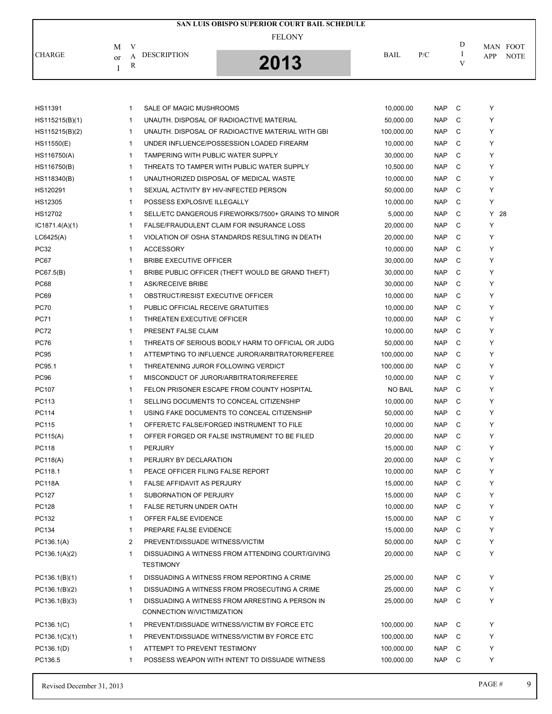|               |                                               | SAN LUIS OBISPO SUPERIOR COURT BAIL SCHEDULE |             |     |                         |
|---------------|-----------------------------------------------|----------------------------------------------|-------------|-----|-------------------------|
|               | $\mathbf{V}$<br>M                             | <b>FELONY</b>                                |             |     | D<br>MAN FOOT           |
| <b>CHARGE</b> | <b>DESCRIPTION</b><br>А<br><sub>or</sub><br>R | 2013                                         | <b>BAIL</b> | P/C | <b>NOTE</b><br>APP<br>V |

| HS11391        | $\mathbf{1}$ | SALE OF MAGIC MUSHROOMS                            | 10,000.00      | <b>NAP</b> | C | Υ      |
|----------------|--------------|----------------------------------------------------|----------------|------------|---|--------|
| HS115215(B)(1) | 1            | UNAUTH. DISPOSAL OF RADIOACTIVE MATERIAL           | 50,000.00      | <b>NAP</b> | C | Y      |
| HS115215(B)(2) | $\mathbf{1}$ | UNAUTH. DISPOSAL OF RADIOACTIVE MATERIAL WITH GBI  | 100,000.00     | <b>NAP</b> | C | Y      |
| HS11550(E)     | 1            | UNDER INFLUENCE/POSSESSION LOADED FIREARM          | 10,000.00      | <b>NAP</b> | C | Y      |
| HS116750(A)    | $\mathbf{1}$ | TAMPERING WITH PUBLIC WATER SUPPLY                 | 30,000.00      | <b>NAP</b> | C | Y      |
| HS116750(B)    | $\mathbf{1}$ | THREATS TO TAMPER WITH PUBLIC WATER SUPPLY         | 10,500.00      | <b>NAP</b> | C | Y      |
| HS118340(B)    | $\mathbf{1}$ | UNAUTHORIZED DISPOSAL OF MEDICAL WASTE             | 10,000.00      | <b>NAP</b> | C | Y      |
| HS120291       | 1            | SEXUAL ACTIVITY BY HIV-INFECTED PERSON             | 50,000.00      | <b>NAP</b> | C | Y      |
| HS12305        | $\mathbf{1}$ | POSSESS EXPLOSIVE ILLEGALLY                        | 10,000.00      | <b>NAP</b> | C | Y      |
| HS12702        | 1            | SELL/ETC DANGEROUS FIREWORKS/7500+ GRAINS TO MINOR | 5,000.00       | <b>NAP</b> | C | $Y$ 28 |
| IC1871.4(A)(1) | $\mathbf{1}$ | FALSE/FRAUDULENT CLAIM FOR INSURANCE LOSS          | 20,000.00      | <b>NAP</b> | C | Υ      |
| LCG425(A)      | $\mathbf{1}$ | VIOLATION OF OSHA STANDARDS RESULTING IN DEATH     | 20,000.00      | <b>NAP</b> | C | Y      |
| <b>PC32</b>    | $\mathbf{1}$ | <b>ACCESSORY</b>                                   | 10,000.00      | <b>NAP</b> | C | Y      |
| PC67           | 1            | <b>BRIBE EXECUTIVE OFFICER</b>                     | 30,000.00      | <b>NAP</b> | C | Y      |
| PC67.5(B)      | $\mathbf{1}$ | BRIBE PUBLIC OFFICER (THEFT WOULD BE GRAND THEFT)  | 30,000.00      | <b>NAP</b> | C | Y      |
| PC68           | 1            | <b>ASK/RECEIVE BRIBE</b>                           | 30,000.00      | <b>NAP</b> | C | Y      |
| <b>PC69</b>    | $\mathbf{1}$ | OBSTRUCT/RESIST EXECUTIVE OFFICER                  | 10,000.00      | <b>NAP</b> | C | Y      |
| <b>PC70</b>    | $\mathbf{1}$ | PUBLIC OFFICIAL RECEIVE GRATUITIES                 | 10.000.00      | <b>NAP</b> | C | Y      |
| <b>PC71</b>    | 1            | THREATEN EXECUTIVE OFFICER                         | 10,000.00      | <b>NAP</b> | C | Y      |
| <b>PC72</b>    | 1            | PRESENT FALSE CLAIM                                | 10,000.00      | <b>NAP</b> | C | Y      |
| <b>PC76</b>    | 1            | THREATS OF SERIOUS BODILY HARM TO OFFICIAL OR JUDG | 50,000.00      | <b>NAP</b> | C | Y      |
| <b>PC95</b>    | 1            | ATTEMPTING TO INFLUENCE JUROR/ARBITRATOR/REFEREE   | 100,000.00     | <b>NAP</b> | C | Y      |
| PC95.1         | $\mathbf{1}$ | THREATENING JUROR FOLLOWING VERDICT                | 100,000.00     | NAP        | C | Y      |
| <b>PC96</b>    | $\mathbf{1}$ | MISCONDUCT OF JUROR/ARBITRATOR/REFEREE             | 10,000.00      | <b>NAP</b> | C | Y      |
| PC107          | $\mathbf{1}$ | FELON PRISONER ESCAPE FROM COUNTY HOSPITAL         | <b>NO BAIL</b> | <b>NAP</b> | C | Y      |
| PC113          | 1            | SELLING DOCUMENTS TO CONCEAL CITIZENSHIP           | 10,000.00      | <b>NAP</b> | C | Y      |
| PC114          | $\mathbf{1}$ | USING FAKE DOCUMENTS TO CONCEAL CITIZENSHIP        | 50,000.00      | <b>NAP</b> | C | Y      |
| PC115          | 1            | OFFER/ETC FALSE/FORGED INSTRUMENT TO FILE          | 10,000.00      | <b>NAP</b> | C | Y      |
| PC115(A)       | 1            | OFFER FORGED OR FALSE INSTRUMENT TO BE FILED       | 20,000.00      | NAP.       | C | Y      |
| PC118          | $\mathbf{1}$ | <b>PERJURY</b>                                     | 15,000.00      | <b>NAP</b> | C | Y      |
| PC118(A)       | 1            | PERJURY BY DECLARATION                             | 20,000.00      | <b>NAP</b> | C | Y      |
| PC118.1        | 1            | PEACE OFFICER FILING FALSE REPORT                  | 10,000.00      | <b>NAP</b> | C | Y      |
| <b>PC118A</b>  | 1            | <b>FALSE AFFIDAVIT AS PERJURY</b>                  | 15,000.00      | <b>NAP</b> | C | Y      |
| PC127          | 1            | SUBORNATION OF PERJURY                             | 15,000.00      | <b>NAP</b> | C | Y      |
| PC128          | 1            | FALSE RETURN UNDER OATH                            | 10,000.00      | <b>NAP</b> | C | Υ      |
| PC132          | 1            | OFFER FALSE EVIDENCE                               | 15,000.00      | NAP        | C | Υ      |
| PC134          | $\mathbf{1}$ | PREPARE FALSE EVIDENCE                             | 15,000.00      | <b>NAP</b> | C | Υ      |
| PC136.1(A)     | 2            | PREVENT/DISSUADE WITNESS/VICTIM                    | 50,000.00      | <b>NAP</b> | C | Υ      |
| PC136.1(A)(2)  | 1            | DISSUADING A WITNESS FROM ATTENDING COURT/GIVING   | 20,000.00      | <b>NAP</b> | C | Y      |
|                |              | <b>TESTIMONY</b>                                   |                |            |   |        |
| PC136.1(B)(1)  | $\mathbf{1}$ | DISSUADING A WITNESS FROM REPORTING A CRIME        | 25,000.00      | NAP        | C | Υ      |
| PC136.1(B)(2)  | $\mathbf{1}$ | DISSUADING A WITNESS FROM PROSECUTING A CRIME      | 25,000.00      | <b>NAP</b> | C | Y      |
| PC136.1(B)(3)  | 1            | DISSUADING A WITNESS FROM ARRESTING A PERSON IN    | 25.000.00      | <b>NAP</b> | C | Υ      |
|                |              | CONNECTION W/VICTIMIZATION                         |                |            |   |        |
| PC136.1(C)     | 1            | PREVENT/DISSUADE WITNESS/VICTIM BY FORCE ETC       | 100,000.00     | NAP        | C | Y      |
| PC136.1(C)(1)  | 1            | PREVENT/DISSUADE WITNESS/VICTIM BY FORCE ETC       | 100,000.00     | NAP        | C | Y      |
| PC136.1(D)     | 1            | ATTEMPT TO PREVENT TESTIMONY                       | 100,000.00     | <b>NAP</b> | C | Υ      |
| PC136.5        | 1            | POSSESS WEAPON WITH INTENT TO DISSUADE WITNESS     | 100,000.00     | NAP        | C | Υ      |
|                |              |                                                    |                |            |   |        |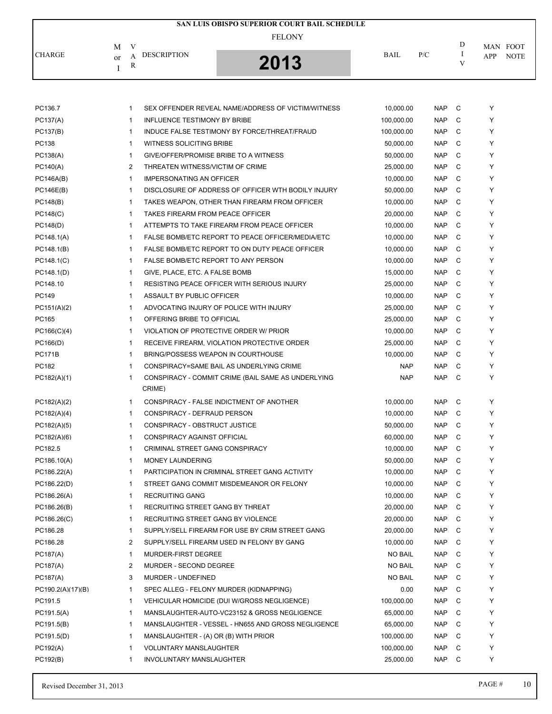|                                |   |                    | SAN LUIS OBISPO SUPERIOR COURT BAIL SCHEDULE |             |     |   |                    |  |
|--------------------------------|---|--------------------|----------------------------------------------|-------------|-----|---|--------------------|--|
| M                              | V |                    | <b>FELONY</b>                                |             |     | D | MAN FOOT           |  |
| <b>CHARGE</b><br><sub>or</sub> | R | <b>DESCRIPTION</b> | 2013                                         | <b>BAIL</b> | P/C |   | <b>NOTE</b><br>APP |  |

| PC136.7           | 1              | SEX OFFENDER REVEAL NAME/ADDRESS OF VICTIM/WITNESS | 10,000.00      | <b>NAP</b> | C | Y |
|-------------------|----------------|----------------------------------------------------|----------------|------------|---|---|
| PC137(A)          | $\mathbf{1}$   | <b>INFLUENCE TESTIMONY BY BRIBE</b>                | 100,000.00     | <b>NAP</b> | C | Y |
| PC137(B)          | $\mathbf{1}$   | INDUCE FALSE TESTIMONY BY FORCE/THREAT/FRAUD       | 100,000.00     | <b>NAP</b> | C | Y |
| PC138             | $\mathbf{1}$   | WITNESS SOLICITING BRIBE                           | 50,000.00      | <b>NAP</b> | C | Y |
| PC138(A)          | 1              | GIVE/OFFER/PROMISE BRIBE TO A WITNESS              | 50,000.00      | <b>NAP</b> | C | Y |
| PC140(A)          | $\overline{c}$ | THREATEN WITNESS/VICTIM OF CRIME                   | 25,000.00      | <b>NAP</b> | C | Υ |
| PC146A(B)         | $\mathbf{1}$   | <b>IMPERSONATING AN OFFICER</b>                    | 10,000.00      | <b>NAP</b> | C | Y |
| PC146E(B)         | 1              | DISCLOSURE OF ADDRESS OF OFFICER WTH BODILY INJURY | 50,000.00      | <b>NAP</b> | C | Y |
| PC148(B)          | 1              | TAKES WEAPON, OTHER THAN FIREARM FROM OFFICER      | 10,000.00      | <b>NAP</b> | C | Y |
| PC148(C)          | 1              | TAKES FIREARM FROM PEACE OFFICER                   | 20,000.00      | <b>NAP</b> | C | Y |
| PC148(D)          | $\mathbf{1}$   | ATTEMPTS TO TAKE FIREARM FROM PEACE OFFICER        | 10,000.00      | <b>NAP</b> | C | Y |
| PC148.1(A)        | $\mathbf{1}$   | FALSE BOMB/ETC REPORT TO PEACE OFFICER/MEDIA/ETC   | 10,000.00      | <b>NAP</b> | C | Y |
| PC148.1(B)        | $\mathbf{1}$   | FALSE BOMB/ETC REPORT TO ON DUTY PEACE OFFICER     | 10,000.00      | <b>NAP</b> | C | Y |
| PC148.1(C)        | $\mathbf{1}$   | FALSE BOMB/ETC REPORT TO ANY PERSON                | 10,000.00      | <b>NAP</b> | C | Y |
| PC148.1(D)        | 1              | GIVE, PLACE, ETC. A FALSE BOMB                     | 15,000.00      | <b>NAP</b> | C | Y |
| PC148.10          | $\mathbf{1}$   | <b>RESISTING PEACE OFFICER WITH SERIOUS INJURY</b> | 25,000.00      | <b>NAP</b> | C | Y |
| PC149             | $\mathbf{1}$   | ASSAULT BY PUBLIC OFFICER                          | 10,000.00      | <b>NAP</b> | C | Y |
| PC151(A)(2)       | 1              | ADVOCATING INJURY OF POLICE WITH INJURY            | 25,000.00      | <b>NAP</b> | C | Υ |
| PC165             | $\mathbf{1}$   | OFFERING BRIBE TO OFFICIAL                         | 25,000.00      | <b>NAP</b> | C | Y |
| PC166(C)(4)       | 1              | VIOLATION OF PROTECTIVE ORDER W/ PRIOR             | 10,000.00      | <b>NAP</b> | C | Y |
| PC166(D)          | 1              | RECEIVE FIREARM, VIOLATION PROTECTIVE ORDER        | 25,000.00      | <b>NAP</b> | C | Y |
| <b>PC171B</b>     | $\mathbf{1}$   | BRING/POSSESS WEAPON IN COURTHOUSE                 | 10,000.00      | <b>NAP</b> | C | Y |
| PC182             | $\mathbf{1}$   | CONSPIRACY=SAME BAIL AS UNDERLYING CRIME           | <b>NAP</b>     | <b>NAP</b> | C | Y |
| PC182(A)(1)       | $\mathbf{1}$   | CONSPIRACY - COMMIT CRIME (BAIL SAME AS UNDERLYING | <b>NAP</b>     | <b>NAP</b> | C | Y |
|                   |                | CRIME)                                             |                |            |   |   |
| PC182(A)(2)       | $\mathbf{1}$   | CONSPIRACY - FALSE INDICTMENT OF ANOTHER           | 10,000.00      | <b>NAP</b> | C | Y |
| PC182(A)(4)       | 1              | CONSPIRACY - DEFRAUD PERSON                        | 10,000.00      | <b>NAP</b> | C | Y |
| PC182(A)(5)       | 1              | CONSPIRACY - OBSTRUCT JUSTICE                      | 50,000.00      | <b>NAP</b> | C | Y |
| PC182(A)(6)       | 1              | CONSPIRACY AGAINST OFFICIAL                        | 60,000.00      | <b>NAP</b> | C | Υ |
| PC182.5           | 1              | CRIMINAL STREET GANG CONSPIRACY                    | 10,000.00      | <b>NAP</b> | C | Y |
| PC186.10(A)       | 1              | <b>MONEY LAUNDERING</b>                            | 50,000.00      | <b>NAP</b> | C | Y |
| PC186.22(A)       | $\mathbf{1}$   | PARTICIPATION IN CRIMINAL STREET GANG ACTIVITY     | 10,000.00      | <b>NAP</b> | C | Y |
| PC186.22(D)       | 1              | STREET GANG COMMIT MISDEMEANOR OR FELONY           | 10,000.00      | <b>NAP</b> | C | Y |
| PC186.26(A)       | $\mathbf{1}$   | <b>RECRUITING GANG</b>                             | 10,000.00      | <b>NAP</b> | C | Υ |
| PC186.26(B)       | 1              | RECRUITING STREET GANG BY THREAT                   | 20,000.00      | <b>NAP</b> | C | Y |
| PC186.26(C)       | 1              | RECRUITING STREET GANG BY VIOLENCE                 | 20,000.00      | <b>NAP</b> | С | Y |
| PC186.28          | $\mathbf{1}$   | SUPPLY/SELL FIREARM FOR USE BY CRIM STREET GANG    | 20,000.00      | <b>NAP</b> | C | Y |
| PC186.28          | 2              | SUPPLY/SELL FIREARM USED IN FELONY BY GANG         | 10,000.00      | <b>NAP</b> | С | Y |
| PC187(A)          | 1              | MURDER-FIRST DEGREE                                | <b>NO BAIL</b> | <b>NAP</b> | С | Y |
| PC187(A)          | 2              | MURDER - SECOND DEGREE                             | <b>NO BAIL</b> | <b>NAP</b> | C | Y |
| PC187(A)          | 3              | MURDER - UNDEFINED                                 | <b>NO BAIL</b> | <b>NAP</b> | С | Y |
| PC190.2(A)(17)(B) | 1              | SPEC ALLEG - FELONY MURDER (KIDNAPPING)            | 0.00           | <b>NAP</b> | C | Y |
| PC191.5           | 1              | VEHICULAR HOMICIDE (DUI W/GROSS NEGLIGENCE)        | 100,000.00     | <b>NAP</b> | C | Y |
| PC191.5(A)        | 1              | MANSLAUGHTER-AUTO-VC23152 & GROSS NEGLIGENCE       | 65,000.00      | <b>NAP</b> | С | Y |
| PC191.5(B)        | 1              | MANSLAUGHTER - VESSEL - HN655 AND GROSS NEGLIGENCE | 65,000.00      | <b>NAP</b> | С | Y |
| PC191.5(D)        | $\mathbf 1$    | MANSLAUGHTER - (A) OR (B) WITH PRIOR               | 100,000.00     | <b>NAP</b> | C | Y |
| PC192(A)          | $\mathbf{1}$   | <b>VOLUNTARY MANSLAUGHTER</b>                      | 100,000.00     | <b>NAP</b> | С | Y |
| PC192(B)          | $\mathbf 1$    | INVOLUNTARY MANSLAUGHTER                           | 25,000.00      | <b>NAP</b> | C | Υ |
|                   |                |                                                    |                |            |   |   |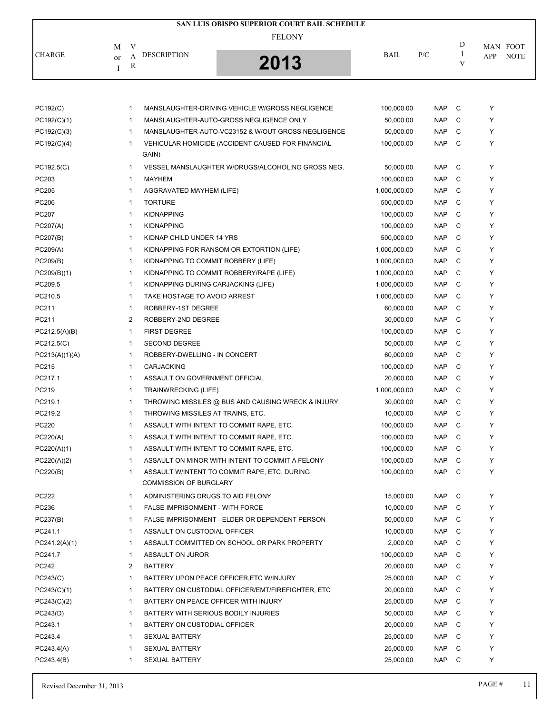|               |                                    | SAN LUIS OBISPO SUPERIOR COURT BAIL SCHEDULE |             |     |   |                    |
|---------------|------------------------------------|----------------------------------------------|-------------|-----|---|--------------------|
|               | М                                  | <b>FELONY</b>                                |             |     | D | MAN FOOT           |
| <b>CHARGE</b> | <b>DESCRIPTION</b><br>А<br>or<br>R | 2013                                         | <b>BAIL</b> | P/C |   | <b>NOTE</b><br>APP |

| PC192(C)       | MANSLAUGHTER-DRIVING VEHICLE W/GROSS NEGLIGENCE<br>1               | 100,000.00   | C<br><b>NAP</b> | Y |
|----------------|--------------------------------------------------------------------|--------------|-----------------|---|
| PC192(C)(1)    | MANSLAUGHTER-AUTO-GROSS NEGLIGENCE ONLY<br>$\mathbf{1}$            | 50,000.00    | <b>NAP</b><br>C | Y |
| PC192(C)(3)    | $\mathbf{1}$<br>MANSLAUGHTER-AUTO-VC23152 & W/OUT GROSS NEGLIGENCE | 50,000.00    | <b>NAP</b><br>C | Y |
| PC192(C)(4)    | $\mathbf{1}$<br>VEHICULAR HOMICIDE (ACCIDENT CAUSED FOR FINANCIAL  | 100,000.00   | C<br><b>NAP</b> | Y |
|                | GAIN)                                                              |              |                 |   |
| PC192.5(C)     | $\mathbf{1}$<br>VESSEL MANSLAUGHTER W/DRUGS/ALCOHOL;NO GROSS NEG.  | 50,000.00    | C<br><b>NAP</b> | Y |
| PC203          | $\mathbf{1}$<br><b>MAYHEM</b>                                      | 100,000.00   | <b>NAP</b><br>C | Y |
| PC205          | $\mathbf{1}$<br>AGGRAVATED MAYHEM (LIFE)                           | 1,000,000.00 | C<br><b>NAP</b> | Y |
| PC206          | <b>TORTURE</b><br>$\mathbf{1}$                                     | 500,000.00   | <b>NAP</b><br>C | Υ |
| PC207          | $\mathbf{1}$<br><b>KIDNAPPING</b>                                  | 100,000.00   | <b>NAP</b><br>C | Y |
| PC207(A)       | <b>KIDNAPPING</b><br>1                                             | 100,000.00   | C<br><b>NAP</b> | Y |
| PC207(B)       | $\mathbf{1}$<br>KIDNAP CHILD UNDER 14 YRS                          | 500,000.00   | <b>NAP</b><br>C | Y |
| PC209(A)       | $\mathbf{1}$<br>KIDNAPPING FOR RANSOM OR EXTORTION (LIFE)          | 1,000,000.00 | <b>NAP</b><br>C | Y |
| PC209(B)       | $\mathbf{1}$<br>KIDNAPPING TO COMMIT ROBBERY (LIFE)                | 1,000,000.00 | C<br><b>NAP</b> | Y |
| PC209(B)(1)    | $\mathbf{1}$<br>KIDNAPPING TO COMMIT ROBBERY/RAPE (LIFE)           | 1,000,000.00 | <b>NAP</b><br>C | Y |
| PC209.5        | $\mathbf{1}$<br>KIDNAPPING DURING CARJACKING (LIFE)                | 1,000,000.00 | C<br><b>NAP</b> | Y |
| PC210.5        | $\mathbf{1}$<br>TAKE HOSTAGE TO AVOID ARREST                       | 1,000,000.00 | C<br><b>NAP</b> | Y |
| PC211          | $\mathbf{1}$<br>ROBBERY-1ST DEGREE                                 | 60,000.00    | C<br><b>NAP</b> | Y |
| PC211          | 2<br>ROBBERY-2ND DEGREE                                            | 30,000.00    | <b>NAP</b><br>C | Y |
| PC212.5(A)(B)  | <b>FIRST DEGREE</b><br>$\mathbf{1}$                                | 100,000.00   | <b>NAP</b><br>C | Y |
| PC212.5(C)     | <b>SECOND DEGREE</b><br>$\mathbf{1}$                               | 50,000.00    | <b>NAP</b><br>C | Y |
| PC213(A)(1)(A) | ROBBERY-DWELLING - IN CONCERT<br>$\mathbf{1}$                      | 60,000.00    | C<br><b>NAP</b> | Y |
| PC215          | <b>CARJACKING</b><br>1                                             | 100,000.00   | C<br><b>NAP</b> | Y |
| PC217.1        | ASSAULT ON GOVERNMENT OFFICIAL<br>$\mathbf{1}$                     | 20,000.00    | C<br><b>NAP</b> | Y |
| PC219          | $\mathbf{1}$<br><b>TRAINWRECKING (LIFE)</b>                        | 1,000,000.00 | <b>NAP</b><br>C | Y |
| PC219.1        | $\mathbf{1}$<br>THROWING MISSILES @ BUS AND CAUSING WRECK & INJURY | 30,000.00    | C<br><b>NAP</b> | Y |
| PC219.2        | $\mathbf{1}$<br>THROWING MISSILES AT TRAINS, ETC.                  | 10,000.00    | <b>NAP</b><br>C | Y |
| PC220          | $\mathbf{1}$<br>ASSAULT WITH INTENT TO COMMIT RAPE, ETC.           | 100,000.00   | C<br><b>NAP</b> | Y |
| PC220(A)       | $\mathbf{1}$<br>ASSAULT WITH INTENT TO COMMIT RAPE, ETC.           | 100,000.00   | C<br><b>NAP</b> | Y |
| PC220(A)(1)    | $\mathbf{1}$<br>ASSAULT WITH INTENT TO COMMIT RAPE, ETC.           | 100,000.00   | <b>NAP</b><br>C | Y |
| PC220(A)(2)    | 1<br>ASSAULT ON MINOR WITH INTENT TO COMMIT A FELONY               | 100,000.00   | <b>NAP</b><br>C | Y |
| PC220(B)       | ASSAULT W/INTENT TO COMMIT RAPE, ETC. DURING<br>$\mathbf{1}$       | 100,000.00   | <b>NAP</b><br>C | Y |
|                | COMMISSION OF BURGLARY                                             |              |                 |   |
| PC222          | ADMINISTERING DRUGS TO AID FELONY<br>1                             | 15,000.00    | NAP C           | Y |
| PC236          | FALSE IMPRISONMENT - WITH FORCE<br>1                               | 10,000.00    | <b>NAP</b><br>C | Y |
| PC237(B)       | FALSE IMPRISONMENT - ELDER OR DEPENDENT PERSON<br>1                | 50,000.00    | <b>NAP</b><br>С | Y |
| PC241.1        | $\mathbf{1}$<br>ASSAULT ON CUSTODIAL OFFICER                       | 10,000.00    | <b>NAP</b><br>C | Y |
| PC241.2(A)(1)  | ASSAULT COMMITTED ON SCHOOL OR PARK PROPERTY<br>1                  | 2,000.00     | <b>NAP</b><br>C | Y |
| PC241.7        | $\mathbf{1}$<br>ASSAULT ON JUROR                                   | 100,000.00   | <b>NAP</b><br>C | Y |
| PC242          | 2<br><b>BATTERY</b>                                                | 20,000.00    | C<br><b>NAP</b> | Y |
| PC243(C)       | BATTERY UPON PEACE OFFICER, ETC W/INJURY<br>1                      | 25,000.00    | C<br><b>NAP</b> | Y |
| PC243(C)(1)    | BATTERY ON CUSTODIAL OFFICER/EMT/FIREFIGHTER, ETC<br>1             | 20,000.00    | C<br><b>NAP</b> | Y |
| PC243(C)(2)    | BATTERY ON PEACE OFFICER WITH INJURY<br>1                          | 25,000.00    | C<br><b>NAP</b> | Y |
| PC243(D)       | BATTERY WITH SERIOUS BODILY INJURIES<br>1                          | 50,000.00    | C<br><b>NAP</b> | Y |
| PC243.1        | BATTERY ON CUSTODIAL OFFICER<br>1                                  | 20,000.00    | C<br><b>NAP</b> | Y |
| PC243.4        | 1<br><b>SEXUAL BATTERY</b>                                         | 25,000.00    | C<br><b>NAP</b> | Y |
| PC243.4(A)     | <b>SEXUAL BATTERY</b><br>1                                         | 25,000.00    | C<br><b>NAP</b> | Y |
| PC243.4(B)     | <b>SEXUAL BATTERY</b><br>1                                         | 25,000.00    | <b>NAP</b><br>C | Υ |
|                |                                                                    |              |                 |   |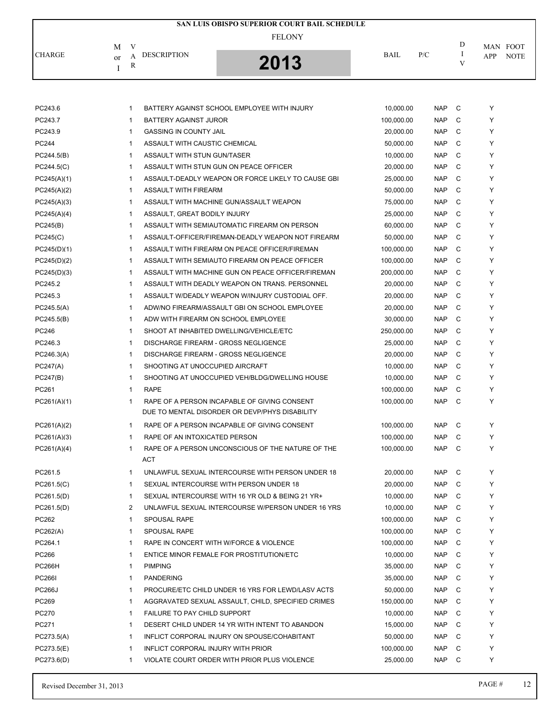|               |                                               | SAN LUIS OBISPO SUPERIOR COURT BAIL SCHEDULE |             |     |   |                    |
|---------------|-----------------------------------------------|----------------------------------------------|-------------|-----|---|--------------------|
|               | V<br>M                                        | <b>FELONY</b>                                |             |     | D | MAN FOOT           |
| <b>CHARGE</b> | <b>DESCRIPTION</b><br>А<br><sub>or</sub><br>R | 2013                                         | <b>BAIL</b> | P/C | V | <b>NOTE</b><br>APP |

| PC243.6       | $\mathbf{1}$   | BATTERY AGAINST SCHOOL EMPLOYEE WITH INJURY                                                    | 10,000.00  | <b>NAP</b> | C | Y           |
|---------------|----------------|------------------------------------------------------------------------------------------------|------------|------------|---|-------------|
| PC243.7       | $\mathbf{1}$   | BATTERY AGAINST JUROR                                                                          | 100,000.00 | <b>NAP</b> | C | Y           |
| PC243.9       | $\mathbf{1}$   | <b>GASSING IN COUNTY JAIL</b>                                                                  | 20,000.00  | <b>NAP</b> | C | Y           |
| PC244         | $\mathbf{1}$   | ASSAULT WITH CAUSTIC CHEMICAL                                                                  | 50,000.00  | <b>NAP</b> | C | Y           |
| PC244.5(B)    | $\mathbf{1}$   | ASSAULT WITH STUN GUN/TASER                                                                    | 10,000.00  | <b>NAP</b> | C | Y           |
| PC244.5(C)    | 1              | ASSAULT WITH STUN GUN ON PEACE OFFICER                                                         | 20,000.00  | <b>NAP</b> | C | Y           |
| PC245(A)(1)   | $\mathbf{1}$   | ASSAULT-DEADLY WEAPON OR FORCE LIKELY TO CAUSE GBI                                             | 25,000.00  | <b>NAP</b> | C | Y           |
| PC245(A)(2)   | $\mathbf{1}$   | ASSAULT WITH FIREARM                                                                           | 50,000.00  | <b>NAP</b> | C | Y           |
| PC245(A)(3)   | $\mathbf{1}$   | ASSAULT WITH MACHINE GUN/ASSAULT WEAPON                                                        | 75,000.00  | <b>NAP</b> | C | Y           |
| PC245(A)(4)   | $\mathbf{1}$   | ASSAULT, GREAT BODILY INJURY                                                                   | 25,000.00  | <b>NAP</b> | C | Y           |
| PC245(B)      | $\mathbf{1}$   | ASSAULT WITH SEMIAUTOMATIC FIREARM ON PERSON                                                   | 60,000.00  | <b>NAP</b> | C | Y           |
| PC245(C)      | $\mathbf{1}$   | ASSAULT-OFFICER/FIREMAN-DEADLY WEAPON NOT FIREARM                                              | 50,000.00  | <b>NAP</b> | C | Y           |
| PC245(D)(1)   | $\mathbf{1}$   | ASSAULT WITH FIREARM ON PEACE OFFICER/FIREMAN                                                  | 100,000.00 | <b>NAP</b> | C | Y           |
| PC245(D)(2)   | $\mathbf{1}$   | ASSAULT WITH SEMIAUTO FIREARM ON PEACE OFFICER                                                 | 100,000.00 | <b>NAP</b> | C | Y           |
| PC245(D)(3)   | $\mathbf{1}$   | ASSAULT WITH MACHINE GUN ON PEACE OFFICER/FIREMAN                                              | 200,000.00 | <b>NAP</b> | C | Y           |
| PC245.2       | $\mathbf{1}$   | ASSAULT WITH DEADLY WEAPON ON TRANS, PERSONNEL                                                 | 20,000.00  | <b>NAP</b> | C | Y           |
| PC245.3       | $\mathbf{1}$   | ASSAULT W/DEADLY WEAPON W/INJURY CUSTODIAL OFF.                                                | 20,000.00  | <b>NAP</b> | C | Y           |
| PC245.5(A)    | $\mathbf{1}$   | ADW/NO FIREARM/ASSAULT GBI ON SCHOOL EMPLOYEE                                                  | 20,000.00  | <b>NAP</b> | C | Y           |
| PC245.5(B)    | $\mathbf{1}$   | ADW WITH FIREARM ON SCHOOL EMPLOYEE                                                            | 30,000.00  | <b>NAP</b> | C | Y           |
| PC246         | $\mathbf{1}$   | SHOOT AT INHABITED DWELLING/VEHICLE/ETC                                                        | 250,000.00 | <b>NAP</b> | C | Y           |
| PC246.3       | $\mathbf{1}$   | <b>DISCHARGE FIREARM - GROSS NEGLIGENCE</b>                                                    | 25,000.00  | <b>NAP</b> | C | Y           |
| PC246.3(A)    | $\mathbf{1}$   | <b>DISCHARGE FIREARM - GROSS NEGLIGENCE</b>                                                    | 20,000.00  | <b>NAP</b> | C | Y           |
| PC247(A)      | $\mathbf{1}$   | SHOOTING AT UNOCCUPIED AIRCRAFT                                                                | 10,000.00  | <b>NAP</b> | C | Y           |
| PC247(B)      | $\mathbf{1}$   | SHOOTING AT UNOCCUPIED VEH/BLDG/DWELLING HOUSE                                                 | 10,000.00  | <b>NAP</b> | C | Y           |
| PC261         | $\mathbf{1}$   | <b>RAPE</b>                                                                                    | 100,000.00 | <b>NAP</b> | C | Y           |
| PC261(A)(1)   | $\mathbf{1}$   | RAPE OF A PERSON INCAPABLE OF GIVING CONSENT<br>DUE TO MENTAL DISORDER OR DEVP/PHYS DISABILITY | 100,000.00 | <b>NAP</b> | C | Y           |
| PC261(A)(2)   | $\mathbf{1}$   | RAPE OF A PERSON INCAPABLE OF GIVING CONSENT                                                   | 100,000.00 | <b>NAP</b> | C | Y           |
| PC261(A)(3)   | $\mathbf{1}$   | RAPE OF AN INTOXICATED PERSON                                                                  | 100,000.00 | <b>NAP</b> | C | Y           |
| PC261(A)(4)   | $\mathbf{1}$   | RAPE OF A PERSON UNCONSCIOUS OF THE NATURE OF THE<br>ACT                                       | 100,000.00 | <b>NAP</b> | C | Y           |
| PC261.5       | $\mathbf{1}$   | UNLAWFUL SEXUAL INTERCOURSE WITH PERSON UNDER 18                                               | 20,000.00  | <b>NAP</b> | C | Y           |
| PC261.5(C)    | $\mathbf{1}$   | SEXUAL INTERCOURSE WITH PERSON UNDER 18                                                        | 20,000.00  | <b>NAP</b> | C | Y           |
| PC261.5(D)    | $\mathbf{1}$   | SEXUAL INTERCOURSE WITH 16 YR OLD & BEING 21 YR+                                               | 10,000.00  | <b>NAP</b> | C | Y           |
| PC261.5(D)    | $\overline{2}$ | UNLAWFUL SEXUAL INTERCOURSE W/PERSON UNDER 16 YRS                                              | 10,000.00  | NAP C      |   | $\mathsf Y$ |
| PC262         | $\mathbf{1}$   | SPOUSAL RAPE                                                                                   | 100,000.00 | <b>NAP</b> | C | Y           |
| PC262(A)      | $\mathbf{1}$   | <b>SPOUSAL RAPE</b>                                                                            | 100,000.00 | <b>NAP</b> | C | Y           |
| PC264.1       | $\mathbf{1}$   | RAPE IN CONCERT WITH W/FORCE & VIOLENCE                                                        | 100,000.00 | <b>NAP</b> | C | Y           |
| PC266         | $\mathbf{1}$   | ENTICE MINOR FEMALE FOR PROSTITUTION/ETC                                                       | 10,000.00  | <b>NAP</b> | C | Y           |
| <b>PC266H</b> | 1              | <b>PIMPING</b>                                                                                 | 35,000.00  | <b>NAP</b> | C | Y           |
| <b>PC266I</b> | $\mathbf{1}$   | <b>PANDERING</b>                                                                               | 35,000.00  | <b>NAP</b> | C | Y           |
| <b>PC266J</b> | $\mathbf{1}$   | PROCURE/ETC CHILD UNDER 16 YRS FOR LEWD/LASV ACTS                                              | 50,000.00  | <b>NAP</b> | C | Y           |
| PC269         | 1              | AGGRAVATED SEXUAL ASSAULT, CHILD, SPECIFIED CRIMES                                             | 150,000.00 | <b>NAP</b> | C | Y           |
| PC270         | 1              | <b>FAILURE TO PAY CHILD SUPPORT</b>                                                            | 10,000.00  | <b>NAP</b> | C | Y           |
| PC271         | 1              | DESERT CHILD UNDER 14 YR WITH INTENT TO ABANDON                                                | 15,000.00  | <b>NAP</b> | C | Y           |
| PC273.5(A)    | 1              | INFLICT CORPORAL INJURY ON SPOUSE/COHABITANT                                                   | 50,000.00  | <b>NAP</b> | C | Y           |
| PC273.5(E)    | $\mathbf{1}$   | INFLICT CORPORAL INJURY WITH PRIOR                                                             | 100,000.00 | <b>NAP</b> | C | Y           |
| PC273.6(D)    | 1              | VIOLATE COURT ORDER WITH PRIOR PLUS VIOLENCE                                                   | 25,000.00  | <b>NAP</b> | C | Y           |
|               |                |                                                                                                |            |            |   |             |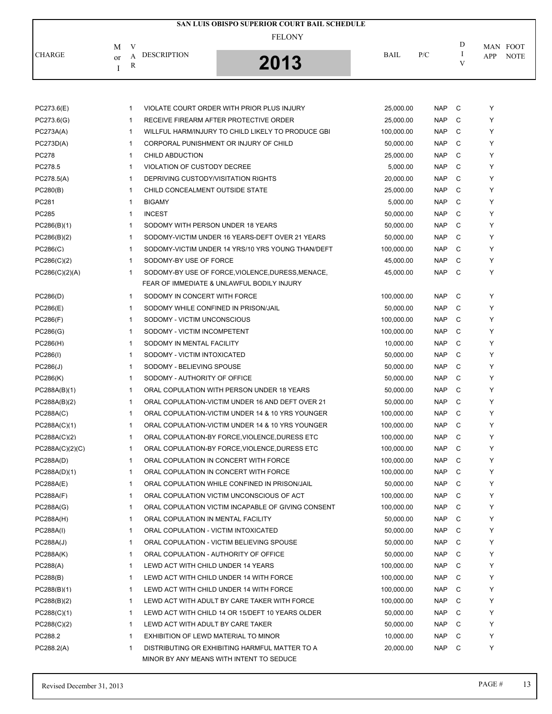|               |                                               | SAN LUIS OBISPO SUPERIOR COURT BAIL SCHEDULE |             |     |                                    |  |
|---------------|-----------------------------------------------|----------------------------------------------|-------------|-----|------------------------------------|--|
|               | V<br>M                                        | <b>FELONY</b>                                |             |     | D<br>MAN FOOT                      |  |
| <b>CHARGE</b> | <b>DESCRIPTION</b><br>А<br><sub>or</sub><br>R | $2012$                                       | <b>BAIL</b> | P/C | <b>NOTE</b><br>APP<br>$\mathbf{V}$ |  |

| PC273.6(E)       | VIOLATE COURT ORDER WITH PRIOR PLUS INJURY<br>-1                   | 25,000.00  | <b>NAP</b> | C | Y |
|------------------|--------------------------------------------------------------------|------------|------------|---|---|
| PC273.6(G)       | RECEIVE FIREARM AFTER PROTECTIVE ORDER<br>-1                       | 25,000.00  | <b>NAP</b> | C | Y |
| PC273A(A)        | $\mathbf{1}$<br>WILLFUL HARM/INJURY TO CHILD LIKELY TO PRODUCE GBI | 100,000.00 | <b>NAP</b> | C | Y |
| PC273D(A)        | CORPORAL PUNISHMENT OR INJURY OF CHILD<br>$\mathbf{1}$             | 50,000.00  | <b>NAP</b> | C | Y |
| <b>PC278</b>     | CHILD ABDUCTION<br>$\mathbf{1}$                                    | 25,000.00  | <b>NAP</b> | C | Y |
| PC278.5          | $\mathbf{1}$<br>VIOLATION OF CUSTODY DECREE                        | 5,000.00   | <b>NAP</b> | C | Y |
| PC278.5(A)       | DEPRIVING CUSTODY/VISITATION RIGHTS<br>$\mathbf 1$                 | 20,000.00  | <b>NAP</b> | C | Y |
| PC280(B)         | $\mathbf{1}$<br>CHILD CONCEALMENT OUTSIDE STATE                    | 25,000.00  | <b>NAP</b> | C | Y |
| PC281            | $\mathbf{1}$<br><b>BIGAMY</b>                                      | 5,000.00   | <b>NAP</b> | C | Y |
| PC285            | <b>INCEST</b><br>$\mathbf{1}$                                      | 50,000.00  | <b>NAP</b> | C | Y |
| PC286(B)(1)      | SODOMY WITH PERSON UNDER 18 YEARS<br>$\mathbf{1}$                  | 50,000.00  | <b>NAP</b> | C | Y |
| PC286(B)(2)      | $\mathbf{1}$<br>SODOMY-VICTIM UNDER 16 YEARS-DEFT OVER 21 YEARS    | 50,000.00  | <b>NAP</b> | C | Y |
| PC286(C)         | SODOMY-VICTIM UNDER 14 YRS/10 YRS YOUNG THAN/DEFT<br>$\mathbf{1}$  | 100,000.00 | <b>NAP</b> | C | Y |
| PC286(C)(2)      | SODOMY-BY USE OF FORCE<br>$\mathbf{1}$                             | 45,000.00  | <b>NAP</b> | C | Y |
| PC286(C)(2)(A)   | $\mathbf{1}$<br>SODOMY-BY USE OF FORCE, VIOLENCE, DURESS, MENACE,  | 45,000.00  | <b>NAP</b> | C | Y |
|                  | FEAR OF IMMEDIATE & UNLAWFUL BODILY INJURY                         |            |            |   |   |
| PC286(D)         | SODOMY IN CONCERT WITH FORCE<br>$\mathbf{1}$                       | 100,000.00 | <b>NAP</b> | C | Y |
| PC286(E)         | SODOMY WHILE CONFINED IN PRISON/JAIL<br>$\mathbf 1$                | 50,000.00  | <b>NAP</b> | C | Y |
| PC286(F)         | SODOMY - VICTIM UNCONSCIOUS<br>$\mathbf 1$                         | 100,000.00 | <b>NAP</b> | C | Y |
| PC286(G)         | $\mathbf{1}$<br>SODOMY - VICTIM INCOMPETENT                        | 100,000.00 | <b>NAP</b> | C | Y |
| PC286(H)         | SODOMY IN MENTAL FACILITY<br>$\mathbf{1}$                          | 10,000.00  | <b>NAP</b> | C | Y |
| PC286(I)         | SODOMY - VICTIM INTOXICATED<br>$\mathbf{1}$                        | 50,000.00  | <b>NAP</b> | C | Y |
| PC286(J)         | SODOMY - BELIEVING SPOUSE<br>$\mathbf{1}$                          | 50,000.00  | <b>NAP</b> | C | Y |
| PC286(K)         | 1<br>SODOMY - AUTHORITY OF OFFICE                                  | 50,000.00  | <b>NAP</b> | C | Y |
| PC288A(B)(1)     | $\mathbf{1}$<br>ORAL COPULATION WITH PERSON UNDER 18 YEARS         | 50,000.00  | <b>NAP</b> | C | Y |
| PC288A(B)(2)     | $\mathbf{1}$<br>ORAL COPULATION-VICTIM UNDER 16 AND DEFT OVER 21   | 50,000.00  | <b>NAP</b> | C | Y |
| PC288A(C)        | $\mathbf{1}$<br>ORAL COPULATION-VICTIM UNDER 14 & 10 YRS YOUNGER   | 100,000.00 | <b>NAP</b> | C | Y |
| PC288A(C)(1)     | $\mathbf{1}$<br>ORAL COPULATION-VICTIM UNDER 14 & 10 YRS YOUNGER   | 100,000.00 | <b>NAP</b> | C | Y |
| PC288A(C)(2)     | $\mathbf{1}$<br>ORAL COPULATION-BY FORCE, VIOLENCE, DURESS ETC     | 100,000.00 | <b>NAP</b> | C | Y |
| PC288A(C)(2)(C)  | $\mathbf{1}$<br>ORAL COPULATION-BY FORCE, VIOLENCE, DURESS ETC     | 100,000.00 | <b>NAP</b> | C | Y |
| PC288A(D)        | ORAL COPULATION IN CONCERT WITH FORCE<br>$\mathbf{1}$              | 100,000.00 | <b>NAP</b> | C | Y |
| PC288A(D)(1)     | $\mathbf{1}$<br>ORAL COPULATION IN CONCERT WITH FORCE              | 100,000.00 | <b>NAP</b> | C | Y |
| PC288A(E)        | ORAL COPULATION WHILE CONFINED IN PRISON/JAIL<br>$\mathbf{1}$      | 50,000.00  | <b>NAP</b> | С | Y |
| <b>PC288A(F)</b> | ORAL COPULATION VICTIM UNCONSCIOUS OF ACT<br>$\mathbf{1}$          | 100,000.00 | <b>NAP</b> | C | Y |
| PC288A(G)        | ORAL COPULATION VICTIM INCAPABLE OF GIVING CONSENT<br>$\mathbf{1}$ | 100,000.00 | <b>NAP</b> | C | Y |
| PC288A(H)        | 1<br>ORAL COPULATION IN MENTAL FACILITY                            | 50,000.00  | NAP        | C | Y |
| PC288A(I)        | ORAL COPULATION - VICTIM INTOXICATED<br>$\mathbf{1}$               | 50,000.00  | <b>NAP</b> | C | Y |
| PC288A(J)        | ORAL COPULATION - VICTIM BELIEVING SPOUSE<br>$\mathbf{1}$          | 50,000.00  | <b>NAP</b> | С | Y |
| PC288A(K)        | $\mathbf{1}$<br>ORAL COPULATION - AUTHORITY OF OFFICE              | 50,000.00  | <b>NAP</b> | С | Y |
| PC288(A)         | $\mathbf{1}$<br>LEWD ACT WITH CHILD UNDER 14 YEARS                 | 100,000.00 | <b>NAP</b> | C | Y |
| PC288(B)         | LEWD ACT WITH CHILD UNDER 14 WITH FORCE<br>$\mathbf{1}$            | 100,000.00 | <b>NAP</b> | C | Y |
| PC288(B)(1)      | $\mathbf{1}$<br>LEWD ACT WITH CHILD UNDER 14 WITH FORCE            | 100,000.00 | <b>NAP</b> | C | Y |
| PC288(B)(2)      | LEWD ACT WITH ADULT BY CARE TAKER WITH FORCE<br>$\mathbf{1}$       | 100,000.00 | <b>NAP</b> | C | Y |
| PC288(C)(1)      | LEWD ACT WITH CHILD 14 OR 15/DEFT 10 YEARS OLDER<br>$\mathbf{1}$   | 50,000.00  | <b>NAP</b> | С | Y |
| PC288(C)(2)      | LEWD ACT WITH ADULT BY CARE TAKER<br>$\mathbf{1}$                  | 50,000.00  | <b>NAP</b> | С | Y |
| PC288.2          | EXHIBITION OF LEWD MATERIAL TO MINOR<br>$\mathbf{1}$               | 10,000.00  | <b>NAP</b> | C | Y |
| PC288.2(A)       | 1<br>DISTRIBUTING OR EXHIBITING HARMFUL MATTER TO A                | 20,000.00  | <b>NAP</b> | C | Y |
|                  | MINOR BY ANY MEANS WITH INTENT TO SEDUCE                           |            |            |   |   |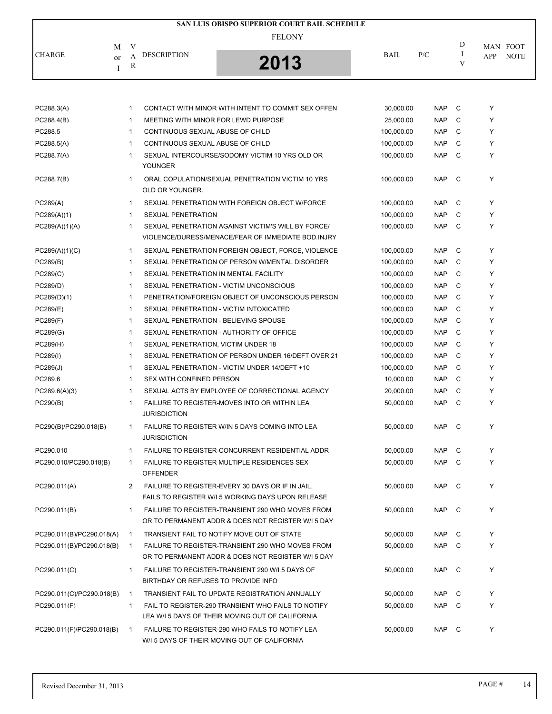|                           |    |                   |                                                                                                        | SAN LUIS OBISPO SUPERIOR COURT BAIL SCHEDULE       |            |            |              |     |             |
|---------------------------|----|-------------------|--------------------------------------------------------------------------------------------------------|----------------------------------------------------|------------|------------|--------------|-----|-------------|
|                           |    |                   |                                                                                                        | <b>FELONY</b>                                      |            |            |              |     |             |
|                           | M  | V                 | <b>DESCRIPTION</b>                                                                                     |                                                    | BAIL       | P/C        | D<br>Ι.      |     | MAN FOOT    |
| <b>CHARGE</b>             | or | A<br>$\mathbb{R}$ |                                                                                                        | 2013                                               |            |            | V            | APP | <b>NOTE</b> |
|                           | I  |                   |                                                                                                        |                                                    |            |            |              |     |             |
|                           |    |                   |                                                                                                        |                                                    |            |            |              |     |             |
| PC288.3(A)                |    | 1                 |                                                                                                        | CONTACT WITH MINOR WITH INTENT TO COMMIT SEX OFFEN | 30,000.00  | <b>NAP</b> | C            | Υ   |             |
| PC288.4(B)                |    | 1                 | MEETING WITH MINOR FOR LEWD PURPOSE                                                                    |                                                    | 25,000.00  | <b>NAP</b> | C            | Y   |             |
| PC288.5                   |    | 1                 | CONTINUOUS SEXUAL ABUSE OF CHILD                                                                       |                                                    | 100,000.00 | <b>NAP</b> | C            | Y   |             |
| PC288.5(A)                |    | 1                 | CONTINUOUS SEXUAL ABUSE OF CHILD                                                                       |                                                    | 100,000.00 | <b>NAP</b> | C            | Y   |             |
| PC288.7(A)                |    | 1                 | SEXUAL INTERCOURSE/SODOMY VICTIM 10 YRS OLD OR                                                         |                                                    | 100,000.00 | <b>NAP</b> | C            | Υ   |             |
|                           |    |                   | YOUNGER                                                                                                |                                                    |            |            |              |     |             |
| PC288.7(B)                |    | 1                 | ORAL COPULATION/SEXUAL PENETRATION VICTIM 10 YRS<br>OLD OR YOUNGER.                                    |                                                    | 100,000.00 | <b>NAP</b> | C            | Y   |             |
| PC289(A)                  |    | 1                 | SEXUAL PENETRATION WITH FOREIGN OBJECT W/FORCE                                                         |                                                    | 100,000.00 | <b>NAP</b> | C            | Y   |             |
| PC289(A)(1)               |    | 1                 | <b>SEXUAL PENETRATION</b>                                                                              |                                                    | 100,000.00 | <b>NAP</b> | C            | Υ   |             |
| PC289(A)(1)(A)            |    | 1                 | SEXUAL PENETRATION AGAINST VICTIM'S WILL BY FORCE/                                                     |                                                    | 100,000.00 | <b>NAP</b> | C            | Y   |             |
|                           |    |                   |                                                                                                        | VIOLENCE/DURESS/MENACE/FEAR OF IMMEDIATE BOD.INJRY |            |            |              |     |             |
| PC289(A)(1)(C)            |    | $\mathbf{1}$      |                                                                                                        | SEXUAL PENETRATION FOREIGN OBJECT, FORCE, VIOLENCE | 100,000.00 | <b>NAP</b> | C            | Y   |             |
| PC289(B)                  |    | $\mathbf{1}$      | SEXUAL PENETRATION OF PERSON W/MENTAL DISORDER                                                         |                                                    | 100,000.00 | <b>NAP</b> | C            | Y   |             |
| PC289(C)                  |    | 1                 | SEXUAL PENETRATION IN MENTAL FACILITY                                                                  |                                                    | 100,000.00 | <b>NAP</b> | C            | Υ   |             |
| PC289(D)                  |    | 1                 | SEXUAL PENETRATION - VICTIM UNCONSCIOUS                                                                |                                                    | 100,000.00 | <b>NAP</b> | C            | Y   |             |
| PC289(D)(1)               |    | 1                 |                                                                                                        | PENETRATION/FOREIGN OBJECT OF UNCONSCIOUS PERSON   | 100,000.00 | <b>NAP</b> | C            | Y   |             |
| PC289(E)                  |    | 1                 | SEXUAL PENETRATION - VICTIM INTOXICATED                                                                |                                                    | 100,000.00 | <b>NAP</b> | C            | Y   |             |
| PC289(F)                  |    | 1                 | SEXUAL PENETRATION - BELIEVING SPOUSE                                                                  |                                                    | 100,000.00 | <b>NAP</b> | C            | Y   |             |
| PC289(G)                  |    | $\mathbf{1}$      | SEXUAL PENETRATION - AUTHORITY OF OFFICE                                                               |                                                    | 100,000.00 | <b>NAP</b> | C            | Y   |             |
| PC289(H)                  |    | 1                 | SEXUAL PENETRATION, VICTIM UNDER 18                                                                    |                                                    | 100,000.00 | <b>NAP</b> | C            | Y   |             |
| PC289(I)                  |    | 1                 |                                                                                                        | SEXUAL PENETRATION OF PERSON UNDER 16/DEFT OVER 21 | 100,000.00 | <b>NAP</b> | C            | Y   |             |
| PC289(J)                  |    | 1                 | SEXUAL PENETRATION - VICTIM UNDER 14/DEFT +10                                                          |                                                    | 100,000.00 | <b>NAP</b> | C            | Y   |             |
| PC289.6                   |    | 1                 | SEX WITH CONFINED PERSON                                                                               |                                                    | 10,000.00  | <b>NAP</b> | C            | Y   |             |
| PC289.6(A)(3)             |    | 1                 | SEXUAL ACTS BY EMPLOYEE OF CORRECTIONAL AGENCY                                                         |                                                    | 20,000.00  | <b>NAP</b> | C            | Y   |             |
| PC290(B)                  |    | 1                 | FAILURE TO REGISTER-MOVES INTO OR WITHIN LEA<br><b>JURISDICTION</b>                                    |                                                    | 50,000.00  | <b>NAP</b> | C            | Υ   |             |
| PC290(B)/PC290.018(B)     |    | 1                 | FAILURE TO REGISTER W/IN 5 DAYS COMING INTO LEA<br><b>JURISDICTION</b>                                 |                                                    | 50,000.00  | <b>NAP</b> | $\mathbf{C}$ | Y   |             |
| PC290.010                 |    | 1                 | FAILURE TO REGISTER-CONCURRENT RESIDENTIAL ADDR                                                        |                                                    | 50,000.00  | NAP        | C            | Y   |             |
| PC290.010/PC290.018(B)    |    | $\mathbf{1}$      | FAILURE TO REGISTER MULTIPLE RESIDENCES SEX<br><b>OFFENDER</b>                                         |                                                    | 50.000.00  | <b>NAP</b> | C            | Y   |             |
| PC290.011(A)              |    | 2                 | FAILURE TO REGISTER-EVERY 30 DAYS OR IF IN JAIL,<br>FAILS TO REGISTER W/I 5 WORKING DAYS UPON RELEASE  |                                                    | 50,000.00  | <b>NAP</b> | C C          | Y   |             |
| PC290.011(B)              |    | 1                 | FAILURE TO REGISTER-TRANSIENT 290 WHO MOVES FROM<br>OR TO PERMANENT ADDR & DOES NOT REGISTER W/I 5 DAY |                                                    | 50,000.00  | <b>NAP</b> | C            | Y   |             |
| PC290.011(B)/PC290.018(A) |    | $\mathbf{1}$      | TRANSIENT FAIL TO NOTIFY MOVE OUT OF STATE                                                             |                                                    | 50,000.00  | <b>NAP</b> | C            | Y   |             |
| PC290.011(B)/PC290.018(B) |    | $\overline{1}$    | FAILURE TO REGISTER-TRANSIENT 290 WHO MOVES FROM                                                       |                                                    | 50,000.00  | <b>NAP</b> | C            | Y   |             |
|                           |    |                   | OR TO PERMANENT ADDR & DOES NOT REGISTER W/I 5 DAY                                                     |                                                    |            |            |              |     |             |
| PC290.011(C)              |    | 1                 | FAILURE TO REGISTER-TRANSIENT 290 W/I 5 DAYS OF<br>BIRTHDAY OR REFUSES TO PROVIDE INFO                 |                                                    | 50,000.00  | <b>NAP</b> | C            | Y   |             |
| PC290.011(C)/PC290.018(B) |    | $\mathbf{1}$      | TRANSIENT FAIL TO UPDATE REGISTRATION ANNUALLY                                                         |                                                    | 50,000.00  | <b>NAP</b> | C            | Y   |             |
| PC290.011(F)              |    | 1                 | FAIL TO REGISTER-290 TRANSIENT WHO FAILS TO NOTIFY<br>LEA W/I 5 DAYS OF THEIR MOVING OUT OF CALIFORNIA |                                                    | 50,000.00  | <b>NAP</b> | C            | Y   |             |
| PC290.011(F)/PC290.018(B) |    | $\overline{1}$    | FAILURE TO REGISTER-290 WHO FAILS TO NOTIFY LEA<br>W/I 5 DAYS OF THEIR MOVING OUT OF CALIFORNIA        |                                                    | 50,000.00  | NAP        | $\mathbf{C}$ | Y   |             |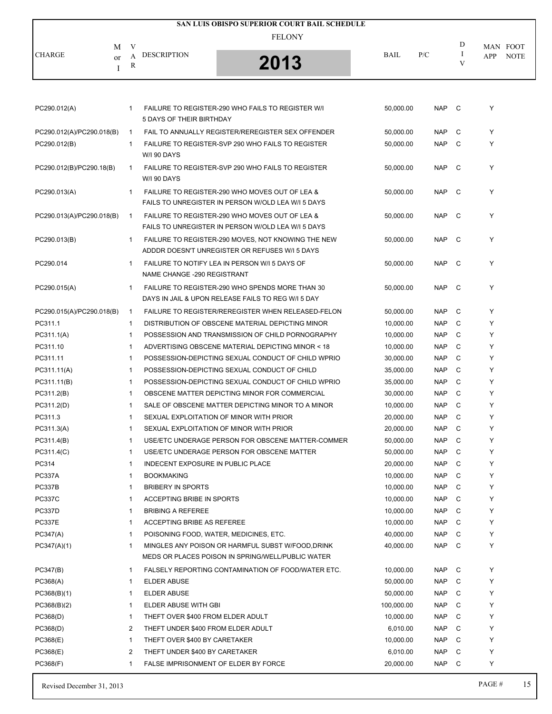|                                |              |                                    | SAN LUIS OBISPO SUPERIOR COURT BAIL SCHEDULE              |                        |                          |        |                    |
|--------------------------------|--------------|------------------------------------|-----------------------------------------------------------|------------------------|--------------------------|--------|--------------------|
|                                |              |                                    | <b>FELONY</b>                                             |                        |                          |        |                    |
| M                              | V            |                                    |                                                           |                        |                          | D      | MAN FOOT           |
| <b>CHARGE</b><br><sub>or</sub> | A            | <b>DESCRIPTION</b>                 | 2013                                                      | <b>BAIL</b>            | P/C                      | 1<br>V | <b>NOTE</b><br>APP |
| Ι                              | R            |                                    |                                                           |                        |                          |        |                    |
|                                |              |                                    |                                                           |                        |                          |        |                    |
|                                |              |                                    |                                                           |                        |                          |        |                    |
| PC290.012(A)                   | 1            |                                    | FAILURE TO REGISTER-290 WHO FAILS TO REGISTER W/I         | 50,000.00              | NAP C                    |        | Y                  |
|                                |              | 5 DAYS OF THEIR BIRTHDAY           |                                                           |                        |                          |        |                    |
| PC290.012(A)/PC290.018(B)      | $\mathbf{1}$ |                                    | FAIL TO ANNUALLY REGISTER/REREGISTER SEX OFFENDER         | 50,000.00              | <b>NAP</b>               | C      | Y                  |
| PC290.012(B)                   | 1            |                                    | FAILURE TO REGISTER-SVP 290 WHO FAILS TO REGISTER         | 50,000.00              | <b>NAP</b>               | C      | Y                  |
|                                |              | W/I 90 DAYS                        |                                                           |                        |                          |        |                    |
| PC290.012(B)/PC290.18(B)       | $\mathbf{1}$ |                                    | FAILURE TO REGISTER-SVP 290 WHO FAILS TO REGISTER         | 50,000.00              | <b>NAP</b>               | C      | Y                  |
|                                |              | W/I 90 DAYS                        |                                                           |                        |                          |        |                    |
| PC290.013(A)                   | 1            |                                    | FAILURE TO REGISTER-290 WHO MOVES OUT OF LEA &            | 50,000.00              | <b>NAP</b>               | C      | Y                  |
|                                |              |                                    | FAILS TO UNREGISTER IN PERSON W/OLD LEA W/I 5 DAYS        |                        |                          |        |                    |
| PC290.013(A)/PC290.018(B)      | $\mathbf{1}$ |                                    | FAILURE TO REGISTER-290 WHO MOVES OUT OF LEA &            | 50,000.00              | <b>NAP</b>               | C      | Y                  |
|                                |              |                                    | FAILS TO UNREGISTER IN PERSON W/OLD LEA W/I 5 DAYS        |                        |                          |        |                    |
| PC290.013(B)                   | $\mathbf{1}$ |                                    | FAILURE TO REGISTER-290 MOVES, NOT KNOWING THE NEW        | 50,000.00              | <b>NAP</b>               | C      | Y                  |
|                                |              |                                    | ADDDR DOESN'T UNREGISTER OR REFUSES W/I 5 DAYS            |                        |                          |        |                    |
| PC290.014                      | 1            |                                    | FAILURE TO NOTIFY LEA IN PERSON W/I 5 DAYS OF             | 50.000.00              | <b>NAP</b>               | C      | Y                  |
|                                |              | NAME CHANGE -290 REGISTRANT        |                                                           |                        |                          |        |                    |
| PC290.015(A)                   | $\mathbf{1}$ |                                    | FAILURE TO REGISTER-290 WHO SPENDS MORE THAN 30           | 50,000.00              | <b>NAP</b>               | C      | Y                  |
|                                |              |                                    | DAYS IN JAIL & UPON RELEASE FAILS TO REG W/I 5 DAY        |                        |                          |        |                    |
| PC290.015(A)/PC290.018(B)      | $\mathbf{1}$ |                                    | <b>FAILURE TO REGISTER/REREGISTER WHEN RELEASED-FELON</b> | 50,000.00              | <b>NAP</b>               | C      | Y                  |
| PC311.1                        | $\mathbf{1}$ |                                    | DISTRIBUTION OF OBSCENE MATERIAL DEPICTING MINOR          | 10,000.00              | <b>NAP</b>               | C      | Y                  |
| PC311.1(A)                     | 1            |                                    | POSSESSION AND TRANSMISSION OF CHILD PORNOGRAPHY          |                        |                          |        | Y                  |
| PC311.10                       | 1            |                                    | ADVERTISING OBSCENE MATERIAL DEPICTING MINOR < 18         |                        |                          |        | Y                  |
| PC311.11                       | $\mathbf{1}$ |                                    | POSSESSION-DEPICTING SEXUAL CONDUCT OF CHILD WPRIO        | 10,000.00<br>30,000.00 | <b>NAP</b><br><b>NAP</b> | C<br>C | Y                  |
| PC311.11(A)                    | 1            |                                    | POSSESSION-DEPICTING SEXUAL CONDUCT OF CHILD              | 35,000.00              | <b>NAP</b>               | C      | Y                  |
| PC311.11(B)                    | $\mathbf{1}$ |                                    | POSSESSION-DEPICTING SEXUAL CONDUCT OF CHILD WPRIO        | 35,000.00              | <b>NAP</b>               | C      | Y                  |
| PC311.2(B)                     | $\mathbf{1}$ |                                    | OBSCENE MATTER DEPICTING MINOR FOR COMMERCIAL             | 30,000.00              | <b>NAP</b>               | C      | Y                  |
| PC311.2(D)                     | $\mathbf{1}$ |                                    | SALE OF OBSCENE MATTER DEPICTING MINOR TO A MINOR         | 10,000.00              | <b>NAP</b>               | C      | Y                  |
| PC311.3                        | $\mathbf{1}$ |                                    | SEXUAL EXPLOITATION OF MINOR WITH PRIOR                   | 20,000.00              | <b>NAP</b>               | C      | Y                  |
| PC311.3(A)                     | 1            |                                    | SEXUAL EXPLOITATION OF MINOR WITH PRIOR                   | 20,000.00              | <b>NAP</b>               | C      | Y                  |
| PC311.4(B)                     | $\mathbf{1}$ |                                    | USE/ETC UNDERAGE PERSON FOR OBSCENE MATTER-COMMER         | 50,000.00              | NAP                      | C      | Y                  |
| PC311.4(C)                     | $\mathbf 1$  |                                    | USE/ETC UNDERAGE PERSON FOR OBSCENE MATTER                | 50,000.00              | NAP                      | С      | Y                  |
| PC314                          | $\mathbf{1}$ | INDECENT EXPOSURE IN PUBLIC PLACE  |                                                           | 20,000.00              | <b>NAP</b>               | C      | Y                  |
| <b>PC337A</b>                  | 1            | <b>BOOKMAKING</b>                  |                                                           | 10,000.00              | NAP                      | C      | Y                  |
| <b>PC337B</b>                  | $\mathbf 1$  | <b>BRIBERY IN SPORTS</b>           |                                                           | 10,000.00              | NAP                      | С      | Y                  |
| <b>PC337C</b>                  | 1            | ACCEPTING BRIBE IN SPORTS          |                                                           | 10,000.00              | <b>NAP</b>               | C      | Y                  |
| PC337D                         | $\mathbf{1}$ | <b>BRIBING A REFEREE</b>           |                                                           | 10,000.00              | NAP                      | C      | Y                  |
| PC337E                         | $\mathbf 1$  | ACCEPTING BRIBE AS REFEREE         |                                                           | 10,000.00              | <b>NAP</b>               | С      | Y                  |
| PC347(A)                       | $\mathbf 1$  |                                    | POISONING FOOD, WATER, MEDICINES, ETC.                    | 40,000.00              | <b>NAP</b>               | C      | Y                  |
| PC347(A)(1)                    | $\mathbf 1$  |                                    | MINGLES ANY POISON OR HARMFUL SUBST W/FOOD, DRINK         | 40,000.00              | <b>NAP</b>               | C      | Y                  |
|                                |              |                                    | MEDS OR PLACES POISON IN SPRING/WELL/PUBLIC WATER         |                        |                          |        |                    |
| PC347(B)                       | 1            |                                    | FALSELY REPORTING CONTAMINATION OF FOOD/WATER ETC.        | 10,000.00              | <b>NAP</b>               | C      | Y                  |
| PC368(A)                       | $\mathbf 1$  | <b>ELDER ABUSE</b>                 |                                                           | 50,000.00              | NAP                      | C      | Y                  |
| PC368(B)(1)                    | 1            | <b>ELDER ABUSE</b>                 |                                                           | 50,000.00              | NAP                      | С      | Y                  |
| PC368(B)(2)                    | 1            | ELDER ABUSE WITH GBI               |                                                           | 100,000.00             | <b>NAP</b>               | С      | Y                  |
| PC368(D)                       | $\mathbf 1$  | THEFT OVER \$400 FROM ELDER ADULT  |                                                           | 10,000.00              | <b>NAP</b>               | С      | Y                  |
| PC368(D)                       | 2            | THEFT UNDER \$400 FROM ELDER ADULT |                                                           | 6,010.00               | NAP                      | C      | Y                  |
| PC368(E)                       | $\mathbf 1$  | THEFT OVER \$400 BY CARETAKER      |                                                           | 10,000.00              | <b>NAP</b>               | C      | Y                  |
| PC368(E)                       | 2            | THEFT UNDER \$400 BY CARETAKER     |                                                           | 6,010.00               | <b>NAP</b>               | C      | Y                  |
| PC368(F)                       | 1            |                                    | FALSE IMPRISONMENT OF ELDER BY FORCE                      | 20,000.00              | NAP                      | C      | Y                  |
|                                |              |                                    |                                                           |                        |                          |        |                    |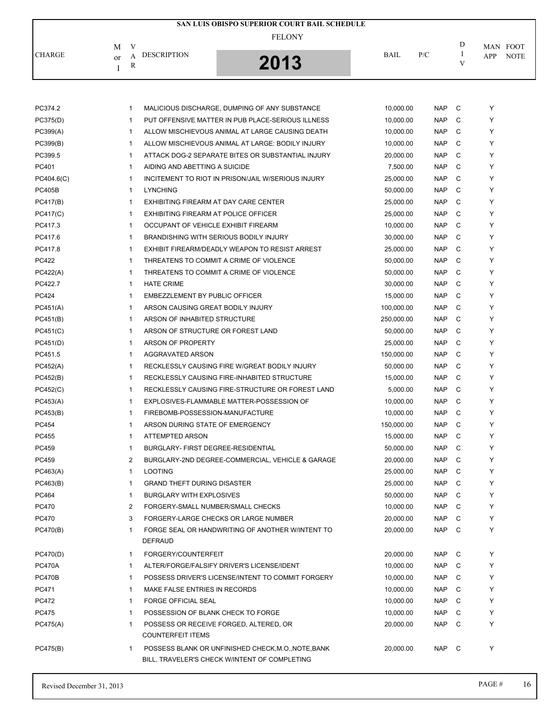|               |                                          | SAN LUIS OBISPO SUPERIOR COURT BAIL SCHEDULE |             |     |   |                    |
|---------------|------------------------------------------|----------------------------------------------|-------------|-----|---|--------------------|
|               | V<br>M                                   | <b>FELONY</b>                                |             |     | D | MAN FOOT           |
| <b>CHARGE</b> | <b>DESCRIPTION</b><br><sub>or</sub><br>R | 2013                                         | <b>BAIL</b> | P/C |   | <b>NOTE</b><br>APP |

| PC374.2       | 1            | MALICIOUS DISCHARGE, DUMPING OF ANY SUBSTANCE                                                        | 10,000.00  | <b>NAP</b> | C | Y |
|---------------|--------------|------------------------------------------------------------------------------------------------------|------------|------------|---|---|
| PC375(D)      | 1            | PUT OFFENSIVE MATTER IN PUB PLACE-SERIOUS ILLNESS                                                    | 10,000.00  | <b>NAP</b> | C | Y |
| PC399(A)      | 1            | ALLOW MISCHIEVOUS ANIMAL AT LARGE CAUSING DEATH                                                      | 10,000.00  | <b>NAP</b> | C | Y |
| PC399(B)      | 1            | ALLOW MISCHIEVOUS ANIMAL AT LARGE: BODILY INJURY                                                     | 10,000.00  | <b>NAP</b> | C | Y |
| PC399.5       | 1            | ATTACK DOG-2 SEPARATE BITES OR SUBSTANTIAL INJURY                                                    | 20,000.00  | <b>NAP</b> | C | Y |
| PC401         | 1            | AIDING AND ABETTING A SUICIDE                                                                        | 7,500.00   | <b>NAP</b> | C | Y |
| PC404.6(C)    | $\mathbf{1}$ | INCITEMENT TO RIOT IN PRISON/JAIL W/SERIOUS INJURY                                                   | 25,000.00  | <b>NAP</b> | C | Y |
| <b>PC405B</b> | $\mathbf{1}$ | <b>LYNCHING</b>                                                                                      | 50,000.00  | <b>NAP</b> | C | Y |
| PC417(B)      | 1            | EXHIBITING FIREARM AT DAY CARE CENTER                                                                | 25,000.00  | <b>NAP</b> | C | Y |
| PC417(C)      | 1            | EXHIBITING FIREARM AT POLICE OFFICER                                                                 | 25,000.00  | <b>NAP</b> | C | Y |
| PC417.3       | 1            | OCCUPANT OF VEHICLE EXHIBIT FIREARM                                                                  | 10,000.00  | <b>NAP</b> | C | Y |
| PC417.6       | 1            | BRANDISHING WITH SERIOUS BODILY INJURY                                                               | 30,000.00  | <b>NAP</b> | C | Y |
| PC417.8       | 1            | EXHIBIT FIREARM/DEADLY WEAPON TO RESIST ARREST                                                       | 25,000.00  | <b>NAP</b> | C | Y |
| <b>PC422</b>  | 1            | THREATENS TO COMMIT A CRIME OF VIOLENCE                                                              | 50,000.00  | <b>NAP</b> | C | Y |
| PC422(A)      | 1            | THREATENS TO COMMIT A CRIME OF VIOLENCE                                                              | 50,000.00  | <b>NAP</b> | C | Y |
| PC422.7       | 1            | <b>HATE CRIME</b>                                                                                    | 30,000.00  | <b>NAP</b> | C | Y |
| PC424         | 1            | EMBEZZLEMENT BY PUBLIC OFFICER                                                                       | 15,000.00  | <b>NAP</b> | C | Y |
| PC451(A)      | $\mathbf{1}$ | ARSON CAUSING GREAT BODILY INJURY                                                                    | 100,000.00 | <b>NAP</b> | C | Y |
| PC451(B)      | $\mathbf{1}$ | ARSON OF INHABITED STRUCTURE                                                                         | 250,000.00 | <b>NAP</b> | C | Y |
| PC451(C)      | $\mathbf{1}$ | ARSON OF STRUCTURE OR FOREST LAND                                                                    | 50,000.00  | <b>NAP</b> | C | Y |
| PC451(D)      | $\mathbf{1}$ | ARSON OF PROPERTY                                                                                    | 25,000.00  | <b>NAP</b> | C | Y |
| PC451.5       | $\mathbf{1}$ | AGGRAVATED ARSON                                                                                     | 150,000.00 | <b>NAP</b> | C | Y |
| PC452(A)      | $\mathbf{1}$ | RECKLESSLY CAUSING FIRE W/GREAT BODILY INJURY                                                        | 50,000.00  | <b>NAP</b> | C | Y |
| PC452(B)      | $\mathbf{1}$ | RECKLESSLY CAUSING FIRE-INHABITED STRUCTURE                                                          | 15,000.00  | <b>NAP</b> | C | Y |
| PC452(C)      | $\mathbf{1}$ | RECKLESSLY CAUSING FIRE-STRUCTURE OR FOREST LAND                                                     | 5,000.00   | <b>NAP</b> | C | Y |
| PC453(A)      | 1            | EXPLOSIVES-FLAMMABLE MATTER-POSSESSION OF                                                            | 10,000.00  | <b>NAP</b> | C | Y |
| PC453(B)      | 1            | FIREBOMB-POSSESSION-MANUFACTURE                                                                      | 10,000.00  | <b>NAP</b> | C | Y |
| PC454         | 1            | ARSON DURING STATE OF EMERGENCY                                                                      | 150,000.00 | <b>NAP</b> | C | Y |
| PC455         | 1            | ATTEMPTED ARSON                                                                                      | 15,000.00  | <b>NAP</b> | C | Y |
| PC459         | $\mathbf{1}$ | BURGLARY- FIRST DEGREE-RESIDENTIAL                                                                   | 50,000.00  | <b>NAP</b> | C | Y |
| PC459         | 2            | BURGLARY-2ND DEGREE-COMMERCIAL, VEHICLE & GARAGE                                                     | 20,000.00  | <b>NAP</b> | C | Y |
| PC463(A)      | $\mathbf{1}$ | <b>LOOTING</b>                                                                                       | 25,000.00  | <b>NAP</b> | C | Y |
| PC463(B)      | $\mathbf{1}$ | <b>GRAND THEFT DURING DISASTER</b>                                                                   | 25,000.00  | <b>NAP</b> | C | Y |
| PC464         | 1            | <b>BURGLARY WITH EXPLOSIVES</b>                                                                      | 50,000.00  | <b>NAP</b> | C | Υ |
| <b>PC470</b>  |              | FORGERY-SMALL NUMBER/SMALL CHECKS                                                                    | 10,000.00  | NAP C      |   | Y |
| PC470         | 3            | FORGERY-LARGE CHECKS OR LARGE NUMBER                                                                 | 20,000.00  | <b>NAP</b> | С | Υ |
| PC470(B)      | 1            | FORGE SEAL OR HANDWRITING OF ANOTHER WINTENT TO                                                      | 20,000.00  | <b>NAP</b> | C | Y |
|               |              | <b>DEFRAUD</b>                                                                                       |            |            |   |   |
| PC470(D)      | 1            | FORGERY/COUNTERFEIT                                                                                  | 20,000.00  | <b>NAP</b> | C | Y |
| <b>PC470A</b> | 1            | ALTER/FORGE/FALSIFY DRIVER'S LICENSE/IDENT                                                           | 10,000.00  | <b>NAP</b> | C | Y |
| <b>PC470B</b> | 1            | POSSESS DRIVER'S LICENSE/INTENT TO COMMIT FORGERY                                                    | 10,000.00  | <b>NAP</b> | C | Y |
| PC471         | 1            | MAKE FALSE ENTRIES IN RECORDS                                                                        | 10,000.00  | NAP        | C | Y |
| PC472         | 1            | <b>FORGE OFFICIAL SEAL</b>                                                                           | 10,000.00  | NAP        | C | Y |
| <b>PC475</b>  | $\mathbf{1}$ | POSSESSION OF BLANK CHECK TO FORGE                                                                   | 10,000.00  | <b>NAP</b> | C | Y |
| PC475(A)      | 1            | POSSESS OR RECEIVE FORGED, ALTERED, OR                                                               | 20,000.00  | <b>NAP</b> | C | Y |
|               |              | <b>COUNTERFEIT ITEMS</b>                                                                             |            |            |   |   |
| PC475(B)      | 1            | POSSESS BLANK OR UNFINISHED CHECK, M.O., NOTE, BANK<br>BILL, TRAVELER'S CHECK W/INTENT OF COMPLETING | 20,000.00  | <b>NAP</b> | C | Y |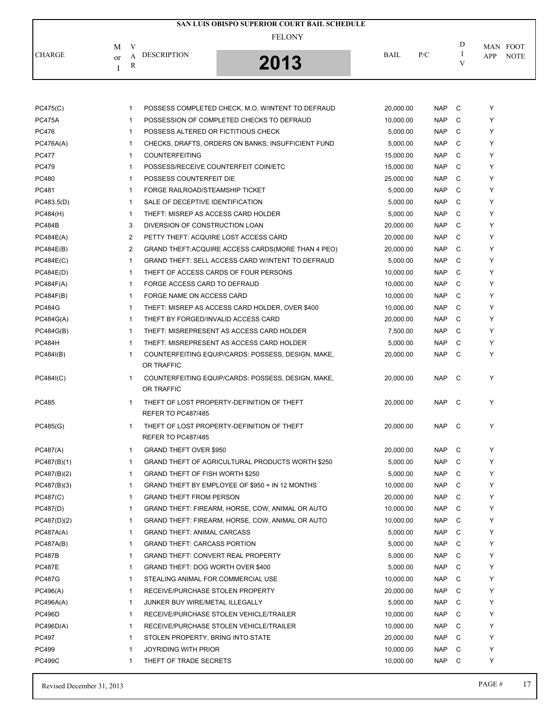|               |          |   |                    | SAN LUIS OBISPO SUPERIOR COURT BAIL SCHEDULE |             |     |   |          |             |
|---------------|----------|---|--------------------|----------------------------------------------|-------------|-----|---|----------|-------------|
|               | M        | V |                    | <b>FELONY</b>                                |             |     | D | MAN FOOT |             |
| <b>CHARGE</b> | $\alpha$ | R | <b>DESCRIPTION</b> | 2013                                         | <b>BAIL</b> | P/C |   | APP      | <b>NOTE</b> |

| PC475(C)      | 1            | POSSESS COMPLETED CHECK, M.O. W/INTENT TO DEFRAUD                       | 20,000.00 | <b>NAP</b> | C | Y |
|---------------|--------------|-------------------------------------------------------------------------|-----------|------------|---|---|
| <b>PC475A</b> | $\mathbf{1}$ | POSSESSION OF COMPLETED CHECKS TO DEFRAUD                               | 10,000.00 | <b>NAP</b> | C | Y |
| <b>PC476</b>  | $\mathbf{1}$ | POSSESS ALTERED OR FICTITIOUS CHECK                                     | 5,000.00  | <b>NAP</b> | C | Y |
| PC476A(A)     | $\mathbf{1}$ | CHECKS, DRAFTS, ORDERS ON BANKS; INSUFFICIENT FUND                      | 5,000.00  | <b>NAP</b> | C | Y |
| <b>PC477</b>  | $\mathbf{1}$ | <b>COUNTERFEITING</b>                                                   | 15,000.00 | <b>NAP</b> | C | Y |
| <b>PC479</b>  | $\mathbf{1}$ | POSSESS/RECEIVE COUNTERFEIT COIN/ETC                                    | 15,000.00 | <b>NAP</b> | C | Y |
| PC480         | $\mathbf{1}$ | POSSESS COUNTERFEIT DIE                                                 | 25,000.00 | <b>NAP</b> | C | Y |
| PC481         | $\mathbf{1}$ | FORGE RAILROAD/STEAMSHIP TICKET                                         | 5,000.00  | <b>NAP</b> | C | Y |
| PC483.5(D)    | $\mathbf{1}$ | SALE OF DECEPTIVE IDENTIFICATION                                        | 5,000.00  | <b>NAP</b> | C | Y |
| PC484(H)      | $\mathbf{1}$ | THEFT: MISREP AS ACCESS CARD HOLDER                                     | 5,000.00  | <b>NAP</b> | C | Y |
| <b>PC484B</b> | 3            | DIVERSION OF CONSTRUCTION LOAN                                          | 20,000.00 | <b>NAP</b> | C | Y |
| PC484E(A)     | 2            | PETTY THEFT: ACQUIRE LOST ACCESS CARD                                   | 20,000.00 | <b>NAP</b> | C | Y |
| PC484E(B)     | 2            | GRAND THEFT: ACQUIRE ACCESS CARDS (MORE THAN 4 PEO)                     | 20,000.00 | <b>NAP</b> | C | Y |
| PC484E(C)     | $\mathbf{1}$ | GRAND THEFT: SELL ACCESS CARD W/INTENT TO DEFRAUD                       | 5,000.00  | <b>NAP</b> | C | Y |
| PC484E(D)     | $\mathbf{1}$ | THEFT OF ACCESS CARDS OF FOUR PERSONS                                   | 10,000.00 | <b>NAP</b> | C | Y |
| PC484F(A)     | $\mathbf{1}$ | FORGE ACCESS CARD TO DEFRAUD                                            | 10,000.00 | <b>NAP</b> | C | Y |
| PC484F(B)     | $\mathbf{1}$ | FORGE NAME ON ACCESS CARD                                               | 10,000.00 | <b>NAP</b> | C | Y |
| <b>PC484G</b> | $\mathbf{1}$ | THEFT: MISREP AS ACCESS CARD HOLDER, OVER \$400                         | 10,000.00 | <b>NAP</b> | C | Y |
| PC484G(A)     | $\mathbf{1}$ | THEFT BY FORGED/INVALID ACCESS CARD                                     | 20,000.00 | <b>NAP</b> | C | Y |
| PC484G(B)     | $\mathbf{1}$ | THEFT: MISREPRESENT AS ACCESS CARD HOLDER                               | 7,500.00  | <b>NAP</b> | C | Y |
| <b>PC484H</b> | $\mathbf{1}$ | THEFT: MISREPRESENT AS ACCESS CARD HOLDER                               | 5,000.00  | <b>NAP</b> | C | Y |
| PC484I(B)     | $\mathbf{1}$ | COUNTERFEITING EQUIP/CARDS: POSSESS, DESIGN, MAKE,<br>OR TRAFFIC        | 20,000.00 | <b>NAP</b> | C | Y |
| PC484(C)      | 1            | COUNTERFEITING EQUIP/CARDS: POSSESS, DESIGN, MAKE,<br>OR TRAFFIC        | 20,000.00 | <b>NAP</b> | C | Y |
| PC485         | $\mathbf{1}$ | THEFT OF LOST PROPERTY-DEFINITION OF THEFT<br><b>REFER TO PC487/485</b> | 20,000.00 | <b>NAP</b> | C | Y |
| PC485(G)      | $\mathbf{1}$ | THEFT OF LOST PROPERTY-DEFINITION OF THEFT<br><b>REFER TO PC487/485</b> | 20,000.00 | <b>NAP</b> | C | Y |
| PC487(A)      | $\mathbf{1}$ | <b>GRAND THEFT OVER \$950</b>                                           | 20,000.00 | NAP        | C | Y |
| PC487(B)(1)   | 1            | GRAND THEFT OF AGRICULTURAL PRODUCTS WORTH \$250                        | 5,000.00  | <b>NAP</b> | C | Y |
| PC487(B)(2)   | $\mathbf{1}$ | GRAND THEFT OF FISH WORTH \$250                                         | 5,000.00  | <b>NAP</b> | C | Y |
| PC487(B)(3)   | 1            | GRAND THEFT BY EMPLOYEE OF \$950 + IN 12 MONTHS                         | 10,000.00 | <b>NAP</b> | C | Y |
| PC487(C)      | 1            | <b>GRAND THEFT FROM PERSON</b>                                          | 20,000.00 | <b>NAP</b> | C | Y |
| PC487(D)      | 1            | GRAND THEFT: FIREARM, HORSE, COW, ANIMAL OR AUTO                        | 10,000.00 | <b>NAP</b> | C |   |
| PC487(D)(2)   | 1            | GRAND THEFT: FIREARM, HORSE, COW, ANIMAL OR AUTO                        | 10,000.00 | <b>NAP</b> | С | Y |
| PC487A(A)     | 1            | <b>GRAND THEFT: ANIMAL CARCASS</b>                                      | 5,000.00  | <b>NAP</b> | C | Y |
| PC487A(B)     | 1            | <b>GRAND THEFT: CARCASS PORTION</b>                                     | 5,000.00  | <b>NAP</b> | C | Y |
| <b>PC487B</b> | 1            | <b>GRAND THEFT: CONVERT REAL PROPERTY</b>                               | 5,000.00  | <b>NAP</b> | C | Y |
| <b>PC487E</b> | 1            | GRAND THEFT: DOG WORTH OVER \$400                                       | 5,000.00  | <b>NAP</b> | C | Y |
| <b>PC487G</b> | 1            | STEALING ANIMAL FOR COMMERCIAL USE                                      | 10,000.00 | <b>NAP</b> | C | Y |
| PC496(A)      | 1            | RECEIVE/PURCHASE STOLEN PROPERTY                                        | 20,000.00 | <b>NAP</b> | C | Y |
| PC496A(A)     | $\mathbf{1}$ | JUNKER BUY WIRE/METAL ILLEGALLY                                         | 5,000.00  | <b>NAP</b> | C | Y |
| <b>PC496D</b> | 1            | RECEIVE/PURCHASE STOLEN VEHICLE/TRAILER                                 | 10,000.00 | <b>NAP</b> | C | Y |
| PC496D(A)     | 1            | RECEIVE/PURCHASE STOLEN VEHICLE/TRAILER                                 | 10,000.00 | <b>NAP</b> | C | Y |
|               |              |                                                                         |           |            |   |   |
| PC497         | 1            | STOLEN PROPERTY, BRING INTO STATE                                       | 20,000.00 | <b>NAP</b> | C | Y |
| PC499         | 1            | <b>JOYRIDING WITH PRIOR</b>                                             | 10,000.00 | <b>NAP</b> | C | Υ |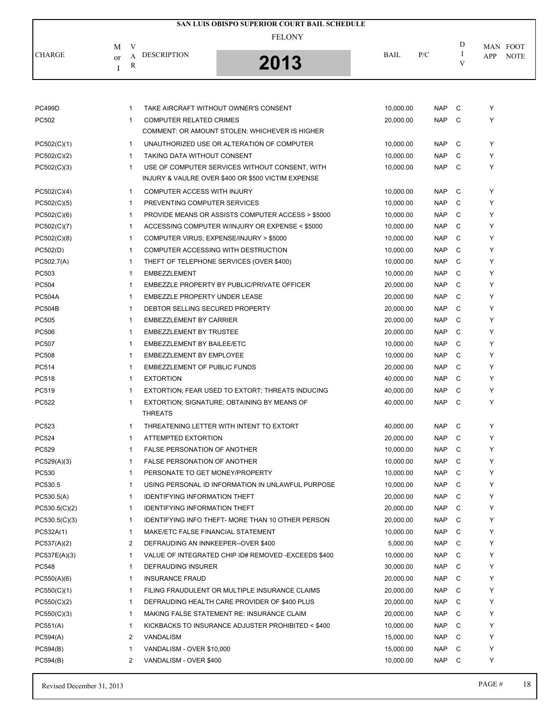|               |    |              |                                      | <b>SAN LUIS OBISPO SUPERIOR COURT BAIL SCHEDULE</b>      |             |                     |        |        |             |
|---------------|----|--------------|--------------------------------------|----------------------------------------------------------|-------------|---------------------|--------|--------|-------------|
|               |    |              |                                      | <b>FELONY</b>                                            |             |                     |        |        |             |
|               | М  | V            |                                      |                                                          |             |                     | D      |        | MAN FOOT    |
| <b>CHARGE</b> | or | A            | <b>DESCRIPTION</b>                   | 2013                                                     | <b>BAIL</b> | P/C                 | Ι<br>V | APP    | <b>NOTE</b> |
|               | I  | $\mathbb{R}$ |                                      |                                                          |             |                     |        |        |             |
|               |    |              |                                      |                                                          |             |                     |        |        |             |
|               |    |              |                                      |                                                          |             |                     |        |        |             |
| <b>PC499D</b> |    | $\mathbf{1}$ |                                      | TAKE AIRCRAFT WITHOUT OWNER'S CONSENT                    | 10,000.00   | <b>NAP</b>          | C      | Υ      |             |
| PC502         |    | $\mathbf{1}$ | <b>COMPUTER RELATED CRIMES</b>       |                                                          | 20,000.00   | <b>NAP</b>          | C      | Υ      |             |
|               |    |              |                                      | COMMENT: OR AMOUNT STOLEN; WHICHEVER IS HIGHER           |             |                     |        |        |             |
| PC502(C)(1)   |    | $\mathbf{1}$ |                                      | UNAUTHORIZED USE OR ALTERATION OF COMPUTER               | 10,000.00   | <b>NAP</b>          | C      | Υ      |             |
| PC502(C)(2)   |    | $\mathbf{1}$ | TAKING DATA WITHOUT CONSENT          |                                                          | 10,000.00   | <b>NAP</b>          | C      | Υ      |             |
| PC502(C)(3)   |    | $\mathbf{1}$ |                                      | USE OF COMPUTER SERVICES WITHOUT CONSENT, WITH           | 10,000.00   | <b>NAP</b>          | C      | Υ      |             |
|               |    |              |                                      | INJURY & VAULRE OVER \$400 OR \$500 VICTIM EXPENSE       |             |                     |        |        |             |
| PC502(C)(4)   |    | $\mathbf{1}$ | COMPUTER ACCESS WITH INJURY          |                                                          | 10,000.00   | <b>NAP</b>          | C      | Y      |             |
| PC502(C)(5)   |    | $\mathbf{1}$ | PREVENTING COMPUTER SERVICES         |                                                          | 10.000.00   | <b>NAP</b>          | C      | Υ      |             |
| PC502(C)(6)   |    | $\mathbf 1$  |                                      | PROVIDE MEANS OR ASSISTS COMPUTER ACCESS > \$5000        | 10,000.00   | <b>NAP</b>          | C      | Υ      |             |
| PC502(C)(7)   |    | 1            |                                      | ACCESSING COMPUTER W/INJURY OR EXPENSE < \$5000          | 10,000.00   | <b>NAP</b>          | C      | Υ      |             |
| PC502(C)(8)   |    | $\mathbf{1}$ |                                      | COMPUTER VIRUS; EXPENSE/INJURY > \$5000                  | 10,000.00   | <b>NAP</b>          | C      | Y      |             |
| PC502(D)      |    | 1            |                                      | COMPUTER ACCESSING WITH DESTRUCTION                      | 10,000.00   | <b>NAP</b>          | C      | Υ      |             |
| PC502.7(A)    |    | 1            |                                      | THEFT OF TELEPHONE SERVICES (OVER \$400)                 | 10,000.00   | <b>NAP</b>          | C      | Υ      |             |
| PC503         |    | $\mathbf{1}$ | <b>EMBEZZLEMENT</b>                  |                                                          | 10,000.00   | <b>NAP</b>          | C      | Y      |             |
| PC504         |    | 1            |                                      | EMBEZZLE PROPERTY BY PUBLIC/PRIVATE OFFICER              | 20,000.00   | <b>NAP</b>          | C      | Υ      |             |
| <b>PC504A</b> |    | 1            | EMBEZZLE PROPERTY UNDER LEASE        |                                                          | 20,000.00   | <b>NAP</b>          | C      | Υ      |             |
| <b>PC504B</b> |    | $\mathbf{1}$ | DEBTOR SELLING SECURED PROPERTY      |                                                          | 20,000.00   | <b>NAP</b>          | C      | Y      |             |
| PC505         |    | $\mathbf 1$  | <b>EMBEZZLEMENT BY CARRIER</b>       |                                                          | 20,000.00   | <b>NAP</b>          | C      | Υ      |             |
| PC506         |    | 1            | <b>EMBEZZLEMENT BY TRUSTEE</b>       |                                                          | 20,000.00   | <b>NAP</b>          | C      | Υ      |             |
| PC507         |    | $\mathbf{1}$ | EMBEZZLEMENT BY BAILEE/ETC           |                                                          | 10,000.00   | <b>NAP</b>          | C      | Y      |             |
| PC508         |    | 1            | EMBEZZLEMENT BY EMPLOYEE             |                                                          | 10,000.00   | <b>NAP</b>          | C      | Y      |             |
| PC514         |    | 1            | <b>EMBEZZLEMENT OF PUBLIC FUNDS</b>  |                                                          | 20,000.00   | <b>NAP</b>          | C      | Y      |             |
| PC518         |    | $\mathbf{1}$ | <b>EXTORTION</b>                     |                                                          | 40,000.00   | <b>NAP</b>          | C      | Y      |             |
| PC519         |    | 1            |                                      | EXTORTION; FEAR USED TO EXTORT; THREATS INDUCING         | 40,000.00   | <b>NAP</b>          | C      | Υ      |             |
| <b>PC522</b>  |    | 1            |                                      | EXTORTION; SIGNATURE; OBTAINING BY MEANS OF              | 40,000.00   | <b>NAP</b>          | C      | Υ      |             |
|               |    |              | <b>THREATS</b>                       |                                                          |             |                     |        |        |             |
| PC523         |    | 1            |                                      | THREATENING LETTER WITH INTENT TO EXTORT                 | 40,000.00   | <b>NAP</b>          | C      | Υ      |             |
| PC524         |    | $\mathbf{1}$ | ATTEMPTED EXTORTION                  |                                                          | 20,000.00   | <b>NAP</b>          | C      | Y      |             |
| PC529         |    | 1            | <b>FALSE PERSONATION OF ANOTHER</b>  |                                                          | 10,000.00   | <b>NAP</b>          | C      | Υ      |             |
| PC529(A)(3)   |    | 1            | <b>FALSE PERSONATION OF ANOTHER</b>  |                                                          | 10,000.00   | <b>NAP</b>          | C      | Y      |             |
| PC530         |    | 1            | PERSONATE TO GET MONEY/PROPERTY      |                                                          | 10,000.00   | <b>NAP</b>          | C      | Y      |             |
| PC530.5       |    | 1            |                                      | USING PERSONAL ID INFORMATION IN UNLAWFUL PURPOSE        | 10,000.00   | <b>NAP</b>          | C      | Y      |             |
| PC530.5(A)    |    | 1            | <b>IDENTIFYING INFORMATION THEFT</b> |                                                          | 20,000.00   | <b>NAP</b>          | C      | Y      |             |
| PC530.5(C)(2) |    | 1            | <b>IDENTIFYING INFORMATION THEFT</b> |                                                          | 20,000.00   | <b>NAP</b>          | C      | Υ      |             |
| PC530.5(C)(3) |    | 1            |                                      | <b>IDENTIFYING INFO THEFT- MORE THAN 10 OTHER PERSON</b> | 20,000.00   | <b>NAP</b>          | C      | Υ      |             |
| PC532A(1)     |    | $\mathbf 1$  | MAKE/ETC FALSE FINANCIAL STATEMENT   |                                                          | 10,000.00   | <b>NAP</b>          | C      | Y      |             |
| PC537(A)(2)   |    | 2            | DEFRAUDING AN INNKEEPER--OVER \$400  |                                                          | 5,000.00    | <b>NAP</b>          | C      | Y      |             |
| PC537E(A)(3)  |    | 1            |                                      | VALUE OF INTEGRATED CHIP ID# REMOVED - EXCEEDS \$400     | 10,000.00   | <b>NAP</b>          | C      | Υ      |             |
| <b>PC548</b>  |    | 1            | DEFRAUDING INSURER                   |                                                          | 30,000.00   | <b>NAP</b>          | C      | Υ      |             |
| PC550(A)(6)   |    | 1            | <b>INSURANCE FRAUD</b>               |                                                          | 20,000.00   | <b>NAP</b>          | C      | Υ      |             |
| PC550(C)(1)   |    | 1            |                                      | FILING FRAUDULENT OR MULTIPLE INSURANCE CLAIMS           | 20,000.00   | <b>NAP</b>          | C      | Υ      |             |
|               |    |              |                                      |                                                          |             |                     |        | Y      |             |
| PC550(C)(2)   |    | 1            |                                      | DEFRAUDING HEALTH CARE PROVIDER OF \$400 PLUS            | 20,000.00   | <b>NAP</b>          | C      |        |             |
| PC550(C)(3)   |    | 1            |                                      | MAKING FALSE STATEMENT RE: INSURANCE CLAIM               | 20,000.00   | <b>NAP</b>          | C      | Y<br>Y |             |
| PC551(A)      |    | 1            |                                      | KICKBACKS TO INSURANCE ADJUSTER PROHIBITED < \$400       | 10,000.00   | <b>NAP</b>          | C      | Y      |             |
| PC594(A)      |    | 2            | <b>VANDALISM</b>                     |                                                          | 15,000.00   | <b>NAP</b>          | C      |        |             |
| PC594(B)      |    | 1<br>2       | VANDALISM - OVER \$10,000            |                                                          | 15,000.00   | <b>NAP</b><br>NAP C | C      | Υ<br>Y |             |
| PC594(B)      |    |              | VANDALISM - OVER \$400               |                                                          | 10,000.00   |                     |        |        |             |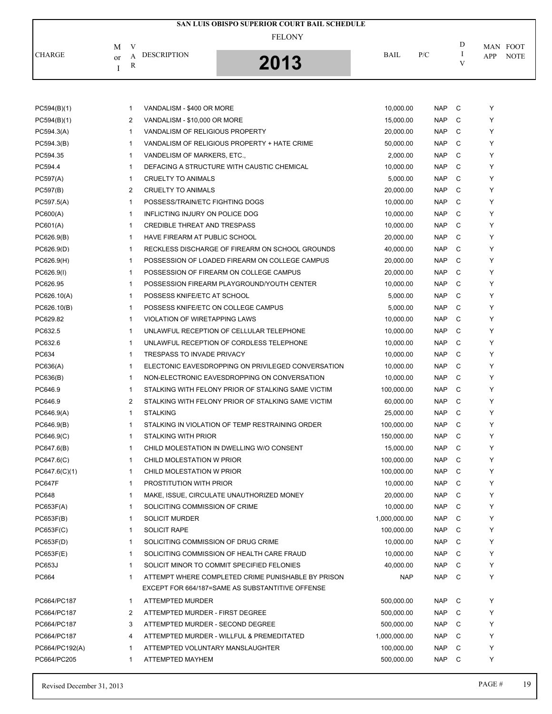|               |                               | SAN LUIS OBISPO SUPERIOR COURT BAIL SCHEDULE |             |     |              |                    |
|---------------|-------------------------------|----------------------------------------------|-------------|-----|--------------|--------------------|
|               | M                             | <b>FELONY</b>                                |             |     | D            | MAN FOOT           |
| <b>CHARGE</b> | <b>DESCRIPTION</b><br>or<br>R | 2013<br>IJ                                   | <b>BAIL</b> | P/C | $\mathbf{V}$ | <b>NOTE</b><br>APP |

| PC594(B)(1)    | $\mathbf{1}$   | VANDALISM - \$400 OR MORE                                                                              | 10,000.00    | <b>NAP</b> | С | Y |
|----------------|----------------|--------------------------------------------------------------------------------------------------------|--------------|------------|---|---|
| PC594(B)(1)    | 2              | VANDALISM - \$10,000 OR MORE                                                                           | 15,000.00    | <b>NAP</b> | C | Y |
| PC594.3(A)     | $\mathbf{1}$   | VANDALISM OF RELIGIOUS PROPERTY                                                                        | 20,000.00    | <b>NAP</b> | C | Y |
| PC594.3(B)     | $\mathbf{1}$   | VANDALISM OF RELIGIOUS PROPERTY + HATE CRIME                                                           | 50,000.00    | <b>NAP</b> | C | Y |
| PC594.35       | $\mathbf{1}$   | VANDELISM OF MARKERS, ETC.,                                                                            | 2,000.00     | <b>NAP</b> | C | Y |
| PC594.4        | $\mathbf{1}$   | DEFACING A STRUCTURE WITH CAUSTIC CHEMICAL                                                             | 10,000.00    | <b>NAP</b> | C | Y |
| PC597(A)       | 1              | CRUELTY TO ANIMALS                                                                                     | 5,000.00     | <b>NAP</b> | C | Y |
| PC597(B)       | $\overline{2}$ | <b>CRUELTY TO ANIMALS</b>                                                                              | 20,000.00    | <b>NAP</b> | C | Y |
| PC597.5(A)     | $\mathbf{1}$   | POSSESS/TRAIN/ETC FIGHTING DOGS                                                                        | 10,000.00    | <b>NAP</b> | C | Y |
| PC600(A)       | 1              | INFLICTING INJURY ON POLICE DOG                                                                        | 10,000.00    | <b>NAP</b> | C | Y |
| PC601(A)       | 1              | <b>CREDIBLE THREAT AND TRESPASS</b>                                                                    | 10,000.00    | <b>NAP</b> | C | Y |
| PC626.9(B)     | $\mathbf{1}$   | HAVE FIREARM AT PUBLIC SCHOOL                                                                          | 20,000.00    | <b>NAP</b> | C | Y |
| PC626.9(D)     | $\mathbf{1}$   | RECKLESS DISCHARGE OF FIREARM ON SCHOOL GROUNDS                                                        | 40,000.00    | <b>NAP</b> | C | Y |
| PC626.9(H)     | $\mathbf{1}$   | POSSESSION OF LOADED FIREARM ON COLLEGE CAMPUS                                                         | 20,000.00    | <b>NAP</b> | C | Y |
| PC626.9(I)     | $\mathbf{1}$   | POSSESSION OF FIREARM ON COLLEGE CAMPUS                                                                | 20,000.00    | <b>NAP</b> | C | Y |
| PC626.95       | $\mathbf{1}$   | POSSESSION FIREARM PLAYGROUND/YOUTH CENTER                                                             | 10,000.00    | <b>NAP</b> | C | Y |
| PC626.10(A)    | $\mathbf{1}$   | POSSESS KNIFE/ETC AT SCHOOL                                                                            | 5,000.00     | <b>NAP</b> | C | Y |
| PC626.10(B)    | $\mathbf{1}$   | POSSESS KNIFE/ETC ON COLLEGE CAMPUS                                                                    | 5,000.00     | <b>NAP</b> | C | Y |
| PC629.82       | 1              | VIOLATION OF WIRETAPPING LAWS                                                                          | 10,000.00    | <b>NAP</b> | C | Y |
| PC632.5        | 1              | UNLAWFUL RECEPTION OF CELLULAR TELEPHONE                                                               | 10,000.00    | <b>NAP</b> | C | Y |
| PC632.6        | $\mathbf{1}$   | UNLAWFUL RECEPTION OF CORDLESS TELEPHONE                                                               | 10,000.00    | <b>NAP</b> | C | Y |
| PC634          | 1              | <b>TRESPASS TO INVADE PRIVACY</b>                                                                      | 10,000.00    | <b>NAP</b> | C | Y |
| PC636(A)       | 1              | ELECTONIC EAVESDROPPING ON PRIVILEGED CONVERSATION                                                     | 10,000.00    | <b>NAP</b> | C | Y |
| PC636(B)       | $\mathbf{1}$   | NON-ELECTRONIC EAVESDROPPING ON CONVERSATION                                                           | 10,000.00    | <b>NAP</b> | C | Y |
| PC646.9        | 1              | STALKING WITH FELONY PRIOR OF STALKING SAME VICTIM                                                     | 100,000.00   | <b>NAP</b> | C | Y |
| PC646.9        | $\overline{c}$ | STALKING WITH FELONY PRIOR OF STALKING SAME VICTIM                                                     | 60,000.00    | <b>NAP</b> | C | Y |
| PC646.9(A)     | $\mathbf{1}$   | <b>STALKING</b>                                                                                        | 25,000.00    | <b>NAP</b> | C | Y |
| PC646.9(B)     | $\mathbf{1}$   | STALKING IN VIOLATION OF TEMP RESTRAINING ORDER                                                        | 100,000.00   | <b>NAP</b> | C | Y |
| PC646.9(C)     | 1              | <b>STALKING WITH PRIOR</b>                                                                             | 150,000.00   | <b>NAP</b> | C | Y |
| PC647.6(B)     | $\mathbf{1}$   | CHILD MOLESTATION IN DWELLING W/O CONSENT                                                              | 15,000.00    | <b>NAP</b> | C | Y |
| PC647.6(C)     | 1              | CHILD MOLESTATION W PRIOR                                                                              | 100,000.00   | <b>NAP</b> | C | Y |
| PC647.6(C)(1)  | 1              | CHILD MOLESTATION W PRIOR                                                                              | 100,000.00   | <b>NAP</b> | C | Y |
| <b>PC647F</b>  | $\mathbf{1}$   | PROSTITUTION WITH PRIOR                                                                                | 10,000.00    | <b>NAP</b> | C | Y |
| PC648          | 1              | MAKE, ISSUE, CIRCULATE UNAUTHORIZED MONEY                                                              | 20,000.00    | <b>NAP</b> | C | Y |
| PC653F(A)      |                | SOLICITING COMMISSION OF CRIME                                                                         | 10,000.00    | NAP C      |   | Y |
| PC653F(B)      | 1              | <b>SOLICIT MURDER</b>                                                                                  | 1,000,000.00 | <b>NAP</b> | С | Y |
| PC653F(C)      | $\mathbf 1$    | <b>SOLICIT RAPE</b>                                                                                    | 100,000.00   | <b>NAP</b> | C | Y |
| PC653F(D)      | $\mathbf 1$    | SOLICITING COMMISSION OF DRUG CRIME                                                                    | 10,000.00    | <b>NAP</b> | C | Y |
| PC653F(E)      | $\mathbf{1}$   | SOLICITING COMMISSION OF HEALTH CARE FRAUD                                                             | 10.000.00    | <b>NAP</b> | C | Y |
| PC653J         | $\mathbf 1$    | SOLICIT MINOR TO COMMIT SPECIFIED FELONIES                                                             | 40,000.00    | <b>NAP</b> | C | Y |
| PC664          | 1              | ATTEMPT WHERE COMPLETED CRIME PUNISHABLE BY PRISON<br>EXCEPT FOR 664/187=SAME AS SUBSTANTITIVE OFFENSE | <b>NAP</b>   | <b>NAP</b> | C | Y |
| PC664/PC187    | $\mathbf 1$    | ATTEMPTED MURDER                                                                                       | 500,000.00   | <b>NAP</b> | C | Y |
| PC664/PC187    | 2              | ATTEMPTED MURDER - FIRST DEGREE                                                                        | 500,000.00   | <b>NAP</b> | C | Y |
| PC664/PC187    | 3              | ATTEMPTED MURDER - SECOND DEGREE                                                                       | 500,000.00   | <b>NAP</b> | С | Y |
| PC664/PC187    | 4              | ATTEMPTED MURDER - WILLFUL & PREMEDITATED                                                              | 1,000,000.00 | <b>NAP</b> | C | Y |
| PC664/PC192(A) | $\mathbf{1}$   | ATTEMPTED VOLUNTARY MANSLAUGHTER                                                                       | 100,000.00   | <b>NAP</b> | C | Y |
| PC664/PC205    | 1              | ATTEMPTED MAYHEM                                                                                       | 500,000.00   | <b>NAP</b> | C | Y |
|                |                |                                                                                                        |              |            |   |   |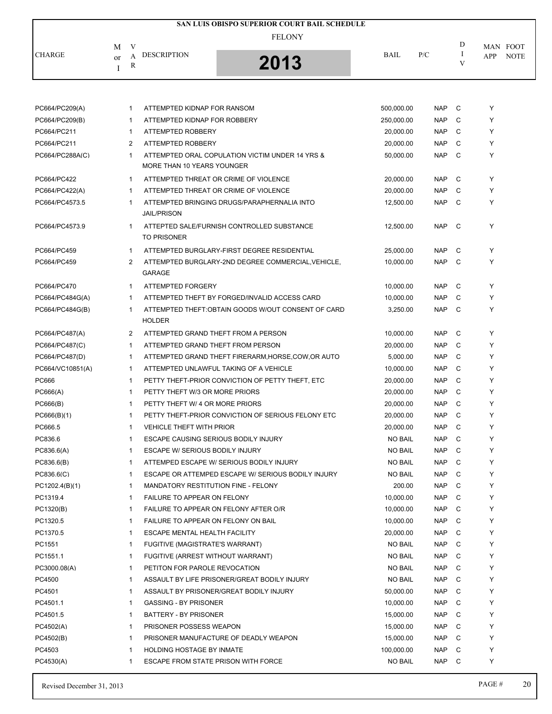|               |                               | SAN LUIS OBISPO SUPERIOR COURT BAIL SCHEDULE |             |     |                         |  |
|---------------|-------------------------------|----------------------------------------------|-------------|-----|-------------------------|--|
|               | V<br>M                        | <b>FELONY</b>                                |             |     | D<br>MAN FOOT           |  |
| <b>CHARGE</b> | <b>DESCRIPTION</b><br>or<br>R | 2013                                         | <b>BAIL</b> | P/C | <b>NOTE</b><br>APP<br>V |  |

| PC664/PC209(A)   | -1             | ATTEMPTED KIDNAP FOR RANSOM                                                   | 500,000.00     | <b>NAP</b> | C | Y |
|------------------|----------------|-------------------------------------------------------------------------------|----------------|------------|---|---|
| PC664/PC209(B)   | $\mathbf{1}$   | ATTEMPTED KIDNAP FOR ROBBERY                                                  | 250,000.00     | <b>NAP</b> | C | Y |
| PC664/PC211      | $\mathbf{1}$   | ATTEMPTED ROBBERY                                                             | 20.000.00      | <b>NAP</b> | C | Y |
| PC664/PC211      | 2              | ATTEMPTED ROBBERY                                                             | 20,000.00      | <b>NAP</b> | C | Y |
| PC664/PC288A(C)  | $\mathbf{1}$   | ATTEMPTED ORAL COPULATION VICTIM UNDER 14 YRS &<br>MORE THAN 10 YEARS YOUNGER | 50,000.00      | <b>NAP</b> | C | Y |
| PC664/PC422      | $\mathbf{1}$   | ATTEMPTED THREAT OR CRIME OF VIOLENCE                                         | 20,000.00      | <b>NAP</b> | C | Y |
| PC664/PC422(A)   | $\mathbf{1}$   | ATTEMPTED THREAT OR CRIME OF VIOLENCE                                         | 20,000.00      | <b>NAP</b> | C | Y |
| PC664/PC4573.5   | $\mathbf{1}$   | ATTEMPTED BRINGING DRUGS/PARAPHERNALIA INTO<br><b>JAIL/PRISON</b>             | 12,500.00      | <b>NAP</b> | C | Y |
| PC664/PC4573.9   | $\mathbf{1}$   | ATTEPTED SALE/FURNISH CONTROLLED SUBSTANCE<br><b>TO PRISONER</b>              | 12,500.00      | <b>NAP</b> | C | Y |
| PC664/PC459      | $\mathbf{1}$   | ATTEMPTED BURGLARY-FIRST DEGREE RESIDENTIAL                                   | 25,000.00      | <b>NAP</b> | C | Y |
| PC664/PC459      | 2              | ATTEMPTED BURGLARY-2ND DEGREE COMMERCIAL, VEHICLE,<br>GARAGE                  | 10,000.00      | <b>NAP</b> | C | Y |
| PC664/PC470      | $\mathbf{1}$   | <b>ATTEMPTED FORGERY</b>                                                      | 10,000.00      | <b>NAP</b> | C | Y |
| PC664/PC484G(A)  | $\mathbf{1}$   | ATTEMPTED THEFT BY FORGED/INVALID ACCESS CARD                                 | 10,000.00      | <b>NAP</b> | C | Y |
| PC664/PC484G(B)  | $\mathbf{1}$   | ATTEMPTED THEFT:OBTAIN GOODS W/OUT CONSENT OF CARD<br><b>HOLDER</b>           | 3,250.00       | <b>NAP</b> | C | Y |
| PC664/PC487(A)   | $\overline{2}$ | ATTEMPTED GRAND THEFT FROM A PERSON                                           | 10,000.00      | <b>NAP</b> | C | Y |
| PC664/PC487(C)   | $\mathbf{1}$   | ATTEMPTED GRAND THEFT FROM PERSON                                             | 20,000.00      | <b>NAP</b> | C | Y |
| PC664/PC487(D)   | $\mathbf{1}$   | ATTEMPTED GRAND THEFT FIRERARM, HORSE, COW, OR AUTO                           | 5,000.00       | <b>NAP</b> | C | Y |
| PC664/VC10851(A) | $\mathbf{1}$   | ATTEMPTED UNLAWFUL TAKING OF A VEHICLE                                        | 10,000.00      | <b>NAP</b> | C | Y |
| PC666            | $\mathbf{1}$   | PETTY THEFT-PRIOR CONVICTION OF PETTY THEFT, ETC                              | 20,000.00      | <b>NAP</b> | C | Y |
| PC666(A)         | $\mathbf{1}$   | PETTY THEFT W/3 OR MORE PRIORS                                                | 20,000.00      | <b>NAP</b> | C | Y |
| PC666(B)         | $\mathbf{1}$   | PETTY THEFT W/ 4 OR MORE PRIORS                                               | 20,000.00      | <b>NAP</b> | C | Y |
| PC666(B)(1)      | $\mathbf{1}$   | PETTY THEFT-PRIOR CONVICTION OF SERIOUS FELONY ETC                            | 20,000.00      | <b>NAP</b> | C | Y |
| PC666.5          | $\mathbf{1}$   | <b>VEHICLE THEFT WITH PRIOR</b>                                               | 20,000.00      | <b>NAP</b> | C | Y |
| PC836.6          | $\mathbf{1}$   | ESCAPE CAUSING SERIOUS BODILY INJURY                                          | <b>NO BAIL</b> | <b>NAP</b> | C | Y |
| PC836.6(A)       | $\mathbf{1}$   | ESCAPE W/ SERIOUS BODILY INJURY                                               | <b>NO BAIL</b> | <b>NAP</b> | C | Y |
| PC836.6(B)       | $\mathbf{1}$   | ATTEMPED ESCAPE W/ SERIOUS BODILY INJURY                                      | <b>NO BAIL</b> | <b>NAP</b> | C | Y |
| PC836.6(C)       | $\mathbf{1}$   | ESCAPE OR ATTEMPED ESCAPE W/ SERIOUS BODILY INJURY                            | <b>NO BAIL</b> | <b>NAP</b> | C | Y |
| PC1202.4(B)(1)   | $\mathbf{1}$   | MANDATORY RESTITUTION FINE - FELONY                                           | 200.00         | <b>NAP</b> | C | Y |
| PC1319.4         | $\mathbf{1}$   | FAILURE TO APPEAR ON FELONY                                                   | 10,000.00      | <b>NAP</b> | C | Y |
| PC1320(B)        | 1              | FAILURE TO APPEAR ON FELONY AFTER O/R                                         | 10,000.00      | <b>NAP</b> | C | Y |
| PC1320.5         | 1              | FAILURE TO APPEAR ON FELONY ON BAIL                                           | 10,000.00      | <b>NAP</b> | С | Y |
| PC1370.5         | 1              | <b>ESCAPE MENTAL HEALTH FACILITY</b>                                          | 20,000.00      | <b>NAP</b> | C | Y |
| PC1551           | 1              | FUGITIVE (MAGISTRATE'S WARRANT)                                               | <b>NO BAIL</b> | <b>NAP</b> | C | Y |
| PC1551.1         | 1              | FUGITIVE (ARREST WITHOUT WARRANT)                                             | <b>NO BAIL</b> | <b>NAP</b> | C | Y |
| PC3000.08(A)     | 1              | PETITON FOR PAROLE REVOCATION                                                 | <b>NO BAIL</b> | <b>NAP</b> | C | Y |
| PC4500           | 1              | ASSAULT BY LIFE PRISONER/GREAT BODILY INJURY                                  | <b>NO BAIL</b> | <b>NAP</b> | С | Y |
| PC4501           | 1              | ASSAULT BY PRISONER/GREAT BODILY INJURY                                       | 50,000.00      | <b>NAP</b> | C | Υ |
| PC4501.1         | 1              | <b>GASSING - BY PRISONER</b>                                                  | 10,000.00      | <b>NAP</b> | C | Y |
| PC4501.5         | 1              | BATTERY - BY PRISONER                                                         | 15,000.00      | <b>NAP</b> | C | Y |
| PC4502(A)        | 1              | PRISONER POSSESS WEAPON                                                       | 15,000.00      | <b>NAP</b> | C | Υ |
| PC4502(B)        | 1              | PRISONER MANUFACTURE OF DEADLY WEAPON                                         | 15,000.00      | <b>NAP</b> | C | Y |
| PC4503           | $\mathbf{1}$   | <b>HOLDING HOSTAGE BY INMATE</b>                                              | 100,000.00     | <b>NAP</b> | C | Y |
| PC4530(A)        | 1              | ESCAPE FROM STATE PRISON WITH FORCE                                           | <b>NO BAIL</b> | <b>NAP</b> | C | Y |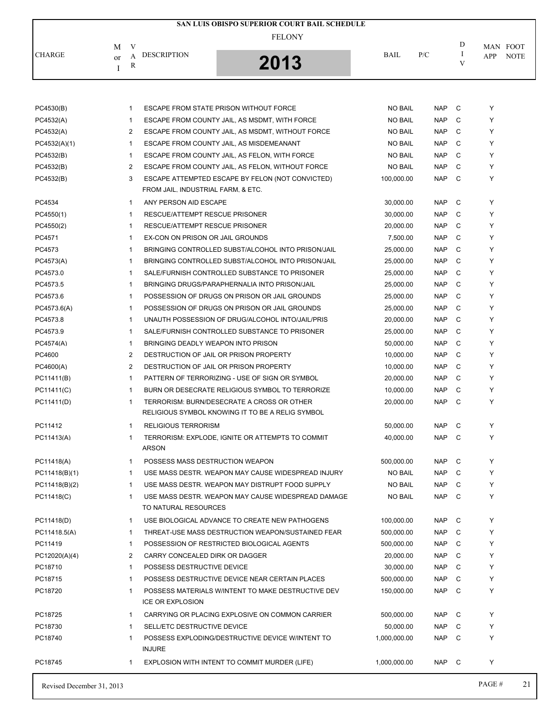|               |                                               | SAN LUIS OBISPO SUPERIOR COURT BAIL SCHEDULE |             |     |   |                    |
|---------------|-----------------------------------------------|----------------------------------------------|-------------|-----|---|--------------------|
|               | М                                             | <b>FELONY</b>                                |             |     | D | MAN FOOT           |
| <b>CHARGE</b> | <b>DESCRIPTION</b><br>А<br><sub>or</sub><br>R | 2013<br>IJ                                   | <b>BAIL</b> | P/C |   | <b>NOTE</b><br>APP |

| <b>NO BAIL</b><br><b>NAP</b><br>C<br>PC4530(B)<br>1<br>ESCAPE FROM STATE PRISON WITHOUT FORCE<br>PC4532(A)<br><b>NO BAIL</b><br><b>NAP</b><br>C<br>1<br>ESCAPE FROM COUNTY JAIL, AS MSDMT, WITH FORCE<br>C<br>2<br><b>NAP</b><br>PC4532(A)<br>ESCAPE FROM COUNTY JAIL, AS MSDMT, WITHOUT FORCE<br><b>NO BAIL</b><br><b>NAP</b><br>C<br>PC4532(A)(1)<br>$\mathbf{1}$<br>ESCAPE FROM COUNTY JAIL, AS MISDEMEANANT<br><b>NO BAIL</b><br>C<br>PC4532(B)<br>$\mathbf 1$<br>ESCAPE FROM COUNTY JAIL, AS FELON, WITH FORCE<br><b>NO BAIL</b><br><b>NAP</b><br>C<br>PC4532(B)<br>2<br><b>NAP</b><br>ESCAPE FROM COUNTY JAIL, AS FELON, WITHOUT FORCE<br>NO BAIL<br>PC4532(B)<br>3<br>ESCAPE ATTEMPTED ESCAPE BY FELON (NOT CONVICTED)<br>100,000.00<br><b>NAP</b><br>C<br>FROM JAIL, INDUSTRIAL FARM, & ETC.<br>C<br>PC4534<br>$\mathbf{1}$<br>ANY PERSON AID ESCAPE<br>30,000.00<br><b>NAP</b><br><b>NAP</b><br>C<br>PC4550(1)<br>$\mathbf{1}$<br>RESCUE/ATTEMPT RESCUE PRISONER<br>30,000.00<br>PC4550(2)<br>RESCUE/ATTEMPT RESCUE PRISONER<br>20,000.00<br><b>NAP</b><br>C<br>$\mathbf{1}$<br>PC4571<br>C<br>1<br>EX-CON ON PRISON OR JAIL GROUNDS<br>7,500.00<br><b>NAP</b><br>PC4573<br><b>NAP</b><br>C<br>1<br>BRINGING CONTROLLED SUBST/ALCOHOL INTO PRISON/JAIL<br>25,000.00<br>PC4573(A)<br>BRINGING CONTROLLED SUBST/ALCOHOL INTO PRISON/JAIL<br><b>NAP</b><br>C<br>1<br>25,000.00<br>C<br>PC4573.0<br>1<br>SALE/FURNISH CONTROLLED SUBSTANCE TO PRISONER<br>25,000.00<br><b>NAP</b><br><b>NAP</b><br>C<br>PC4573.5<br>$\mathbf{1}$<br>BRINGING DRUGS/PARAPHERNALIA INTO PRISON/JAIL<br>25,000.00<br>PC4573.6<br>$\mathbf{1}$<br>POSSESSION OF DRUGS ON PRISON OR JAIL GROUNDS<br><b>NAP</b><br>C<br>25,000.00<br>$\mathbf{1}$<br>C<br>PC4573.6(A)<br>POSSESSION OF DRUGS ON PRISON OR JAIL GROUNDS<br>25,000.00<br><b>NAP</b><br>PC4573.8<br>$\mathbf{1}$<br><b>NAP</b><br>C<br>UNAUTH POSSESSION OF DRUG/ALCOHOL INTO/JAIL/PRIS<br>20,000.00<br>C<br>PC4573.9<br>$\mathbf{1}$<br>SALE/FURNISH CONTROLLED SUBSTANCE TO PRISONER<br><b>NAP</b><br>25,000.00<br>C<br>PC4574(A)<br>$\mathbf{1}$<br>BRINGING DEADLY WEAPON INTO PRISON<br>50,000.00<br><b>NAP</b><br>2<br><b>NAP</b><br>C<br>PC4600<br>DESTRUCTION OF JAIL OR PRISON PROPERTY<br>10,000.00<br>2<br>10,000.00<br><b>NAP</b><br>C<br>PC4600(A)<br>DESTRUCTION OF JAIL OR PRISON PROPERTY<br>$\mathbf{1}$<br>C<br>PC11411(B)<br>PATTERN OF TERRORIZING - USE OF SIGN OR SYMBOL<br>20,000.00<br><b>NAP</b><br><b>NAP</b><br>C<br>PC11411(C)<br>$\mathbf{1}$<br>BURN OR DESECRATE RELIGIOUS SYMBOL TO TERRORIZE<br>10,000.00<br>PC11411(D)<br><b>NAP</b><br>C<br>$\mathbf{1}$<br>TERRORISM: BURN/DESECRATE A CROSS OR OTHER<br>20,000.00<br>RELIGIOUS SYMBOL KNOWING IT TO BE A RELIG SYMBOL<br>C<br>PC11412<br>$\mathbf{1}$<br><b>RELIGIOUS TERRORISM</b><br>50,000.00<br><b>NAP</b><br>TERRORISM: EXPLODE, IGNITE OR ATTEMPTS TO COMMIT<br><b>NAP</b><br>C<br>PC11413(A)<br>$\mathbf{1}$<br>40,000.00<br><b>ARSON</b><br>POSSESS MASS DESTRUCTION WEAPON<br>C<br>PC11418(A)<br>$\mathbf{1}$<br>500,000.00<br><b>NAP</b><br><b>NAP</b><br>C<br>PC11418(B)(1)<br>$\mathbf{1}$<br>USE MASS DESTR. WEAPON MAY CAUSE WIDESPREAD INJURY<br>NO BAIL<br><b>NO BAIL</b><br><b>NAP</b><br>C<br>PC11418(B)(2)<br>$\mathbf{1}$<br>USE MASS DESTR. WEAPON MAY DISTRUPT FOOD SUPPLY<br>USE MASS DESTR. WEAPON MAY CAUSE WIDESPREAD DAMAGE<br><b>NO BAIL</b><br><b>NAP</b><br>C<br>PC11418(C)<br>$\mathbf{1}$<br>TO NATURAL RESOURCES<br>C<br>PC11418(D)<br>$\mathbf{1}$<br>USE BIOLOGICAL ADVANCE TO CREATE NEW PATHOGENS<br>100,000.00<br><b>NAP</b><br>C<br>1<br>THREAT-USE MASS DESTRUCTION WEAPON/SUSTAINED FEAR<br>500,000.00<br><b>NAP</b><br>PC11418.5(A)<br><b>NAP</b><br>PC11419<br>$\mathbf{1}$<br>POSSESSION OF RESTRICTED BIOLOGICAL AGENTS<br>500,000.00<br>C<br>2<br><b>NAP</b><br>C<br>PC12020(A)(4)<br>CARRY CONCEALED DIRK OR DAGGER<br>20,000.00<br>POSSESS DESTRUCTIVE DEVICE<br>C<br>PC18710<br>1<br>30,000.00<br>NAP<br>PC18715<br>POSSESS DESTRUCTIVE DEVICE NEAR CERTAIN PLACES<br><b>NAP</b><br>C<br>1<br>500,000.00<br>PC18720<br>POSSESS MATERIALS W/INTENT TO MAKE DESTRUCTIVE DEV<br><b>NAP</b><br>C<br>1<br>150,000.00<br><b>ICE OR EXPLOSION</b><br>C<br>PC18725<br>1<br>CARRYING OR PLACING EXPLOSIVE ON COMMON CARRIER<br>500,000.00<br>NAP |         |                                  |           |            |   |   |
|---------------------------------------------------------------------------------------------------------------------------------------------------------------------------------------------------------------------------------------------------------------------------------------------------------------------------------------------------------------------------------------------------------------------------------------------------------------------------------------------------------------------------------------------------------------------------------------------------------------------------------------------------------------------------------------------------------------------------------------------------------------------------------------------------------------------------------------------------------------------------------------------------------------------------------------------------------------------------------------------------------------------------------------------------------------------------------------------------------------------------------------------------------------------------------------------------------------------------------------------------------------------------------------------------------------------------------------------------------------------------------------------------------------------------------------------------------------------------------------------------------------------------------------------------------------------------------------------------------------------------------------------------------------------------------------------------------------------------------------------------------------------------------------------------------------------------------------------------------------------------------------------------------------------------------------------------------------------------------------------------------------------------------------------------------------------------------------------------------------------------------------------------------------------------------------------------------------------------------------------------------------------------------------------------------------------------------------------------------------------------------------------------------------------------------------------------------------------------------------------------------------------------------------------------------------------------------------------------------------------------------------------------------------------------------------------------------------------------------------------------------------------------------------------------------------------------------------------------------------------------------------------------------------------------------------------------------------------------------------------------------------------------------------------------------------------------------------------------------------------------------------------------------------------------------------------------------------------------------------------------------------------------------------------------------------------------------------------------------------------------------------------------------------------------------------------------------------------------------------------------------------------------------------------------------------------------------------------------------------------------------------------------------------------------------------------------------------------------------------------------------------------------------------------------------------------------------------------------------------------------------------------------------------------------------------------------------------------------------------------------------------------------------------------------------------------------------------------------------------------------------------------------------------------------------------------------------------------------------------------------------------------------------------------------------------------------|---------|----------------------------------|-----------|------------|---|---|
|                                                                                                                                                                                                                                                                                                                                                                                                                                                                                                                                                                                                                                                                                                                                                                                                                                                                                                                                                                                                                                                                                                                                                                                                                                                                                                                                                                                                                                                                                                                                                                                                                                                                                                                                                                                                                                                                                                                                                                                                                                                                                                                                                                                                                                                                                                                                                                                                                                                                                                                                                                                                                                                                                                                                                                                                                                                                                                                                                                                                                                                                                                                                                                                                                                                                                                                                                                                                                                                                                                                                                                                                                                                                                                                                                                                                                                                                                                                                                                                                                                                                                                                                                                                                                                                                                                                           |         |                                  |           |            |   | Y |
|                                                                                                                                                                                                                                                                                                                                                                                                                                                                                                                                                                                                                                                                                                                                                                                                                                                                                                                                                                                                                                                                                                                                                                                                                                                                                                                                                                                                                                                                                                                                                                                                                                                                                                                                                                                                                                                                                                                                                                                                                                                                                                                                                                                                                                                                                                                                                                                                                                                                                                                                                                                                                                                                                                                                                                                                                                                                                                                                                                                                                                                                                                                                                                                                                                                                                                                                                                                                                                                                                                                                                                                                                                                                                                                                                                                                                                                                                                                                                                                                                                                                                                                                                                                                                                                                                                                           |         |                                  |           |            |   | Y |
|                                                                                                                                                                                                                                                                                                                                                                                                                                                                                                                                                                                                                                                                                                                                                                                                                                                                                                                                                                                                                                                                                                                                                                                                                                                                                                                                                                                                                                                                                                                                                                                                                                                                                                                                                                                                                                                                                                                                                                                                                                                                                                                                                                                                                                                                                                                                                                                                                                                                                                                                                                                                                                                                                                                                                                                                                                                                                                                                                                                                                                                                                                                                                                                                                                                                                                                                                                                                                                                                                                                                                                                                                                                                                                                                                                                                                                                                                                                                                                                                                                                                                                                                                                                                                                                                                                                           |         |                                  |           |            |   | Y |
|                                                                                                                                                                                                                                                                                                                                                                                                                                                                                                                                                                                                                                                                                                                                                                                                                                                                                                                                                                                                                                                                                                                                                                                                                                                                                                                                                                                                                                                                                                                                                                                                                                                                                                                                                                                                                                                                                                                                                                                                                                                                                                                                                                                                                                                                                                                                                                                                                                                                                                                                                                                                                                                                                                                                                                                                                                                                                                                                                                                                                                                                                                                                                                                                                                                                                                                                                                                                                                                                                                                                                                                                                                                                                                                                                                                                                                                                                                                                                                                                                                                                                                                                                                                                                                                                                                                           |         |                                  |           |            |   | Y |
|                                                                                                                                                                                                                                                                                                                                                                                                                                                                                                                                                                                                                                                                                                                                                                                                                                                                                                                                                                                                                                                                                                                                                                                                                                                                                                                                                                                                                                                                                                                                                                                                                                                                                                                                                                                                                                                                                                                                                                                                                                                                                                                                                                                                                                                                                                                                                                                                                                                                                                                                                                                                                                                                                                                                                                                                                                                                                                                                                                                                                                                                                                                                                                                                                                                                                                                                                                                                                                                                                                                                                                                                                                                                                                                                                                                                                                                                                                                                                                                                                                                                                                                                                                                                                                                                                                                           |         |                                  |           |            |   | Y |
|                                                                                                                                                                                                                                                                                                                                                                                                                                                                                                                                                                                                                                                                                                                                                                                                                                                                                                                                                                                                                                                                                                                                                                                                                                                                                                                                                                                                                                                                                                                                                                                                                                                                                                                                                                                                                                                                                                                                                                                                                                                                                                                                                                                                                                                                                                                                                                                                                                                                                                                                                                                                                                                                                                                                                                                                                                                                                                                                                                                                                                                                                                                                                                                                                                                                                                                                                                                                                                                                                                                                                                                                                                                                                                                                                                                                                                                                                                                                                                                                                                                                                                                                                                                                                                                                                                                           |         |                                  |           |            |   | Y |
|                                                                                                                                                                                                                                                                                                                                                                                                                                                                                                                                                                                                                                                                                                                                                                                                                                                                                                                                                                                                                                                                                                                                                                                                                                                                                                                                                                                                                                                                                                                                                                                                                                                                                                                                                                                                                                                                                                                                                                                                                                                                                                                                                                                                                                                                                                                                                                                                                                                                                                                                                                                                                                                                                                                                                                                                                                                                                                                                                                                                                                                                                                                                                                                                                                                                                                                                                                                                                                                                                                                                                                                                                                                                                                                                                                                                                                                                                                                                                                                                                                                                                                                                                                                                                                                                                                                           |         |                                  |           |            |   | Y |
|                                                                                                                                                                                                                                                                                                                                                                                                                                                                                                                                                                                                                                                                                                                                                                                                                                                                                                                                                                                                                                                                                                                                                                                                                                                                                                                                                                                                                                                                                                                                                                                                                                                                                                                                                                                                                                                                                                                                                                                                                                                                                                                                                                                                                                                                                                                                                                                                                                                                                                                                                                                                                                                                                                                                                                                                                                                                                                                                                                                                                                                                                                                                                                                                                                                                                                                                                                                                                                                                                                                                                                                                                                                                                                                                                                                                                                                                                                                                                                                                                                                                                                                                                                                                                                                                                                                           |         |                                  |           |            |   |   |
|                                                                                                                                                                                                                                                                                                                                                                                                                                                                                                                                                                                                                                                                                                                                                                                                                                                                                                                                                                                                                                                                                                                                                                                                                                                                                                                                                                                                                                                                                                                                                                                                                                                                                                                                                                                                                                                                                                                                                                                                                                                                                                                                                                                                                                                                                                                                                                                                                                                                                                                                                                                                                                                                                                                                                                                                                                                                                                                                                                                                                                                                                                                                                                                                                                                                                                                                                                                                                                                                                                                                                                                                                                                                                                                                                                                                                                                                                                                                                                                                                                                                                                                                                                                                                                                                                                                           |         |                                  |           |            |   | Y |
|                                                                                                                                                                                                                                                                                                                                                                                                                                                                                                                                                                                                                                                                                                                                                                                                                                                                                                                                                                                                                                                                                                                                                                                                                                                                                                                                                                                                                                                                                                                                                                                                                                                                                                                                                                                                                                                                                                                                                                                                                                                                                                                                                                                                                                                                                                                                                                                                                                                                                                                                                                                                                                                                                                                                                                                                                                                                                                                                                                                                                                                                                                                                                                                                                                                                                                                                                                                                                                                                                                                                                                                                                                                                                                                                                                                                                                                                                                                                                                                                                                                                                                                                                                                                                                                                                                                           |         |                                  |           |            |   | Y |
|                                                                                                                                                                                                                                                                                                                                                                                                                                                                                                                                                                                                                                                                                                                                                                                                                                                                                                                                                                                                                                                                                                                                                                                                                                                                                                                                                                                                                                                                                                                                                                                                                                                                                                                                                                                                                                                                                                                                                                                                                                                                                                                                                                                                                                                                                                                                                                                                                                                                                                                                                                                                                                                                                                                                                                                                                                                                                                                                                                                                                                                                                                                                                                                                                                                                                                                                                                                                                                                                                                                                                                                                                                                                                                                                                                                                                                                                                                                                                                                                                                                                                                                                                                                                                                                                                                                           |         |                                  |           |            |   | Y |
|                                                                                                                                                                                                                                                                                                                                                                                                                                                                                                                                                                                                                                                                                                                                                                                                                                                                                                                                                                                                                                                                                                                                                                                                                                                                                                                                                                                                                                                                                                                                                                                                                                                                                                                                                                                                                                                                                                                                                                                                                                                                                                                                                                                                                                                                                                                                                                                                                                                                                                                                                                                                                                                                                                                                                                                                                                                                                                                                                                                                                                                                                                                                                                                                                                                                                                                                                                                                                                                                                                                                                                                                                                                                                                                                                                                                                                                                                                                                                                                                                                                                                                                                                                                                                                                                                                                           |         |                                  |           |            |   | Y |
|                                                                                                                                                                                                                                                                                                                                                                                                                                                                                                                                                                                                                                                                                                                                                                                                                                                                                                                                                                                                                                                                                                                                                                                                                                                                                                                                                                                                                                                                                                                                                                                                                                                                                                                                                                                                                                                                                                                                                                                                                                                                                                                                                                                                                                                                                                                                                                                                                                                                                                                                                                                                                                                                                                                                                                                                                                                                                                                                                                                                                                                                                                                                                                                                                                                                                                                                                                                                                                                                                                                                                                                                                                                                                                                                                                                                                                                                                                                                                                                                                                                                                                                                                                                                                                                                                                                           |         |                                  |           |            |   | Y |
|                                                                                                                                                                                                                                                                                                                                                                                                                                                                                                                                                                                                                                                                                                                                                                                                                                                                                                                                                                                                                                                                                                                                                                                                                                                                                                                                                                                                                                                                                                                                                                                                                                                                                                                                                                                                                                                                                                                                                                                                                                                                                                                                                                                                                                                                                                                                                                                                                                                                                                                                                                                                                                                                                                                                                                                                                                                                                                                                                                                                                                                                                                                                                                                                                                                                                                                                                                                                                                                                                                                                                                                                                                                                                                                                                                                                                                                                                                                                                                                                                                                                                                                                                                                                                                                                                                                           |         |                                  |           |            |   | Y |
|                                                                                                                                                                                                                                                                                                                                                                                                                                                                                                                                                                                                                                                                                                                                                                                                                                                                                                                                                                                                                                                                                                                                                                                                                                                                                                                                                                                                                                                                                                                                                                                                                                                                                                                                                                                                                                                                                                                                                                                                                                                                                                                                                                                                                                                                                                                                                                                                                                                                                                                                                                                                                                                                                                                                                                                                                                                                                                                                                                                                                                                                                                                                                                                                                                                                                                                                                                                                                                                                                                                                                                                                                                                                                                                                                                                                                                                                                                                                                                                                                                                                                                                                                                                                                                                                                                                           |         |                                  |           |            |   | Y |
|                                                                                                                                                                                                                                                                                                                                                                                                                                                                                                                                                                                                                                                                                                                                                                                                                                                                                                                                                                                                                                                                                                                                                                                                                                                                                                                                                                                                                                                                                                                                                                                                                                                                                                                                                                                                                                                                                                                                                                                                                                                                                                                                                                                                                                                                                                                                                                                                                                                                                                                                                                                                                                                                                                                                                                                                                                                                                                                                                                                                                                                                                                                                                                                                                                                                                                                                                                                                                                                                                                                                                                                                                                                                                                                                                                                                                                                                                                                                                                                                                                                                                                                                                                                                                                                                                                                           |         |                                  |           |            |   | Y |
|                                                                                                                                                                                                                                                                                                                                                                                                                                                                                                                                                                                                                                                                                                                                                                                                                                                                                                                                                                                                                                                                                                                                                                                                                                                                                                                                                                                                                                                                                                                                                                                                                                                                                                                                                                                                                                                                                                                                                                                                                                                                                                                                                                                                                                                                                                                                                                                                                                                                                                                                                                                                                                                                                                                                                                                                                                                                                                                                                                                                                                                                                                                                                                                                                                                                                                                                                                                                                                                                                                                                                                                                                                                                                                                                                                                                                                                                                                                                                                                                                                                                                                                                                                                                                                                                                                                           |         |                                  |           |            |   | Y |
|                                                                                                                                                                                                                                                                                                                                                                                                                                                                                                                                                                                                                                                                                                                                                                                                                                                                                                                                                                                                                                                                                                                                                                                                                                                                                                                                                                                                                                                                                                                                                                                                                                                                                                                                                                                                                                                                                                                                                                                                                                                                                                                                                                                                                                                                                                                                                                                                                                                                                                                                                                                                                                                                                                                                                                                                                                                                                                                                                                                                                                                                                                                                                                                                                                                                                                                                                                                                                                                                                                                                                                                                                                                                                                                                                                                                                                                                                                                                                                                                                                                                                                                                                                                                                                                                                                                           |         |                                  |           |            |   | Y |
|                                                                                                                                                                                                                                                                                                                                                                                                                                                                                                                                                                                                                                                                                                                                                                                                                                                                                                                                                                                                                                                                                                                                                                                                                                                                                                                                                                                                                                                                                                                                                                                                                                                                                                                                                                                                                                                                                                                                                                                                                                                                                                                                                                                                                                                                                                                                                                                                                                                                                                                                                                                                                                                                                                                                                                                                                                                                                                                                                                                                                                                                                                                                                                                                                                                                                                                                                                                                                                                                                                                                                                                                                                                                                                                                                                                                                                                                                                                                                                                                                                                                                                                                                                                                                                                                                                                           |         |                                  |           |            |   | Y |
|                                                                                                                                                                                                                                                                                                                                                                                                                                                                                                                                                                                                                                                                                                                                                                                                                                                                                                                                                                                                                                                                                                                                                                                                                                                                                                                                                                                                                                                                                                                                                                                                                                                                                                                                                                                                                                                                                                                                                                                                                                                                                                                                                                                                                                                                                                                                                                                                                                                                                                                                                                                                                                                                                                                                                                                                                                                                                                                                                                                                                                                                                                                                                                                                                                                                                                                                                                                                                                                                                                                                                                                                                                                                                                                                                                                                                                                                                                                                                                                                                                                                                                                                                                                                                                                                                                                           |         |                                  |           |            |   | Y |
|                                                                                                                                                                                                                                                                                                                                                                                                                                                                                                                                                                                                                                                                                                                                                                                                                                                                                                                                                                                                                                                                                                                                                                                                                                                                                                                                                                                                                                                                                                                                                                                                                                                                                                                                                                                                                                                                                                                                                                                                                                                                                                                                                                                                                                                                                                                                                                                                                                                                                                                                                                                                                                                                                                                                                                                                                                                                                                                                                                                                                                                                                                                                                                                                                                                                                                                                                                                                                                                                                                                                                                                                                                                                                                                                                                                                                                                                                                                                                                                                                                                                                                                                                                                                                                                                                                                           |         |                                  |           |            |   | Y |
|                                                                                                                                                                                                                                                                                                                                                                                                                                                                                                                                                                                                                                                                                                                                                                                                                                                                                                                                                                                                                                                                                                                                                                                                                                                                                                                                                                                                                                                                                                                                                                                                                                                                                                                                                                                                                                                                                                                                                                                                                                                                                                                                                                                                                                                                                                                                                                                                                                                                                                                                                                                                                                                                                                                                                                                                                                                                                                                                                                                                                                                                                                                                                                                                                                                                                                                                                                                                                                                                                                                                                                                                                                                                                                                                                                                                                                                                                                                                                                                                                                                                                                                                                                                                                                                                                                                           |         |                                  |           |            |   | Y |
|                                                                                                                                                                                                                                                                                                                                                                                                                                                                                                                                                                                                                                                                                                                                                                                                                                                                                                                                                                                                                                                                                                                                                                                                                                                                                                                                                                                                                                                                                                                                                                                                                                                                                                                                                                                                                                                                                                                                                                                                                                                                                                                                                                                                                                                                                                                                                                                                                                                                                                                                                                                                                                                                                                                                                                                                                                                                                                                                                                                                                                                                                                                                                                                                                                                                                                                                                                                                                                                                                                                                                                                                                                                                                                                                                                                                                                                                                                                                                                                                                                                                                                                                                                                                                                                                                                                           |         |                                  |           |            |   | Y |
|                                                                                                                                                                                                                                                                                                                                                                                                                                                                                                                                                                                                                                                                                                                                                                                                                                                                                                                                                                                                                                                                                                                                                                                                                                                                                                                                                                                                                                                                                                                                                                                                                                                                                                                                                                                                                                                                                                                                                                                                                                                                                                                                                                                                                                                                                                                                                                                                                                                                                                                                                                                                                                                                                                                                                                                                                                                                                                                                                                                                                                                                                                                                                                                                                                                                                                                                                                                                                                                                                                                                                                                                                                                                                                                                                                                                                                                                                                                                                                                                                                                                                                                                                                                                                                                                                                                           |         |                                  |           |            |   | Y |
|                                                                                                                                                                                                                                                                                                                                                                                                                                                                                                                                                                                                                                                                                                                                                                                                                                                                                                                                                                                                                                                                                                                                                                                                                                                                                                                                                                                                                                                                                                                                                                                                                                                                                                                                                                                                                                                                                                                                                                                                                                                                                                                                                                                                                                                                                                                                                                                                                                                                                                                                                                                                                                                                                                                                                                                                                                                                                                                                                                                                                                                                                                                                                                                                                                                                                                                                                                                                                                                                                                                                                                                                                                                                                                                                                                                                                                                                                                                                                                                                                                                                                                                                                                                                                                                                                                                           |         |                                  |           |            |   | Y |
|                                                                                                                                                                                                                                                                                                                                                                                                                                                                                                                                                                                                                                                                                                                                                                                                                                                                                                                                                                                                                                                                                                                                                                                                                                                                                                                                                                                                                                                                                                                                                                                                                                                                                                                                                                                                                                                                                                                                                                                                                                                                                                                                                                                                                                                                                                                                                                                                                                                                                                                                                                                                                                                                                                                                                                                                                                                                                                                                                                                                                                                                                                                                                                                                                                                                                                                                                                                                                                                                                                                                                                                                                                                                                                                                                                                                                                                                                                                                                                                                                                                                                                                                                                                                                                                                                                                           |         |                                  |           |            |   | Y |
|                                                                                                                                                                                                                                                                                                                                                                                                                                                                                                                                                                                                                                                                                                                                                                                                                                                                                                                                                                                                                                                                                                                                                                                                                                                                                                                                                                                                                                                                                                                                                                                                                                                                                                                                                                                                                                                                                                                                                                                                                                                                                                                                                                                                                                                                                                                                                                                                                                                                                                                                                                                                                                                                                                                                                                                                                                                                                                                                                                                                                                                                                                                                                                                                                                                                                                                                                                                                                                                                                                                                                                                                                                                                                                                                                                                                                                                                                                                                                                                                                                                                                                                                                                                                                                                                                                                           |         |                                  |           |            |   |   |
|                                                                                                                                                                                                                                                                                                                                                                                                                                                                                                                                                                                                                                                                                                                                                                                                                                                                                                                                                                                                                                                                                                                                                                                                                                                                                                                                                                                                                                                                                                                                                                                                                                                                                                                                                                                                                                                                                                                                                                                                                                                                                                                                                                                                                                                                                                                                                                                                                                                                                                                                                                                                                                                                                                                                                                                                                                                                                                                                                                                                                                                                                                                                                                                                                                                                                                                                                                                                                                                                                                                                                                                                                                                                                                                                                                                                                                                                                                                                                                                                                                                                                                                                                                                                                                                                                                                           |         |                                  |           |            |   | Y |
|                                                                                                                                                                                                                                                                                                                                                                                                                                                                                                                                                                                                                                                                                                                                                                                                                                                                                                                                                                                                                                                                                                                                                                                                                                                                                                                                                                                                                                                                                                                                                                                                                                                                                                                                                                                                                                                                                                                                                                                                                                                                                                                                                                                                                                                                                                                                                                                                                                                                                                                                                                                                                                                                                                                                                                                                                                                                                                                                                                                                                                                                                                                                                                                                                                                                                                                                                                                                                                                                                                                                                                                                                                                                                                                                                                                                                                                                                                                                                                                                                                                                                                                                                                                                                                                                                                                           |         |                                  |           |            |   | Y |
|                                                                                                                                                                                                                                                                                                                                                                                                                                                                                                                                                                                                                                                                                                                                                                                                                                                                                                                                                                                                                                                                                                                                                                                                                                                                                                                                                                                                                                                                                                                                                                                                                                                                                                                                                                                                                                                                                                                                                                                                                                                                                                                                                                                                                                                                                                                                                                                                                                                                                                                                                                                                                                                                                                                                                                                                                                                                                                                                                                                                                                                                                                                                                                                                                                                                                                                                                                                                                                                                                                                                                                                                                                                                                                                                                                                                                                                                                                                                                                                                                                                                                                                                                                                                                                                                                                                           |         |                                  |           |            |   |   |
|                                                                                                                                                                                                                                                                                                                                                                                                                                                                                                                                                                                                                                                                                                                                                                                                                                                                                                                                                                                                                                                                                                                                                                                                                                                                                                                                                                                                                                                                                                                                                                                                                                                                                                                                                                                                                                                                                                                                                                                                                                                                                                                                                                                                                                                                                                                                                                                                                                                                                                                                                                                                                                                                                                                                                                                                                                                                                                                                                                                                                                                                                                                                                                                                                                                                                                                                                                                                                                                                                                                                                                                                                                                                                                                                                                                                                                                                                                                                                                                                                                                                                                                                                                                                                                                                                                                           |         |                                  |           |            |   | Y |
|                                                                                                                                                                                                                                                                                                                                                                                                                                                                                                                                                                                                                                                                                                                                                                                                                                                                                                                                                                                                                                                                                                                                                                                                                                                                                                                                                                                                                                                                                                                                                                                                                                                                                                                                                                                                                                                                                                                                                                                                                                                                                                                                                                                                                                                                                                                                                                                                                                                                                                                                                                                                                                                                                                                                                                                                                                                                                                                                                                                                                                                                                                                                                                                                                                                                                                                                                                                                                                                                                                                                                                                                                                                                                                                                                                                                                                                                                                                                                                                                                                                                                                                                                                                                                                                                                                                           |         |                                  |           |            |   | Y |
|                                                                                                                                                                                                                                                                                                                                                                                                                                                                                                                                                                                                                                                                                                                                                                                                                                                                                                                                                                                                                                                                                                                                                                                                                                                                                                                                                                                                                                                                                                                                                                                                                                                                                                                                                                                                                                                                                                                                                                                                                                                                                                                                                                                                                                                                                                                                                                                                                                                                                                                                                                                                                                                                                                                                                                                                                                                                                                                                                                                                                                                                                                                                                                                                                                                                                                                                                                                                                                                                                                                                                                                                                                                                                                                                                                                                                                                                                                                                                                                                                                                                                                                                                                                                                                                                                                                           |         |                                  |           |            |   | Y |
|                                                                                                                                                                                                                                                                                                                                                                                                                                                                                                                                                                                                                                                                                                                                                                                                                                                                                                                                                                                                                                                                                                                                                                                                                                                                                                                                                                                                                                                                                                                                                                                                                                                                                                                                                                                                                                                                                                                                                                                                                                                                                                                                                                                                                                                                                                                                                                                                                                                                                                                                                                                                                                                                                                                                                                                                                                                                                                                                                                                                                                                                                                                                                                                                                                                                                                                                                                                                                                                                                                                                                                                                                                                                                                                                                                                                                                                                                                                                                                                                                                                                                                                                                                                                                                                                                                                           |         |                                  |           |            |   | Y |
|                                                                                                                                                                                                                                                                                                                                                                                                                                                                                                                                                                                                                                                                                                                                                                                                                                                                                                                                                                                                                                                                                                                                                                                                                                                                                                                                                                                                                                                                                                                                                                                                                                                                                                                                                                                                                                                                                                                                                                                                                                                                                                                                                                                                                                                                                                                                                                                                                                                                                                                                                                                                                                                                                                                                                                                                                                                                                                                                                                                                                                                                                                                                                                                                                                                                                                                                                                                                                                                                                                                                                                                                                                                                                                                                                                                                                                                                                                                                                                                                                                                                                                                                                                                                                                                                                                                           |         |                                  |           |            |   |   |
|                                                                                                                                                                                                                                                                                                                                                                                                                                                                                                                                                                                                                                                                                                                                                                                                                                                                                                                                                                                                                                                                                                                                                                                                                                                                                                                                                                                                                                                                                                                                                                                                                                                                                                                                                                                                                                                                                                                                                                                                                                                                                                                                                                                                                                                                                                                                                                                                                                                                                                                                                                                                                                                                                                                                                                                                                                                                                                                                                                                                                                                                                                                                                                                                                                                                                                                                                                                                                                                                                                                                                                                                                                                                                                                                                                                                                                                                                                                                                                                                                                                                                                                                                                                                                                                                                                                           |         |                                  |           |            |   | Y |
|                                                                                                                                                                                                                                                                                                                                                                                                                                                                                                                                                                                                                                                                                                                                                                                                                                                                                                                                                                                                                                                                                                                                                                                                                                                                                                                                                                                                                                                                                                                                                                                                                                                                                                                                                                                                                                                                                                                                                                                                                                                                                                                                                                                                                                                                                                                                                                                                                                                                                                                                                                                                                                                                                                                                                                                                                                                                                                                                                                                                                                                                                                                                                                                                                                                                                                                                                                                                                                                                                                                                                                                                                                                                                                                                                                                                                                                                                                                                                                                                                                                                                                                                                                                                                                                                                                                           |         |                                  |           |            |   | Y |
|                                                                                                                                                                                                                                                                                                                                                                                                                                                                                                                                                                                                                                                                                                                                                                                                                                                                                                                                                                                                                                                                                                                                                                                                                                                                                                                                                                                                                                                                                                                                                                                                                                                                                                                                                                                                                                                                                                                                                                                                                                                                                                                                                                                                                                                                                                                                                                                                                                                                                                                                                                                                                                                                                                                                                                                                                                                                                                                                                                                                                                                                                                                                                                                                                                                                                                                                                                                                                                                                                                                                                                                                                                                                                                                                                                                                                                                                                                                                                                                                                                                                                                                                                                                                                                                                                                                           |         |                                  |           |            |   | Y |
|                                                                                                                                                                                                                                                                                                                                                                                                                                                                                                                                                                                                                                                                                                                                                                                                                                                                                                                                                                                                                                                                                                                                                                                                                                                                                                                                                                                                                                                                                                                                                                                                                                                                                                                                                                                                                                                                                                                                                                                                                                                                                                                                                                                                                                                                                                                                                                                                                                                                                                                                                                                                                                                                                                                                                                                                                                                                                                                                                                                                                                                                                                                                                                                                                                                                                                                                                                                                                                                                                                                                                                                                                                                                                                                                                                                                                                                                                                                                                                                                                                                                                                                                                                                                                                                                                                                           |         |                                  |           |            |   | Y |
|                                                                                                                                                                                                                                                                                                                                                                                                                                                                                                                                                                                                                                                                                                                                                                                                                                                                                                                                                                                                                                                                                                                                                                                                                                                                                                                                                                                                                                                                                                                                                                                                                                                                                                                                                                                                                                                                                                                                                                                                                                                                                                                                                                                                                                                                                                                                                                                                                                                                                                                                                                                                                                                                                                                                                                                                                                                                                                                                                                                                                                                                                                                                                                                                                                                                                                                                                                                                                                                                                                                                                                                                                                                                                                                                                                                                                                                                                                                                                                                                                                                                                                                                                                                                                                                                                                                           |         |                                  |           |            |   | Y |
|                                                                                                                                                                                                                                                                                                                                                                                                                                                                                                                                                                                                                                                                                                                                                                                                                                                                                                                                                                                                                                                                                                                                                                                                                                                                                                                                                                                                                                                                                                                                                                                                                                                                                                                                                                                                                                                                                                                                                                                                                                                                                                                                                                                                                                                                                                                                                                                                                                                                                                                                                                                                                                                                                                                                                                                                                                                                                                                                                                                                                                                                                                                                                                                                                                                                                                                                                                                                                                                                                                                                                                                                                                                                                                                                                                                                                                                                                                                                                                                                                                                                                                                                                                                                                                                                                                                           |         |                                  |           |            |   | Y |
|                                                                                                                                                                                                                                                                                                                                                                                                                                                                                                                                                                                                                                                                                                                                                                                                                                                                                                                                                                                                                                                                                                                                                                                                                                                                                                                                                                                                                                                                                                                                                                                                                                                                                                                                                                                                                                                                                                                                                                                                                                                                                                                                                                                                                                                                                                                                                                                                                                                                                                                                                                                                                                                                                                                                                                                                                                                                                                                                                                                                                                                                                                                                                                                                                                                                                                                                                                                                                                                                                                                                                                                                                                                                                                                                                                                                                                                                                                                                                                                                                                                                                                                                                                                                                                                                                                                           |         |                                  |           |            |   | Y |
|                                                                                                                                                                                                                                                                                                                                                                                                                                                                                                                                                                                                                                                                                                                                                                                                                                                                                                                                                                                                                                                                                                                                                                                                                                                                                                                                                                                                                                                                                                                                                                                                                                                                                                                                                                                                                                                                                                                                                                                                                                                                                                                                                                                                                                                                                                                                                                                                                                                                                                                                                                                                                                                                                                                                                                                                                                                                                                                                                                                                                                                                                                                                                                                                                                                                                                                                                                                                                                                                                                                                                                                                                                                                                                                                                                                                                                                                                                                                                                                                                                                                                                                                                                                                                                                                                                                           |         |                                  |           |            |   |   |
|                                                                                                                                                                                                                                                                                                                                                                                                                                                                                                                                                                                                                                                                                                                                                                                                                                                                                                                                                                                                                                                                                                                                                                                                                                                                                                                                                                                                                                                                                                                                                                                                                                                                                                                                                                                                                                                                                                                                                                                                                                                                                                                                                                                                                                                                                                                                                                                                                                                                                                                                                                                                                                                                                                                                                                                                                                                                                                                                                                                                                                                                                                                                                                                                                                                                                                                                                                                                                                                                                                                                                                                                                                                                                                                                                                                                                                                                                                                                                                                                                                                                                                                                                                                                                                                                                                                           |         |                                  |           |            |   | Y |
|                                                                                                                                                                                                                                                                                                                                                                                                                                                                                                                                                                                                                                                                                                                                                                                                                                                                                                                                                                                                                                                                                                                                                                                                                                                                                                                                                                                                                                                                                                                                                                                                                                                                                                                                                                                                                                                                                                                                                                                                                                                                                                                                                                                                                                                                                                                                                                                                                                                                                                                                                                                                                                                                                                                                                                                                                                                                                                                                                                                                                                                                                                                                                                                                                                                                                                                                                                                                                                                                                                                                                                                                                                                                                                                                                                                                                                                                                                                                                                                                                                                                                                                                                                                                                                                                                                                           | PC18730 | SELL/ETC DESTRUCTIVE DEVICE<br>1 | 50,000.00 | <b>NAP</b> | C | Y |
| POSSESS EXPLODING/DESTRUCTIVE DEVICE W/INTENT TO<br><b>NAP</b><br>PC18740<br>1<br>1,000,000.00<br>C<br><b>INJURE</b>                                                                                                                                                                                                                                                                                                                                                                                                                                                                                                                                                                                                                                                                                                                                                                                                                                                                                                                                                                                                                                                                                                                                                                                                                                                                                                                                                                                                                                                                                                                                                                                                                                                                                                                                                                                                                                                                                                                                                                                                                                                                                                                                                                                                                                                                                                                                                                                                                                                                                                                                                                                                                                                                                                                                                                                                                                                                                                                                                                                                                                                                                                                                                                                                                                                                                                                                                                                                                                                                                                                                                                                                                                                                                                                                                                                                                                                                                                                                                                                                                                                                                                                                                                                                      |         |                                  |           |            |   | Y |
| - C<br>PC18745<br>EXPLOSION WITH INTENT TO COMMIT MURDER (LIFE)<br>1,000,000.00<br><b>NAP</b><br>1                                                                                                                                                                                                                                                                                                                                                                                                                                                                                                                                                                                                                                                                                                                                                                                                                                                                                                                                                                                                                                                                                                                                                                                                                                                                                                                                                                                                                                                                                                                                                                                                                                                                                                                                                                                                                                                                                                                                                                                                                                                                                                                                                                                                                                                                                                                                                                                                                                                                                                                                                                                                                                                                                                                                                                                                                                                                                                                                                                                                                                                                                                                                                                                                                                                                                                                                                                                                                                                                                                                                                                                                                                                                                                                                                                                                                                                                                                                                                                                                                                                                                                                                                                                                                        |         |                                  |           |            |   | Y |

Revised December 31, 2013 PAGE # 21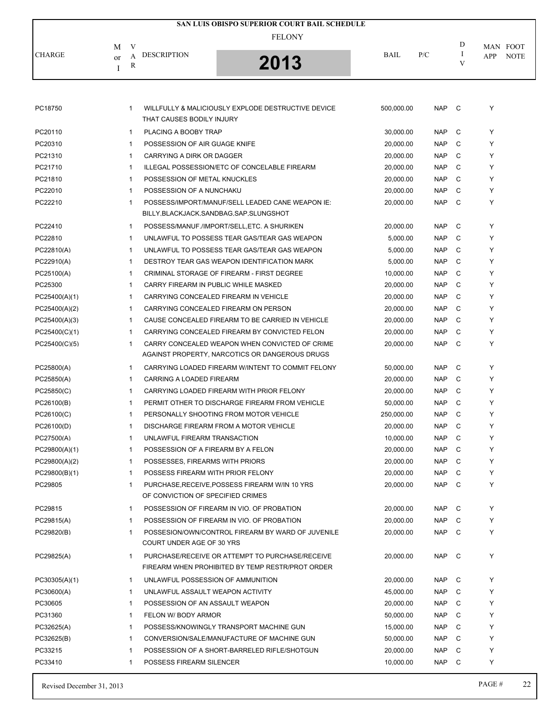|               |         |              |                                      | SAN LUIS OBISPO SUPERIOR COURT BAIL SCHEDULE                                                        |             |            |               |     |                         |
|---------------|---------|--------------|--------------------------------------|-----------------------------------------------------------------------------------------------------|-------------|------------|---------------|-----|-------------------------|
|               |         |              |                                      | <b>FELONY</b>                                                                                       |             |            |               |     |                         |
| <b>CHARGE</b> | М       | V<br>A       | <b>DESCRIPTION</b>                   |                                                                                                     | <b>BAIL</b> | P/C        | D<br>$\bf{I}$ | APP | MAN FOOT<br><b>NOTE</b> |
|               | or<br>I | R            |                                      | 2013                                                                                                |             |            | V             |     |                         |
|               |         |              |                                      |                                                                                                     |             |            |               |     |                         |
|               |         |              |                                      |                                                                                                     |             |            |               |     |                         |
| PC18750       |         | 1            | THAT CAUSES BODILY INJURY            | WILLFULLY & MALICIOUSLY EXPLODE DESTRUCTIVE DEVICE                                                  | 500,000.00  | NAP C      |               | Υ   |                         |
| PC20110       |         | $\mathbf{1}$ | PLACING A BOOBY TRAP                 |                                                                                                     | 30,000.00   | <b>NAP</b> | C             | Υ   |                         |
| PC20310       |         | 1            | POSSESSION OF AIR GUAGE KNIFE        |                                                                                                     | 20,000.00   | <b>NAP</b> | C             | Y   |                         |
| PC21310       |         | 1            | CARRYING A DIRK OR DAGGER            |                                                                                                     | 20,000.00   | <b>NAP</b> | C             | Y   |                         |
| PC21710       |         | $\mathbf{1}$ |                                      | ILLEGAL POSSESSION/ETC OF CONCELABLE FIREARM                                                        | 20,000.00   | <b>NAP</b> | C             | Y   |                         |
| PC21810       |         | 1            | POSSESSION OF METAL KNUCKLES         |                                                                                                     | 20,000.00   | <b>NAP</b> | C             | Y   |                         |
| PC22010       |         | 1            | POSSESSION OF A NUNCHAKU             |                                                                                                     | 20,000.00   | <b>NAP</b> | C             | Υ   |                         |
| PC22210       |         | $\mathbf{1}$ |                                      | POSSESS/IMPORT/MANUF/SELL LEADED CANE WEAPON IE:<br>BILLY, BLACKJACK, SANDBAG, SAP, SLUNGSHOT       | 20,000.00   | <b>NAP</b> | C             | Υ   |                         |
| PC22410       |         | $\mathbf{1}$ |                                      | POSSESS/MANUF./IMPORT/SELL, ETC. A SHURIKEN                                                         | 20,000.00   | <b>NAP</b> | C             | Y   |                         |
| PC22810       |         | $\mathbf{1}$ |                                      | UNLAWFUL TO POSSESS TEAR GAS/TEAR GAS WEAPON                                                        | 5,000.00    | <b>NAP</b> | C             | Υ   |                         |
| PC22810(A)    |         | 1            |                                      | UNLAWFUL TO POSSESS TEAR GAS/TEAR GAS WEAPON                                                        | 5,000.00    | <b>NAP</b> | C             | Υ   |                         |
| PC22910(A)    |         | $\mathbf{1}$ |                                      | DESTROY TEAR GAS WEAPON IDENTIFICATION MARK                                                         | 5,000.00    | <b>NAP</b> | C             | Y   |                         |
| PC25100(A)    |         | $\mathbf{1}$ |                                      | CRIMINAL STORAGE OF FIREARM - FIRST DEGREE                                                          | 10,000.00   | <b>NAP</b> | C             | Y   |                         |
| PC25300       |         | 1            | CARRY FIREARM IN PUBLIC WHILE MASKED |                                                                                                     | 20,000.00   | <b>NAP</b> | C             | Y   |                         |
| PC25400(A)(1) |         | $\mathbf{1}$ |                                      | CARRYING CONCEALED FIREARM IN VEHICLE                                                               | 20,000.00   | <b>NAP</b> | C             | Y   |                         |
| PC25400(A)(2) |         | $\mathbf{1}$ |                                      | CARRYING CONCEALED FIREARM ON PERSON                                                                | 20,000.00   | <b>NAP</b> | C             | Y   |                         |
| PC25400(A)(3) |         | $\mathbf{1}$ |                                      | CAUSE CONCEALED FIREARM TO BE CARRIED IN VEHICLE                                                    | 20,000.00   | <b>NAP</b> | C             | Υ   |                         |
| PC25400(C)(1) |         | $\mathbf{1}$ |                                      | CARRYING CONCEALED FIREARM BY CONVICTED FELON                                                       | 20,000.00   | <b>NAP</b> | C             | Υ   |                         |
| PC25400(C)(5) |         | $\mathbf{1}$ |                                      | CARRY CONCEALED WEAPON WHEN CONVICTED OF CRIME<br>AGAINST PROPERTY, NARCOTICS OR DANGEROUS DRUGS    | 20,000.00   | <b>NAP</b> | C             | Υ   |                         |
| PC25800(A)    |         | $\mathbf{1}$ |                                      | CARRYING LOADED FIREARM W/INTENT TO COMMIT FELONY                                                   | 50,000.00   | <b>NAP</b> | C             | Υ   |                         |
| PC25850(A)    |         | $\mathbf{1}$ | CARRING A LOADED FIREARM             |                                                                                                     | 20,000.00   | <b>NAP</b> | C             | Υ   |                         |
| PC25850(C)    |         | $\mathbf{1}$ |                                      | CARRYING LOADED FIREARM WITH PRIOR FELONY                                                           | 20,000.00   | <b>NAP</b> | C             | Υ   |                         |
| PC26100(B)    |         | $\mathbf{1}$ |                                      | PERMIT OTHER TO DISCHARGE FIREARM FROM VEHICLE                                                      | 50,000.00   | <b>NAP</b> | C             | Υ   |                         |
| PC26100(C)    |         | 1            |                                      | PERSONALLY SHOOTING FROM MOTOR VEHICLE                                                              | 250,000.00  | <b>NAP</b> | $\mathbf{C}$  | Y   |                         |
| PC26100(D)    |         |              |                                      | DISCHARGE FIREARM FROM A MOTOR VEHICLE                                                              | 20,000.00   | <b>NAP</b> | C             | Υ   |                         |
| PC27500(A)    |         | $\mathbf{1}$ | UNLAWFUL FIREARM TRANSACTION         |                                                                                                     | 10,000.00   | NAP        | C             | Υ   |                         |
| PC29800(A)(1) |         | $\mathbf{1}$ | POSSESSION OF A FIREARM BY A FELON   |                                                                                                     | 20,000.00   | NAP        | C             | Y   |                         |
| PC29800(A)(2) |         | $\mathbf{1}$ | POSSESSES, FIREARMS WITH PRIORS      |                                                                                                     | 20,000.00   | <b>NAP</b> | C             | Y   |                         |
| PC29800(B)(1) |         | $\mathbf{1}$ | POSSESS FIREARM WITH PRIOR FELONY    |                                                                                                     | 20,000.00   | <b>NAP</b> | C             | Υ   |                         |
| PC29805       |         | 1            | OF CONVICTION OF SPECIFIED CRIMES    | PURCHASE, RECEIVE, POSSESS FIREARM W/IN 10 YRS                                                      | 20,000.00   | NAP        | C             | Y   |                         |
| PC29815       |         | $\mathbf{1}$ |                                      | POSSESSION OF FIREARM IN VIO. OF PROBATION                                                          | 20,000.00   | NAP        | C             | Y   |                         |
| PC29815(A)    |         | $\mathbf{1}$ |                                      | POSSESSION OF FIREARM IN VIO. OF PROBATION                                                          | 20,000.00   | NAP        | C             | Y   |                         |
| PC29820(B)    |         | $\mathbf{1}$ | COURT UNDER AGE OF 30 YRS            | POSSESION/OWN/CONTROL FIREARM BY WARD OF JUVENILE                                                   | 20,000.00   | <b>NAP</b> | C             | Y   |                         |
| PC29825(A)    |         | 1            |                                      | PURCHASE/RECEIVE OR ATTEMPT TO PURCHASE/RECEIVE<br>FIREARM WHEN PROHIBITED BY TEMP RESTR/PROT ORDER | 20,000.00   | NAP C      |               | Y   |                         |
| PC30305(A)(1) |         | $\mathbf{1}$ | UNLAWFUL POSSESSION OF AMMUNITION    |                                                                                                     | 20,000.00   | NAP C      |               | Y   |                         |
| PC30600(A)    |         | $\mathbf{1}$ | UNLAWFUL ASSAULT WEAPON ACTIVITY     |                                                                                                     | 45,000.00   | <b>NAP</b> | C             | Y   |                         |
| PC30605       |         | $\mathbf{1}$ | POSSESSION OF AN ASSAULT WEAPON      |                                                                                                     | 20,000.00   | <b>NAP</b> | C             | Y   |                         |
| PC31360       |         | $\mathbf{1}$ | FELON W/ BODY ARMOR                  |                                                                                                     | 50,000.00   | NAP        | C             | Y   |                         |
| PC32625(A)    |         | $\mathbf{1}$ |                                      | POSSESS/KNOWINGLY TRANSPORT MACHINE GUN                                                             | 15,000.00   | <b>NAP</b> | C             | Y   |                         |
| PC32625(B)    |         | $\mathbf{1}$ |                                      | CONVERSION/SALE/MANUFACTURE OF MACHINE GUN                                                          | 50,000.00   | NAP        | C             | Y   |                         |
| PC33215       |         | 1            |                                      | POSSESSION OF A SHORT-BARRELED RIFLE/SHOTGUN                                                        | 20,000.00   | <b>NAP</b> | C             | Y   |                         |
| PC33410       |         | 1            | POSSESS FIREARM SILENCER             |                                                                                                     | 10,000.00   | NAP        | C             | Y   |                         |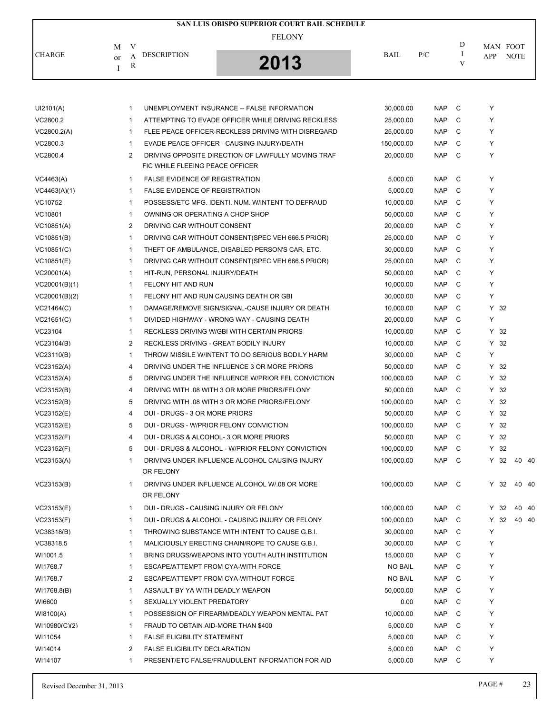|               |         |             |                                        | SAN LUIS OBISPO SUPERIOR COURT BAIL SCHEDULE       |                |            |        |        |                         |       |
|---------------|---------|-------------|----------------------------------------|----------------------------------------------------|----------------|------------|--------|--------|-------------------------|-------|
| <b>CHARGE</b> | М<br>or | V<br>A      | <b>DESCRIPTION</b>                     | <b>FELONY</b>                                      | <b>BAIL</b>    | P/C        | D<br>I | APP    | MAN FOOT<br><b>NOTE</b> |       |
|               | I       | R           |                                        | 2013                                               |                |            | V      |        |                         |       |
|               |         |             |                                        |                                                    |                |            |        |        |                         |       |
| UI2101(A)     |         | 1           |                                        | UNEMPLOYMENT INSURANCE -- FALSE INFORMATION        | 30,000.00      | <b>NAP</b> | C      | Υ      |                         |       |
| VC2800.2      |         | 1           |                                        | ATTEMPTING TO EVADE OFFICER WHILE DRIVING RECKLESS | 25,000.00      | <b>NAP</b> | C      | Υ      |                         |       |
| VC2800.2(A)   |         | 1           |                                        | FLEE PEACE OFFICER-RECKLESS DRIVING WITH DISREGARD | 25,000.00      | <b>NAP</b> | C      | Y      |                         |       |
| VC2800.3      |         | 1           |                                        | EVADE PEACE OFFICER - CAUSING INJURY/DEATH         | 150,000.00     | <b>NAP</b> | C      | Υ      |                         |       |
| VC2800.4      |         | 2           | FIC WHILE FLEEING PEACE OFFICER        | DRIVING OPPOSITE DIRECTION OF LAWFULLY MOVING TRAF | 20,000.00      | <b>NAP</b> | C      | Υ      |                         |       |
| VC4463(A)     |         | 1           | <b>FALSE EVIDENCE OF REGISTRATION</b>  |                                                    | 5,000.00       | <b>NAP</b> | C      | Υ      |                         |       |
| VC4463(A)(1)  |         | 1           | <b>FALSE EVIDENCE OF REGISTRATION</b>  |                                                    | 5,000.00       | <b>NAP</b> | C      | Y      |                         |       |
| VC10752       |         | 1           |                                        | POSSESS/ETC MFG. IDENTI. NUM. W/INTENT TO DEFRAUD  | 10,000.00      | <b>NAP</b> | C      | Y      |                         |       |
| VC10801       |         | 1           | OWNING OR OPERATING A CHOP SHOP        |                                                    | 50,000.00      | <b>NAP</b> | C      | Y      |                         |       |
| VC10851(A)    |         | 2           | DRIVING CAR WITHOUT CONSENT            |                                                    | 20,000.00      | <b>NAP</b> | C      | Υ      |                         |       |
| VC10851(B)    |         | 1           |                                        | DRIVING CAR WITHOUT CONSENT (SPEC VEH 666.5 PRIOR) | 25,000.00      | <b>NAP</b> | C      | Υ      |                         |       |
| VC10851(C)    |         | 1           |                                        | THEFT OF AMBULANCE, DISABLED PERSON'S CAR, ETC.    | 30,000.00      | <b>NAP</b> | C      | Υ      |                         |       |
| VC10851(E)    |         | 1           |                                        | DRIVING CAR WITHOUT CONSENT (SPEC VEH 666.5 PRIOR) | 25,000.00      | <b>NAP</b> | C      | Υ      |                         |       |
| VC20001(A)    |         | 1           | HIT-RUN, PERSONAL INJURY/DEATH         |                                                    | 50,000.00      | <b>NAP</b> | C      | Υ      |                         |       |
| VC20001(B)(1) |         | 1           | FELONY HIT AND RUN                     |                                                    | 10,000.00      | <b>NAP</b> | C      | Υ      |                         |       |
| VC20001(B)(2) |         | 1           |                                        | FELONY HIT AND RUN CAUSING DEATH OR GBI            | 30,000.00      | <b>NAP</b> | C      | Υ      |                         |       |
| VC21464(C)    |         | 1           |                                        | DAMAGE/REMOVE SIGN/SIGNAL-CAUSE INJURY OR DEATH    | 10,000.00      | <b>NAP</b> | C      | Y 32   |                         |       |
|               |         |             |                                        |                                                    |                |            | C      | Υ      |                         |       |
| VC21651(C)    |         | 1           |                                        | DIVIDED HIGHWAY - WRONG WAY - CAUSING DEATH        | 20,000.00      | <b>NAP</b> |        |        |                         |       |
| VC23104       |         | 1           |                                        | RECKLESS DRIVING W/GBI WITH CERTAIN PRIORS         | 10,000.00      | <b>NAP</b> | C      | Y 32   |                         |       |
| VC23104(B)    |         | 2           |                                        | RECKLESS DRIVING - GREAT BODILY INJURY             | 10,000.00      | <b>NAP</b> | C      | Y 32   |                         |       |
| VC23110(B)    |         | 1           |                                        | THROW MISSILE W/INTENT TO DO SERIOUS BODILY HARM   | 30,000.00      | <b>NAP</b> | C      | Υ      |                         |       |
| VC23152(A)    |         | 4           |                                        | DRIVING UNDER THE INFLUENCE 3 OR MORE PRIORS       | 50,000.00      | <b>NAP</b> | C      | Y 32   |                         |       |
| VC23152(A)    |         | 5           |                                        | DRIVING UNDER THE INFLUENCE W/PRIOR FEL CONVICTION | 100,000.00     | <b>NAP</b> | C      | Y 32   |                         |       |
| VC23152(B)    |         | 4           |                                        | DRIVING WITH .08 WITH 3 OR MORE PRIORS/FELONY      | 50,000.00      | <b>NAP</b> | C      | Y 32   |                         |       |
| VC23152(B)    |         | 5           |                                        | DRIVING WITH .08 WITH 3 OR MORE PRIORS/FELONY      | 100,000.00     | <b>NAP</b> | C      | Y 32   |                         |       |
| VC23152(E)    |         | 4           | DUI - DRUGS - 3 OR MORE PRIORS         |                                                    | 50,000.00      | <b>NAP</b> | C      | Y 32   |                         |       |
| VC23152(E)    |         | 5           |                                        | DUI - DRUGS - W/PRIOR FELONY CONVICTION            | 100,000.00     | <b>NAP</b> | C      | $Y$ 32 |                         |       |
| VC23152(F)    |         | 4           |                                        | DUI - DRUGS & ALCOHOL- 3 OR MORE PRIORS            | 50,000.00      | <b>NAP</b> | C      | Y 32   |                         |       |
| VC23152(F)    |         | 5           |                                        | DUI - DRUGS & ALCOHOL - W/PRIOR FELONY CONVICTION  | 100,000.00     | <b>NAP</b> | C      | Y 32   |                         |       |
| VC23153(A)    |         | 1           | OR FELONY                              | DRIVING UNDER INFLUENCE ALCOHOL CAUSING INJURY     | 100,000.00     | <b>NAP</b> | C      | Y 32   |                         | 40 40 |
| VC23153(B)    |         | 1           | OR FELONY                              | DRIVING UNDER INFLUENCE ALCOHOL W/.08 OR MORE      | 100,000.00     | <b>NAP</b> | C      | Y 32   |                         | 40 40 |
| VC23153(E)    |         | 1           | DUI - DRUGS - CAUSING INJURY OR FELONY |                                                    | 100,000.00     | <b>NAP</b> | C      | Y 32   |                         | 40 40 |
| VC23153(F)    |         | 1           |                                        | DUI - DRUGS & ALCOHOL - CAUSING INJURY OR FELONY   | 100,000.00     | <b>NAP</b> | C      | Y 32   |                         | 40 40 |
| VC38318(B)    |         | 1           |                                        | THROWING SUBSTANCE WITH INTENT TO CAUSE G.B.I.     | 30,000.00      | <b>NAP</b> | C      | Y      |                         |       |
| VC38318.5     |         | 1           |                                        | MALICIOUSLY ERECTING CHAIN/ROPE TO CAUSE G.B.I.    | 30,000.00      | <b>NAP</b> | C      | Υ      |                         |       |
| WI1001.5      |         | 1           |                                        | BRING DRUGS/WEAPONS INTO YOUTH AUTH INSTITUTION    | 15,000.00      | <b>NAP</b> | C      | Y      |                         |       |
| WI1768.7      |         | 1           | ESCAPE/ATTEMPT FROM CYA-WITH FORCE     |                                                    | <b>NO BAIL</b> | <b>NAP</b> | C      | Υ      |                         |       |
| WI1768.7      |         | 2           |                                        | ESCAPE/ATTEMPT FROM CYA-WITHOUT FORCE              | <b>NO BAIL</b> | <b>NAP</b> | C      | Υ      |                         |       |
| WI1768.8(B)   |         | 1           | ASSAULT BY YA WITH DEADLY WEAPON       |                                                    | 50,000.00      | <b>NAP</b> | C      | Y      |                         |       |
| WI6600        |         | 1           | SEXUALLY VIOLENT PREDATORY             |                                                    | 0.00           | <b>NAP</b> | C      | Υ      |                         |       |
| WI8100(A)     |         | 1           |                                        | POSSESSION OF FIREARM/DEADLY WEAPON MENTAL PAT     | 10,000.00      | <b>NAP</b> | C      | Υ      |                         |       |
| WI10980(C)(2) |         | 1           | FRAUD TO OBTAIN AID-MORE THAN \$400    |                                                    | 5,000.00       | <b>NAP</b> | C      | Y      |                         |       |
| WI11054       |         | 1           | <b>FALSE ELIGIBILITY STATEMENT</b>     |                                                    | 5,000.00       | <b>NAP</b> | C      | Υ      |                         |       |
| WI14014       |         | 2           | <b>FALSE ELIGIBILITY DECLARATION</b>   |                                                    | 5,000.00       | <b>NAP</b> | C      | Υ      |                         |       |
| WI14107       |         | $\mathbf 1$ |                                        | PRESENT/ETC FALSE/FRAUDULENT INFORMATION FOR AID   | 5,000.00       | <b>NAP</b> | C      | Υ      |                         |       |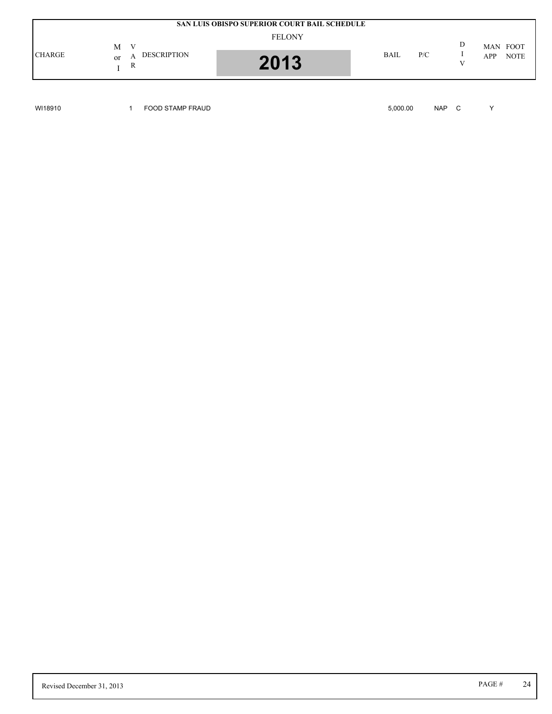|               |                                         | SAN LUIS OBISPO SUPERIOR COURT BAIL SCHEDULE |             |     |   |                                |
|---------------|-----------------------------------------|----------------------------------------------|-------------|-----|---|--------------------------------|
| <b>CHARGE</b> | M<br>V<br><b>DESCRIPTION</b><br>or<br>R | <b>FELONY</b><br>2013                        | <b>BAIL</b> | P/C | D | MAN FOOT<br><b>NOTE</b><br>APP |

WI18910 1 FOOD STAMP FRAUD 5,000.00 NAP C Y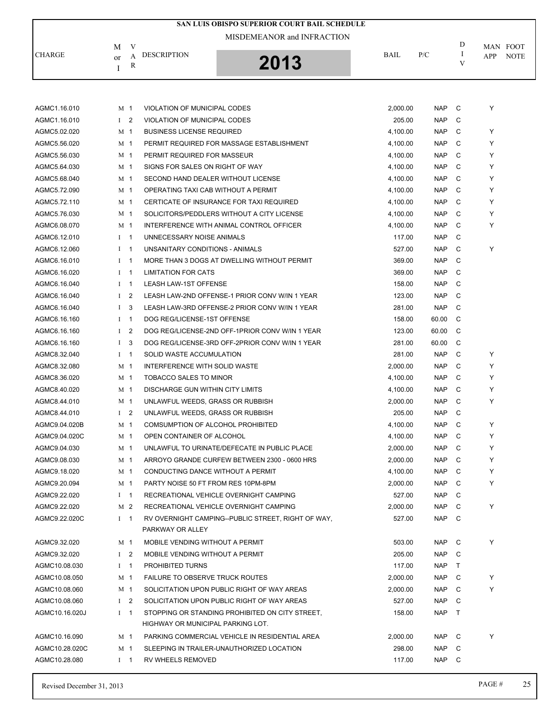|                              |                            |                |                                        | SAN LUIS OBISPO SUPERIOR COURT BAIL SCHEDULE       |                      |            |               |     |             |
|------------------------------|----------------------------|----------------|----------------------------------------|----------------------------------------------------|----------------------|------------|---------------|-----|-------------|
|                              | MISDEMEANOR and INFRACTION |                |                                        |                                                    |                      |            |               |     |             |
|                              | M                          | V              | <b>DESCRIPTION</b>                     |                                                    | <b>BAIL</b>          | P/C        | D<br>$\bf{I}$ |     | MAN FOOT    |
| <b>CHARGE</b>                | <sub>or</sub>              | A<br>R         |                                        | 2013                                               |                      |            | V             | APP | <b>NOTE</b> |
|                              | I                          |                |                                        |                                                    |                      |            |               |     |             |
|                              |                            |                |                                        |                                                    |                      |            |               |     |             |
| AGMC1.16.010                 | M 1                        |                | VIOLATION OF MUNICIPAL CODES           |                                                    | 2,000.00             | <b>NAP</b> | C             | Y   |             |
| AGMC1.16.010                 | I <sub>2</sub>             |                | VIOLATION OF MUNICIPAL CODES           |                                                    | 205.00               | <b>NAP</b> | C             |     |             |
| AGMC5.02.020                 |                            |                | <b>BUSINESS LICENSE REQUIRED</b>       |                                                    |                      | <b>NAP</b> | C             | Υ   |             |
| AGMC5.56.020                 | M 1<br>M 1                 |                |                                        | PERMIT REQUIRED FOR MASSAGE ESTABLISHMENT          | 4,100.00<br>4,100.00 | <b>NAP</b> | C             | Y   |             |
| AGMC5.56.030                 | M 1                        |                | PERMIT REQUIRED FOR MASSEUR            |                                                    | 4,100.00             | <b>NAP</b> | C             | Y   |             |
| AGMC5.64.030                 | M 1                        |                | SIGNS FOR SALES ON RIGHT OF WAY        |                                                    | 4,100.00             | <b>NAP</b> | C             | Y   |             |
| AGMC5.68.040                 | M <sub>1</sub>             |                | SECOND HAND DEALER WITHOUT LICENSE     |                                                    | 4,100.00             | <b>NAP</b> | C             | Y   |             |
| AGMC5.72.090                 | M 1                        |                | OPERATING TAXI CAB WITHOUT A PERMIT    |                                                    | 4,100.00             | <b>NAP</b> | C             | Y   |             |
| AGMC5.72.110                 | M 1                        |                |                                        | CERTICATE OF INSURANCE FOR TAXI REQUIRED           |                      | <b>NAP</b> | C             | Y   |             |
| AGMC5.76.030                 | M 1                        |                |                                        | SOLICITORS/PEDDLERS WITHOUT A CITY LICENSE         | 4,100.00<br>4,100.00 | <b>NAP</b> | C             | Y   |             |
| AGMC6.08.070                 |                            |                |                                        | INTERFERENCE WITH ANIMAL CONTROL OFFICER           |                      | <b>NAP</b> | C             | Y   |             |
|                              | M 1<br>$1 \quad 1$         |                | UNNECESSARY NOISE ANIMALS              |                                                    | 4,100.00             | <b>NAP</b> | C             |     |             |
| AGMC6.12.010<br>AGMC6.12.060 |                            |                | UNSANITARY CONDITIONS - ANIMALS        |                                                    | 117.00<br>527.00     | <b>NAP</b> | C             | Y   |             |
|                              | $I \quad 1$                |                |                                        | MORE THAN 3 DOGS AT DWELLING WITHOUT PERMIT        |                      |            | C             |     |             |
| AGMC6.16.010                 | $I \quad 1$                |                |                                        |                                                    | 369.00               | <b>NAP</b> |               |     |             |
| AGMC6.16.020                 | $I \quad 1$                |                | <b>LIMITATION FOR CATS</b>             |                                                    | 369.00               | <b>NAP</b> | C             |     |             |
| AGMC6.16.040                 | $\bf{I}$                   | $\mathbf 1$    | LEASH LAW-1ST OFFENSE                  |                                                    | 158.00               | <b>NAP</b> | C             |     |             |
| AGMC6.16.040                 | $\mathbf{I}$               | $\overline{2}$ |                                        | LEASH LAW-2ND OFFENSE-1 PRIOR CONV W/IN 1 YEAR     | 123.00               | <b>NAP</b> | C             |     |             |
| AGMC6.16.040                 | Ι.                         | 3              |                                        | LEASH LAW-3RD OFFENSE-2 PRIOR CONV W/IN 1 YEAR     | 281.00               | <b>NAP</b> | C             |     |             |
| AGMC6.16.160                 | $\bf{I}$                   | $\overline{1}$ | DOG REG/LICENSE-1ST OFFENSE            |                                                    | 158.00               | 60.00      | C             |     |             |
| AGMC6.16.160                 | $\mathbf{I}$               | $\overline{2}$ |                                        | DOG REG/LICENSE-2ND OFF-1PRIOR CONV W/IN 1 YEAR    | 123.00               | 60.00      | C             |     |             |
| AGMC6.16.160                 | $\bf{I}$                   | 3              |                                        | DOG REG/LICENSE-3RD OFF-2PRIOR CONV W/IN 1 YEAR    | 281.00               | 60.00      | C             |     |             |
| AGMC8.32.040                 | $\bf{I}$                   | $\mathbf{1}$   | SOLID WASTE ACCUMULATION               |                                                    | 281.00               | <b>NAP</b> | C             | Y   |             |
| AGMC8.32.080                 | M 1                        |                | INTERFERENCE WITH SOLID WASTE          |                                                    | 2,000.00             | <b>NAP</b> | C             | Υ   |             |
| AGMC8.36.020                 | M 1                        |                | TOBACCO SALES TO MINOR                 |                                                    | 4,100.00             | <b>NAP</b> | C             | Y   |             |
| AGMC8.40.020                 | M 1                        |                | DISCHARGE GUN WITHIN CITY LIMITS       |                                                    | 4,100.00             | <b>NAP</b> | C             | Y   |             |
| AGMC8.44.010                 |                            | M 1            | UNLAWFUL WEEDS, GRASS OR RUBBISH       |                                                    | 2,000.00             | <b>NAP</b> | C             | Y   |             |
| AGMC8.44.010                 | $1\quad 2$                 |                | UNLAWFUL WEEDS, GRASS OR RUBBISH       |                                                    | 205.00               | <b>NAP</b> | C             |     |             |
| AGMC9.04.020B                |                            | M 1            | COMSUMPTION OF ALCOHOL PROHIBITED      |                                                    | 4,100.00             | <b>NAP</b> | C             | Y   |             |
| AGMC9.04.020C                |                            | M 1            | OPEN CONTAINER OF ALCOHOL              |                                                    | 4,100.00             | NAP C      |               | Υ   |             |
| AGMC9.04.030                 | M 1                        |                |                                        | UNLAWFUL TO URINATE/DEFECATE IN PUBLIC PLACE       | 2,000.00             | <b>NAP</b> | C             | Υ   |             |
| AGMC9.08.030                 |                            | M 1            |                                        | ARROYO GRANDE CURFEW BETWEEN 2300 - 0600 HRS       | 2,000.00             | <b>NAP</b> | C             | Υ   |             |
| AGMC9.18.020                 | M 1                        |                | CONDUCTING DANCE WITHOUT A PERMIT      |                                                    | 4,100.00             | <b>NAP</b> | C             | Y   |             |
| AGMC9.20.094                 | M 1                        |                | PARTY NOISE 50 FT FROM RES 10PM-8PM    |                                                    | 2,000.00             | <b>NAP</b> | C             | Y   |             |
| AGMC9.22.020                 | $I \quad 1$                |                |                                        | RECREATIONAL VEHICLE OVERNIGHT CAMPING             | 527.00               | <b>NAP</b> | C             |     |             |
| AGMC9.22.020                 |                            | M 2            |                                        | RECREATIONAL VEHICLE OVERNIGHT CAMPING             | 2.000.00             | <b>NAP</b> | C             | Υ   |             |
| AGMC9.22.020C                | $I \quad 1$                |                | PARKWAY OR ALLEY                       | RV OVERNIGHT CAMPING--PUBLIC STREET, RIGHT OF WAY, | 527.00               | NAP        | $\mathbf{C}$  |     |             |
| AGMC9.32.020                 |                            | M 1            | MOBILE VENDING WITHOUT A PERMIT        |                                                    | 503.00               | NAP C      |               | Υ   |             |
| AGMC9.32.020                 | I <sub>2</sub>             |                | MOBILE VENDING WITHOUT A PERMIT        |                                                    | 205.00               | <b>NAP</b> | C             |     |             |
| AGMC10.08.030                | $I \quad 1$                |                | PROHIBITED TURNS                       |                                                    | 117.00               | <b>NAP</b> | T             |     |             |
| AGMC10.08.050                | M 1                        |                | <b>FAILURE TO OBSERVE TRUCK ROUTES</b> |                                                    | 2,000.00             | <b>NAP</b> | C             | Υ   |             |
| AGMC10.08.060                | M 1                        |                |                                        | SOLICITATION UPON PUBLIC RIGHT OF WAY AREAS        | 2,000.00             | <b>NAP</b> | C             | Υ   |             |
| AGMC10.08.060                | I <sub>2</sub>             |                |                                        | SOLICITATION UPON PUBLIC RIGHT OF WAY AREAS        | 527.00               | <b>NAP</b> | C             |     |             |
| AGMC10.16.020J               | $I \quad 1$                |                |                                        | STOPPING OR STANDING PROHIBITED ON CITY STREET,    | 158.00               | <b>NAP</b> | $\top$        |     |             |
|                              |                            |                | HIGHWAY OR MUNICIPAL PARKING LOT.      |                                                    |                      |            |               |     |             |
| AGMC10.16.090                |                            | M 1            |                                        | PARKING COMMERCIAL VEHICLE IN RESIDENTIAL AREA     | 2,000.00             | <b>NAP</b> | C             | Υ   |             |
| AGMC10.28.020C               | M 1                        |                |                                        | SLEEPING IN TRAILER-UNAUTHORIZED LOCATION          | 298.00               | <b>NAP</b> | C             |     |             |
| AGMC10.28.080                | $I \quad 1$                |                | RV WHEELS REMOVED                      |                                                    | 117.00               | NAP C      |               |     |             |
|                              |                            |                |                                        |                                                    |                      |            |               |     |             |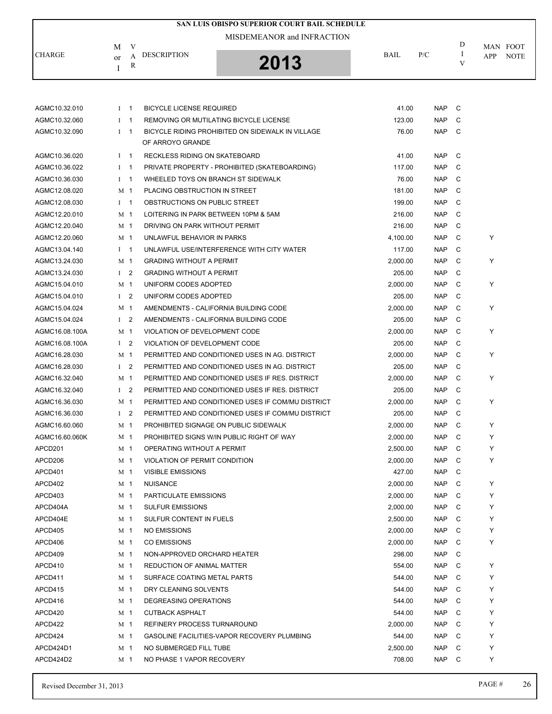|                            |                |        |                                      | <b>SAN LUIS OBISPO SUPERIOR COURT BAIL SCHEDULE</b> |          |            |        |     |             |
|----------------------------|----------------|--------|--------------------------------------|-----------------------------------------------------|----------|------------|--------|-----|-------------|
| MISDEMEANOR and INFRACTION |                |        |                                      |                                                     |          |            |        |     |             |
| <b>CHARGE</b>              | М              | V      | <b>DESCRIPTION</b>                   |                                                     | BAIL     | P/C        | D<br>Ι |     | MAN FOOT    |
|                            | or             | A<br>R |                                      | 2013                                                |          |            | V      | APP | <b>NOTE</b> |
|                            | I              |        |                                      |                                                     |          |            |        |     |             |
|                            |                |        |                                      |                                                     |          |            |        |     |             |
|                            |                |        |                                      |                                                     |          |            |        |     |             |
| AGMC10.32.010              | $I \quad 1$    |        | <b>BICYCLE LICENSE REQUIRED</b>      |                                                     | 41.00    | <b>NAP</b> | C      |     |             |
| AGMC10.32.060              | $1 \quad 1$    |        |                                      | REMOVING OR MUTILATING BICYCLE LICENSE              | 123.00   | <b>NAP</b> | C      |     |             |
| AGMC10.32.090              | $I \quad 1$    |        | OF ARROYO GRANDE                     | BICYCLE RIDING PROHIBITED ON SIDEWALK IN VILLAGE    | 76.00    | <b>NAP</b> | C      |     |             |
| AGMC10.36.020              | $I \quad 1$    |        | RECKLESS RIDING ON SKATEBOARD        |                                                     | 41.00    | <b>NAP</b> | C      |     |             |
| AGMC10.36.022              | $I \quad 1$    |        |                                      | PRIVATE PROPERTY - PROHIBITED (SKATEBOARDING)       | 117.00   | <b>NAP</b> | C      |     |             |
| AGMC10.36.030              | $I \quad 1$    |        | WHEELED TOYS ON BRANCH ST SIDEWALK   |                                                     | 76.00    | <b>NAP</b> | C      |     |             |
| AGMC12.08.020              | M 1            |        | PLACING OBSTRUCTION IN STREET        |                                                     | 181.00   | <b>NAP</b> | C      |     |             |
| AGMC12.08.030              | $I \quad 1$    |        | OBSTRUCTIONS ON PUBLIC STREET        |                                                     | 199.00   | <b>NAP</b> | C      |     |             |
| AGMC12.20.010              | M 1            |        | LOITERING IN PARK BETWEEN 10PM & 5AM |                                                     | 216.00   | <b>NAP</b> | C      |     |             |
|                            |                |        |                                      |                                                     |          |            |        |     |             |
| AGMC12.20.040              | M 1            |        | DRIVING ON PARK WITHOUT PERMIT       |                                                     | 216.00   | <b>NAP</b> | C      |     |             |
| AGMC12.20.060              | M 1            |        | UNLAWFUL BEHAVIOR IN PARKS           |                                                     | 4,100.00 | <b>NAP</b> | C      | Y   |             |
| AGMC13.04.140              | $I \quad 1$    |        |                                      | UNLAWFUL USE/INTERFERENCE WITH CITY WATER           | 117.00   | <b>NAP</b> | C      |     |             |
| AGMC13.24.030              | M 1            |        | <b>GRADING WITHOUT A PERMIT</b>      |                                                     | 2,000.00 | <b>NAP</b> | C      | Y   |             |
| AGMC13.24.030              | I <sub>2</sub> |        | <b>GRADING WITHOUT A PERMIT</b>      |                                                     | 205.00   | <b>NAP</b> | C      |     |             |
| AGMC15.04.010              | M 1            |        | UNIFORM CODES ADOPTED                |                                                     | 2,000.00 | <b>NAP</b> | C      | Y   |             |
| AGMC15.04.010              | $1\quad 2$     |        | UNIFORM CODES ADOPTED                |                                                     | 205.00   | <b>NAP</b> | C      |     |             |
| AGMC15.04.024              | M 1            |        |                                      | AMENDMENTS - CALIFORNIA BUILDING CODE               | 2,000.00 | <b>NAP</b> | C      | Y   |             |
| AGMC15.04.024              | $1\quad 2$     |        |                                      | AMENDMENTS - CALIFORNIA BUILDING CODE               | 205.00   | <b>NAP</b> | C      |     |             |
| AGMC16.08.100A             | M 1            |        | VIOLATION OF DEVELOPMENT CODE        |                                                     | 2,000.00 | <b>NAP</b> | C      | Y   |             |
| AGMC16.08.100A             | $\mathbf{I}$   | 2      | VIOLATION OF DEVELOPMENT CODE        |                                                     | 205.00   | <b>NAP</b> | C      |     |             |
| AGMC16.28.030              | M 1            |        |                                      | PERMITTED AND CONDITIONED USES IN AG. DISTRICT      | 2,000.00 | <b>NAP</b> | C      | Y   |             |
| AGMC16.28.030              | $1\quad 2$     |        |                                      | PERMITTED AND CONDITIONED USES IN AG. DISTRICT      | 205.00   | <b>NAP</b> | C      |     |             |
| AGMC16.32.040              | M 1            |        |                                      | PERMITTED AND CONDITIONED USES IF RES. DISTRICT     | 2,000.00 | <b>NAP</b> | C      | Y   |             |
| AGMC16.32.040              | $1\quad 2$     |        |                                      | PERMITTED AND CONDITIONED USES IF RES. DISTRICT     | 205.00   | <b>NAP</b> | C      |     |             |
| AGMC16.36.030              | M 1            |        |                                      | PERMITTED AND CONDITIONED USES IF COM/MU DISTRICT   | 2,000.00 | <b>NAP</b> | C      | Υ   |             |
| AGMC16.36.030              | I <sub>2</sub> |        |                                      | PERMITTED AND CONDITIONED USES IF COM/MU DISTRICT   | 205.00   | <b>NAP</b> | C      |     |             |
| AGMC16.60.060              | M 1            |        |                                      | PROHIBITED SIGNAGE ON PUBLIC SIDEWALK               | 2,000.00 | NAP C      |        | Υ   |             |
| AGMC16.60.060K             | M 1            |        |                                      | PROHIBITED SIGNS W/IN PUBLIC RIGHT OF WAY           | 2,000.00 | <b>NAP</b> | C      | Υ   |             |
| APCD <sub>201</sub>        | M 1            |        | OPERATING WITHOUT A PERMIT           |                                                     | 2,500.00 | <b>NAP</b> | C      | Y   |             |
| APCD206                    | M 1            |        | VIOLATION OF PERMIT CONDITION        |                                                     | 2,000.00 | <b>NAP</b> | C      | Y   |             |
| APCD401                    | M 1            |        | <b>VISIBLE EMISSIONS</b>             |                                                     | 427.00   | <b>NAP</b> | C      |     |             |
| APCD402                    | M 1            |        | <b>NUISANCE</b>                      |                                                     | 2,000.00 | <b>NAP</b> | C      | Y   |             |
| APCD403                    | M 1            |        | <b>PARTICULATE EMISSIONS</b>         |                                                     | 2,000.00 | <b>NAP</b> | C      | Y   |             |
| APCD404A                   | M 1            |        | <b>SULFUR EMISSIONS</b>              |                                                     | 2,000.00 | <b>NAP</b> | C      | Υ   |             |
| APCD404E                   | M 1            |        | SULFUR CONTENT IN FUELS              |                                                     | 2,500.00 | <b>NAP</b> | C      | Y   |             |
| APCD405                    | M <sub>1</sub> |        | <b>NO EMISSIONS</b>                  |                                                     | 2,000.00 | <b>NAP</b> | C      | Y   |             |
| APCD406                    | M 1            |        | <b>CO EMISSIONS</b>                  |                                                     | 2,000.00 | <b>NAP</b> | C      | Y   |             |
| APCD409                    | M 1            |        | NON-APPROVED ORCHARD HEATER          |                                                     | 298.00   | <b>NAP</b> | C      |     |             |
| APCD410                    | M 1            |        | REDUCTION OF ANIMAL MATTER           |                                                     | 554.00   | <b>NAP</b> | C      | Y   |             |
| APCD411                    | M 1            |        | SURFACE COATING METAL PARTS          |                                                     | 544.00   | <b>NAP</b> | C      | Υ   |             |
| APCD415                    | M 1            |        | DRY CLEANING SOLVENTS                |                                                     | 544.00   | <b>NAP</b> | C      | Y   |             |
| APCD416                    | M 1            |        | DEGREASING OPERATIONS                |                                                     | 544.00   | <b>NAP</b> | C      | Y   |             |
| APCD420                    | M 1            |        | <b>CUTBACK ASPHALT</b>               |                                                     | 544.00   | <b>NAP</b> | C      | Υ   |             |
| APCD422                    | M 1            |        | REFINERY PROCESS TURNAROUND          |                                                     | 2,000.00 | <b>NAP</b> | C      | Y   |             |
| APCD424                    | M 1            |        |                                      | GASOLINE FACILITIES-VAPOR RECOVERY PLUMBING         | 544.00   | <b>NAP</b> | C      | Y   |             |
| APCD424D1                  | M 1            |        | NO SUBMERGED FILL TUBE               |                                                     | 2,500.00 | <b>NAP</b> | C      | Υ   |             |
| APCD424D2                  | M 1            |        | NO PHASE 1 VAPOR RECOVERY            |                                                     | 708.00   | NAP        | C      | Y   |             |
|                            |                |        |                                      |                                                     |          |            |        |     |             |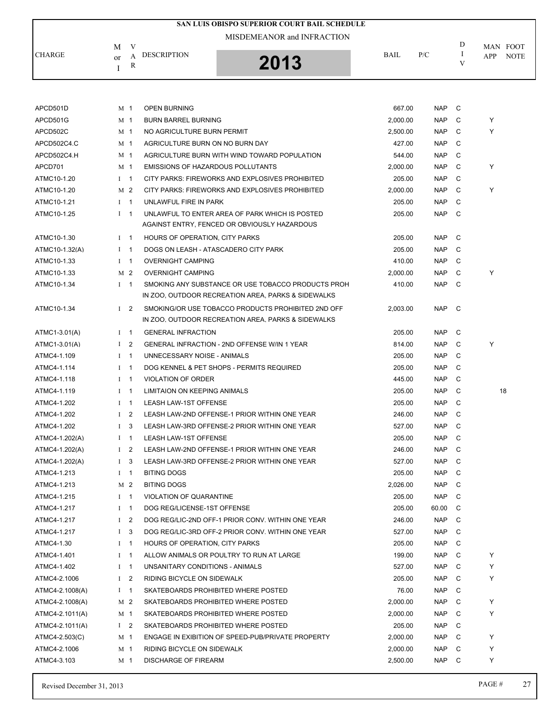| SAN LUIS OBISPO SUPERIOR COURT BAIL SCHEDULE |               |                |                                                    |          |            |               |                    |  |  |  |
|----------------------------------------------|---------------|----------------|----------------------------------------------------|----------|------------|---------------|--------------------|--|--|--|
|                                              |               |                | MISDEMEANOR and INFRACTION                         |          |            |               |                    |  |  |  |
|                                              | M             | V              |                                                    |          |            | D             | MAN FOOT           |  |  |  |
| <b>CHARGE</b>                                | <sub>or</sub> | A<br>R         | <b>DESCRIPTION</b><br>2013                         | BAIL     | P/C        | $\bf{I}$<br>V | APP<br><b>NOTE</b> |  |  |  |
|                                              | I             |                |                                                    |          |            |               |                    |  |  |  |
|                                              |               |                |                                                    |          |            |               |                    |  |  |  |
| APCD501D                                     |               | M 1            | <b>OPEN BURNING</b>                                | 667.00   | <b>NAP</b> | C             |                    |  |  |  |
| APCD501G                                     |               | M <sub>1</sub> | <b>BURN BARREL BURNING</b>                         | 2.000.00 | <b>NAP</b> | C             | Y                  |  |  |  |
| APCD502C                                     |               | M <sub>1</sub> | NO AGRICULTURE BURN PERMIT                         | 2,500.00 | <b>NAP</b> | C             | Y                  |  |  |  |
| APCD502C4.C                                  |               | M 1            | AGRICULTURE BURN ON NO BURN DAY                    | 427.00   | <b>NAP</b> | C             |                    |  |  |  |
| APCD502C4.H                                  |               | M <sub>1</sub> | AGRICULTURE BURN WITH WIND TOWARD POPULATION       | 544.00   | <b>NAP</b> | C             |                    |  |  |  |
| APCD701                                      |               | M 1            | <b>EMISSIONS OF HAZARDOUS POLLUTANTS</b>           | 2,000.00 | <b>NAP</b> | C             | Y                  |  |  |  |
| ATMC10-1.20                                  | $I \quad 1$   |                | CITY PARKS: FIREWORKS AND EXPLOSIVES PROHIBITED    | 205.00   | <b>NAP</b> | C             |                    |  |  |  |
| ATMC10-1.20                                  |               | M 2            | CITY PARKS: FIREWORKS AND EXPLOSIVES PROHIBITED    | 2,000.00 | <b>NAP</b> | C             | Y                  |  |  |  |
| ATMC10-1.21                                  |               | $I \quad 1$    | UNLAWFUL FIRE IN PARK                              | 205.00   | <b>NAP</b> | C             |                    |  |  |  |
| ATMC10-1.25                                  | $I \quad 1$   |                | UNLAWFUL TO ENTER AREA OF PARK WHICH IS POSTED     | 205.00   | <b>NAP</b> | C             |                    |  |  |  |
|                                              |               |                | AGAINST ENTRY, FENCED OR OBVIOUSLY HAZARDOUS       |          |            |               |                    |  |  |  |
| ATMC10-1.30                                  | $I \quad 1$   |                | HOURS OF OPERATION, CITY PARKS                     | 205.00   | <b>NAP</b> | C             |                    |  |  |  |
| ATMC10-1.32(A)                               | $I \quad 1$   |                | DOGS ON LEASH - ATASCADERO CITY PARK               | 205.00   | <b>NAP</b> | C             |                    |  |  |  |
| ATMC10-1.33                                  | $I \quad 1$   |                | <b>OVERNIGHT CAMPING</b>                           | 410.00   | <b>NAP</b> | C             |                    |  |  |  |
| ATMC10-1.33                                  |               | M <sub>2</sub> | <b>OVERNIGHT CAMPING</b>                           | 2,000.00 | <b>NAP</b> | C             | Υ                  |  |  |  |
| ATMC10-1.34                                  |               | $I \quad 1$    | SMOKING ANY SUBSTANCE OR USE TOBACCO PRODUCTS PROH | 410.00   | <b>NAP</b> | C             |                    |  |  |  |
|                                              |               |                | IN ZOO, OUTDOOR RECREATION AREA, PARKS & SIDEWALKS |          |            |               |                    |  |  |  |
| ATMC10-1.34                                  |               | $1\quad 2$     | SMOKING/OR USE TOBACCO PRODUCTS PROHIBITED 2ND OFF | 2,003.00 | <b>NAP</b> | $\mathbf C$   |                    |  |  |  |
|                                              |               |                | IN ZOO, OUTDOOR RECREATION AREA, PARKS & SIDEWALKS |          |            |               |                    |  |  |  |
| ATMC1-3.01(A)                                |               | $I \quad 1$    | <b>GENERAL INFRACTION</b>                          | 205.00   | <b>NAP</b> | C             |                    |  |  |  |
| ATMC1-3.01(A)                                | $\mathbf{I}$  | 2              | GENERAL INFRACTION - 2ND OFFENSE W/IN 1 YEAR       | 814.00   | <b>NAP</b> | C             | Y                  |  |  |  |
| ATMC4-1.109                                  | $I \quad 1$   |                | UNNECESSARY NOISE - ANIMALS                        | 205.00   | <b>NAP</b> | C             |                    |  |  |  |
| ATMC4-1.114                                  | $\bf{I}$      | - 1            | DOG KENNEL & PET SHOPS - PERMITS REQUIRED          | 205.00   | <b>NAP</b> | C             |                    |  |  |  |
| ATMC4-1.118                                  | $I \quad 1$   |                | <b>VIOLATION OF ORDER</b>                          | 445.00   | <b>NAP</b> | C             |                    |  |  |  |
| ATMC4-1.119                                  | $1 \quad 1$   |                | LIMITAION ON KEEPING ANIMALS                       | 205.00   | NAP        | C             | 18                 |  |  |  |
| ATMC4-1.202                                  | Ι.            | -1             | LEASH LAW-1ST OFFENSE                              | 205.00   | <b>NAP</b> | C             |                    |  |  |  |
| ATMC4-1.202                                  | $\mathbf{I}$  | 2              | LEASH LAW-2ND OFFENSE-1 PRIOR WITHIN ONE YEAR      | 246.00   | <b>NAP</b> | C             |                    |  |  |  |
| ATMC4-1.202                                  | $\mathbf{I}$  | 3              | LEASH LAW-3RD OFFENSE-2 PRIOR WITHIN ONE YEAR      | 527.00   | NAP        | $\mathbf C$   |                    |  |  |  |
| ATMC4-1.202(A)                               |               | $I \quad 1$    | <b>LEASH LAW-1ST OFFENSE</b>                       | 205.00   | NAP        | C             |                    |  |  |  |
| ATMC4-1.202(A)                               |               | I <sub>2</sub> | LEASH LAW-2ND OFFENSE-1 PRIOR WITHIN ONE YEAR      | 246.00   | NAP        | C             |                    |  |  |  |
| ATMC4-1.202(A)                               |               | $1 \quad 3$    | LEASH LAW-3RD OFFENSE-2 PRIOR WITHIN ONE YEAR      | 527.00   | NAP        | C             |                    |  |  |  |
| ATMC4-1.213                                  |               | $I \quad 1$    | <b>BITING DOGS</b>                                 | 205.00   | NAP        | C             |                    |  |  |  |
| ATMC4-1.213                                  |               | M <sub>2</sub> | <b>BITING DOGS</b>                                 | 2,026.00 | NAP        | C             |                    |  |  |  |
| ATMC4-1.215                                  |               | $I \quad 1$    | VIOLATION OF QUARANTINE                            | 205.00   | NAP C      |               |                    |  |  |  |
| ATMC4-1.217                                  | $I \quad 1$   |                | DOG REG/LICENSE-1ST OFFENSE                        | 205.00   | 60.00      | C             |                    |  |  |  |
| ATMC4-1.217                                  |               | I <sub>2</sub> | DOG REG/LIC-2ND OFF-1 PRIOR CONV. WITHIN ONE YEAR  | 246.00   | NAP        | C             |                    |  |  |  |
| ATMC4-1.217                                  | $\mathbf{I}$  | 3              | DOG REG/LIC-3RD OFF-2 PRIOR CONV. WITHIN ONE YEAR  | 527.00   | NAP        | C             |                    |  |  |  |
| ATMC4-1.30                                   |               | $1 \quad 1$    | HOURS OF OPERATION, CITY PARKS                     | 205.00   | NAP        | C             |                    |  |  |  |
| ATMC4-1.401                                  |               | $I \quad 1$    | ALLOW ANIMALS OR POULTRY TO RUN AT LARGE           | 199.00   | NAP        | C             | Y                  |  |  |  |
| ATMC4-1.402                                  |               | $I \quad 1$    | UNSANITARY CONDITIONS - ANIMALS                    | 527.00   | NAP        | C             | Y                  |  |  |  |
| ATMC4-2.1006                                 |               | $1\quad 2$     | RIDING BICYCLE ON SIDEWALK                         | 205.00   | NAP        | C             | Y                  |  |  |  |
| ATMC4-2.1008(A)                              |               | $I \quad 1$    | SKATEBOARDS PROHIBITED WHERE POSTED                | 76.00    | NAP        | C             |                    |  |  |  |
| ATMC4-2.1008(A)                              |               | M 2            | SKATEBOARDS PROHIBITED WHERE POSTED                | 2,000.00 | NAP        | C             | Y                  |  |  |  |
| ATMC4-2.1011(A)                              |               | M 1            | SKATEBOARDS PROHIBITED WHERE POSTED                | 2,000.00 | NAP        | C             | Y                  |  |  |  |
| ATMC4-2.1011(A)                              |               | $1\quad 2$     | SKATEBOARDS PROHIBITED WHERE POSTED                | 205.00   | NAP        | C             |                    |  |  |  |
| ATMC4-2.503(C)                               |               | M 1            | ENGAGE IN EXIBITION OF SPEED-PUB/PRIVATE PROPERTY  | 2,000.00 | NAP        | C             | Y                  |  |  |  |
| ATMC4-2.1006                                 |               | M 1            | RIDING BICYCLE ON SIDEWALK                         | 2,000.00 | NAP        | C             | Y                  |  |  |  |
| ATMC4-3.103                                  |               | M 1            | <b>DISCHARGE OF FIREARM</b>                        | 2,500.00 | NAP        | - C           | Y                  |  |  |  |
|                                              |               |                |                                                    |          |            |               |                    |  |  |  |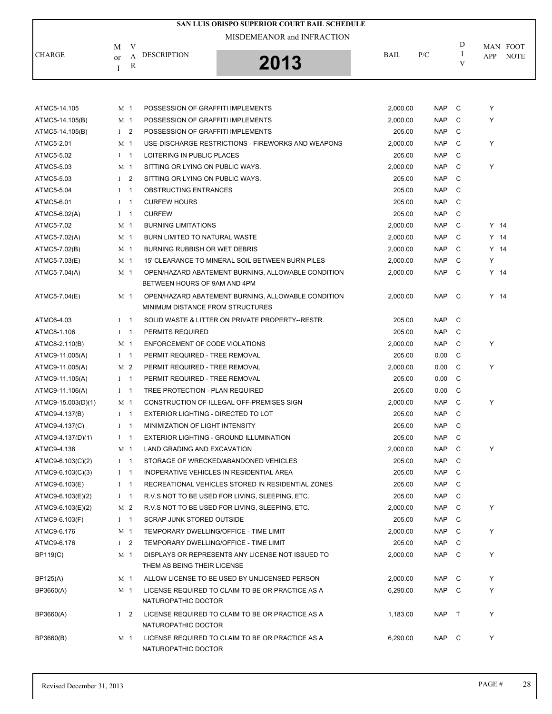| SAN LUIS OBISPO SUPERIOR COURT BAIL SCHEDULE |              |                |                                      |                                                    |          |            |              |        |             |  |  |
|----------------------------------------------|--------------|----------------|--------------------------------------|----------------------------------------------------|----------|------------|--------------|--------|-------------|--|--|
|                                              |              |                |                                      | MISDEMEANOR and INFRACTION                         |          |            |              |        |             |  |  |
|                                              | M            | V              |                                      |                                                    |          |            | D            |        | MAN FOOT    |  |  |
| <b>CHARGE</b>                                | or           | A              | <b>DESCRIPTION</b>                   | 2013                                               | BAIL     | P/C        | 1<br>V       | APP    | <b>NOTE</b> |  |  |
|                                              | T            | R              |                                      |                                                    |          |            |              |        |             |  |  |
|                                              |              |                |                                      |                                                    |          |            |              |        |             |  |  |
| ATMC5-14.105                                 |              | M 1            | POSSESSION OF GRAFFITI IMPLEMENTS    |                                                    | 2,000.00 | <b>NAP</b> | C            | Υ      |             |  |  |
| ATMC5-14.105(B)                              |              | M 1            | POSSESSION OF GRAFFITI IMPLEMENTS    |                                                    | 2,000.00 | <b>NAP</b> | C            | Y      |             |  |  |
| ATMC5-14.105(B)                              |              | $1\quad 2$     | POSSESSION OF GRAFFITI IMPLEMENTS    |                                                    | 205.00   | <b>NAP</b> | C            |        |             |  |  |
| ATMC5-2.01                                   |              | M 1            |                                      | USE-DISCHARGE RESTRICTIONS - FIREWORKS AND WEAPONS | 2,000.00 | <b>NAP</b> | C            | Y      |             |  |  |
| ATMC5-5.02                                   |              | $I \quad 1$    | LOITERING IN PUBLIC PLACES           |                                                    | 205.00   | <b>NAP</b> | C            |        |             |  |  |
| ATMC5-5.03                                   |              | M 1            | SITTING OR LYING ON PUBLIC WAYS.     |                                                    | 2,000.00 | <b>NAP</b> | C            | Y      |             |  |  |
| ATMC5-5.03                                   | $\mathbf I$  | $\overline{2}$ | SITTING OR LYING ON PUBLIC WAYS.     |                                                    | 205.00   | <b>NAP</b> | C            |        |             |  |  |
| ATMC5-5.04                                   | $\mathbf{I}$ | $\overline{1}$ | OBSTRUCTING ENTRANCES                |                                                    | 205.00   | <b>NAP</b> | C            |        |             |  |  |
|                                              | $\mathbf{I}$ | $\overline{1}$ |                                      |                                                    |          | <b>NAP</b> | C            |        |             |  |  |
| ATMC5-6.01                                   |              |                | <b>CURFEW HOURS</b><br><b>CURFEW</b> |                                                    | 205.00   | <b>NAP</b> | C            |        |             |  |  |
| ATMC5-6.02(A)                                |              | $I \quad 1$    |                                      |                                                    | 205.00   |            |              |        |             |  |  |
| ATMC5-7.02                                   |              | M 1            | <b>BURNING LIMITATIONS</b>           |                                                    | 2,000.00 | <b>NAP</b> | C            | $Y$ 14 |             |  |  |
| ATMC5-7.02(A)                                |              | M 1            | BURN LIMITED TO NATURAL WASTE        |                                                    | 2,000.00 | <b>NAP</b> | C            | $Y$ 14 |             |  |  |
| ATMC5-7.02(B)                                |              | M 1            | BURNING RUBBISH OR WET DEBRIS        |                                                    | 2,000.00 | <b>NAP</b> | C            | $Y$ 14 |             |  |  |
| ATMC5-7.03(E)                                |              | M 1            |                                      | 15' CLEARANCE TO MINERAL SOIL BETWEEN BURN PILES   | 2,000.00 | <b>NAP</b> | C            | Y      |             |  |  |
| ATMC5-7.04(A)                                |              | M 1            | BETWEEN HOURS OF 9AM AND 4PM         | OPEN/HAZARD ABATEMENT BURNING, ALLOWABLE CONDITION | 2,000.00 | <b>NAP</b> | C            | $Y$ 14 |             |  |  |
| ATMC5-7.04(E)                                |              | M 1            |                                      | OPEN/HAZARD ABATEMENT BURNING, ALLOWABLE CONDITION | 2,000.00 | <b>NAP</b> | $\mathbf{C}$ | $Y$ 14 |             |  |  |
|                                              |              |                | MINIMUM DISTANCE FROM STRUCTURES     |                                                    |          |            |              |        |             |  |  |
| ATMC6-4.03                                   |              | $I \quad 1$    |                                      | SOLID WASTE & LITTER ON PRIVATE PROPERTY--RESTR.   | 205.00   | <b>NAP</b> | C            |        |             |  |  |
| ATMC8-1.106                                  |              | $I \quad 1$    | PERMITS REQUIRED                     |                                                    | 205.00   | <b>NAP</b> | C            |        |             |  |  |
| ATMC8-2.110(B)                               |              | M 1            | ENFORCEMENT OF CODE VIOLATIONS       |                                                    | 2,000.00 | <b>NAP</b> | C            | Y      |             |  |  |
| ATMC9-11.005(A)                              |              | $I \quad 1$    | PERMIT REQUIRED - TREE REMOVAL       |                                                    | 205.00   | 0.00       | C            |        |             |  |  |
| ATMC9-11.005(A)                              |              | M 2            | PERMIT REQUIRED - TREE REMOVAL       |                                                    | 2.000.00 | 0.00       | C            | Y      |             |  |  |
| ATMC9-11.105(A)                              | $\bf{I}$     | $\overline{1}$ | PERMIT REQUIRED - TREE REMOVAL       |                                                    | 205.00   | 0.00       | C            |        |             |  |  |
| ATMC9-11.106(A)                              |              | $1 \quad 1$    | TREE PROTECTION - PLAN REQUIRED      |                                                    | 205.00   | 0.00       | C            |        |             |  |  |
| ATMC9-15.003(D)(1)                           |              | M 1            |                                      | CONSTRUCTION OF ILLEGAL OFF-PREMISES SIGN          | 2,000.00 | <b>NAP</b> | C            | Υ      |             |  |  |
| ATMC9-4.137(B)                               |              | $1 \quad 1$    | EXTERIOR LIGHTING - DIRECTED TO LOT  |                                                    | 205.00   | <b>NAP</b> | C            |        |             |  |  |
| ATMC9-4.137(C)                               |              | $I$ 1          | MINIMIZATION OF LIGHT INTENSITY      |                                                    | 205.00   | <b>NAP</b> | C            |        |             |  |  |
| ATMC9-4.137(D)(1)                            |              | $I \quad 1$    |                                      | EXTERIOR LIGHTING - GROUND ILLUMINATION            | 205.00   | <b>NAP</b> | C            |        |             |  |  |
| ATMC9-4.138                                  |              | M 1            | LAND GRADING AND EXCAVATION          |                                                    | 2,000.00 | <b>NAP</b> | C            | Y      |             |  |  |
| ATMC9-6.103(C)(2)                            |              | $I \quad 1$    |                                      | STORAGE OF WRECKED/ABANDONED VEHICLES              | 205.00   | <b>NAP</b> | C            |        |             |  |  |
| ATMC9-6.103(C)(3)                            |              | $I \quad 1$    |                                      | INOPERATIVE VEHICLES IN RESIDENTIAL AREA           | 205.00   | NAP        | C            |        |             |  |  |
| ATMC9-6.103(E)                               |              | $I \quad 1$    |                                      | RECREATIONAL VEHICLES STORED IN RESIDENTIAL ZONES  | 205.00   | NAP        | C            |        |             |  |  |
| ATMC9-6.103(E)(2)                            |              | $I \quad 1$    |                                      | R.V.S NOT TO BE USED FOR LIVING, SLEEPING, ETC.    | 205.00   | NAP        | C            |        |             |  |  |
| ATMC9-6.103(E)(2)                            |              | M 2            |                                      | R.V.S NOT TO BE USED FOR LIVING, SLEEPING, ETC.    | 2,000.00 | NAP        | C            | Y      |             |  |  |
| ATMC9-6.103(F)                               |              | $I \quad 1$    | <b>SCRAP JUNK STORED OUTSIDE</b>     |                                                    | 205.00   | <b>NAP</b> | C            |        |             |  |  |
| ATMC9-6.176                                  |              | M 1            |                                      | TEMPORARY DWELLING/OFFICE - TIME LIMIT             | 2,000.00 | NAP        | C            | Y      |             |  |  |
| ATMC9-6.176                                  |              | $1\quad 2$     |                                      | TEMPORARY DWELLING/OFFICE - TIME LIMIT             | 205.00   | <b>NAP</b> | C            |        |             |  |  |
| <b>BP119(C)</b>                              |              | M 1            |                                      | DISPLAYS OR REPRESENTS ANY LICENSE NOT ISSUED TO   | 2,000.00 | NAP        | - C          | Y      |             |  |  |
|                                              |              |                | THEM AS BEING THEIR LICENSE          |                                                    |          |            |              |        |             |  |  |
| BP125(A)                                     |              | M 1            |                                      | ALLOW LICENSE TO BE USED BY UNLICENSED PERSON      | 2,000.00 | NAP        | C            | Y      |             |  |  |
| BP3660(A)                                    |              | M 1            | NATUROPATHIC DOCTOR                  | LICENSE REQUIRED TO CLAIM TO BE OR PRACTICE AS A   | 6,290.00 | NAP C      |              | Y      |             |  |  |
| BP3660(A)                                    |              | $1\quad 2$     |                                      | LICENSE REQUIRED TO CLAIM TO BE OR PRACTICE AS A   | 1,183.00 | NAP        | $\top$       | Y      |             |  |  |
|                                              |              |                | NATUROPATHIC DOCTOR                  |                                                    |          |            |              |        |             |  |  |
| BP3660(B)                                    |              | M 1            | NATUROPATHIC DOCTOR                  | LICENSE REQUIRED TO CLAIM TO BE OR PRACTICE AS A   | 6,290.00 | NAP C      |              | Y      |             |  |  |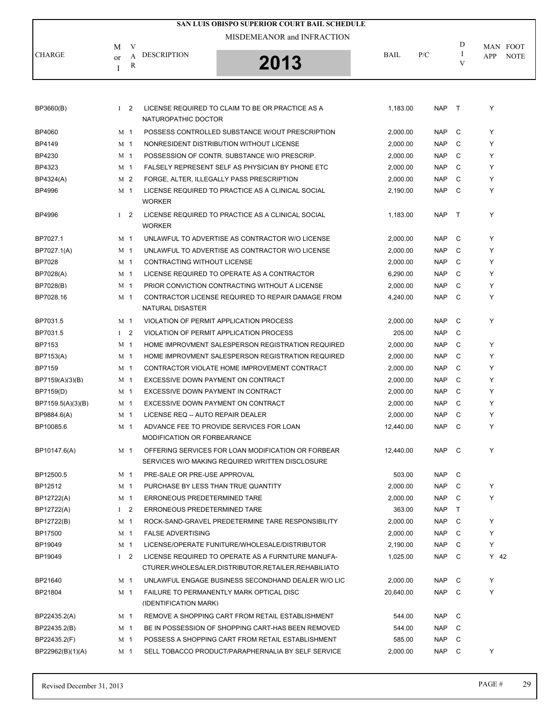| SAN LUIS OBISPO SUPERIOR COURT BAIL SCHEDULE |                |                |                                     |                                                                                                       |             |            |              |      |             |  |
|----------------------------------------------|----------------|----------------|-------------------------------------|-------------------------------------------------------------------------------------------------------|-------------|------------|--------------|------|-------------|--|
|                                              |                |                |                                     | MISDEMEANOR and INFRACTION                                                                            |             |            |              |      |             |  |
|                                              | M              | V              |                                     |                                                                                                       |             |            | D            |      | MAN FOOT    |  |
| CHARGE                                       | or             | А              | <b>DESCRIPTION</b>                  |                                                                                                       | <b>BAIL</b> | P/C        | I            | APP  | <b>NOTE</b> |  |
|                                              | I              | R              |                                     | 2013                                                                                                  |             |            | V            |      |             |  |
|                                              |                |                |                                     |                                                                                                       |             |            |              |      |             |  |
| BP3660(B)                                    |                | $1\quad 2$     |                                     | LICENSE REQUIRED TO CLAIM TO BE OR PRACTICE AS A                                                      | 1,183.00    | <b>NAP</b> | $\top$       | Υ    |             |  |
|                                              |                |                | NATUROPATHIC DOCTOR                 |                                                                                                       |             |            |              |      |             |  |
| BP4060                                       | M <sub>1</sub> |                |                                     | POSSESS CONTROLLED SUBSTANCE W/OUT PRESCRIPTION                                                       | 2,000.00    | <b>NAP</b> | C            | Y    |             |  |
| BP4149                                       | M <sub>1</sub> |                |                                     | NONRESIDENT DISTRIBUTION WITHOUT LICENSE                                                              | 2,000.00    | <b>NAP</b> | C            | Y    |             |  |
| BP4230                                       | M 1            |                |                                     | POSSESSION OF CONTR. SUBSTANCE W/O PRESCRIP.                                                          | 2,000.00    | <b>NAP</b> | C            | Y    |             |  |
| BP4323                                       | M 1            |                |                                     | FALSELY REPRESENT SELF AS PHYSICIAN BY PHONE ETC                                                      | 2,000.00    | <b>NAP</b> | C            | Y    |             |  |
| BP4324(A)                                    |                | M <sub>2</sub> |                                     | FORGE, ALTER, ILLEGALLY PASS PRESCRIPTION                                                             | 2,000.00    | <b>NAP</b> | C            | Y    |             |  |
| <b>BP4996</b>                                | M 1            |                | <b>WORKER</b>                       | LICENSE REQUIRED TO PRACTICE AS A CLINICAL SOCIAL                                                     | 2,190.00    | <b>NAP</b> | C            | Y    |             |  |
| <b>BP4996</b>                                |                | I <sub>2</sub> | <b>WORKER</b>                       | LICENSE REQUIRED TO PRACTICE AS A CLINICAL SOCIAL                                                     | 1,183.00    | <b>NAP</b> | $\top$       | Υ    |             |  |
| BP7027.1                                     | M <sub>1</sub> |                |                                     | UNLAWFUL TO ADVERTISE AS CONTRACTOR W/O LICENSE                                                       | 2,000.00    | <b>NAP</b> | C            | Y    |             |  |
| BP7027.1(A)                                  | M <sub>1</sub> |                |                                     | UNLAWFUL TO ADVERTISE AS CONTRACTOR W/O LICENSE                                                       | 2,000.00    | <b>NAP</b> | C            | Y    |             |  |
| <b>BP7028</b>                                | M 1            |                | CONTRACTING WITHOUT LICENSE         |                                                                                                       | 2,000.00    | <b>NAP</b> | C            | Y    |             |  |
| BP7028(A)                                    | M 1            |                |                                     | LICENSE REQUIRED TO OPERATE AS A CONTRACTOR                                                           | 6,290.00    | <b>NAP</b> | C            | Y    |             |  |
| BP7028(B)                                    | M <sub>1</sub> |                |                                     | PRIOR CONVICTION CONTRACTING WITHOUT A LICENSE                                                        | 2,000.00    | <b>NAP</b> | C            | Υ    |             |  |
| BP7028.16                                    | M 1            |                | NATURAL DISASTER                    | CONTRACTOR LICENSE REQUIRED TO REPAIR DAMAGE FROM                                                     | 4,240.00    | <b>NAP</b> | C            | Υ    |             |  |
| BP7031.5                                     | M <sub>1</sub> |                |                                     | VIOLATION OF PERMIT APPLICATION PROCESS                                                               | 2,000.00    | <b>NAP</b> | C            | Υ    |             |  |
| BP7031.5                                     |                | $1\quad 2$     |                                     | VIOLATION OF PERMIT APPLICATION PROCESS                                                               | 205.00      | <b>NAP</b> | C            |      |             |  |
| BP7153                                       | M 1            |                |                                     | HOME IMPROVMENT SALESPERSON REGISTRATION REQUIRED                                                     | 2,000.00    | <b>NAP</b> | C            | Υ    |             |  |
| BP7153(A)                                    | M <sub>1</sub> |                |                                     | HOME IMPROVMENT SALESPERSON REGISTRATION REQUIRED                                                     | 2,000.00    | <b>NAP</b> | C            | Y    |             |  |
| <b>BP7159</b>                                | M <sub>1</sub> |                |                                     | CONTRACTOR VIOLATE HOME IMPROVEMENT CONTRACT                                                          | 2,000.00    | <b>NAP</b> | C            | Y    |             |  |
| BP7159(A)(3)(B)                              | M 1            |                | EXCESSIVE DOWN PAYMENT ON CONTRACT  |                                                                                                       | 2,000.00    | <b>NAP</b> | C            | Y    |             |  |
| BP7159(D)                                    | M 1            |                | EXCESSIVE DOWN PAYMENT IN CONTRACT  |                                                                                                       | 2,000.00    | <b>NAP</b> | C            | Y    |             |  |
| BP7159.5(A)(3)(B)                            | M 1            |                | EXCESSIVE DOWN PAYMENT ON CONTRACT  |                                                                                                       | 2,000.00    | <b>NAP</b> | C            | Y    |             |  |
| BP9884.6(A)                                  | M 1            |                | LICENSE REQ -- AUTO REPAIR DEALER   |                                                                                                       | 2,000.00    | <b>NAP</b> | C            | Υ    |             |  |
| BP10085.6                                    |                | M 1            | MODIFICATION OR FORBEARANCE         | ADVANCE FEE TO PROVIDE SERVICES FOR LOAN                                                              | 12,440.00   | NAP C      |              | Y    |             |  |
| BP10147.6(A)                                 |                | M 1            |                                     | OFFERING SERVICES FOR LOAN MODIFICATION OR FORBEAR<br>SERVICES W/O MAKING REQUIRED WRITTEN DISCLOSURE | 12,440.00   | NAP C      |              | Y    |             |  |
| BP12500.5                                    |                | M 1            | PRE-SALE OR PRE-USE APPROVAL        |                                                                                                       | 503.00      | NAP C      |              |      |             |  |
| BP12512                                      |                | M 1            | PURCHASE BY LESS THAN TRUE QUANTITY |                                                                                                       | 2,000.00    | NAP        | C            | Y    |             |  |
| BP12722(A)                                   |                | M 1            | ERRONEOUS PREDETERMINED TARE        |                                                                                                       | 2,000.00    | NAP        | C            | Y    |             |  |
| BP12722(A)                                   |                | $1 \quad 2$    | ERRONEOUS PREDETERMINED TARE        |                                                                                                       | 363.00      | NAP        | $\mathsf{T}$ |      |             |  |
| BP12722(B)                                   | M 1            |                |                                     | ROCK-SAND-GRAVEL PREDETERMINE TARE RESPONSIBILITY                                                     | 2,000.00    | NAP        | C            | Y    |             |  |
| BP17500                                      |                | M 1            | <b>FALSE ADVERTISING</b>            |                                                                                                       | 2,000.00    | NAP        | C            | Y    |             |  |
| BP19049                                      |                | M 1            |                                     | LICENSE/OPERATE FUNITURE/WHOLESALE/DISTRIBUTOR                                                        | 2,190.00    | NAP        | C            | Y    |             |  |
| BP19049                                      |                | $1\quad 2$     |                                     | LICENSE REQUIRED TO OPERATE AS A FURNITURE MANUFA-                                                    | 1,025.00    | NAP        | - C          | Y 42 |             |  |
|                                              |                |                |                                     | CTURER, WHOLESALER, DISTRIBUTOR, RETAILER, REHABILIATO                                                |             |            |              |      |             |  |
| BP21640                                      |                | M 1            |                                     | UNLAWFUL ENGAGE BUSINESS SECONDHAND DEALER W/O LIC                                                    | 2,000.00    | NAP        | C            | Y    |             |  |
| BP21804                                      |                | M 1            | (IDENTIFICATION MARK)               | FAILURE TO PERMANENTLY MARK OPTICAL DISC                                                              | 20,640.00   | NAP        | $\mathbf{C}$ | Y    |             |  |
| BP22435.2(A)                                 | M 1            |                |                                     | REMOVE A SHOPPING CART FROM RETAIL ESTABLISHMENT                                                      | 544.00      | NAP        | $\mathbf{C}$ |      |             |  |
| BP22435.2(B)                                 | M 1            |                |                                     | BE IN POSSESSION OF SHOPPING CART-HAS BEEN REMOVED                                                    | 544.00      | <b>NAP</b> | C            |      |             |  |
| BP22435.2(F)                                 |                | M 1            |                                     | POSSESS A SHOPPING CART FROM RETAIL ESTABLISHMENT                                                     | 585.00      | NAP        | C            |      |             |  |
| BP22962(B)(1)(A)                             |                | M 1            |                                     | SELL TOBACCO PRODUCT/PARAPHERNALIA BY SELF SERVICE                                                    | 2,000.00    | NAP        | $\mathbf{C}$ | Y    |             |  |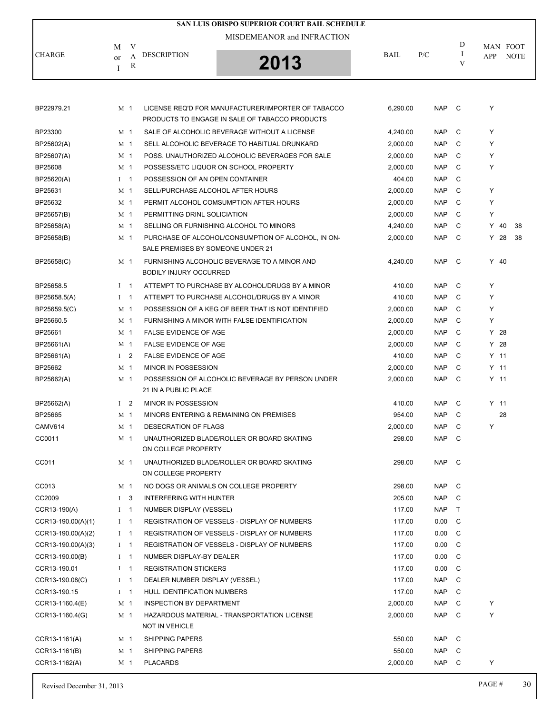|                      |               |                |                                   | <b>SAN LUIS OBISPO SUPERIOR COURT BAIL SCHEDULE</b> |          |            |               |        |             |
|----------------------|---------------|----------------|-----------------------------------|-----------------------------------------------------|----------|------------|---------------|--------|-------------|
|                      |               |                |                                   | MISDEMEANOR and INFRACTION                          |          |            |               |        |             |
| <b>CHARGE</b>        | M             | V              | <b>DESCRIPTION</b>                |                                                     | BAIL     | P/C        | D<br><b>I</b> |        | MAN FOOT    |
|                      | <sub>or</sub> | A<br>R         |                                   | 2013                                                |          |            | V             | APP    | <b>NOTE</b> |
|                      | I             |                |                                   |                                                     |          |            |               |        |             |
|                      |               |                |                                   |                                                     |          |            |               |        |             |
| BP22979.21           |               | M 1            |                                   | LICENSE REQ'D FOR MANUFACTURER/IMPORTER OF TABACCO  | 6,290.00 | NAP C      |               | Y      |             |
|                      |               |                |                                   | PRODUCTS TO ENGAGE IN SALE OF TABACCO PRODUCTS      |          |            |               |        |             |
| BP23300              |               | M 1            |                                   | SALE OF ALCOHOLIC BEVERAGE WITHOUT A LICENSE        | 4,240.00 | <b>NAP</b> | C             | Y      |             |
| BP25602(A)           |               | M <sub>1</sub> |                                   | SELL ALCOHOLIC BEVERAGE TO HABITUAL DRUNKARD        | 2,000.00 | <b>NAP</b> | C             | Y      |             |
| BP25607(A)           |               | M 1            |                                   | POSS. UNAUTHORIZED ALCOHOLIC BEVERAGES FOR SALE     | 2,000.00 | <b>NAP</b> | C             | Y      |             |
| BP25608              |               | M <sub>1</sub> |                                   | POSSESS/ETC LIQUOR ON SCHOOL PROPERTY               | 2,000.00 | <b>NAP</b> | C             | Y      |             |
| BP25620(A)           |               | $1 \quad 1$    | POSSESSION OF AN OPEN CONTAINER   |                                                     | 404.00   | <b>NAP</b> | C             |        |             |
| BP25631              |               | M 1            | SELL/PURCHASE ALCOHOL AFTER HOURS |                                                     | 2,000.00 | <b>NAP</b> | C             | Y      |             |
| BP25632              |               | M 1            |                                   | PERMIT ALCOHOL COMSUMPTION AFTER HOURS              | 2,000.00 | <b>NAP</b> | C             | Y      |             |
| BP25657(B)           |               | M 1            | PERMITTING DRINL SOLICIATION      |                                                     | 2,000.00 | <b>NAP</b> | C             | Y      |             |
| BP25658(A)           |               | M 1            |                                   | SELLING OR FURNISHING ALCOHOL TO MINORS             | 4,240.00 | <b>NAP</b> | C             | $Y$ 40 | 38          |
| BP25658(B)           |               | M 1            |                                   | PURCHASE OF ALCOHOL/CONSUMPTION OF ALCOHOL, IN ON-  | 2,000.00 | <b>NAP</b> | C             | Y 28   | 38          |
|                      |               |                | SALE PREMISES BY SOMEONE UNDER 21 |                                                     |          |            |               |        |             |
| BP25658(C)           |               | M 1            |                                   | FURNISHING ALCOHOLIC BEVERAGE TO A MINOR AND        | 4,240.00 | <b>NAP</b> | C             | $Y$ 40 |             |
|                      |               |                | <b>BODILY INJURY OCCURRED</b>     |                                                     |          |            |               |        |             |
| BP25658.5            |               | $1 \quad 1$    |                                   | ATTEMPT TO PURCHASE BY ALCOHOL/DRUGS BY A MINOR     | 410.00   | <b>NAP</b> | C             | Y      |             |
| BP25658.5(A)         |               | $I \quad 1$    |                                   | ATTEMPT TO PURCHASE ALCOHOL/DRUGS BY A MINOR        | 410.00   | <b>NAP</b> | C             | Y      |             |
| BP25659.5(C)         |               | M 1            |                                   | POSSESSION OF A KEG OF BEER THAT IS NOT IDENTIFIED  | 2,000.00 | <b>NAP</b> | C             | Y      |             |
| BP25660.5            |               | M 1            |                                   | FURNISHING A MINOR WITH FALSE IDENTIFICATION        | 2,000.00 | <b>NAP</b> | C             | Y      |             |
| BP25661              |               | M 1            | <b>FALSE EVIDENCE OF AGE</b>      |                                                     | 2,000.00 | <b>NAP</b> | C             | $Y$ 28 |             |
| BP25661(A)           |               | M 1            | <b>FALSE EVIDENCE OF AGE</b>      |                                                     | 2,000.00 | <b>NAP</b> | C             | $Y$ 28 |             |
| BP25661(A)           |               | $1\quad 2$     | <b>FALSE EVIDENCE OF AGE</b>      |                                                     | 410.00   | <b>NAP</b> | C             | $Y$ 11 |             |
| BP25662              |               | M 1            | MINOR IN POSSESSION               |                                                     | 2,000.00 | <b>NAP</b> | C             | $Y$ 11 |             |
| BP25662(A)           |               | M 1            |                                   | POSSESSION OF ALCOHOLIC BEVERAGE BY PERSON UNDER    | 2,000.00 | <b>NAP</b> | C             | Y 11   |             |
|                      |               |                | 21 IN A PUBLIC PLACE              |                                                     |          |            |               |        |             |
| BP25662(A)           | $\mathbf{I}$  | 2              | MINOR IN POSSESSION               |                                                     | 410.00   | <b>NAP</b> | C             | $Y$ 11 |             |
| BP25665              |               | M 1            |                                   | MINORS ENTERING & REMAINING ON PREMISES             | 954.00   | <b>NAP</b> | - C           |        | 28          |
| CAMV614              |               | M 1            | DESECRATION OF FLAGS              |                                                     | 2,000.00 | NAP        | C             |        |             |
| CC0011               |               | M 1            |                                   | UNAUTHORIZED BLADE/ROLLER OR BOARD SKATING          | 298.00   | NAP C      |               |        |             |
|                      |               |                | ON COLLEGE PROPERTY               |                                                     |          |            |               |        |             |
| CC011                |               | M 1            |                                   | UNAUTHORIZED BLADE/ROLLER OR BOARD SKATING          | 298.00   | NAP C      |               |        |             |
|                      |               |                | ON COLLEGE PROPERTY               |                                                     |          |            |               |        |             |
| CC013                |               | M 1            |                                   | NO DOGS OR ANIMALS ON COLLEGE PROPERTY              | 298.00   | NAP        | C             |        |             |
| CC2009               |               | $1 \quad 3$    | INTERFERING WITH HUNTER           |                                                     | 205.00   | NAP        | C             |        |             |
| CCR13-190(A)         |               | $I \quad 1$    | NUMBER DISPLAY (VESSEL)           |                                                     | 117.00   | NAP        | $\top$        |        |             |
| CCR13-190.00(A)(1)   |               | $I \quad 1$    |                                   | <b>REGISTRATION OF VESSELS - DISPLAY OF NUMBERS</b> | 117.00   | 0.00       | - C           |        |             |
| $CCR13-190.00(A)(2)$ |               | $I \quad 1$    |                                   | <b>REGISTRATION OF VESSELS - DISPLAY OF NUMBERS</b> | 117.00   | 0.00       | - C           |        |             |
| CCR13-190.00(A)(3)   |               | $I \quad 1$    |                                   | <b>REGISTRATION OF VESSELS - DISPLAY OF NUMBERS</b> | 117.00   | 0.00       | - C           |        |             |
| CCR13-190.00(B)      |               | $I \quad 1$    | NUMBER DISPLAY-BY DEALER          |                                                     | 117.00   | 0.00       | C             |        |             |
| CCR13-190.01         |               | $I \quad 1$    | <b>REGISTRATION STICKERS</b>      |                                                     | 117.00   | 0.00       | - C           |        |             |
| CCR13-190.08(C)      |               | $I \quad 1$    | DEALER NUMBER DISPLAY (VESSEL)    |                                                     | 117.00   | NAP        | C             |        |             |
| CCR13-190.15         |               | $I \quad 1$    | HULL IDENTIFICATION NUMBERS       |                                                     | 117.00   | NAP        | C             |        |             |
| CCR13-1160.4(E)      |               | M 1            | INSPECTION BY DEPARTMENT          |                                                     | 2,000.00 | NAP        | C             | Y      |             |
| CCR13-1160.4(G)      |               | M 1            |                                   | HAZARDOUS MATERIAL - TRANSPORTATION LICENSE         | 2,000.00 | NAP C      |               | Y      |             |
|                      |               |                | <b>NOT IN VEHICLE</b>             |                                                     |          |            |               |        |             |
| CCR13-1161(A)        |               | M 1            | <b>SHIPPING PAPERS</b>            |                                                     | 550.00   | NAP C      |               |        |             |
| CCR13-1161(B)        |               | M 1            | <b>SHIPPING PAPERS</b>            |                                                     | 550.00   | NAP        | C             |        |             |
| CCR13-1162(A)        |               | M 1            | <b>PLACARDS</b>                   |                                                     | 2,000.00 | NAP C      |               | Y      |             |
|                      |               |                |                                   |                                                     |          |            |               |        |             |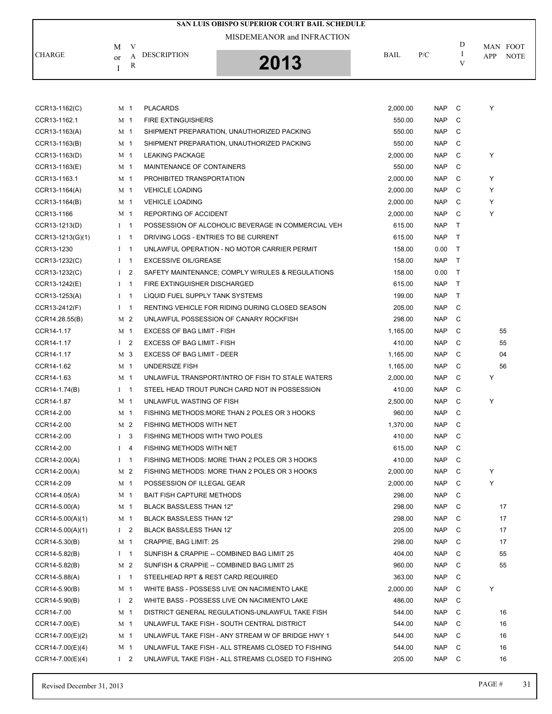|               |                             | <b>SAN LUIS OBISPO SUPERIOR COURT BAIL SCHEDULE</b> |             |     |   |                                |
|---------------|-----------------------------|-----------------------------------------------------|-------------|-----|---|--------------------------------|
| <b>CHARGE</b> | M<br>DESCRIPTION<br>or<br>R | MISDEMEANOR and INFRACTION<br>2013                  | <b>BAIL</b> | P/C | D | MAN FOOT<br><b>NOTE</b><br>APP |

| <b>NAP</b><br>CCR13-1162.1<br>M 1<br><b>FIRE EXTINGUISHERS</b><br>550.00<br>C<br>CCR13-1163(A)<br>M 1<br>SHIPMENT PREPARATION, UNAUTHORIZED PACKING<br>550.00<br><b>NAP</b><br>C<br><b>NAP</b><br>CCR13-1163(B)<br>M 1<br>SHIPMENT PREPARATION, UNAUTHORIZED PACKING<br>550.00<br>C<br>Y<br>CCR13-1163(D)<br>M 1<br><b>LEAKING PACKAGE</b><br>2.000.00<br><b>NAP</b><br>C<br>CCR13-1163(E)<br>M 1<br>MAINTENANCE OF CONTAINERS<br>550.00<br><b>NAP</b><br>C<br>Y<br>CCR13-1163.1<br>PROHIBITED TRANSPORTATION<br>2,000.00<br><b>NAP</b><br>C<br>M 1<br><b>NAP</b><br>Y<br>CCR13-1164(A)<br><b>VEHICLE LOADING</b><br>2,000.00<br>C<br>M 1<br>Y<br>CCR13-1164(B)<br>M 1<br><b>VEHICLE LOADING</b><br>2,000.00<br><b>NAP</b><br>C<br>REPORTING OF ACCIDENT<br><b>NAP</b><br>Y<br>CCR13-1166<br>M <sub>1</sub><br>2,000.00<br>C<br>T.<br>CCR13-1213(D)<br>$I \quad 1$<br>POSSESSION OF ALCOHOLIC BEVERAGE IN COMMERCIAL VEH<br>615.00<br><b>NAP</b><br>CCR13-1213(G)(1)<br>DRIVING LOGS - ENTRIES TO BE CURRENT<br>615.00<br><b>NAP</b><br>$\top$<br>$\mathbf{I}$<br>$\mathbf{1}$<br>158.00<br>0.00<br>CCR13-1230<br>$\mathbf{1}$<br>UNLAWFUL OPERATION - NO MOTOR CARRIER PERMIT<br>$\mathsf{T}$<br>$\bf{I}$<br>CCR13-1232(C)<br>$I \quad 1$<br><b>EXCESSIVE OIL/GREASE</b><br>158.00<br><b>NAP</b><br>$\top$<br>CCR13-1232(C)<br>I <sub>2</sub><br>SAFETY MAINTENANCE; COMPLY W/RULES & REGULATIONS<br>158.00<br>0.00<br>$\top$<br><b>NAP</b><br>CCR13-1242(E)<br>$\mathbf{1}$<br>FIRE EXTINGUISHER DISCHARGED<br>615.00<br>$\top$<br>$\mathbf{I}$<br>CCR13-1253(A)<br>$I \quad 1$<br>LIQUID FUEL SUPPLY TANK SYSTEMS<br>199.00<br><b>NAP</b><br>T<br>CCR13-2412(F)<br>RENTING VEHICLE FOR RIDING DURING CLOSED SEASON<br>205.00<br><b>NAP</b><br>C<br>$1 \quad 1$<br><b>NAP</b><br>M 2<br>UNLAWFUL POSSESSION OF CANARY ROCKFISH<br>298.00<br>C<br>CCR14.28.55(B)<br>CCR14-1.17<br>EXCESS OF BAG LIMIT - FISH<br><b>NAP</b><br>55<br>M 1<br>1,165.00<br>C<br>55<br>CCR14-1.17<br>$1 \quad 2$<br><b>EXCESS OF BAG LIMIT - FISH</b><br>410.00<br><b>NAP</b><br>C<br>EXCESS OF BAG LIMIT - DEER<br><b>NAP</b><br>04<br>CCR14-1.17<br>M 3<br>1,165.00<br>C<br><b>UNDERSIZE FISH</b><br><b>NAP</b><br>C<br>56<br>CCR14-1.62<br>M 1<br>1,165.00<br>CCR14-1.63<br>M 1<br>UNLAWFUL TRANSPORT/INTRO OF FISH TO STALE WATERS<br>2,000.00<br><b>NAP</b><br>C<br>Y<br><b>NAP</b><br>CCR14-1.74(B)<br>STEEL HEAD TROUT PUNCH CARD NOT IN POSSESSION<br>410.00<br>C<br>$1 \quad 1$<br>Y<br>CCR14-1.87<br>M 1<br>UNLAWFUL WASTING OF FISH<br>2,500.00<br><b>NAP</b><br>C<br>CCR14-2.00<br>M 1<br>FISHING METHODS: MORE THAN 2 POLES OR 3 HOOKS<br>960.00<br><b>NAP</b><br>C<br><b>NAP</b><br>CCR14-2.00<br>M 2<br>FISHING METHODS WITH NET<br>1,370.00<br>C<br>FISHING METHODS WITH TWO POLES<br>CCR14-2.00<br>$\mathbf{I}$<br>3<br>410.00<br><b>NAP</b><br>C<br>CCR14-2.00<br>$I \quad 4$<br>FISHING METHODS WITH NET<br>615.00<br><b>NAP</b><br>C<br><b>NAP</b><br>CCR14-2.00(A)<br>FISHING METHODS: MORE THAN 2 POLES OR 3 HOOKS<br>410.00<br>C<br>$\mathbf{I}$<br>$\mathbf{1}$<br>CCR14-2.00(A)<br>M 2<br>FISHING METHODS: MORE THAN 2 POLES OR 3 HOOKS<br>2,000.00<br><b>NAP</b><br>C<br>Y<br>Y<br>CCR14-2.09<br>M 1<br>POSSESSION OF ILLEGAL GEAR<br>2,000.00<br><b>NAP</b><br>C<br><b>NAP</b><br>CCR14-4.05(A)<br><b>BAIT FISH CAPTURE METHODS</b><br>298.00<br>C<br>M 1<br>CCR14-5.00(A)<br>BLACK BASS/LESS THAN 12"<br>298.00<br>NAP C<br>M 1<br>17<br>$CCR14-5.00(A)(1)$<br>M 1<br><b>BLACK BASS/LESS THAN 12"</b><br>298.00<br>NAP<br>C<br>17<br>$1 \quad 2$<br>BLACK BASS/LESS THAN 12'<br>205.00<br><b>NAP</b><br>17<br>$CCR14-5.00(A)(1)$<br>C<br>$CCR14-5.30(B)$<br>CRAPPIE, BAG LIMIT: 25<br>298.00<br><b>NAP</b><br>C<br>17<br>M 1<br>CCR14-5.82(B)<br>$I \quad 1$<br>SUNFISH & CRAPPIE -- COMBINED BAG LIMIT 25<br>404.00<br><b>NAP</b><br>55<br>C<br>M 2<br>SUNFISH & CRAPPIE -- COMBINED BAG LIMIT 25<br>960.00<br><b>NAP</b><br>55<br>CCR14-5.82(B)<br>C<br>STEELHEAD RPT & REST CARD REQUIRED<br>363.00<br><b>NAP</b><br>C<br>CCR14-5.88(A)<br>$I \quad 1$<br>Υ<br>CCR14-5.90(B)<br>WHITE BASS - POSSESS LIVE ON NACIMIENTO LAKE<br>2,000.00<br>M 1<br>NAP<br>C<br>WHITE BASS - POSSESS LIVE ON NACIMIENTO LAKE<br>486.00<br>$CCR14-5.90(B)$<br>$1\quad 2$<br>NAP<br>C<br>CCR14-7.00<br>DISTRICT GENERAL REGULATIONS-UNLAWFUL TAKE FISH<br>544.00<br>NAP<br>M 1<br>C<br>16<br>CCR14-7.00(E)<br>M 1<br>UNLAWFUL TAKE FISH - SOUTH CENTRAL DISTRICT<br>544.00<br><b>NAP</b><br>16<br>C<br>UNLAWFUL TAKE FISH - ANY STREAM W OF BRIDGE HWY 1<br>544.00<br><b>NAP</b><br>16<br>$CCR14-7.00(E)(2)$<br>M 1<br>C<br>UNLAWFUL TAKE FISH - ALL STREAMS CLOSED TO FISHING<br>544.00<br><b>NAP</b><br>C<br>16<br>$CCR14-7.00(E)(4)$<br>M 1<br>CCR14-7.00(E)(4)<br>UNLAWFUL TAKE FISH - ALL STREAMS CLOSED TO FISHING<br>205.00<br>NAP<br>16<br>$1\quad 2$<br>C | CCR13-1162(C) | M 1 | <b>PLACARDS</b> | 2,000.00 | <b>NAP</b> | C | Y |  |
|------------------------------------------------------------------------------------------------------------------------------------------------------------------------------------------------------------------------------------------------------------------------------------------------------------------------------------------------------------------------------------------------------------------------------------------------------------------------------------------------------------------------------------------------------------------------------------------------------------------------------------------------------------------------------------------------------------------------------------------------------------------------------------------------------------------------------------------------------------------------------------------------------------------------------------------------------------------------------------------------------------------------------------------------------------------------------------------------------------------------------------------------------------------------------------------------------------------------------------------------------------------------------------------------------------------------------------------------------------------------------------------------------------------------------------------------------------------------------------------------------------------------------------------------------------------------------------------------------------------------------------------------------------------------------------------------------------------------------------------------------------------------------------------------------------------------------------------------------------------------------------------------------------------------------------------------------------------------------------------------------------------------------------------------------------------------------------------------------------------------------------------------------------------------------------------------------------------------------------------------------------------------------------------------------------------------------------------------------------------------------------------------------------------------------------------------------------------------------------------------------------------------------------------------------------------------------------------------------------------------------------------------------------------------------------------------------------------------------------------------------------------------------------------------------------------------------------------------------------------------------------------------------------------------------------------------------------------------------------------------------------------------------------------------------------------------------------------------------------------------------------------------------------------------------------------------------------------------------------------------------------------------------------------------------------------------------------------------------------------------------------------------------------------------------------------------------------------------------------------------------------------------------------------------------------------------------------------------------------------------------------------------------------------------------------------------------------------------------------------------------------------------------------------------------------------------------------------------------------------------------------------------------------------------------------------------------------------------------------------------------------------------------------------------------------------------------------------------------------------------------------------------------------------------------------------------------------------------------------------------------------------------------------------------------------------------------------------------------------------------------------------------------------------------------------------------------------------------------------------------------------------------------------------------------------------------------------------------------------------------------------------------------------------------------------------------------------------------------------------------------------------------------------------------------------------------------------------------------------|---------------|-----|-----------------|----------|------------|---|---|--|
|                                                                                                                                                                                                                                                                                                                                                                                                                                                                                                                                                                                                                                                                                                                                                                                                                                                                                                                                                                                                                                                                                                                                                                                                                                                                                                                                                                                                                                                                                                                                                                                                                                                                                                                                                                                                                                                                                                                                                                                                                                                                                                                                                                                                                                                                                                                                                                                                                                                                                                                                                                                                                                                                                                                                                                                                                                                                                                                                                                                                                                                                                                                                                                                                                                                                                                                                                                                                                                                                                                                                                                                                                                                                                                                                                                                                                                                                                                                                                                                                                                                                                                                                                                                                                                                                                                                                                                                                                                                                                                                                                                                                                                                                                                                                                                                                                                                            |               |     |                 |          |            |   |   |  |
|                                                                                                                                                                                                                                                                                                                                                                                                                                                                                                                                                                                                                                                                                                                                                                                                                                                                                                                                                                                                                                                                                                                                                                                                                                                                                                                                                                                                                                                                                                                                                                                                                                                                                                                                                                                                                                                                                                                                                                                                                                                                                                                                                                                                                                                                                                                                                                                                                                                                                                                                                                                                                                                                                                                                                                                                                                                                                                                                                                                                                                                                                                                                                                                                                                                                                                                                                                                                                                                                                                                                                                                                                                                                                                                                                                                                                                                                                                                                                                                                                                                                                                                                                                                                                                                                                                                                                                                                                                                                                                                                                                                                                                                                                                                                                                                                                                                            |               |     |                 |          |            |   |   |  |
|                                                                                                                                                                                                                                                                                                                                                                                                                                                                                                                                                                                                                                                                                                                                                                                                                                                                                                                                                                                                                                                                                                                                                                                                                                                                                                                                                                                                                                                                                                                                                                                                                                                                                                                                                                                                                                                                                                                                                                                                                                                                                                                                                                                                                                                                                                                                                                                                                                                                                                                                                                                                                                                                                                                                                                                                                                                                                                                                                                                                                                                                                                                                                                                                                                                                                                                                                                                                                                                                                                                                                                                                                                                                                                                                                                                                                                                                                                                                                                                                                                                                                                                                                                                                                                                                                                                                                                                                                                                                                                                                                                                                                                                                                                                                                                                                                                                            |               |     |                 |          |            |   |   |  |
|                                                                                                                                                                                                                                                                                                                                                                                                                                                                                                                                                                                                                                                                                                                                                                                                                                                                                                                                                                                                                                                                                                                                                                                                                                                                                                                                                                                                                                                                                                                                                                                                                                                                                                                                                                                                                                                                                                                                                                                                                                                                                                                                                                                                                                                                                                                                                                                                                                                                                                                                                                                                                                                                                                                                                                                                                                                                                                                                                                                                                                                                                                                                                                                                                                                                                                                                                                                                                                                                                                                                                                                                                                                                                                                                                                                                                                                                                                                                                                                                                                                                                                                                                                                                                                                                                                                                                                                                                                                                                                                                                                                                                                                                                                                                                                                                                                                            |               |     |                 |          |            |   |   |  |
|                                                                                                                                                                                                                                                                                                                                                                                                                                                                                                                                                                                                                                                                                                                                                                                                                                                                                                                                                                                                                                                                                                                                                                                                                                                                                                                                                                                                                                                                                                                                                                                                                                                                                                                                                                                                                                                                                                                                                                                                                                                                                                                                                                                                                                                                                                                                                                                                                                                                                                                                                                                                                                                                                                                                                                                                                                                                                                                                                                                                                                                                                                                                                                                                                                                                                                                                                                                                                                                                                                                                                                                                                                                                                                                                                                                                                                                                                                                                                                                                                                                                                                                                                                                                                                                                                                                                                                                                                                                                                                                                                                                                                                                                                                                                                                                                                                                            |               |     |                 |          |            |   |   |  |
|                                                                                                                                                                                                                                                                                                                                                                                                                                                                                                                                                                                                                                                                                                                                                                                                                                                                                                                                                                                                                                                                                                                                                                                                                                                                                                                                                                                                                                                                                                                                                                                                                                                                                                                                                                                                                                                                                                                                                                                                                                                                                                                                                                                                                                                                                                                                                                                                                                                                                                                                                                                                                                                                                                                                                                                                                                                                                                                                                                                                                                                                                                                                                                                                                                                                                                                                                                                                                                                                                                                                                                                                                                                                                                                                                                                                                                                                                                                                                                                                                                                                                                                                                                                                                                                                                                                                                                                                                                                                                                                                                                                                                                                                                                                                                                                                                                                            |               |     |                 |          |            |   |   |  |
|                                                                                                                                                                                                                                                                                                                                                                                                                                                                                                                                                                                                                                                                                                                                                                                                                                                                                                                                                                                                                                                                                                                                                                                                                                                                                                                                                                                                                                                                                                                                                                                                                                                                                                                                                                                                                                                                                                                                                                                                                                                                                                                                                                                                                                                                                                                                                                                                                                                                                                                                                                                                                                                                                                                                                                                                                                                                                                                                                                                                                                                                                                                                                                                                                                                                                                                                                                                                                                                                                                                                                                                                                                                                                                                                                                                                                                                                                                                                                                                                                                                                                                                                                                                                                                                                                                                                                                                                                                                                                                                                                                                                                                                                                                                                                                                                                                                            |               |     |                 |          |            |   |   |  |
|                                                                                                                                                                                                                                                                                                                                                                                                                                                                                                                                                                                                                                                                                                                                                                                                                                                                                                                                                                                                                                                                                                                                                                                                                                                                                                                                                                                                                                                                                                                                                                                                                                                                                                                                                                                                                                                                                                                                                                                                                                                                                                                                                                                                                                                                                                                                                                                                                                                                                                                                                                                                                                                                                                                                                                                                                                                                                                                                                                                                                                                                                                                                                                                                                                                                                                                                                                                                                                                                                                                                                                                                                                                                                                                                                                                                                                                                                                                                                                                                                                                                                                                                                                                                                                                                                                                                                                                                                                                                                                                                                                                                                                                                                                                                                                                                                                                            |               |     |                 |          |            |   |   |  |
|                                                                                                                                                                                                                                                                                                                                                                                                                                                                                                                                                                                                                                                                                                                                                                                                                                                                                                                                                                                                                                                                                                                                                                                                                                                                                                                                                                                                                                                                                                                                                                                                                                                                                                                                                                                                                                                                                                                                                                                                                                                                                                                                                                                                                                                                                                                                                                                                                                                                                                                                                                                                                                                                                                                                                                                                                                                                                                                                                                                                                                                                                                                                                                                                                                                                                                                                                                                                                                                                                                                                                                                                                                                                                                                                                                                                                                                                                                                                                                                                                                                                                                                                                                                                                                                                                                                                                                                                                                                                                                                                                                                                                                                                                                                                                                                                                                                            |               |     |                 |          |            |   |   |  |
|                                                                                                                                                                                                                                                                                                                                                                                                                                                                                                                                                                                                                                                                                                                                                                                                                                                                                                                                                                                                                                                                                                                                                                                                                                                                                                                                                                                                                                                                                                                                                                                                                                                                                                                                                                                                                                                                                                                                                                                                                                                                                                                                                                                                                                                                                                                                                                                                                                                                                                                                                                                                                                                                                                                                                                                                                                                                                                                                                                                                                                                                                                                                                                                                                                                                                                                                                                                                                                                                                                                                                                                                                                                                                                                                                                                                                                                                                                                                                                                                                                                                                                                                                                                                                                                                                                                                                                                                                                                                                                                                                                                                                                                                                                                                                                                                                                                            |               |     |                 |          |            |   |   |  |
|                                                                                                                                                                                                                                                                                                                                                                                                                                                                                                                                                                                                                                                                                                                                                                                                                                                                                                                                                                                                                                                                                                                                                                                                                                                                                                                                                                                                                                                                                                                                                                                                                                                                                                                                                                                                                                                                                                                                                                                                                                                                                                                                                                                                                                                                                                                                                                                                                                                                                                                                                                                                                                                                                                                                                                                                                                                                                                                                                                                                                                                                                                                                                                                                                                                                                                                                                                                                                                                                                                                                                                                                                                                                                                                                                                                                                                                                                                                                                                                                                                                                                                                                                                                                                                                                                                                                                                                                                                                                                                                                                                                                                                                                                                                                                                                                                                                            |               |     |                 |          |            |   |   |  |
|                                                                                                                                                                                                                                                                                                                                                                                                                                                                                                                                                                                                                                                                                                                                                                                                                                                                                                                                                                                                                                                                                                                                                                                                                                                                                                                                                                                                                                                                                                                                                                                                                                                                                                                                                                                                                                                                                                                                                                                                                                                                                                                                                                                                                                                                                                                                                                                                                                                                                                                                                                                                                                                                                                                                                                                                                                                                                                                                                                                                                                                                                                                                                                                                                                                                                                                                                                                                                                                                                                                                                                                                                                                                                                                                                                                                                                                                                                                                                                                                                                                                                                                                                                                                                                                                                                                                                                                                                                                                                                                                                                                                                                                                                                                                                                                                                                                            |               |     |                 |          |            |   |   |  |
|                                                                                                                                                                                                                                                                                                                                                                                                                                                                                                                                                                                                                                                                                                                                                                                                                                                                                                                                                                                                                                                                                                                                                                                                                                                                                                                                                                                                                                                                                                                                                                                                                                                                                                                                                                                                                                                                                                                                                                                                                                                                                                                                                                                                                                                                                                                                                                                                                                                                                                                                                                                                                                                                                                                                                                                                                                                                                                                                                                                                                                                                                                                                                                                                                                                                                                                                                                                                                                                                                                                                                                                                                                                                                                                                                                                                                                                                                                                                                                                                                                                                                                                                                                                                                                                                                                                                                                                                                                                                                                                                                                                                                                                                                                                                                                                                                                                            |               |     |                 |          |            |   |   |  |
|                                                                                                                                                                                                                                                                                                                                                                                                                                                                                                                                                                                                                                                                                                                                                                                                                                                                                                                                                                                                                                                                                                                                                                                                                                                                                                                                                                                                                                                                                                                                                                                                                                                                                                                                                                                                                                                                                                                                                                                                                                                                                                                                                                                                                                                                                                                                                                                                                                                                                                                                                                                                                                                                                                                                                                                                                                                                                                                                                                                                                                                                                                                                                                                                                                                                                                                                                                                                                                                                                                                                                                                                                                                                                                                                                                                                                                                                                                                                                                                                                                                                                                                                                                                                                                                                                                                                                                                                                                                                                                                                                                                                                                                                                                                                                                                                                                                            |               |     |                 |          |            |   |   |  |
|                                                                                                                                                                                                                                                                                                                                                                                                                                                                                                                                                                                                                                                                                                                                                                                                                                                                                                                                                                                                                                                                                                                                                                                                                                                                                                                                                                                                                                                                                                                                                                                                                                                                                                                                                                                                                                                                                                                                                                                                                                                                                                                                                                                                                                                                                                                                                                                                                                                                                                                                                                                                                                                                                                                                                                                                                                                                                                                                                                                                                                                                                                                                                                                                                                                                                                                                                                                                                                                                                                                                                                                                                                                                                                                                                                                                                                                                                                                                                                                                                                                                                                                                                                                                                                                                                                                                                                                                                                                                                                                                                                                                                                                                                                                                                                                                                                                            |               |     |                 |          |            |   |   |  |
|                                                                                                                                                                                                                                                                                                                                                                                                                                                                                                                                                                                                                                                                                                                                                                                                                                                                                                                                                                                                                                                                                                                                                                                                                                                                                                                                                                                                                                                                                                                                                                                                                                                                                                                                                                                                                                                                                                                                                                                                                                                                                                                                                                                                                                                                                                                                                                                                                                                                                                                                                                                                                                                                                                                                                                                                                                                                                                                                                                                                                                                                                                                                                                                                                                                                                                                                                                                                                                                                                                                                                                                                                                                                                                                                                                                                                                                                                                                                                                                                                                                                                                                                                                                                                                                                                                                                                                                                                                                                                                                                                                                                                                                                                                                                                                                                                                                            |               |     |                 |          |            |   |   |  |
|                                                                                                                                                                                                                                                                                                                                                                                                                                                                                                                                                                                                                                                                                                                                                                                                                                                                                                                                                                                                                                                                                                                                                                                                                                                                                                                                                                                                                                                                                                                                                                                                                                                                                                                                                                                                                                                                                                                                                                                                                                                                                                                                                                                                                                                                                                                                                                                                                                                                                                                                                                                                                                                                                                                                                                                                                                                                                                                                                                                                                                                                                                                                                                                                                                                                                                                                                                                                                                                                                                                                                                                                                                                                                                                                                                                                                                                                                                                                                                                                                                                                                                                                                                                                                                                                                                                                                                                                                                                                                                                                                                                                                                                                                                                                                                                                                                                            |               |     |                 |          |            |   |   |  |
|                                                                                                                                                                                                                                                                                                                                                                                                                                                                                                                                                                                                                                                                                                                                                                                                                                                                                                                                                                                                                                                                                                                                                                                                                                                                                                                                                                                                                                                                                                                                                                                                                                                                                                                                                                                                                                                                                                                                                                                                                                                                                                                                                                                                                                                                                                                                                                                                                                                                                                                                                                                                                                                                                                                                                                                                                                                                                                                                                                                                                                                                                                                                                                                                                                                                                                                                                                                                                                                                                                                                                                                                                                                                                                                                                                                                                                                                                                                                                                                                                                                                                                                                                                                                                                                                                                                                                                                                                                                                                                                                                                                                                                                                                                                                                                                                                                                            |               |     |                 |          |            |   |   |  |
|                                                                                                                                                                                                                                                                                                                                                                                                                                                                                                                                                                                                                                                                                                                                                                                                                                                                                                                                                                                                                                                                                                                                                                                                                                                                                                                                                                                                                                                                                                                                                                                                                                                                                                                                                                                                                                                                                                                                                                                                                                                                                                                                                                                                                                                                                                                                                                                                                                                                                                                                                                                                                                                                                                                                                                                                                                                                                                                                                                                                                                                                                                                                                                                                                                                                                                                                                                                                                                                                                                                                                                                                                                                                                                                                                                                                                                                                                                                                                                                                                                                                                                                                                                                                                                                                                                                                                                                                                                                                                                                                                                                                                                                                                                                                                                                                                                                            |               |     |                 |          |            |   |   |  |
|                                                                                                                                                                                                                                                                                                                                                                                                                                                                                                                                                                                                                                                                                                                                                                                                                                                                                                                                                                                                                                                                                                                                                                                                                                                                                                                                                                                                                                                                                                                                                                                                                                                                                                                                                                                                                                                                                                                                                                                                                                                                                                                                                                                                                                                                                                                                                                                                                                                                                                                                                                                                                                                                                                                                                                                                                                                                                                                                                                                                                                                                                                                                                                                                                                                                                                                                                                                                                                                                                                                                                                                                                                                                                                                                                                                                                                                                                                                                                                                                                                                                                                                                                                                                                                                                                                                                                                                                                                                                                                                                                                                                                                                                                                                                                                                                                                                            |               |     |                 |          |            |   |   |  |
|                                                                                                                                                                                                                                                                                                                                                                                                                                                                                                                                                                                                                                                                                                                                                                                                                                                                                                                                                                                                                                                                                                                                                                                                                                                                                                                                                                                                                                                                                                                                                                                                                                                                                                                                                                                                                                                                                                                                                                                                                                                                                                                                                                                                                                                                                                                                                                                                                                                                                                                                                                                                                                                                                                                                                                                                                                                                                                                                                                                                                                                                                                                                                                                                                                                                                                                                                                                                                                                                                                                                                                                                                                                                                                                                                                                                                                                                                                                                                                                                                                                                                                                                                                                                                                                                                                                                                                                                                                                                                                                                                                                                                                                                                                                                                                                                                                                            |               |     |                 |          |            |   |   |  |
|                                                                                                                                                                                                                                                                                                                                                                                                                                                                                                                                                                                                                                                                                                                                                                                                                                                                                                                                                                                                                                                                                                                                                                                                                                                                                                                                                                                                                                                                                                                                                                                                                                                                                                                                                                                                                                                                                                                                                                                                                                                                                                                                                                                                                                                                                                                                                                                                                                                                                                                                                                                                                                                                                                                                                                                                                                                                                                                                                                                                                                                                                                                                                                                                                                                                                                                                                                                                                                                                                                                                                                                                                                                                                                                                                                                                                                                                                                                                                                                                                                                                                                                                                                                                                                                                                                                                                                                                                                                                                                                                                                                                                                                                                                                                                                                                                                                            |               |     |                 |          |            |   |   |  |
|                                                                                                                                                                                                                                                                                                                                                                                                                                                                                                                                                                                                                                                                                                                                                                                                                                                                                                                                                                                                                                                                                                                                                                                                                                                                                                                                                                                                                                                                                                                                                                                                                                                                                                                                                                                                                                                                                                                                                                                                                                                                                                                                                                                                                                                                                                                                                                                                                                                                                                                                                                                                                                                                                                                                                                                                                                                                                                                                                                                                                                                                                                                                                                                                                                                                                                                                                                                                                                                                                                                                                                                                                                                                                                                                                                                                                                                                                                                                                                                                                                                                                                                                                                                                                                                                                                                                                                                                                                                                                                                                                                                                                                                                                                                                                                                                                                                            |               |     |                 |          |            |   |   |  |
|                                                                                                                                                                                                                                                                                                                                                                                                                                                                                                                                                                                                                                                                                                                                                                                                                                                                                                                                                                                                                                                                                                                                                                                                                                                                                                                                                                                                                                                                                                                                                                                                                                                                                                                                                                                                                                                                                                                                                                                                                                                                                                                                                                                                                                                                                                                                                                                                                                                                                                                                                                                                                                                                                                                                                                                                                                                                                                                                                                                                                                                                                                                                                                                                                                                                                                                                                                                                                                                                                                                                                                                                                                                                                                                                                                                                                                                                                                                                                                                                                                                                                                                                                                                                                                                                                                                                                                                                                                                                                                                                                                                                                                                                                                                                                                                                                                                            |               |     |                 |          |            |   |   |  |
|                                                                                                                                                                                                                                                                                                                                                                                                                                                                                                                                                                                                                                                                                                                                                                                                                                                                                                                                                                                                                                                                                                                                                                                                                                                                                                                                                                                                                                                                                                                                                                                                                                                                                                                                                                                                                                                                                                                                                                                                                                                                                                                                                                                                                                                                                                                                                                                                                                                                                                                                                                                                                                                                                                                                                                                                                                                                                                                                                                                                                                                                                                                                                                                                                                                                                                                                                                                                                                                                                                                                                                                                                                                                                                                                                                                                                                                                                                                                                                                                                                                                                                                                                                                                                                                                                                                                                                                                                                                                                                                                                                                                                                                                                                                                                                                                                                                            |               |     |                 |          |            |   |   |  |
|                                                                                                                                                                                                                                                                                                                                                                                                                                                                                                                                                                                                                                                                                                                                                                                                                                                                                                                                                                                                                                                                                                                                                                                                                                                                                                                                                                                                                                                                                                                                                                                                                                                                                                                                                                                                                                                                                                                                                                                                                                                                                                                                                                                                                                                                                                                                                                                                                                                                                                                                                                                                                                                                                                                                                                                                                                                                                                                                                                                                                                                                                                                                                                                                                                                                                                                                                                                                                                                                                                                                                                                                                                                                                                                                                                                                                                                                                                                                                                                                                                                                                                                                                                                                                                                                                                                                                                                                                                                                                                                                                                                                                                                                                                                                                                                                                                                            |               |     |                 |          |            |   |   |  |
|                                                                                                                                                                                                                                                                                                                                                                                                                                                                                                                                                                                                                                                                                                                                                                                                                                                                                                                                                                                                                                                                                                                                                                                                                                                                                                                                                                                                                                                                                                                                                                                                                                                                                                                                                                                                                                                                                                                                                                                                                                                                                                                                                                                                                                                                                                                                                                                                                                                                                                                                                                                                                                                                                                                                                                                                                                                                                                                                                                                                                                                                                                                                                                                                                                                                                                                                                                                                                                                                                                                                                                                                                                                                                                                                                                                                                                                                                                                                                                                                                                                                                                                                                                                                                                                                                                                                                                                                                                                                                                                                                                                                                                                                                                                                                                                                                                                            |               |     |                 |          |            |   |   |  |
|                                                                                                                                                                                                                                                                                                                                                                                                                                                                                                                                                                                                                                                                                                                                                                                                                                                                                                                                                                                                                                                                                                                                                                                                                                                                                                                                                                                                                                                                                                                                                                                                                                                                                                                                                                                                                                                                                                                                                                                                                                                                                                                                                                                                                                                                                                                                                                                                                                                                                                                                                                                                                                                                                                                                                                                                                                                                                                                                                                                                                                                                                                                                                                                                                                                                                                                                                                                                                                                                                                                                                                                                                                                                                                                                                                                                                                                                                                                                                                                                                                                                                                                                                                                                                                                                                                                                                                                                                                                                                                                                                                                                                                                                                                                                                                                                                                                            |               |     |                 |          |            |   |   |  |
|                                                                                                                                                                                                                                                                                                                                                                                                                                                                                                                                                                                                                                                                                                                                                                                                                                                                                                                                                                                                                                                                                                                                                                                                                                                                                                                                                                                                                                                                                                                                                                                                                                                                                                                                                                                                                                                                                                                                                                                                                                                                                                                                                                                                                                                                                                                                                                                                                                                                                                                                                                                                                                                                                                                                                                                                                                                                                                                                                                                                                                                                                                                                                                                                                                                                                                                                                                                                                                                                                                                                                                                                                                                                                                                                                                                                                                                                                                                                                                                                                                                                                                                                                                                                                                                                                                                                                                                                                                                                                                                                                                                                                                                                                                                                                                                                                                                            |               |     |                 |          |            |   |   |  |
|                                                                                                                                                                                                                                                                                                                                                                                                                                                                                                                                                                                                                                                                                                                                                                                                                                                                                                                                                                                                                                                                                                                                                                                                                                                                                                                                                                                                                                                                                                                                                                                                                                                                                                                                                                                                                                                                                                                                                                                                                                                                                                                                                                                                                                                                                                                                                                                                                                                                                                                                                                                                                                                                                                                                                                                                                                                                                                                                                                                                                                                                                                                                                                                                                                                                                                                                                                                                                                                                                                                                                                                                                                                                                                                                                                                                                                                                                                                                                                                                                                                                                                                                                                                                                                                                                                                                                                                                                                                                                                                                                                                                                                                                                                                                                                                                                                                            |               |     |                 |          |            |   |   |  |
|                                                                                                                                                                                                                                                                                                                                                                                                                                                                                                                                                                                                                                                                                                                                                                                                                                                                                                                                                                                                                                                                                                                                                                                                                                                                                                                                                                                                                                                                                                                                                                                                                                                                                                                                                                                                                                                                                                                                                                                                                                                                                                                                                                                                                                                                                                                                                                                                                                                                                                                                                                                                                                                                                                                                                                                                                                                                                                                                                                                                                                                                                                                                                                                                                                                                                                                                                                                                                                                                                                                                                                                                                                                                                                                                                                                                                                                                                                                                                                                                                                                                                                                                                                                                                                                                                                                                                                                                                                                                                                                                                                                                                                                                                                                                                                                                                                                            |               |     |                 |          |            |   |   |  |
|                                                                                                                                                                                                                                                                                                                                                                                                                                                                                                                                                                                                                                                                                                                                                                                                                                                                                                                                                                                                                                                                                                                                                                                                                                                                                                                                                                                                                                                                                                                                                                                                                                                                                                                                                                                                                                                                                                                                                                                                                                                                                                                                                                                                                                                                                                                                                                                                                                                                                                                                                                                                                                                                                                                                                                                                                                                                                                                                                                                                                                                                                                                                                                                                                                                                                                                                                                                                                                                                                                                                                                                                                                                                                                                                                                                                                                                                                                                                                                                                                                                                                                                                                                                                                                                                                                                                                                                                                                                                                                                                                                                                                                                                                                                                                                                                                                                            |               |     |                 |          |            |   |   |  |
|                                                                                                                                                                                                                                                                                                                                                                                                                                                                                                                                                                                                                                                                                                                                                                                                                                                                                                                                                                                                                                                                                                                                                                                                                                                                                                                                                                                                                                                                                                                                                                                                                                                                                                                                                                                                                                                                                                                                                                                                                                                                                                                                                                                                                                                                                                                                                                                                                                                                                                                                                                                                                                                                                                                                                                                                                                                                                                                                                                                                                                                                                                                                                                                                                                                                                                                                                                                                                                                                                                                                                                                                                                                                                                                                                                                                                                                                                                                                                                                                                                                                                                                                                                                                                                                                                                                                                                                                                                                                                                                                                                                                                                                                                                                                                                                                                                                            |               |     |                 |          |            |   |   |  |
|                                                                                                                                                                                                                                                                                                                                                                                                                                                                                                                                                                                                                                                                                                                                                                                                                                                                                                                                                                                                                                                                                                                                                                                                                                                                                                                                                                                                                                                                                                                                                                                                                                                                                                                                                                                                                                                                                                                                                                                                                                                                                                                                                                                                                                                                                                                                                                                                                                                                                                                                                                                                                                                                                                                                                                                                                                                                                                                                                                                                                                                                                                                                                                                                                                                                                                                                                                                                                                                                                                                                                                                                                                                                                                                                                                                                                                                                                                                                                                                                                                                                                                                                                                                                                                                                                                                                                                                                                                                                                                                                                                                                                                                                                                                                                                                                                                                            |               |     |                 |          |            |   |   |  |
|                                                                                                                                                                                                                                                                                                                                                                                                                                                                                                                                                                                                                                                                                                                                                                                                                                                                                                                                                                                                                                                                                                                                                                                                                                                                                                                                                                                                                                                                                                                                                                                                                                                                                                                                                                                                                                                                                                                                                                                                                                                                                                                                                                                                                                                                                                                                                                                                                                                                                                                                                                                                                                                                                                                                                                                                                                                                                                                                                                                                                                                                                                                                                                                                                                                                                                                                                                                                                                                                                                                                                                                                                                                                                                                                                                                                                                                                                                                                                                                                                                                                                                                                                                                                                                                                                                                                                                                                                                                                                                                                                                                                                                                                                                                                                                                                                                                            |               |     |                 |          |            |   |   |  |
|                                                                                                                                                                                                                                                                                                                                                                                                                                                                                                                                                                                                                                                                                                                                                                                                                                                                                                                                                                                                                                                                                                                                                                                                                                                                                                                                                                                                                                                                                                                                                                                                                                                                                                                                                                                                                                                                                                                                                                                                                                                                                                                                                                                                                                                                                                                                                                                                                                                                                                                                                                                                                                                                                                                                                                                                                                                                                                                                                                                                                                                                                                                                                                                                                                                                                                                                                                                                                                                                                                                                                                                                                                                                                                                                                                                                                                                                                                                                                                                                                                                                                                                                                                                                                                                                                                                                                                                                                                                                                                                                                                                                                                                                                                                                                                                                                                                            |               |     |                 |          |            |   |   |  |
|                                                                                                                                                                                                                                                                                                                                                                                                                                                                                                                                                                                                                                                                                                                                                                                                                                                                                                                                                                                                                                                                                                                                                                                                                                                                                                                                                                                                                                                                                                                                                                                                                                                                                                                                                                                                                                                                                                                                                                                                                                                                                                                                                                                                                                                                                                                                                                                                                                                                                                                                                                                                                                                                                                                                                                                                                                                                                                                                                                                                                                                                                                                                                                                                                                                                                                                                                                                                                                                                                                                                                                                                                                                                                                                                                                                                                                                                                                                                                                                                                                                                                                                                                                                                                                                                                                                                                                                                                                                                                                                                                                                                                                                                                                                                                                                                                                                            |               |     |                 |          |            |   |   |  |
|                                                                                                                                                                                                                                                                                                                                                                                                                                                                                                                                                                                                                                                                                                                                                                                                                                                                                                                                                                                                                                                                                                                                                                                                                                                                                                                                                                                                                                                                                                                                                                                                                                                                                                                                                                                                                                                                                                                                                                                                                                                                                                                                                                                                                                                                                                                                                                                                                                                                                                                                                                                                                                                                                                                                                                                                                                                                                                                                                                                                                                                                                                                                                                                                                                                                                                                                                                                                                                                                                                                                                                                                                                                                                                                                                                                                                                                                                                                                                                                                                                                                                                                                                                                                                                                                                                                                                                                                                                                                                                                                                                                                                                                                                                                                                                                                                                                            |               |     |                 |          |            |   |   |  |
|                                                                                                                                                                                                                                                                                                                                                                                                                                                                                                                                                                                                                                                                                                                                                                                                                                                                                                                                                                                                                                                                                                                                                                                                                                                                                                                                                                                                                                                                                                                                                                                                                                                                                                                                                                                                                                                                                                                                                                                                                                                                                                                                                                                                                                                                                                                                                                                                                                                                                                                                                                                                                                                                                                                                                                                                                                                                                                                                                                                                                                                                                                                                                                                                                                                                                                                                                                                                                                                                                                                                                                                                                                                                                                                                                                                                                                                                                                                                                                                                                                                                                                                                                                                                                                                                                                                                                                                                                                                                                                                                                                                                                                                                                                                                                                                                                                                            |               |     |                 |          |            |   |   |  |
|                                                                                                                                                                                                                                                                                                                                                                                                                                                                                                                                                                                                                                                                                                                                                                                                                                                                                                                                                                                                                                                                                                                                                                                                                                                                                                                                                                                                                                                                                                                                                                                                                                                                                                                                                                                                                                                                                                                                                                                                                                                                                                                                                                                                                                                                                                                                                                                                                                                                                                                                                                                                                                                                                                                                                                                                                                                                                                                                                                                                                                                                                                                                                                                                                                                                                                                                                                                                                                                                                                                                                                                                                                                                                                                                                                                                                                                                                                                                                                                                                                                                                                                                                                                                                                                                                                                                                                                                                                                                                                                                                                                                                                                                                                                                                                                                                                                            |               |     |                 |          |            |   |   |  |
|                                                                                                                                                                                                                                                                                                                                                                                                                                                                                                                                                                                                                                                                                                                                                                                                                                                                                                                                                                                                                                                                                                                                                                                                                                                                                                                                                                                                                                                                                                                                                                                                                                                                                                                                                                                                                                                                                                                                                                                                                                                                                                                                                                                                                                                                                                                                                                                                                                                                                                                                                                                                                                                                                                                                                                                                                                                                                                                                                                                                                                                                                                                                                                                                                                                                                                                                                                                                                                                                                                                                                                                                                                                                                                                                                                                                                                                                                                                                                                                                                                                                                                                                                                                                                                                                                                                                                                                                                                                                                                                                                                                                                                                                                                                                                                                                                                                            |               |     |                 |          |            |   |   |  |
|                                                                                                                                                                                                                                                                                                                                                                                                                                                                                                                                                                                                                                                                                                                                                                                                                                                                                                                                                                                                                                                                                                                                                                                                                                                                                                                                                                                                                                                                                                                                                                                                                                                                                                                                                                                                                                                                                                                                                                                                                                                                                                                                                                                                                                                                                                                                                                                                                                                                                                                                                                                                                                                                                                                                                                                                                                                                                                                                                                                                                                                                                                                                                                                                                                                                                                                                                                                                                                                                                                                                                                                                                                                                                                                                                                                                                                                                                                                                                                                                                                                                                                                                                                                                                                                                                                                                                                                                                                                                                                                                                                                                                                                                                                                                                                                                                                                            |               |     |                 |          |            |   |   |  |
|                                                                                                                                                                                                                                                                                                                                                                                                                                                                                                                                                                                                                                                                                                                                                                                                                                                                                                                                                                                                                                                                                                                                                                                                                                                                                                                                                                                                                                                                                                                                                                                                                                                                                                                                                                                                                                                                                                                                                                                                                                                                                                                                                                                                                                                                                                                                                                                                                                                                                                                                                                                                                                                                                                                                                                                                                                                                                                                                                                                                                                                                                                                                                                                                                                                                                                                                                                                                                                                                                                                                                                                                                                                                                                                                                                                                                                                                                                                                                                                                                                                                                                                                                                                                                                                                                                                                                                                                                                                                                                                                                                                                                                                                                                                                                                                                                                                            |               |     |                 |          |            |   |   |  |
|                                                                                                                                                                                                                                                                                                                                                                                                                                                                                                                                                                                                                                                                                                                                                                                                                                                                                                                                                                                                                                                                                                                                                                                                                                                                                                                                                                                                                                                                                                                                                                                                                                                                                                                                                                                                                                                                                                                                                                                                                                                                                                                                                                                                                                                                                                                                                                                                                                                                                                                                                                                                                                                                                                                                                                                                                                                                                                                                                                                                                                                                                                                                                                                                                                                                                                                                                                                                                                                                                                                                                                                                                                                                                                                                                                                                                                                                                                                                                                                                                                                                                                                                                                                                                                                                                                                                                                                                                                                                                                                                                                                                                                                                                                                                                                                                                                                            |               |     |                 |          |            |   |   |  |
|                                                                                                                                                                                                                                                                                                                                                                                                                                                                                                                                                                                                                                                                                                                                                                                                                                                                                                                                                                                                                                                                                                                                                                                                                                                                                                                                                                                                                                                                                                                                                                                                                                                                                                                                                                                                                                                                                                                                                                                                                                                                                                                                                                                                                                                                                                                                                                                                                                                                                                                                                                                                                                                                                                                                                                                                                                                                                                                                                                                                                                                                                                                                                                                                                                                                                                                                                                                                                                                                                                                                                                                                                                                                                                                                                                                                                                                                                                                                                                                                                                                                                                                                                                                                                                                                                                                                                                                                                                                                                                                                                                                                                                                                                                                                                                                                                                                            |               |     |                 |          |            |   |   |  |
|                                                                                                                                                                                                                                                                                                                                                                                                                                                                                                                                                                                                                                                                                                                                                                                                                                                                                                                                                                                                                                                                                                                                                                                                                                                                                                                                                                                                                                                                                                                                                                                                                                                                                                                                                                                                                                                                                                                                                                                                                                                                                                                                                                                                                                                                                                                                                                                                                                                                                                                                                                                                                                                                                                                                                                                                                                                                                                                                                                                                                                                                                                                                                                                                                                                                                                                                                                                                                                                                                                                                                                                                                                                                                                                                                                                                                                                                                                                                                                                                                                                                                                                                                                                                                                                                                                                                                                                                                                                                                                                                                                                                                                                                                                                                                                                                                                                            |               |     |                 |          |            |   |   |  |
|                                                                                                                                                                                                                                                                                                                                                                                                                                                                                                                                                                                                                                                                                                                                                                                                                                                                                                                                                                                                                                                                                                                                                                                                                                                                                                                                                                                                                                                                                                                                                                                                                                                                                                                                                                                                                                                                                                                                                                                                                                                                                                                                                                                                                                                                                                                                                                                                                                                                                                                                                                                                                                                                                                                                                                                                                                                                                                                                                                                                                                                                                                                                                                                                                                                                                                                                                                                                                                                                                                                                                                                                                                                                                                                                                                                                                                                                                                                                                                                                                                                                                                                                                                                                                                                                                                                                                                                                                                                                                                                                                                                                                                                                                                                                                                                                                                                            |               |     |                 |          |            |   |   |  |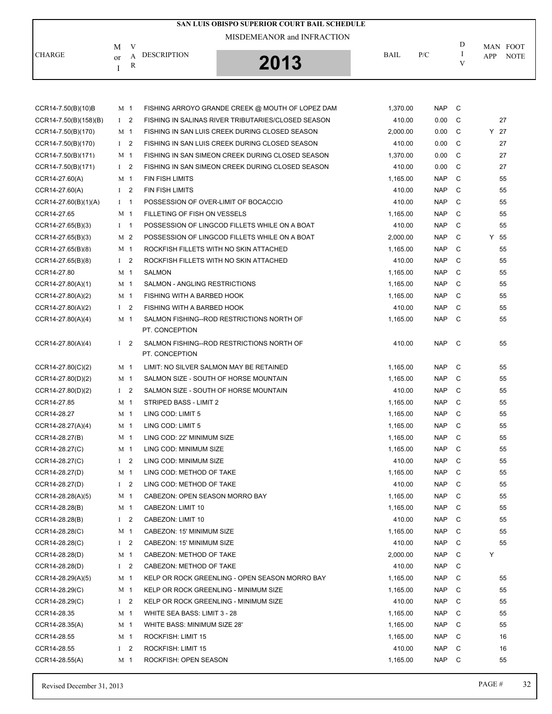|                         | M              | V              |                        | SAN LUIS OBISPO SUPERIOR COURT BAIL SCHEDULE<br>MISDEMEANOR and INFRACTION |             |            | D              | MAN FOOT                  |
|-------------------------|----------------|----------------|------------------------|----------------------------------------------------------------------------|-------------|------------|----------------|---------------------------|
| <b>CHARGE</b>           | <sub>or</sub>  | А<br>R         | <b>DESCRIPTION</b>     | 2013                                                                       | <b>BAIL</b> | P/C        | V              | <b>APP</b><br><b>NOTE</b> |
|                         |                |                |                        |                                                                            |             |            |                |                           |
| CCR14-7.50(B)(10)B      | M <sub>1</sub> |                |                        | FISHING ARROYO GRANDE CREEK @ MOUTH OF LOPEZ DAM                           | 1,370.00    | <b>NAP</b> | $\mathbf{C}$   |                           |
| $CCR14-7.50(B)(158)(B)$ |                | $1\quad 2$     |                        | FISHING IN SALINAS RIVER TRIBUTARIES/CLOSED SEASON                         | 410.00      | 0.00       | C.             | 27                        |
| CCR14-7.50(B)(170)      | M 1            |                |                        | FISHING IN SAN LUIS CREEK DURING CLOSED SEASON                             | 2,000.00    | 0.00       | - C            | $Y$ 27                    |
| CCR14-7.50(B)(170)      |                | $1\quad 2$     |                        | FISHING IN SAN LUIS CREEK DURING CLOSED SEASON                             | 410.00      | 0.00       | $\overline{C}$ | 27                        |
| CCR14-7.50(B)(171)      | M 1            |                |                        | FISHING IN SAN SIMEON CREEK DURING CLOSED SEASON                           | 1,370.00    | 0.00       | C C            | 27                        |
| CCR14-7.50(B)(171)      |                | I <sub>2</sub> |                        | FISHING IN SAN SIMEON CREEK DURING CLOSED SEASON                           | 410.00      | 0.00       | C.             | 27                        |
| CCR14-27.60(A)          | M 1            |                | <b>FIN FISH LIMITS</b> |                                                                            | 1,165.00    | <b>NAP</b> | C.             | 55                        |
| CCR14-27.60(A)          | L              | 2              | <b>FIN FISH LIMITS</b> |                                                                            | 410.00      | <b>NAP</b> | <sub>c</sub>   | 55                        |
| $CCR14-27.60(B)(1)(A)$  |                |                |                        | POSSESSION OF OVER-LIMIT OF BOCACCIO                                       | 410.00      | <b>NAP</b> | C              | 55                        |

| CCR14-7.50(B)(171)     | M 1            |                         | FISHING IN SAN SIMEON CREEK DURING CLOSED SEASON            | 1,370.00 | 0.00       | C | 27     |
|------------------------|----------------|-------------------------|-------------------------------------------------------------|----------|------------|---|--------|
| CCR14-7.50(B)(171)     | $\mathbf{I}$   | 2                       | FISHING IN SAN SIMEON CREEK DURING CLOSED SEASON            | 410.00   | 0.00       | C | 27     |
| CCR14-27.60(A)         | M 1            |                         | <b>FIN FISH LIMITS</b>                                      | 1,165.00 | <b>NAP</b> | C | 55     |
| CCR14-27.60(A)         | $1 \quad 2$    |                         | FIN FISH LIMITS                                             | 410.00   | <b>NAP</b> | С | 55     |
| $CCR14-27.60(B)(1)(A)$ | $I \quad 1$    |                         | POSSESSION OF OVER-LIMIT OF BOCACCIO                        | 410.00   | <b>NAP</b> | C | 55     |
| CCR14-27.65            | M 1            |                         | FILLETING OF FISH ON VESSELS                                | 1,165.00 | <b>NAP</b> | С | 55     |
| $CCR14-27.65(B)(3)$    | $I \quad 1$    |                         | POSSESSION OF LINGCOD FILLETS WHILE ON A BOAT               | 410.00   | <b>NAP</b> | С | 55     |
| CCR14-27.65(B)(3)      | M 2            |                         | POSSESSION OF LINGCOD FILLETS WHILE ON A BOAT               | 2,000.00 | <b>NAP</b> | C | $Y$ 55 |
| CCR14-27.65(B)(8)      | M 1            |                         | ROCKFISH FILLETS WITH NO SKIN ATTACHED                      | 1,165.00 | <b>NAP</b> | C | 55     |
| CCR14-27.65(B)(8)      | $1\quad 2$     |                         | ROCKFISH FILLETS WITH NO SKIN ATTACHED                      | 410.00   | <b>NAP</b> | С | 55     |
| CCR14-27.80            | M 1            |                         | <b>SALMON</b>                                               | 1,165.00 | <b>NAP</b> | C | 55     |
| CCR14-27.80(A)(1)      | M 1            |                         | SALMON - ANGLING RESTRICTIONS                               | 1,165.00 | <b>NAP</b> | С | 55     |
| CCR14-27.80(A)(2)      | M 1            |                         | FISHING WITH A BARBED HOOK                                  | 1,165.00 | <b>NAP</b> | С | 55     |
| CCR14-27.80(A)(2)      | $\mathbf{I}$   | 2                       | FISHING WITH A BARBED HOOK                                  | 410.00   | <b>NAP</b> | C | 55     |
| CCR14-27.80(A)(4)      | M 1            |                         | SALMON FISHING--ROD RESTRICTIONS NORTH OF                   | 1,165.00 | <b>NAP</b> | C | 55     |
|                        |                |                         | PT. CONCEPTION                                              |          |            |   |        |
| CCR14-27.80(A)(4)      | $1\quad 2$     |                         | SALMON FISHING--ROD RESTRICTIONS NORTH OF<br>PT. CONCEPTION | 410.00   | <b>NAP</b> | C | 55     |
| $CCR14-27.80(C)(2)$    | M 1            |                         | LIMIT: NO SILVER SALMON MAY BE RETAINED                     | 1,165.00 | <b>NAP</b> | C | 55     |
| CCR14-27.80(D)(2)      | M 1            |                         | SALMON SIZE - SOUTH OF HORSE MOUNTAIN                       | 1,165.00 | <b>NAP</b> | С | 55     |
| $CCR14-27.80(D)(2)$    | $1\quad 2$     |                         | SALMON SIZE - SOUTH OF HORSE MOUNTAIN                       | 410.00   | <b>NAP</b> | C | 55     |
| CCR14-27.85            | M 1            |                         | STRIPED BASS - LIMIT 2                                      | 1,165.00 | <b>NAP</b> | C | 55     |
| CCR14-28.27            | M 1            |                         | LING COD: LIMIT 5                                           | 1,165.00 | <b>NAP</b> | C | 55     |
| CCR14-28.27(A)(4)      | M 1            |                         | LING COD: LIMIT 5                                           | 1,165.00 | <b>NAP</b> | C | 55     |
| CCR14-28.27(B)         | M 1            |                         | LING COD: 22' MINIMUM SIZE                                  | 1,165.00 | <b>NAP</b> | С | 55     |
| CCR14-28.27(C)         | M 1            |                         | LING COD: MINIMUM SIZE                                      | 1,165.00 | <b>NAP</b> | C | 55     |
| $CCR14-28.27(C)$       | $1\quad 2$     |                         | LING COD: MINIMUM SIZE                                      | 410.00   | <b>NAP</b> | C | 55     |
| CCR14-28.27(D)         | M 1            |                         | LING COD: METHOD OF TAKE                                    | 1,165.00 | <b>NAP</b> | C | 55     |
| CCR14-28.27(D)         | $\mathbf{I}$   | 2                       | LING COD: METHOD OF TAKE                                    | 410.00   | <b>NAP</b> | C | 55     |
| $CCR14-28.28(A)(5)$    | M 1            |                         | CABEZON: OPEN SEASON MORRO BAY                              | 1,165.00 | <b>NAP</b> | C | 55     |
| CCR14-28.28(B)         | M 1            |                         | CABEZON: LIMIT 10                                           | 1,165.00 | <b>NAP</b> | С | 55     |
| CCR14-28.28(B)         | $\mathbf{I}$   | 2                       | CABEZON: LIMIT 10                                           | 410.00   | <b>NAP</b> | C | 55     |
| $CCR14-28.28(C)$       | M <sub>1</sub> |                         | CABEZON: 15' MINIMUM SIZE                                   | 1,165.00 | <b>NAP</b> | С | 55     |
| CCR14-28.28(C)         | $1 \quad 2$    |                         | CABEZON: 15' MINIMUM SIZE                                   | 410.00   | <b>NAP</b> | C | 55     |
| CCR14-28.28(D)         | M 1            |                         | CABEZON: METHOD OF TAKE                                     | 2,000.00 | NAP C      |   |        |
| CCR14-28.28(D)         | $1\quad 2$     |                         | CABEZON: METHOD OF TAKE                                     | 410.00   | NAP        | C |        |
| CCR14-28.29(A)(5)      | M 1            |                         | KELP OR ROCK GREENLING - OPEN SEASON MORRO BAY              | 1,165.00 | <b>NAP</b> | C | 55     |
| CCR14-28.29(C)         | M 1            |                         | KELP OR ROCK GREENLING - MINIMUM SIZE                       | 1,165.00 | <b>NAP</b> | С | 55     |
| CCR14-28.29(C)         | $1 \quad 2$    |                         | KELP OR ROCK GREENLING - MINIMUM SIZE                       | 410.00   | <b>NAP</b> | C | 55     |
| CCR14-28.35            | M 1            |                         | WHITE SEA BASS: LIMIT 3 - 28                                | 1,165.00 | <b>NAP</b> | С | 55     |
| CCR14-28.35(A)         | M 1            |                         | WHITE BASS: MINIMUM SIZE 28'                                | 1,165.00 | <b>NAP</b> | C | 55     |
| CCR14-28.55            | M 1            |                         | ROCKFISH: LIMIT 15                                          | 1,165.00 | <b>NAP</b> | C | 16     |
| CCR14-28.55            | $\mathbf{I}$   | $\overline{\mathbf{c}}$ | ROCKFISH: LIMIT 15                                          | 410.00   | <b>NAP</b> | C | 16     |
| CCR14-28.55(A)         | M 1            |                         | ROCKFISH: OPEN SEASON                                       | 1,165.00 | NAP        | C | 55     |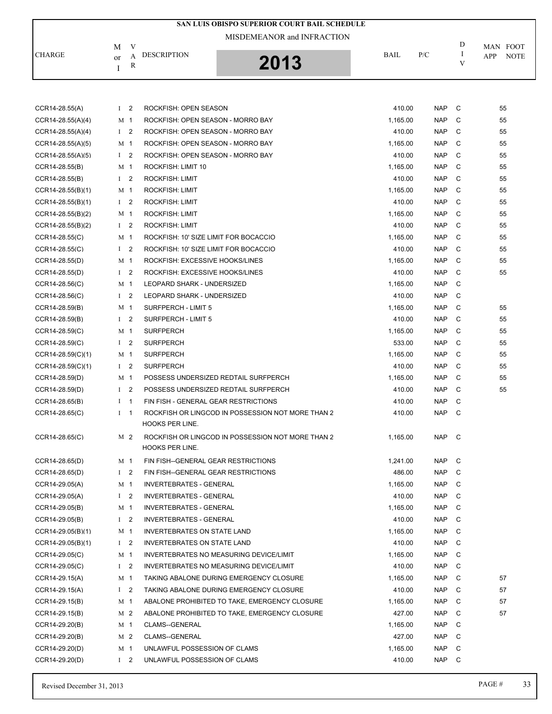| CHARGE              | M              | V              | <b>DESCRIPTION</b>                                                          | BAIL     | P/C        | D<br>1 | MAN FOOT           |
|---------------------|----------------|----------------|-----------------------------------------------------------------------------|----------|------------|--------|--------------------|
|                     | or<br>I        | А<br>${\bf R}$ | 2013                                                                        |          |            | V      | APP<br><b>NOTE</b> |
|                     |                |                |                                                                             |          |            |        |                    |
|                     |                |                |                                                                             |          |            |        |                    |
| CCR14-28.55(A)      | $1\quad 2$     |                | ROCKFISH: OPEN SEASON                                                       | 410.00   | <b>NAP</b> | C      | 55                 |
| CCR14-28.55(A)(4)   | M              | $\mathbf 1$    | ROCKFISH: OPEN SEASON - MORRO BAY                                           | 1,165.00 | <b>NAP</b> | C      | 55                 |
| CCR14-28.55(A)(4)   | I <sub>2</sub> |                | ROCKFISH: OPEN SEASON - MORRO BAY                                           | 410.00   | <b>NAP</b> | C      | 55                 |
| CCR14-28.55(A)(5)   | M <sub>1</sub> |                | ROCKFISH: OPEN SEASON - MORRO BAY                                           | 1,165.00 | <b>NAP</b> | C      | 55                 |
| CCR14-28.55(A)(5)   | $\mathbf{I}$   | 2              | ROCKFISH: OPEN SEASON - MORRO BAY                                           | 410.00   | <b>NAP</b> | C      | 55                 |
| CCR14-28.55(B)      | M 1            |                | ROCKFISH: LIMIT 10                                                          | 1.165.00 | <b>NAP</b> | C      | 55                 |
| CCR14-28.55(B)      | $\mathbf{I}$   | 2              | <b>ROCKFISH: LIMIT</b>                                                      | 410.00   | <b>NAP</b> | C      | 55                 |
| $CCR14-28.55(B)(1)$ | M              | $\overline{1}$ | <b>ROCKFISH: LIMIT</b>                                                      | 1,165.00 | <b>NAP</b> | C      | 55                 |
| $CCR14-28.55(B)(1)$ | $1 \quad 2$    |                | <b>ROCKFISH: LIMIT</b>                                                      | 410.00   | <b>NAP</b> | C      | 55                 |
| CCR14-28.55(B)(2)   | M 1            |                | <b>ROCKFISH: LIMIT</b>                                                      | 1,165.00 | <b>NAP</b> | C      | 55                 |
| CCR14-28.55(B)(2)   | I <sub>2</sub> |                | <b>ROCKFISH: LIMIT</b>                                                      | 410.00   | <b>NAP</b> | C      | 55                 |
| $CCR14-28.55(C)$    | M 1            |                | ROCKFISH: 10' SIZE LIMIT FOR BOCACCIO                                       | 1,165.00 | <b>NAP</b> | C      | 55                 |
| $CCR14-28.55(C)$    | $1\quad 2$     |                | ROCKFISH: 10' SIZE LIMIT FOR BOCACCIO                                       | 410.00   | <b>NAP</b> | C      | 55                 |
| CCR14-28.55(D)      | M              | $\mathbf 1$    | ROCKFISH: EXCESSIVE HOOKS/LINES                                             | 1,165.00 | <b>NAP</b> | C      | 55                 |
| CCR14-28.55(D)      | I <sub>2</sub> |                | ROCKFISH: EXCESSIVE HOOKS/LINES                                             | 410.00   | <b>NAP</b> | C      | 55                 |
| CCR14-28.56(C)      | M 1            |                | LEOPARD SHARK - UNDERSIZED                                                  | 1,165.00 | <b>NAP</b> | C      |                    |
| CCR14-28.56(C)      | $\bf{I}$       | 2              | LEOPARD SHARK - UNDERSIZED                                                  | 410.00   | <b>NAP</b> | C      |                    |
| CCR14-28.59(B)      | M <sub>1</sub> |                | SURFPERCH - LIMIT 5                                                         | 1,165.00 | <b>NAP</b> | C      | 55                 |
| CCR14-28.59(B)      | $\mathbf{I}$   | 2              | SURFPERCH - LIMIT 5                                                         | 410.00   | <b>NAP</b> | C      | 55                 |
| CCR14-28.59(C)      | M              | $\mathbf{1}$   | <b>SURFPERCH</b>                                                            | 1,165.00 | <b>NAP</b> | C      | 55                 |
| CCR14-28.59(C)      | $1 \quad 2$    |                | <b>SURFPERCH</b>                                                            | 533.00   | <b>NAP</b> | C      | 55                 |
| $CCR14-28.59(C)(1)$ | M 1            |                | <b>SURFPERCH</b>                                                            | 1,165.00 | <b>NAP</b> | C      | 55                 |
| $CCR14-28.59(C)(1)$ | I <sub>2</sub> |                | <b>SURFPERCH</b>                                                            | 410.00   | <b>NAP</b> | C      | 55                 |
| CCR14-28.59(D)      | M 1            |                | POSSESS UNDERSIZED REDTAIL SURFPERCH                                        | 1,165.00 | <b>NAP</b> | C      | 55                 |
| CCR14-28.59(D)      | $\mathbf{I}$   | 2              | POSSESS UNDERSIZED REDTAIL SURFPERCH                                        | 410.00   | <b>NAP</b> | C      | 55                 |
| CCR14-28.65(B)      | $\bf{I}$       | $\mathbf 1$    | FIN FISH - GENERAL GEAR RESTRICTIONS                                        | 410.00   | <b>NAP</b> | C      |                    |
| CCR14-28.65(C)      | $1 \quad 1$    |                | ROCKFISH OR LINGCOD IN POSSESSION NOT MORE THAN 2<br><b>HOOKS PER LINE.</b> | 410.00   | <b>NAP</b> | C      |                    |
| $CCR14-28.65(C)$    | M 2            |                | ROCKFISH OR LINGCOD IN POSSESSION NOT MORE THAN 2<br><b>HOOKS PER LINE.</b> | 1,165.00 | NAP        | C      |                    |
| CCR14-28.65(D)      | M 1            |                | FIN FISH--GENERAL GEAR RESTRICTIONS                                         | 1,241.00 | <b>NAP</b> | C      |                    |
| CCR14-28.65(D)      | $1 \quad 2$    |                | FIN FISH--GENERAL GEAR RESTRICTIONS                                         | 486.00   | <b>NAP</b> | C      |                    |
| CCR14-29.05(A)      | M 1            |                | <b>INVERTEBRATES - GENERAL</b>                                              | 1,165.00 | <b>NAP</b> | C      |                    |
| CCR14-29.05(A)      | $1 \quad 2$    |                | <b>INVERTEBRATES - GENERAL</b>                                              | 410.00   | <b>NAP</b> | C      |                    |
| CCR14-29.05(B)      | M 1            |                | <b>INVERTEBRATES - GENERAL</b>                                              | 1,165.00 | <b>NAP</b> | C      |                    |
| CCR14-29.05(B)      | $1\quad 2$     |                | <b>INVERTEBRATES - GENERAL</b>                                              | 410.00   | <b>NAP</b> | C      |                    |
| $CCR14-29.05(B)(1)$ | M 1            |                | INVERTEBRATES ON STATE LAND                                                 | 1,165.00 | <b>NAP</b> | C      |                    |
| $CCR14-29.05(B)(1)$ | $1\quad 2$     |                | <b>INVERTEBRATES ON STATE LAND</b>                                          | 410.00   | <b>NAP</b> | C      |                    |
| CCR14-29.05(C)      | M 1            |                | <b>INVERTEBRATES NO MEASURING DEVICE/LIMIT</b>                              | 1,165.00 | <b>NAP</b> | C      |                    |
| CCR14-29.05(C)      | $1 \quad 2$    |                | INVERTEBRATES NO MEASURING DEVICE/LIMIT                                     | 410.00   | <b>NAP</b> | C      |                    |
| CCR14-29.15(A)      | M 1            |                | TAKING ABALONE DURING EMERGENCY CLOSURE                                     | 1,165.00 | <b>NAP</b> | C      | 57                 |
| CCR14-29.15(A)      | $1\quad 2$     |                | TAKING ABALONE DURING EMERGENCY CLOSURE                                     | 410.00   | <b>NAP</b> | C      | 57                 |
| CCR14-29.15(B)      | M 1            |                | ABALONE PROHIBITED TO TAKE, EMERGENCY CLOSURE                               | 1,165.00 | <b>NAP</b> | C      | 57                 |
| CCR14-29.15(B)      | M 2            |                | ABALONE PROHIBITED TO TAKE, EMERGENCY CLOSURE                               | 427.00   | <b>NAP</b> | C      | 57                 |
| CCR14-29.20(B)      | M 1            |                | CLAMS--GENERAL                                                              | 1,165.00 | <b>NAP</b> | C      |                    |
| CCR14-29.20(B)      | M 2            |                | CLAMS--GENERAL                                                              | 427.00   | <b>NAP</b> | C      |                    |
| CCR14-29.20(D)      | M 1            |                | UNLAWFUL POSSESSION OF CLAMS                                                | 1,165.00 | <b>NAP</b> | C      |                    |
| CCR14-29.20(D)      | $1\quad 2$     |                | UNLAWFUL POSSESSION OF CLAMS                                                | 410.00   | NAP        | C      |                    |

**SAN LUIS OBISPO SUPERIOR COURT BAIL SCHEDULE**

MISDEMEANOR and INFRACTION

 $\,$  D  $\,$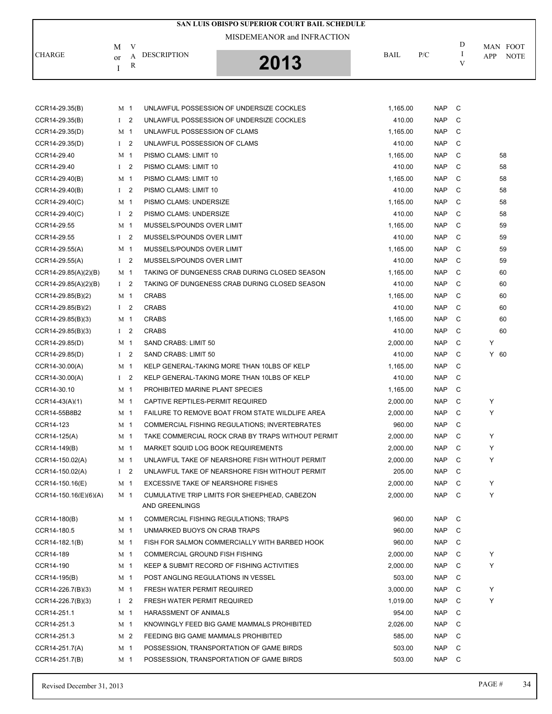|                         |                |                                    | SAN LUIS OBISPO SUPERIOR COURT BAIL SCHEDULE      |             |            |              |                    |
|-------------------------|----------------|------------------------------------|---------------------------------------------------|-------------|------------|--------------|--------------------|
|                         |                | MISDEMEANOR and INFRACTION         |                                                   |             |            |              |                    |
| <b>CHARGE</b>           | V<br>М         | <b>DESCRIPTION</b><br>А<br>R       | 2013                                              | <b>BAIL</b> | P/C        | D<br>Ι.<br>V | MAN FOOT           |
|                         | or<br>Ι        |                                    |                                                   |             |            |              | <b>NOTE</b><br>APP |
|                         |                |                                    |                                                   |             |            |              |                    |
| CCR14-29.35(B)          | M 1            |                                    | UNLAWFUL POSSESSION OF UNDERSIZE COCKLES          | 1,165.00    | <b>NAP</b> | C            |                    |
| CCR14-29.35(B)          | $1\quad 2$     |                                    | UNLAWFUL POSSESSION OF UNDERSIZE COCKLES          | 410.00      | <b>NAP</b> | C            |                    |
| CCR14-29.35(D)          | M 1            | UNLAWFUL POSSESSION OF CLAMS       |                                                   | 1,165.00    | <b>NAP</b> | C            |                    |
| CCR14-29.35(D)          | $1 \quad 2$    | UNLAWFUL POSSESSION OF CLAMS       |                                                   | 410.00      | <b>NAP</b> | C            |                    |
| CCR14-29.40             | M 1            | PISMO CLAMS: LIMIT 10              |                                                   | 1,165.00    | <b>NAP</b> | C            | 58                 |
| CCR14-29.40             | I <sub>2</sub> | PISMO CLAMS: LIMIT 10              |                                                   | 410.00      | <b>NAP</b> | C            | 58                 |
| CCR14-29.40(B)          | M 1            | PISMO CLAMS: LIMIT 10              |                                                   | 1,165.00    | <b>NAP</b> | C            | 58                 |
| CCR14-29.40(B)          | I <sub>2</sub> | PISMO CLAMS: LIMIT 10              |                                                   | 410.00      | <b>NAP</b> | C            | 58                 |
| CCR14-29.40(C)          | M <sub>1</sub> | PISMO CLAMS: UNDERSIZE             |                                                   | 1,165.00    | <b>NAP</b> | C            | 58                 |
| CCR14-29.40(C)          | $1 \quad 2$    | PISMO CLAMS: UNDERSIZE             |                                                   | 410.00      | <b>NAP</b> | C            | 58                 |
| CCR14-29.55             | M 1            | MUSSELS/POUNDS OVER LIMIT          |                                                   | 1,165.00    | <b>NAP</b> | C            | 59                 |
| CCR14-29.55             | I <sub>2</sub> | MUSSELS/POUNDS OVER LIMIT          |                                                   | 410.00      | <b>NAP</b> | C            | 59                 |
| CCR14-29.55(A)          | M 1            | MUSSELS/POUNDS OVER LIMIT          |                                                   | 1,165.00    | <b>NAP</b> | C            | 59                 |
| CCR14-29.55(A)          | I <sub>2</sub> | MUSSELS/POUNDS OVER LIMIT          |                                                   | 410.00      | <b>NAP</b> | C            | 59                 |
| CCR14-29.85(A)(2)(B)    | M 1            |                                    | TAKING OF DUNGENESS CRAB DURING CLOSED SEASON     | 1,165.00    | <b>NAP</b> | C            | 60                 |
| $CCR14-29.85(A)(2)(B)$  | $1\quad 2$     |                                    | TAKING OF DUNGENESS CRAB DURING CLOSED SEASON     | 410.00      | <b>NAP</b> | C            | 60                 |
| CCR14-29.85(B)(2)       | M 1            | <b>CRABS</b>                       |                                                   | 1,165.00    | <b>NAP</b> | C            | 60                 |
| $CCR14-29.85(B)(2)$     | I <sub>2</sub> | <b>CRABS</b>                       |                                                   | 410.00      | <b>NAP</b> | C            | 60                 |
| $CCR14-29.85(B)(3)$     | M 1            | <b>CRABS</b>                       |                                                   | 1,165.00    | <b>NAP</b> | C            | 60                 |
| CCR14-29.85(B)(3)       | $1 \quad 2$    | <b>CRABS</b>                       |                                                   | 410.00      | <b>NAP</b> | C            | 60                 |
| CCR14-29.85(D)          | M <sub>1</sub> | SAND CRABS: LIMIT 50               |                                                   | 2,000.00    | <b>NAP</b> | C            | Y                  |
| CCR14-29.85(D)          | $1 \quad 2$    | SAND CRABS: LIMIT 50               |                                                   | 410.00      | <b>NAP</b> | C            | $Y$ 60             |
| CCR14-30.00(A)          | M 1            |                                    | KELP GENERAL-TAKING MORE THAN 10LBS OF KELP       | 1,165.00    | <b>NAP</b> | C            |                    |
| CCR14-30.00(A)          | I <sub>2</sub> |                                    | KELP GENERAL-TAKING MORE THAN 10LBS OF KELP       | 410.00      | <b>NAP</b> | C            |                    |
| CCR14-30.10             | M 1            | PROHIBITED MARINE PLANT SPECIES    |                                                   | 1,165.00    | <b>NAP</b> | C            |                    |
| CCR14-43(A)(1)          | M 1            | CAPTIVE REPTILES-PERMIT REQUIRED   |                                                   | 2,000.00    | <b>NAP</b> | C            | Υ                  |
| CCR14-55B8B2            | M 1            |                                    | FAILURE TO REMOVE BOAT FROM STATE WILDLIFE AREA   | 2,000.00    | <b>NAP</b> | C            | Υ                  |
| CCR14-123               | M 1            |                                    | COMMERCIAL FISHING REGULATIONS; INVERTEBRATES     | 960.00      | <b>NAP</b> | C            |                    |
| CCR14-125(A)            | M 1            |                                    | TAKE COMMERCIAL ROCK CRAB BY TRAPS WITHOUT PERMIT | 2,000.00    | NAP C      |              | Υ                  |
| CCR14-149(B)            | M 1            |                                    | MARKET SQUID LOG BOOK REQUIREMENTS                | 2,000.00    | NAP C      |              | Υ                  |
| CCR14-150.02(A)         | M 1            |                                    | UNLAWFUL TAKE OF NEARSHORE FISH WITHOUT PERMIT    | 2,000.00    | NAP C      |              | Υ                  |
| CCR14-150.02(A)         | $1\quad 2$     |                                    | UNLAWFUL TAKE OF NEARSHORE FISH WITHOUT PERMIT    | 205.00      | NAP C      |              |                    |
| CCR14-150.16(E)         | M 1            | EXCESSIVE TAKE OF NEARSHORE FISHES |                                                   | 2,000.00    | NAP        | C            | Υ                  |
| $CCR14-150.16(E)(6)(A)$ | M 1            |                                    | CUMULATIVE TRIP LIMITS FOR SHEEPHEAD, CABEZON     | 2,000.00    | NAP C      |              | Υ                  |
|                         |                | AND GREENLINGS                     |                                                   |             |            |              |                    |
| CCR14-180(B)            | M 1            |                                    | <b>COMMERCIAL FISHING REGULATIONS; TRAPS</b>      | 960.00      | NAP        | C            |                    |
| CCR14-180.5             | M 1            | UNMARKED BUOYS ON CRAB TRAPS       |                                                   | 960.00      | NAP C      |              |                    |
| CCR14-182.1(B)          | M 1            |                                    | FISH FOR SALMON COMMERCIALLY WITH BARBED HOOK     | 960.00      | NAP        | - C          |                    |
| CCR14-189               | M 1            | COMMERCIAL GROUND FISH FISHING     |                                                   | 2,000.00    | NAP        | C            | Υ                  |
| CCR14-190               | M 1            |                                    | KEEP & SUBMIT RECORD OF FISHING ACTIVITIES        | 2,000.00    | NAP        | C            | Υ                  |
| CCR14-195(B)            | M 1            | POST ANGLING REGULATIONS IN VESSEL |                                                   | 503.00      | <b>NAP</b> | C            |                    |
| CCR14-226.7(B)(3)       | M 1            | FRESH WATER PERMIT REQUIRED        |                                                   | 3,000.00    | NAP        | C            | Υ                  |
| CCR14-226.7(B)(3)       | $1\quad 2$     | FRESH WATER PERMIT REQUIRED        |                                                   | 1,019.00    | NAP        | C            | Υ                  |
| CCR14-251.1             | M 1            | HARASSMENT OF ANIMALS              |                                                   | 954.00      | <b>NAP</b> | C            |                    |
| CCR14-251.3             | M 1            |                                    | KNOWINGLY FEED BIG GAME MAMMALS PROHIBITED        | 2,026.00    | NAP        | C            |                    |
| CCR14-251.3             | M 2            |                                    | FEEDING BIG GAME MAMMALS PROHIBITED               | 585.00      | NAP        | C            |                    |
| CCR14-251.7(A)          | M 1            |                                    | POSSESSION, TRANSPORTATION OF GAME BIRDS          | 503.00      | NAP C      |              |                    |

CCR14-251.7(B) M 1 POSSESSION, TRANSPORTATION OF GAME BIRDS 503.00 NAP C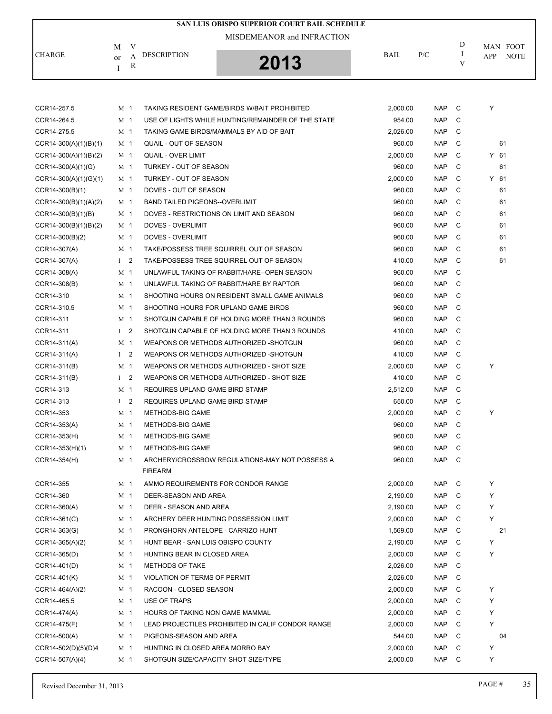| SAN LUIS OBISPO SUPERIOR COURT BAIL SCHEDULE |                |                                       |                                                    |          |            |         |          |             |  |
|----------------------------------------------|----------------|---------------------------------------|----------------------------------------------------|----------|------------|---------|----------|-------------|--|
|                                              | V<br>М         | MISDEMEANOR and INFRACTION            |                                                    |          |            | D       | MAN FOOT |             |  |
| CHARGE                                       | A<br>or        | <b>DESCRIPTION</b>                    | 2013                                               | BAIL     | P/C        | -1<br>V | APP      | <b>NOTE</b> |  |
|                                              | R<br>I         |                                       |                                                    |          |            |         |          |             |  |
| CCR14-257.5                                  | M 1            |                                       | TAKING RESIDENT GAME/BIRDS W/BAIT PROHIBITED       | 2,000.00 | <b>NAP</b> | C       | Υ        |             |  |
| CCR14-264.5                                  | M 1            |                                       | USE OF LIGHTS WHILE HUNTING/REMAINDER OF THE STATE | 954.00   | <b>NAP</b> | C       |          |             |  |
| CCR14-275.5                                  | M 1            |                                       | TAKING GAME BIRDS/MAMMALS BY AID OF BAIT           | 2.026.00 | <b>NAP</b> | C       |          |             |  |
| $CCR14-300(A)(1)(B)(1)$                      | M 1            | QUAIL - OUT OF SEASON                 |                                                    | 960.00   | <b>NAP</b> | C       | 61       |             |  |
| $CCR14-300(A)(1)(B)(2)$                      | M 1            | <b>QUAIL - OVER LIMIT</b>             |                                                    | 2,000.00 | <b>NAP</b> | C       | Y 61     |             |  |
| CCR14-300(A)(1)(G)                           | M 1            | TURKEY - OUT OF SEASON                |                                                    | 960.00   | <b>NAP</b> | C       | 61       |             |  |
| $CCR14-300(A)(1)(G)(1)$                      | M 1            | TURKEY - OUT OF SEASON                |                                                    | 2,000.00 | <b>NAP</b> | C       | $Y$ 61   |             |  |
| CCR14-300(B)(1)                              | M 1            | DOVES - OUT OF SEASON                 |                                                    | 960.00   | <b>NAP</b> | C       | 61       |             |  |
| CCR14-300(B)(1)(A)(2)                        | M 1            | <b>BAND TAILED PIGEONS--OVERLIMIT</b> |                                                    | 960.00   | <b>NAP</b> | C       | 61       |             |  |
| $CCR14-300(B)(1)(B)$                         | M 1            |                                       | DOVES - RESTRICTIONS ON LIMIT AND SEASON           | 960.00   | <b>NAP</b> | C       | 61       |             |  |
| $CCR14-300(B)(1)(B)(2)$                      | M 1            | <b>DOVES - OVERLIMIT</b>              |                                                    | 960.00   | <b>NAP</b> | C       | 61       |             |  |
| $CCR14-300(B)(2)$                            | M 1            | DOVES - OVERLIMIT                     |                                                    | 960.00   | <b>NAP</b> | C       | 61       |             |  |
| CCR14-307(A)                                 | M 1            |                                       | TAKE/POSSESS TREE SQUIRREL OUT OF SEASON           | 960.00   | <b>NAP</b> | C       | 61       |             |  |
| CCR14-307(A)                                 | $1\quad 2$     |                                       | TAKE/POSSESS TREE SQUIRREL OUT OF SEASON           | 410.00   | <b>NAP</b> | C       | 61       |             |  |
| CCR14-308(A)                                 | M 1            |                                       | UNLAWFUL TAKING OF RABBIT/HARE--OPEN SEASON        | 960.00   | <b>NAP</b> | C       |          |             |  |
| CCR14-308(B)                                 | M 1            |                                       | UNLAWFUL TAKING OF RABBIT/HARE BY RAPTOR           | 960.00   | <b>NAP</b> | C       |          |             |  |
| CCR14-310                                    | M 1            |                                       | SHOOTING HOURS ON RESIDENT SMALL GAME ANIMALS      | 960.00   | <b>NAP</b> | C       |          |             |  |
| CCR14-310.5                                  | M 1            |                                       | SHOOTING HOURS FOR UPLAND GAME BIRDS               | 960.00   | <b>NAP</b> | C       |          |             |  |
| CCR14-311                                    | M 1            |                                       | SHOTGUN CAPABLE OF HOLDING MORE THAN 3 ROUNDS      | 960.00   | <b>NAP</b> | C       |          |             |  |
| CCR14-311                                    | $1\quad 2$     |                                       | SHOTGUN CAPABLE OF HOLDING MORE THAN 3 ROUNDS      | 410.00   | <b>NAP</b> | C       |          |             |  |
| CCR14-311(A)                                 | M 1            |                                       | WEAPONS OR METHODS AUTHORIZED -SHOTGUN             | 960.00   | <b>NAP</b> | C       |          |             |  |
| CCR14-311(A)                                 | $1 \quad 2$    |                                       | WEAPONS OR METHODS AUTHORIZED -SHOTGUN             | 410.00   | <b>NAP</b> | C       |          |             |  |
| CCR14-311(B)                                 | M 1            |                                       | WEAPONS OR METHODS AUTHORIZED - SHOT SIZE          | 2,000.00 | <b>NAP</b> | C       | Υ        |             |  |
| CCR14-311(B)                                 | $1\quad 2$     |                                       | WEAPONS OR METHODS AUTHORIZED - SHOT SIZE          | 410.00   | <b>NAP</b> | C       |          |             |  |
| CCR14-313                                    | M 1            | REQUIRES UPLAND GAME BIRD STAMP       |                                                    | 2,512.00 | <b>NAP</b> | C       |          |             |  |
| CCR14-313                                    | $1 \quad 2$    | REQUIRES UPLAND GAME BIRD STAMP       |                                                    | 650.00   | <b>NAP</b> | C       |          |             |  |
| CCR14-353                                    | M 1            | <b>METHODS-BIG GAME</b>               |                                                    | 2,000.00 | <b>NAP</b> | C       | Υ        |             |  |
| CCR14-353(A)                                 | M 1            | <b>METHODS-BIG GAME</b>               |                                                    | 960.00   | <b>NAP</b> | C       |          |             |  |
| CCR14-353(H)                                 | M 1            | <b>METHODS-BIG GAME</b>               |                                                    | 960.00   | NAP C      |         |          |             |  |
| CCR14-353(H)(1)                              | M 1            | <b>METHODS-BIG GAME</b>               |                                                    | 960.00   | NAP C      |         |          |             |  |
| CCR14-354(H)                                 | M 1            | <b>FIREARM</b>                        | ARCHERY/CROSSBOW REGULATIONS-MAY NOT POSSESS A     | 960.00   | NAP C      |         |          |             |  |
| CCR14-355                                    | M 1            |                                       | AMMO REQUIREMENTS FOR CONDOR RANGE                 | 2,000.00 | NAP C      |         | Y        |             |  |
| CCR14-360                                    | M 1            | DEER-SEASON AND AREA                  |                                                    | 2,190.00 | NAP        | C       | Y        |             |  |
| CCR14-360(A)                                 | M <sub>1</sub> | DEER - SEASON AND AREA                |                                                    | 2,190.00 | NAP C      |         | Y        |             |  |
| CCR14-361(C)                                 | M 1            |                                       | ARCHERY DEER HUNTING POSSESSION LIMIT              | 2,000.00 | NAP C      |         | Y        |             |  |
| CCR14-363(G)                                 | M 1            | PRONGHORN ANTELOPE - CARRIZO HUNT     |                                                    | 1,569.00 | NAP        | C       | 21       |             |  |
| CCR14-365(A)(2)                              | M 1            | HUNT BEAR - SAN LUIS OBISPO COUNTY    |                                                    | 2,190.00 | NAP        | C       | Υ        |             |  |
| CCR14-365(D)                                 | M 1            | HUNTING BEAR IN CLOSED AREA           |                                                    | 2,000.00 | NAP C      |         | Y        |             |  |
| CCR14-401(D)                                 | M 1            | METHODS OF TAKE                       |                                                    | 2,026.00 | NAP        | C       |          |             |  |
| CCR14-401(K)                                 | M 1            | VIOLATION OF TERMS OF PERMIT          |                                                    | 2,026.00 | NAP C      |         |          |             |  |
| CCR14-464(A)(2)                              | M 1            | RACOON - CLOSED SEASON                |                                                    | 2,000.00 | NAP C      |         | Y        |             |  |
| CCR14-465.5                                  | M 1            | USE OF TRAPS                          |                                                    | 2,000.00 | NAP        | C       | Y        |             |  |
| CCR14-474(A)                                 | M 1            | HOURS OF TAKING NON GAME MAMMAL       |                                                    | 2,000.00 | NAP        | C       | Y        |             |  |
| CCR14-475(F)                                 | M 1            |                                       | LEAD PROJECTILES PROHIBITED IN CALIF CONDOR RANGE  | 2,000.00 | NAP C      |         | Y        |             |  |
| CCR14-500(A)                                 | M 1            | PIGEONS-SEASON AND AREA               |                                                    | 544.00   | NAP        | C       | 04       |             |  |
| CCR14-502(D)(5)(D)4                          | M 1            | HUNTING IN CLOSED AREA MORRO BAY      |                                                    | 2,000.00 | NAP        | C       | Υ        |             |  |
| CCR14-507(A)(4)                              | M 1            |                                       | SHOTGUN SIZE/CAPACITY-SHOT SIZE/TYPE               | 2,000.00 | NAP C      |         | Y        |             |  |
|                                              |                |                                       |                                                    |          |            |         |          |             |  |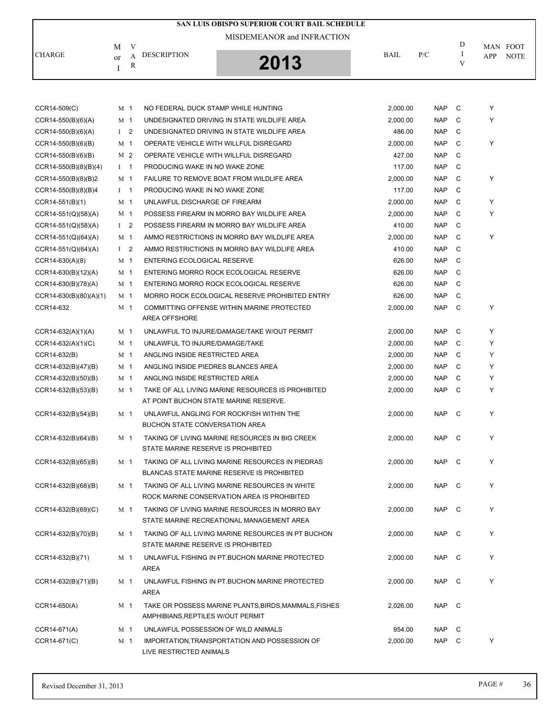| SAN LUIS OBISPO SUPERIOR COURT BAIL SCHEDULE |                    |                |                                                                                               |          |            |               |                 |             |  |
|----------------------------------------------|--------------------|----------------|-----------------------------------------------------------------------------------------------|----------|------------|---------------|-----------------|-------------|--|
| MISDEMEANOR and INFRACTION                   |                    |                |                                                                                               |          |            |               |                 |             |  |
| <b>CHARGE</b>                                | M                  | V<br>A         | <b>DESCRIPTION</b>                                                                            | BAIL     | P/C        | D<br><b>I</b> | MAN FOOT<br>APP | <b>NOTE</b> |  |
|                                              | <sub>or</sub><br>I | R              | 2013                                                                                          |          |            | V             |                 |             |  |
|                                              |                    |                |                                                                                               |          |            |               |                 |             |  |
|                                              |                    |                |                                                                                               |          |            |               |                 |             |  |
| $CCR14-509(C)$                               | M 1                |                | NO FEDERAL DUCK STAMP WHILE HUNTING                                                           | 2,000.00 | <b>NAP</b> | C             | Y               |             |  |
| $CCR14-550(B)(6)(A)$                         | M 1                |                | UNDESIGNATED DRIVING IN STATE WILDLIFE AREA                                                   | 2,000.00 | <b>NAP</b> | C             | Y               |             |  |
| $CCR14-550(B)(6)(A)$                         | $\mathbf{I}$       | $\overline{2}$ | UNDESIGNATED DRIVING IN STATE WILDLIFE AREA                                                   | 486.00   | <b>NAP</b> | C             |                 |             |  |
| $CCR14-550(B)(6)(B)$                         | M 1                |                | OPERATE VEHICLE WITH WILLFUL DISREGARD                                                        | 2,000.00 | <b>NAP</b> | C             | Υ               |             |  |
| $CCR14-550(B)(6)(B)$                         |                    | M <sub>2</sub> | OPERATE VEHICLE WITH WILLFUL DISREGARD                                                        | 427.00   | <b>NAP</b> | C             |                 |             |  |
| $CCR14-550(B)(8)(B)(4)$                      | $1 \quad 1$        |                | PRODUCING WAKE IN NO WAKE ZONE                                                                | 117.00   | <b>NAP</b> | C             |                 |             |  |
| $CCR14-550(B)(8)(B)2$                        | M 1                |                | FAILURE TO REMOVE BOAT FROM WILDLIFE AREA                                                     | 2,000.00 | <b>NAP</b> | C             | Υ               |             |  |
| $CCR14-550(B)(8)(B)4$                        | $1 \quad 1$        |                | PRODUCING WAKE IN NO WAKE ZONE                                                                | 117.00   | <b>NAP</b> | C             |                 |             |  |
| $CCR14-551(B)(1)$                            | M 1                |                | UNLAWFUL DISCHARGE OF FIREARM                                                                 | 2.000.00 | <b>NAP</b> | C             | Υ               |             |  |
| $CCR14-551(Q)(58)(A)$                        | M 1                |                | POSSESS FIREARM IN MORRO BAY WILDLIFE AREA                                                    | 2,000.00 | <b>NAP</b> | C             | Y               |             |  |
| $CCR14-551(Q)(58)(A)$                        | I <sub>2</sub>     |                | POSSESS FIREARM IN MORRO BAY WILDLIFE AREA                                                    | 410.00   | <b>NAP</b> | C             |                 |             |  |
| CCR14-551(Q)(64)(A)                          | M 1                |                | AMMO RESTRICTIONS IN MORRO BAY WILDLIFE AREA                                                  | 2,000.00 | <b>NAP</b> | C             | Y               |             |  |
| $CCR14-551(Q)(64)(A)$                        | $1\quad 2$         |                | AMMO RESTRICTIONS IN MORRO BAY WILDLIFE AREA                                                  | 410.00   | <b>NAP</b> | C             |                 |             |  |
| CCR14-630(A)(8)                              | M 1                |                | <b>ENTERING ECOLOGICAL RESERVE</b>                                                            | 626.00   | <b>NAP</b> | C             |                 |             |  |
| CCR14-630(B)(12)(A)                          | M 1                |                | ENTERING MORRO ROCK ECOLOGICAL RESERVE                                                        | 626.00   | <b>NAP</b> | C             |                 |             |  |
| $CCR14-630(B)(78)(A)$                        |                    | M 1            | ENTERING MORRO ROCK ECOLOGICAL RESERVE                                                        | 626.00   | <b>NAP</b> | C             |                 |             |  |
| $CCR14-630(B)(80)(A)(1)$                     | M 1                |                | MORRO ROCK ECOLOGICAL RESERVE PROHIBITED ENTRY                                                | 626.00   | <b>NAP</b> | C             |                 |             |  |
| CCR14-632                                    | M 1                |                | COMMITTING OFFENSE WITHIN MARINE PROTECTED<br><b>AREA OFFSHORE</b>                            | 2,000.00 | <b>NAP</b> | C             | Υ               |             |  |
| $CCR14-632(A)(1)(A)$                         | M 1                |                | UNLAWFUL TO INJURE/DAMAGE/TAKE W/OUT PERMIT                                                   | 2,000.00 | <b>NAP</b> | C             | Y               |             |  |
| CCR14-632(A)(1)(C)                           |                    | M 1            | UNLAWFUL TO INJURE/DAMAGE/TAKE                                                                | 2,000.00 | <b>NAP</b> | C             | Y               |             |  |
| CCR14-632(B)                                 | M 1                |                | ANGLING INSIDE RESTRICTED AREA                                                                | 2,000.00 | <b>NAP</b> | C             | Y               |             |  |
| CCR14-632(B)(47)(B)                          | M 1                |                | ANGLING INSIDE PIEDRES BLANCES AREA                                                           | 2,000.00 | <b>NAP</b> | C             | Y               |             |  |
| $CCR14-632(B)(50)(B)$                        | M 1                |                | ANGLING INSIDE RESTRICTED AREA                                                                | 2,000.00 | <b>NAP</b> | C             | Y               |             |  |
| $CCR14-632(B)(53)(B)$                        | M 1                |                | TAKE OF ALL LIVING MARINE RESOURCES IS PROHIBITED                                             | 2,000.00 | <b>NAP</b> | C             | Υ               |             |  |
|                                              |                    |                | AT POINT BUCHON STATE MARINE RESERVE.                                                         |          |            |               |                 |             |  |
| $CCR14-632(B)(54)(B)$                        |                    | M 1            | UNLAWFUL ANGLING FOR ROCKFISH WITHIN THE                                                      | 2,000.00 | <b>NAP</b> | C             | Υ               |             |  |
|                                              |                    |                | <b>BUCHON STATE CONVERSATION AREA</b>                                                         |          |            |               |                 |             |  |
| CCR14-632(B)(64)(B)                          |                    | M 1            | TAKING OF LIVING MARINE RESOURCES IN BIG CREEK<br>STATE MARINE RESERVE IS PROHIBITED          | 2,000.00 | NAP C      |               | Υ               |             |  |
| $CCR14-632(B)(65)(B)$                        |                    | M 1            | TAKING OF ALL LIVING MARINE RESOURCES IN PIEDRAS                                              | 2,000.00 | NAP        | $\mathbf{C}$  | Y               |             |  |
|                                              |                    |                | <b>BLANCAS STATE MARINE RESERVE IS PROHIBITED</b>                                             |          |            |               |                 |             |  |
| CCR14-632(B)(68)(B)                          |                    | M 1            | TAKING OF ALL LIVING MARINE RESOURCES IN WHITE<br>ROCK MARINE CONSERVATION AREA IS PROHIBITED | 2,000.00 | NAP        | $\mathbf{C}$  | Υ               |             |  |
| $CCR14-632(B)(69)(C)$                        |                    | M 1            | TAKING OF LIVING MARINE RESOURCES IN MORRO BAY                                                | 2,000.00 | NAP        | - C           | Υ               |             |  |
|                                              |                    |                | STATE MARINE RECREATIONAL MANAGEMENT AREA                                                     |          |            |               |                 |             |  |
| CCR14-632(B)(70)(B)                          | M 1                |                | TAKING OF ALL LIVING MARINE RESOURCES IN PT BUCHON<br>STATE MARINE RESERVE IS PROHIBITED      | 2,000.00 | NAP        | $\mathbf{C}$  | Y               |             |  |
| CCR14-632(B)(71)                             |                    | M 1            | UNLAWFUL FISHING IN PT.BUCHON MARINE PROTECTED<br>AREA                                        | 2,000.00 | NAP        | $\mathbf{C}$  | Y               |             |  |
| $CCR14-632(B)(71)(B)$                        |                    | M 1            | UNLAWFUL FISHING IN PT.BUCHON MARINE PROTECTED<br>AREA                                        | 2,000.00 | <b>NAP</b> | $\mathbf{C}$  | Y               |             |  |
| CCR14-650(A)                                 |                    | M 1            | TAKE OR POSSESS MARINE PLANTS, BIRDS, MAMMALS, FISHES<br>AMPHIBIANS, REPTILES W/OUT PERMIT    | 2,026.00 | NAP C      |               |                 |             |  |

CCR14-671(A) M 1 UNLAWFUL POSSESSION OF WILD ANIMALS 954.00 NAP C

CCR14-671(C) M 1 IMPORTATION,TRANSPORTATION AND POSSESSION OF 2,000.00 NAP C Y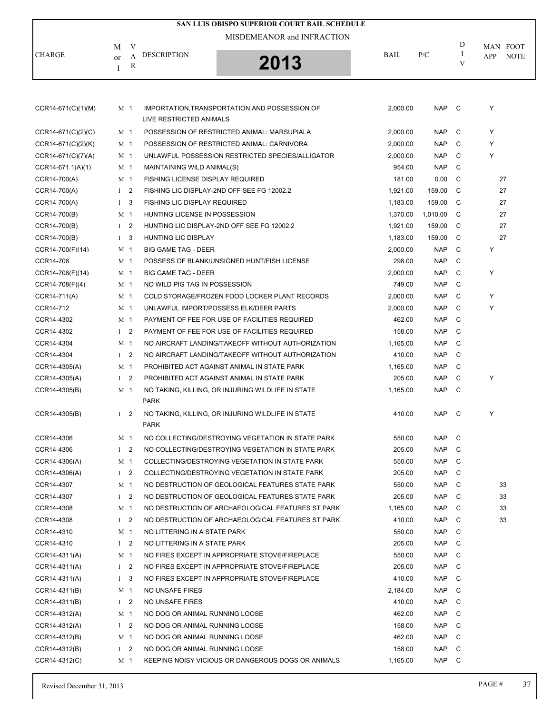|                      |                |                | SAN LUIS OBISPO SUPERIOR COURT BAIL SCHEDULE                     |          |            |               |                    |
|----------------------|----------------|----------------|------------------------------------------------------------------|----------|------------|---------------|--------------------|
|                      |                |                | MISDEMEANOR and INFRACTION                                       |          |            |               |                    |
|                      | M              | V              |                                                                  |          |            | D             | MAN FOOT           |
| <b>CHARGE</b>        | or             | A              | <b>DESCRIPTION</b><br>2013                                       | BAIL     | P/C        | $\bf{I}$<br>V | APP<br><b>NOTE</b> |
|                      | Ι              | R              |                                                                  |          |            |               |                    |
|                      |                |                |                                                                  |          |            |               |                    |
|                      |                |                |                                                                  |          |            |               |                    |
| $CCR14-671(C)(1)(M)$ | M 1            |                | IMPORTATION, TRANSPORTATION AND POSSESSION OF                    | 2,000.00 | <b>NAP</b> | C             | Υ                  |
|                      |                |                | LIVE RESTRICTED ANIMALS                                          |          |            |               |                    |
| $CCR14-671(C)(2)(C)$ | M <sub>1</sub> |                | POSSESSION OF RESTRICTED ANIMAL: MARSUPIALA                      | 2,000.00 | <b>NAP</b> | C             | Y                  |
| CCR14-671(C)(2)(K)   | M <sub>1</sub> |                | POSSESSION OF RESTRICTED ANIMAL: CARNIVORA                       | 2,000.00 | <b>NAP</b> | C             | Y                  |
| $CCR14-671(C)(7)(A)$ | M 1            |                | UNLAWFUL POSSESSION RESTRICTED SPECIES/ALLIGATOR                 | 2,000.00 | <b>NAP</b> | C             | Υ                  |
| CCR14-671.1(A)(1)    | M <sub>1</sub> |                | MAINTAINING WILD ANIMAL(S)                                       | 954.00   | <b>NAP</b> | C             |                    |
| CCR14-700(A)         | M <sub>1</sub> |                | <b>FISHING LICENSE DISPLAY REQUIRED</b>                          | 181.00   | 0.00       | C             | 27                 |
| CCR14-700(A)         | $1 \quad 2$    |                | FISHING LIC DISPLAY-2ND OFF SEE FG 12002.2                       | 1,921.00 | 159.00     | C             | 27                 |
| CCR14-700(A)         | $\mathbf{I}$   | 3              | <b>FISHING LIC DISPLAY REQUIRED</b>                              | 1,183.00 | 159.00     | C             | 27                 |
| CCR14-700(B)         | M <sub>1</sub> |                | HUNTING LICENSE IN POSSESSION                                    | 1,370.00 | 1,010.00   | C             | 27                 |
| CCR14-700(B)         | $1 \quad 2$    |                | HUNTING LIC DISPLAY-2ND OFF SEE FG 12002.2                       | 1,921.00 | 159.00     | C             | 27                 |
| CCR14-700(B)         | I <sub>3</sub> |                | <b>HUNTING LIC DISPLAY</b>                                       | 1,183.00 | 159.00     | C             | 27                 |
| CCR14-700(F)(14)     | M <sub>1</sub> |                | <b>BIG GAME TAG - DEER</b>                                       | 2,000.00 | <b>NAP</b> | C             | Υ                  |
| CCR14-706            | M 1            |                | POSSESS OF BLANK/UNSIGNED HUNT/FISH LICENSE                      | 298.00   | <b>NAP</b> | C             |                    |
| CCR14-708(F)(14)     | M <sub>1</sub> |                | <b>BIG GAME TAG - DEER</b>                                       | 2,000.00 | <b>NAP</b> | C             | Υ                  |
| CCR14-708(F)(4)      | M <sub>1</sub> |                | NO WILD PIG TAG IN POSSESSION                                    | 749.00   | <b>NAP</b> | C             |                    |
| CCR14-711(A)         | M 1            |                | COLD STORAGE/FROZEN FOOD LOCKER PLANT RECORDS                    | 2,000.00 | <b>NAP</b> | C             | Υ                  |
| CCR14-712            | M <sub>1</sub> |                | UNLAWFUL IMPORT/POSSESS ELK/DEER PARTS                           | 2,000.00 | <b>NAP</b> | C             | Υ                  |
| CCR14-4302           | M <sub>1</sub> |                | PAYMENT OF FEE FOR USE OF FACILITIES REQUIRED                    | 462.00   | <b>NAP</b> | C             |                    |
| CCR14-4302           | $1 \quad 2$    |                | PAYMENT OF FEE FOR USE OF FACILITIES REQUIRED                    | 158.00   | <b>NAP</b> | C             |                    |
| CCR14-4304           | M <sub>1</sub> |                | NO AIRCRAFT LANDING/TAKEOFF WITHOUT AUTHORIZATION                | 1,165.00 | <b>NAP</b> | C             |                    |
| CCR14-4304           | $\mathbf{I}$   | $\overline{2}$ | NO AIRCRAFT LANDING/TAKEOFF WITHOUT AUTHORIZATION                | 410.00   | <b>NAP</b> | C             |                    |
| CCR14-4305(A)        | M 1            |                | PROHIBITED ACT AGAINST ANIMAL IN STATE PARK                      | 1,165.00 | <b>NAP</b> | C             |                    |
| CCR14-4305(A)        | I <sub>2</sub> |                | PROHIBITED ACT AGAINST ANIMAL IN STATE PARK                      | 205.00   | <b>NAP</b> | C             | Υ                  |
| CCR14-4305(B)        | M <sub>1</sub> |                | NO TAKING, KILLING, OR INJURING WILDLIFE IN STATE                | 1,165.00 | <b>NAP</b> | C             |                    |
|                      |                |                | <b>PARK</b>                                                      |          |            |               |                    |
| CCR14-4305(B)        | $1 \quad 2$    |                | NO TAKING, KILLING, OR INJURING WILDLIFE IN STATE<br><b>PARK</b> | 410.00   | <b>NAP</b> | C             | Υ                  |
| CCR14-4306           | M 1            |                | NO COLLECTING/DESTROYING VEGETATION IN STATE PARK                | 550.00   | <b>NAP</b> | C             |                    |
| CCR14-4306           | $1 \quad 2$    |                | NO COLLECTING/DESTROYING VEGETATION IN STATE PARK                | 205.00   | <b>NAP</b> | C             |                    |
| CCR14-4306(A)        | M 1            |                | COLLECTING/DESTROYING VEGETATION IN STATE PARK                   | 550.00   | <b>NAP</b> | C             |                    |
| CCR14-4306(A)        | $1\quad 2$     |                | COLLECTING/DESTROYING VEGETATION IN STATE PARK                   | 205.00   | <b>NAP</b> | C             |                    |
| CCR14-4307           | M <sub>1</sub> |                | NO DESTRUCTION OF GEOLOGICAL FEATURES STATE PARK                 | 550.00   | <b>NAP</b> | C             | 33                 |
| CCR14-4307           | $1\quad 2$     |                | NO DESTRUCTION OF GEOLOGICAL FEATURES STATE PARK                 | 205.00   | <b>NAP</b> | C             | 33                 |
| CCR14-4308           | M 1            |                | NO DESTRUCTION OF ARCHAEOLOGICAL FEATURES ST PARK                | 1,165.00 | <b>NAP</b> | C             | 33                 |
| CCR14-4308           | I <sub>2</sub> |                | NO DESTRUCTION OF ARCHAEOLOGICAL FEATURES ST PARK                | 410.00   | <b>NAP</b> | C             | 33                 |
| CCR14-4310           | M <sub>1</sub> |                | NO LITTERING IN A STATE PARK                                     | 550.00   | <b>NAP</b> | C             |                    |
| CCR14-4310           | $1\quad 2$     |                | NO LITTERING IN A STATE PARK                                     | 205.00   | <b>NAP</b> | C             |                    |
| CCR14-4311(A)        | M <sub>1</sub> |                | NO FIRES EXCEPT IN APPROPRIATE STOVE/FIREPLACE                   | 550.00   | <b>NAP</b> | C             |                    |
| CCR14-4311(A)        | $1 \quad 2$    |                | NO FIRES EXCEPT IN APPROPRIATE STOVE/FIREPLACE                   | 205.00   | <b>NAP</b> | C             |                    |
| CCR14-4311(A)        | $1 \quad 3$    |                | NO FIRES EXCEPT IN APPROPRIATE STOVE/FIREPLACE                   | 410.00   | <b>NAP</b> | C             |                    |
| CCR14-4311(B)        | M <sub>1</sub> |                | NO UNSAFE FIRES                                                  | 2,184.00 | <b>NAP</b> | C             |                    |
| CCR14-4311(B)        | $1\quad 2$     |                | NO UNSAFE FIRES                                                  | 410.00   | <b>NAP</b> | C             |                    |
| CCR14-4312(A)        | M 1            |                | NO DOG OR ANIMAL RUNNING LOOSE                                   | 462.00   | <b>NAP</b> | C             |                    |
| CCR14-4312(A)        | $1 \quad 2$    |                | NO DOG OR ANIMAL RUNNING LOOSE                                   | 158.00   | <b>NAP</b> | C             |                    |
| CCR14-4312(B)        | M 1            |                | NO DOG OR ANIMAL RUNNING LOOSE                                   | 462.00   | <b>NAP</b> | C             |                    |
| CCR14-4312(B)        | $1\quad 2$     |                | NO DOG OR ANIMAL RUNNING LOOSE                                   | 158.00   | <b>NAP</b> | C             |                    |
| CCR14-4312(C)        | M 1            |                | KEEPING NOISY VICIOUS OR DANGEROUS DOGS OR ANIMALS               | 1,165.00 | <b>NAP</b> | C             |                    |
|                      |                |                |                                                                  |          |            |               |                    |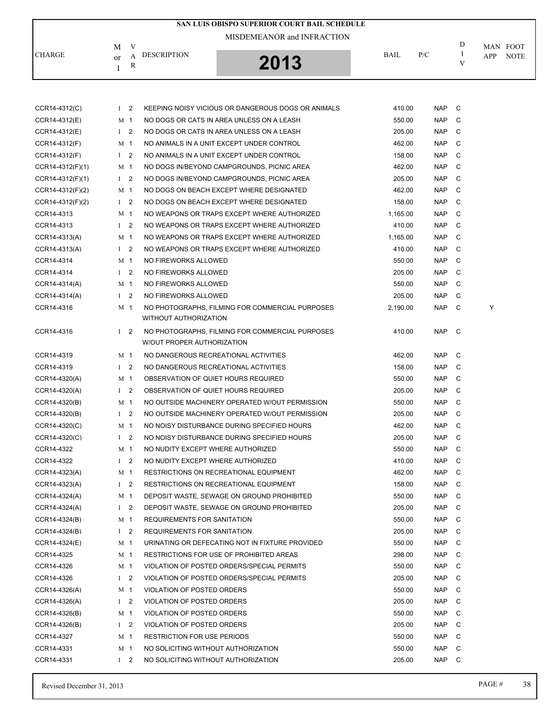|                    |                |                |                                            | SAN LUIS OBISPO SUPERIOR COURT BAIL SCHEDULE       |             |            |     |     |                         |
|--------------------|----------------|----------------|--------------------------------------------|----------------------------------------------------|-------------|------------|-----|-----|-------------------------|
|                    |                |                |                                            | MISDEMEANOR and INFRACTION                         |             |            | D   |     |                         |
| <b>CHARGE</b>      | M<br>or        | V<br>A         | <b>DESCRIPTION</b>                         |                                                    | <b>BAIL</b> | P/C        | I   | APP | MAN FOOT<br><b>NOTE</b> |
|                    | I              | R              |                                            | 2013                                               |             |            | V   |     |                         |
|                    |                |                |                                            |                                                    |             |            |     |     |                         |
| CCR14-4312(C)      | I <sub>2</sub> |                |                                            | KEEPING NOISY VICIOUS OR DANGEROUS DOGS OR ANIMALS | 410.00      | NAP        | C   |     |                         |
| CCR14-4312(E)      |                | M 1            | NO DOGS OR CATS IN AREA UNLESS ON A LEASH. |                                                    | 550.00      | <b>NAP</b> | C   |     |                         |
| CCR14-4312(E)      |                | I <sub>2</sub> | NO DOGS OR CATS IN AREA UNLESS ON A LEASH. |                                                    | 205.00      | <b>NAP</b> | C   |     |                         |
| CCR14-4312(F)      | M 1            |                | NO ANIMALS IN A UNIT EXCEPT UNDER CONTROL  |                                                    | 462.00      | <b>NAP</b> | C   |     |                         |
| CCR14-4312(F)      |                | $1\quad 2$     | NO ANIMALS IN A UNIT EXCEPT UNDER CONTROL  |                                                    | 158.00      | <b>NAP</b> | C   |     |                         |
| CCR14-4312(F)(1)   | M 1            |                |                                            | NO DOGS IN/BEYOND CAMPGROUNDS, PICNIC AREA         | 462.00      | <b>NAP</b> | C   |     |                         |
| $CCR14-4312(F)(1)$ |                | I <sub>2</sub> |                                            | NO DOGS IN/BEYOND CAMPGROUNDS, PICNIC AREA         | 205.00      | <b>NAP</b> | C   |     |                         |
| CCR14-4312(F)(2)   |                | M 1            |                                            | NO DOGS ON BEACH EXCEPT WHERE DESIGNATED           | 462.00      | <b>NAP</b> | C   |     |                         |
| CCR14-4312(F)(2)   |                | I <sub>2</sub> |                                            | NO DOGS ON BEACH EXCEPT WHERE DESIGNATED           | 158.00      | <b>NAP</b> | C   |     |                         |
| CCR14-4313         | M 1            |                |                                            | NO WEAPONS OR TRAPS EXCEPT WHERE AUTHORIZED        | 1,165.00    | <b>NAP</b> | C   |     |                         |
| CCR14-4313         |                | $1 \quad 2$    |                                            | NO WEAPONS OR TRAPS EXCEPT WHERE AUTHORIZED        | 410.00      | <b>NAP</b> | C   |     |                         |
| CCR14-4313(A)      | M 1            |                |                                            | NO WEAPONS OR TRAPS EXCEPT WHERE AUTHORIZED        | 1,165.00    | <b>NAP</b> | C   |     |                         |
| CCR14-4313(A)      | $\mathbf{I}$   | 2              |                                            | NO WEAPONS OR TRAPS EXCEPT WHERE AUTHORIZED        | 410.00      | <b>NAP</b> | C   |     |                         |
| CCR14-4314         |                | M 1            | NO FIREWORKS ALLOWED                       |                                                    | 550.00      | <b>NAP</b> | C   |     |                         |
| CCR14-4314         |                | I <sub>2</sub> | NO FIREWORKS ALLOWED                       |                                                    | 205.00      | <b>NAP</b> | C   |     |                         |
| CCR14-4314(A)      |                | M 1            | NO FIREWORKS ALLOWED                       |                                                    | 550.00      | <b>NAP</b> | C   |     |                         |
| CCR14-4314(A)      |                | I <sub>2</sub> | NO FIREWORKS ALLOWED                       |                                                    | 205.00      | <b>NAP</b> | C   |     |                         |
|                    |                |                |                                            |                                                    |             |            | C   | Υ   |                         |
| CCR14-4316         | M 1            |                | WITHOUT AUTHORIZATION                      | NO PHOTOGRAPHS, FILMING FOR COMMERCIAL PURPOSES    | 2,190.00    | NAP        |     |     |                         |
| CCR14-4316         |                | $1\quad 2$     | W/OUT PROPER AUTHORIZATION                 | NO PHOTOGRAPHS, FILMING FOR COMMERCIAL PURPOSES    | 410.00      | NAP C      |     |     |                         |
| CCR14-4319         |                | M 1            | NO DANGEROUS RECREATIONAL ACTIVITIES       |                                                    | 462.00      | NAP        | C   |     |                         |
| CCR14-4319         |                | $1\quad 2$     | NO DANGEROUS RECREATIONAL ACTIVITIES       |                                                    | 158.00      | <b>NAP</b> | C   |     |                         |
| CCR14-4320(A)      | M 1            |                | OBSERVATION OF QUIET HOURS REQUIRED        |                                                    | 550.00      | <b>NAP</b> | C   |     |                         |
| CCR14-4320(A)      |                | $1\quad 2$     | OBSERVATION OF QUIET HOURS REQUIRED        |                                                    | 205.00      | <b>NAP</b> | C   |     |                         |
| CCR14-4320(B)      |                | M 1            |                                            | NO OUTSIDE MACHINERY OPERATED W/OUT PERMISSION     | 550.00      | <b>NAP</b> | C   |     |                         |
| CCR14-4320(B)      |                | $1\quad 2$     |                                            | NO OUTSIDE MACHINERY OPERATED W/OUT PERMISSION     | 205.00      | <b>NAP</b> | C   |     |                         |
| CCR14-4320(C)      |                | M <sub>1</sub> |                                            | NO NOISY DISTURBANCE DURING SPECIFIED HOURS        | 462.00      | NAP C      |     |     |                         |
| CCR14-4320(C)      |                | $1\quad 2$     |                                            | NO NOISY DISTURBANCE DURING SPECIFIED HOURS        | 205.00      | NAP C      |     |     |                         |
| CCR14-4322         |                | M 1            | NO NUDITY EXCEPT WHERE AUTHORIZED          |                                                    | 550.00      | <b>NAP</b> | C   |     |                         |
| CCR14-4322         |                | I <sub>2</sub> | NO NUDITY EXCEPT WHERE AUTHORIZED          |                                                    | 410.00      | <b>NAP</b> | C   |     |                         |
| CCR14-4323(A)      |                | M 1            | RESTRICTIONS ON RECREATIONAL EQUIPMENT     |                                                    | 462.00      | NAP        | - C |     |                         |
| CCR14-4323(A)      |                | $1\quad 2$     | RESTRICTIONS ON RECREATIONAL EQUIPMENT     |                                                    | 158.00      | <b>NAP</b> | C   |     |                         |
| CCR14-4324(A)      |                | M 1            |                                            | DEPOSIT WASTE, SEWAGE ON GROUND PROHIBITED         | 550.00      | NAP        | C   |     |                         |
| CCR14-4324(A)      |                | $1\quad 2$     |                                            | DEPOSIT WASTE, SEWAGE ON GROUND PROHIBITED         | 205.00      | NAP        | C.  |     |                         |
| CCR14-4324(B)      |                | M <sub>1</sub> | <b>REQUIREMENTS FOR SANITATION</b>         |                                                    | 550.00      | NAP        | C   |     |                         |
| CCR14-4324(B)      |                | $1\quad 2$     | REQUIREMENTS FOR SANITATION                |                                                    | 205.00      | NAP        | C   |     |                         |
| CCR14-4324(E)      |                | M 1            |                                            | URINATING OR DEFECATING NOT IN FIXTURE PROVIDED    | 550.00      | NAP        | - C |     |                         |
| CCR14-4325         |                | M 1            | RESTRICTIONS FOR USE OF PROHIBITED AREAS   |                                                    | 298.00      | NAP        | C   |     |                         |
| CCR14-4326         |                | M 1            |                                            | VIOLATION OF POSTED ORDERS/SPECIAL PERMITS         | 550.00      | NAP        | C   |     |                         |
| CCR14-4326         |                | $1\quad 2$     |                                            | VIOLATION OF POSTED ORDERS/SPECIAL PERMITS         | 205.00      | NAP        | - C |     |                         |
| CCR14-4326(A)      |                | M <sub>1</sub> | VIOLATION OF POSTED ORDERS                 |                                                    | 550.00      | NAP        | C   |     |                         |
| CCR14-4326(A)      |                | $1\quad 2$     | VIOLATION OF POSTED ORDERS                 |                                                    | 205.00      | NAP        | C   |     |                         |
|                    |                | M 1            |                                            |                                                    | 550.00      |            |     |     |                         |
| CCR14-4326(B)      |                |                | VIOLATION OF POSTED ORDERS                 |                                                    |             | NAP        | - C |     |                         |
| CCR14-4326(B)      |                | $1\quad 2$     | VIOLATION OF POSTED ORDERS                 |                                                    | 205.00      | <b>NAP</b> | C   |     |                         |
| CCR14-4327         |                | M 1            | <b>RESTRICTION FOR USE PERIODS</b>         |                                                    | 550.00      | <b>NAP</b> | C   |     |                         |
| CCR14-4331         |                | M 1            | NO SOLICITING WITHOUT AUTHORIZATION        |                                                    | 550.00      | NAP        | C   |     |                         |
| CCR14-4331         |                | $1\quad 2$     | NO SOLICITING WITHOUT AUTHORIZATION        |                                                    | 205.00      | NAP C      |     |     |                         |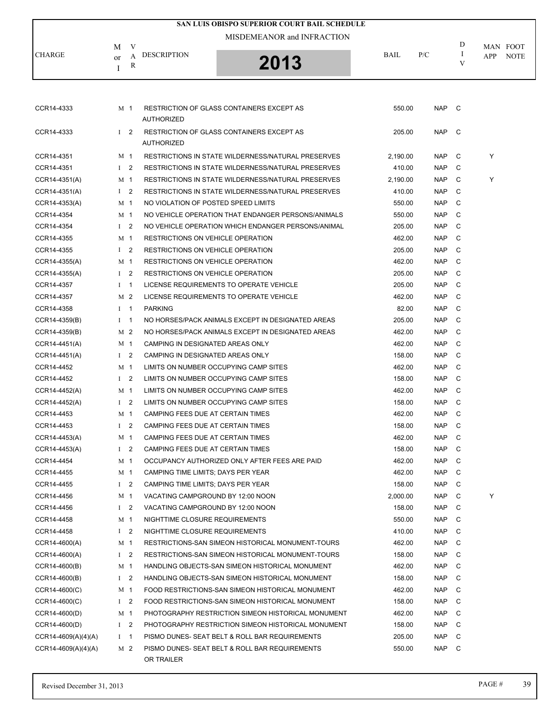|                 |                |                | <b>SAN LUIS OBISPO SUPERIOR COURT BAIL SCHEDULE</b>                   |             |            |                    |            |                         |
|-----------------|----------------|----------------|-----------------------------------------------------------------------|-------------|------------|--------------------|------------|-------------------------|
|                 |                |                | MISDEMEANOR and INFRACTION                                            |             |            |                    |            |                         |
| <b>CHARGE</b>   | М<br>or        | V<br>A<br>R    | <b>DESCRIPTION</b><br>2013                                            | <b>BAIL</b> | P/C        | D<br>$\bf{l}$<br>V | <b>APP</b> | MAN FOOT<br><b>NOTE</b> |
|                 | I              |                |                                                                       |             |            |                    |            |                         |
| CCR14-4333      | M 1            |                | <b>RESTRICTION OF GLASS CONTAINERS EXCEPT AS</b><br><b>AUTHORIZED</b> | 550.00      | NAP        | $\mathbf{C}$       |            |                         |
| CCR14-4333      | $1\quad 2$     |                | <b>RESTRICTION OF GLASS CONTAINERS EXCEPT AS</b><br><b>AUTHORIZED</b> | 205.00      | NAP        | $\mathbf{C}$       |            |                         |
| CCR14-4351      | M <sub>1</sub> |                | <b>RESTRICTIONS IN STATE WILDERNESS/NATURAL PRESERVES</b>             | 2,190.00    | <b>NAP</b> | C                  | Y          |                         |
| CCR14-4351      | $1\quad 2$     |                | <b>RESTRICTIONS IN STATE WILDERNESS/NATURAL PRESERVES</b>             | 410.00      | <b>NAP</b> | C                  |            |                         |
| CCR14-4351(A)   | M 1            |                | RESTRICTIONS IN STATE WILDERNESS/NATURAL PRESERVES                    | 2,190.00    | <b>NAP</b> | C                  | Y          |                         |
| CCR14-4351(A)   | $1\quad 2$     |                | RESTRICTIONS IN STATE WILDERNESS/NATURAL PRESERVES                    | 410.00      | <b>NAP</b> | C                  |            |                         |
| CCR14-4353(A)   | M 1            |                | NO VIOLATION OF POSTED SPEED LIMITS                                   | 550.00      | <b>NAP</b> | C                  |            |                         |
| CCR14-4354      | M 1            |                | NO VEHICLE OPERATION THAT ENDANGER PERSONS/ANIMALS                    | 550.00      | <b>NAP</b> | C                  |            |                         |
| CCR14-4354      | $1\quad 2$     |                | NO VEHICLE OPERATION WHICH ENDANGER PERSONS/ANIMAL                    | 205.00      | <b>NAP</b> | C                  |            |                         |
| CCR14-4355      | M 1            |                | <b>RESTRICTIONS ON VEHICLE OPERATION</b>                              | 462.00      | <b>NAP</b> | C                  |            |                         |
| CCR14-4355      | $1\quad 2$     |                | <b>RESTRICTIONS ON VEHICLE OPERATION</b>                              | 205.00      | <b>NAP</b> | C                  |            |                         |
| CCR14-4355(A)   | M 1            |                | RESTRICTIONS ON VEHICLE OPERATION                                     | 462.00      | <b>NAP</b> | C                  |            |                         |
| CCR14-4355(A)   | $1\quad 2$     |                | <b>RESTRICTIONS ON VEHICLE OPERATION</b>                              | 205.00      | <b>NAP</b> | C                  |            |                         |
| CCR14-4357      | Ι.             | $\overline{1}$ | LICENSE REQUIREMENTS TO OPERATE VEHICLE                               | 205.00      | <b>NAP</b> | C                  |            |                         |
| CCR14-4357      | M 2            |                | LICENSE REQUIREMENTS TO OPERATE VEHICLE                               | 462.00      | <b>NAP</b> | C                  |            |                         |
| CCR14-4358      | $1 \quad 1$    |                | <b>PARKING</b>                                                        | 82.00       | <b>NAP</b> | C                  |            |                         |
| CCR14-4359(B)   | $I \quad 1$    |                | NO HORSES/PACK ANIMALS EXCEPT IN DESIGNATED AREAS                     | 205.00      | <b>NAP</b> | C                  |            |                         |
| CCR14-4359(B)   | M 2            |                | NO HORSES/PACK ANIMALS EXCEPT IN DESIGNATED AREAS                     | 462.00      | <b>NAP</b> | C                  |            |                         |
|                 |                |                |                                                                       |             |            |                    |            |                         |
| CCR14-4451(A)   | M 1            |                | CAMPING IN DESIGNATED AREAS ONLY                                      | 462.00      | <b>NAP</b> | C                  |            |                         |
| CCR14-4451(A)   | $\bf{I}$       | 2              | CAMPING IN DESIGNATED AREAS ONLY                                      | 158.00      | <b>NAP</b> | C                  |            |                         |
| CCR14-4452      | M 1            |                | LIMITS ON NUMBER OCCUPYING CAMP SITES                                 | 462.00      | <b>NAP</b> | C                  |            |                         |
| CCR14-4452      | $1\quad 2$     |                | LIMITS ON NUMBER OCCUPYING CAMP SITES                                 | 158.00      | <b>NAP</b> | C                  |            |                         |
| CCR14-4452(A)   | M 1            |                | LIMITS ON NUMBER OCCUPYING CAMP SITES                                 | 462.00      | <b>NAP</b> | C                  |            |                         |
| CCR14-4452(A)   | $1\quad 2$     |                | LIMITS ON NUMBER OCCUPYING CAMP SITES                                 | 158.00      | <b>NAP</b> | C                  |            |                         |
| CCR14-4453      | M 1            |                | CAMPING FEES DUE AT CERTAIN TIMES                                     | 462.00      | <b>NAP</b> | C                  |            |                         |
| CCR14-4453      | $\mathbf{I}$   | $\overline{2}$ | CAMPING FEES DUE AT CERTAIN TIMES                                     | 158.00      | <b>NAP</b> | C                  |            |                         |
| CCR14-4453(A)   | M <sub>1</sub> |                | CAMPING FEES DUE AT CERTAIN TIMES                                     | 462.00      | <b>NAP</b> | C                  |            |                         |
| CCR14-4453(A)   | $1\quad 2$     |                | CAMPING FEES DUE AT CERTAIN TIMES                                     | 158.00      | <b>NAP</b> | C                  |            |                         |
| CCR14-4454      | M 1            |                | OCCUPANCY AUTHORIZED ONLY AFTER FEES ARE PAID                         | 462.00      | <b>NAP</b> | C                  |            |                         |
| CCR14-4455      | M <sub>1</sub> |                | CAMPING TIME LIMITS; DAYS PER YEAR                                    | 462.00      | NAP        | C                  |            |                         |
| CCR14-4455      | $1\quad 2$     |                | CAMPING TIME LIMITS; DAYS PER YEAR                                    | 158.00      | <b>NAP</b> | C                  |            |                         |
| CCR14-4456      | M 1            |                | VACATING CAMPGROUND BY 12:00 NOON                                     | 2,000.00    | <b>NAP</b> | C                  | Υ          |                         |
| CCR14-4456      | $1 \quad 2$    |                | VACATING CAMPGROUND BY 12:00 NOON                                     | 158.00      | <b>NAP</b> | C                  |            |                         |
| CCR14-4458      | M 1            |                | NIGHTTIME CLOSURE REQUIREMENTS                                        | 550.00      | <b>NAP</b> | C                  |            |                         |
| CCR14-4458      | $1 \quad 2$    |                | NIGHTTIME CLOSURE REQUIREMENTS                                        | 410.00      | <b>NAP</b> | C                  |            |                         |
| CCR14-4600(A)   | M 1            |                | RESTRICTIONS-SAN SIMEON HISTORICAL MONUMENT-TOURS                     | 462.00      | <b>NAP</b> | C                  |            |                         |
| CCR14-4600(A)   | $1\quad 2$     |                | RESTRICTIONS-SAN SIMEON HISTORICAL MONUMENT-TOURS                     | 158.00      | <b>NAP</b> | C                  |            |                         |
| CCR14-4600(B)   | M 1            |                | HANDLING OBJECTS-SAN SIMEON HISTORICAL MONUMENT                       | 462.00      | <b>NAP</b> | C                  |            |                         |
| CCR14-4600(B)   | $\mathbf{I}$   | $\overline{2}$ | HANDLING OBJECTS-SAN SIMEON HISTORICAL MONUMENT                       | 158.00      | <b>NAP</b> | C                  |            |                         |
| CCR14-4600(C)   | M 1            |                | FOOD RESTRICTIONS-SAN SIMEON HISTORICAL MONUMENT                      | 462.00      | <b>NAP</b> | C                  |            |                         |
| $CCR14-4600(C)$ | $1 \quad 2$    |                | FOOD RESTRICTIONS-SAN SIMEON HISTORICAL MONUMENT                      | 158.00      | <b>NAP</b> | C                  |            |                         |
| CCR14-4600(D)   | M 1            |                | PHOTOGRAPHY RESTRICTION SIMEON HISTORICAL MONUMENT                    | 462.00      | NAP        | C                  |            |                         |
| CCR14-4600(D)   | $1\quad 2$     |                | PHOTOGRAPHY RESTRICTION SIMEON HISTORICAL MONUMENT                    | 158.00      | NAP        | C                  |            |                         |
|                 |                |                |                                                                       |             |            |                    |            |                         |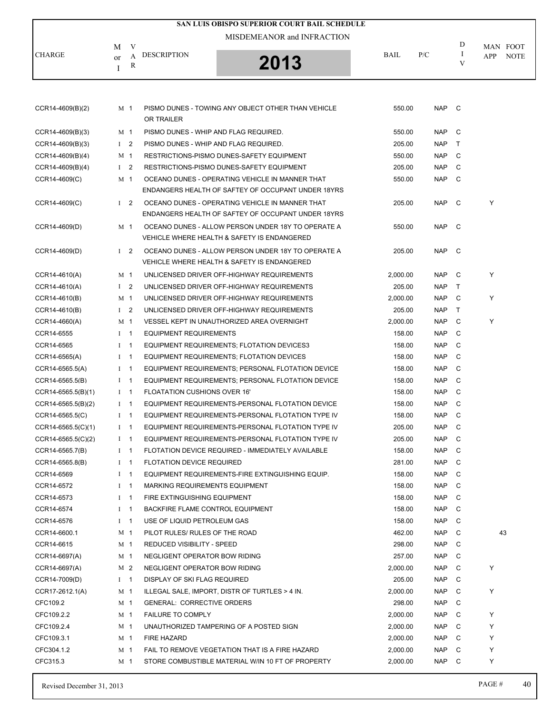|                      |                |   |                                       | SAN LUIS OBISPO SUPERIOR COURT BAIL SCHEDULE                                                          |          |            |              |                    |
|----------------------|----------------|---|---------------------------------------|-------------------------------------------------------------------------------------------------------|----------|------------|--------------|--------------------|
|                      |                |   |                                       | MISDEMEANOR and INFRACTION                                                                            |          |            |              |                    |
|                      | M              | V |                                       |                                                                                                       |          |            | D            | MAN FOOT           |
| <b>CHARGE</b>        | or             | A | <b>DESCRIPTION</b>                    |                                                                                                       | BAIL     | P/C        | $\bf{I}$     | <b>NOTE</b><br>APP |
|                      | I              | R |                                       | 2013                                                                                                  |          |            | V            |                    |
|                      |                |   |                                       |                                                                                                       |          |            |              |                    |
|                      |                |   |                                       |                                                                                                       |          |            |              |                    |
| $CCR14-4609(B)(2)$   | M 1            |   | OR TRAILER                            | PISMO DUNES - TOWING ANY OBJECT OTHER THAN VEHICLE                                                    | 550.00   | <b>NAP</b> | C.           |                    |
| $CCR14-4609(B)(3)$   | M <sub>1</sub> |   | PISMO DUNES - WHIP AND FLAG REQUIRED. |                                                                                                       | 550.00   | <b>NAP</b> | C            |                    |
| CCR14-4609(B)(3)     | $1\quad 2$     |   | PISMO DUNES - WHIP AND FLAG REQUIRED. |                                                                                                       | 205.00   | <b>NAP</b> | $\top$       |                    |
| CCR14-4609(B)(4)     | M 1            |   |                                       | RESTRICTIONS-PISMO DUNES-SAFETY EQUIPMENT                                                             | 550.00   | <b>NAP</b> | C            |                    |
| $CCR14-4609(B)(4)$   | $1 \quad 2$    |   |                                       | RESTRICTIONS-PISMO DUNES-SAFETY EQUIPMENT                                                             | 205.00   | <b>NAP</b> | C            |                    |
| CCR14-4609(C)        | M 1            |   |                                       | OCEANO DUNES - OPERATING VEHICLE IN MANNER THAT                                                       | 550.00   | <b>NAP</b> | C            |                    |
|                      |                |   |                                       | ENDANGERS HEALTH OF SAFTEY OF OCCUPANT UNDER 18YRS                                                    |          |            |              |                    |
| CCR14-4609(C)        | $1\quad 2$     |   |                                       | OCEANO DUNES - OPERATING VEHICLE IN MANNER THAT<br>ENDANGERS HEALTH OF SAFTEY OF OCCUPANT UNDER 18YRS | 205.00   | <b>NAP</b> | C            | Y                  |
| CCR14-4609(D)        | M 1            |   |                                       | OCEANO DUNES - ALLOW PERSON UNDER 18Y TO OPERATE A                                                    | 550.00   | <b>NAP</b> | C            |                    |
|                      |                |   |                                       | VEHICLE WHERE HEALTH & SAFETY IS ENDANGERED                                                           |          |            |              |                    |
| CCR14-4609(D)        | $1\quad 2$     |   |                                       | OCEANO DUNES - ALLOW PERSON UNDER 18Y TO OPERATE A                                                    | 205.00   | <b>NAP</b> | C            |                    |
|                      |                |   |                                       | VEHICLE WHERE HEALTH & SAFETY IS ENDANGERED                                                           |          |            |              |                    |
| CCR14-4610(A)        | M <sub>1</sub> |   |                                       | UNLICENSED DRIVER OFF-HIGHWAY REQUIREMENTS                                                            | 2,000.00 | <b>NAP</b> | C            | Υ                  |
| CCR14-4610(A)        | $1 \quad 2$    |   |                                       | UNLICENSED DRIVER OFF-HIGHWAY REQUIREMENTS                                                            | 205.00   | <b>NAP</b> | $\top$       |                    |
| CCR14-4610(B)        | M 1            |   |                                       | UNLICENSED DRIVER OFF-HIGHWAY REQUIREMENTS                                                            | 2,000.00 | <b>NAP</b> | C            | Υ                  |
| CCR14-4610(B)        | I <sub>2</sub> |   |                                       | UNLICENSED DRIVER OFF-HIGHWAY REQUIREMENTS                                                            | 205.00   | <b>NAP</b> | $\mathsf{T}$ |                    |
| CCR14-4660(A)        | M <sub>1</sub> |   |                                       | VESSEL KEPT IN UNAUTHORIZED AREA OVERNIGHT                                                            | 2,000.00 | <b>NAP</b> | C            | Υ                  |
| CCR14-6555           | $I \quad 1$    |   | <b>EQUIPMENT REQUIREMENTS</b>         |                                                                                                       | 158.00   | <b>NAP</b> | C            |                    |
| CCR14-6565           | $I \quad 1$    |   |                                       | EQUIPMENT REQUIREMENTS; FLOTATION DEVICES3                                                            | 158.00   | <b>NAP</b> | C            |                    |
| CCR14-6565(A)        | $I \quad 1$    |   |                                       | EQUIPMENT REQUIREMENTS; FLOTATION DEVICES                                                             | 158.00   | <b>NAP</b> | C            |                    |
| CCR14-6565.5(A)      | $I \quad 1$    |   |                                       | EQUIPMENT REQUIREMENTS; PERSONAL FLOTATION DEVICE                                                     | 158.00   | <b>NAP</b> | C            |                    |
| CCR14-6565.5(B)      | $I \quad 1$    |   |                                       | EQUIPMENT REQUIREMENTS; PERSONAL FLOTATION DEVICE                                                     | 158.00   | <b>NAP</b> | C            |                    |
| $CCR14-6565.5(B)(1)$ | $I \quad 1$    |   | <b>FLOATATION CUSHIONS OVER 16'</b>   |                                                                                                       | 158.00   | <b>NAP</b> | C            |                    |
| $CCR14-6565.5(B)(2)$ | $I \quad 1$    |   |                                       | EQUIPMENT REQUIREMENTS-PERSONAL FLOTATION DEVICE                                                      | 158.00   | <b>NAP</b> | C            |                    |
| CCR14-6565.5(C)      | $I \quad 1$    |   |                                       | EQUIPMENT REQUIREMENTS-PERSONAL FLOTATION TYPE IV                                                     | 158.00   | <b>NAP</b> | C            |                    |
| CCR14-6565.5(C)(1)   | $1 \quad 1$    |   |                                       | EQUIPMENT REQUIREMENTS-PERSONAL FLOTATION TYPE IV                                                     | 205.00   | <b>NAP</b> | C            |                    |
| $CCR14-6565.5(C)(2)$ | $I \quad 1$    |   |                                       | EQUIPMENT REQUIREMENTS-PERSONAL FLOTATION TYPE IV                                                     | 205.00   | <b>NAP</b> | C            |                    |
| CCR14-6565.7(B)      | $I \quad 1$    |   |                                       | FLOTATION DEVICE REQUIRED - IMMEDIATELY AVAILABLE                                                     | 158.00   | <b>NAP</b> | C            |                    |
| CCR14-6565.8(B)      | $I \quad 1$    |   | <b>FLOTATION DEVICE REQUIRED</b>      |                                                                                                       | 281.00   | NAP        | C            |                    |
| CCR14-6569           | $I \quad 1$    |   |                                       | EQUIPMENT REQUIREMENTS-FIRE EXTINGUISHING EQUIP.                                                      | 158.00   | <b>NAP</b> | C            |                    |
| CCR14-6572           | $I \quad 1$    |   | <b>MARKING REQUIREMENTS EQUIPMENT</b> |                                                                                                       | 158.00   | NAP        | C            |                    |
| CCR14-6573           | $I \quad 1$    |   | FIRE EXTINGUISHING EQUIPMENT          |                                                                                                       | 158.00   | NAP        | C            |                    |
| CCR14-6574           | $I \quad 1$    |   | BACKFIRE FLAME CONTROL EQUIPMENT      |                                                                                                       | 158.00   | <b>NAP</b> | C            |                    |
| CCR14-6576           | $I \quad 1$    |   | USE OF LIQUID PETROLEUM GAS           |                                                                                                       | 158.00   | <b>NAP</b> | C            |                    |
| CCR14-6600.1         | M <sub>1</sub> |   | PILOT RULES/ RULES OF THE ROAD        |                                                                                                       | 462.00   | <b>NAP</b> | C            | 43                 |
| CCR14-6615           | M <sub>1</sub> |   | REDUCED VISIBILITY - SPEED            |                                                                                                       | 298.00   | NAP        | C            |                    |
| CCR14-6697(A)        | M <sub>1</sub> |   | NEGLIGENT OPERATOR BOW RIDING         |                                                                                                       | 257.00   | NAP        | C            |                    |
| CCR14-6697(A)        | M 2            |   | NEGLIGENT OPERATOR BOW RIDING         |                                                                                                       | 2,000.00 | NAP        | - C          | Υ                  |
| CCR14-7009(D)        | $I \quad 1$    |   | DISPLAY OF SKI FLAG REQUIRED          |                                                                                                       | 205.00   | <b>NAP</b> | C            |                    |
| CCR17-2612.1(A)      | M 1            |   |                                       | ILLEGAL SALE, IMPORT, DISTR OF TURTLES > 4 IN.                                                        | 2,000.00 | <b>NAP</b> | C            | Υ                  |
| CFC109.2             | M <sub>1</sub> |   | <b>GENERAL: CORRECTIVE ORDERS</b>     |                                                                                                       | 298.00   | <b>NAP</b> | C            |                    |
| CFC109.2.2           | M <sub>1</sub> |   | <b>FAILURE TO COMPLY</b>              |                                                                                                       | 2,000.00 | NAP        | C            | Υ                  |
| CFC109.2.4           | M <sub>1</sub> |   |                                       | UNAUTHORIZED TAMPERING OF A POSTED SIGN                                                               | 2,000.00 | <b>NAP</b> | C            | Υ                  |
| CFC109.3.1           | M 1            |   | FIRE HAZARD                           |                                                                                                       | 2,000.00 | <b>NAP</b> | C            | Υ                  |
| CFC304.1.2           | M 1            |   |                                       | FAIL TO REMOVE VEGETATION THAT IS A FIRE HAZARD                                                       | 2,000.00 | <b>NAP</b> | C            | Υ                  |
| CFC315.3             | M 1            |   |                                       | STORE COMBUSTIBLE MATERIAL W/IN 10 FT OF PROPERTY                                                     | 2,000.00 | NAP        | C            | Υ                  |
|                      |                |   |                                       |                                                                                                       |          |            |              |                    |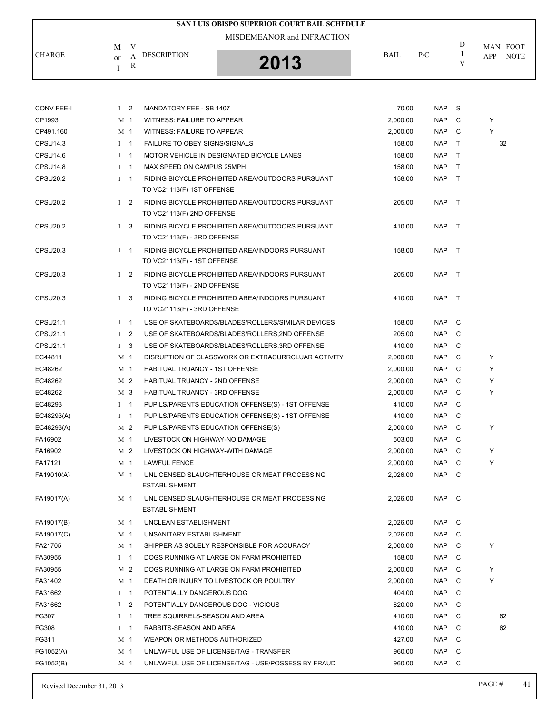| SAN LUIS OBISPO SUPERIOR COURT BAIL SCHEDULE                                                   |             |     |        |                                       |
|------------------------------------------------------------------------------------------------|-------------|-----|--------|---------------------------------------|
| MISDEMEANOR and INFRACTION<br>M<br>v<br><b>CHARGE</b><br><b>DESCRIPTION</b><br>2013<br>or<br>R | <b>BAIL</b> | P/C | D<br>V | MAN FOOT<br><b>NOTE</b><br><b>APP</b> |

| <b>CONV FEE-I</b>    | $1\quad 2$     |                | MANDATORY FEE - SB 1407                            | 70.00    | <b>NAP</b> | S            |   |    |
|----------------------|----------------|----------------|----------------------------------------------------|----------|------------|--------------|---|----|
| CP1993               | M 1            |                | WITNESS: FAILURE TO APPEAR                         | 2,000.00 | <b>NAP</b> | C            | Y |    |
| CP491.160            | M 1            |                | WITNESS: FAILURE TO APPEAR                         | 2,000.00 | <b>NAP</b> | C            | Y |    |
| CPSU14.3             | $1 \quad 1$    |                | FAILURE TO OBEY SIGNS/SIGNALS                      | 158.00   | <b>NAP</b> | T.           |   | 32 |
| CPSU14.6             | $1 \quad 1$    |                | MOTOR VEHICLE IN DESIGNATED BICYCLE LANES          | 158.00   | <b>NAP</b> | $\top$       |   |    |
| <b>CPSU14.8</b>      | $\mathbf{I}$   | $\overline{1}$ | MAX SPEED ON CAMPUS 25MPH                          | 158.00   | <b>NAP</b> | $\mathsf{T}$ |   |    |
| <b>CPSU20.2</b>      | $1 \quad 1$    |                | RIDING BICYCLE PROHIBITED AREA/OUTDOORS PURSUANT   | 158.00   | <b>NAP</b> | $\top$       |   |    |
|                      |                |                | TO VC21113(F) 1ST OFFENSE                          |          |            |              |   |    |
| CPSU <sub>20.2</sub> | $1\quad 2$     |                | RIDING BICYCLE PROHIBITED AREA/OUTDOORS PURSUANT   | 205.00   | <b>NAP</b> | $\top$       |   |    |
|                      |                |                | TO VC21113(F) 2ND OFFENSE                          |          |            |              |   |    |
| CPSU <sub>20.2</sub> | $1 \quad 3$    |                | RIDING BICYCLE PROHIBITED AREA/OUTDOORS PURSUANT   | 410.00   | <b>NAP</b> | $\top$       |   |    |
|                      |                |                | TO VC21113(F) - 3RD OFFENSE                        |          |            |              |   |    |
| CPSU20.3             | $I \quad 1$    |                | RIDING BICYCLE PROHIBITED AREA/INDOORS PURSUANT    | 158.00   | <b>NAP</b> | $\top$       |   |    |
|                      |                |                | TO VC21113(F) - 1ST OFFENSE                        |          |            |              |   |    |
| CPSU <sub>20.3</sub> | $1\quad 2$     |                | RIDING BICYCLE PROHIBITED AREA/INDOORS PURSUANT    | 205.00   | <b>NAP</b> | $\top$       |   |    |
|                      |                |                | TO VC21113(F) - 2ND OFFENSE                        |          |            |              |   |    |
| <b>CPSU20.3</b>      | $1 \quad 3$    |                | RIDING BICYCLE PROHIBITED AREA/INDOORS PURSUANT    | 410.00   | <b>NAP</b> | $\top$       |   |    |
|                      |                |                | TO VC21113(F) - 3RD OFFENSE                        |          |            |              |   |    |
| CPSU21.1             | $1 \quad 1$    |                | USE OF SKATEBOARDS/BLADES/ROLLERS/SIMILAR DEVICES  | 158.00   | <b>NAP</b> | C            |   |    |
| CPSU21.1             | $\mathbf{I}$   | $\overline{2}$ | USE OF SKATEBOARDS/BLADES/ROLLERS,2ND OFFENSE      | 205.00   | <b>NAP</b> | C            |   |    |
| CPSU21.1             | $\mathbf{I}$   | -3             | USE OF SKATEBOARDS/BLADES/ROLLERS, 3RD OFFENSE     | 410.00   | <b>NAP</b> | C            |   |    |
| EC44811              | M 1            |                | DISRUPTION OF CLASSWORK OR EXTRACURRCLUAR ACTIVITY | 2,000.00 | <b>NAP</b> | C            | Y |    |
| EC48262              | M 1            |                | <b>HABITUAL TRUANCY - 1ST OFFENSE</b>              | 2,000.00 | <b>NAP</b> | C            | Y |    |
| EC48262              | M 2            |                | HABITUAL TRUANCY - 2ND OFFENSE                     | 2,000.00 | <b>NAP</b> | C            | Y |    |
| EC48262              | M 3            |                | HABITUAL TRUANCY - 3RD OFFENSE                     | 2,000.00 | <b>NAP</b> | C            | Y |    |
| EC48293              | $1 \quad 1$    |                | PUPILS/PARENTS EDUCATION OFFENSE(S) - 1ST OFFENSE  | 410.00   | <b>NAP</b> | C            |   |    |
| EC48293(A)           | $\bf{I}$       | $\mathbf{1}$   | PUPILS/PARENTS EDUCATION OFFENSE(S) - 1ST OFFENSE  | 410.00   | <b>NAP</b> | C            |   |    |
| EC48293(A)           | M 2            |                | PUPILS/PARENTS EDUCATION OFFENSE(S)                | 2,000.00 | <b>NAP</b> | C            | Y |    |
| FA16902              | M 1            |                | LIVESTOCK ON HIGHWAY-NO DAMAGE                     | 503.00   | <b>NAP</b> | C            |   |    |
| FA16902              | M 2            |                | LIVESTOCK ON HIGHWAY-WITH DAMAGE                   | 2,000.00 | <b>NAP</b> | C            | Y |    |
| FA17121              | M 1            |                | <b>LAWFUL FENCE</b>                                | 2,000.00 | <b>NAP</b> | C            | Y |    |
| FA19010(A)           | M 1            |                | UNLICENSED SLAUGHTERHOUSE OR MEAT PROCESSING       | 2,026.00 | <b>NAP</b> | C            |   |    |
|                      |                |                | <b>ESTABLISHMENT</b>                               |          |            |              |   |    |
| FA19017(A)           | M 1            |                | UNLICENSED SLAUGHTERHOUSE OR MEAT PROCESSING       | 2,026.00 | NAP C      |              |   |    |
|                      |                |                | <b>ESTABLISHMENT</b>                               |          |            |              |   |    |
| FA19017(B)           | M 1            |                | UNCLEAN ESTABLISHMENT                              | 2,026.00 | <b>NAP</b> | C            |   |    |
| FA19017(C)           | M 1            |                | UNSANITARY ESTABLISHMENT                           | 2,026.00 | <b>NAP</b> | C            |   |    |
| FA21705              | M <sub>1</sub> |                | SHIPPER AS SOLELY RESPONSIBLE FOR ACCURACY         | 2,000.00 | <b>NAP</b> | C            | Y |    |
| FA30955              | $I \quad 1$    |                | DOGS RUNNING AT LARGE ON FARM PROHIBITED           | 158.00   | <b>NAP</b> | C            |   |    |
| FA30955              | M 2            |                | DOGS RUNNING AT LARGE ON FARM PROHIBITED           | 2,000.00 | <b>NAP</b> | C            | Y |    |
| FA31402              | M 1            |                | DEATH OR INJURY TO LIVESTOCK OR POULTRY            | 2,000.00 | <b>NAP</b> | C            | Y |    |
| FA31662              | $I \quad 1$    |                | POTENTIALLY DANGEROUS DOG                          | 404.00   | <b>NAP</b> | C            |   |    |
| FA31662              | Ι              | 2              | POTENTIALLY DANGEROUS DOG - VICIOUS                | 820.00   | <b>NAP</b> | C            |   |    |
| FG307                | $\bf{I}$       | $\mathbf{1}$   | TREE SQUIRRELS-SEASON AND AREA                     | 410.00   | <b>NAP</b> | C            |   | 62 |
| FG308                | $I \quad 1$    |                | RABBITS-SEASON AND AREA                            | 410.00   | <b>NAP</b> | C            |   | 62 |
| FG311                | M 1            |                | WEAPON OR METHODS AUTHORIZED                       | 427.00   | <b>NAP</b> | C            |   |    |
| FG1052(A)            | M 1            |                | UNLAWFUL USE OF LICENSE/TAG - TRANSFER             | 960.00   | <b>NAP</b> | C            |   |    |
| FG1052(B)            | M <sub>1</sub> |                | UNLAWFUL USE OF LICENSE/TAG - USE/POSSESS BY FRAUD | 960.00   | <b>NAP</b> | C            |   |    |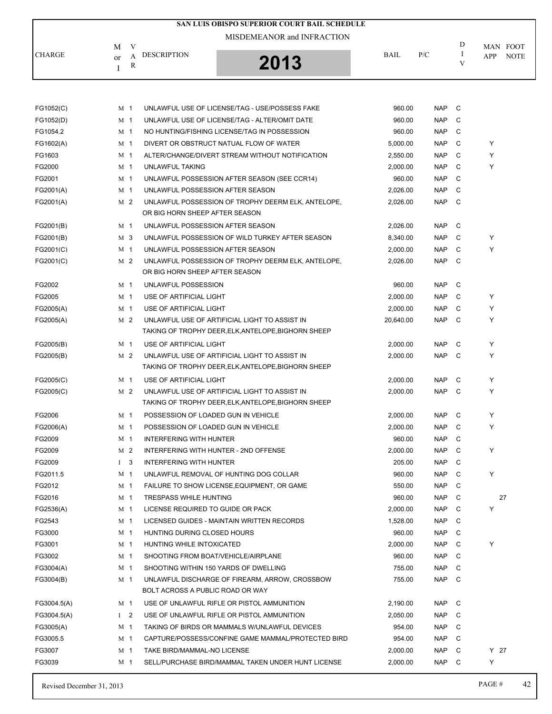|                                                                | SAN LUIS OBISPO SUPERIOR COURT BAIL SCHEDULE |             |     |   |                                |
|----------------------------------------------------------------|----------------------------------------------|-------------|-----|---|--------------------------------|
| V<br>M<br><b>CHARGE</b><br><b>DESCRIPTION</b><br>$\alpha$<br>R | MISDEMEANOR and INFRACTION<br>2013           | <b>BAIL</b> | P/C | D | MAN FOOT<br><b>NOTE</b><br>APP |

| FG1052(C)   | M 1            | UNLAWFUL USE OF LICENSE/TAG - USE/POSSESS FAKE                                                       | 960.00    | <b>NAP</b> | C |        |
|-------------|----------------|------------------------------------------------------------------------------------------------------|-----------|------------|---|--------|
| FG1052(D)   | M <sub>1</sub> | UNLAWFUL USE OF LICENSE/TAG - ALTER/OMIT DATE                                                        | 960.00    | <b>NAP</b> | C |        |
| FG1054.2    | M 1            | NO HUNTING/FISHING LICENSE/TAG IN POSSESSION                                                         | 960.00    | <b>NAP</b> | C |        |
| FG1602(A)   | M <sub>1</sub> | DIVERT OR OBSTRUCT NATUAL FLOW OF WATER                                                              | 5,000.00  | <b>NAP</b> | C | Y      |
| FG1603      | M 1            | ALTER/CHANGE/DIVERT STREAM WITHOUT NOTIFICATION                                                      | 2,550.00  | <b>NAP</b> | С | Y      |
| FG2000      | M 1            | UNLAWFUL TAKING                                                                                      | 2,000.00  | <b>NAP</b> | C | Y      |
| FG2001      | M <sub>1</sub> | UNLAWFUL POSSESSION AFTER SEASON (SEE CCR14)                                                         | 960.00    | <b>NAP</b> | C |        |
| FG2001(A)   | M <sub>1</sub> | UNLAWFUL POSSESSION AFTER SEASON                                                                     | 2,026.00  | <b>NAP</b> | C |        |
| FG2001(A)   | M 2            | UNLAWFUL POSSESSION OF TROPHY DEERM ELK, ANTELOPE,<br>OR BIG HORN SHEEP AFTER SEASON                 | 2,026.00  | <b>NAP</b> | C |        |
| FG2001(B)   | M <sub>1</sub> | UNLAWFUL POSSESSION AFTER SEASON                                                                     | 2,026.00  | <b>NAP</b> | C |        |
| FG2001(B)   | M 3            | UNLAWFUL POSSESSION OF WILD TURKEY AFTER SEASON                                                      | 8,340.00  | <b>NAP</b> | C | Y      |
| FG2001(C)   | M 1            | UNLAWFUL POSSESSION AFTER SEASON                                                                     | 2,000.00  | <b>NAP</b> | C | Y      |
| FG2001(C)   | M 2            | UNLAWFUL POSSESSION OF TROPHY DEERM ELK, ANTELOPE,<br>OR BIG HORN SHEEP AFTER SEASON                 | 2,026.00  | <b>NAP</b> | C |        |
| FG2002      | M <sub>1</sub> | UNLAWFUL POSSESSION                                                                                  | 960.00    | <b>NAP</b> | C |        |
| FG2005      | M 1            | USE OF ARTIFICIAL LIGHT                                                                              | 2,000.00  | <b>NAP</b> | C | Y      |
| FG2005(A)   | M <sub>1</sub> | USE OF ARTIFICIAL LIGHT                                                                              | 2,000.00  | <b>NAP</b> | C | Y      |
| FG2005(A)   | M 2            | UNLAWFUL USE OF ARTIFICIAL LIGHT TO ASSIST IN<br>TAKING OF TROPHY DEER.ELK.ANTELOPE.BIGHORN SHEEP    | 20,640.00 | <b>NAP</b> | C | Y      |
| FG2005(B)   | M 1            | USE OF ARTIFICIAL LIGHT                                                                              | 2,000.00  | <b>NAP</b> | C | Y      |
| FG2005(B)   | M 2            | UNLAWFUL USE OF ARTIFICIAL LIGHT TO ASSIST IN<br>TAKING OF TROPHY DEER, ELK, ANTELOPE, BIGHORN SHEEP | 2,000.00  | <b>NAP</b> | C | Y      |
| FG2005(C)   | M 1            | USE OF ARTIFICIAL LIGHT                                                                              | 2,000.00  | <b>NAP</b> | C | Y      |
| FG2005(C)   | M 2            | UNLAWFUL USE OF ARTIFICIAL LIGHT TO ASSIST IN<br>TAKING OF TROPHY DEER, ELK, ANTELOPE, BIGHORN SHEEP | 2,000.00  | <b>NAP</b> | C | Y      |
| FG2006      | M 1            | POSSESSION OF LOADED GUN IN VEHICLE                                                                  | 2,000.00  | <b>NAP</b> | C | Y      |
| FG2006(A)   | M <sub>1</sub> | POSSESSION OF LOADED GUN IN VEHICLE                                                                  | 2,000.00  | <b>NAP</b> | C | Y      |
| FG2009      | M <sub>1</sub> | <b>INTERFERING WITH HUNTER</b>                                                                       | 960.00    | <b>NAP</b> | C |        |
| FG2009      | M 2            | INTERFERING WITH HUNTER - 2ND OFFENSE                                                                | 2,000.00  | <b>NAP</b> | C | Y      |
| FG2009      | $1 \quad 3$    | <b>INTERFERING WITH HUNTER</b>                                                                       | 205.00    | <b>NAP</b> | C |        |
| FG2011.5    | M <sub>1</sub> | UNLAWFUL REMOVAL OF HUNTING DOG COLLAR                                                               | 960.00    | <b>NAP</b> | С | Y      |
| FG2012      | M 1            | FAILURE TO SHOW LICENSE, EQUIPMENT, OR GAME                                                          | 550.00    | <b>NAP</b> | C |        |
| FG2016      | M <sub>1</sub> | <b>TRESPASS WHILE HUNTING</b>                                                                        | 960.00    | <b>NAP</b> | C | 27     |
| FG2536(A)   | M 1            | LICENSE REQUIRED TO GUIDE OR PACK                                                                    | 2,000.00  | <b>NAP</b> | С | Y      |
| FG2543      | M 1            | LICENSED GUIDES - MAINTAIN WRITTEN RECORDS                                                           | 1,528.00  | <b>NAP</b> | C |        |
| FG3000      | M <sub>1</sub> | HUNTING DURING CLOSED HOURS                                                                          | 960.00    | <b>NAP</b> | C |        |
| FG3001      | M <sub>1</sub> | HUNTING WHILE INTOXICATED                                                                            | 2,000.00  | <b>NAP</b> | С | Υ      |
| FG3002      | M <sub>1</sub> | SHOOTING FROM BOAT/VEHICLE/AIRPLANE                                                                  | 960.00    | <b>NAP</b> | C |        |
| FG3004(A)   | M <sub>1</sub> | SHOOTING WITHIN 150 YARDS OF DWELLING                                                                | 755.00    | <b>NAP</b> | C |        |
| FG3004(B)   | M <sub>1</sub> | UNLAWFUL DISCHARGE OF FIREARM, ARROW, CROSSBOW<br>BOLT ACROSS A PUBLIC ROAD OR WAY                   | 755.00    | <b>NAP</b> | C |        |
| FG3004.5(A) | M 1            | USE OF UNLAWFUL RIFLE OR PISTOL AMMUNITION                                                           | 2,190.00  | <b>NAP</b> | C |        |
| FG3004.5(A) | $1 \quad 2$    | USE OF UNLAWFUL RIFLE OR PISTOL AMMUNITION                                                           | 2,050.00  | <b>NAP</b> | C |        |
| FG3005(A)   | M 1            | TAKING OF BIRDS OR MAMMALS W/UNLAWFUL DEVICES                                                        | 954.00    | <b>NAP</b> | C |        |
| FG3005.5    | M <sub>1</sub> | CAPTURE/POSSESS/CONFINE GAME MAMMAL/PROTECTED BIRD                                                   | 954.00    | <b>NAP</b> | C |        |
| FG3007      | M <sub>1</sub> | TAKE BIRD/MAMMAL-NO LICENSE                                                                          | 2,000.00  | <b>NAP</b> | C | $Y$ 27 |
| FG3039      | M 1            | SELL/PURCHASE BIRD/MAMMAL TAKEN UNDER HUNT LICENSE                                                   | 2,000.00  | <b>NAP</b> | C | Y      |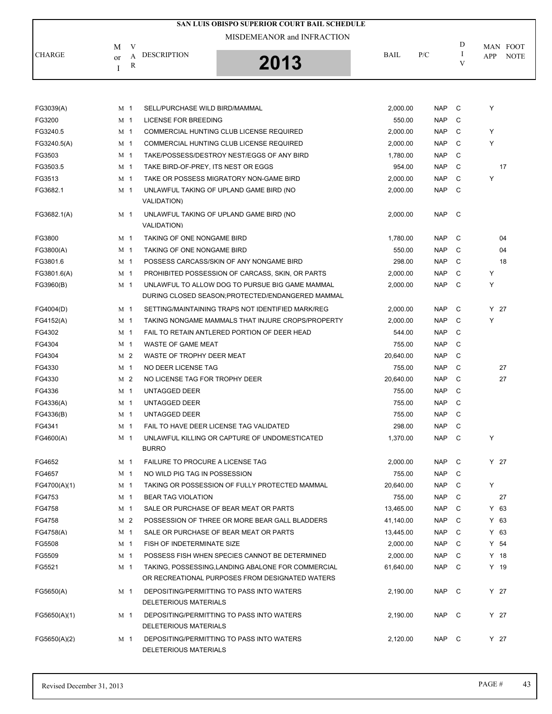|              |                |        | SAN LUIS OBISPO SUPERIOR COURT BAIL SCHEDULE                                                          |           |            |             |        |             |
|--------------|----------------|--------|-------------------------------------------------------------------------------------------------------|-----------|------------|-------------|--------|-------------|
|              |                |        | MISDEMEANOR and INFRACTION                                                                            |           |            |             |        |             |
|              | M              | V      |                                                                                                       |           |            | D<br>I      |        | MAN FOOT    |
| CHARGE       | or             | A<br>R | <b>DESCRIPTION</b><br>2013                                                                            | BAIL      | P/C        | V           | APP    | <b>NOTE</b> |
|              | Ι              |        |                                                                                                       |           |            |             |        |             |
|              |                |        |                                                                                                       |           |            |             |        |             |
| FG3039(A)    | M 1            |        | SELL/PURCHASE WILD BIRD/MAMMAL                                                                        | 2,000.00  | <b>NAP</b> | C           | Υ      |             |
| FG3200       | M 1            |        | LICENSE FOR BREEDING                                                                                  | 550.00    | <b>NAP</b> | C           |        |             |
| FG3240.5     | M 1            |        | COMMERCIAL HUNTING CLUB LICENSE REQUIRED                                                              | 2,000.00  | <b>NAP</b> | C           | Y      |             |
| FG3240.5(A)  | M <sub>1</sub> |        | COMMERCIAL HUNTING CLUB LICENSE REQUIRED                                                              | 2,000.00  | <b>NAP</b> | C           | Υ      |             |
| FG3503       | M 1            |        | TAKE/POSSESS/DESTROY NEST/EGGS OF ANY BIRD                                                            | 1,780.00  | <b>NAP</b> | C           |        |             |
| FG3503.5     | M 1            |        | TAKE BIRD-OF-PREY, ITS NEST OR EGGS                                                                   | 954.00    | <b>NAP</b> | C           |        | 17          |
| FG3513       | M <sub>1</sub> |        | TAKE OR POSSESS MIGRATORY NON-GAME BIRD                                                               | 2,000.00  | <b>NAP</b> | С           | Υ      |             |
| FG3682.1     | M 1            |        | UNLAWFUL TAKING OF UPLAND GAME BIRD (NO                                                               | 2,000.00  | <b>NAP</b> | C           |        |             |
|              |                |        | <b>VALIDATION)</b>                                                                                    |           |            |             |        |             |
| FG3682.1(A)  | M <sub>1</sub> |        | UNLAWFUL TAKING OF UPLAND GAME BIRD (NO                                                               | 2,000.00  | <b>NAP</b> | C           |        |             |
|              |                |        | <b>VALIDATION)</b>                                                                                    |           |            |             |        |             |
| FG3800       | M <sub>1</sub> |        | TAKING OF ONE NONGAME BIRD                                                                            | 1,780.00  | <b>NAP</b> | C           |        | 04          |
| FG3800(A)    | M 1            |        | TAKING OF ONE NONGAME BIRD                                                                            | 550.00    | <b>NAP</b> | С           |        | 04          |
| FG3801.6     | M <sub>1</sub> |        | POSSESS CARCASS/SKIN OF ANY NONGAME BIRD                                                              | 298.00    | <b>NAP</b> | C           |        | 18          |
| FG3801.6(A)  | M 1            |        | PROHIBITED POSSESSION OF CARCASS, SKIN, OR PARTS                                                      | 2,000.00  | <b>NAP</b> | C           | Υ      |             |
| FG3960(B)    | M 1            |        | UNLAWFUL TO ALLOW DOG TO PURSUE BIG GAME MAMMAL                                                       | 2,000.00  | <b>NAP</b> | C           | Y      |             |
|              |                |        | DURING CLOSED SEASON; PROTECTED/ENDANGERED MAMMAL                                                     |           |            |             |        |             |
| FG4004(D)    | M 1            |        | SETTING/MAINTAINING TRAPS NOT IDENTIFIED MARK/REG                                                     | 2,000.00  | <b>NAP</b> | C           | Y 27   |             |
| FG4152(A)    | M 1            |        | TAKING NONGAME MAMMALS THAT INJURE CROPS/PROPERTY                                                     | 2,000.00  | <b>NAP</b> | C           | Y      |             |
| FG4302       | M 1            |        | FAIL TO RETAIN ANTLERED PORTION OF DEER HEAD                                                          | 544.00    | <b>NAP</b> | С           |        |             |
| FG4304       | M 1            |        | <b>WASTE OF GAME MEAT</b>                                                                             | 755.00    | <b>NAP</b> | C           |        |             |
| FG4304       | M <sub>2</sub> |        | WASTE OF TROPHY DEER MEAT                                                                             | 20,640.00 | <b>NAP</b> | C           |        |             |
| FG4330       | M 1            |        | NO DEER LICENSE TAG                                                                                   | 755.00    | <b>NAP</b> | C           |        | 27          |
| FG4330       | M <sub>2</sub> |        | NO LICENSE TAG FOR TROPHY DEER                                                                        | 20,640.00 | <b>NAP</b> | C           |        | 27          |
| FG4336       | M 1            |        | UNTAGGED DEER                                                                                         | 755.00    | <b>NAP</b> | C           |        |             |
| FG4336(A)    | M 1            |        | <b>UNTAGGED DEER</b>                                                                                  | 755.00    | <b>NAP</b> | C           |        |             |
| FG4336(B)    | M 1            |        | <b>UNTAGGED DEER</b>                                                                                  | 755.00    | <b>NAP</b> | C           |        |             |
| FG4341       | M <sub>1</sub> |        | FAIL TO HAVE DEER LICENSE TAG VALIDATED                                                               | 298.00    | <b>NAP</b> | C           |        |             |
| FG4600(A)    | M 1            |        | UNLAWFUL KILLING OR CAPTURE OF UNDOMESTICATED                                                         | 1,370.00  | <b>NAP</b> | C           | Υ      |             |
|              |                |        | <b>BURRO</b>                                                                                          |           |            |             |        |             |
| FG4652       | M 1            |        | FAILURE TO PROCURE A LICENSE TAG                                                                      | 2,000.00  | <b>NAP</b> | C           | $Y$ 27 |             |
| FG4657       | M <sub>1</sub> |        | NO WILD PIG TAG IN POSSESSION                                                                         | 755.00    | NAP.       | C           |        |             |
| FG4700(A)(1) | M 1            |        | TAKING OR POSSESSION OF FULLY PROTECTED MAMMAL                                                        | 20,640.00 | NAP        | С           | Y      |             |
| FG4753       | M <sub>1</sub> |        | <b>BEAR TAG VIOLATION</b>                                                                             | 755.00    | <b>NAP</b> | С           |        | 27          |
| FG4758       | M 1            |        | SALE OR PURCHASE OF BEAR MEAT OR PARTS                                                                | 13,465.00 | NAP        | С           | Y 63   |             |
| FG4758       |                | M 2    | POSSESSION OF THREE OR MORE BEAR GALL BLADDERS                                                        | 41,140.00 | <b>NAP</b> | C           | Y 63   |             |
| FG4758(A)    | M 1            |        | SALE OR PURCHASE OF BEAR MEAT OR PARTS                                                                | 13,445.00 | <b>NAP</b> | C           | Y 63   |             |
| FG5508       | M 1            |        | FISH OF INDETERMINATE SIZE                                                                            | 2,000.00  | NAP        | C           | $Y$ 54 |             |
| FG5509       | M <sub>1</sub> |        | POSSESS FISH WHEN SPECIES CANNOT BE DETERMINED                                                        | 2,000.00  | NAP        | C           | $Y$ 18 |             |
| FG5521       | M 1            |        | TAKING, POSSESSING, LANDING ABALONE FOR COMMERCIAL<br>OR RECREATIONAL PURPOSES FROM DESIGNATED WATERS | 61,640.00 | <b>NAP</b> | C           | Y 19   |             |
| FG5650(A)    | M 1            |        | DEPOSITING/PERMITTING TO PASS INTO WATERS<br>DELETERIOUS MATERIALS                                    | 2,190.00  | NAP        | $\mathbb C$ | Y 27   |             |
| FG5650(A)(1) | M 1            |        | DEPOSITING/PERMITTING TO PASS INTO WATERS<br>DELETERIOUS MATERIALS                                    | 2,190.00  | NAP        | - C         | Y 27   |             |
| FG5650(A)(2) | M 1            |        | DEPOSITING/PERMITTING TO PASS INTO WATERS<br>DELETERIOUS MATERIALS                                    | 2,120.00  | NAP C      |             | Y 27   |             |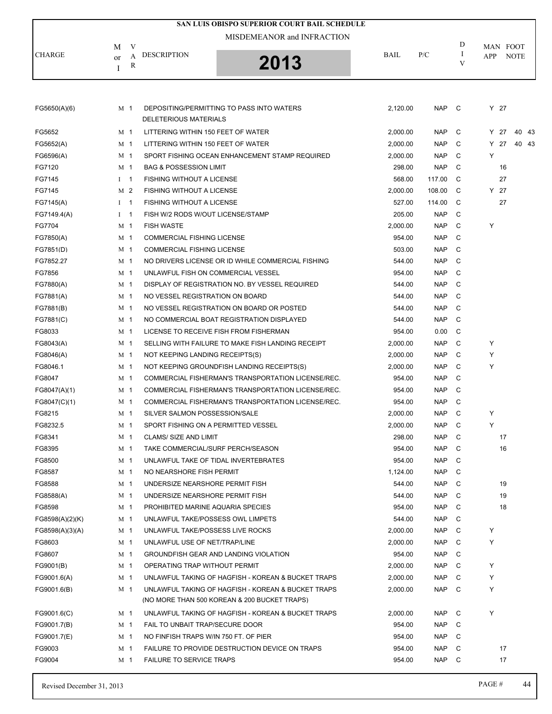|                 |                |                                       | SAN LUIS OBISPO SUPERIOR COURT BAIL SCHEDULE                                                       |             |            |         |      |             |
|-----------------|----------------|---------------------------------------|----------------------------------------------------------------------------------------------------|-------------|------------|---------|------|-------------|
|                 |                |                                       | MISDEMEANOR and INFRACTION                                                                         |             |            |         |      |             |
|                 | V<br>М         |                                       |                                                                                                    |             |            | D       |      | MAN FOOT    |
| <b>CHARGE</b>   | A<br>or        | <b>DESCRIPTION</b>                    | 2013                                                                                               | <b>BAIL</b> | P/C        | -1<br>V | APP  | <b>NOTE</b> |
|                 | R<br>Ι         |                                       |                                                                                                    |             |            |         |      |             |
|                 |                |                                       |                                                                                                    |             |            |         |      |             |
| FG5650(A)(6)    | M <sub>1</sub> |                                       | DEPOSITING/PERMITTING TO PASS INTO WATERS                                                          | 2.120.00    | <b>NAP</b> | C       | Y 27 |             |
|                 |                | DELETERIOUS MATERIALS                 |                                                                                                    |             |            |         |      |             |
| FG5652          | M <sub>1</sub> | LITTERING WITHIN 150 FEET OF WATER    |                                                                                                    | 2.000.00    | <b>NAP</b> | C       | Y 27 | 40 43       |
| FG5652(A)       | M <sub>1</sub> | LITTERING WITHIN 150 FEET OF WATER    |                                                                                                    | 2,000.00    | <b>NAP</b> | C       | Y 27 | 40 43       |
| FG6596(A)       | M 1            |                                       | SPORT FISHING OCEAN ENHANCEMENT STAMP REQUIRED                                                     | 2,000.00    | <b>NAP</b> | C       | Y    |             |
| FG7120          | M 1            | <b>BAG &amp; POSSESSION LIMIT</b>     |                                                                                                    | 298.00      | <b>NAP</b> | C       |      | 16          |
| FG7145          | $I \quad 1$    | <b>FISHING WITHOUT A LICENSE</b>      |                                                                                                    | 568.00      | 117.00     | C       |      | 27          |
| FG7145          | M <sub>2</sub> | <b>FISHING WITHOUT A LICENSE</b>      |                                                                                                    | 2,000.00    | 108.00     | C       | Y 27 |             |
| FG7145(A)       | $I \quad 1$    | <b>FISHING WITHOUT A LICENSE</b>      |                                                                                                    | 527.00      | 114.00     | C       |      | 27          |
| FG7149.4(A)     | $I \quad 1$    | FISH W/2 RODS W/OUT LICENSE/STAMP     |                                                                                                    | 205.00      | <b>NAP</b> | C       |      |             |
| FG7704          | M 1            | <b>FISH WASTE</b>                     |                                                                                                    | 2,000.00    | <b>NAP</b> | C       | Υ    |             |
| FG7850(A)       | M <sub>1</sub> | <b>COMMERCIAL FISHING LICENSE</b>     |                                                                                                    | 954.00      | <b>NAP</b> | C       |      |             |
| FG7851(D)       | M 1            | <b>COMMERCIAL FISHING LICENSE</b>     |                                                                                                    | 503.00      | <b>NAP</b> | C       |      |             |
| FG7852.27       | M 1            |                                       | NO DRIVERS LICENSE OR ID WHILE COMMERCIAL FISHING                                                  | 544.00      | <b>NAP</b> | C       |      |             |
| FG7856          | M 1            | UNLAWFUL FISH ON COMMERCIAL VESSEL    |                                                                                                    | 954.00      | <b>NAP</b> | C       |      |             |
| FG7880(A)       | M <sub>1</sub> |                                       | DISPLAY OF REGISTRATION NO. BY VESSEL REQUIRED                                                     | 544.00      | <b>NAP</b> | C       |      |             |
| FG7881(A)       | M 1            | NO VESSEL REGISTRATION ON BOARD       |                                                                                                    | 544.00      | <b>NAP</b> | C       |      |             |
| FG7881(B)       | M <sub>1</sub> |                                       | NO VESSEL REGISTRATION ON BOARD OR POSTED                                                          | 544.00      | <b>NAP</b> | C       |      |             |
| FG7881(C)       | M 1            |                                       | NO COMMERCIAL BOAT REGISTRATION DISPLAYED                                                          | 544.00      | <b>NAP</b> | C       |      |             |
| FG8033          | M 1            |                                       | LICENSE TO RECEIVE FISH FROM FISHERMAN                                                             | 954.00      | 0.00       | C       |      |             |
| FG8043(A)       | M <sub>1</sub> |                                       | SELLING WITH FAILURE TO MAKE FISH LANDING RECEIPT                                                  | 2,000.00    | <b>NAP</b> | C       | Υ    |             |
| FG8046(A)       | M <sub>1</sub> | NOT KEEPING LANDING RECEIPTS(S)       |                                                                                                    | 2,000.00    | <b>NAP</b> | C       | Υ    |             |
| FG8046.1        | M 1            |                                       | NOT KEEPING GROUNDFISH LANDING RECEIPTS(S)                                                         | 2,000.00    | <b>NAP</b> | C       | Υ    |             |
| FG8047          | M <sub>1</sub> |                                       | COMMERCIAL FISHERMAN'S TRANSPORTATION LICENSE/REC.                                                 | 954.00      | <b>NAP</b> | C       |      |             |
| FG8047(A)(1)    | M 1            |                                       | COMMERCIAL FISHERMAN'S TRANSPORTATION LICENSE/REC.                                                 | 954.00      | <b>NAP</b> | C       |      |             |
| FG8047(C)(1)    | M 1            |                                       | COMMERCIAL FISHERMAN'S TRANSPORTATION LICENSE/REC.                                                 | 954.00      | <b>NAP</b> | C       |      |             |
| FG8215          | M <sub>1</sub> | SILVER SALMON POSSESSION/SALE         |                                                                                                    | 2,000.00    | <b>NAP</b> | C       | Υ    |             |
| FG8232.5        | M <sub>1</sub> | SPORT FISHING ON A PERMITTED VESSEL   |                                                                                                    | 2,000.00    | <b>NAP</b> | C       | Y    |             |
|                 | M 1            | <b>CLAMS/ SIZE AND LIMIT</b>          |                                                                                                    |             | <b>NAP</b> | C       |      | 17          |
| FG8341          |                | TAKE COMMERCIAL/SURF PERCH/SEASON     |                                                                                                    | 298.00      |            | C       |      | 16          |
| FG8395          | M 1            |                                       |                                                                                                    | 954.00      | <b>NAP</b> |         |      |             |
| FG8500          | M 1            | UNLAWFUL TAKE OF TIDAL INVERTEBRATES  |                                                                                                    | 954.00      | <b>NAP</b> | C       |      |             |
| FG8587          | M 1            | NO NEARSHORE FISH PERMIT              |                                                                                                    | 1,124.00    | <b>NAP</b> | C       |      |             |
| FG8588          | M 1            | UNDERSIZE NEARSHORE PERMIT FISH       |                                                                                                    | 544.00      | <b>NAP</b> | C       |      | 19          |
| FG8588(A)       | M 1            | UNDERSIZE NEARSHORE PERMIT FISH       |                                                                                                    | 544.00      | <b>NAP</b> | C       |      | 19          |
| FG8598          | M 1            | PROHIBITED MARINE AQUARIA SPECIES     |                                                                                                    | 954.00      | <b>NAP</b> | C       |      | 18          |
| FG8598(A)(2)(K) | M 1            | UNLAWFUL TAKE/POSSESS OWL LIMPETS     |                                                                                                    | 544.00      | <b>NAP</b> | C       |      |             |
| FG8598(A)(3)(A) | M 1            | UNLAWFUL TAKE/POSSESS LIVE ROCKS      |                                                                                                    | 2,000.00    | <b>NAP</b> | C       | Υ    |             |
| FG8603          | M 1            | UNLAWFUL USE OF NET/TRAP/LINE         |                                                                                                    | 2,000.00    | <b>NAP</b> | C       | Υ    |             |
| FG8607          | M 1            |                                       | <b>GROUNDFISH GEAR AND LANDING VIOLATION</b>                                                       | 954.00      | <b>NAP</b> | C       |      |             |
| FG9001(B)       | M 1            | OPERATING TRAP WITHOUT PERMIT         |                                                                                                    | 2,000.00    | <b>NAP</b> | C       | Υ    |             |
| FG9001.6(A)     | M 1            |                                       | UNLAWFUL TAKING OF HAGFISH - KOREAN & BUCKET TRAPS                                                 | 2,000.00    | <b>NAP</b> | C       | Υ    |             |
| FG9001.6(B)     | M 1            |                                       | UNLAWFUL TAKING OF HAGFISH - KOREAN & BUCKET TRAPS<br>(NO MORE THAN 500 KOREAN & 200 BUCKET TRAPS) | 2,000.00    | <b>NAP</b> | C       | Y    |             |
| FG9001.6(C)     | M 1            |                                       | UNLAWFUL TAKING OF HAGFISH - KOREAN & BUCKET TRAPS                                                 | 2,000.00    | <b>NAP</b> | C       | Υ    |             |
| FG9001.7(B)     | M 1            | FAIL TO UNBAIT TRAP/SECURE DOOR       |                                                                                                    | 954.00      | <b>NAP</b> | C       |      |             |
| FG9001.7(E)     | M 1            | NO FINFISH TRAPS W/IN 750 FT. OF PIER |                                                                                                    | 954.00      | <b>NAP</b> | C       |      |             |
| FG9003          | M 1            |                                       | FAILURE TO PROVIDE DESTRUCTION DEVICE ON TRAPS                                                     | 954.00      | <b>NAP</b> | C       |      | 17          |
| FG9004          | M 1            | <b>FAILURE TO SERVICE TRAPS</b>       |                                                                                                    | 954.00      | <b>NAP</b> | C       |      | 17          |
|                 |                |                                       |                                                                                                    |             |            |         |      |             |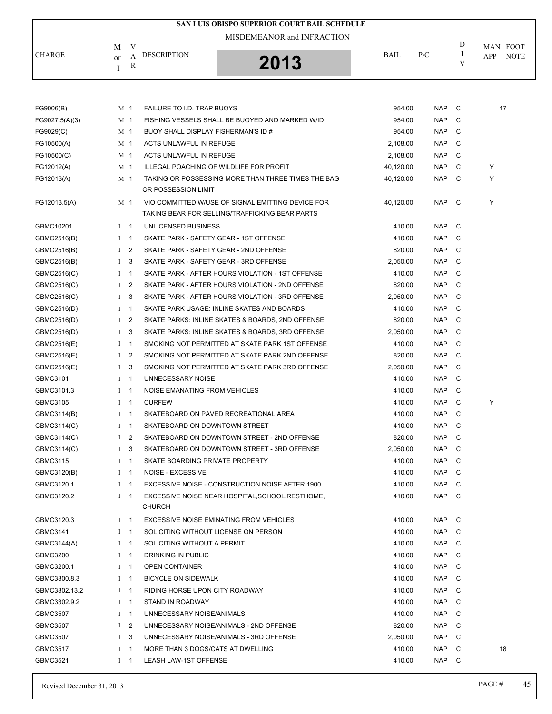|                 |              |                |                                        | <b>SAN LUIS OBISPO SUPERIOR COURT BAIL SCHEDULE</b>                                                 |             |            |              |                    |
|-----------------|--------------|----------------|----------------------------------------|-----------------------------------------------------------------------------------------------------|-------------|------------|--------------|--------------------|
|                 |              |                |                                        | MISDEMEANOR and INFRACTION                                                                          |             |            |              |                    |
| <b>CHARGE</b>   | М            | V              | <b>DESCRIPTION</b>                     |                                                                                                     | <b>BAIL</b> | P/C        | D<br>I       | MAN FOOT           |
|                 | or<br>I      | А<br>R         |                                        | 2013                                                                                                |             |            | V            | APP<br><b>NOTE</b> |
|                 |              |                |                                        |                                                                                                     |             |            |              |                    |
|                 |              |                |                                        |                                                                                                     |             |            |              |                    |
| FG9006(B)       | M 1          |                | FAILURE TO I.D. TRAP BUOYS             |                                                                                                     | 954.00      | NAP        | C            | 17                 |
| FG9027.5(A)(3)  | M 1          |                |                                        | FISHING VESSELS SHALL BE BUOYED AND MARKED W/ID                                                     | 954.00      | <b>NAP</b> | C            |                    |
| FG9029(C)       | M 1          |                | BUOY SHALL DISPLAY FISHERMAN'S ID #    |                                                                                                     | 954.00      | <b>NAP</b> | C            |                    |
| FG10500(A)      | M 1          |                | <b>ACTS UNLAWFUL IN REFUGE</b>         |                                                                                                     | 2,108.00    | <b>NAP</b> | C            |                    |
| FG10500(C)      | M 1          |                | ACTS UNLAWFUL IN REFUGE                |                                                                                                     | 2,108.00    | <b>NAP</b> | C            |                    |
| FG12012(A)      | M 1          |                |                                        | ILLEGAL POACHING OF WILDLIFE FOR PROFIT                                                             | 40,120.00   | <b>NAP</b> | C            | Y                  |
| FG12013(A)      | M 1          |                |                                        | TAKING OR POSSESSING MORE THAN THREE TIMES THE BAG                                                  | 40,120.00   | <b>NAP</b> | C            | Υ                  |
|                 |              |                | OR POSSESSION LIMIT                    |                                                                                                     |             |            |              |                    |
| FG12013.5(A)    | M 1          |                |                                        | VIO COMMITTED W/USE OF SIGNAL EMITTING DEVICE FOR<br>TAKING BEAR FOR SELLING/TRAFFICKING BEAR PARTS | 40,120.00   | NAP        | C            | Υ                  |
| GBMC10201       | $1 \quad 1$  |                | UNLICENSED BUSINESS                    |                                                                                                     | 410.00      | <b>NAP</b> | C            |                    |
| GBMC2516(B)     | $I \quad 1$  |                | SKATE PARK - SAFETY GEAR - 1ST OFFENSE |                                                                                                     | 410.00      | <b>NAP</b> | C            |                    |
| GBMC2516(B)     | $\mathbf{I}$ | $\overline{2}$ |                                        | SKATE PARK - SAFETY GEAR - 2ND OFFENSE                                                              | 820.00      | <b>NAP</b> | C            |                    |
| GBMC2516(B)     | Ι.           | 3              |                                        | SKATE PARK - SAFETY GEAR - 3RD OFFENSE                                                              | 2,050.00    | <b>NAP</b> | C            |                    |
| GBMC2516(C)     | $I \quad 1$  |                |                                        | SKATE PARK - AFTER HOURS VIOLATION - 1ST OFFENSE                                                    | 410.00      | <b>NAP</b> | C            |                    |
| GBMC2516(C)     | $\bf{I}$     | 2              |                                        | SKATE PARK - AFTER HOURS VIOLATION - 2ND OFFENSE                                                    | 820.00      | <b>NAP</b> | C            |                    |
| GBMC2516(C)     | Ι.           | 3              |                                        | SKATE PARK - AFTER HOURS VIOLATION - 3RD OFFENSE                                                    | 2,050.00    | <b>NAP</b> | C            |                    |
| GBMC2516(D)     | $I \quad 1$  |                |                                        | SKATE PARK USAGE: INLINE SKATES AND BOARDS                                                          | 410.00      | <b>NAP</b> | C            |                    |
| GBMC2516(D)     | $1 \quad 2$  |                |                                        | SKATE PARKS: INLINE SKATES & BOARDS, 2ND OFFENSE                                                    | 820.00      | <b>NAP</b> | C            |                    |
| GBMC2516(D)     | Ι.           | 3              |                                        | SKATE PARKS: INLINE SKATES & BOARDS, 3RD OFFENSE                                                    | 2,050.00    | <b>NAP</b> | C            |                    |
| GBMC2516(E)     | $I \quad 1$  |                |                                        | SMOKING NOT PERMITTED AT SKATE PARK 1ST OFFENSE                                                     | 410.00      | <b>NAP</b> | C            |                    |
| GBMC2516(E)     | $\mathbf{I}$ | 2              |                                        | SMOKING NOT PERMITTED AT SKATE PARK 2ND OFFENSE                                                     | 820.00      | <b>NAP</b> | C            |                    |
| GBMC2516(E)     | $\bf{I}$     | 3              |                                        | SMOKING NOT PERMITTED AT SKATE PARK 3RD OFFENSE                                                     | 2,050.00    | <b>NAP</b> | C            |                    |
| GBMC3101        | $I \quad 1$  |                | UNNECESSARY NOISE                      |                                                                                                     | 410.00      | <b>NAP</b> | C            |                    |
| GBMC3101.3      | $I \quad 1$  |                | NOISE EMANATING FROM VEHICLES          |                                                                                                     | 410.00      | <b>NAP</b> | C            |                    |
| GBMC3105        | $I \quad 1$  |                | <b>CURFEW</b>                          |                                                                                                     | 410.00      | <b>NAP</b> | C            | Υ                  |
| GBMC3114(B)     |              | $I \quad 1$    |                                        | SKATEBOARD ON PAVED RECREATIONAL AREA                                                               | 410.00      | <b>NAP</b> | C            |                    |
| GBMC3114(C)     |              | $1 \quad 1$    | SKATEBOARD ON DOWNTOWN STREET          |                                                                                                     | 410.00      | <b>NAP</b> |              |                    |
| GBMC3114(C)     |              | $1\quad 2$     |                                        | SKATEBOARD ON DOWNTOWN STREET - 2ND OFFENSE                                                         | 820.00      | NAP        | C            |                    |
| GBMC3114(C)     | $1 \quad 3$  |                |                                        | SKATEBOARD ON DOWNTOWN STREET - 3RD OFFENSE                                                         | 2,050.00    | <b>NAP</b> | C            |                    |
| GBMC3115        | $I \quad 1$  |                | SKATE BOARDING PRIVATE PROPERTY        |                                                                                                     | 410.00      | NAP        | - C          |                    |
| GBMC3120(B)     | $I \quad 1$  |                | NOISE - EXCESSIVE                      |                                                                                                     | 410.00      | NAP        | C            |                    |
| GBMC3120.1      |              | $1 \quad 1$    |                                        | EXCESSIVE NOISE - CONSTRUCTION NOISE AFTER 1900                                                     | 410.00      | <b>NAP</b> | C            |                    |
| GBMC3120.2      | $1 \quad 1$  |                |                                        | EXCESSIVE NOISE NEAR HOSPITAL, SCHOOL, RESTHOME,                                                    | 410.00      | NAP C      |              |                    |
|                 |              |                | <b>CHURCH</b>                          |                                                                                                     |             |            |              |                    |
| GBMC3120.3      |              | $1 \quad 1$    |                                        | EXCESSIVE NOISE EMINATING FROM VEHICLES                                                             | 410.00      | NAP C      |              |                    |
| GBMC3141        | $I \quad 1$  |                | SOLICITING WITHOUT LICENSE ON PERSON   |                                                                                                     | 410.00      | NAP        | C            |                    |
| GBMC3144(A)     | $I \quad 1$  |                | SOLICITING WITHOUT A PERMIT            |                                                                                                     | 410.00      | NAP        | C            |                    |
| GBMC3200        | $I \quad 1$  |                | DRINKING IN PUBLIC                     |                                                                                                     | 410.00      | NAP        | $\mathbf{C}$ |                    |
| GBMC3200.1      | $I \quad 1$  |                | <b>OPEN CONTAINER</b>                  |                                                                                                     | 410.00      | NAP        | C            |                    |
| GBMC3300.8.3    | $1 \quad 1$  |                | <b>BICYCLE ON SIDEWALK</b>             |                                                                                                     | 410.00      | <b>NAP</b> | C            |                    |
| GBMC3302.13.2   | $I \quad 1$  |                | RIDING HORSE UPON CITY ROADWAY         |                                                                                                     | 410.00      | NAP        | - C          |                    |
| GBMC3302.9.2    | $I \quad 1$  |                | STAND IN ROADWAY                       |                                                                                                     | 410.00      | <b>NAP</b> | C            |                    |
| <b>GBMC3507</b> | $I \quad 1$  |                | UNNECESSARY NOISE/ANIMALS              |                                                                                                     | 410.00      | <b>NAP</b> | C            |                    |
| <b>GBMC3507</b> | $\mathbf{I}$ | 2              |                                        | UNNECESSARY NOISE/ANIMALS - 2ND OFFENSE                                                             | 820.00      | NAP        | C.           |                    |
| <b>GBMC3507</b> | Ι            | 3              |                                        | UNNECESSARY NOISE/ANIMALS - 3RD OFFENSE                                                             | 2,050.00    | NAP        | C            |                    |
| <b>GBMC3517</b> | $I \quad 1$  |                | MORE THAN 3 DOGS/CATS AT DWELLING      |                                                                                                     | 410.00      | NAP        | C            | 18                 |
| GBMC3521        |              | $1 \quad 1$    | LEASH LAW-1ST OFFENSE                  |                                                                                                     | 410.00      | NAP C      |              |                    |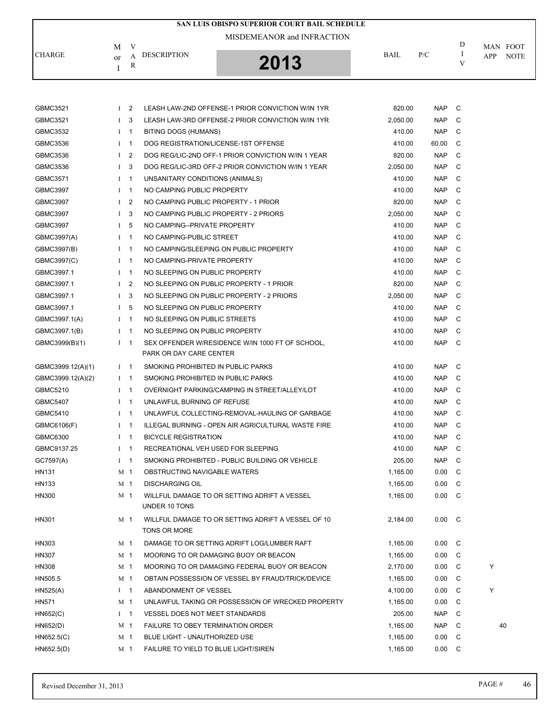|                   |              |                |                                       | SAN LUIS OBISPO SUPERIOR COURT BAIL SCHEDULE           |          |               |              |     |             |
|-------------------|--------------|----------------|---------------------------------------|--------------------------------------------------------|----------|---------------|--------------|-----|-------------|
|                   |              |                |                                       | MISDEMEANOR and INFRACTION                             |          |               |              |     |             |
| <b>CHARGE</b>     | М            | V              |                                       |                                                        | BAIL     | P/C           | D<br>Ι       |     | MAN FOOT    |
|                   | or           | A<br>R         | <b>DESCRIPTION</b>                    | 2013                                                   |          |               | V            | APP | <b>NOTE</b> |
|                   | Ι            |                |                                       |                                                        |          |               |              |     |             |
|                   |              |                |                                       |                                                        |          |               |              |     |             |
|                   |              |                |                                       |                                                        |          |               |              |     |             |
| GBMC3521          |              | I <sub>2</sub> |                                       | LEASH LAW-2ND OFFENSE-1 PRIOR CONVICTION W/IN 1YR      | 820.00   | NAP           | $\mathbf{C}$ |     |             |
| GBMC3521          | $\mathbf{I}$ | 3              |                                       | LEASH LAW-3RD OFFENSE-2 PRIOR CONVICTION W/IN 1YR      | 2,050.00 | <b>NAP</b>    | C            |     |             |
| GBMC3532          |              | $I \quad 1$    | BITING DOGS (HUMANS)                  |                                                        | 410.00   | <b>NAP</b>    | C            |     |             |
| GBMC3536          |              | $I \quad 1$    | DOG REGISTRATION/LICENSE-1ST OFFENSE  |                                                        | 410.00   | 60.00         | C            |     |             |
| GBMC3536          |              | I <sub>2</sub> |                                       | DOG REG/LIC-2ND OFF-1 PRIOR CONVICTION W/IN 1 YEAR     | 820.00   | <b>NAP</b>    | C            |     |             |
| GBMC3536          | $\mathbf{I}$ | 3              |                                       | DOG REG/LIC-3RD OFF-2 PRIOR CONVICTION W/IN 1 YEAR     | 2,050.00 | <b>NAP</b>    | C            |     |             |
| GBMC3571          |              | $I \quad 1$    | UNSANITARY CONDITIONS (ANIMALS)       |                                                        | 410.00   | <b>NAP</b>    | C            |     |             |
| <b>GBMC3997</b>   |              | $1 \quad 1$    | NO CAMPING PUBLIC PROPERTY            |                                                        | 410.00   | <b>NAP</b>    | C            |     |             |
| <b>GBMC3997</b>   | $\bf{I}$     | 2              | NO CAMPING PUBLIC PROPERTY - 1 PRIOR  |                                                        | 820.00   | <b>NAP</b>    | C            |     |             |
| GBMC3997          | $\mathbf{I}$ | 3              | NO CAMPING PUBLIC PROPERTY - 2 PRIORS |                                                        | 2,050.00 | <b>NAP</b>    | C            |     |             |
| <b>GBMC3997</b>   | $\bf{I}$     | 5              | NO CAMPING--PRIVATE PROPERTY          |                                                        | 410.00   | <b>NAP</b>    | C            |     |             |
| GBMC3997(A)       |              | $I \quad 1$    | NO CAMPING-PUBLIC STREET              |                                                        | 410.00   | <b>NAP</b>    | C            |     |             |
| GBMC3997(B)       |              | $I \quad 1$    |                                       | NO CAMPING/SLEEPING ON PUBLIC PROPERTY                 | 410.00   | <b>NAP</b>    | C            |     |             |
| GBMC3997(C)       |              | $I \quad 1$    | NO CAMPING-PRIVATE PROPERTY           |                                                        | 410.00   | <b>NAP</b>    | C            |     |             |
| GBMC3997.1        |              | $I \quad 1$    | NO SLEEPING ON PUBLIC PROPERTY        |                                                        | 410.00   | <b>NAP</b>    | C            |     |             |
| GBMC3997.1        | $\mathbf I$  | $\overline{2}$ |                                       | NO SLEEPING ON PUBLIC PROPERTY - 1 PRIOR               | 820.00   | <b>NAP</b>    | C            |     |             |
| GBMC3997.1        | $\mathbf{I}$ | 3              |                                       | NO SLEEPING ON PUBLIC PROPERTY - 2 PRIORS              | 2,050.00 | <b>NAP</b>    | C            |     |             |
| GBMC3997.1        |              | I <sub>5</sub> | NO SLEEPING ON PUBLIC PROPERTY        |                                                        | 410.00   | <b>NAP</b>    | C            |     |             |
| GBMC3997.1(A)     |              | $I \quad 1$    | NO SLEEPING ON PUBLIC STREETS         |                                                        | 410.00   | <b>NAP</b>    | C            |     |             |
| GBMC3997.1(B)     |              | $I \quad 1$    | NO SLEEPING ON PUBLIC PROPERTY        |                                                        | 410.00   | <b>NAP</b>    | C            |     |             |
| GBMC3999(B)(1)    |              | $I \quad 1$    | PARK OR DAY CARE CENTER               | SEX OFFENDER W/RESIDENCE W/IN 1000 FT OF SCHOOL,       | 410.00   | <b>NAP</b>    | C            |     |             |
|                   |              |                |                                       |                                                        |          |               |              |     |             |
| GBMC3999.12(A)(1) |              | $I \quad 1$    | SMOKING PROHIBITED IN PUBLIC PARKS    |                                                        | 410.00   | <b>NAP</b>    | C            |     |             |
| GBMC3999.12(A)(2) |              | $I \quad 1$    | SMOKING PROHIBITED IN PUBLIC PARKS    |                                                        | 410.00   | <b>NAP</b>    | C            |     |             |
| GBMC5210          |              | $I \quad 1$    |                                       | OVERNIGHT PARKING/CAMPING IN STREET/ALLEY/LOT          | 410.00   | <b>NAP</b>    | C            |     |             |
| <b>GBMC5407</b>   |              | $I \quad 1$    | UNLAWFUL BURNING OF REFUSE            |                                                        | 410.00   | <b>NAP</b>    | C            |     |             |
| GBMC5410          |              | $I \quad 1$    |                                       | UNLAWFUL COLLECTING-REMOVAL-HAULING OF GARBAGE         | 410.00   | NAP           | C            |     |             |
| GBMC6106(F)       |              |                |                                       | I 1 ILLEGAL BURNING - OPEN AIR AGRICULTURAL WASTE FIRE | 410.00   | <b>NAP</b>    |              |     |             |
| GBMC6300          |              | $1 \quad 1$    | <b>BICYCLE REGISTRATION</b>           |                                                        | 410.00   | <b>NAP</b>    | C            |     |             |
| GBMC9137.25       |              | $I \quad 1$    | RECREATIONAL VEH USED FOR SLEEPING    |                                                        | 410.00   | <b>NAP</b>    | C            |     |             |
| GC7597(A)         |              | $I \quad 1$    |                                       | SMOKING PROHIBITED - PUBLIC BUILDING OR VEHICLE        | 205.00   | <b>NAP</b>    | C            |     |             |
| HN131             |              | M 1            | OBSTRUCTING NAVIGABLE WATERS          |                                                        | 1,165.00 | 0.00          | C            |     |             |
| HN133             |              | M 1            | <b>DISCHARGING OIL</b>                |                                                        | 1,165.00 | 0.00          | - C          |     |             |
| HN300             |              | M <sub>1</sub> | UNDER 10 TONS                         | WILLFUL DAMAGE TO OR SETTING ADRIFT A VESSEL           | 1,165.00 | $0.00\quad C$ |              |     |             |
| HN301             |              | M 1            |                                       | WILLFUL DAMAGE TO OR SETTING ADRIFT A VESSEL OF 10     | 2,184.00 | $0.00\quad C$ |              |     |             |
|                   |              |                | TONS OR MORE                          |                                                        |          |               |              |     |             |
| HN303             |              | M 1            |                                       | DAMAGE TO OR SETTING ADRIFT LOG/LUMBER RAFT            | 1,165.00 | $0.00\quad C$ |              |     |             |
| HN307             |              | M 1            |                                       | MOORING TO OR DAMAGING BUOY OR BEACON                  | 1,165.00 | 0.00          | C            |     |             |
| HN308             |              | M <sub>1</sub> |                                       | MOORING TO OR DAMAGING FEDERAL BUOY OR BEACON          | 2,170.00 | 0.00          | C            | Υ   |             |
| HN505.5           |              | M 1            |                                       | OBTAIN POSSESSION OF VESSEL BY FRAUD/TRICK/DEVICE      | 1,165.00 | 0.00          | C            |     |             |
| HN525(A)          |              | $I \quad 1$    | ABANDONMENT OF VESSEL                 |                                                        | 4,100.00 | 0.00          | C            | Υ   |             |
| HN571             |              | M 1            |                                       | UNLAWFUL TAKING OR POSSESSION OF WRECKED PROPERTY      | 1,165.00 | 0.00          | C            |     |             |
| HN652(C)          |              | $1 \quad 1$    | VESSEL DOES NOT MEET STANDARDS        |                                                        | 205.00   | <b>NAP</b>    | C            |     |             |
| H N652(D)         |              | M 1            | FAILURE TO OBEY TERMINATION ORDER     |                                                        | 1,165.00 | <b>NAP</b>    | C            |     | 40          |
| H N652.5(C)       |              | M 1            | BLUE LIGHT - UNAUTHORIZED USE         |                                                        | 1,165.00 | 0.00          | C            |     |             |
| HN652.5(D)        |              | M 1            | FAILURE TO YIELD TO BLUE LIGHT/SIREN  |                                                        | 1,165.00 | 0.00 C        |              |     |             |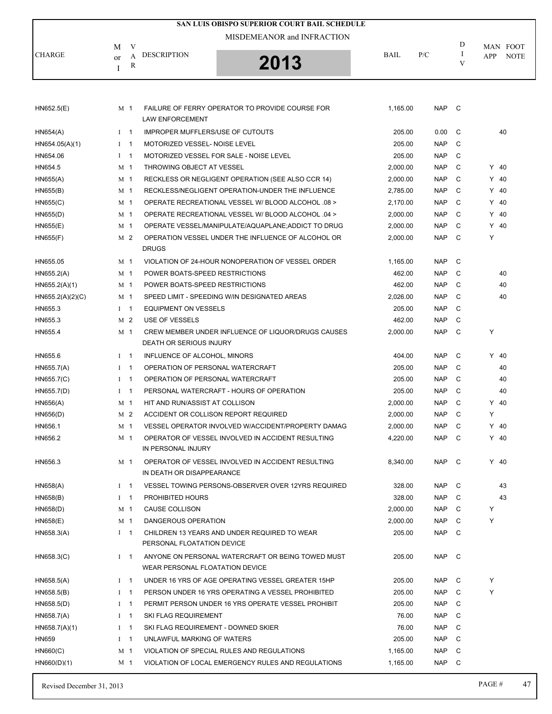| SAN LUIS OBISPO SUPERIOR COURT BAIL SCHEDULE |                |   |                                         |                                                    |             |            |        |        |             |  |  |
|----------------------------------------------|----------------|---|-----------------------------------------|----------------------------------------------------|-------------|------------|--------|--------|-------------|--|--|
|                                              |                |   |                                         | MISDEMEANOR and INFRACTION                         |             |            |        |        |             |  |  |
|                                              | M              | V |                                         |                                                    |             |            | D      |        | MAN FOOT    |  |  |
| <b>CHARGE</b>                                | or             | A | <b>DESCRIPTION</b>                      | 2013                                               | <b>BAIL</b> | P/C        | I<br>V | APP    | <b>NOTE</b> |  |  |
|                                              | I              | R |                                         |                                                    |             |            |        |        |             |  |  |
|                                              |                |   |                                         |                                                    |             |            |        |        |             |  |  |
|                                              |                |   |                                         |                                                    |             |            |        |        |             |  |  |
| H N652.5(E)                                  | M 1            |   |                                         | FAILURE OF FERRY OPERATOR TO PROVIDE COURSE FOR    | 1,165.00    | <b>NAP</b> | - C    |        |             |  |  |
|                                              |                |   | <b>LAW ENFORCEMENT</b>                  |                                                    |             |            |        |        |             |  |  |
| H N654(A)                                    | $1 \quad 1$    |   | <b>IMPROPER MUFFLERS/USE OF CUTOUTS</b> |                                                    | 205.00      | 0.00       | C      |        | 40          |  |  |
| HN654.05(A)(1)                               | $1 \quad 1$    |   | MOTORIZED VESSEL- NOISE LEVEL           |                                                    | 205.00      | <b>NAP</b> | C      |        |             |  |  |
| HN654.06                                     | $1 \quad 1$    |   | MOTORIZED VESSEL FOR SALE - NOISE LEVEL |                                                    | 205.00      | <b>NAP</b> | C      |        |             |  |  |
| HN654.5                                      | M 1            |   | THROWING OBJECT AT VESSEL               |                                                    | 2,000.00    | <b>NAP</b> | C      | $Y$ 40 |             |  |  |
| H N655(A)                                    | M 1            |   |                                         | RECKLESS OR NEGLIGENT OPERATION (SEE ALSO CCR 14)  | 2,000.00    | <b>NAP</b> | C      | $Y$ 40 |             |  |  |
| HN655(B)                                     | M 1            |   |                                         | RECKLESS/NEGLIGENT OPERATION-UNDER THE INFLUENCE   | 2,785.00    | <b>NAP</b> | C      | $Y$ 40 |             |  |  |
| H N655(C)                                    | M 1            |   |                                         | OPERATE RECREATIONAL VESSEL W/ BLOOD ALCOHOL .08 > | 2,170.00    | <b>NAP</b> | C      | $Y$ 40 |             |  |  |
| HN655(D)                                     | M 1            |   |                                         | OPERATE RECREATIONAL VESSEL W/ BLOOD ALCOHOL .04 > | 2,000.00    | <b>NAP</b> | C      | $Y$ 40 |             |  |  |
| HN655(E)                                     | M 1            |   |                                         | OPERATE VESSEL/MANIPULATE/AQUAPLANE;ADDICT TO DRUG | 2,000.00    | <b>NAP</b> | C      | $Y$ 40 |             |  |  |
| H N655(F)                                    | M 2            |   |                                         | OPERATION VESSEL UNDER THE INFLUENCE OF ALCOHOL OR | 2,000.00    | <b>NAP</b> | C      | Υ      |             |  |  |
|                                              |                |   | <b>DRUGS</b>                            |                                                    |             |            |        |        |             |  |  |
| HN655.05                                     | M 1            |   |                                         | VIOLATION OF 24-HOUR NONOPERATION OF VESSEL ORDER  | 1,165.00    | <b>NAP</b> | C      |        |             |  |  |
| HM655.2(A)                                   | M 1            |   | POWER BOATS-SPEED RESTRICTIONS          |                                                    | 462.00      | <b>NAP</b> | C      |        | 40          |  |  |
| HN655.2(A)(1)                                | M 1            |   | POWER BOATS-SPEED RESTRICTIONS          |                                                    | 462.00      | <b>NAP</b> | C      |        | 40          |  |  |
| H N655.2(A)(2)(C)                            | M 1            |   |                                         | SPEED LIMIT - SPEEDING W/IN DESIGNATED AREAS       | 2,026.00    | <b>NAP</b> | C      |        | 40          |  |  |
| HN655.3                                      | $1 \quad 1$    |   | <b>EQUIPMENT ON VESSELS</b>             |                                                    | 205.00      | <b>NAP</b> | C      |        |             |  |  |
| HN655.3                                      | M <sub>2</sub> |   | USE OF VESSELS                          |                                                    | 462.00      | <b>NAP</b> | C      |        |             |  |  |
| HN655.4                                      | M 1            |   |                                         | CREW MEMBER UNDER INFLUENCE OF LIQUOR/DRUGS CAUSES | 2,000.00    | <b>NAP</b> | C      | Y      |             |  |  |
|                                              |                |   | DEATH OR SERIOUS INJURY                 |                                                    |             |            |        |        |             |  |  |
| HN655.6                                      | $1 \quad 1$    |   | INFLUENCE OF ALCOHOL, MINORS            |                                                    | 404.00      | <b>NAP</b> | C      | $Y$ 40 |             |  |  |
| HM655.7(A)                                   | $1 \quad 1$    |   | OPERATION OF PERSONAL WATERCRAFT        |                                                    | 205.00      | <b>NAP</b> | C      |        | 40          |  |  |
| HN655.7(C)                                   | $1 \quad 1$    |   | OPERATION OF PERSONAL WATERCRAFT        |                                                    | 205.00      | <b>NAP</b> | С      |        | 40          |  |  |
| HN655.7(D)                                   | $1 \quad 1$    |   |                                         | PERSONAL WATERCRAFT - HOURS OF OPERATION           | 205.00      | <b>NAP</b> | C      |        | 40          |  |  |
| H N656(A)                                    | M 1            |   | HIT AND RUN/ASSIST AT COLLISON          |                                                    | 2,000.00    | <b>NAP</b> | C      | $Y$ 40 |             |  |  |
| HN656(D)                                     | M 2            |   | ACCIDENT OR COLLISON REPORT REQUIRED    |                                                    | 2,000.00    | <b>NAP</b> | C      | Υ      |             |  |  |
| HN656.1                                      | M 1            |   |                                         | VESSEL OPERATOR INVOLVED W/ACCIDENT/PROPERTY DAMAG | 2,000.00    | <b>NAP</b> | C      | Y 40   |             |  |  |
| HN656.2                                      | M 1            |   |                                         | OPERATOR OF VESSEL INVOLVED IN ACCIDENT RESULTING  | 4,220.00    | <b>NAP</b> | C      | $Y$ 40 |             |  |  |
|                                              |                |   | IN PERSONAL INJURY                      |                                                    |             |            |        |        |             |  |  |
| HN656.3                                      | M <sub>1</sub> |   |                                         | OPERATOR OF VESSEL INVOLVED IN ACCIDENT RESULTING  | 8,340.00    | NAP        | - C    | $Y$ 40 |             |  |  |
|                                              |                |   | IN DEATH OR DISAPPEARANCE               |                                                    |             |            |        |        |             |  |  |
| HN658(A)                                     | $I \quad 1$    |   |                                         | VESSEL TOWING PERSONS-OBSERVER OVER 12YRS REQUIRED | 328.00      | NAP        | C      |        | 43          |  |  |
| HN658(B)                                     | $1 \quad 1$    |   | PROHIBITED HOURS                        |                                                    | 328.00      | <b>NAP</b> | С      |        | 43          |  |  |
| HN658(D)                                     | M 1            |   | <b>CAUSE COLLISON</b>                   |                                                    | 2,000.00    | NAP        | C      | Υ      |             |  |  |
| HN658(E)                                     | M 1            |   | DANGEROUS OPERATION                     |                                                    | 2,000.00    | NAP        | C      | Y      |             |  |  |
| HN658.3(A)                                   | $1 \quad 1$    |   |                                         | CHILDREN 13 YEARS AND UNDER REQUIRED TO WEAR       | 205.00      | <b>NAP</b> | - C    |        |             |  |  |
|                                              |                |   | PERSONAL FLOATATION DEVICE              |                                                    |             |            |        |        |             |  |  |
| HN658.3(C)                                   | $1 \quad 1$    |   |                                         | ANYONE ON PERSONAL WATERCRAFT OR BEING TOWED MUST  | 205.00      | <b>NAP</b> | - C    |        |             |  |  |
|                                              |                |   | <b>WEAR PERSONAL FLOATATION DEVICE</b>  |                                                    |             |            |        |        |             |  |  |
| HN658.5(A)                                   | $I \quad 1$    |   |                                         | UNDER 16 YRS OF AGE OPERATING VESSEL GREATER 15HP  | 205.00      | NAP        | C      | Y      |             |  |  |
| H N658.5(B)                                  | $1 \quad 1$    |   |                                         | PERSON UNDER 16 YRS OPERATING A VESSEL PROHIBITED  | 205.00      | NAP.       | C      | Y      |             |  |  |
| HN658.5(D)                                   | $1 \quad 1$    |   |                                         | PERMIT PERSON UNDER 16 YRS OPERATE VESSEL PROHIBIT | 205.00      | <b>NAP</b> | C      |        |             |  |  |
| HN658.7(A)                                   | $I \quad 1$    |   | SKI FLAG REQUIREMENT                    |                                                    | 76.00       | NAP        | C      |        |             |  |  |
| H N658.7(A)(1)                               | $I \quad 1$    |   | SKI FLAG REQUIREMENT - DOWNED SKIER     |                                                    | 76.00       | NAP        | C      |        |             |  |  |
| <b>HN659</b>                                 | $1 \quad 1$    |   | UNLAWFUL MARKING OF WATERS              |                                                    | 205.00      | <b>NAP</b> | C      |        |             |  |  |
| H N660(C)                                    | M 1            |   |                                         | VIOLATION OF SPECIAL RULES AND REGULATIONS         | 1,165.00    | <b>NAP</b> | C      |        |             |  |  |
| H N660(D)(1)                                 | M 1            |   |                                         | VIOLATION OF LOCAL EMERGENCY RULES AND REGULATIONS | 1,165.00    | NAP        | C      |        |             |  |  |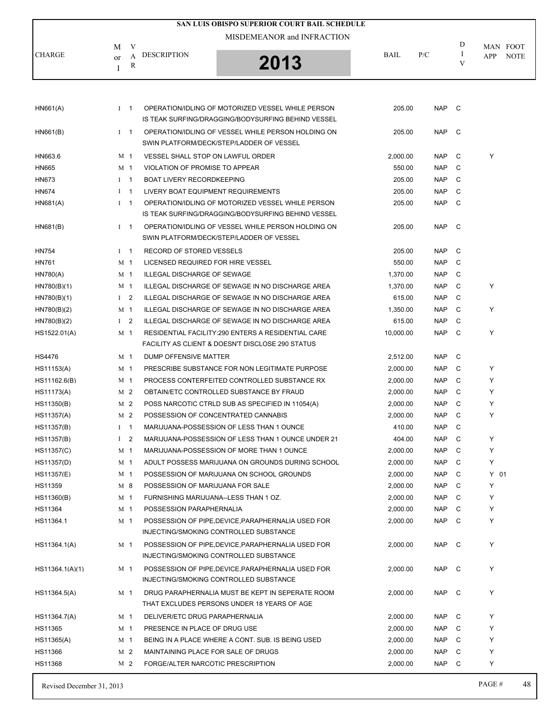| I CHARGE.        | M<br><sub>or</sub>    | V<br>A<br>R | <b>DESCRIPTION</b>                                                                                      | SAN LUIS OBISPO SUPERIOR COURT BAIL SCHEDULE<br>MISDEMEANOR and INFRACTION<br>2013 | BAIL               | P/C                      | D<br>V  | MAN FOOT<br><b>NOTE</b><br><b>APP</b> |
|------------------|-----------------------|-------------|---------------------------------------------------------------------------------------------------------|------------------------------------------------------------------------------------|--------------------|--------------------------|---------|---------------------------------------|
| H N661(A)        |                       |             | OPERATION/IDLING OF MOTORIZED VESSEL WHILE PERSON<br>IS TEAK SURFING/DRAGGING/BODYSURFING BEHIND VESSEL |                                                                                    | 205.00             | NAP C                    |         |                                       |
| HN661(B)         |                       |             | OPERATION/IDLING OF VESSEL WHILE PERSON HOLDING ON<br>SWIN PLATFORM/DECK/STEP/LADDER OF VESSEL          |                                                                                    | 205.00             | NAP C                    |         |                                       |
| HN663.6<br>HN665 | M 1<br>M <sub>1</sub> |             | <b>VESSEL SHALL STOP ON LAWFUL ORDER</b><br>VIOLATION OF PROMISE TO APPEAR                              |                                                                                    | 2,000.00<br>550.00 | <b>NAP</b><br><b>NAP</b> | C.<br>C | Υ                                     |

HN673 I 1 BOAT LIVERY RECORDKEEPING 205.00 NAP C HN674 I 1 LIVERY BOAT EQUIPMENT REQUIREMENTS 205.00 NAP C

| HN681(A)        | $I \quad 1$                   | OPERATION/IDLING OF MOTORIZED VESSEL WHILE PERSON<br>IS TEAK SURFING/DRAGGING/BODYSURFING BEHIND VESSEL | 205.00    | <b>NAP</b> | C            |        |
|-----------------|-------------------------------|---------------------------------------------------------------------------------------------------------|-----------|------------|--------------|--------|
| HN681(B)        | $I \quad 1$                   | OPERATION/IDLING OF VESSEL WHILE PERSON HOLDING ON                                                      | 205.00    | <b>NAP</b> | $\mathsf{C}$ |        |
|                 |                               | SWIN PLATFORM/DECK/STEP/LADDER OF VESSEL                                                                |           |            |              |        |
| HN754           | $I \quad 1$                   | RECORD OF STORED VESSELS                                                                                | 205.00    | <b>NAP</b> | C            |        |
| <b>HN761</b>    | M <sub>1</sub>                | LICENSED REQUIRED FOR HIRE VESSEL                                                                       | 550.00    | <b>NAP</b> | C            |        |
| <b>HN780(A)</b> | M <sub>1</sub>                | ILLEGAL DISCHARGE OF SEWAGE                                                                             | 1,370.00  | <b>NAP</b> | C            |        |
| HN780(B)(1)     | M <sub>1</sub>                | ILLEGAL DISCHARGE OF SEWAGE IN NO DISCHARGE AREA                                                        | 1,370.00  | <b>NAP</b> | $\mathbf C$  | Y      |
| HN780(B)(1)     | $1 \quad 2$                   | ILLEGAL DISCHARGE OF SEWAGE IN NO DISCHARGE AREA                                                        | 615.00    | <b>NAP</b> | C            |        |
| HN780(B)(2)     | M <sub>1</sub>                | ILLEGAL DISCHARGE OF SEWAGE IN NO DISCHARGE AREA                                                        | 1,350.00  | <b>NAP</b> | C            | Y      |
| HN780(B)(2)     | I <sub>2</sub>                | ILLEGAL DISCHARGE OF SEWAGE IN NO DISCHARGE AREA                                                        | 615.00    | <b>NAP</b> | $\mathsf C$  |        |
| HS1522.01(A)    | M <sub>1</sub>                | RESIDENTIAL FACILITY:290 ENTERS A RESIDENTIAL CARE                                                      | 10,000.00 | <b>NAP</b> | C            | Y      |
|                 |                               | FACILITY AS CLIENT & DOESN'T DISCLOSE 290 STATUS                                                        |           |            |              |        |
| <b>HS4476</b>   | M <sub>1</sub>                | DUMP OFFENSIVE MATTER                                                                                   | 2,512.00  | <b>NAP</b> | C            |        |
| HS11153(A)      | M <sub>1</sub>                | PRESCRIBE SUBSTANCE FOR NON LEGITIMATE PURPOSE                                                          | 2,000.00  | <b>NAP</b> | C            | Y      |
| HS11162.6(B)    | M <sub>1</sub>                | PROCESS CONTERFEITED CONTROLLED SUBSTANCE RX                                                            | 2,000.00  | <b>NAP</b> | $\mathsf{C}$ | Y      |
| HS11173(A)      | M <sub>2</sub>                | OBTAIN/ETC CONTROLLED SUBSTANCE BY FRAUD                                                                | 2,000.00  | <b>NAP</b> | C            | Y      |
| HS11350(B)      | M <sub>2</sub>                | POSS NARCOTIC CTRLD SUB AS SPECIFIED IN 11054(A)                                                        | 2,000.00  | <b>NAP</b> | $\mathbf C$  | Y      |
| HS11357(A)      | M <sub>2</sub>                | POSSESSION OF CONCENTRATED CANNABIS                                                                     | 2,000.00  | <b>NAP</b> | $\mathsf C$  | Y      |
| HS11357(B)      | $\overline{1}$<br>$\bf{I}$    | MARIJUANA-POSSESSION OF LESS THAN 1 OUNCE                                                               | 410.00    | <b>NAP</b> | C            |        |
| HS11357(B)      | $\mathbf I$<br>$\overline{2}$ | MARIJUANA-POSSESSION OF LESS THAN 1 OUNCE UNDER 21                                                      | 404.00    | <b>NAP</b> | C            | Y      |
| HS11357(C)      | M <sub>1</sub>                | MARIJUANA-POSSESSION OF MORE THAN 1 OUNCE                                                               | 2,000.00  | <b>NAP</b> | C            | Y      |
| HS11357(D)      | M <sub>1</sub>                | ADULT POSSESS MARIJUANA ON GROUNDS DURING SCHOOL                                                        | 2,000.00  | <b>NAP</b> | $\mathsf{C}$ | Y      |
| HS11357(E)      | M <sub>1</sub>                | POSSESSION OF MARIJUANA ON SCHOOL GROUNDS                                                               | 2,000.00  | <b>NAP</b> | $\mathsf{C}$ | $Y$ 01 |
| HS11359         | M <sub>8</sub>                | POSSESSION OF MARIJUANA FOR SALE                                                                        | 2,000.00  | <b>NAP</b> | $\mathsf{C}$ | Y      |
| HS11360(B)      | M <sub>1</sub>                | FURNISHING MARIJUANA--LESS THAN 1 OZ.                                                                   | 2,000.00  | <b>NAP</b> | C            | Y      |
| HS11364         | M <sub>1</sub>                | POSSESSION PARAPHERNALIA                                                                                | 2,000.00  | <b>NAP</b> | $\mathsf{C}$ | Y      |
| HS11364.1       | M <sub>1</sub>                | POSSESSION OF PIPE, DEVICE, PARAPHERNALIA USED FOR                                                      | 2,000.00  | <b>NAP</b> | C            | Y      |
|                 |                               | INJECTING/SMOKING CONTROLLED SUBSTANCE                                                                  |           |            |              |        |
| HS11364.1(A)    | M 1                           | POSSESSION OF PIPE, DEVICE, PARAPHERNALIA USED FOR<br>INJECTING/SMOKING CONTROLLED SUBSTANCE            | 2,000.00  | <b>NAP</b> | C            | Y      |
| HS11364.1(A)(1) | M <sub>1</sub>                | POSSESSION OF PIPE, DEVICE, PARAPHERNALIA USED FOR<br>INJECTING/SMOKING CONTROLLED SUBSTANCE            | 2,000.00  | <b>NAP</b> | C            | Y      |
| HS11364.5(A)    | M <sub>1</sub>                | DRUG PARAPHERNALIA MUST BE KEPT IN SEPERATE ROOM<br>THAT EXCLUDES PERSONS UNDER 18 YEARS OF AGE         | 2,000.00  | <b>NAP</b> | C            | Y      |
| HS11364.7(A)    | M <sub>1</sub>                | DELIVER/ETC DRUG PARAPHERNALIA                                                                          | 2,000.00  | <b>NAP</b> | $\mathbf C$  | Y      |
| HS11365         | M 1                           | PRESENCE IN PLACE OF DRUG USE                                                                           | 2,000.00  | <b>NAP</b> | $\mathsf{C}$ | Y      |
| HS11365(A)      | M <sub>1</sub>                | BEING IN A PLACE WHERE A CONT. SUB. IS BEING USED                                                       | 2,000.00  | <b>NAP</b> | C            | Y      |
| HS11366         | M <sub>2</sub>                | MAINTAINING PLACE FOR SALE OF DRUGS                                                                     | 2,000.00  | <b>NAP</b> | C            | Y      |
| HS11368         | M <sub>2</sub>                | FORGE/ALTER NARCOTIC PRESCRIPTION                                                                       | 2,000.00  | <b>NAP</b> | $\mathbf C$  | Y      |
|                 |                               |                                                                                                         |           |            |              |        |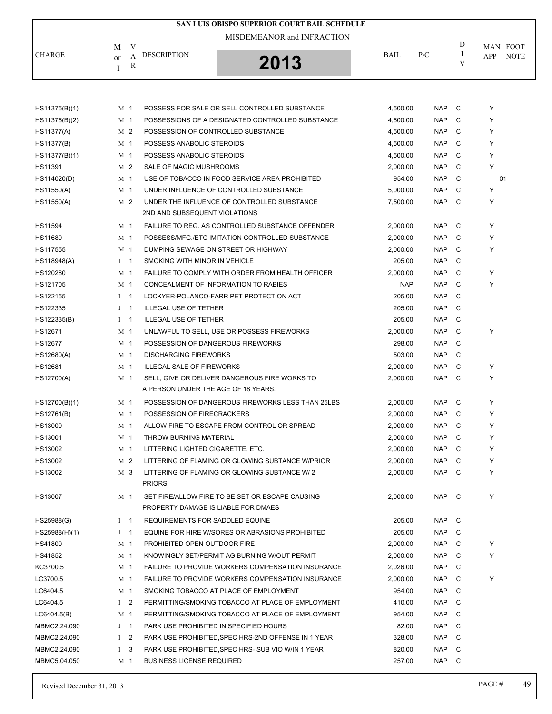| SAN LUIS OBISPO SUPERIOR COURT BAIL SCHEDULE |                |                |                                     |                                                          |            |            |         |            |             |  |  |
|----------------------------------------------|----------------|----------------|-------------------------------------|----------------------------------------------------------|------------|------------|---------|------------|-------------|--|--|
|                                              |                |                |                                     | MISDEMEANOR and INFRACTION                               |            |            |         |            |             |  |  |
|                                              | M              | V              |                                     |                                                          |            |            | D       |            | MAN FOOT    |  |  |
| <b>CHARGE</b>                                | or             | A              | <b>DESCRIPTION</b>                  | 2013                                                     | BAIL       | P/C        | -1<br>V | <b>APP</b> | <b>NOTE</b> |  |  |
|                                              | Ι              | R              |                                     |                                                          |            |            |         |            |             |  |  |
|                                              |                |                |                                     |                                                          |            |            |         |            |             |  |  |
|                                              |                |                |                                     |                                                          |            |            |         |            |             |  |  |
| HS11375(B)(1)                                | M 1            |                |                                     | POSSESS FOR SALE OR SELL CONTROLLED SUBSTANCE            | 4,500.00   | <b>NAP</b> | C       | Y          |             |  |  |
| HS11375(B)(2)                                | M 1            |                |                                     | POSSESSIONS OF A DESIGNATED CONTROLLED SUBSTANCE         | 4,500.00   | <b>NAP</b> | C       | Y          |             |  |  |
| <b>HS11377(A)</b>                            |                | M 2            | POSSESSION OF CONTROLLED SUBSTANCE  |                                                          | 4,500.00   | <b>NAP</b> | C       | Y          |             |  |  |
| <b>HS11377(B)</b>                            | M 1            |                | POSSESS ANABOLIC STEROIDS           |                                                          | 4,500.00   | <b>NAP</b> | C       | Y          |             |  |  |
| HS11377(B)(1)                                |                | M <sub>1</sub> | POSSESS ANABOLIC STEROIDS           |                                                          | 4,500.00   | <b>NAP</b> | C       | Y          |             |  |  |
| HS11391                                      |                | M 2            | SALE OF MAGIC MUSHROOMS             |                                                          | 2,000.00   | <b>NAP</b> | C       | Y          |             |  |  |
| HS114020(D)                                  | M 1            |                |                                     | USE OF TOBACCO IN FOOD SERVICE AREA PROHIBITED           | 954.00     | <b>NAP</b> | C       |            | 01          |  |  |
| HS11550(A)                                   |                | M <sub>1</sub> |                                     | UNDER INFLUENCE OF CONTROLLED SUBSTANCE                  | 5,000.00   | <b>NAP</b> | C       | Υ          |             |  |  |
| HS11550(A)                                   |                | M 2            |                                     | UNDER THE INFLUENCE OF CONTROLLED SUBSTANCE              | 7,500.00   | <b>NAP</b> | C       | Υ          |             |  |  |
|                                              |                |                | 2ND AND SUBSEQUENT VIOLATIONS       |                                                          |            |            |         |            |             |  |  |
| HS11594                                      | M 1            |                |                                     | FAILURE TO REG. AS CONTROLLED SUBSTANCE OFFENDER         | 2,000.00   | <b>NAP</b> | C       | Y          |             |  |  |
| HS11680                                      | M <sub>1</sub> |                |                                     | POSSESS/MFG./ETC IMITATION CONTROLLED SUBSTANCE          | 2,000.00   | <b>NAP</b> | C       | Y          |             |  |  |
| HS117555                                     | M 1            |                |                                     | DUMPING SEWAGE ON STREET OR HIGHWAY                      | 2,000.00   | <b>NAP</b> | C       | Y          |             |  |  |
| HS118948(A)                                  | $I \quad 1$    |                | SMOKING WITH MINOR IN VEHICLE       |                                                          | 205.00     | <b>NAP</b> | C       |            |             |  |  |
| HS120280                                     | M 1            |                |                                     | FAILURE TO COMPLY WITH ORDER FROM HEALTH OFFICER         | 2,000.00   | <b>NAP</b> | C       | Y          |             |  |  |
| HS121705                                     | M 1            |                |                                     | CONCEALMENT OF INFORMATION TO RABIES                     | <b>NAP</b> | <b>NAP</b> | C       | Y          |             |  |  |
| HS122155                                     | $1 \quad 1$    |                |                                     | LOCKYER-POLANCO-FARR PET PROTECTION ACT                  | 205.00     | <b>NAP</b> | C       |            |             |  |  |
| HS122335                                     | $I \quad 1$    |                | <b>ILLEGAL USE OF TETHER</b>        |                                                          | 205.00     | <b>NAP</b> | C       |            |             |  |  |
| HS122335(B)                                  | $I \quad 1$    |                | <b>ILLEGAL USE OF TETHER</b>        |                                                          | 205.00     | <b>NAP</b> | C       |            |             |  |  |
| HS12671                                      | M 1            |                |                                     | UNLAWFUL TO SELL, USE OR POSSESS FIREWORKS               | 2,000.00   | <b>NAP</b> | C       | Υ          |             |  |  |
| <b>HS12677</b>                               | M <sub>1</sub> |                | POSSESSION OF DANGEROUS FIREWORKS   |                                                          | 298.00     | <b>NAP</b> | C       |            |             |  |  |
| HS12680(A)                                   | M <sub>1</sub> |                | <b>DISCHARGING FIREWORKS</b>        |                                                          | 503.00     | <b>NAP</b> | C       |            |             |  |  |
| HS12681                                      | M 1            |                | <b>ILLEGAL SALE OF FIREWORKS</b>    |                                                          | 2,000.00   | <b>NAP</b> | C       | Y          |             |  |  |
| HS12700(A)                                   | M 1            |                |                                     | SELL, GIVE OR DELIVER DANGEROUS FIRE WORKS TO            | 2,000.00   | <b>NAP</b> | C       | Y          |             |  |  |
|                                              |                |                | A PERSON UNDER THE AGE OF 18 YEARS. |                                                          |            |            |         |            |             |  |  |
| HS12700(B)(1)                                | M 1            |                |                                     | POSSESSION OF DANGEROUS FIREWORKS LESS THAN 25LBS        | 2,000.00   | <b>NAP</b> | C       | Υ          |             |  |  |
| HS12761(B)                                   | M 1            |                | POSSESSION OF FIRECRACKERS          |                                                          | 2,000.00   | <b>NAP</b> | C       | Y          |             |  |  |
| HS13000                                      |                | M <sub>1</sub> |                                     | ALLOW FIRE TO ESCAPE FROM CONTROL OR SPREAD              | 2,000.00   | <b>NAP</b> | C       | Y          |             |  |  |
| HS13001                                      | M <sub>1</sub> |                | THROW BURNING MATERIAL              |                                                          | 2,000.00   | <b>NAP</b> | C       | Υ          |             |  |  |
| HS13002                                      |                | M 1            | LITTERING LIGHTED CIGARETTE, ETC.   |                                                          | 2,000.00   | <b>NAP</b> | C       | Y          |             |  |  |
| HS13002                                      |                | M 2            |                                     | LITTERING OF FLAMING OR GLOWING SUBTANCE W/PRIOR         | 2,000.00   | <b>NAP</b> | C       | Υ          |             |  |  |
| HS13002                                      |                | M 3            |                                     | LITTERING OF FLAMING OR GLOWING SUBTANCE W/2             | 2,000.00   | <b>NAP</b> | - C     | Y          |             |  |  |
|                                              |                |                | <b>PRIORS</b>                       |                                                          |            |            |         |            |             |  |  |
| HS13007                                      |                | M 1            |                                     | SET FIRE/ALLOW FIRE TO BE SET OR ESCAPE CAUSING          | 2,000.00   | NAP C      |         | Y          |             |  |  |
|                                              |                |                | PROPERTY DAMAGE IS LIABLE FOR DMAES |                                                          |            |            |         |            |             |  |  |
| HS25988(G)                                   | $1 \quad 1$    |                | REQUIREMENTS FOR SADDLED EQUINE     |                                                          | 205.00     | <b>NAP</b> | C       |            |             |  |  |
| HS25988(H)(1)                                | $1 \quad 1$    |                |                                     | EQUINE FOR HIRE W/SORES OR ABRASIONS PROHIBITED          | 205.00     | <b>NAP</b> | C       |            |             |  |  |
| HS41800                                      | M 1            |                | PROHIBITED OPEN OUTDOOR FIRE        |                                                          | 2,000.00   | <b>NAP</b> | C       | Y          |             |  |  |
| HS41852                                      |                | M 1            |                                     | KNOWINGLY SET/PERMIT AG BURNING W/OUT PERMIT             | 2,000.00   | <b>NAP</b> | C       | Y          |             |  |  |
| KC3700.5                                     | M 1            |                |                                     | <b>FAILURE TO PROVIDE WORKERS COMPENSATION INSURANCE</b> | 2,026.00   | <b>NAP</b> | C       |            |             |  |  |
| LC3700.5                                     |                | M 1            |                                     | <b>FAILURE TO PROVIDE WORKERS COMPENSATION INSURANCE</b> | 2,000.00   | <b>NAP</b> | C       | Υ          |             |  |  |
| LC6404.5                                     |                | M 1            |                                     | SMOKING TOBACCO AT PLACE OF EMPLOYMENT                   | 954.00     | <b>NAP</b> | C       |            |             |  |  |
| LC6404.5                                     |                | I <sub>2</sub> |                                     | PERMITTING/SMOKING TOBACCO AT PLACE OF EMPLOYMENT        | 410.00     | <b>NAP</b> | C       |            |             |  |  |
| LCG404.5(B)                                  |                | M 1            |                                     | PERMITTING/SMOKING TOBACCO AT PLACE OF EMPLOYMENT        | 954.00     | <b>NAP</b> | C       |            |             |  |  |
| MBMC2.24.090                                 | $I \quad 1$    |                |                                     | PARK USE PROHIBITED IN SPECIFIED HOURS                   | 82.00      | <b>NAP</b> | C       |            |             |  |  |
| MBMC2.24.090                                 |                | $1 \quad 2$    |                                     | PARK USE PROHIBITED, SPEC HRS-2ND OFFENSE IN 1 YEAR      | 328.00     | <b>NAP</b> | C       |            |             |  |  |
| MBMC2.24.090                                 | $\bf{I}$       | 3              |                                     | PARK USE PROHIBITED, SPEC HRS- SUB VIO W/IN 1 YEAR       | 820.00     | <b>NAP</b> | C       |            |             |  |  |
| MBMC5.04.050                                 |                | M 1            | <b>BUSINESS LICENSE REQUIRED</b>    |                                                          | 257.00     | NAP C      |         |            |             |  |  |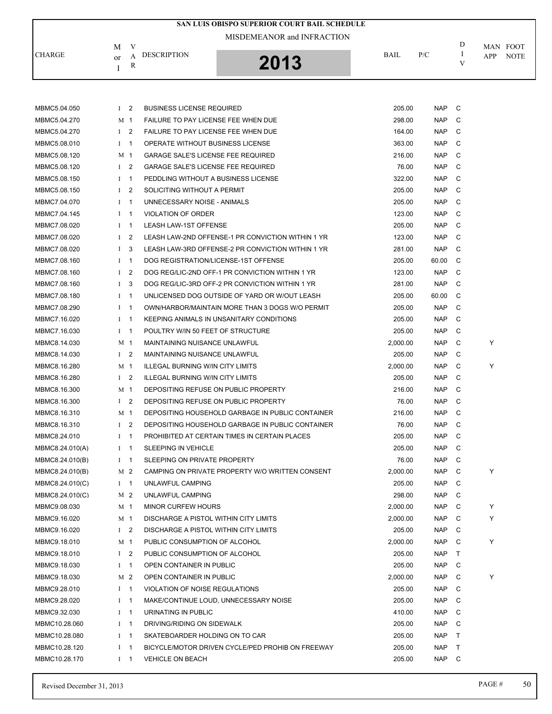|                 |              |                |                                            | SAN LUIS OBISPO SUPERIOR COURT BAIL SCHEDULE      |             |            |        |     |             |
|-----------------|--------------|----------------|--------------------------------------------|---------------------------------------------------|-------------|------------|--------|-----|-------------|
|                 |              |                |                                            |                                                   |             |            |        |     |             |
|                 | M            | V              |                                            |                                                   | <b>BAIL</b> | P/C        | D<br>I |     | MAN FOOT    |
| <b>CHARGE</b>   | or           | A<br>R         | <b>DESCRIPTION</b>                         | 2013                                              |             |            | V      | APP | <b>NOTE</b> |
|                 | I            |                |                                            |                                                   |             |            |        |     |             |
|                 |              |                |                                            |                                                   |             |            |        |     |             |
|                 |              |                |                                            |                                                   |             |            |        |     |             |
| MBMC5.04.050    |              | I <sub>2</sub> | <b>BUSINESS LICENSE REQUIRED</b>           |                                                   | 205.00      | <b>NAP</b> | C      |     |             |
| MBMC5.04.270    |              | M 1            | <b>FAILURE TO PAY LICENSE FEE WHEN DUE</b> |                                                   | 298.00      | <b>NAP</b> | C      |     |             |
| MBMC5.04.270    |              | I <sub>2</sub> | FAILURE TO PAY LICENSE FEE WHEN DUE        |                                                   | 164.00      | <b>NAP</b> | C      |     |             |
| MBMC5.08.010    | $\bf{I}$     | $\mathbf 1$    | OPERATE WITHOUT BUSINESS LICENSE           |                                                   | 363.00      | <b>NAP</b> | C      |     |             |
| MBMC5.08.120    |              | M 1            | <b>GARAGE SALE'S LICENSE FEE REQUIRED</b>  |                                                   | 216.00      | <b>NAP</b> | C      |     |             |
| MBMC5.08.120    | $\mathbf{I}$ | 2              | <b>GARAGE SALE'S LICENSE FEE REQUIRED</b>  |                                                   | 76.00       | <b>NAP</b> | C      |     |             |
| MBMC5.08.150    |              | $I \quad 1$    | PEDDLING WITHOUT A BUSINESS LICENSE        |                                                   | 322.00      | <b>NAP</b> | C      |     |             |
| MBMC5.08.150    | $\mathbf{I}$ | 2              | SOLICITING WITHOUT A PERMIT                |                                                   | 205.00      | <b>NAP</b> | C      |     |             |
| MBMC7.04.070    |              | $I \quad 1$    | UNNECESSARY NOISE - ANIMALS                |                                                   | 205.00      | <b>NAP</b> | C      |     |             |
| MBMC7.04.145    | $\bf{I}$     | $\mathbf 1$    | <b>VIOLATION OF ORDER</b>                  |                                                   | 123.00      | <b>NAP</b> | C      |     |             |
| MBMC7.08.020    |              | $I \quad 1$    | LEASH LAW-1ST OFFENSE                      |                                                   | 205.00      | <b>NAP</b> | C      |     |             |
| MBMC7.08.020    | $\mathbf{I}$ | $\overline{2}$ |                                            | LEASH LAW-2ND OFFENSE-1 PR CONVICTION WITHIN 1 YR | 123.00      | <b>NAP</b> | C      |     |             |
| MBMC7.08.020    | $\bf{I}$     | 3              |                                            | LEASH LAW-3RD OFFENSE-2 PR CONVICTION WITHIN 1 YR | 281.00      | <b>NAP</b> | C      |     |             |
| MBMC7.08.160    |              | $I \quad 1$    |                                            | DOG REGISTRATION/LICENSE-1ST OFFENSE              | 205.00      | 60.00      | C      |     |             |
| MBMC7.08.160    | $\mathbf{I}$ | $\overline{2}$ |                                            | DOG REG/LIC-2ND OFF-1 PR CONVICTION WITHIN 1 YR   | 123.00      | <b>NAP</b> | C      |     |             |
| MBMC7.08.160    | $\bf{I}$     | 3              |                                            | DOG REG/LIC-3RD OFF-2 PR CONVICTION WITHIN 1 YR   | 281.00      | <b>NAP</b> | C      |     |             |
| MBMC7.08.180    |              | $I \quad 1$    |                                            | UNLICENSED DOG OUTSIDE OF YARD OR W/OUT LEASH     | 205.00      | 60.00      | C      |     |             |
| MBMC7.08.290    |              | $I \quad 1$    |                                            | OWN/HARBOR/MAINTAIN MORE THAN 3 DOGS W/O PERMIT   | 205.00      | <b>NAP</b> | C      |     |             |
| MBMC7.16.020    | $\bf{I}$     | -1             |                                            | KEEPING ANIMALS IN UNSANITARY CONDITIONS          | 205.00      | <b>NAP</b> | C      |     |             |
| MBMC7.16.030    |              | $I \quad 1$    | POULTRY W/IN 50 FEET OF STRUCTURE          |                                                   | 205.00      | <b>NAP</b> | C      |     |             |
| MBMC8.14.030    |              | M 1            | MAINTAINING NUISANCE UNLAWFUL              |                                                   | 2,000.00    | <b>NAP</b> | C      | Y   |             |
| MBMC8.14.030    |              | I <sub>2</sub> | MAINTAINING NUISANCE UNLAWFUL              |                                                   | 205.00      | <b>NAP</b> | C      |     |             |
| MBMC8.16.280    |              | M 1            | <b>ILLEGAL BURNING W/IN CITY LIMITS</b>    |                                                   | 2,000.00    | <b>NAP</b> | C      | Υ   |             |
| MBMC8.16.280    |              | I <sub>2</sub> | <b>ILLEGAL BURNING W/IN CITY LIMITS</b>    |                                                   | 205.00      | <b>NAP</b> | C      |     |             |
| MBMC8.16.300    |              | M 1            |                                            | DEPOSITING REFUSE ON PUBLIC PROPERTY              | 216.00      | <b>NAP</b> | C      |     |             |
| MBMC8.16.300    |              | I <sub>2</sub> |                                            | DEPOSITING REFUSE ON PUBLIC PROPERTY              | 76.00       | <b>NAP</b> | C      |     |             |
| MBMC8.16.310    |              | M 1            |                                            | DEPOSITING HOUSEHOLD GARBAGE IN PUBLIC CONTAINER  | 216.00      | <b>NAP</b> | C      |     |             |
| MBMC8.16.310    |              | $1\quad 2$     |                                            | DEPOSITING HOUSEHOLD GARBAGE IN PUBLIC CONTAINER  | 76.00       | <b>NAP</b> | C      |     |             |
| MBMC8.24.010    |              | $I \quad 1$    |                                            | PROHIBITED AT CERTAIN TIMES IN CERTAIN PLACES     | 205.00      | NAP        | C      |     |             |
| MBMC8.24.010(A) |              | $I \quad 1$    | <b>SLEEPING IN VEHICLE</b>                 |                                                   | 205.00      | <b>NAP</b> | C      |     |             |
| MBMC8.24.010(B) |              | $I \quad 1$    | SLEEPING ON PRIVATE PROPERTY               |                                                   | 76.00       | <b>NAP</b> | C      |     |             |
|                 |              | M 2            |                                            | CAMPING ON PRIVATE PROPERTY W/O WRITTEN CONSENT   |             |            | C      | Y   |             |
| MBMC8.24.010(B) |              |                |                                            |                                                   | 2,000.00    | NAP        |        |     |             |
| MBMC8.24.010(C) |              | $I \quad 1$    | UNLAWFUL CAMPING                           |                                                   | 205.00      | <b>NAP</b> | C      |     |             |
| MBMC8.24.010(C) |              | M 2            | UNLAWFUL CAMPING                           |                                                   | 298.00      | <b>NAP</b> | C      |     |             |
| MBMC9.08.030    |              | M 1            | <b>MINOR CURFEW HOURS</b>                  |                                                   | 2,000.00    | <b>NAP</b> | C      | Y   |             |
| MBMC9.16.020    |              | M 1            | DISCHARGE A PISTOL WITHIN CITY LIMITS      |                                                   | 2,000.00    | <b>NAP</b> | C      | Υ   |             |
| MBMC9.16.020    |              | $1 \quad 2$    | DISCHARGE A PISTOL WITHIN CITY LIMITS      |                                                   | 205.00      | <b>NAP</b> | C      |     |             |
| MBMC9.18.010    |              | M 1            | PUBLIC CONSUMPTION OF ALCOHOL              |                                                   | 2,000.00    | NAP        | C      | Y   |             |
| MBMC9.18.010    |              | $1 \quad 2$    | PUBLIC CONSUMPTION OF ALCOHOL              |                                                   | 205.00      | <b>NAP</b> | T      |     |             |
| MBMC9.18.030    |              | $I \quad 1$    | OPEN CONTAINER IN PUBLIC                   |                                                   | 205.00      | <b>NAP</b> | C      |     |             |
| MBMC9.18.030    |              | M 2            | OPEN CONTAINER IN PUBLIC                   |                                                   | 2,000.00    | <b>NAP</b> | C      | Y   |             |
| MBMC9.28.010    |              | $I \quad 1$    | VIOLATION OF NOISE REGULATIONS             |                                                   | 205.00      | <b>NAP</b> | C      |     |             |
| MBMC9.28.020    |              | $I \quad 1$    |                                            | MAKE/CONTINUE LOUD, UNNECESSARY NOISE             | 205.00      | <b>NAP</b> | C      |     |             |
| MBMC9.32.030    |              | $I \quad 1$    | URINATING IN PUBLIC                        |                                                   | 410.00      | <b>NAP</b> | C      |     |             |
| MBMC10.28.060   |              | $I \quad 1$    | DRIVING/RIDING ON SIDEWALK                 |                                                   | 205.00      | <b>NAP</b> | C      |     |             |
| MBMC10.28.080   |              | $I \quad 1$    | SKATEBOARDER HOLDING ON TO CAR             |                                                   | 205.00      | <b>NAP</b> | T      |     |             |
| MBMC10.28.120   |              | $I \quad 1$    |                                            | BICYCLE/MOTOR DRIVEN CYCLE/PED PROHIB ON FREEWAY  | 205.00      | <b>NAP</b> | T      |     |             |
| MBMC10.28.170   |              | $I \quad 1$    | <b>VEHICLE ON BEACH</b>                    |                                                   | 205.00      | NAP C      |        |     |             |
|                 |              |                |                                            |                                                   |             |            |        |     |             |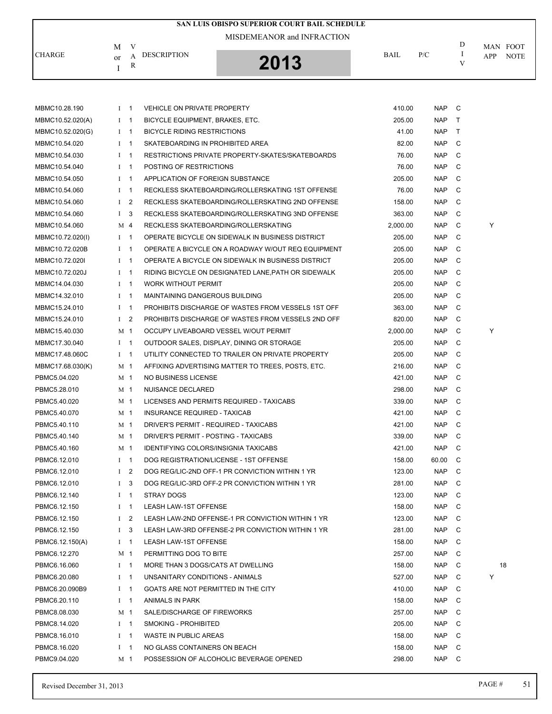| SAN LUIS OBISPO SUPERIOR COURT BAIL SCHEDULE |                            |                |                                             |                                                     |          |            |              |     |             |  |  |
|----------------------------------------------|----------------------------|----------------|---------------------------------------------|-----------------------------------------------------|----------|------------|--------------|-----|-------------|--|--|
|                                              | MISDEMEANOR and INFRACTION |                |                                             |                                                     |          |            |              |     |             |  |  |
|                                              | М                          | V              |                                             |                                                     |          |            | D            |     | MAN FOOT    |  |  |
| <b>CHARGE</b>                                | or                         | A              | <b>DESCRIPTION</b>                          | 2013                                                | BAIL     | P/C        | I<br>V       | APP | <b>NOTE</b> |  |  |
|                                              | I                          | R              |                                             |                                                     |          |            |              |     |             |  |  |
|                                              |                            |                |                                             |                                                     |          |            |              |     |             |  |  |
|                                              |                            |                |                                             |                                                     |          |            |              |     |             |  |  |
| MBMC10.28.190                                | $I$ 1                      |                | <b>VEHICLE ON PRIVATE PROPERTY</b>          |                                                     | 410.00   | <b>NAP</b> | C            |     |             |  |  |
| MBMC10.52.020(A)                             | $1 \quad 1$                |                | BICYCLE EQUIPMENT, BRAKES, ETC.             |                                                     | 205.00   | <b>NAP</b> | $\top$       |     |             |  |  |
| MBMC10.52.020(G)                             | $1 \quad 1$                |                | <b>BICYCLE RIDING RESTRICTIONS</b>          |                                                     | 41.00    | <b>NAP</b> | $\mathsf{T}$ |     |             |  |  |
| MBMC10.54.020                                | $1 \quad 1$                |                | SKATEBOARDING IN PROHIBITED AREA            |                                                     | 82.00    | <b>NAP</b> | C            |     |             |  |  |
| MBMC10.54.030                                | $1 \quad 1$                |                |                                             | RESTRICTIONS PRIVATE PROPERTY-SKATES/SKATEBOARDS    | 76.00    | <b>NAP</b> | C            |     |             |  |  |
| MBMC10.54.040                                | $I \quad 1$                |                | POSTING OF RESTRICTIONS                     |                                                     | 76.00    | <b>NAP</b> | C            |     |             |  |  |
| MBMC10.54.050                                | $1 \quad 1$                |                | APPLICATION OF FOREIGN SUBSTANCE            |                                                     | 205.00   | <b>NAP</b> | C            |     |             |  |  |
| MBMC10.54.060                                | $I \quad 1$                |                |                                             | RECKLESS SKATEBOARDING/ROLLERSKATING 1ST OFFENSE    | 76.00    | <b>NAP</b> | C            |     |             |  |  |
| MBMC10.54.060                                | I <sub>2</sub>             |                |                                             | RECKLESS SKATEBOARDING/ROLLERSKATING 2ND OFFENSE    | 158.00   | <b>NAP</b> | C            |     |             |  |  |
| MBMC10.54.060                                | $1 \quad 3$                |                |                                             | RECKLESS SKATEBOARDING/ROLLERSKATING 3ND OFFENSE    | 363.00   | <b>NAP</b> | C            |     |             |  |  |
| MBMC10.54.060                                |                            | M <sub>4</sub> |                                             | RECKLESS SKATEBOARDING/ROLLERSKATING                | 2,000.00 | <b>NAP</b> | C            | Υ   |             |  |  |
| MBMC10.72.020(I)                             | $I \quad 1$                |                |                                             | OPERATE BICYCLE ON SIDEWALK IN BUSINESS DISTRICT    | 205.00   | <b>NAP</b> | C            |     |             |  |  |
| MBMC10.72.020B                               | $1 \quad 1$                |                |                                             | OPERATE A BICYCLE ON A ROADWAY W/OUT REQ EQUIPMENT  | 205.00   | <b>NAP</b> | C            |     |             |  |  |
| MBMC10.72.020I                               | $1 \quad 1$                |                |                                             | OPERATE A BICYCLE ON SIDEWALK IN BUSINESS DISTRICT  | 205.00   | <b>NAP</b> | C            |     |             |  |  |
| MBMC10.72.020J                               | $I \quad 1$                |                |                                             | RIDING BICYCLE ON DESIGNATED LANE, PATH OR SIDEWALK | 205.00   | <b>NAP</b> | C            |     |             |  |  |
| MBMC14.04.030                                | $1 \quad 1$                |                | <b>WORK WITHOUT PERMIT</b>                  |                                                     | 205.00   | <b>NAP</b> | C            |     |             |  |  |
| MBMC14.32.010                                | $I \quad 1$                |                | MAINTAINING DANGEROUS BUILDING              |                                                     | 205.00   | <b>NAP</b> | C            |     |             |  |  |
| MBMC15.24.010                                | $I \quad 1$                |                |                                             | PROHIBITS DISCHARGE OF WASTES FROM VESSELS 1ST OFF  | 363.00   | <b>NAP</b> | C            |     |             |  |  |
| MBMC15.24.010                                | $\mathbf{I}$               | 2              |                                             | PROHIBITS DISCHARGE OF WASTES FROM VESSELS 2ND OFF  | 820.00   | <b>NAP</b> | C            |     |             |  |  |
| MBMC15.40.030                                | M 1                        |                |                                             | OCCUPY LIVEABOARD VESSEL W/OUT PERMIT               | 2,000.00 | <b>NAP</b> | C            | Υ   |             |  |  |
| MBMC17.30.040                                | $I \quad 1$                |                |                                             | OUTDOOR SALES, DISPLAY, DINING OR STORAGE           | 205.00   | <b>NAP</b> | C            |     |             |  |  |
| MBMC17.48.060C                               | $1 \quad 1$                |                |                                             | UTILITY CONNECTED TO TRAILER ON PRIVATE PROPERTY    | 205.00   | <b>NAP</b> | C            |     |             |  |  |
| MBMC17.68.030(K)                             | M 1                        |                |                                             | AFFIXING ADVERTISING MATTER TO TREES, POSTS, ETC.   | 216.00   | <b>NAP</b> | C            |     |             |  |  |
| PBMC5.04.020                                 | M 1                        |                | NO BUSINESS LICENSE                         |                                                     | 421.00   | <b>NAP</b> | C            |     |             |  |  |
| PBMC5.28.010                                 | M 1                        |                | NUISANCE DECLARED                           |                                                     | 298.00   | <b>NAP</b> | C            |     |             |  |  |
| PBMC5.40.020                                 | M 1                        |                |                                             | LICENSES AND PERMITS REQUIRED - TAXICABS            | 339.00   | <b>NAP</b> | C            |     |             |  |  |
| PBMC5.40.070                                 | M 1                        |                | INSURANCE REQUIRED - TAXICAB                |                                                     | 421.00   | <b>NAP</b> | C            |     |             |  |  |
| PBMC5.40.110                                 | M 1                        |                | DRIVER'S PERMIT - REQUIRED - TAXICABS       |                                                     | 421.00   | <b>NAP</b> | C            |     |             |  |  |
| PBMC5.40.140                                 | M 1                        |                | DRIVER'S PERMIT - POSTING - TAXICABS        |                                                     | 339.00   | <b>NAP</b> | C            |     |             |  |  |
| PBMC5.40.160                                 |                            | M 1            | <b>IDENTIFYING COLORS/INSIGNIA TAXICABS</b> |                                                     | 421.00   | <b>NAP</b> | C            |     |             |  |  |
| PBMC6.12.010                                 |                            | $I \quad 1$    | DOG REGISTRATION/LICENSE - 1ST OFFENSE      |                                                     | 158.00   | 60.00      | C            |     |             |  |  |
| PBMC6.12.010                                 |                            | I <sub>2</sub> |                                             | DOG REG/LIC-2ND OFF-1 PR CONVICTION WITHIN 1 YR     | 123.00   | <b>NAP</b> | C            |     |             |  |  |
| PBMC6.12.010                                 |                            | $1 \quad 3$    |                                             | DOG REG/LIC-3RD OFF-2 PR CONVICTION WITHIN 1 YR     | 281.00   | <b>NAP</b> | C            |     |             |  |  |
| PBMC6.12.140                                 |                            | $I \quad 1$    | STRAY DOGS                                  |                                                     | 123.00   | <b>NAP</b> | C            |     |             |  |  |
| PBMC6.12.150                                 |                            | $I \quad 1$    | LEASH LAW-1ST OFFENSE                       |                                                     | 158.00   | <b>NAP</b> | C            |     |             |  |  |
| PBMC6.12.150                                 | $\mathbf{I}$               | 2              |                                             | LEASH LAW-2ND OFFENSE-1 PR CONVICTION WITHIN 1 YR   | 123.00   | <b>NAP</b> | C            |     |             |  |  |
| PBMC6.12.150                                 |                            | I <sub>3</sub> |                                             | LEASH LAW-3RD OFFENSE-2 PR CONVICTION WITHIN 1 YR   | 281.00   | <b>NAP</b> | C            |     |             |  |  |
| PBMC6.12.150(A)                              | $I \quad 1$                |                | LEASH LAW-1ST OFFENSE                       |                                                     | 158.00   | <b>NAP</b> | C            |     |             |  |  |
| PBMC6.12.270                                 | M 1                        |                | PERMITTING DOG TO BITE                      |                                                     | 257.00   | <b>NAP</b> | C            |     |             |  |  |
| PBMC6.16.060                                 | $I \quad 1$                |                | MORE THAN 3 DOGS/CATS AT DWELLING           |                                                     | 158.00   | <b>NAP</b> | C            |     | 18          |  |  |
| PBMC6.20.080                                 |                            | $I \quad 1$    | UNSANITARY CONDITIONS - ANIMALS             |                                                     | 527.00   | <b>NAP</b> | C            | Υ   |             |  |  |
| PBMC6.20.090B9                               | $I \quad 1$                |                | GOATS ARE NOT PERMITTED IN THE CITY         |                                                     | 410.00   | <b>NAP</b> | C            |     |             |  |  |
| PBMC6.20.110                                 |                            | $I \quad 1$    | ANIMALS IN PARK                             |                                                     | 158.00   | <b>NAP</b> | C            |     |             |  |  |
| PBMC8.08.030                                 | M 1                        |                | SALE/DISCHARGE OF FIREWORKS                 |                                                     | 257.00   | <b>NAP</b> | C            |     |             |  |  |
| PBMC8.14.020                                 |                            | $I \quad 1$    | <b>SMOKING - PROHIBITED</b>                 |                                                     | 205.00   | <b>NAP</b> | C            |     |             |  |  |
| PBMC8.16.010                                 | $I \quad 1$                |                | <b>WASTE IN PUBLIC AREAS</b>                |                                                     | 158.00   | <b>NAP</b> | C            |     |             |  |  |
| PBMC8.16.020                                 |                            | $I \quad 1$    | NO GLASS CONTAINERS ON BEACH                |                                                     | 158.00   | <b>NAP</b> | C            |     |             |  |  |
| PBMC9.04.020                                 |                            | M 1            |                                             | POSSESSION OF ALCOHOLIC BEVERAGE OPENED             | 298.00   | <b>NAP</b> | C            |     |             |  |  |
|                                              |                            |                |                                             |                                                     |          |            |              |     |             |  |  |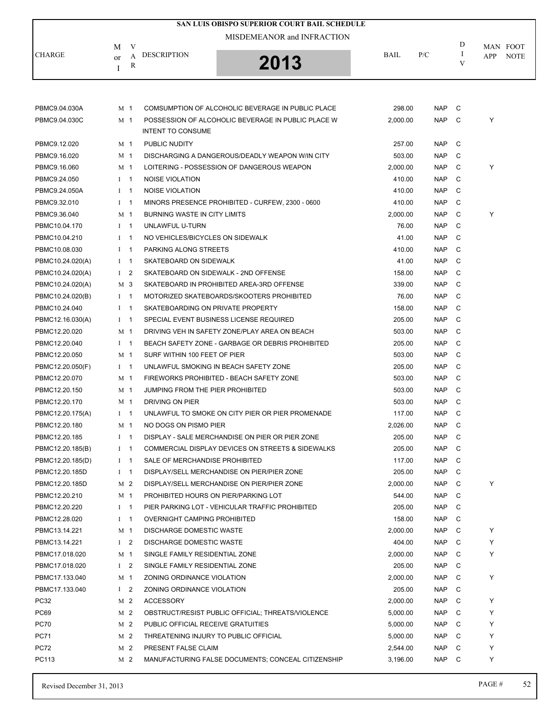| SAN LUIS OBISPO SUPERIOR COURT BAIL SCHEDULE |                |     |                                       |                                                    |          |            |         |     |             |  |  |
|----------------------------------------------|----------------|-----|---------------------------------------|----------------------------------------------------|----------|------------|---------|-----|-------------|--|--|
|                                              |                |     |                                       | MISDEMEANOR and INFRACTION                         |          |            |         |     |             |  |  |
|                                              | M              | V   |                                       |                                                    |          |            | D       |     | MAN FOOT    |  |  |
| <b>CHARGE</b>                                | or             | А   | <b>DESCRIPTION</b>                    | 2013                                               | BAIL     | P/C        | -1<br>V | APP | <b>NOTE</b> |  |  |
|                                              | Ι              | R   |                                       |                                                    |          |            |         |     |             |  |  |
|                                              |                |     |                                       |                                                    |          |            |         |     |             |  |  |
|                                              |                |     |                                       |                                                    |          |            |         |     |             |  |  |
| PBMC9.04.030A                                | M 1            |     |                                       | COMSUMPTION OF ALCOHOLIC BEVERAGE IN PUBLIC PLACE  | 298.00   | NAP        | C       |     |             |  |  |
| PBMC9.04.030C                                | M 1            |     | <b>INTENT TO CONSUME</b>              | POSSESSION OF ALCOHOLIC BEVERAGE IN PUBLIC PLACE W | 2,000.00 | <b>NAP</b> | C       | Υ   |             |  |  |
|                                              |                |     |                                       |                                                    |          |            |         |     |             |  |  |
| PBMC9.12.020                                 | M 1            |     | PUBLIC NUDITY                         |                                                    | 257.00   | <b>NAP</b> | C       |     |             |  |  |
| PBMC9.16.020                                 | M 1            |     |                                       | DISCHARGING A DANGEROUS/DEADLY WEAPON WIN CITY     | 503.00   | <b>NAP</b> | C       |     |             |  |  |
| PBMC9.16.060                                 | M 1            |     |                                       | LOITERING - POSSESSION OF DANGEROUS WEAPON         | 2,000.00 | <b>NAP</b> | C       | Υ   |             |  |  |
| PBMC9.24.050                                 | $I \quad 1$    |     | NOISE VIOLATION                       |                                                    | 410.00   | <b>NAP</b> | C       |     |             |  |  |
| PBMC9.24.050A                                | $I \quad 1$    |     | <b>NOISE VIOLATION</b>                |                                                    | 410.00   | <b>NAP</b> | C       |     |             |  |  |
| PBMC9.32.010                                 | $1 \quad 1$    |     |                                       | MINORS PRESENCE PROHIBITED - CURFEW, 2300 - 0600   | 410.00   | <b>NAP</b> | C       |     |             |  |  |
| PBMC9.36.040                                 | M 1            |     | BURNING WASTE IN CITY LIMITS          |                                                    | 2,000.00 | <b>NAP</b> | C       | Υ   |             |  |  |
| PBMC10.04.170                                | $I \quad 1$    |     | UNLAWFUL U-TURN                       |                                                    | 76.00    | <b>NAP</b> | C       |     |             |  |  |
| PBMC10.04.210                                | $I \quad 1$    |     | NO VEHICLES/BICYCLES ON SIDEWALK      |                                                    | 41.00    | <b>NAP</b> | C       |     |             |  |  |
| PBMC10.08.030                                | $1 \quad 1$    |     | PARKING ALONG STREETS                 |                                                    | 410.00   | <b>NAP</b> | C       |     |             |  |  |
| PBMC10.24.020(A)                             | $I \quad 1$    |     | SKATEBOARD ON SIDEWALK                |                                                    | 41.00    | <b>NAP</b> | C       |     |             |  |  |
| PBMC10.24.020(A)                             | $1 \quad 2$    |     |                                       | SKATEBOARD ON SIDEWALK - 2ND OFFENSE               | 158.00   | <b>NAP</b> | C       |     |             |  |  |
| PBMC10.24.020(A)                             | M 3            |     |                                       | SKATEBOARD IN PROHIBITED AREA-3RD OFFENSE          | 339.00   | <b>NAP</b> | C       |     |             |  |  |
| PBMC10.24.020(B)                             | $I \quad 1$    |     |                                       | MOTORIZED SKATEBOARDS/SKOOTERS PROHIBITED          | 76.00    | <b>NAP</b> | C       |     |             |  |  |
| PBMC10.24.040                                | $I \quad 1$    |     | SKATEBOARDING ON PRIVATE PROPERTY     |                                                    | 158.00   | <b>NAP</b> | C       |     |             |  |  |
| PBMC12.16.030(A)                             | $I \quad 1$    |     |                                       | SPECIAL EVENT BUSINESS LICENSE REQUIRED            | 205.00   | <b>NAP</b> | C       |     |             |  |  |
| PBMC12.20.020                                | M 1            |     |                                       | DRIVING VEH IN SAFETY ZONE/PLAY AREA ON BEACH      | 503.00   | <b>NAP</b> | C       |     |             |  |  |
| PBMC12.20.040                                | $1 \quad 1$    |     |                                       | BEACH SAFETY ZONE - GARBAGE OR DEBRIS PROHIBITED   | 205.00   | <b>NAP</b> | C       |     |             |  |  |
| PBMC12.20.050                                | M 1            |     | SURF WITHIN 100 FEET OF PIER          |                                                    | 503.00   | <b>NAP</b> | C       |     |             |  |  |
| PBMC12.20.050(F)                             | $1 \quad 1$    |     |                                       | UNLAWFUL SMOKING IN BEACH SAFETY ZONE              | 205.00   | <b>NAP</b> | C       |     |             |  |  |
| PBMC12.20.070                                | M 1            |     |                                       | FIREWORKS PROHIBITED - BEACH SAFETY ZONE           | 503.00   | <b>NAP</b> | C       |     |             |  |  |
| PBMC12.20.150                                | M 1            |     | JUMPING FROM THE PIER PROHIBITED      |                                                    | 503.00   | <b>NAP</b> | C       |     |             |  |  |
| PBMC12.20.170                                | M 1            |     | DRIVING ON PIER                       |                                                    | 503.00   | <b>NAP</b> | C       |     |             |  |  |
| PBMC12.20.175(A)                             | $I \quad 1$    |     |                                       | UNLAWFUL TO SMOKE ON CITY PIER OR PIER PROMENADE   | 117.00   | <b>NAP</b> | C       |     |             |  |  |
| PBMC12.20.180                                | M 1            |     | NO DOGS ON PISMO PIER                 |                                                    | 2,026.00 | <b>NAP</b> | C       |     |             |  |  |
| PBMC12.20.185                                | $1 \quad 1$    |     |                                       | DISPLAY - SALE MERCHANDISE ON PIER OR PIER ZONE    | 205.00   | <b>NAP</b> | C       |     |             |  |  |
| PBMC12.20.185(B)                             | $I \quad 1$    |     |                                       | COMMERCIAL DISPLAY DEVICES ON STREETS & SIDEWALKS  | 205.00   | <b>NAP</b> | C       |     |             |  |  |
| PBMC12.20.185(D)                             | $I \quad 1$    |     | SALE OF MERCHANDISE PROHIBITED        |                                                    | 117.00   | <b>NAP</b> | C       |     |             |  |  |
| PBMC12.20.185D                               | $I \quad 1$    |     |                                       | DISPLAY/SELL MERCHANDISE ON PIER/PIER ZONE         | 205.00   | <b>NAP</b> | C       |     |             |  |  |
| PBMC12.20.185D                               | M 2            |     |                                       | DISPLAY/SELL MERCHANDISE ON PIER/PIER ZONE         | 2,000.00 | <b>NAP</b> | C       | Υ   |             |  |  |
| PBMC12.20.210                                | M 1            |     | PROHIBITED HOURS ON PIER/PARKING LOT  |                                                    | 544.00   | <b>NAP</b> | C       |     |             |  |  |
| PBMC12.20.220                                | $I \quad 1$    |     |                                       | PIER PARKING LOT - VEHICULAR TRAFFIC PROHIBITED    | 205.00   | <b>NAP</b> | C       |     |             |  |  |
| PBMC12.28.020                                | $I \quad 1$    |     | OVERNIGHT CAMPING PROHIBITED          |                                                    | 158.00   | <b>NAP</b> | C       |     |             |  |  |
| PBMC13.14.221                                | M 1            |     | <b>DISCHARGE DOMESTIC WASTE</b>       |                                                    | 2,000.00 | <b>NAP</b> | C       | Υ   |             |  |  |
| PBMC13.14.221                                | $1\quad 2$     |     | <b>DISCHARGE DOMESTIC WASTE</b>       |                                                    | 404.00   | <b>NAP</b> | C       | Υ   |             |  |  |
| PBMC17.018.020                               | M 1            |     | SINGLE FAMILY RESIDENTIAL ZONE        |                                                    | 2,000.00 | <b>NAP</b> | C       | Y   |             |  |  |
| PBMC17.018.020                               | I <sub>2</sub> |     | SINGLE FAMILY RESIDENTIAL ZONE        |                                                    | 205.00   | <b>NAP</b> | C       |     |             |  |  |
| PBMC17.133.040                               | M 1            |     | ZONING ORDINANCE VIOLATION            |                                                    | 2,000.00 | <b>NAP</b> | C       | Y   |             |  |  |
| PBMC17.133.040                               | I <sub>2</sub> |     | ZONING ORDINANCE VIOLATION            |                                                    | 205.00   | <b>NAP</b> | C       |     |             |  |  |
| <b>PC32</b>                                  | M 2            |     | <b>ACCESSORY</b>                      |                                                    | 2,000.00 | <b>NAP</b> | C       | Υ   |             |  |  |
| <b>PC69</b>                                  | M 2            |     |                                       | OBSTRUCT/RESIST PUBLIC OFFICIAL; THREATS/VIOLENCE  | 5,000.00 | <b>NAP</b> | C       | Υ   |             |  |  |
| <b>PC70</b>                                  | M 2            |     | PUBLIC OFFICIAL RECEIVE GRATUITIES    |                                                    | 5,000.00 | <b>NAP</b> | C       | Y   |             |  |  |
| <b>PC71</b>                                  |                | M 2 | THREATENING INJURY TO PUBLIC OFFICIAL |                                                    | 5,000.00 | <b>NAP</b> | C       | Y   |             |  |  |
| <b>PC72</b>                                  |                | M 2 | PRESENT FALSE CLAIM                   |                                                    | 2,544.00 | <b>NAP</b> | C       | Y   |             |  |  |
| PC113                                        | M 2            |     |                                       | MANUFACTURING FALSE DOCUMENTS; CONCEAL CITIZENSHIP | 3,196.00 | <b>NAP</b> | C       | Y   |             |  |  |
|                                              |                |     |                                       |                                                    |          |            |         |     |             |  |  |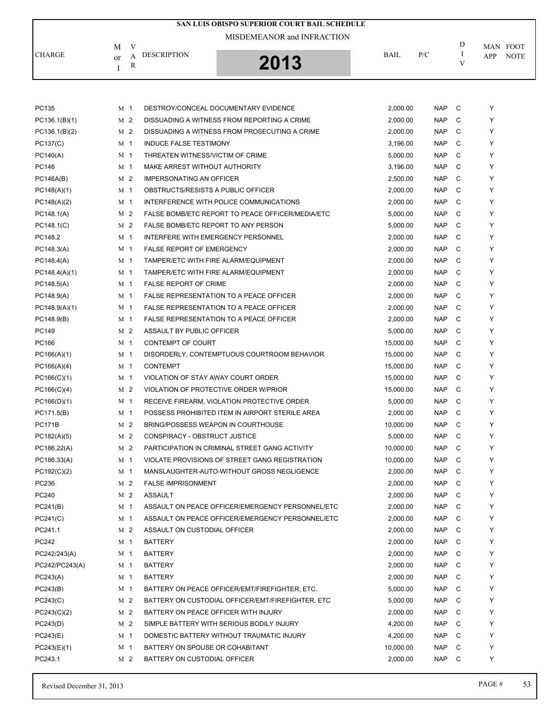| SAN LUIS OBISPO SUPERIOR COURT BAIL SCHEDULE |                |     |                                      |                                                   |           |            |               |            |             |  |  |
|----------------------------------------------|----------------|-----|--------------------------------------|---------------------------------------------------|-----------|------------|---------------|------------|-------------|--|--|
|                                              |                |     |                                      | MISDEMEANOR and INFRACTION                        |           |            |               |            |             |  |  |
|                                              | М              | V   |                                      |                                                   |           |            | D             | MAN FOOT   |             |  |  |
| <b>CHARGE</b>                                | or             | A   | <b>DESCRIPTION</b>                   | 2013                                              | BAIL      | P/C        | $\bf{I}$<br>V | <b>APP</b> | <b>NOTE</b> |  |  |
|                                              | Ι              | R   |                                      |                                                   |           |            |               |            |             |  |  |
|                                              |                |     |                                      |                                                   |           |            |               |            |             |  |  |
|                                              |                |     |                                      |                                                   |           |            |               |            |             |  |  |
| PC135                                        | M 1            |     |                                      | DESTROY/CONCEAL DOCUMENTARY EVIDENCE              | 2,000.00  | <b>NAP</b> | C             | Υ          |             |  |  |
| PC136.1(B)(1)                                | M 2            |     |                                      | DISSUADING A WITNESS FROM REPORTING A CRIME       | 2,000.00  | <b>NAP</b> | C             | Y          |             |  |  |
| PC136.1(B)(2)                                | M 2            |     |                                      | DISSUADING A WITNESS FROM PROSECUTING A CRIME     | 2,000.00  | <b>NAP</b> | C             | Y          |             |  |  |
| PC137(C)                                     | M 1            |     | <b>INDUCE FALSE TESTIMONY</b>        |                                                   | 3,196.00  | <b>NAP</b> | C             | Y          |             |  |  |
| PC140(A)                                     | M 1            |     | THREATEN WITNESS/VICTIM OF CRIME     |                                                   | 5,000.00  | <b>NAP</b> | C             | Υ          |             |  |  |
| PC146                                        | M 1            |     | MAKE ARREST WITHOUT AUTHORITY        |                                                   | 3,196.00  | <b>NAP</b> | C             | Y          |             |  |  |
| PC146A(B)                                    | M <sub>2</sub> |     | <b>IMPERSONATING AN OFFICER</b>      |                                                   | 2,500.00  | <b>NAP</b> | C             | Y          |             |  |  |
| PC148(A)(1)                                  | M 1            |     | OBSTRUCTS/RESISTS A PUBLIC OFFICER   |                                                   | 2,000.00  | <b>NAP</b> | C             | Y          |             |  |  |
| PC148(A)(2)                                  | M 1            |     |                                      | INTERFERENCE WITH POLICE COMMUNICATIONS           | 2,000.00  | <b>NAP</b> | C             | Y          |             |  |  |
| PC148.1(A)                                   | M 2            |     |                                      | FALSE BOMB/ETC REPORT TO PEACE OFFICER/MEDIA/ETC  | 5,000.00  | <b>NAP</b> | C             | Y          |             |  |  |
| PC148.1(C)                                   | M 2            |     | FALSE BOMB/ETC REPORT TO ANY PERSON  |                                                   | 5,000.00  | <b>NAP</b> | C             | Y          |             |  |  |
| PC148.2                                      | M 1            |     | INTERFERE WITH EMERGENCY PERSONNEL   |                                                   | 2,000.00  | <b>NAP</b> | C             | Y          |             |  |  |
| PC148.3(A)                                   | M 1            |     | <b>FALSE REPORT OF EMERGENCY</b>     |                                                   | 2,000.00  | <b>NAP</b> | C             | Y          |             |  |  |
| PC148.4(A)                                   | M 1            |     | TAMPER/ETC WITH FIRE ALARM/EQUIPMENT |                                                   | 2,000.00  | <b>NAP</b> | C             | Y          |             |  |  |
| PC148.4(A)(1)                                | M 1            |     | TAMPER/ETC WITH FIRE ALARM/EQUIPMENT |                                                   | 2,000.00  | <b>NAP</b> | C             | Y          |             |  |  |
| PC148.5(A)                                   | M 1            |     | <b>FALSE REPORT OF CRIME</b>         |                                                   | 2,000.00  | <b>NAP</b> | C             | Υ          |             |  |  |
| PC148.9(A)                                   | M 1            |     |                                      | FALSE REPRESENTATION TO A PEACE OFFICER           | 2,000.00  | <b>NAP</b> | C             | Y          |             |  |  |
| PC148.9(A)(1)                                | M 1            |     |                                      | FALSE REPRESENTATION TO A PEACE OFFICER           | 2,000.00  | <b>NAP</b> | C             | Υ          |             |  |  |
| PC148.9(B)                                   | M 1            |     |                                      | FALSE REPRESENTATION TO A PEACE OFFICER           | 2,000.00  | <b>NAP</b> | C             | Y          |             |  |  |
| PC149                                        | M <sub>2</sub> |     | ASSAULT BY PUBLIC OFFICER            |                                                   | 5,000.00  | <b>NAP</b> | C             | Y          |             |  |  |
| PC166                                        | M 1            |     | <b>CONTEMPT OF COURT</b>             |                                                   | 15,000.00 | <b>NAP</b> | C             | Y          |             |  |  |
| PC166(A)(1)                                  | M 1            |     |                                      | DISORDERLY, CONTEMPTUOUS COURTROOM BEHAVIOR       | 15,000.00 | <b>NAP</b> | C             | Υ          |             |  |  |
| PC166(A)(4)                                  | M 1            |     | <b>CONTEMPT</b>                      |                                                   | 15,000.00 | <b>NAP</b> | C             | Y          |             |  |  |
| PC166(C)(1)                                  | M <sub>1</sub> |     | VIOLATION OF STAY AWAY COURT ORDER   |                                                   | 15,000.00 | <b>NAP</b> | C             | Y          |             |  |  |
| PC166(C)(4)                                  | M <sub>2</sub> |     |                                      | VIOLATION OF PROTECTIVE ORDER W/PRIOR             | 15,000.00 | <b>NAP</b> | C             | Y          |             |  |  |
| PC166(D)(1)                                  | M 1            |     |                                      | RECEIVE FIREARM, VIOLATION PROTECTIVE ORDER       | 5,000.00  | <b>NAP</b> | C             | Y          |             |  |  |
| PC171.5(B)                                   | M 1            |     |                                      | POSSESS PROHIBITED ITEM IN AIRPORT STERILE AREA   | 2,000.00  | <b>NAP</b> | C             | Y          |             |  |  |
| <b>PC171B</b>                                |                | M 2 | BRING/POSSESS WEAPON IN COURTHOUSE   |                                                   | 10,000.00 | <b>NAP</b> | C             | Υ          |             |  |  |
| PC182(A)(5)                                  |                | M 2 | CONSPIRACY - OBSTRUCT JUSTICE        |                                                   | 5,000.00  | <b>NAP</b> | C             | Y          |             |  |  |
| PC186.22(A)                                  | M 2            |     |                                      | PARTICIPATION IN CRIMINAL STREET GANG ACTIVITY    | 10,000.00 | NAP        | C             | Υ          |             |  |  |
| PC186.33(A)                                  | M 1            |     |                                      | VIOLATE PROVISIONS OF STREET GANG REGISTRATION    | 10,000.00 | <b>NAP</b> | C             | Υ          |             |  |  |
| PC192(C)(2)                                  | M <sub>1</sub> |     |                                      | MANSLAUGHTER-AUTO-WITHOUT GROSS NEGLIGENCE        | 2,000.00  | NAP        | C             | Y          |             |  |  |
| PC236                                        | M 2            |     | <b>FALSE IMPRISONMENT</b>            |                                                   | 2,000.00  | <b>NAP</b> | C             | Υ          |             |  |  |
| PC240                                        |                | M 2 | <b>ASSAULT</b>                       |                                                   | 2,000.00  | <b>NAP</b> | C             | Υ          |             |  |  |
| PC241(B)                                     | M <sub>1</sub> |     |                                      | ASSAULT ON PEACE OFFICER/EMERGENCY PERSONNEL/ETC  | 2,000.00  | NAP        | C             | Υ          |             |  |  |
| PC241(C)                                     | M <sub>1</sub> |     |                                      | ASSAULT ON PEACE OFFICER/EMERGENCY PERSONNEL/ETC  | 2,000.00  | <b>NAP</b> | C             | Υ          |             |  |  |
| PC241.1                                      | M 2            |     | ASSAULT ON CUSTODIAL OFFICER         |                                                   | 2,000.00  | <b>NAP</b> | C             | Υ          |             |  |  |
| PC242                                        | M <sub>1</sub> |     | <b>BATTERY</b>                       |                                                   | 2,000.00  | NAP        | C             | Y          |             |  |  |
| PC242/243(A)                                 | M 1            |     | <b>BATTERY</b>                       |                                                   | 2,000.00  | <b>NAP</b> | C             | Υ          |             |  |  |
| PC242/PC243(A)                               | M 1            |     | <b>BATTERY</b>                       |                                                   | 2,000.00  | NAP        | C             | Υ          |             |  |  |
| PC243(A)                                     | M 1            |     | <b>BATTERY</b>                       |                                                   | 2,000.00  | NAP        | C             | Υ          |             |  |  |
| PC243(B)                                     | M 1            |     |                                      | BATTERY ON PEACE OFFICER/EMT/FIREFIGHTER, ETC.    | 5,000.00  | NAP        | C             | Υ          |             |  |  |
| PC243(C)                                     |                | M 2 |                                      | BATTERY ON CUSTODIAL OFFICER/EMT/FIREFIGHTER, ETC | 5,000.00  | <b>NAP</b> | C             | Y          |             |  |  |
| PC243(C)(2)                                  |                | M 2 | BATTERY ON PEACE OFFICER WITH INJURY |                                                   | 2,000.00  | NAP        | C             | Y          |             |  |  |
| PC243(D)                                     |                | M 2 |                                      | SIMPLE BATTERY WITH SERIOUS BODILY INJURY         | 4,200.00  | NAP        | C             | Υ          |             |  |  |
| PC243(E)                                     | M 1            |     |                                      | DOMESTIC BATTERY WITHOUT TRAUMATIC INJURY         | 4,200.00  | <b>NAP</b> | C             | Υ          |             |  |  |
| PC243(E)(1)                                  | M 1            |     | BATTERY ON SPOUSE OR COHABITANT      |                                                   | 10,000.00 | <b>NAP</b> | C             | Υ          |             |  |  |
| PC243.1                                      | M 2            |     | BATTERY ON CUSTODIAL OFFICER         |                                                   | 2,000.00  | NAP        | C             | Υ          |             |  |  |
|                                              |                |     |                                      |                                                   |           |            |               |            |             |  |  |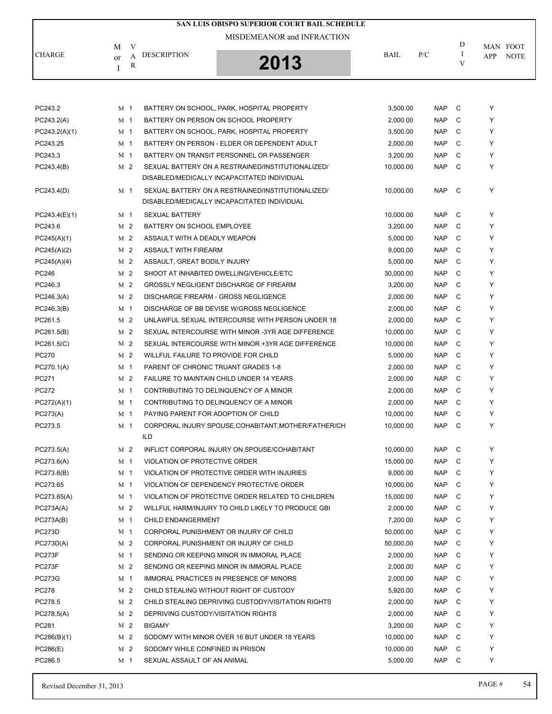|               |               |                |                                      | SAN LUIS OBISPO SUPERIOR COURT BAIL SCHEDULE                                                     |             |            |               |     |             |
|---------------|---------------|----------------|--------------------------------------|--------------------------------------------------------------------------------------------------|-------------|------------|---------------|-----|-------------|
|               |               |                |                                      | MISDEMEANOR and INFRACTION                                                                       |             |            | D             |     |             |
|               | М             | V              | <b>DESCRIPTION</b>                   |                                                                                                  | <b>BAIL</b> |            |               |     | MAN FOOT    |
| <b>CHARGE</b> | <sub>or</sub> | A<br>R         |                                      | 2013                                                                                             |             | P/C        | $\bf{I}$<br>V | APP | <b>NOTE</b> |
|               | I             |                |                                      |                                                                                                  |             |            |               |     |             |
|               |               |                |                                      |                                                                                                  |             |            |               |     |             |
|               |               |                |                                      |                                                                                                  |             |            |               |     |             |
| PC243.2       | M 1           |                |                                      | BATTERY ON SCHOOL, PARK, HOSPITAL PROPERTY                                                       | 3,500.00    | <b>NAP</b> | C             | Y   |             |
| PC243.2(A)    |               | M 1            |                                      | BATTERY ON PERSON ON SCHOOL PROPERTY                                                             | 2,000.00    | <b>NAP</b> | C             | Υ   |             |
| PC243.2(A)(1) | M 1           |                |                                      | BATTERY ON SCHOOL, PARK, HOSPITAL PROPERTY                                                       | 3.500.00    | <b>NAP</b> | C             | Υ   |             |
| PC243.25      |               | M 1            |                                      | BATTERY ON PERSON - ELDER OR DEPENDENT ADULT                                                     | 2,000.00    | <b>NAP</b> | C             | Y   |             |
| PC243.3       |               | M <sub>1</sub> |                                      | BATTERY ON TRANSIT PERSONNEL OR PASSENGER                                                        | 3,200.00    | <b>NAP</b> | C             | Υ   |             |
| PC243.4(B)    |               | M 2            |                                      | SEXUAL BATTERY ON A RESTRAINED/INSTITUTIONALIZED/<br>DISABLED/MEDICALLY INCAPACITATED INDIVIDUAL | 10,000.00   | <b>NAP</b> | C             | Υ   |             |
| PC243.4(D)    |               | M 1            |                                      | SEXUAL BATTERY ON A RESTRAINED/INSTITUTIONALIZED/                                                | 10,000.00   | <b>NAP</b> | C             | Υ   |             |
|               |               |                |                                      | DISABLED/MEDICALLY INCAPACITATED INDIVIDUAL                                                      |             |            |               |     |             |
| PC243.4(E)(1) |               | M 1            | <b>SEXUAL BATTERY</b>                |                                                                                                  | 10,000.00   | <b>NAP</b> | C             | Υ   |             |
| PC243.6       |               | M 2            | BATTERY ON SCHOOL EMPLOYEE           |                                                                                                  | 3,200.00    | <b>NAP</b> | C             | Υ   |             |
| PC245(A)(1)   |               | M 2            | ASSAULT WITH A DEADLY WEAPON         |                                                                                                  | 5,000.00    | <b>NAP</b> | C             | Υ   |             |
| PC245(A)(2)   |               | M 2            | ASSAULT WITH FIREARM                 |                                                                                                  | 9,000.00    | <b>NAP</b> | C             | Y   |             |
| PC245(A)(4)   |               | M 2            | ASSAULT, GREAT BODILY INJURY         |                                                                                                  | 5,000.00    | <b>NAP</b> | C             | Y   |             |
| PC246         |               | M 2            |                                      | SHOOT AT INHABITED DWELLING/VEHICLE/ETC                                                          | 30,000.00   | <b>NAP</b> | C             | Υ   |             |
| PC246.3       |               | M 2            |                                      | <b>GROSSLY NEGLIGENT DISCHARGE OF FIREARM</b>                                                    | 3,200.00    | <b>NAP</b> | C             | Y   |             |
| PC246.3(A)    |               | M 2            |                                      | <b>DISCHARGE FIREARM - GROSS NEGLIGENCE</b>                                                      | 2,000.00    | <b>NAP</b> | C             | Υ   |             |
| PC246.3(B)    |               | M 1            |                                      | DISCHARGE OF BB DEVISE W/GROSS NEGLIGENCE                                                        | 2,000.00    | <b>NAP</b> | C             | Y   |             |
| PC261.5       |               | M 2            |                                      | UNLAWFUL SEXUAL INTERCOURSE WITH PERSON UNDER 18                                                 | 2,000.00    | <b>NAP</b> | C             | Y   |             |
| PC261.5(B)    |               | M 2            |                                      | SEXUAL INTERCOURSE WITH MINOR -3YR AGE DIFFERENCE                                                | 10,000.00   | <b>NAP</b> | C             | Y   |             |
| PC261.5(C)    |               | M 2            |                                      | SEXUAL INTERCOURSE WITH MINOR +3YR AGE DIFFERENCE                                                | 10,000.00   | <b>NAP</b> | C             | Y   |             |
| PC270         |               | M 2            | WILLFUL FAILURE TO PROVIDE FOR CHILD |                                                                                                  | 5,000.00    | <b>NAP</b> | C             | Υ   |             |
| PC270.1(A)    | M 1           |                | PARENT OF CHRONIC TRUANT GRADES 1-8  |                                                                                                  | 2,000.00    | <b>NAP</b> | C             | Y   |             |
| PC271         |               | M 2            |                                      | FAILURE TO MAINTAIN CHILD UNDER 14 YEARS                                                         | 2,000.00    | <b>NAP</b> | C             | Υ   |             |
| PC272         |               | M 1            |                                      | CONTRIBUTING TO DELINQUENCY OF A MINOR                                                           | 2,000.00    | <b>NAP</b> | C             | Υ   |             |
| PC272(A)(1)   | M 1           |                |                                      | CONTRIBUTING TO DELINQUENCY OF A MINOR                                                           | 2,000.00    | <b>NAP</b> | C             | Υ   |             |
| PC273(A)      |               | M 1            | PAYING PARENT FOR ADOPTION OF CHILD  |                                                                                                  | 10,000.00   | <b>NAP</b> | C             | Υ   |             |
| PC273.5       |               | M 1            |                                      | CORPORAL INJURY SPOUSE, COHABITANT, MOTHER/FATHER/CH                                             | 10,000.00   | NAP C      |               | Y   |             |
|               |               |                | ILD                                  |                                                                                                  |             |            |               |     |             |
| PC273.5(A)    |               | M 2            |                                      | INFLICT CORPORAL INJURY ON SPOUSE/COHABITANT                                                     | 10,000.00   | <b>NAP</b> | C             | Υ   |             |
| PC273.6(A)    |               | M 1            | VIOLATION OF PROTECTIVE ORDER        |                                                                                                  | 15,000.00   | <b>NAP</b> | C             | Υ   |             |
| PC273.6(B)    |               | M 1            |                                      | VIOLATION OF PROTECTIVE ORDER WITH INJURIES                                                      | 9,000.00    | <b>NAP</b> | C             | Y   |             |
| PC273.65      |               | M 1            |                                      | VIOLATION OF DEPENDENCY PROTECTIVE ORDER                                                         | 10,000.00   | <b>NAP</b> | C             | Υ   |             |
| PC273.65(A)   |               | M <sub>1</sub> |                                      | VIOLATION OF PROTECTIVE ORDER RELATED TO CHILDREN                                                | 15,000.00   | <b>NAP</b> | C             | Υ   |             |
| PC273A(A)     |               | M <sub>2</sub> |                                      | WILLFUL HARM/INJURY TO CHILD LIKELY TO PRODUCE GBI                                               | 2,000.00    | <b>NAP</b> | C             | Y   |             |
| PC273A(B)     |               | M 1            | CHILD ENDANGERMENT                   |                                                                                                  | 7,200.00    | <b>NAP</b> | C             | Υ   |             |
| <b>PC273D</b> |               | M 1            |                                      | CORPORAL PUNISHMENT OR INJURY OF CHILD                                                           | 50,000.00   | <b>NAP</b> | C             | Υ   |             |
| PC273D(A)     |               | M 2            |                                      | CORPORAL PUNISHMENT OR INJURY OF CHILD                                                           | 50,000.00   | <b>NAP</b> | C             | Υ   |             |
| PC273F        |               | M 1            |                                      | SENDING OR KEEPING MINOR IN IMMORAL PLACE                                                        | 2,000.00    | <b>NAP</b> | C             | Υ   |             |
| PC273F        |               | M 2            |                                      | SENDING OR KEEPING MINOR IN IMMORAL PLACE                                                        | 2,000.00    | <b>NAP</b> | C             | Υ   |             |
| <b>PC273G</b> |               | M 1            |                                      | IMMORAL PRACTICES IN PRESENCE OF MINORS                                                          | 2,000.00    | <b>NAP</b> | C             | Y   |             |
| PC278         |               | M <sub>2</sub> |                                      | CHILD STEALING WITHOUT RIGHT OF CUSTODY                                                          | 5,920.00    | <b>NAP</b> | C             | Υ   |             |
| PC278.5       |               | M 2            |                                      | CHILD STEALING DEPRIVING CUSTODY/VISITATION RIGHTS                                               | 2,000.00    | <b>NAP</b> | C             | Υ   |             |
| PC278.5(A)    |               | M <sub>2</sub> | DEPRIVING CUSTODY/VISITATION RIGHTS  |                                                                                                  | 2,000.00    | <b>NAP</b> | C             | Y   |             |
| PC281         |               | M 2            | <b>BIGAMY</b>                        |                                                                                                  | 3,200.00    | <b>NAP</b> | C             | Υ   |             |
| PC286(B)(1)   |               | M 2            |                                      | SODOMY WITH MINOR OVER 16 BUT UNDER 18 YEARS                                                     | 10,000.00   | <b>NAP</b> | C             | Υ   |             |
| PC286(E)      |               | M <sub>2</sub> | SODOMY WHILE CONFINED IN PRISON      |                                                                                                  | 10,000.00   | <b>NAP</b> | C             | Υ   |             |
| PC286.5       |               | M 1            | SEXUAL ASSAULT OF AN ANIMAL          |                                                                                                  | 5,000.00    | <b>NAP</b> | C             | Υ   |             |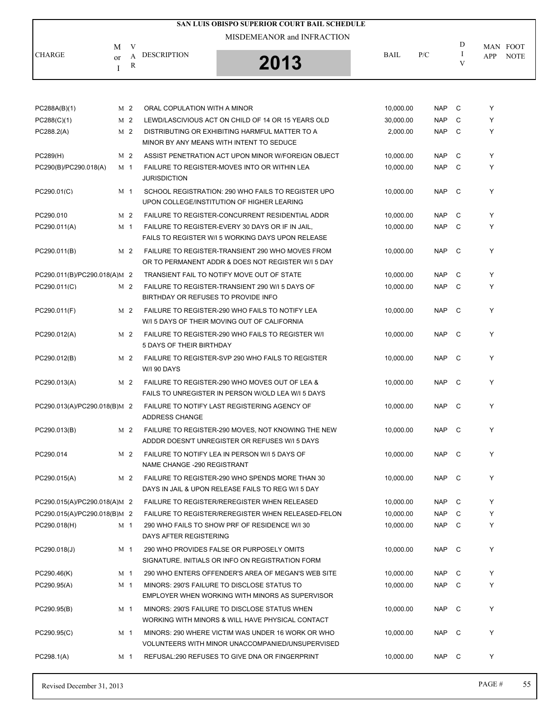|                              |                         |        | <b>SAN LUIS OBISPO SUPERIOR COURT BAIL SCHEDULE</b>                                                          |             |            |               |     |             |
|------------------------------|-------------------------|--------|--------------------------------------------------------------------------------------------------------------|-------------|------------|---------------|-----|-------------|
|                              |                         | V      | MISDEMEANOR and INFRACTION                                                                                   |             |            | D             |     | MAN FOOT    |
| CHARGE                       | M<br><sub>or</sub><br>Ι | A<br>R | <b>DESCRIPTION</b><br>2013                                                                                   | <b>BAIL</b> | P/C        | $\bf{I}$<br>V | APP | <b>NOTE</b> |
|                              |                         |        |                                                                                                              |             |            |               |     |             |
| PC288A(B)(1)                 | M 2                     |        | ORAL COPULATION WITH A MINOR                                                                                 | 10,000.00   | <b>NAP</b> | - C           | Y   |             |
| PC288(C)(1)                  | M 2                     |        | LEWD/LASCIVIOUS ACT ON CHILD OF 14 OR 15 YEARS OLD                                                           | 30,000.00   | <b>NAP</b> | C             | Y   |             |
| PC288.2(A)                   | M 2                     |        | DISTRIBUTING OR EXHIBITING HARMFUL MATTER TO A<br>MINOR BY ANY MEANS WITH INTENT TO SEDUCE                   | 2,000.00    | <b>NAP</b> | C             | Y   |             |
| PC289(H)                     | M <sub>2</sub>          |        | ASSIST PENETRATION ACT UPON MINOR W/FOREIGN OBJECT                                                           | 10,000.00   | <b>NAP</b> | C             | Y   |             |
| PC290(B)/PC290.018(A)        | M 1                     |        | FAILURE TO REGISTER-MOVES INTO OR WITHIN LEA<br><b>JURISDICTION</b>                                          | 10,000.00   | <b>NAP</b> | - C           | Y   |             |
| PC290.01(C)                  | M 1                     |        | SCHOOL REGISTRATION: 290 WHO FAILS TO REGISTER UPO<br>UPON COLLEGE/INSTITUTION OF HIGHER LEARING             | 10,000.00   | NAP        | $\mathbf{C}$  | Y   |             |
| PC290.010                    | M 2                     |        | FAILURE TO REGISTER-CONCURRENT RESIDENTIAL ADDR                                                              | 10,000.00   | <b>NAP</b> | C             | Y   |             |
| PC290.011(A)                 | M 1                     |        | FAILURE TO REGISTER-EVERY 30 DAYS OR IF IN JAIL,<br>FAILS TO REGISTER W/I 5 WORKING DAYS UPON RELEASE        | 10,000.00   | <b>NAP</b> | - C           | Υ   |             |
| PC290.011(B)                 | M 2                     |        | FAILURE TO REGISTER-TRANSIENT 290 WHO MOVES FROM<br>OR TO PERMANENT ADDR & DOES NOT REGISTER W/I 5 DAY       | 10,000.00   | NAP        | $\mathbb C$   | Υ   |             |
| PC290.011(B)/PC290.018(A)M 2 |                         |        | TRANSIENT FAIL TO NOTIFY MOVE OUT OF STATE                                                                   | 10.000.00   | <b>NAP</b> | C             | Y   |             |
| PC290.011(C)                 | M 2                     |        | FAILURE TO REGISTER-TRANSIENT 290 W/I 5 DAYS OF<br>BIRTHDAY OR REFUSES TO PROVIDE INFO                       | 10,000.00   | <b>NAP</b> | - C           | Y   |             |
| PC290.011(F)                 | M 2                     |        | FAILURE TO REGISTER-290 WHO FAILS TO NOTIFY LEA<br>W/I 5 DAYS OF THEIR MOVING OUT OF CALIFORNIA              | 10,000.00   | <b>NAP</b> | - C           | Y   |             |
| PC290.012(A)                 | M 2                     |        | FAILURE TO REGISTER-290 WHO FAILS TO REGISTER W/I<br>5 DAYS OF THEIR BIRTHDAY                                | 10,000.00   | <b>NAP</b> | $\mathbf{C}$  | Υ   |             |
| PC290.012(B)                 | M 2                     |        | FAILURE TO REGISTER-SVP 290 WHO FAILS TO REGISTER<br>W/I 90 DAYS                                             | 10,000.00   | NAP        | $\mathbf{C}$  | Y   |             |
| PC290.013(A)                 | M 2                     |        | FAILURE TO REGISTER-290 WHO MOVES OUT OF LEA &<br>FAILS TO UNREGISTER IN PERSON W/OLD LEA W/I 5 DAYS         | 10.000.00   | <b>NAP</b> | - C           | Y   |             |
| PC290.013(A)/PC290.018(B)M 2 |                         |        | FAILURE TO NOTIFY LAST REGISTERING AGENCY OF<br><b>ADDRESS CHANGE</b>                                        | 10,000.00   | NAP.       | $\mathbf{C}$  | Y   |             |
| PC290.013(B)                 | M 2                     |        | FAILURE TO REGISTER-290 MOVES, NOT KNOWING THE NEW<br>ADDDR DOESN'T UNREGISTER OR REFUSES W/I 5 DAYS         | 10,000.00   | NAP C      |               | Y   |             |
| PC290.014                    | M 2                     |        | FAILURE TO NOTIFY LEA IN PERSON W/I 5 DAYS OF<br>NAME CHANGE -290 REGISTRANT                                 | 10,000.00   | NAP C      |               | Y   |             |
| PC290.015(A)                 | M 2                     |        | FAILURE TO REGISTER-290 WHO SPENDS MORE THAN 30<br>DAYS IN JAIL & UPON RELEASE FAILS TO REG W/I 5 DAY        | 10,000.00   | NAP C      |               | Y   |             |
| PC290.015(A)/PC290.018(A)M 2 |                         |        | <b>FAILURE TO REGISTER/REREGISTER WHEN RELEASED</b>                                                          | 10,000.00   | NAP C      |               | Y   |             |
| PC290.015(A)/PC290.018(B)M 2 |                         |        | <b>FAILURE TO REGISTER/REREGISTER WHEN RELEASED-FELON</b>                                                    | 10,000.00   | <b>NAP</b> | C             | Y   |             |
| PC290.018(H)                 | M 1                     |        | 290 WHO FAILS TO SHOW PRF OF RESIDENCE W/I 30<br>DAYS AFTER REGISTERING                                      | 10,000.00   | NAP        | $\mathbf{C}$  | Y   |             |
| PC290.018(J)                 | M 1                     |        | 290 WHO PROVIDES FALSE OR PURPOSELY OMITS<br>SIGNATURE, INITIALS OR INFO ON REGISTRATION FORM                | 10,000.00   | NAP C      |               | Y   |             |
| PC290.46(K)                  | M 1                     |        | 290 WHO ENTERS OFFENDER'S AREA OF MEGAN'S WEB SITE                                                           | 10,000.00   | NAP        | $\mathbf{C}$  | Y   |             |
| PC290.95(A)                  | M 1                     |        | MINORS: 290'S FAILURE TO DISCLOSE STATUS TO<br>EMPLOYER WHEN WORKING WITH MINORS AS SUPERVISOR               | 10,000.00   | NAP C      |               | Y   |             |
| PC290.95(B)                  | M 1                     |        | MINORS: 290'S FAILURE TO DISCLOSE STATUS WHEN<br>WORKING WITH MINORS & WILL HAVE PHYSICAL CONTACT            | 10,000.00   | NAP C      |               | Y   |             |
| PC290.95(C)                  | M 1                     |        | MINORS: 290 WHERE VICTIM WAS UNDER 16 WORK OR WHO<br><b>VOLUNTEERS WITH MINOR UNACCOMPANIED/UNSUPERVISED</b> | 10,000.00   | NAP C      |               | Y   |             |
| PC298.1(A)                   | M 1                     |        | REFUSAL:290 REFUSES TO GIVE DNA OR FINGERPRINT                                                               | 10,000.00   | NAP C      |               | Y   |             |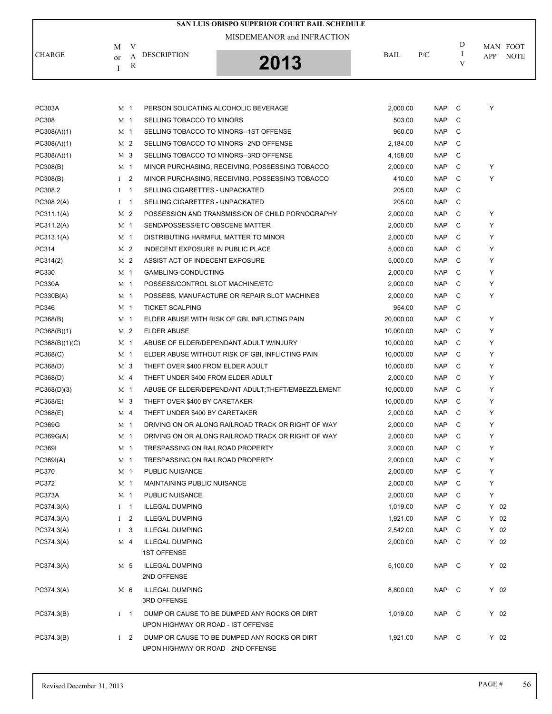| V<br>M<br><b>CHARGE</b><br><b>DESCRIPTION</b><br>A<br>or<br>2013                                                                             | MISDEMEANOR and INFRACTION<br>BAIL | P/C                      | D            | MAN FOOT |             |
|----------------------------------------------------------------------------------------------------------------------------------------------|------------------------------------|--------------------------|--------------|----------|-------------|
|                                                                                                                                              |                                    |                          |              |          |             |
|                                                                                                                                              |                                    |                          |              |          |             |
| $\mathbb R$                                                                                                                                  |                                    |                          | I<br>V       | APP      | <b>NOTE</b> |
| I                                                                                                                                            |                                    |                          |              |          |             |
|                                                                                                                                              |                                    |                          |              |          |             |
|                                                                                                                                              |                                    |                          |              |          |             |
| <b>PC303A</b><br>M <sub>1</sub><br>PERSON SOLICATING ALCOHOLIC BEVERAGE<br>PC308                                                             | 2,000.00                           | <b>NAP</b><br><b>NAP</b> | C<br>C       | Υ        |             |
| M <sub>1</sub><br>SELLING TOBACCO TO MINORS                                                                                                  | 503.00                             |                          |              |          |             |
| PC308(A)(1)<br>SELLING TOBACCO TO MINORS--1ST OFFENSE<br>M 1<br>M <sub>2</sub><br>SELLING TOBACCO TO MINORS--2ND OFFENSE                     | 960.00<br>2,184.00                 | <b>NAP</b><br><b>NAP</b> | C<br>C       |          |             |
| PC308(A)(1)<br>M 3<br>SELLING TOBACCO TO MINORS--3RD OFFENSE                                                                                 |                                    | <b>NAP</b>               | C            |          |             |
| PC308(A)(1)<br>M <sub>1</sub>                                                                                                                | 4,158.00                           | <b>NAP</b>               | C            | Υ        |             |
| PC308(B)<br>MINOR PURCHASING, RECEIVING, POSSESSING TOBACCO<br>I <sub>2</sub><br>PC308(B)<br>MINOR PURCHASING, RECEIVING, POSSESSING TOBACCO | 2,000.00<br>410.00                 | <b>NAP</b>               | C            | Y        |             |
| PC308.2<br>$I \quad 1$<br>SELLING CIGARETTES - UNPACKATED                                                                                    | 205.00                             | <b>NAP</b>               | C            |          |             |
| PC308.2(A)<br>$I \quad 1$<br>SELLING CIGARETTES - UNPACKATED                                                                                 | 205.00                             | <b>NAP</b>               | C            |          |             |
| M <sub>2</sub><br>PC311.1(A)<br>POSSESSION AND TRANSMISSION OF CHILD PORNOGRAPHY                                                             | 2,000.00                           | <b>NAP</b>               | C            | Υ        |             |
| M <sub>1</sub><br>SEND/POSSESS/ETC OBSCENE MATTER                                                                                            |                                    | <b>NAP</b>               | C            | Υ        |             |
| PC311.2(A)                                                                                                                                   | 2,000.00                           |                          | C            |          |             |
| PC313.1(A)<br>M <sub>1</sub><br>DISTRIBUTING HARMFUL MATTER TO MINOR<br>PC314<br>M <sub>2</sub><br><b>INDECENT EXPOSURE IN PUBLIC PLACE</b>  | 2,000.00                           | <b>NAP</b>               | C            | Υ<br>Y   |             |
| M <sub>2</sub>                                                                                                                               | 5,000.00                           | <b>NAP</b>               |              |          |             |
| PC314(2)<br>ASSIST ACT OF INDECENT EXPOSURE                                                                                                  | 5,000.00                           | <b>NAP</b>               | C            | Υ        |             |
| PC330<br>M <sub>1</sub><br>GAMBLING-CONDUCTING<br>M <sub>1</sub>                                                                             | 2,000.00                           | <b>NAP</b>               | C<br>C       | Υ<br>Υ   |             |
| <b>PC330A</b><br>POSSESS/CONTROL SLOT MACHINE/ETC                                                                                            | 2,000.00                           | <b>NAP</b>               | C            |          |             |
| PC330B(A)<br>M <sub>1</sub><br>POSSESS, MANUFACTURE OR REPAIR SLOT MACHINES                                                                  | 2,000.00                           | <b>NAP</b>               |              | Υ        |             |
| PC346<br>M <sub>1</sub><br><b>TICKET SCALPING</b>                                                                                            | 954.00                             | <b>NAP</b>               | C            |          |             |
| PC368(B)<br>M <sub>1</sub><br>ELDER ABUSE WITH RISK OF GBI, INFLICTING PAIN                                                                  | 20,000.00                          | <b>NAP</b>               | C            | Υ        |             |
| <b>ELDER ABUSE</b><br>PC368(B)(1)<br>M 2                                                                                                     | 10,000.00                          | <b>NAP</b>               | C            | Υ        |             |
| PC368(B)(1)(C)<br>M <sub>1</sub><br>ABUSE OF ELDER/DEPENDANT ADULT W/INJURY                                                                  | 10,000.00                          | <b>NAP</b>               | C            | Υ        |             |
| PC368(C)<br>M <sub>1</sub><br>ELDER ABUSE WITHOUT RISK OF GBI, INFLICTING PAIN                                                               | 10,000.00                          | <b>NAP</b>               | C            | Υ        |             |
| PC368(D)<br>M 3<br>THEFT OVER \$400 FROM ELDER ADULT                                                                                         | 10,000.00                          | <b>NAP</b>               | C            | Υ        |             |
| PC368(D)<br>M <sub>4</sub><br>THEFT UNDER \$400 FROM ELDER ADULT                                                                             | 2,000.00                           | <b>NAP</b>               | C            | Υ        |             |
| PC368(D)(3)<br>M <sub>1</sub><br>ABUSE OF ELDER/DEPENDANT ADULT; THEFT/EMBEZZLEMENT                                                          | 10,000.00                          | <b>NAP</b>               | C            | Υ        |             |
| PC368(E)<br>M 3<br>THEFT OVER \$400 BY CARETAKER                                                                                             | 10,000.00                          | <b>NAP</b>               | C            | Υ        |             |
| PC368(E)<br>THEFT UNDER \$400 BY CARETAKER<br>M 4                                                                                            | 2,000.00                           | <b>NAP</b>               | C            | Υ        |             |
| PC369G<br>DRIVING ON OR ALONG RAILROAD TRACK OR RIGHT OF WAY<br>M 1                                                                          | 2,000.00                           | <b>NAP</b>               | C            | Υ        |             |
| PC369G(A)<br>M <sub>1</sub><br>DRIVING ON OR ALONG RAILROAD TRACK OR RIGHT OF WAY                                                            | 2,000.00                           | <b>NAP</b>               | C            | Υ        |             |
| <b>PC369I</b><br>M <sub>1</sub><br>TRESPASSING ON RAILROAD PROPERTY                                                                          | 2,000.00                           | <b>NAP</b>               | C            | Υ        |             |
| PC369I(A)<br>M <sub>1</sub><br>TRESPASSING ON RAILROAD PROPERTY                                                                              | 2,000.00                           | <b>NAP</b>               | C            | Υ        |             |
| PC370<br>M <sub>1</sub><br>PUBLIC NUISANCE                                                                                                   | 2,000.00                           | <b>NAP</b>               | C            | Υ        |             |
| PC372<br>MAINTAINING PUBLIC NUISANCE<br>M 1                                                                                                  | 2,000.00                           | <b>NAP</b>               | C            | Υ        |             |
| PC373A<br>M 1<br>PUBLIC NUISANCE                                                                                                             | 2,000.00                           | NAP.                     | C            | Υ        |             |
| PC374.3(A)<br>$I \quad 1$<br><b>ILLEGAL DUMPING</b>                                                                                          | 1,019.00                           | <b>NAP</b>               | C            | Y 02     |             |
| PC374.3(A)<br>I <sub>2</sub><br><b>ILLEGAL DUMPING</b>                                                                                       | 1,921.00                           | <b>NAP</b>               | C            | $Y$ 02   |             |
| PC374.3(A)<br>$1 \quad 3$<br><b>ILLEGAL DUMPING</b>                                                                                          | 2,542.00                           | <b>NAP</b>               | C            | $Y$ 02   |             |
| <b>ILLEGAL DUMPING</b><br>PC374.3(A)<br>M 4<br><b>1ST OFFENSE</b>                                                                            | 2,000.00                           | <b>NAP</b>               | C            | Y 02     |             |
| M 5<br><b>ILLEGAL DUMPING</b><br>PC374.3(A)                                                                                                  | 5,100.00                           | <b>NAP</b>               | C            | Y 02     |             |
| 2ND OFFENSE                                                                                                                                  |                                    |                          |              |          |             |
| M 6<br><b>ILLEGAL DUMPING</b><br>PC374.3(A)                                                                                                  | 8,800.00                           | NAP                      | $\mathbf{C}$ | Y 02     |             |
| 3RD OFFENSE                                                                                                                                  |                                    |                          |              |          |             |
| $1 \quad 1$<br>DUMP OR CAUSE TO BE DUMPED ANY ROCKS OR DIRT<br>PC374.3(B)<br>UPON HIGHWAY OR ROAD - IST OFFENSE                              | 1,019.00                           | <b>NAP</b>               | C            | Y 02     |             |
| PC374.3(B)<br>$1 \quad 2$<br>DUMP OR CAUSE TO BE DUMPED ANY ROCKS OR DIRT<br>UPON HIGHWAY OR ROAD - 2ND OFFENSE                              | 1,921.00                           | <b>NAP</b>               | C            | $Y$ 02   |             |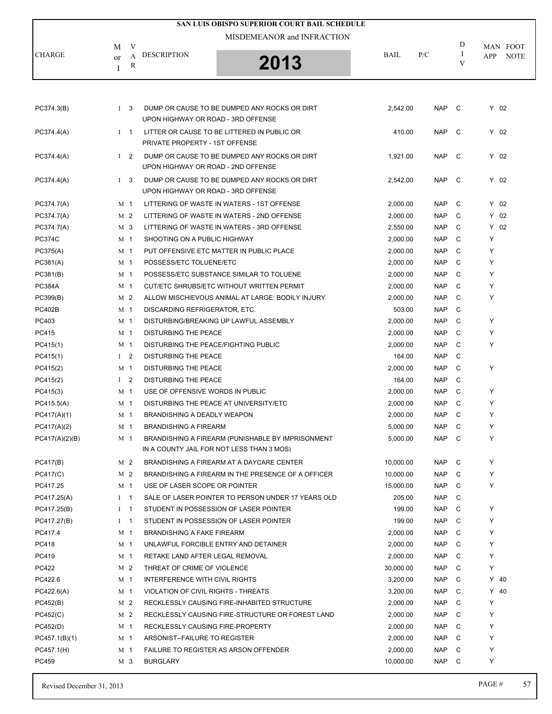| SAN LUIS OBISPO SUPERIOR COURT BAIL SCHEDULE |    |                |                                        |                                                    |             |            |        |        |             |  |  |
|----------------------------------------------|----|----------------|----------------------------------------|----------------------------------------------------|-------------|------------|--------|--------|-------------|--|--|
|                                              |    |                |                                        |                                                    |             |            |        |        |             |  |  |
|                                              | М  | V              |                                        |                                                    |             |            | D      |        | MAN FOOT    |  |  |
| <b>CHARGE</b>                                | or | А              | <b>DESCRIPTION</b>                     | 2013                                               | <b>BAIL</b> | P/C        | I<br>V | APP    | <b>NOTE</b> |  |  |
|                                              | Ι  | R              |                                        |                                                    |             |            |        |        |             |  |  |
|                                              |    |                |                                        |                                                    |             |            |        |        |             |  |  |
|                                              |    |                |                                        |                                                    |             |            |        |        |             |  |  |
| PC374.3(B)                                   |    | $1 \quad 3$    | UPON HIGHWAY OR ROAD - 3RD OFFENSE     | DUMP OR CAUSE TO BE DUMPED ANY ROCKS OR DIRT       | 2,542.00    | NAP C      |        | $Y$ 02 |             |  |  |
| PC374.4(A)                                   |    | $I \quad 1$    | PRIVATE PROPERTY - 1ST OFFENSE         | LITTER OR CAUSE TO BE LITTERED IN PUBLIC OR        | 410.00      | <b>NAP</b> | C)     | Y 02   |             |  |  |
| PC374.4(A)                                   |    | $1\quad 2$     |                                        | DUMP OR CAUSE TO BE DUMPED ANY ROCKS OR DIRT       | 1,921.00    | <b>NAP</b> | C      | Y 02   |             |  |  |
|                                              |    |                | UPON HIGHWAY OR ROAD - 2ND OFFENSE     |                                                    |             |            |        |        |             |  |  |
| PC374.4(A)                                   |    | $1 \quad 3$    | UPON HIGHWAY OR ROAD - 3RD OFFENSE     | DUMP OR CAUSE TO BE DUMPED ANY ROCKS OR DIRT       | 2,542.00    | <b>NAP</b> | - C    | Y 02   |             |  |  |
| PC374.7(A)                                   |    | M <sub>1</sub> |                                        | LITTERING OF WASTE IN WATERS - 1ST OFFENSE         | 2,000.00    | <b>NAP</b> | C      | $Y$ 02 |             |  |  |
| PC374.7(A)                                   |    | M 2            |                                        | LITTERING OF WASTE IN WATERS - 2ND OFFENSE         | 2,000.00    | <b>NAP</b> | C      | $Y$ 02 |             |  |  |
| PC374.7(A)                                   |    | M 3            |                                        | LITTERING OF WASTE IN WATERS - 3RD OFFENSE         | 2,550.00    | <b>NAP</b> | C      | $Y$ 02 |             |  |  |
| <b>PC374C</b>                                |    | M <sub>1</sub> | SHOOTING ON A PUBLIC HIGHWAY           |                                                    | 2,000.00    | <b>NAP</b> | C      | Υ      |             |  |  |
| PC375(A)                                     |    | M 1            |                                        | PUT OFFENSIVE ETC MATTER IN PUBLIC PLACE           | 2,000.00    | <b>NAP</b> | C      | Y      |             |  |  |
| PC381(A)                                     |    | M 1            | POSSESS/ETC TOLUENE/ETC                |                                                    | 2,000.00    | <b>NAP</b> | C      | Y      |             |  |  |
| PC381(B)                                     |    | M <sub>1</sub> |                                        | POSSESS/ETC SUBSTANCE SIMILAR TO TOLUENE           | 2,000.00    | <b>NAP</b> | C      | Y      |             |  |  |
| <b>PC384A</b>                                |    | M 1            |                                        | CUT/ETC SHRUBS/ETC WITHOUT WRITTEN PERMIT          | 2,000.00    | <b>NAP</b> | C      | Y      |             |  |  |
| PC399(B)                                     |    | M <sub>2</sub> |                                        | ALLOW MISCHIEVOUS ANIMAL AT LARGE: BODILY INJURY   | 2,000.00    | <b>NAP</b> | C      | Y      |             |  |  |
| <b>PC402B</b>                                |    | M <sub>1</sub> | DISCARDING REFRIGERATOR, ETC.          |                                                    | 503.00      | <b>NAP</b> | C      |        |             |  |  |
| PC403                                        |    | M 1            |                                        | DISTURBING/BREAKING UP LAWFUL ASSEMBLY             | 2,000.00    | <b>NAP</b> | C      | Y      |             |  |  |
| PC415                                        |    | M <sub>1</sub> | DISTURBING THE PEACE                   |                                                    | 2,000.00    | <b>NAP</b> | C      | Y      |             |  |  |
| PC415(1)                                     |    | M <sub>1</sub> | DISTURBING THE PEACE/FIGHTING PUBLIC   |                                                    | 2,000.00    | <b>NAP</b> | C      | Y      |             |  |  |
| PC415(1)                                     |    | I <sub>2</sub> | DISTURBING THE PEACE                   |                                                    | 164.00      | <b>NAP</b> | C      |        |             |  |  |
| PC415(2)                                     |    | M 1            | DISTURBING THE PEACE                   |                                                    | 2,000.00    | <b>NAP</b> | C      | Y      |             |  |  |
| PC415(2)                                     |    | $1\quad 2$     | <b>DISTURBING THE PEACE</b>            |                                                    | 164.00      | <b>NAP</b> | C      |        |             |  |  |
| PC415(3)                                     |    | M 1            | USE OF OFFENSIVE WORDS IN PUBLIC       |                                                    | 2,000.00    | <b>NAP</b> | C      | Y      |             |  |  |
| PC415.5(A)                                   |    | M 1            | DISTURBING THE PEACE AT UNIVERSITY/ETC |                                                    | 2,000.00    | <b>NAP</b> | C      | Y      |             |  |  |
| PC417(A)(1)                                  |    | M 1            | <b>BRANDISHING A DEADLY WEAPON</b>     |                                                    | 2,000.00    | <b>NAP</b> | C      | Y      |             |  |  |
| PC417(A)(2)                                  |    | M 1            | <b>BRANDISHING A FIREARM</b>           |                                                    | 5,000.00    | <b>NAP</b> | C      | Y      |             |  |  |
| PC417(A)(2)(B)                               |    | M 1            |                                        | BRANDISHING A FIREARM (PUNISHABLE BY IMPRISONMENT  | 5.000.00    | <b>NAP</b> | C      | Y      |             |  |  |
|                                              |    |                |                                        | IN A COUNTY JAIL FOR NOT LESS THAN 3 MOS)          |             |            |        |        |             |  |  |
| PC417(B)                                     |    | M <sub>2</sub> |                                        | BRANDISHING A FIREARM AT A DAYCARE CENTER          | 10,000.00   | <b>NAP</b> | C      | Y      |             |  |  |
| PC417(C)                                     |    | M 2            |                                        | BRANDISHING A FIREARM IN THE PRESENCE OF A OFFICER | 10,000.00   | NAP        | C      | Y      |             |  |  |
| PC417.25                                     |    | M 1            | USE OF LASER SCOPE OR POINTER          |                                                    | 15,000.00   | <b>NAP</b> | C      | Y      |             |  |  |
| PC417.25(A)                                  |    | $I \quad 1$    |                                        | SALE OF LASER POINTER TO PERSON UNDER 17 YEARS OLD | 205.00      | <b>NAP</b> | C      |        |             |  |  |
| PC417.25(B)                                  |    | $I \quad 1$    |                                        | STUDENT IN POSSESSION OF LASER POINTER             | 199.00      | NAP        | C      | Y      |             |  |  |
| PC417.27(B)                                  |    | $I \quad 1$    |                                        | STUDENT IN POSSESSION OF LASER POINTER             | 199.00      | <b>NAP</b> | C      | Y      |             |  |  |
| PC417.4                                      |    | M 1            | <b>BRANDISHING A FAKE FIREARM</b>      |                                                    | 2,000.00    | <b>NAP</b> | C      | Y      |             |  |  |
| PC418                                        |    | M <sub>1</sub> | UNLAWFUL FORCIBLE ENTRY AND DETAINER   |                                                    | 2,000.00    | <b>NAP</b> | C      | Y      |             |  |  |
| PC419                                        |    | M 1            | RETAKE LAND AFTER LEGAL REMOVAL        |                                                    | 2,000.00    | <b>NAP</b> | C      | Y      |             |  |  |
| PC422                                        |    | M <sub>2</sub> | THREAT OF CRIME OF VIOLENCE            |                                                    | 30,000.00   | <b>NAP</b> | C      | Y      |             |  |  |
| PC422.6                                      |    | M <sub>1</sub> | INTERFERENCE WITH CIVIL RIGHTS         |                                                    | 3,200.00    | <b>NAP</b> | C      | $Y$ 40 |             |  |  |
| PC422.6(A)                                   |    | M 1            | VIOLATION OF CIVIL RIGHTS - THREATS    |                                                    | 3,200.00    | <b>NAP</b> | C      | $Y$ 40 |             |  |  |
| PC452(B)                                     |    | M <sub>2</sub> |                                        | RECKLESSLY CAUSING FIRE-INHABITED STRUCTURE        | 2,000.00    | <b>NAP</b> | C      | Υ      |             |  |  |
| PC452(C)                                     |    | M 2            |                                        | RECKLESSLY CAUSING FIRE-STRUCTURE OR FOREST LAND   | 2,000.00    | NAP        | C      | Y      |             |  |  |
| PC452(D)                                     |    | M 1            | RECKLESSLY CAUSING FIRE-PROPERTY       |                                                    | 2,000.00    | <b>NAP</b> | C      | Y      |             |  |  |
| PC457.1(B)(1)                                |    | M 1            | ARSONIST--FAILURE TO REGISTER          |                                                    | 2,000.00    | <b>NAP</b> | C      | Y      |             |  |  |
| PC457.1(H)                                   |    | M 1            |                                        | FAILURE TO REGISTER AS ARSON OFFENDER              | 2,000.00    | <b>NAP</b> | C      | Y      |             |  |  |
| PC459                                        |    | M 3            | BURGLARY                               |                                                    | 10,000.00   | NAP        | - C    | Y      |             |  |  |
|                                              |    |                |                                        |                                                    |             |            |        |        |             |  |  |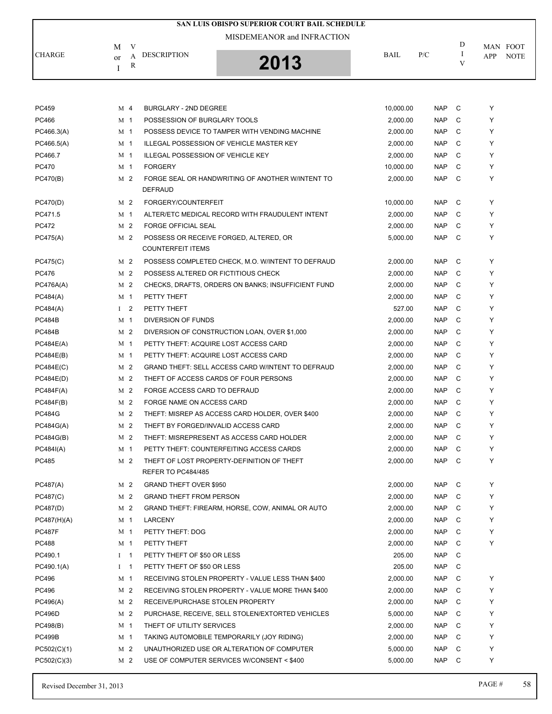|                           |   |                    | SAN LUIS OBISPO SUPERIOR COURT BAIL SCHEDULE |             |     |   |                    |
|---------------------------|---|--------------------|----------------------------------------------|-------------|-----|---|--------------------|
| M                         | v |                    | MISDEMEANOR and INFRACTION                   |             |     | D | MAN FOOT           |
| <b>CHARGE</b><br>$\alpha$ | R | <b>DESCRIPTION</b> | 2013                                         | <b>BAIL</b> | P/C | V | <b>NOTE</b><br>APP |

| PC459         | M 4            |                | <b>BURGLARY - 2ND DEGREE</b>                                            | 10,000.00 | <b>NAP</b> | C | Y |
|---------------|----------------|----------------|-------------------------------------------------------------------------|-----------|------------|---|---|
| PC466         | M <sub>1</sub> |                | POSSESSION OF BURGLARY TOOLS                                            | 2,000.00  | <b>NAP</b> | C | Y |
| PC466.3(A)    | M 1            |                | POSSESS DEVICE TO TAMPER WITH VENDING MACHINE                           | 2.000.00  | <b>NAP</b> | C | Y |
| PC466.5(A)    | M 1            |                | ILLEGAL POSSESSION OF VEHICLE MASTER KEY                                | 2,000.00  | <b>NAP</b> | C | Y |
| PC466.7       | M <sub>1</sub> |                | ILLEGAL POSSESSION OF VEHICLE KEY                                       | 2.000.00  | <b>NAP</b> | C | Y |
| <b>PC470</b>  | M 1            |                | <b>FORGERY</b>                                                          | 10,000.00 | <b>NAP</b> | C | Y |
| PC470(B)      | M 2            |                | FORGE SEAL OR HANDWRITING OF ANOTHER WINTENT TO<br><b>DEFRAUD</b>       | 2,000.00  | <b>NAP</b> | C | Y |
| PC470(D)      | M 2            |                | FORGERY/COUNTERFEIT                                                     | 10,000.00 | <b>NAP</b> | C | Y |
| PC471.5       | M 1            |                | ALTER/ETC MEDICAL RECORD WITH FRAUDULENT INTENT                         | 2,000.00  | <b>NAP</b> | C | Y |
| <b>PC472</b>  | M <sub>2</sub> |                | <b>FORGE OFFICIAL SEAL</b>                                              | 2,000.00  | <b>NAP</b> | C | Y |
| PC475(A)      | M 2            |                | POSSESS OR RECEIVE FORGED, ALTERED, OR<br><b>COUNTERFEIT ITEMS</b>      | 5,000.00  | <b>NAP</b> | C | Y |
| PC475(C)      | M 2            |                | POSSESS COMPLETED CHECK, M.O. W/INTENT TO DEFRAUD                       | 2,000.00  | <b>NAP</b> | C | Y |
| <b>PC476</b>  | M <sub>2</sub> |                | POSSESS ALTERED OR FICTITIOUS CHECK                                     | 2,000.00  | <b>NAP</b> | C | Y |
| PC476A(A)     | M 2            |                | CHECKS, DRAFTS, ORDERS ON BANKS; INSUFFICIENT FUND                      | 2,000.00  | <b>NAP</b> | C | Y |
| PC484(A)      | M 1            |                | PETTY THEFT                                                             | 2,000.00  | <b>NAP</b> | C | Y |
| PC484(A)      | $\bf{I}$       | $\overline{2}$ | PETTY THEFT                                                             | 527.00    | <b>NAP</b> | C | Y |
| <b>PC484B</b> | M 1            |                | <b>DIVERSION OF FUNDS</b>                                               | 2,000.00  | <b>NAP</b> | C | Y |
| <b>PC484B</b> | M 2            |                | DIVERSION OF CONSTRUCTION LOAN, OVER \$1,000                            | 2,000.00  | <b>NAP</b> | C | Y |
| PC484E(A)     | M <sub>1</sub> |                | PETTY THEFT: ACQUIRE LOST ACCESS CARD                                   | 2,000.00  | <b>NAP</b> | C | Y |
| PC484E(B)     | M 1            |                | PETTY THEFT: ACQUIRE LOST ACCESS CARD                                   | 2,000.00  | <b>NAP</b> | C | Y |
| PC484E(C)     | M 2            |                | GRAND THEFT: SELL ACCESS CARD W/INTENT TO DEFRAUD                       | 2,000.00  | <b>NAP</b> | C | Y |
| PC484E(D)     | M <sub>2</sub> |                | THEFT OF ACCESS CARDS OF FOUR PERSONS                                   | 2,000.00  | <b>NAP</b> | C | Y |
| PC484F(A)     | M 2            |                | FORGE ACCESS CARD TO DEFRAUD                                            | 2,000.00  | <b>NAP</b> | C | Y |
| PC484F(B)     | M 2            |                | FORGE NAME ON ACCESS CARD                                               | 2,000.00  | <b>NAP</b> | C | Y |
| <b>PC484G</b> | M <sub>2</sub> |                | THEFT: MISREP AS ACCESS CARD HOLDER, OVER \$400                         | 2,000.00  | <b>NAP</b> | C | Y |
| PC484G(A)     | M 2            |                | THEFT BY FORGED/INVALID ACCESS CARD                                     | 2,000.00  | <b>NAP</b> | C | Y |
| PC484G(B)     | M 2            |                | THEFT: MISREPRESENT AS ACCESS CARD HOLDER                               | 2,000.00  | <b>NAP</b> | C | Y |
| PC484I(A)     | M <sub>1</sub> |                | PETTY THEFT: COUNTERFEITING ACCESS CARDS                                | 2,000.00  | <b>NAP</b> | C | Y |
| PC485         | M 2            |                | THEFT OF LOST PROPERTY-DEFINITION OF THEFT<br><b>REFER TO PC484/485</b> | 2,000.00  | <b>NAP</b> | C | Y |
| PC487(A)      | M 2            |                | <b>GRAND THEFT OVER \$950</b>                                           | 2,000.00  | <b>NAP</b> | C | Y |
| PC487(C)      | M 2            |                | <b>GRAND THEFT FROM PERSON</b>                                          | 2,000.00  | <b>NAP</b> | C | Y |
| PC487(D)      | M 2            |                | GRAND THEFT: FIREARM, HORSE, COW, ANIMAL OR AUTO                        | 2,000.00  | <b>NAP</b> | C | Y |
| PC487(H)(A)   | M 1            |                | LARCENY                                                                 | 2,000.00  | <b>NAP</b> | C | Y |
| <b>PC487F</b> | M 1            |                | PETTY THEFT: DOG                                                        | 2,000.00  | <b>NAP</b> | C | Y |
| <b>PC488</b>  | M <sub>1</sub> |                | PETTY THEFT                                                             | 2,000.00  | <b>NAP</b> | C | Y |
| PC490.1       | Ι              | $\overline{1}$ | PETTY THEFT OF \$50 OR LESS                                             | 205.00    | <b>NAP</b> | C |   |
| PC490.1(A)    | Ι              | $\mathbf{1}$   | PETTY THEFT OF \$50 OR LESS                                             | 205.00    | <b>NAP</b> | C |   |
| PC496         | M <sub>1</sub> |                | RECEIVING STOLEN PROPERTY - VALUE LESS THAN \$400                       | 2,000.00  | <b>NAP</b> | C | Υ |
| PC496         | M 2            |                | RECEIVING STOLEN PROPERTY - VALUE MORE THAN \$400                       | 2,000.00  | <b>NAP</b> | C | Y |
| PC496(A)      | M 2            |                | RECEIVE/PURCHASE STOLEN PROPERTY                                        | 2,000.00  | <b>NAP</b> | C | Y |
| <b>PC496D</b> | M <sub>2</sub> |                | PURCHASE, RECEIVE, SELL STOLEN/EXTORTED VEHICLES                        | 5,000.00  | <b>NAP</b> | C | Y |
| PC498(B)      | M 1            |                | THEFT OF UTILITY SERVICES                                               | 2,000.00  | <b>NAP</b> | C | Y |
| <b>PC499B</b> | M 1            |                | TAKING AUTOMOBILE TEMPORARILY (JOY RIDING)                              | 2,000.00  | <b>NAP</b> | C | Y |
| PC502(C)(1)   | M <sub>2</sub> |                | UNAUTHORIZED USE OR ALTERATION OF COMPUTER                              | 5,000.00  | <b>NAP</b> | C | Y |
| PC502(C)(3)   | M 2            |                | USE OF COMPUTER SERVICES W/CONSENT < \$400                              | 5,000.00  | <b>NAP</b> | C | Y |
|               |                |                |                                                                         |           |            |   |   |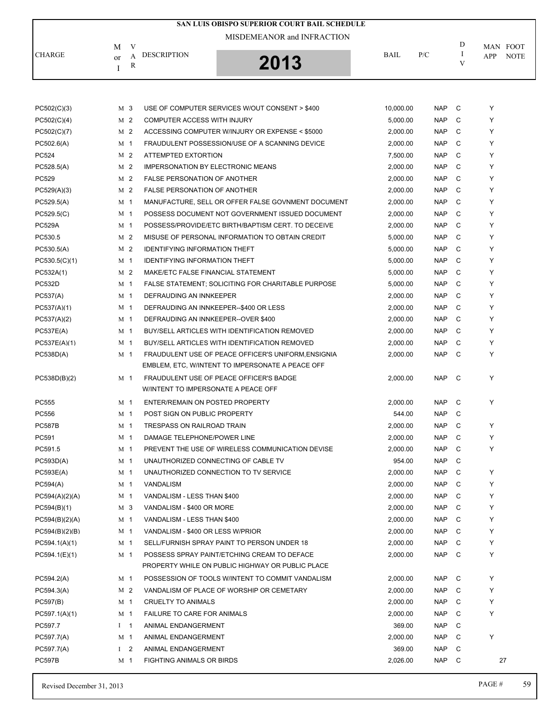|                |                |   |                                          | <b>SAN LUIS OBISPO SUPERIOR COURT BAIL SCHEDULE</b> |             |            |         |     |             |
|----------------|----------------|---|------------------------------------------|-----------------------------------------------------|-------------|------------|---------|-----|-------------|
|                |                |   |                                          | MISDEMEANOR and INFRACTION                          |             |            |         |     |             |
|                | М              | V |                                          |                                                     |             |            | D       |     | MAN FOOT    |
| <b>CHARGE</b>  | or             | A | <b>DESCRIPTION</b>                       | 2013                                                | <b>BAIL</b> | P/C        | Ι.<br>V | APP | <b>NOTE</b> |
|                | T              | R |                                          |                                                     |             |            |         |     |             |
|                |                |   |                                          |                                                     |             |            |         |     |             |
|                |                |   |                                          |                                                     |             |            |         |     |             |
| PC502(C)(3)    | M 3            |   |                                          | USE OF COMPUTER SERVICES W/OUT CONSENT > \$400      | 10,000.00   | <b>NAP</b> | C       | Υ   |             |
| PC502(C)(4)    | M 2            |   | COMPUTER ACCESS WITH INJURY              |                                                     | 5,000.00    | <b>NAP</b> | C       | Υ   |             |
| PC502(C)(7)    | M 2            |   |                                          | ACCESSING COMPUTER W/INJURY OR EXPENSE < \$5000     | 2,000.00    | <b>NAP</b> | C       | Y   |             |
| PC502.6(A)     | M 1            |   |                                          | FRAUDULENT POSSESSION/USE OF A SCANNING DEVICE      | 2,000.00    | <b>NAP</b> | C       | Υ   |             |
| PC524          | M 2            |   | ATTEMPTED EXTORTION                      |                                                     | 7,500.00    | <b>NAP</b> | C       | Y   |             |
| PC528.5(A)     | M 2            |   | <b>IMPERSONATION BY ELECTRONIC MEANS</b> |                                                     | 2,000.00    | <b>NAP</b> | C       | Υ   |             |
| PC529          | M 2            |   | <b>FALSE PERSONATION OF ANOTHER</b>      |                                                     | 2,000.00    | <b>NAP</b> | C       | Y   |             |
| PC529(A)(3)    | M 2            |   | <b>FALSE PERSONATION OF ANOTHER</b>      |                                                     | 2,000.00    | <b>NAP</b> | C       | Υ   |             |
| PC529.5(A)     | M 1            |   |                                          | MANUFACTURE, SELL OR OFFER FALSE GOVNMENT DOCUMENT  | 2,000.00    | <b>NAP</b> | C       | Y   |             |
| PC529.5(C)     | M 1            |   |                                          | POSSESS DOCUMENT NOT GOVERNMENT ISSUED DOCUMENT     | 2,000.00    | <b>NAP</b> | C       | Y   |             |
| <b>PC529A</b>  | M 1            |   |                                          | POSSESS/PROVIDE/ETC BIRTH/BAPTISM CERT. TO DECEIVE  | 2,000.00    | <b>NAP</b> | C       | Υ   |             |
| PC530.5        | M 2            |   |                                          | MISUSE OF PERSONAL INFORMATION TO OBTAIN CREDIT     | 5,000.00    | <b>NAP</b> | C       | Υ   |             |
| PC530.5(A)     | M 2            |   | <b>IDENTIFYING INFORMATION THEFT</b>     |                                                     | 5,000.00    | <b>NAP</b> | C       | Υ   |             |
| PC530.5(C)(1)  | M 1            |   | <b>IDENTIFYING INFORMATION THEFT</b>     |                                                     | 5,000.00    | <b>NAP</b> | C       | Y   |             |
| PC532A(1)      | M 2            |   | MAKE/ETC FALSE FINANCIAL STATEMENT       |                                                     | 5,000.00    | <b>NAP</b> | C       | Y   |             |
| <b>PC532D</b>  | M 1            |   |                                          | FALSE STATEMENT; SOLICITING FOR CHARITABLE PURPOSE  | 5,000.00    | <b>NAP</b> | C       | Y   |             |
| PC537(A)       | M 1            |   | DEFRAUDING AN INNKEEPER                  |                                                     | 2,000.00    | <b>NAP</b> | C       | Υ   |             |
| PC537(A)(1)    | M 1            |   | DEFRAUDING AN INNKEEPER--\$400 OR LESS   |                                                     | 2,000.00    | <b>NAP</b> | C       | Y   |             |
| PC537(A)(2)    | M 1            |   | DEFRAUDING AN INNKEEPER--OVER \$400      |                                                     | 2,000.00    | <b>NAP</b> | C       | Υ   |             |
| PC537E(A)      | M 1            |   |                                          | BUY/SELL ARTICLES WITH IDENTIFICATION REMOVED       | 2,000.00    | <b>NAP</b> | C       | Y   |             |
| PC537E(A)(1)   | M <sub>1</sub> |   |                                          | BUY/SELL ARTICLES WITH IDENTIFICATION REMOVED       | 2,000.00    | <b>NAP</b> | C       | Υ   |             |
| PC538D(A)      | M 1            |   |                                          | FRAUDULENT USE OF PEACE OFFICER'S UNIFORM, ENSIGNIA | 2,000.00    | <b>NAP</b> | C       | Y   |             |
|                |                |   |                                          | EMBLEM, ETC, W/INTENT TO IMPERSONATE A PEACE OFF    |             |            |         |     |             |
| PC538D(B)(2)   | M 1            |   | WINTENT TO IMPERSONATE A PEACE OFF       | FRAUDULENT USE OF PEACE OFFICER'S BADGE             | 2,000.00    | <b>NAP</b> | C       | Υ   |             |
| PC555          | M 1            |   | ENTER/REMAIN ON POSTED PROPERTY          |                                                     | 2,000.00    | <b>NAP</b> | C       | Υ   |             |
| PC556          | M 1            |   | POST SIGN ON PUBLIC PROPERTY             |                                                     | 544.00      | <b>NAP</b> | C       |     |             |
| <b>PC587B</b>  | M 1            |   | TRESPASS ON RAILROAD TRAIN               |                                                     | 2,000.00    | NAP        | C       | Y   |             |
| PC591          | M 1            |   | DAMAGE TELEPHONE/POWER LINE              |                                                     | 2,000.00    | <b>NAP</b> | C       | Υ   |             |
| PC591.5        | M 1            |   |                                          | PREVENT THE USE OF WIRELESS COMMUNICATION DEVISE    | 2,000.00    | <b>NAP</b> | C       | Y   |             |
| PC593D(A)      | M 1            |   | UNAUTHORIZED CONNECTING OF CABLE TV      |                                                     | 954.00      | <b>NAP</b> | C       |     |             |
| PC593E(A)      | M 1            |   |                                          | UNAUTHORIZED CONNECTION TO TV SERVICE               | 2,000.00    | <b>NAP</b> | C       | Y   |             |
| PC594(A)       | M 1            |   | VANDALISM                                |                                                     | 2,000.00    | <b>NAP</b> | C       | Y   |             |
| PC594(A)(2)(A) | M 1            |   | VANDALISM - LESS THAN \$400              |                                                     | 2,000.00    | <b>NAP</b> | C       | Y   |             |
| PC594(B)(1)    | M 3            |   | VANDALISM - \$400 OR MORE                |                                                     | 2,000.00    | <b>NAP</b> | C       | Y   |             |
| PC594(B)(2)(A) | M 1            |   | VANDALISM - LESS THAN \$400              |                                                     | 2,000.00    | <b>NAP</b> | C       | Y   |             |
| PC594(B)(2)(B) | M 1            |   | VANDALISM - \$400 OR LESS W/PRIOR        |                                                     | 2,000.00    | <b>NAP</b> | C       | Υ   |             |
| PC594.1(A)(1)  | M 1            |   |                                          | SELL/FURNISH SPRAY PAINT TO PERSON UNDER 18         | 2,000.00    | <b>NAP</b> | C       | Υ   |             |
| PC594.1(E)(1)  | M <sub>1</sub> |   |                                          | POSSESS SPRAY PAINT/ETCHING CREAM TO DEFACE         | 2,000.00    | <b>NAP</b> | C       | Υ   |             |
|                |                |   |                                          | PROPERTY WHILE ON PUBLIC HIGHWAY OR PUBLIC PLACE    |             |            |         |     |             |
| PC594.2(A)     | M 1            |   |                                          | POSSESSION OF TOOLS W/INTENT TO COMMIT VANDALISM    | 2,000.00    | <b>NAP</b> | C       | Y   |             |
| PC594.3(A)     | M 2            |   |                                          | VANDALISM OF PLACE OF WORSHIP OR CEMETARY           | 2,000.00    | <b>NAP</b> | C       | Y   |             |
| PC597(B)       | M 1            |   | <b>CRUELTY TO ANIMALS</b>                |                                                     | 2,000.00    | <b>NAP</b> | C       | Y   |             |
| PC597.1(A)(1)  | M 1            |   | <b>FAILURE TO CARE FOR ANIMALS</b>       |                                                     | 2,000.00    | <b>NAP</b> | C       | Y   |             |
| PC597.7        | $I \quad 1$    |   | ANIMAL ENDANGERMENT                      |                                                     | 369.00      | <b>NAP</b> | C       |     |             |
| PC597.7(A)     | M 1            |   | ANIMAL ENDANGERMENT                      |                                                     | 2,000.00    | <b>NAP</b> | C       | Y   |             |
| PC597.7(A)     | $1\quad 2$     |   | ANIMAL ENDANGERMENT                      |                                                     | 369.00      | <b>NAP</b> | C       |     |             |
| PC597B         | M 1            |   | FIGHTING ANIMALS OR BIRDS                |                                                     | 2,026.00    | NAP C      |         |     | 27          |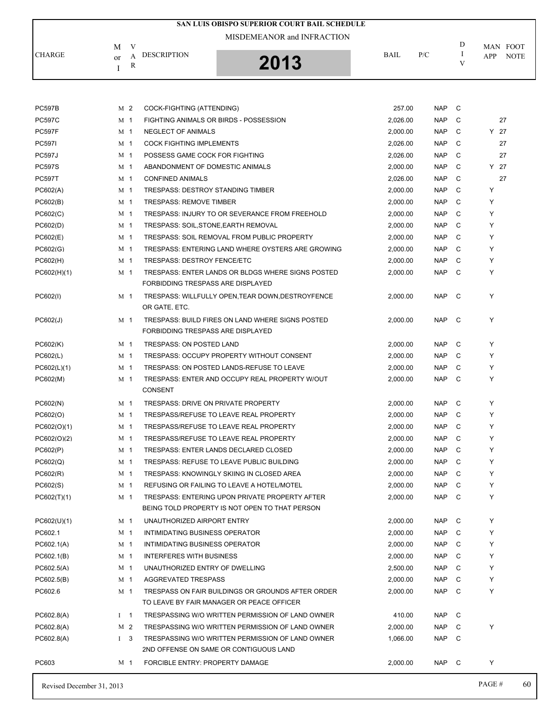|               |                               | SAN LUIS OBISPO SUPERIOR COURT BAIL SCHEDULE |             |     |   |                           |
|---------------|-------------------------------|----------------------------------------------|-------------|-----|---|---------------------------|
|               | M<br>V                        | MISDEMEANOR and INFRACTION                   |             |     | D | MAN FOOT                  |
| <b>CHARGE</b> | <b>DESCRIPTION</b><br>or<br>R | 2013                                         | <b>BAIL</b> | P/C |   | <b>NOTE</b><br><b>APP</b> |

| Revised December 31, 2013 |                |                                                                    |          |                 | PAGE # | 60 |
|---------------------------|----------------|--------------------------------------------------------------------|----------|-----------------|--------|----|
| PC603                     | M 1            | FORCIBLE ENTRY: PROPERTY DAMAGE                                    | 2,000.00 | C<br><b>NAP</b> | Y      |    |
|                           |                | 2ND OFFENSE ON SAME OR CONTIGUOUS LAND                             |          |                 |        |    |
| PC602.8(A)                | $1 \quad 3$    | TRESPASSING W/O WRITTEN PERMISSION OF LAND OWNER                   | 1,066.00 | <b>NAP</b><br>C |        |    |
| PC602.8(A)                | M 2            | TRESPASSING W/O WRITTEN PERMISSION OF LAND OWNER                   | 2,000.00 | <b>NAP</b><br>C | Υ      |    |
| PC602.8(A)                | $1 \quad 1$    | TRESPASSING W/O WRITTEN PERMISSION OF LAND OWNER                   | 410.00   | <b>NAP</b><br>C |        |    |
|                           |                | TO LEAVE BY FAIR MANAGER OR PEACE OFFICER                          |          |                 |        |    |
| PC602.6                   | M 1            | TRESPASS ON FAIR BUILDINGS OR GROUNDS AFTER ORDER                  | 2,000.00 | <b>NAP</b><br>C | Υ      |    |
| PC602.5(B)                | M 1            | AGGREVATED TRESPASS                                                | 2,000.00 | <b>NAP</b><br>C | Υ      |    |
| PC602.5(A)                | M 1            | UNAUTHORIZED ENTRY OF DWELLING                                     | 2,500.00 | C<br><b>NAP</b> | Υ      |    |
| PC602.1(B)                | M 1            | <b>INTERFERES WITH BUSINESS</b>                                    | 2,000.00 | <b>NAP</b><br>C | Υ      |    |
| PC602.1(A)                | M 1            | INTIMIDATING BUSINESS OPERATOR                                     | 2,000.00 | <b>NAP</b><br>C | Υ      |    |
| PC602.1                   | M 1            | INTIMIDATING BUSINESS OPERATOR                                     | 2,000.00 | C<br><b>NAP</b> | Υ      |    |
| PC602(U)(1)               | M 1            | UNAUTHORIZED AIRPORT ENTRY                                         | 2,000.00 | <b>NAP</b><br>C | Υ      |    |
|                           |                | BEING TOLD PROPERTY IS NOT OPEN TO THAT PERSON                     |          |                 |        |    |
| PC602(T)(1)               | M 1            | TRESPASS: ENTERING UPON PRIVATE PROPERTY AFTER                     | 2,000.00 | <b>NAP</b><br>C | Υ      |    |
| PC602(S)                  | M 1            | REFUSING OR FAILING TO LEAVE A HOTEL/MOTEL                         | 2,000.00 | <b>NAP</b><br>C | Υ      |    |
| PC602(R)                  | M 1            | TRESPASS: KNOWINGLY SKIING IN CLOSED AREA                          | 2,000.00 | <b>NAP</b><br>C | Y      |    |
| PC602(Q)                  | M 1            | TRESPASS: REFUSE TO LEAVE PUBLIC BUILDING                          | 2,000.00 | C<br><b>NAP</b> | Υ      |    |
| PC602(P)                  | M 1            | TRESPASS: ENTER LANDS DECLARED CLOSED                              | 2,000.00 | <b>NAP</b><br>C | Υ      |    |
| PC602(O)(2)               | M 1            | TRESPASS/REFUSE TO LEAVE REAL PROPERTY                             | 2,000.00 | <b>NAP</b><br>C | Υ      |    |
| PC602(O)(1)               | M 1            | TRESPASS/REFUSE TO LEAVE REAL PROPERTY                             | 2,000.00 | C<br><b>NAP</b> | Υ      |    |
| PC602(O)                  | M 1            | TRESPASS/REFUSE TO LEAVE REAL PROPERTY                             | 2,000.00 | <b>NAP</b><br>C | Υ      |    |
| PC602(N)                  | M 1            | CONSENT<br>TRESPASS: DRIVE ON PRIVATE PROPERTY                     | 2,000.00 | C<br><b>NAP</b> | Y      |    |
| PC602(M)                  | M 1            | TRESPASS: ENTER AND OCCUPY REAL PROPERTY W/OUT                     | 2,000.00 | <b>NAP</b><br>C | Y      |    |
| PC602(L)(1)               | M 1            | TRESPASS: ON POSTED LANDS-REFUSE TO LEAVE                          | 2,000.00 | <b>NAP</b><br>C | Υ      |    |
| PC602(L)                  | M <sub>1</sub> | TRESPASS: OCCUPY PROPERTY WITHOUT CONSENT                          | 2,000.00 | <b>NAP</b><br>C | Υ      |    |
| PC602(K)                  | M 1            | TRESPASS: ON POSTED LAND                                           | 2,000.00 | C<br><b>NAP</b> | Υ      |    |
|                           |                | FORBIDDING TRESPASS ARE DISPLAYED                                  |          |                 |        |    |
| PC602(J)                  | M 1            | TRESPASS: BUILD FIRES ON LAND WHERE SIGNS POSTED                   | 2,000.00 | <b>NAP</b><br>C | Υ      |    |
| PC602(I)                  | M 1            | TRESPASS: WILLFULLY OPEN, TEAR DOWN, DESTROYFENCE<br>OR GATE, ETC. | 2,000.00 | <b>NAP</b><br>C | Υ      |    |
|                           |                | FORBIDDING TRESPASS ARE DISPLAYED                                  |          |                 |        |    |
| PC602(H)(1)               | M 1            | TRESPASS: ENTER LANDS OR BLDGS WHERE SIGNS POSTED                  | 2,000.00 | <b>NAP</b><br>C | Υ      |    |
| PC602(H)                  | M 1            | <b>TRESPASS: DESTROY FENCE/ETC</b>                                 | 2,000.00 | C<br><b>NAP</b> | Υ      |    |
| PC602(G)                  | M 1            | TRESPASS: ENTERING LAND WHERE OYSTERS ARE GROWING                  | 2,000.00 | <b>NAP</b><br>C | Υ      |    |
| PC602(E)                  | M <sub>1</sub> | TRESPASS: SOIL REMOVAL FROM PUBLIC PROPERTY                        | 2,000.00 | <b>NAP</b><br>C | Υ      |    |
| PC602(D)                  | M 1            | TRESPASS: SOIL, STONE, EARTH REMOVAL                               | 2,000.00 | C<br><b>NAP</b> | Υ      |    |
| PC602(C)                  | M 1            | TRESPASS: INJURY TO OR SEVERANCE FROM FREEHOLD                     | 2,000.00 | <b>NAP</b><br>C | Υ      |    |
| PC602(B)                  | M 1            | <b>TRESPASS: REMOVE TIMBER</b>                                     | 2,000.00 | <b>NAP</b><br>C | Υ      |    |
| PC602(A)                  | M <sub>1</sub> | <b>TRESPASS: DESTROY STANDING TIMBER</b>                           | 2,000.00 | <b>NAP</b><br>C | Υ      |    |
| <b>PC597T</b>             | M 1            | <b>CONFINED ANIMALS</b>                                            | 2,026.00 | <b>NAP</b><br>C | 27     |    |
| <b>PC597S</b>             | M 1            | ABANDONMENT OF DOMESTIC ANIMALS                                    | 2,000.00 | <b>NAP</b><br>C | Y 27   |    |
| <b>PC597J</b>             | M 1            | POSSESS GAME COCK FOR FIGHTING                                     | 2,026.00 | C<br><b>NAP</b> | 27     |    |
| <b>PC597I</b>             | M 1            | <b>COCK FIGHTING IMPLEMENTS</b>                                    | 2,026.00 | <b>NAP</b><br>C | 27     |    |
| <b>PC597F</b>             | M <sub>1</sub> | NEGLECT OF ANIMALS                                                 | 2,000.00 | <b>NAP</b><br>C | Y 27   |    |
| <b>PC597C</b>             | M <sub>1</sub> | FIGHTING ANIMALS OR BIRDS - POSSESSION                             | 2,026.00 | <b>NAP</b><br>C | 27     |    |
| <b>PC597B</b>             | M 2            | COCK-FIGHTING (ATTENDING)                                          | 257.00   | <b>NAP</b><br>C |        |    |
|                           |                |                                                                    |          |                 |        |    |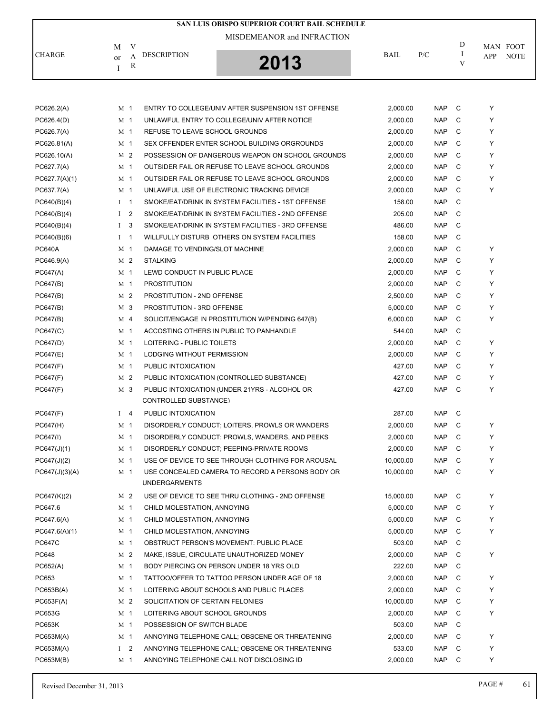|                |                    |                | SAN LUIS OBISPO SUPERIOR COURT BAIL SCHEDULE                             |             |            |              |                                |
|----------------|--------------------|----------------|--------------------------------------------------------------------------|-------------|------------|--------------|--------------------------------|
|                |                    |                | MISDEMEANOR and INFRACTION                                               |             |            | D            |                                |
| <b>CHARGE</b>  | M                  | V<br>A         | <b>DESCRIPTION</b>                                                       | <b>BAIL</b> | P/C        | -1           | MAN FOOT<br>APP<br><b>NOTE</b> |
|                | <sub>or</sub><br>I | R              | 2013                                                                     |             |            | V            |                                |
|                |                    |                |                                                                          |             |            |              |                                |
| PC626.2(A)     |                    | M 1            | ENTRY TO COLLEGE/UNIV AFTER SUSPENSION 1ST OFFENSE                       | 2,000.00    | <b>NAP</b> | C            | Y                              |
| PC626.4(D)     |                    | M 1            | UNLAWFUL ENTRY TO COLLEGE/UNIV AFTER NOTICE                              | 2,000.00    | <b>NAP</b> | C            | Y                              |
| PC626.7(A)     |                    | M 1            | REFUSE TO LEAVE SCHOOL GROUNDS                                           | 2,000.00    | <b>NAP</b> | C            | Y                              |
| PC626.81(A)    |                    | M 1            | SEX OFFENDER ENTER SCHOOL BUILDING ORGROUNDS                             | 2,000.00    | <b>NAP</b> | C            | Y                              |
| PC626.10(A)    |                    | M 2            | POSSESSION OF DANGEROUS WEAPON ON SCHOOL GROUNDS                         | 2,000.00    | <b>NAP</b> | C            | Y                              |
| PC627.7(A)     |                    | M 1            | OUTSIDER FAIL OR REFUSE TO LEAVE SCHOOL GROUNDS                          | 2,000.00    | <b>NAP</b> | C            | Y                              |
| PC627.7(A)(1)  |                    | M 1            | OUTSIDER FAIL OR REFUSE TO LEAVE SCHOOL GROUNDS                          | 2,000.00    | <b>NAP</b> | C            | Y                              |
| PC637.7(A)     |                    | M 1            | UNLAWFUL USE OF ELECTRONIC TRACKING DEVICE                               | 2,000.00    | <b>NAP</b> | C            | Y                              |
| PC640(B)(4)    |                    | $1 \quad 1$    | SMOKE/EAT/DRINK IN SYSTEM FACILITIES - 1ST OFFENSE                       | 158.00      | <b>NAP</b> | C            |                                |
| PC640(B)(4)    | $\bf{I}$           | $\overline{2}$ | SMOKE/EAT/DRINK IN SYSTEM FACILITIES - 2ND OFFENSE                       | 205.00      | <b>NAP</b> | C            |                                |
| PC640(B)(4)    | $\bf{I}$           | 3              | SMOKE/EAT/DRINK IN SYSTEM FACILITIES - 3RD OFFENSE                       | 486.00      | <b>NAP</b> | C            |                                |
| PC640(B)(6)    | $\mathbf{I}$       | $\overline{1}$ | WILLFULLY DISTURB OTHERS ON SYSTEM FACILITIES                            | 158.00      | <b>NAP</b> | C            |                                |
| <b>PC640A</b>  |                    | M 1            | DAMAGE TO VENDING/SLOT MACHINE                                           | 2,000.00    | <b>NAP</b> | C            | Υ                              |
| PC646.9(A)     |                    | M 2            | <b>STALKING</b>                                                          | 2,000.00    | <b>NAP</b> | C            | Y                              |
| PC647(A)       |                    | M 1            | LEWD CONDUCT IN PUBLIC PLACE                                             | 2,000.00    | <b>NAP</b> | C            | Y                              |
| PC647(B)       |                    | M 1            | <b>PROSTITUTION</b>                                                      | 2,000.00    | <b>NAP</b> | C            | Y                              |
| PC647(B)       |                    | M 2            | PROSTITUTION - 2ND OFFENSE                                               | 2,500.00    | <b>NAP</b> | C            | Y                              |
| PC647(B)       |                    | M 3            | PROSTITUTION - 3RD OFFENSE                                               | 5,000.00    | <b>NAP</b> | C            | Y                              |
| PC647(B)       |                    | M <sub>4</sub> | SOLICIT/ENGAGE IN PROSTITUTION W/PENDING 647(B)                          | 6,000.00    | <b>NAP</b> | C            | Y                              |
| PC647(C)       |                    | M 1            | ACCOSTING OTHERS IN PUBLIC TO PANHANDLE                                  | 544.00      | <b>NAP</b> | C            |                                |
| PC647(D)       |                    | M 1            | LOITERING - PUBLIC TOILETS                                               | 2,000.00    | <b>NAP</b> | C            | Y                              |
| PC647(E)       |                    | M 1            | LODGING WITHOUT PERMISSION                                               | 2,000.00    | <b>NAP</b> | C            | Υ                              |
| PC647(F)       |                    | M 1            | PUBLIC INTOXICATION                                                      | 427.00      | <b>NAP</b> | C            | Y                              |
| PC647(F)       |                    | M 2            | PUBLIC INTOXICATION (CONTROLLED SUBSTANCE)                               | 427.00      | <b>NAP</b> | C            | Y                              |
| PC647(F)       |                    | M 3            | PUBLIC INTOXICATION (UNDER 21YRS - ALCOHOL OR                            | 427.00      | <b>NAP</b> | C            | Υ                              |
|                |                    |                | CONTROLLED SUBSTANCE)                                                    |             |            |              |                                |
| PC647(F)       | Ι.                 | $\overline{4}$ | PUBLIC INTOXICATION                                                      | 287.00      | <b>NAP</b> | C            |                                |
| PC647(H)       |                    | M <sub>1</sub> | DISORDERLY CONDUCT; LOITERS, PROWLS OR WANDERS                           | 2,000.00    | NAP        | $\mathbf{C}$ | Υ                              |
| PC647(I)       |                    | M <sub>1</sub> | DISORDERLY CONDUCT: PROWLS, WANDERS, AND PEEKS                           | 2,000.00    | <b>NAP</b> | C            | Υ                              |
| PC647(J)(1)    |                    | M 1            | DISORDERLY CONDUCT; PEEPING-PRIVATE ROOMS                                | 2,000.00    | NAP        | C            | Y                              |
| PC647(J)(2)    |                    | M <sub>1</sub> | USE OF DEVICE TO SEE THROUGH CLOTHING FOR AROUSAL                        | 10,000.00   | <b>NAP</b> | C            | Y                              |
| PC647(J)(3)(A) |                    | M 1            | USE CONCEALED CAMERA TO RECORD A PERSONS BODY OR<br><b>UNDERGARMENTS</b> | 10,000.00   | <b>NAP</b> | C            | Y                              |
| PC647(K)(2)    |                    | M 2            | USE OF DEVICE TO SEE THRU CLOTHING - 2ND OFFENSE                         | 15,000.00   | <b>NAP</b> | C            | Y                              |
| PC647.6        |                    | M 1            | CHILD MOLESTATION. ANNOYING                                              | 5.000.00    | NAP        | C            | Y                              |
| PC647.6(A)     |                    | M 1            | CHILD MOLESTATION, ANNOYING                                              | 5,000.00    | <b>NAP</b> | C            | Y                              |
| PC647.6(A)(1)  |                    | M 1            | CHILD MOLESTATION, ANNOYING                                              | 5,000.00    | <b>NAP</b> | C            | Y                              |
| <b>PC647C</b>  |                    | M <sub>1</sub> | OBSTRUCT PERSON'S MOVEMENT: PUBLIC PLACE                                 | 503.00      | NAP        | C            |                                |
| PC648          |                    | M 2            | MAKE, ISSUE, CIRCULATE UNAUTHORIZED MONEY                                | 2,000.00    | <b>NAP</b> | C            | Y                              |
| PC652(A)       |                    | M 1            | BODY PIERCING ON PERSON UNDER 18 YRS OLD                                 | 222.00      | <b>NAP</b> | C            |                                |
| PC653          |                    | M 1            | TATTOO/OFFER TO TATTOO PERSON UNDER AGE OF 18                            | 2,000.00    | NAP        | C            | Y                              |
| PC653B(A)      |                    | M 1            | LOITERING ABOUT SCHOOLS AND PUBLIC PLACES                                | 2,000.00    | <b>NAP</b> | C            | Y                              |
| PC653F(A)      |                    | M 2            | SOLICITATION OF CERTAIN FELONIES                                         | 10,000.00   | <b>NAP</b> | C            | Y                              |
| PC653G         |                    | M 1            | LOITERING ABOUT SCHOOL GROUNDS                                           | 2,000.00    | <b>NAP</b> | C            | Υ                              |
| <b>PC653K</b>  |                    | M 1            | POSSESSION OF SWITCH BLADE                                               | 503.00      | <b>NAP</b> | C            |                                |
| PC653M(A)      |                    | M 1            | ANNOYING TELEPHONE CALL; OBSCENE OR THREATENING                          | 2,000.00    | <b>NAP</b> | C            | Y                              |
|                |                    |                |                                                                          |             |            |              |                                |

PC653M(A) I 2 ANNOYING TELEPHONE CALL; OBSCENE OR THREATENING 533.00 NAP C Y PC653M(B) M 1 ANNOYING TELEPHONE CALL NOT DISCLOSING ID 2,000.00 NAP C Y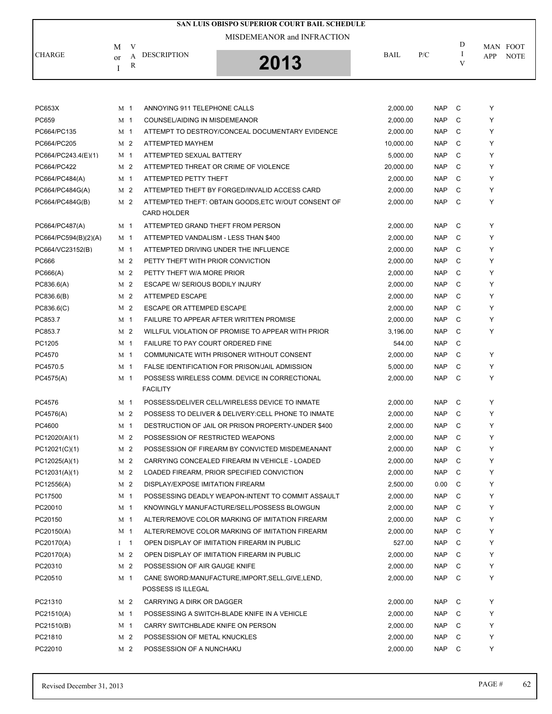|                      |                |                |                                       | SAN LUIS OBISPO SUPERIOR COURT BAIL SCHEDULE        |             |            |         |     |             |
|----------------------|----------------|----------------|---------------------------------------|-----------------------------------------------------|-------------|------------|---------|-----|-------------|
|                      |                |                |                                       | MISDEMEANOR and INFRACTION                          |             |            |         |     |             |
|                      | M              | V              | <b>DESCRIPTION</b>                    |                                                     |             |            | D<br>Ι. |     | MAN FOOT    |
| <b>CHARGE</b>        | <sub>or</sub>  | A<br>R         |                                       | 2013                                                | <b>BAIL</b> | P/C        | V       | APP | <b>NOTE</b> |
|                      | Ι              |                |                                       |                                                     |             |            |         |     |             |
|                      |                |                |                                       |                                                     |             |            |         |     |             |
|                      |                |                |                                       |                                                     |             |            |         |     |             |
| PC653X               | M 1            |                | ANNOYING 911 TELEPHONE CALLS          |                                                     | 2,000.00    | <b>NAP</b> | C       | Υ   |             |
| PC659                | M 1            |                | COUNSEL/AIDING IN MISDEMEANOR         |                                                     | 2,000.00    | <b>NAP</b> | C       | Y   |             |
| PC664/PC135          | M 1            |                |                                       | ATTEMPT TO DESTROY/CONCEAL DOCUMENTARY EVIDENCE     | 2,000.00    | <b>NAP</b> | C       | Y   |             |
| PC664/PC205          |                | M 2            | ATTEMPTED MAYHEM                      |                                                     | 10,000.00   | <b>NAP</b> | C       | Y   |             |
| PC664/PC243.4(E)(1)  |                | M 1            | ATTEMPTED SEXUAL BATTERY              |                                                     | 5,000.00    | <b>NAP</b> | C       | Y   |             |
| PC664/PC422          |                | M 2            |                                       | ATTEMPTED THREAT OR CRIME OF VIOLENCE               | 20,000.00   | <b>NAP</b> | C       | Y   |             |
| PC664/PC484(A)       | M 1            |                | ATTEMPTED PETTY THEFT                 |                                                     | 2,000.00    | <b>NAP</b> | C       | Y   |             |
| PC664/PC484G(A)      |                | M 2            |                                       | ATTEMPTED THEFT BY FORGED/INVALID ACCESS CARD       | 2,000.00    | <b>NAP</b> | C       | Y   |             |
| PC664/PC484G(B)      |                | M <sub>2</sub> | <b>CARD HOLDER</b>                    | ATTEMPTED THEFT: OBTAIN GOODS, ETC W/OUT CONSENT OF | 2,000.00    | <b>NAP</b> | C       | Y   |             |
| PC664/PC487(A)       | M 1            |                | ATTEMPTED GRAND THEFT FROM PERSON     |                                                     | 2,000.00    | <b>NAP</b> | C       | Y   |             |
| PC664/PC594(B)(2)(A) | M 1            |                | ATTEMPTED VANDALISM - LESS THAN \$400 |                                                     | 2,000.00    | <b>NAP</b> | C       | Y   |             |
| PC664/VC23152(B)     | M 1            |                |                                       | ATTEMPTED DRIVING UNDER THE INFLUENCE               | 2,000.00    | <b>NAP</b> | C       | Υ   |             |
| PC666                |                | M 2            | PETTY THEFT WITH PRIOR CONVICTION     |                                                     | 2,000.00    | <b>NAP</b> | C       | Y   |             |
| PC666(A)             |                | M <sub>2</sub> | PETTY THEFT W/A MORE PRIOR            |                                                     | 2,000.00    | <b>NAP</b> | C       | Y   |             |
| PC836.6(A)           |                | M 2            | ESCAPE W/ SERIOUS BODILY INJURY       |                                                     | 2,000.00    | <b>NAP</b> | C       | Y   |             |
| PC836.6(B)           |                | M 2            | ATTEMPED ESCAPE                       |                                                     | 2,000.00    | <b>NAP</b> | C       | Y   |             |
| PC836.6(C)           |                | M 2            | ESCAPE OR ATTEMPED ESCAPE             |                                                     | 2,000.00    | <b>NAP</b> | C       | Y   |             |
| PC853.7              |                | M <sub>1</sub> |                                       | FAILURE TO APPEAR AFTER WRITTEN PROMISE             | 2,000.00    | <b>NAP</b> | C       | Y   |             |
| PC853.7              |                | M 2            |                                       | WILLFUL VIOLATION OF PROMISE TO APPEAR WITH PRIOR   | 3,196.00    | <b>NAP</b> | C       | Υ   |             |
| PC1205               | M 1            |                | FAILURE TO PAY COURT ORDERED FINE     |                                                     | 544.00      | <b>NAP</b> | C       |     |             |
| PC4570               |                | M 1            |                                       | COMMUNICATE WITH PRISONER WITHOUT CONSENT           | 2,000.00    | <b>NAP</b> | C       | Υ   |             |
| PC4570.5             | M 1            |                |                                       | FALSE IDENTIFICATION FOR PRISON/JAIL ADMISSION      | 5,000.00    | <b>NAP</b> | C       | Y   |             |
| PC4575(A)            | M 1            |                |                                       | POSSESS WIRELESS COMM. DEVICE IN CORRECTIONAL       | 2.000.00    | <b>NAP</b> | C       | Y   |             |
|                      |                |                | <b>FACILITY</b>                       |                                                     |             |            |         |     |             |
| PC4576               | M 1            |                |                                       | POSSESS/DELIVER CELL/WIRELESS DEVICE TO INMATE      | 2,000.00    | <b>NAP</b> | C       | Υ   |             |
| PC4576(A)            |                | M 2            |                                       | POSSESS TO DELIVER & DELIVERY: CELL PHONE TO INMATE | 2.000.00    | <b>NAP</b> | C       | Υ   |             |
| PC4600               |                | M 1            |                                       | DESTRUCTION OF JAIL OR PRISON PROPERTY-UNDER \$400  | 2,000.00    | NAP C      |         | Y   |             |
| PC12020(A)(1)        |                | M <sub>2</sub> | POSSESSION OF RESTRICTED WEAPONS      |                                                     | 2,000.00    | <b>NAP</b> | C       | Υ   |             |
| PC12021(C)(1)        |                | M 2            |                                       | POSSESSION OF FIREARM BY CONVICTED MISDEMEANANT     | 2,000.00    | <b>NAP</b> | C       | Υ   |             |
| PC12025(A)(1)        |                | M 2            |                                       | CARRYING CONCEALED FIREARM IN VEHICLE - LOADED      | 2,000.00    | <b>NAP</b> | C       | Υ   |             |
| PC12031(A)(1)        |                | M 2            |                                       | LOADED FIREARM, PRIOR SPECIFIED CONVICTION          | 2,000.00    | <b>NAP</b> | C       | Υ   |             |
| PC12556(A)           |                | M 2            | DISPLAY/EXPOSE IMITATION FIREARM      |                                                     | 2,500.00    | 0.00       | C       | Y   |             |
| PC17500              |                | M 1            |                                       | POSSESSING DEADLY WEAPON-INTENT TO COMMIT ASSAULT   | 2,000.00    | <b>NAP</b> | C       | Υ   |             |
| PC20010              | M <sub>1</sub> |                |                                       | KNOWINGLY MANUFACTURE/SELL/POSSESS BLOWGUN          | 2,000.00    | <b>NAP</b> | C       | Υ   |             |
| PC20150              | M 1            |                |                                       | ALTER/REMOVE COLOR MARKING OF IMITATION FIREARM     | 2,000.00    | <b>NAP</b> | C       | Y   |             |
| PC20150(A)           |                | M <sub>1</sub> |                                       | ALTER/REMOVE COLOR MARKING OF IMITATION FIREARM     | 2,000.00    | NAP.       | C       | Υ   |             |
| PC20170(A)           | $I \quad 1$    |                |                                       | OPEN DISPLAY OF IMITATION FIREARM IN PUBLIC         | 527.00      | <b>NAP</b> | C       | Υ   |             |
| PC20170(A)           |                | M 2            |                                       | OPEN DISPLAY OF IMITATION FIREARM IN PUBLIC         | 2,000.00    | <b>NAP</b> | C       | Υ   |             |
| PC20310              |                | M 2            | POSSESSION OF AIR GAUGE KNIFE         |                                                     | 2,000.00    | <b>NAP</b> | C       | Υ   |             |
| PC20510              |                | M 1            |                                       | CANE SWORD:MANUFACTURE, IMPORT, SELL, GIVE, LEND,   | 2,000.00    | NAP.       | C       | Υ   |             |
|                      |                |                | POSSESS IS ILLEGAL                    |                                                     |             |            |         |     |             |
| PC21310              |                | M 2            | CARRYING A DIRK OR DAGGER             |                                                     | 2,000.00    | NAP        | C       | Υ   |             |
| PC21510(A)           |                | M 1            |                                       | POSSESSING A SWITCH-BLADE KNIFE IN A VEHICLE        | 2,000.00    | <b>NAP</b> | C       | Υ   |             |
| PC21510(B)           |                | M 1            | CARRY SWITCHBLADE KNIFE ON PERSON     |                                                     | 2,000.00    | <b>NAP</b> | C       | Y   |             |
| PC21810              |                | M 2            | POSSESSION OF METAL KNUCKLES          |                                                     | 2,000.00    | <b>NAP</b> | C       | Υ   |             |
| PC22010              |                | M 2            | POSSESSION OF A NUNCHAKU              |                                                     | 2,000.00    | NAP        | C       | Υ   |             |
|                      |                |                |                                       |                                                     |             |            |         |     |             |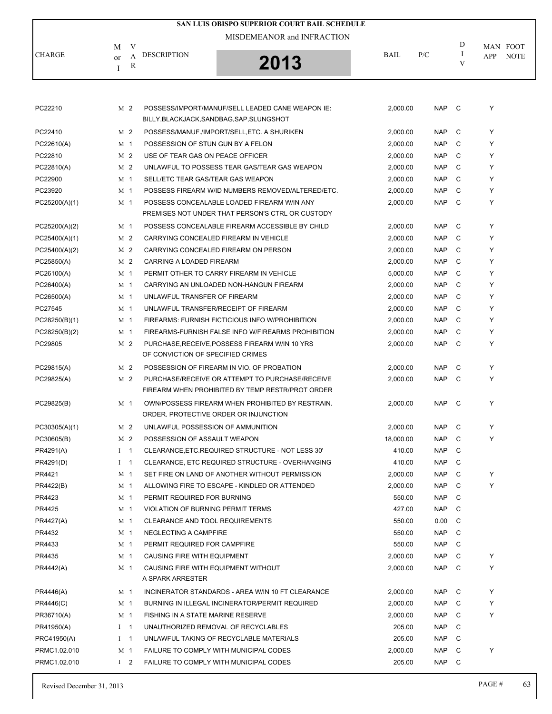| SAN LUIS OBISPO SUPERIOR COURT BAIL SCHEDULE |                |            |                                           |                                                                                                     |           |            |        |                    |  |  |  |
|----------------------------------------------|----------------|------------|-------------------------------------------|-----------------------------------------------------------------------------------------------------|-----------|------------|--------|--------------------|--|--|--|
|                                              |                |            |                                           | MISDEMEANOR and INFRACTION                                                                          |           |            |        |                    |  |  |  |
|                                              | M              | V          |                                           |                                                                                                     |           |            | D      | MAN FOOT           |  |  |  |
| CHARGE                                       | or             | А          | <b>DESCRIPTION</b>                        | 2013                                                                                                | BAIL      | P/C        | I<br>V | <b>NOTE</b><br>APP |  |  |  |
|                                              |                | R          |                                           |                                                                                                     |           |            |        |                    |  |  |  |
|                                              |                |            |                                           |                                                                                                     |           |            |        |                    |  |  |  |
|                                              |                |            |                                           |                                                                                                     |           |            |        |                    |  |  |  |
| PC22210                                      | M <sub>2</sub> |            |                                           | POSSESS/IMPORT/MANUF/SELL LEADED CANE WEAPON IE:                                                    | 2,000.00  | <b>NAP</b> | - C    | Υ                  |  |  |  |
|                                              |                |            | BILLY, BLACKJACK, SANDBAG, SAP, SLUNGSHOT |                                                                                                     |           |            |        |                    |  |  |  |
| PC22410                                      | M <sub>2</sub> |            |                                           | POSSESS/MANUF./IMPORT/SELL, ETC. A SHURIKEN                                                         | 2,000.00  | <b>NAP</b> | C      | Y                  |  |  |  |
| PC22610(A)                                   | M 1            |            | POSSESSION OF STUN GUN BY A FELON         |                                                                                                     | 2,000.00  | <b>NAP</b> | C      | Y                  |  |  |  |
| PC22810                                      | M <sub>2</sub> |            | USE OF TEAR GAS ON PEACE OFFICER          |                                                                                                     | 2,000.00  | <b>NAP</b> | C      | Y                  |  |  |  |
| PC22810(A)                                   | M <sub>2</sub> |            |                                           | UNLAWFUL TO POSSESS TEAR GAS/TEAR GAS WEAPON                                                        | 2,000.00  | <b>NAP</b> | C      | Y                  |  |  |  |
| PC22900                                      | M <sub>1</sub> |            | SELL/ETC TEAR GAS/TEAR GAS WEAPON         |                                                                                                     | 2,000.00  | <b>NAP</b> | C      | Y                  |  |  |  |
| PC23920                                      | M 1            |            |                                           | POSSESS FIREARM W/ID NUMBERS REMOVED/ALTERED/ETC.                                                   | 2,000.00  | <b>NAP</b> | C      | Y                  |  |  |  |
| PC25200(A)(1)                                | M <sub>1</sub> |            |                                           | POSSESS CONCEALABLE LOADED FIREARM W/IN ANY                                                         | 2,000.00  | <b>NAP</b> | C      | Y                  |  |  |  |
|                                              |                |            |                                           | PREMISES NOT UNDER THAT PERSON'S CTRL OR CUSTODY                                                    |           |            |        |                    |  |  |  |
| PC25200(A)(2)                                | M 1            |            |                                           | POSSESS CONCEALABLE FIREARM ACCESSIBLE BY CHILD                                                     | 2,000.00  | <b>NAP</b> | C      | Y                  |  |  |  |
| PC25400(A)(1)                                | M <sub>2</sub> |            |                                           | CARRYING CONCEALED FIREARM IN VEHICLE                                                               | 2,000.00  | <b>NAP</b> | C      | Y                  |  |  |  |
| PC25400(A)(2)                                | M <sub>2</sub> |            |                                           | CARRYING CONCEALED FIREARM ON PERSON                                                                | 2,000.00  | <b>NAP</b> | C      | Y                  |  |  |  |
| PC25850(A)                                   | M <sub>2</sub> |            | CARRING A LOADED FIREARM                  |                                                                                                     | 2,000.00  | <b>NAP</b> | C      | Y                  |  |  |  |
| PC26100(A)                                   | M 1            |            |                                           | PERMIT OTHER TO CARRY FIREARM IN VEHICLE                                                            | 5,000.00  | <b>NAP</b> | C      | Y                  |  |  |  |
| PC26400(A)                                   | M <sub>1</sub> |            |                                           | CARRYING AN UNLOADED NON-HANGUN FIREARM                                                             | 2,000.00  | <b>NAP</b> | C      | Y                  |  |  |  |
| PC26500(A)                                   | M 1            |            | UNLAWFUL TRANSFER OF FIREARM              |                                                                                                     | 2,000.00  | <b>NAP</b> | C      | Y                  |  |  |  |
| PC27545                                      | M 1            |            | UNLAWFUL TRANSFER/RECEIPT OF FIREARM      |                                                                                                     | 2,000.00  | <b>NAP</b> | C      | Y                  |  |  |  |
| PC28250(B)(1)                                | M <sub>1</sub> |            |                                           | FIREARMS: FURNISH FICTICIOUS INFO W/PROHIBITION                                                     | 2,000.00  | <b>NAP</b> | C      | Y                  |  |  |  |
| PC28250(B)(2)                                | M <sub>1</sub> |            |                                           | FIREARMS-FURNISH FALSE INFO W/FIREARMS PROHIBITION                                                  | 2,000.00  | <b>NAP</b> | C      | Y                  |  |  |  |
| PC29805                                      | M 2            |            |                                           | PURCHASE, RECEIVE, POSSESS FIREARM W/IN 10 YRS                                                      | 2,000.00  | <b>NAP</b> | C      | Y                  |  |  |  |
|                                              |                |            | OF CONVICTION OF SPECIFIED CRIMES         |                                                                                                     |           |            |        |                    |  |  |  |
| PC29815(A)                                   | M <sub>2</sub> |            |                                           | POSSESSION OF FIREARM IN VIO. OF PROBATION                                                          | 2,000.00  | <b>NAP</b> | C      | Y                  |  |  |  |
| PC29825(A)                                   | M <sub>2</sub> |            |                                           | PURCHASE/RECEIVE OR ATTEMPT TO PURCHASE/RECEIVE<br>FIREARM WHEN PROHIBITED BY TEMP RESTR/PROT ORDER | 2,000.00  | <b>NAP</b> | C      | Y                  |  |  |  |
| PC29825(B)                                   | M 1            |            |                                           | OWN/POSSESS FIREARM WHEN PROHIBITED BY RESTRAIN.                                                    | 2,000.00  | <b>NAP</b> | - C    | Y                  |  |  |  |
|                                              |                |            | ORDER, PROTECTIVE ORDER OR INJUNCTION     |                                                                                                     |           |            |        |                    |  |  |  |
| PC30305(A)(1)                                | M <sub>2</sub> |            | UNLAWFUL POSSESSION OF AMMUNITION         |                                                                                                     | 2,000.00  | <b>NAP</b> | - C    | Y                  |  |  |  |
| PC30605(B)                                   | M <sub>2</sub> |            | POSSESSION OF ASSAULT WEAPON              |                                                                                                     | 18,000.00 | NAP        | C      | Y                  |  |  |  |
| PR4291(A)                                    | $I \quad 1$    |            |                                           | CLEARANCE, ETC. REQUIRED STRUCTURE - NOT LESS 30'                                                   | 410.00    | NAP        | C      |                    |  |  |  |
| PR4291(D)                                    | $I \quad 1$    |            |                                           | CLEARANCE. ETC REQUIRED STRUCTURE - OVERHANGING                                                     | 410.00    | NAP        | C      |                    |  |  |  |
| PR4421                                       | M 1            |            |                                           | SET FIRE ON LAND OF ANOTHER WITHOUT PERMISSION                                                      | 2,000.00  | NAP        | C      | Y                  |  |  |  |
| PR4422(B)                                    | M 1            |            |                                           | ALLOWING FIRE TO ESCAPE - KINDLED OR ATTENDED                                                       | 2,000.00  | NAP        | C      | Y                  |  |  |  |
| PR4423                                       | M 1            |            | PERMIT REQUIRED FOR BURNING               |                                                                                                     | 550.00    | NAP        | C      |                    |  |  |  |
| PR4425                                       | M 1            |            | <b>VIOLATION OF BURNING PERMIT TERMS</b>  |                                                                                                     | 427.00    | NAP        | C      |                    |  |  |  |
| PR4427(A)                                    | M <sub>1</sub> |            | CLEARANCE AND TOOL REQUIREMENTS           |                                                                                                     | 550.00    | 0.00       | C      |                    |  |  |  |
| PR4432                                       | M 1            |            | NEGLECTING A CAMPFIRE                     |                                                                                                     | 550.00    | NAP        | C      |                    |  |  |  |
| PR4433                                       | M 1            |            | PERMIT REQUIRED FOR CAMPFIRE              |                                                                                                     | 550.00    | NAP        | C      |                    |  |  |  |
| PR4435                                       | M 1            |            | CAUSING FIRE WITH EQUIPMENT               |                                                                                                     | 2,000.00  | NAP        | C      | Y                  |  |  |  |
| PR4442(A)                                    | M 1            |            | CAUSING FIRE WITH EQUIPMENT WITHOUT       |                                                                                                     | 2,000.00  | NAP        | - C    | Y                  |  |  |  |
|                                              |                |            | A SPARK ARRESTER                          |                                                                                                     |           |            |        |                    |  |  |  |
| PR4446(A)                                    | M 1            |            |                                           | INCINERATOR STANDARDS - AREA W/IN 10 FT CLEARANCE                                                   | 2,000.00  | NAP        | C      | Y                  |  |  |  |
| PR4446(C)                                    | M 1            |            |                                           | BURNING IN ILLEGAL INCINERATOR/PERMIT REQUIRED                                                      | 2,000.00  | NAP        | C      | Y                  |  |  |  |
| PR36710(A)                                   | M 1            |            | FISHING IN A STATE MARINE RESERVE         |                                                                                                     | 2,000.00  | NAP        | C      | Y                  |  |  |  |
| PR41950(A)                                   | $1 \quad 1$    |            |                                           | UNAUTHORIZED REMOVAL OF RECYCLABLES                                                                 | 205.00    | NAP        | C      |                    |  |  |  |
| PRC41950(A)                                  | $I \quad 1$    |            |                                           | UNLAWFUL TAKING OF RECYCLABLE MATERIALS                                                             | 205.00    | NAP        | C      |                    |  |  |  |
| PRMC1.02.010                                 | M 1            |            |                                           | FAILURE TO COMPLY WITH MUNICIPAL CODES                                                              | 2,000.00  | <b>NAP</b> | C      | Y                  |  |  |  |
| PRMC1.02.010                                 |                | $1\quad 2$ |                                           | FAILURE TO COMPLY WITH MUNICIPAL CODES                                                              | 205.00    | NAP        | C      |                    |  |  |  |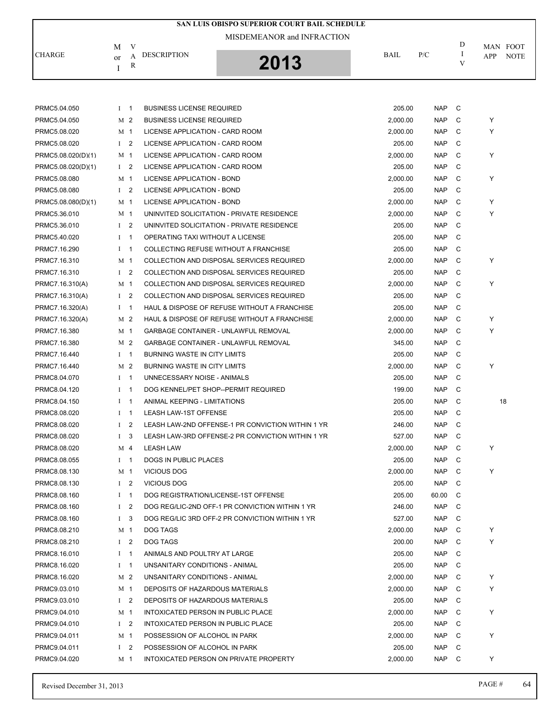|                    | MISDEMEANOR and INFRACTION |             |                                                   |             |            |             |                                |  |  |  |
|--------------------|----------------------------|-------------|---------------------------------------------------|-------------|------------|-------------|--------------------------------|--|--|--|
| <b>CHARGE</b>      | М<br>or<br>Ι               | V<br>A<br>R | <b>DESCRIPTION</b><br>2013                        | <b>BAIL</b> | P/C        | D<br>Ι<br>V | MAN FOOT<br>APP<br><b>NOTE</b> |  |  |  |
|                    |                            |             |                                                   |             |            |             |                                |  |  |  |
| PRMC5.04.050       | $I \quad 1$                |             | <b>BUSINESS LICENSE REQUIRED</b>                  | 205.00      | <b>NAP</b> | C           |                                |  |  |  |
| PRMC5.04.050       | M <sub>2</sub>             |             | <b>BUSINESS LICENSE REQUIRED</b>                  | 2,000.00    | <b>NAP</b> | C           | Υ                              |  |  |  |
| PRMC5.08.020       | M 1                        |             | LICENSE APPLICATION - CARD ROOM                   | 2,000.00    | <b>NAP</b> | C           | Υ                              |  |  |  |
| PRMC5.08.020       | $1\quad 2$                 |             | LICENSE APPLICATION - CARD ROOM                   | 205.00      | <b>NAP</b> | С           |                                |  |  |  |
| PRMC5.08.020(D)(1) | M 1                        |             | LICENSE APPLICATION - CARD ROOM                   | 2,000.00    | <b>NAP</b> | C           | Y                              |  |  |  |
| PRMC5.08.020(D)(1) | $1 \quad 2$                |             | LICENSE APPLICATION - CARD ROOM                   | 205.00      | <b>NAP</b> | C           |                                |  |  |  |
| PRMC5.08.080       | M 1                        |             | LICENSE APPLICATION - BOND                        | 2,000.00    | <b>NAP</b> | C           | Υ                              |  |  |  |
| PRMC5.08.080       | $1\quad 2$                 |             | LICENSE APPLICATION - BOND                        | 205.00      | <b>NAP</b> | C           |                                |  |  |  |
| PRMC5.08.080(D)(1) | M 1                        |             | LICENSE APPLICATION - BOND                        | 2,000.00    | <b>NAP</b> | C           | Υ                              |  |  |  |
| PRMC5.36.010       | M 1                        |             | UNINVITED SOLICITATION - PRIVATE RESIDENCE        | 2,000.00    | <b>NAP</b> | С           | Υ                              |  |  |  |
| PRMC5.36.010       | $1 \quad 2$                |             | UNINVITED SOLICITATION - PRIVATE RESIDENCE        | 205.00      | <b>NAP</b> | C           |                                |  |  |  |
| PRMC5.40.020       | $1 \quad 1$                |             | OPERATING TAXI WITHOUT A LICENSE                  | 205.00      | <b>NAP</b> | C           |                                |  |  |  |
| PRMC7.16.290       | $1 \quad 1$                |             | COLLECTING REFUSE WITHOUT A FRANCHISE             | 205.00      | <b>NAP</b> | C           |                                |  |  |  |
| PRMC7.16.310       | M 1                        |             | <b>COLLECTION AND DISPOSAL SERVICES REQUIRED</b>  | 2,000.00    | <b>NAP</b> | C           | Y                              |  |  |  |
| PRMC7.16.310       | $1\quad 2$                 |             | COLLECTION AND DISPOSAL SERVICES REQUIRED         | 205.00      | <b>NAP</b> | C           |                                |  |  |  |
| PRMC7.16.310(A)    | M 1                        |             | COLLECTION AND DISPOSAL SERVICES REQUIRED         | 2,000.00    | <b>NAP</b> | С           | Υ                              |  |  |  |
| PRMC7.16.310(A)    | $1 \quad 2$                |             | COLLECTION AND DISPOSAL SERVICES REQUIRED         | 205.00      | <b>NAP</b> | C           |                                |  |  |  |
| PRMC7.16.320(A)    | $1 \quad 1$                |             | HAUL & DISPOSE OF REFUSE WITHOUT A FRANCHISE      | 205.00      | <b>NAP</b> | C           |                                |  |  |  |
| PRMC7.16.320(A)    | M 2                        |             | HAUL & DISPOSE OF REFUSE WITHOUT A FRANCHISE      | 2,000.00    | <b>NAP</b> | С           | Υ                              |  |  |  |
| PRMC7.16.380       | M 1                        |             | <b>GARBAGE CONTAINER - UNLAWFUL REMOVAL</b>       | 2,000.00    | <b>NAP</b> | C           | Y                              |  |  |  |
| PRMC7.16.380       | M <sub>2</sub>             |             | <b>GARBAGE CONTAINER - UNLAWFUL REMOVAL</b>       | 345.00      | <b>NAP</b> | C           |                                |  |  |  |
| PRMC7.16.440       | $I \quad 1$                |             | <b>BURNING WASTE IN CITY LIMITS</b>               | 205.00      | <b>NAP</b> | С           |                                |  |  |  |
| PRMC7.16.440       | M 2                        |             | <b>BURNING WASTE IN CITY LIMITS</b>               | 2,000.00    | <b>NAP</b> | C           | Υ                              |  |  |  |
| PRMC8.04.070       | $1 \quad 1$                |             | UNNECESSARY NOISE - ANIMALS                       | 205.00      | <b>NAP</b> | C           |                                |  |  |  |
| PRMC8.04.120       | $I \quad 1$                |             | DOG KENNEL/PET SHOP--PERMIT REQUIRED              | 199.00      | <b>NAP</b> | С           |                                |  |  |  |
| PRMC8.04.150       | $I \quad 1$                |             | ANIMAL KEEPING - LIMITATIONS                      | 205.00      | <b>NAP</b> | C           | 18                             |  |  |  |
| PRMC8.08.020       | $1 \quad 1$                |             | <b>LEASH LAW-1ST OFFENSE</b>                      | 205.00      | <b>NAP</b> | C           |                                |  |  |  |
| PRMC8.08.020       | $1\quad 2$                 |             | LEASH LAW-2ND OFFENSE-1 PR CONVICTION WITHIN 1 YR | 246.00      | <b>NAP</b> | C           |                                |  |  |  |
| PRMC8.08.020       | $1 \quad 3$                |             | LEASH LAW-3RD OFFENSE-2 PR CONVICTION WITHIN 1 YR | 527.00      | <b>NAP</b> | C           |                                |  |  |  |
| PRMC8.08.020       | M 4                        |             | <b>LEASH LAW</b>                                  | 2,000.00    | <b>NAP</b> | С           | Υ                              |  |  |  |
| PRMC8.08.055       | $I \quad 1$                |             | DOGS IN PUBLIC PLACES                             | 205.00      | <b>NAP</b> | С           |                                |  |  |  |
| PRMC8.08.130       | M 1                        |             | <b>VICIOUS DOG</b>                                | 2,000.00    | <b>NAP</b> | С           | Y                              |  |  |  |
| PRMC8.08.130       | I <sub>2</sub>             |             | VICIOUS DOG                                       | 205.00      | <b>NAP</b> | C           |                                |  |  |  |
| PRMC8.08.160       | $I \quad 1$                |             | DOG REGISTRATION/LICENSE-1ST OFFENSE              | 205.00      | 60.00      | C           |                                |  |  |  |
| PRMC8.08.160       |                            | $1\quad 2$  | DOG REG/LIC-2ND OFF-1 PR CONVICTION WITHIN 1 YR   | 246.00      | <b>NAP</b> | C           |                                |  |  |  |
| PRMC8.08.160       | $1 \quad 3$                |             | DOG REG/LIC 3RD OFF-2 PR CONVICTION WITHIN 1 YR   | 527.00      | <b>NAP</b> | C           |                                |  |  |  |
| PRMC8.08.210       | M 1                        |             | DOG TAGS                                          | 2,000.00    | <b>NAP</b> | С           | Υ                              |  |  |  |
| PRMC8.08.210       | $1 \quad 2$                |             | <b>DOG TAGS</b>                                   | 200.00      | NAP.       | C           | Y                              |  |  |  |
| PRMC8.16.010       | $I \quad 1$                |             | ANIMALS AND POULTRY AT LARGE                      | 205.00      | <b>NAP</b> | С           |                                |  |  |  |
| PRMC8.16.020       | $I \quad 1$                |             | UNSANITARY CONDITIONS - ANIMAL                    | 205.00      | <b>NAP</b> | С           |                                |  |  |  |
| PRMC8.16.020       |                            | M 2         | UNSANITARY CONDITIONS - ANIMAL                    | 2,000.00    | <b>NAP</b> | C           | Υ                              |  |  |  |
| PRMC9.03.010       | M 1                        |             | DEPOSITS OF HAZARDOUS MATERIALS                   | 2,000.00    | <b>NAP</b> | С           | Y                              |  |  |  |
| PRMC9.03.010       | $1 \quad 2$                |             | DEPOSITS OF HAZARDOUS MATERIALS                   | 205.00      | <b>NAP</b> | С           |                                |  |  |  |
| PRMC9.04.010       | M 1                        |             | INTOXICATED PERSON IN PUBLIC PLACE                | 2,000.00    | NAP        | С           | Y                              |  |  |  |
| PRMC9.04.010       | $1 \quad 2$                |             | INTOXICATED PERSON IN PUBLIC PLACE                | 205.00      | <b>NAP</b> | С           |                                |  |  |  |
| PRMC9.04.011       | M <sub>1</sub>             |             | POSSESSION OF ALCOHOL IN PARK                     | 2,000.00    | <b>NAP</b> | С           | Υ                              |  |  |  |
| PRMC9.04.011       |                            | $1\quad 2$  | POSSESSION OF ALCOHOL IN PARK                     | 205.00      | <b>NAP</b> | С           |                                |  |  |  |
| PRMC9.04.020       | M 1                        |             | INTOXICATED PERSON ON PRIVATE PROPERTY            | 2,000.00    | NAP        | C           | Υ                              |  |  |  |

**SAN LUIS OBISPO SUPERIOR COURT BAIL SCHEDULE**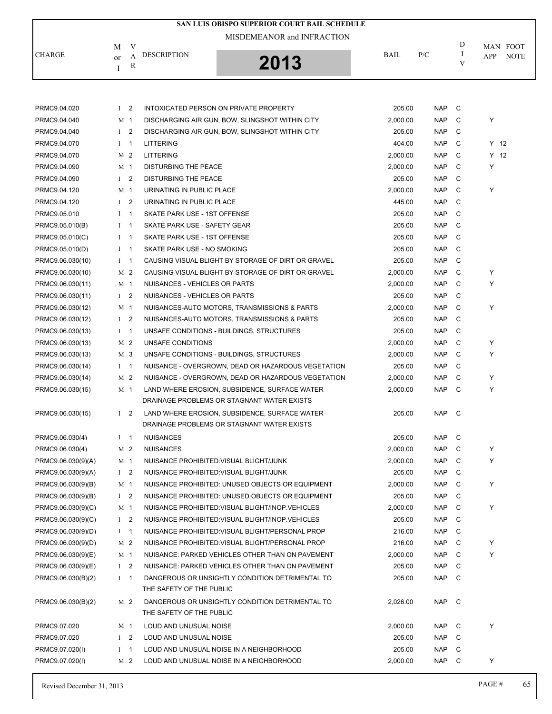|               |                                              | SAN LUIS OBISPO SUPERIOR COURT BAIL SCHEDULE<br>MISDEMEANOR and INFRACTION |             |     |        |                                       |
|---------------|----------------------------------------------|----------------------------------------------------------------------------|-------------|-----|--------|---------------------------------------|
| <b>CHARGE</b> | V<br>М<br><b>DESCRIPTION</b><br>А<br>or<br>R | 2013                                                                       | <b>BAIL</b> | P/C | D<br>V | MAN FOOT<br><b>NOTE</b><br><b>APP</b> |
|               |                                              |                                                                            |             |     |        |                                       |

| PRMC9.04.020       | $1 \quad 2$    |                | INTOXICATED PERSON ON PRIVATE PROPERTY             | 205.00   | <b>NAP</b> | C              |   |        |
|--------------------|----------------|----------------|----------------------------------------------------|----------|------------|----------------|---|--------|
| PRMC9.04.040       | M <sub>1</sub> |                | DISCHARGING AIR GUN, BOW, SLINGSHOT WITHIN CITY    | 2,000.00 | <b>NAP</b> | C              | Y |        |
| PRMC9.04.040       | I <sub>2</sub> |                | DISCHARGING AIR GUN, BOW, SLINGSHOT WITHIN CITY    | 205.00   | <b>NAP</b> | C              |   |        |
| PRMC9.04.070       | $I \quad 1$    |                | <b>LITTERING</b>                                   | 404.00   | <b>NAP</b> | C              |   | $Y$ 12 |
| PRMC9.04.070       |                | M 2            | <b>LITTERING</b>                                   | 2,000.00 | <b>NAP</b> | C              |   | $Y$ 12 |
| PRMC9.04.090       | M <sub>1</sub> |                | <b>DISTURBING THE PEACE</b>                        | 2,000.00 | <b>NAP</b> | C              | Y |        |
| PRMC9.04.090       | I <sub>2</sub> |                | DISTURBING THE PEACE                               | 205.00   | <b>NAP</b> | C              |   |        |
| PRMC9.04.120       | M 1            |                | URINATING IN PUBLIC PLACE                          | 2,000.00 | <b>NAP</b> | C              | Y |        |
| PRMC9.04.120       | I <sub>2</sub> |                | URINATING IN PUBLIC PLACE                          | 445.00   | <b>NAP</b> | C              |   |        |
| PRMC9.05.010       | $\bf{I}$       | $\mathbf{1}$   | SKATE PARK USE - 1ST OFFENSE                       | 205.00   | <b>NAP</b> | C              |   |        |
| PRMC9.05.010(B)    | $\bf{I}$       | $\mathbf{1}$   | SKATE PARK USE - SAFETY GEAR                       | 205.00   | <b>NAP</b> | C              |   |        |
| PRMC9.05.010(C)    | $\mathbf{I}$   | $\overline{1}$ | SKATE PARK USE - 1ST OFFENSE                       | 205.00   | <b>NAP</b> | C              |   |        |
| PRMC9.05.010(D)    | $\bf{I}$       | $\overline{1}$ | SKATE PARK USE - NO SMOKING                        | 205.00   | <b>NAP</b> | C              |   |        |
| PRMC9.06.030(10)   | $I \quad 1$    |                | CAUSING VISUAL BLIGHT BY STORAGE OF DIRT OR GRAVEL | 205.00   | <b>NAP</b> | C              |   |        |
| PRMC9.06.030(10)   | M <sub>2</sub> |                | CAUSING VISUAL BLIGHT BY STORAGE OF DIRT OR GRAVEL | 2,000.00 | <b>NAP</b> | C              | Y |        |
| PRMC9.06.030(11)   | M 1            |                | NUISANCES - VEHICLES OR PARTS                      | 2,000.00 | <b>NAP</b> | C              | Y |        |
| PRMC9.06.030(11)   | $\mathbf{I}$   | 2              | NUISANCES - VEHICLES OR PARTS                      | 205.00   | <b>NAP</b> | C              |   |        |
| PRMC9.06.030(12)   | M 1            |                | NUISANCES-AUTO MOTORS, TRANSMISSIONS & PARTS       | 2,000.00 | <b>NAP</b> | C              | Y |        |
| PRMC9.06.030(12)   | $\mathbf{I}$   | $\overline{2}$ | NUISANCES-AUTO MOTORS, TRANSMISSIONS & PARTS       | 205.00   | <b>NAP</b> | C              |   |        |
| PRMC9.06.030(13)   | $I \quad 1$    |                | UNSAFE CONDITIONS - BUILDINGS, STRUCTURES          | 205.00   | <b>NAP</b> | C              |   |        |
| PRMC9.06.030(13)   |                | M <sub>2</sub> | UNSAFE CONDITIONS                                  | 2,000.00 | <b>NAP</b> | C              | Y |        |
| PRMC9.06.030(13)   |                | M 3            | UNSAFE CONDITIONS - BUILDINGS, STRUCTURES          | 2,000.00 | <b>NAP</b> | C              | Y |        |
| PRMC9.06.030(14)   | $I \quad 1$    |                | NUISANCE - OVERGROWN, DEAD OR HAZARDOUS VEGETATION | 205.00   | <b>NAP</b> | C              |   |        |
| PRMC9.06.030(14)   |                | M 2            | NUISANCE - OVERGROWN, DEAD OR HAZARDOUS VEGETATION | 2,000.00 | <b>NAP</b> | C              | Y |        |
| PRMC9.06.030(15)   | M 1            |                | LAND WHERE EROSION, SUBSIDENCE, SURFACE WATER      | 2,000.00 | <b>NAP</b> | C              | Y |        |
|                    |                |                | DRAINAGE PROBLEMS OR STAGNANT WATER EXISTS         |          |            |                |   |        |
| PRMC9.06.030(15)   | I <sub>2</sub> |                | LAND WHERE EROSION, SUBSIDENCE, SURFACE WATER      | 205.00   | <b>NAP</b> | C <sub>c</sub> |   |        |
|                    |                |                | DRAINAGE PROBLEMS OR STAGNANT WATER EXISTS         |          |            |                |   |        |
| PRMC9.06.030(4)    | $1 \quad 1$    |                | <b>NUISANCES</b>                                   | 205.00   | <b>NAP</b> | C              |   |        |
| PRMC9.06.030(4)    | M 2            |                | <b>NUISANCES</b>                                   | 2,000.00 | <b>NAP</b> | C              | Y |        |
| PRMC9.06.030(9)(A) | M 1            |                | NUISANCE PROHIBITED: VISUAL BLIGHT/JUNK            | 2,000.00 | <b>NAP</b> | C              | Y |        |
| PRMC9.06.030(9)(A) | $1\quad 2$     |                | NUISANCE PROHIBITED: VISUAL BLIGHT/JUNK            | 205.00   | <b>NAP</b> | С              |   |        |
| PRMC9.06.030(9)(B) | M 1            |                | NUISANCE PROHIBITED: UNUSED OBJECTS OR EQUIPMENT   | 2,000.00 | <b>NAP</b> | C              | Y |        |
| PRMC9.06.030(9)(B) | $1 \quad 2$    |                | NUISANCE PROHIBITED: UNUSED OBJECTS OR EQUIPMENT   | 205.00   | NAP        | C              |   |        |
| PRMC9.06.030(9)(C) | M 1            |                | NUISANCE PROHIBITED: VISUAL BLIGHT/INOP. VEHICLES  | 2,000.00 | NAP C      |                |   |        |
| PRMC9.06.030(9)(C) | $1\quad 2$     |                | NUISANCE PROHIBITED: VISUAL BLIGHT/INOP. VEHICLES  | 205.00   | <b>NAP</b> | C              |   |        |
| PRMC9.06.030(9)(D) | $I \quad 1$    |                | NUISANCE PROHIBITED: VISUAL BLIGHT/PERSONAL PROP   | 216.00   | <b>NAP</b> | C              |   |        |
| PRMC9.06.030(9)(D) |                | M 2            | NUISANCE PROHIBITED: VISUAL BLIGHT/PERSONAL PROP   | 216.00   | NAP        | С              | Y |        |
| PRMC9.06.030(9)(E) |                | M 1            | NUISANCE: PARKED VEHICLES OTHER THAN ON PAVEMENT   | 2,000.00 | <b>NAP</b> | C              | Y |        |
| PRMC9.06.030(9)(E) | $\mathbf{I}$   | 2              | NUISANCE: PARKED VEHICLES OTHER THAN ON PAVEMENT   | 205.00   | <b>NAP</b> | C              |   |        |
| PRMC9.06.030(B)(2) | $1 \quad 1$    |                | DANGEROUS OR UNSIGHTLY CONDITION DETRIMENTAL TO    | 205.00   | <b>NAP</b> | C              |   |        |
|                    |                |                | THE SAFETY OF THE PUBLIC                           |          |            |                |   |        |
| PRMC9.06.030(B)(2) |                | M 2            | DANGEROUS OR UNSIGHTLY CONDITION DETRIMENTAL TO    | 2,026.00 | NAP        | C              |   |        |
|                    |                |                | THE SAFETY OF THE PUBLIC                           |          |            |                |   |        |
| PRMC9.07.020       | M 1            |                | LOUD AND UNUSUAL NOISE                             | 2,000.00 | <b>NAP</b> | C              | Y |        |
| PRMC9.07.020       | $\mathbf{I}$   | $\overline{2}$ | LOUD AND UNUSUAL NOISE                             | 205.00   | <b>NAP</b> | C              |   |        |
| PRMC9.07.020(I)    | $\bf{I}$       | $\mathbf{1}$   | LOUD AND UNUSUAL NOISE IN A NEIGHBORHOOD           | 205.00   | <b>NAP</b> | C              |   |        |
| PRMC9.07.020(I)    |                | M 2            | LOUD AND UNUSUAL NOISE IN A NEIGHBORHOOD           | 2,000.00 | <b>NAP</b> | C              | Y |        |
|                    |                |                |                                                    |          |            |                |   |        |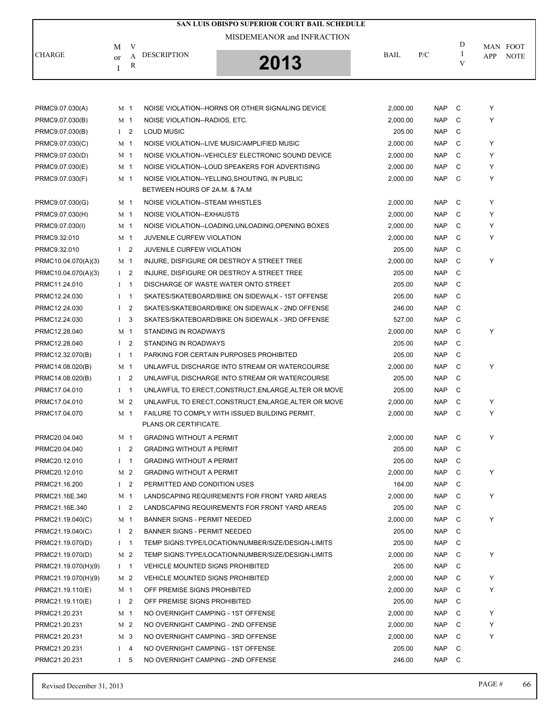|                     |                |            |                                         | SAN LUIS OBISPO SUPERIOR COURT BAIL SCHEDULE         |          |            |        |          |             |
|---------------------|----------------|------------|-----------------------------------------|------------------------------------------------------|----------|------------|--------|----------|-------------|
|                     |                |            |                                         | MISDEMEANOR and INFRACTION                           |          |            |        |          |             |
|                     | M              | V          |                                         |                                                      |          |            | D      | MAN FOOT |             |
| <b>CHARGE</b>       | or             | A          | <b>DESCRIPTION</b>                      | 2013                                                 | BAIL     | P/C        | Ι<br>V | APP      | <b>NOTE</b> |
|                     | Ι              | R          |                                         |                                                      |          |            |        |          |             |
|                     |                |            |                                         |                                                      |          |            |        |          |             |
|                     |                |            |                                         |                                                      |          |            |        |          |             |
| PRMC9.07.030(A)     | M <sub>1</sub> |            |                                         | NOISE VIOLATION--HORNS OR OTHER SIGNALING DEVICE     | 2,000.00 | <b>NAP</b> | C      | Υ        |             |
| PRMC9.07.030(B)     | M <sub>1</sub> |            | NOISE VIOLATION--RADIOS, ETC.           |                                                      | 2,000.00 | <b>NAP</b> | C      | Y        |             |
| PRMC9.07.030(B)     | $1 \quad 2$    |            | <b>LOUD MUSIC</b>                       |                                                      | 205.00   | <b>NAP</b> | C      |          |             |
| PRMC9.07.030(C)     | M <sub>1</sub> |            |                                         | NOISE VIOLATION--LIVE MUSIC/AMPLIFIED MUSIC          | 2,000.00 | <b>NAP</b> | C      | Υ        |             |
| PRMC9.07.030(D)     | M 1            |            |                                         | NOISE VIOLATION--VEHICLES' ELECTRONIC SOUND DEVICE   | 2,000.00 | <b>NAP</b> | C      | Υ        |             |
| PRMC9.07.030(E)     | M 1            |            |                                         | NOISE VIOLATION--LOUD SPEAKERS FOR ADVERTISING       | 2,000.00 | <b>NAP</b> | C      | Υ        |             |
| PRMC9.07.030(F)     | M 1            |            |                                         | NOISE VIOLATION--YELLING, SHOUTING, IN PUBLIC        | 2,000.00 | <b>NAP</b> | C      | Y        |             |
|                     |                |            | BETWEEN HOURS OF 2A.M. & 7A.M           |                                                      |          |            |        |          |             |
| PRMC9.07.030(G)     | M 1            |            | NOISE VIOLATION--STEAM WHISTLES         |                                                      | 2,000.00 | <b>NAP</b> | C      | Υ        |             |
| PRMC9.07.030(H)     | M 1            |            | NOISE VIOLATION--EXHAUSTS               |                                                      | 2,000.00 | <b>NAP</b> | C      | Y        |             |
| PRMC9.07.030(I)     | M 1            |            |                                         | NOISE VIOLATION--LOADING, UNLOADING, OPENING BOXES   | 2,000.00 | <b>NAP</b> | C      | Υ        |             |
| PRMC9.32.010        | M 1            |            | <b>JUVENILE CURFEW VIOLATION</b>        |                                                      | 2,000.00 | <b>NAP</b> | C      | Y        |             |
| PRMC9.32.010        | $1\quad 2$     |            | <b>JUVENILE CURFEW VIOLATION</b>        |                                                      | 205.00   | <b>NAP</b> | C      |          |             |
| PRMC10.04.070(A)(3) | M 1            |            |                                         | INJURE, DISFIGURE OR DESTROY A STREET TREE           | 2,000.00 | <b>NAP</b> | C      | Υ        |             |
| PRMC10.04.070(A)(3) | $1 \quad 2$    |            |                                         | INJURE, DISFIGURE OR DESTROY A STREET TREE           | 205.00   | <b>NAP</b> | C      |          |             |
| PRMC11.24.010       | $I \quad 1$    |            |                                         | DISCHARGE OF WASTE WATER ONTO STREET                 | 205.00   | <b>NAP</b> | C      |          |             |
| PRMC12.24.030       | $1 \quad 1$    |            |                                         | SKATES/SKATEBOARD/BIKE ON SIDEWALK - 1ST OFFENSE     | 205.00   | <b>NAP</b> | C      |          |             |
| PRMC12.24.030       | I <sub>2</sub> |            |                                         | SKATES/SKATEBOARD/BIKE ON SIDEWALK - 2ND OFFENSE     | 246.00   | <b>NAP</b> | C      |          |             |
| PRMC12.24.030       | I <sub>3</sub> |            |                                         | SKATES/SKATEBOARD/BIKE ON SIDEWALK - 3RD OFFENSE     | 527.00   | <b>NAP</b> | C      |          |             |
| PRMC12.28.040       | M <sub>1</sub> |            | STANDING IN ROADWAYS                    |                                                      | 2,000.00 | <b>NAP</b> | C      | Y        |             |
| PRMC12.28.040       | I <sub>2</sub> |            | STANDING IN ROADWAYS                    |                                                      | 205.00   | <b>NAP</b> | C      |          |             |
| PRMC12.32.070(B)    | $1 \quad 1$    |            |                                         | PARKING FOR CERTAIN PURPOSES PROHIBITED              | 205.00   | <b>NAP</b> | C      |          |             |
| PRMC14.08.020(B)    | M 1            |            |                                         | UNLAWFUL DISCHARGE INTO STREAM OR WATERCOURSE        | 2,000.00 | <b>NAP</b> | C      | Y        |             |
| PRMC14.08.020(B)    | I <sub>2</sub> |            |                                         | UNLAWFUL DISCHARGE INTO STREAM OR WATERCOURSE        | 205.00   | <b>NAP</b> | C      |          |             |
| PRMC17.04.010       | $I \quad 1$    |            |                                         | UNLAWFUL TO ERECT, CONSTRUCT, ENLARGE, ALTER OR MOVE | 205.00   | <b>NAP</b> | C      |          |             |
| PRMC17.04.010       | M <sub>2</sub> |            |                                         | UNLAWFUL TO ERECT, CONSTRUCT, ENLARGE, ALTER OR MOVE | 2,000.00 | <b>NAP</b> | C      | Υ        |             |
| PRMC17.04.070       | M 1            |            |                                         | FAILURE TO COMPLY WITH ISSUED BUILDING PERMIT.       | 2,000.00 | <b>NAP</b> | C      | Υ        |             |
|                     |                |            | PLANS OR CERTIFICATE.                   |                                                      |          |            |        |          |             |
| PRMC20.04.040       | M <sub>1</sub> |            | <b>GRADING WITHOUT A PERMIT</b>         |                                                      | 2,000.00 | <b>NAP</b> | C      | Υ        |             |
| PRMC20.04.040       | $1 \quad 2$    |            | <b>GRADING WITHOUT A PERMIT</b>         |                                                      | 205.00   | <b>NAP</b> | C      |          |             |
| PRMC20.12.010       | $I \quad 1$    |            | <b>GRADING WITHOUT A PERMIT</b>         |                                                      | 205.00   | <b>NAP</b> | C      |          |             |
| PRMC20.12.010       |                | M 2        | <b>GRADING WITHOUT A PERMIT</b>         |                                                      | 2,000.00 | <b>NAP</b> | C      | Υ        |             |
| PRMC21.16.200       |                | $1\quad 2$ | PERMITTED AND CONDITION USES            |                                                      | 164.00   | <b>NAP</b> | C      |          |             |
| PRMC21.16E.340      | M 1            |            |                                         | LANDSCAPING REQUIREMENTS FOR FRONT YARD AREAS        | 2,000.00 | <b>NAP</b> | C      | Y        |             |
| PRMC21.16E.340      | $1 \quad 2$    |            |                                         | LANDSCAPING REQUIREMENTS FOR FRONT YARD AREAS        | 205.00   | <b>NAP</b> | C      |          |             |
| PRMC21.19.040(C)    | M 1            |            | <b>BANNER SIGNS - PERMIT NEEDED</b>     |                                                      | 2,000.00 | <b>NAP</b> | C      | Υ        |             |
| PRMC21.19.040(C)    | $1 \quad 2$    |            | <b>BANNER SIGNS - PERMIT NEEDED</b>     |                                                      | 205.00   | <b>NAP</b> | C      |          |             |
| PRMC21.19.070(D)    | $I \quad 1$    |            |                                         | TEMP SIGNS:TYPE/LOCATION/NUMBER/SIZE/DESIGN-LIMITS   | 205.00   | <b>NAP</b> | C      |          |             |
| PRMC21.19.070(D)    |                | M 2        |                                         | TEMP SIGNS:TYPE/LOCATION/NUMBER/SIZE/DESIGN-LIMITS   | 2,000.00 | <b>NAP</b> | C      | Υ        |             |
| PRMC21.19.070(H)(9) | $I \quad 1$    |            | VEHICLE MOUNTED SIGNS PROHIBITED        |                                                      | 205.00   | <b>NAP</b> | C      |          |             |
| PRMC21.19.070(H)(9) | M <sub>2</sub> |            | <b>VEHICLE MOUNTED SIGNS PROHIBITED</b> |                                                      | 2,000.00 | <b>NAP</b> | C      | Υ        |             |
| PRMC21.19.110(E)    | M 1            |            | OFF PREMISE SIGNS PROHIBITED            |                                                      | 2,000.00 | <b>NAP</b> | C      | Υ        |             |
| PRMC21.19.110(E)    | I <sub>2</sub> |            | OFF PREMISE SIGNS PROHIBITED            |                                                      | 205.00   | <b>NAP</b> | C      |          |             |
| PRMC21.20.231       | M 1            |            | NO OVERNIGHT CAMPING - 1ST OFFENSE      |                                                      | 2,000.00 | <b>NAP</b> | C      | Υ        |             |
| PRMC21.20.231       |                | M 2        | NO OVERNIGHT CAMPING - 2ND OFFENSE      |                                                      | 2,000.00 | <b>NAP</b> | C      | Υ        |             |
| PRMC21.20.231       | M 3            |            | NO OVERNIGHT CAMPING - 3RD OFFENSE      |                                                      | 2,000.00 | <b>NAP</b> | C      | Υ        |             |
| PRMC21.20.231       | $I \quad 4$    |            | NO OVERNIGHT CAMPING - 1ST OFFENSE      |                                                      | 205.00   | <b>NAP</b> | C      |          |             |
| PRMC21.20.231       | $1\quad 5$     |            | NO OVERNIGHT CAMPING - 2ND OFFENSE      |                                                      | 246.00   | <b>NAP</b> | C      |          |             |
|                     |                |            |                                         |                                                      |          |            |        |          |             |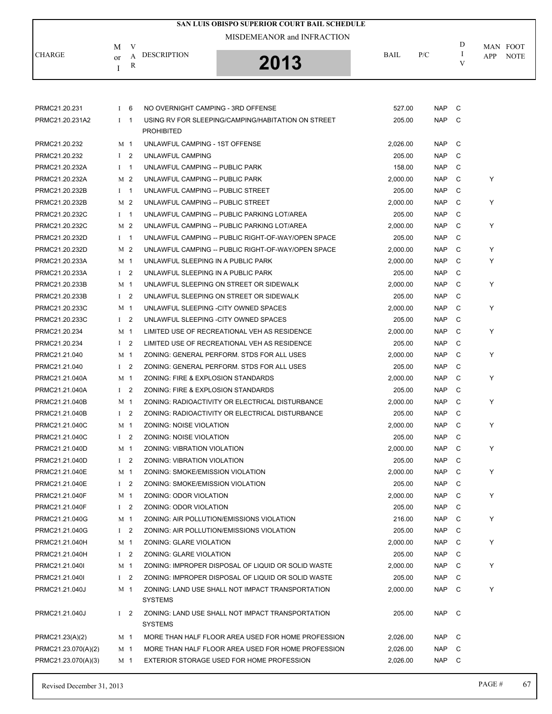|                     |                |        |                                       | SAN LUIS OBISPO SUPERIOR COURT BAIL SCHEDULE       |          |            |   |     |                         |
|---------------------|----------------|--------|---------------------------------------|----------------------------------------------------|----------|------------|---|-----|-------------------------|
|                     |                |        |                                       | MISDEMEANOR and INFRACTION                         |          |            | D |     |                         |
| <b>CHARGE</b>       | М<br>or        | V<br>А | <b>DESCRIPTION</b>                    |                                                    | BAIL     | P/C        | I | APP | MAN FOOT<br><b>NOTE</b> |
|                     | I              | R      |                                       | 2013                                               |          |            | V |     |                         |
|                     |                |        |                                       |                                                    |          |            |   |     |                         |
| PRMC21.20.231       | I <sub>6</sub> |        | NO OVERNIGHT CAMPING - 3RD OFFENSE    |                                                    | 527.00   | <b>NAP</b> | C |     |                         |
| PRMC21.20.231A2     | $1 \quad 1$    |        | <b>PROHIBITED</b>                     | USING RV FOR SLEEPING/CAMPING/HABITATION ON STREET | 205.00   | <b>NAP</b> | C |     |                         |
| PRMC21.20.232       | M 1            |        | UNLAWFUL CAMPING - 1ST OFFENSE        |                                                    | 2,026.00 | <b>NAP</b> | C |     |                         |
| PRMC21.20.232       | $1\quad 2$     |        | UNLAWFUL CAMPING                      |                                                    | 205.00   | <b>NAP</b> | C |     |                         |
| PRMC21.20.232A      | $I \quad 1$    |        | UNLAWFUL CAMPING -- PUBLIC PARK       |                                                    | 158.00   | <b>NAP</b> | C |     |                         |
| PRMC21.20.232A      | M 2            |        | UNLAWFUL CAMPING -- PUBLIC PARK       |                                                    | 2,000.00 | <b>NAP</b> | C | Y   |                         |
| PRMC21.20.232B      | $I \quad 1$    |        | UNLAWFUL CAMPING -- PUBLIC STREET     |                                                    | 205.00   | <b>NAP</b> | C |     |                         |
| PRMC21.20.232B      | M 2            |        | UNLAWFUL CAMPING -- PUBLIC STREET     |                                                    | 2,000.00 | <b>NAP</b> | C | Y   |                         |
| PRMC21.20.232C      | $I \quad 1$    |        |                                       | UNLAWFUL CAMPING -- PUBLIC PARKING LOT/AREA        | 205.00   | <b>NAP</b> | C |     |                         |
| PRMC21.20.232C      | M 2            |        |                                       | UNLAWFUL CAMPING -- PUBLIC PARKING LOT/AREA        | 2,000.00 | <b>NAP</b> | C | Y   |                         |
| PRMC21.20.232D      | $I \quad 1$    |        |                                       | UNLAWFUL CAMPING -- PUBLIC RIGHT-OF-WAY/OPEN SPACE | 205.00   | <b>NAP</b> | C |     |                         |
| PRMC21.20.232D      | M 2            |        |                                       | UNLAWFUL CAMPING -- PUBLIC RIGHT-OF-WAY/OPEN SPACE | 2,000.00 | <b>NAP</b> | C | Y   |                         |
| PRMC21.20.233A      | M 1            |        | UNLAWFUL SLEEPING IN A PUBLIC PARK    |                                                    | 2,000.00 | <b>NAP</b> | C | Y   |                         |
| PRMC21.20.233A      | I <sub>2</sub> |        | UNLAWFUL SLEEPING IN A PUBLIC PARK    |                                                    | 205.00   | <b>NAP</b> | C |     |                         |
| PRMC21.20.233B      | M 1            |        |                                       | UNLAWFUL SLEEPING ON STREET OR SIDEWALK            | 2,000.00 | <b>NAP</b> | C | Y   |                         |
| PRMC21.20.233B      | $1\quad 2$     |        |                                       | UNLAWFUL SLEEPING ON STREET OR SIDEWALK            | 205.00   | <b>NAP</b> | C |     |                         |
| PRMC21.20.233C      | M 1            |        | UNLAWFUL SLEEPING - CITY OWNED SPACES |                                                    | 2,000.00 | <b>NAP</b> | C | Y   |                         |
|                     |                |        |                                       |                                                    |          |            |   |     |                         |
| PRMC21.20.233C      | $1 \quad 2$    |        | UNLAWFUL SLEEPING - CITY OWNED SPACES |                                                    | 205.00   | <b>NAP</b> | C |     |                         |
| PRMC21.20.234       | M 1            |        |                                       | LIMITED USE OF RECREATIONAL VEH AS RESIDENCE       | 2,000.00 | <b>NAP</b> | C | Y   |                         |
| PRMC21.20.234       | I <sub>2</sub> |        |                                       | LIMITED USE OF RECREATIONAL VEH AS RESIDENCE       | 205.00   | <b>NAP</b> | C |     |                         |
| PRMC21.21.040       | M 1            |        |                                       | ZONING: GENERAL PERFORM. STDS FOR ALL USES         | 2,000.00 | <b>NAP</b> | C | Y   |                         |
| PRMC21.21.040       | $1\quad 2$     |        |                                       | ZONING: GENERAL PERFORM. STDS FOR ALL USES         | 205.00   | <b>NAP</b> | C |     |                         |
| PRMC21.21.040A      | M 1            |        | ZONING: FIRE & EXPLOSION STANDARDS    |                                                    | 2,000.00 | <b>NAP</b> | C | Y   |                         |
| PRMC21.21.040A      | $1 \quad 2$    |        | ZONING: FIRE & EXPLOSION STANDARDS    |                                                    | 205.00   | <b>NAP</b> | C |     |                         |
| PRMC21.21.040B      | M 1            |        |                                       | ZONING: RADIOACTIVITY OR ELECTRICAL DISTURBANCE    | 2,000.00 | <b>NAP</b> | C | Y   |                         |
| PRMC21.21.040B      | $1\quad 2$     |        |                                       | ZONING: RADIOACTIVITY OR ELECTRICAL DISTURBANCE    | 205.00   | NAP.       | C |     |                         |
| PRMC21.21.040C      | M <sub>1</sub> |        | ZONING: NOISE VIOLATION               |                                                    | 2,000.00 | <b>NAP</b> |   |     |                         |
| PRMC21.21.040C      | $1\quad 2$     |        | ZONING: NOISE VIOLATION               |                                                    | 205.00   | <b>NAP</b> | C |     |                         |
| PRMC21.21.040D      | M <sub>1</sub> |        | ZONING: VIBRATION VIOLATION           |                                                    | 2,000.00 | NAP        | C | Y   |                         |
| PRMC21.21.040D      | $1 \quad 2$    |        | ZONING: VIBRATION VIOLATION           |                                                    | 205.00   | <b>NAP</b> | C |     |                         |
| PRMC21.21.040E      | M 1            |        | ZONING: SMOKE/EMISSION VIOLATION      |                                                    | 2,000.00 | <b>NAP</b> | C | Y   |                         |
| PRMC21.21.040E      | $1\quad 2$     |        | ZONING: SMOKE/EMISSION VIOLATION      |                                                    | 205.00   | <b>NAP</b> | C |     |                         |
| PRMC21.21.040F      | M <sub>1</sub> |        | ZONING: ODOR VIOLATION                |                                                    | 2,000.00 | NAP        | C | Y   |                         |
| PRMC21.21.040F      | I <sub>2</sub> |        | ZONING: ODOR VIOLATION                |                                                    | 205.00   | <b>NAP</b> | C |     |                         |
| PRMC21.21.040G      | M <sub>1</sub> |        |                                       | ZONING: AIR POLLUTION/EMISSIONS VIOLATION          | 216.00   | NAP        | C | Y   |                         |
| PRMC21.21.040G      | $1 \quad 2$    |        |                                       | ZONING: AIR POLLUTION/EMISSIONS VIOLATION          | 205.00   | NAP        | C |     |                         |
| PRMC21.21.040H      | M 1            |        | ZONING: GLARE VIOLATION               |                                                    | 2,000.00 | <b>NAP</b> | C | Y   |                         |
| PRMC21.21.040H      | $1 \quad 2$    |        | ZONING: GLARE VIOLATION               |                                                    | 205.00   | <b>NAP</b> | C |     |                         |
| PRMC21.21.040I      | M 1            |        |                                       | ZONING: IMPROPER DISPOSAL OF LIQUID OR SOLID WASTE | 2,000.00 | <b>NAP</b> | C | Y   |                         |
| PRMC21.21.040I      | $1\quad 2$     |        |                                       | ZONING: IMPROPER DISPOSAL OF LIQUID OR SOLID WASTE | 205.00   | <b>NAP</b> | C |     |                         |
| PRMC21.21.040J      | M 1            |        |                                       | ZONING: LAND USE SHALL NOT IMPACT TRANSPORTATION   | 2,000.00 | NAP        | C | Y   |                         |
|                     |                |        | <b>SYSTEMS</b>                        |                                                    |          |            |   |     |                         |
| PRMC21.21.040J      | $1 \quad 2$    |        | <b>SYSTEMS</b>                        | ZONING: LAND USE SHALL NOT IMPACT TRANSPORTATION   | 205.00   | NAP C      |   |     |                         |
| PRMC21.23(A)(2)     | M 1            |        |                                       | MORE THAN HALF FLOOR AREA USED FOR HOME PROFESSION | 2,026.00 | NAP        | C |     |                         |
| PRMC21.23.070(A)(2) | M 1            |        |                                       | MORE THAN HALF FLOOR AREA USED FOR HOME PROFESSION | 2,026.00 | NAP        | C |     |                         |
| PRMC21.23.070(A)(3) | M 1            |        |                                       | EXTERIOR STORAGE USED FOR HOME PROFESSION          | 2,026.00 | NAP C      |   |     |                         |
|                     |                |        |                                       |                                                    |          |            |   |     |                         |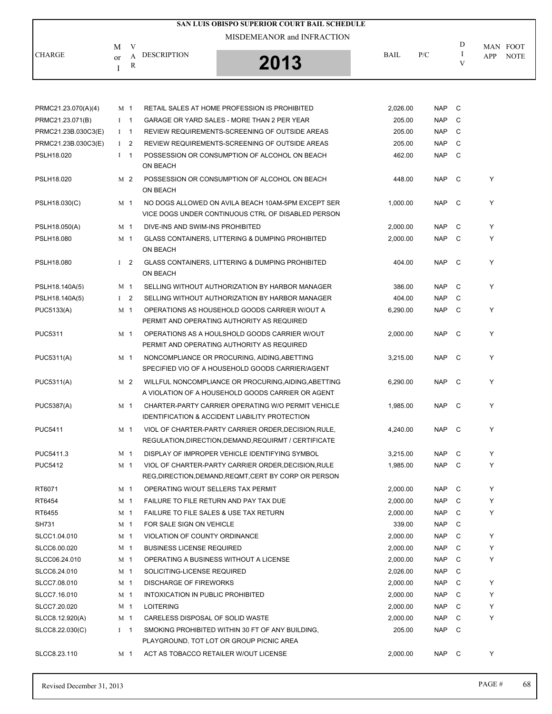|               |                                        | SAN LUIS OBISPO SUPERIOR COURT BAIL SCHEDULE |             |     |   |                           |
|---------------|----------------------------------------|----------------------------------------------|-------------|-----|---|---------------------------|
| <b>CHARGE</b> | V<br>M                                 | MISDEMEANOR and INFRACTION                   |             |     | D | MAN FOOT                  |
|               | DESCRIPTION<br>A<br><sub>or</sub><br>R | 2013                                         | <b>BAIL</b> | P/C | V | <b>NOTE</b><br><b>APP</b> |
|               |                                        |                                              |             |     |   |                           |

| PRMC21.23.070(A)(4) | M 1            |                | RETAIL SALES AT HOME PROFESSION IS PROHIBITED                                                                   | 2,026.00 | <b>NAP</b> | C |   |
|---------------------|----------------|----------------|-----------------------------------------------------------------------------------------------------------------|----------|------------|---|---|
| PRMC21.23.071(B)    | $\mathbf{I}$   | $\overline{1}$ | GARAGE OR YARD SALES - MORE THAN 2 PER YEAR                                                                     | 205.00   | <b>NAP</b> | C |   |
| PRMC21.23B.030C3(E) | Ι.             | $\mathbf{1}$   | REVIEW REQUIREMENTS-SCREENING OF OUTSIDE AREAS                                                                  | 205.00   | <b>NAP</b> | C |   |
| PRMC21.23B.030C3(E) | Ι.             | 2              | REVIEW REQUIREMENTS-SCREENING OF OUTSIDE AREAS                                                                  | 205.00   | <b>NAP</b> | C |   |
| PSLH18.020          | $\mathbf I$    | $\mathbf{1}$   | POSSESSION OR CONSUMPTION OF ALCOHOL ON BEACH<br>ON BEACH                                                       | 462.00   | <b>NAP</b> | C |   |
| PSLH18.020          | M 2            |                | POSSESSION OR CONSUMPTION OF ALCOHOL ON BEACH<br>ON BEACH                                                       | 448.00   | <b>NAP</b> | C | Y |
| PSLH18.030(C)       | M 1            |                | NO DOGS ALLOWED ON AVILA BEACH 10AM-5PM EXCEPT SER<br>VICE DOGS UNDER CONTINUOUS CTRL OF DISABLED PERSON        | 1.000.00 | <b>NAP</b> | C | Y |
| PSLH18.050(A)       | M <sub>1</sub> |                | DIVE-INS AND SWIM-INS PROHIBITED                                                                                | 2,000.00 | <b>NAP</b> | C | Y |
| PSLH18.080          | M 1            |                | <b>GLASS CONTAINERS, LITTERING &amp; DUMPING PROHIBITED</b><br>ON BEACH                                         | 2,000.00 | <b>NAP</b> | C | Y |
| PSLH18.080          | $1\quad 2$     |                | <b>GLASS CONTAINERS, LITTERING &amp; DUMPING PROHIBITED</b><br>ON BEACH                                         | 404.00   | <b>NAP</b> | C | Y |
| PSLH18.140A(5)      | M <sub>1</sub> |                | SELLING WITHOUT AUTHORIZATION BY HARBOR MANAGER                                                                 | 386.00   | <b>NAP</b> | C | Y |
| PSLH18.140A(5)      | $1\quad 2$     |                | SELLING WITHOUT AUTHORIZATION BY HARBOR MANAGER                                                                 | 404.00   | <b>NAP</b> | C |   |
| PUC5133(A)          | M 1            |                | OPERATIONS AS HOUSEHOLD GOODS CARRIER W/OUT A<br>PERMIT AND OPERATING AUTHORITY AS REQUIRED                     | 6.290.00 | <b>NAP</b> | C | Y |
| <b>PUC5311</b>      | M 1            |                | OPERATIONS AS A HOULSHOLD GOODS CARRIER W/OUT<br>PERMIT AND OPERATING AUTHORITY AS REQUIRED                     | 2.000.00 | <b>NAP</b> | C | Y |
| PUC5311(A)          | M <sub>1</sub> |                | NONCOMPLIANCE OR PROCURING, AIDING, ABETTING<br>SPECIFIED VIO OF A HOUSEHOLD GOODS CARRIER/AGENT                | 3,215.00 | <b>NAP</b> | C | Y |
| PUC5311(A)          | M <sub>2</sub> |                | WILLFUL NONCOMPLIANCE OR PROCURING, AIDING, ABETTING<br>A VIOLATION OF A HOUSEHOLD GOODS CARRIER OR AGENT       | 6,290.00 | <b>NAP</b> | C | Y |
| <b>PUC5387(A)</b>   | M 1            |                | CHARTER-PARTY CARRIER OPERATING W/O PERMIT VEHICLE<br><b>IDENTIFICATION &amp; ACCIDENT LIABILITY PROTECTION</b> | 1,985.00 | <b>NAP</b> | C | Y |
| <b>PUC5411</b>      | M 1            |                | VIOL OF CHARTER-PARTY CARRIER ORDER, DECISION, RULE,<br>REGULATION, DIRECTION, DEMAND, REQUIRMT / CERTIFICATE   | 4,240.00 | <b>NAP</b> | C | Y |
| PUC5411.3           | M 1            |                | DISPLAY OF IMPROPER VEHICLE IDENTIFYING SYMBOL                                                                  | 3,215.00 | <b>NAP</b> | C | Y |
| <b>PUC5412</b>      | M 1            |                | VIOL OF CHARTER-PARTY CARRIER ORDER, DECISION, RULE<br>REG, DIRECTION, DEMAND, REQMT, CERT BY CORP OR PERSON    | 1.985.00 | <b>NAP</b> | C | Y |
| RT6071              | M 1            |                | OPERATING W/OUT SELLERS TAX PERMIT                                                                              | 2,000.00 | <b>NAP</b> | C | Y |
| RT6454              | M <sub>1</sub> |                | FAILURE TO FILE RETURN AND PAY TAX DUE                                                                          | 2,000.00 | <b>NAP</b> | C | Y |
| RT6455              | M 1            |                | FAILURE TO FILE SALES & USE TAX RETURN                                                                          | 2,000.00 | <b>NAP</b> | C |   |
| SH731               | M 1            |                | FOR SALE SIGN ON VEHICLE                                                                                        | 339.00   | <b>NAP</b> | C |   |
| SLCC1.04.010        | M <sub>1</sub> |                | VIOLATION OF COUNTY ORDINANCE                                                                                   | 2,000.00 | <b>NAP</b> | C | Y |
| SLCC6.00.020        | M 1            |                | <b>BUSINESS LICENSE REQUIRED</b>                                                                                | 2,000.00 | <b>NAP</b> | С | Υ |
| SLCC06.24.010       | M <sub>1</sub> |                | OPERATING A BUSINESS WITHOUT A LICENSE                                                                          | 2,000.00 | <b>NAP</b> | C | Y |
| SLCC6.24.010        | M <sub>1</sub> |                | SOLICITING-LICENSE REQUIRED                                                                                     | 2,026.00 | <b>NAP</b> | С |   |
| SLCC7.08.010        | M <sub>1</sub> |                | <b>DISCHARGE OF FIREWORKS</b>                                                                                   | 2,000.00 | <b>NAP</b> | С | Y |
| SLCC7.16.010        | M <sub>1</sub> |                | INTOXICATION IN PUBLIC PROHIBITED                                                                               | 2,000.00 | <b>NAP</b> | C | Y |
| SLCC7.20.020        | M <sub>1</sub> |                | <b>LOITERING</b>                                                                                                | 2,000.00 | <b>NAP</b> | С | Y |
| SLCC8.12.920(A)     | M 1            |                | CARELESS DISPOSAL OF SOLID WASTE                                                                                | 2,000.00 | <b>NAP</b> | С | Y |
| SLCC8.22.030(C)     | $I \quad 1$    |                | SMOKING PROHIBITED WITHIN 30 FT OF ANY BUILDING.<br>PLAYGROUND, TOT LOT OR GROUP PICNIC AREA                    | 205.00   | <b>NAP</b> | C |   |
| SLCC8.23.110        | M <sub>1</sub> |                | ACT AS TOBACCO RETAILER W/OUT LICENSE                                                                           | 2,000.00 | NAP        | C | Υ |
|                     |                |                |                                                                                                                 |          |            |   |   |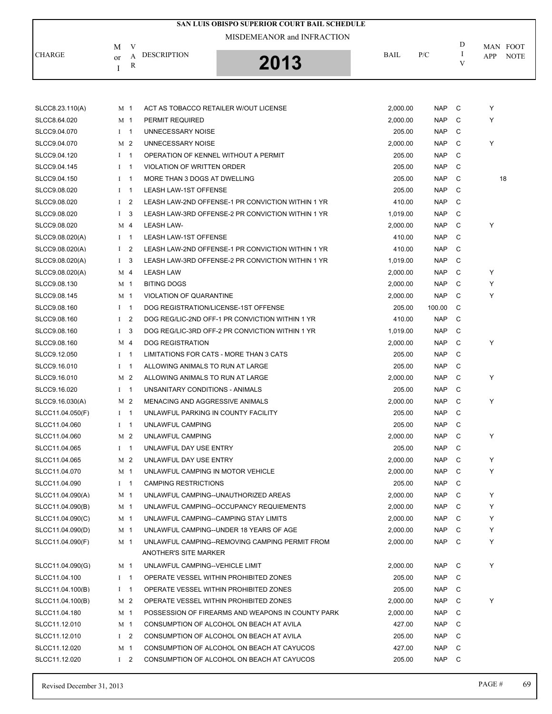| SAN LUIS OBISPO SUPERIOR COURT BAIL SCHEDULE |                |                |                                                   |          |            |   |                    |  |  |  |
|----------------------------------------------|----------------|----------------|---------------------------------------------------|----------|------------|---|--------------------|--|--|--|
|                                              |                |                | MISDEMEANOR and INFRACTION                        |          |            |   |                    |  |  |  |
|                                              | М              | V              |                                                   |          |            | D | MAN FOOT           |  |  |  |
| <b>CHARGE</b>                                | or             | A              | <b>DESCRIPTION</b>                                | BAIL     | P/C        | I | APP<br><b>NOTE</b> |  |  |  |
|                                              | I              | R              | 2013                                              |          |            | V |                    |  |  |  |
|                                              |                |                |                                                   |          |            |   |                    |  |  |  |
|                                              |                |                |                                                   |          |            |   |                    |  |  |  |
| SLCC8.23.110(A)                              | M 1            |                | ACT AS TOBACCO RETAILER W/OUT LICENSE             | 2,000.00 | <b>NAP</b> | C | Y                  |  |  |  |
| SLCC8.64.020                                 | M 1            |                | PERMIT REQUIRED                                   | 2,000.00 | <b>NAP</b> | C | Y                  |  |  |  |
| SLCC9.04.070                                 | $I \quad 1$    |                | UNNECESSARY NOISE                                 | 205.00   | <b>NAP</b> | C |                    |  |  |  |
| SLCC9.04.070                                 | M <sub>2</sub> |                | UNNECESSARY NOISE                                 | 2,000.00 | <b>NAP</b> | C | Y                  |  |  |  |
| SLCC9.04.120                                 | $1 \quad 1$    |                | OPERATION OF KENNEL WITHOUT A PERMIT              | 205.00   | <b>NAP</b> | C |                    |  |  |  |
| SLCC9.04.145                                 | Ι.             | $\overline{1}$ | <b>VIOLATION OF WRITTEN ORDER</b>                 | 205.00   | <b>NAP</b> | C |                    |  |  |  |
| SLCC9.04.150                                 | $\mathbf{I}$   | $\overline{1}$ | MORE THAN 3 DOGS AT DWELLING                      | 205.00   | <b>NAP</b> | C | 18                 |  |  |  |
| SLCC9.08.020                                 | $I \quad 1$    |                | <b>LEASH LAW-1ST OFFENSE</b>                      | 205.00   | <b>NAP</b> | C |                    |  |  |  |
| SLCC9.08.020                                 | $\mathbf{I}$   | $\overline{2}$ | LEASH LAW-2ND OFFENSE-1 PR CONVICTION WITHIN 1 YR | 410.00   | <b>NAP</b> | C |                    |  |  |  |
| SLCC9.08.020                                 | $\bf{I}$       | 3              | LEASH LAW-3RD OFFENSE-2 PR CONVICTION WITHIN 1 YR | 1,019.00 | <b>NAP</b> | C |                    |  |  |  |
| SLCC9.08.020                                 | M 4            |                | LEASH LAW-                                        | 2,000.00 | <b>NAP</b> | C | Y                  |  |  |  |
| SLCC9.08.020(A)                              | $I \quad 1$    |                | LEASH LAW-1ST OFFENSE                             | 410.00   | <b>NAP</b> | C |                    |  |  |  |
| SLCC9.08.020(A)                              | $\mathbf{I}$   | $\overline{2}$ | LEASH LAW-2ND OFFENSE-1 PR CONVICTION WITHIN 1 YR | 410.00   | <b>NAP</b> | C |                    |  |  |  |
| SLCC9.08.020(A)                              | 1 <sup>3</sup> |                | LEASH LAW-3RD OFFENSE-2 PR CONVICTION WITHIN 1 YR | 1,019.00 | <b>NAP</b> | C |                    |  |  |  |
| SLCC9.08.020(A)                              | M 4            |                | <b>LEASH LAW</b>                                  | 2,000.00 | <b>NAP</b> | C | Υ                  |  |  |  |
| SLCC9.08.130                                 | M 1            |                | <b>BITING DOGS</b>                                | 2,000.00 | <b>NAP</b> | C | Y                  |  |  |  |
| SLCC9.08.145                                 | M 1            |                | <b>VIOLATION OF QUARANTINE</b>                    | 2,000.00 | <b>NAP</b> | C | Y                  |  |  |  |
| SLCC9.08.160                                 | $I$ 1          |                | DOG REGISTRATION/LICENSE-1ST OFFENSE              | 205.00   | 100.00     | C |                    |  |  |  |
| SLCC9.08.160                                 | $\mathbf{I}$   | $\overline{2}$ | DOG REG/LIC-2ND OFF-1 PR CONVICTION WITHIN 1 YR   | 410.00   | <b>NAP</b> | C |                    |  |  |  |
| SLCC9.08.160                                 | 1 <sup>3</sup> |                | DOG REG/LIC-3RD OFF-2 PR CONVICTION WITHIN 1 YR   | 1,019.00 | <b>NAP</b> | C |                    |  |  |  |
| SLCC9.08.160                                 | M 4            |                | <b>DOG REGISTRATION</b>                           | 2,000.00 | <b>NAP</b> | С | Υ                  |  |  |  |
| SLCC9.12.050                                 | $1 \quad 1$    |                | LIMITATIONS FOR CATS - MORE THAN 3 CATS           | 205.00   | <b>NAP</b> | C |                    |  |  |  |
| SLCC9.16.010                                 | $1 \quad 1$    |                | ALLOWING ANIMALS TO RUN AT LARGE                  | 205.00   | <b>NAP</b> | C |                    |  |  |  |
| SLCC9.16.010                                 | M <sub>2</sub> |                | ALLOWING ANIMALS TO RUN AT LARGE                  | 2,000.00 | <b>NAP</b> | C | Υ                  |  |  |  |
| SLCC9.16.020                                 | $I$ 1          |                | UNSANITARY CONDITIONS - ANIMALS                   | 205.00   | <b>NAP</b> | C |                    |  |  |  |
| SLCC9.16.030(A)                              | M <sub>2</sub> |                | <b>MENACING AND AGGRESSIVE ANIMALS</b>            | 2,000.00 | <b>NAP</b> | C | Υ                  |  |  |  |
| SLCC11.04.050(F)                             | $I \quad 1$    |                | UNLAWFUL PARKING IN COUNTY FACILITY               | 205.00   | <b>NAP</b> | C |                    |  |  |  |
| SLCC11.04.060                                | $I \quad 1$    |                | UNLAWFUL CAMPING                                  | 205.00   | <b>NAP</b> | C |                    |  |  |  |
| SLCC11.04.060                                |                | M 2            | UNLAWFUL CAMPING                                  | 2,000.00 | NAP        | C | Y                  |  |  |  |
| SLCC11.04.065                                | $I \quad 1$    |                | UNLAWFUL DAY USE ENTRY                            | 205.00   | <b>NAP</b> | C |                    |  |  |  |
| SLCC11.04.065                                | M 2            |                | UNLAWFUL DAY USE ENTRY                            | 2,000.00 | <b>NAP</b> | C | Y                  |  |  |  |
| SLCC11.04.070                                | M 1            |                | UNLAWFUL CAMPING IN MOTOR VEHICLE                 | 2,000.00 | NAP        | C | Y                  |  |  |  |
| SLCC11.04.090                                | $I \quad 1$    |                | <b>CAMPING RESTRICTIONS</b>                       | 205.00   | <b>NAP</b> | С |                    |  |  |  |
| SLCC11.04.090(A)                             | M 1            |                | UNLAWFUL CAMPING--UNAUTHORIZED AREAS              | 2,000.00 | <b>NAP</b> | C | Y                  |  |  |  |
| SLCC11.04.090(B)                             | M 1            |                | UNLAWFUL CAMPING--OCCUPANCY REQUIEMENTS           | 2,000.00 | NAP        | C | Y                  |  |  |  |
| SLCC11.04.090(C)                             | M 1            |                | UNLAWFUL CAMPING--CAMPING STAY LIMITS             | 2,000.00 | <b>NAP</b> | C | Y                  |  |  |  |
| SLCC11.04.090(D)                             | M 1            |                | UNLAWFUL CAMPING--UNDER 18 YEARS OF AGE           | 2,000.00 | <b>NAP</b> | C | Y                  |  |  |  |
| SLCC11.04.090(F)                             | M 1            |                | UNLAWFUL CAMPING--REMOVING CAMPING PERMIT FROM    | 2,000.00 | NAP        | C | Y                  |  |  |  |
|                                              |                |                | <b>ANOTHER'S SITE MARKER</b>                      |          |            |   |                    |  |  |  |
| SLCC11.04.090(G)                             | M <sub>1</sub> |                | UNLAWFUL CAMPING--VEHICLE LIMIT                   | 2,000.00 | NAP        | C | Y                  |  |  |  |
| SLCC11.04.100                                | $1 \quad 1$    |                | OPERATE VESSEL WITHIN PROHIBITED ZONES            | 205.00   | NAP        | C |                    |  |  |  |
| SLCC11.04.100(B)                             | $I \quad 1$    |                | OPERATE VESSEL WITHIN PROHIBITED ZONES            | 205.00   | NAP        | C |                    |  |  |  |
| SLCC11.04.100(B)                             | M <sub>2</sub> |                | OPERATE VESSEL WITHIN PROHIBITED ZONES            | 2,000.00 | NAP        | C | Y                  |  |  |  |
| SLCC11.04.180                                | M 1            |                | POSSESSION OF FIREARMS AND WEAPONS IN COUNTY PARK | 2,000.00 | NAP        | C |                    |  |  |  |
| SLCC11.12.010                                | M 1            |                | CONSUMPTION OF ALCOHOL ON BEACH AT AVILA          | 427.00   | NAP        | C |                    |  |  |  |
| SLCC11.12.010                                |                | $1\quad 2$     | CONSUMPTION OF ALCOHOL ON BEACH AT AVILA          | 205.00   | NAP        | C |                    |  |  |  |
| SLCC11.12.020                                | M 1            |                | CONSUMPTION OF ALCOHOL ON BEACH AT CAYUCOS        | 427.00   | <b>NAP</b> | C |                    |  |  |  |
| SLCC11.12.020                                | $1 \quad 2$    |                | CONSUMPTION OF ALCOHOL ON BEACH AT CAYUCOS        | 205.00   | NAP C      |   |                    |  |  |  |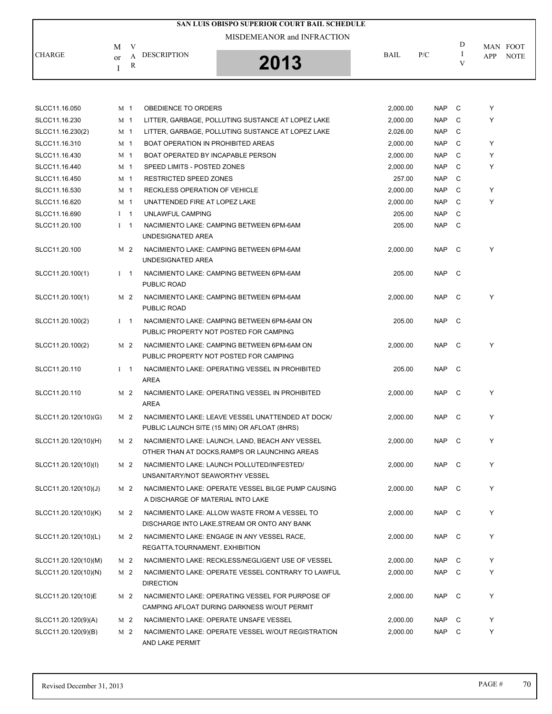|               |                              | SAN LUIS OBISPO SUPERIOR COURT BAIL SCHEDULE |             |     |   |                                |
|---------------|------------------------------|----------------------------------------------|-------------|-----|---|--------------------------------|
| <b>CHARGE</b> | М<br>v<br><b>DESCRIPTION</b> | MISDEMEANOR and INFRACTION                   | <b>BAIL</b> | P/C | D | MAN FOOT<br><b>NOTE</b><br>APP |
|               | $\alpha$<br>R                | 2013                                         |             |     | v |                                |

| SLCC11.16.050        | M <sub>1</sub>                 | OBEDIENCE TO ORDERS                                                                               | 2,000.00 | <b>NAP</b> | C            | Y |
|----------------------|--------------------------------|---------------------------------------------------------------------------------------------------|----------|------------|--------------|---|
| SLCC11.16.230        | M <sub>1</sub>                 | LITTER, GARBAGE, POLLUTING SUSTANCE AT LOPEZ LAKE                                                 | 2,000.00 | <b>NAP</b> | C            | Y |
| SLCC11.16.230(2)     | M <sub>1</sub>                 | LITTER, GARBAGE, POLLUTING SUSTANCE AT LOPEZ LAKE                                                 | 2,026.00 | <b>NAP</b> | C            |   |
| SLCC11.16.310        | M <sub>1</sub>                 | <b>BOAT OPERATION IN PROHIBITED AREAS</b>                                                         | 2,000.00 | <b>NAP</b> | C            | Y |
| SLCC11.16.430        | M 1                            | BOAT OPERATED BY INCAPABLE PERSON                                                                 | 2,000.00 | <b>NAP</b> | C            | Y |
| SLCC11.16.440        | M 1                            | SPEED LIMITS - POSTED ZONES                                                                       | 2,000.00 | <b>NAP</b> | C            | Y |
| SLCC11.16.450        | M 1                            | <b>RESTRICTED SPEED ZONES</b>                                                                     | 257.00   | <b>NAP</b> | C            |   |
| SLCC11.16.530        | M 1                            | RECKLESS OPERATION OF VEHICLE                                                                     | 2,000.00 | <b>NAP</b> | C            | Y |
| SLCC11.16.620        | M 1                            | UNATTENDED FIRE AT LOPEZ LAKE                                                                     | 2,000.00 | <b>NAP</b> | C            | Y |
| SLCC11.16.690        | $\mathbf{I}$<br>$\overline{1}$ | UNLAWFUL CAMPING                                                                                  | 205.00   | <b>NAP</b> | C            |   |
| SLCC11.20.100        | $\mathbf I$<br>$\overline{1}$  | NACIMIENTO LAKE: CAMPING BETWEEN 6PM-6AM<br>UNDESIGNATED AREA                                     | 205.00   | <b>NAP</b> | C            |   |
| SLCC11.20.100        | M 2                            | NACIMIENTO LAKE: CAMPING BETWEEN 6PM-6AM<br>UNDESIGNATED AREA                                     | 2,000.00 | <b>NAP</b> | C            | Y |
| SLCC11.20.100(1)     | L<br>$\overline{1}$            | NACIMIENTO LAKE: CAMPING BETWEEN 6PM-6AM<br>PUBLIC ROAD                                           | 205.00   | <b>NAP</b> | C            |   |
| SLCC11.20.100(1)     | M <sub>2</sub>                 | NACIMIENTO LAKE: CAMPING BETWEEN 6PM-6AM<br>PUBLIC ROAD                                           | 2,000.00 | <b>NAP</b> | C            | Y |
| SLCC11.20.100(2)     | $1 \quad 1$                    | NACIMIENTO LAKE: CAMPING BETWEEN 6PM-6AM ON<br>PUBLIC PROPERTY NOT POSTED FOR CAMPING             | 205.00   | <b>NAP</b> | $\mathbf{C}$ |   |
| SLCC11.20.100(2)     | M 2                            | NACIMIENTO LAKE: CAMPING BETWEEN 6PM-6AM ON<br>PUBLIC PROPERTY NOT POSTED FOR CAMPING             | 2,000.00 | <b>NAP</b> | C            | Y |
| SLCC11.20.110        | $I \quad 1$                    | NACIMIENTO LAKE: OPERATING VESSEL IN PROHIBITED<br><b>AREA</b>                                    | 205.00   | <b>NAP</b> | C            |   |
| SLCC11.20.110        | M <sub>2</sub>                 | NACIMIENTO LAKE: OPERATING VESSEL IN PROHIBITED<br>AREA                                           | 2,000.00 | NAP        | C            | Υ |
| SLCC11.20.120(10)(G) | M 2                            | NACIMIENTO LAKE: LEAVE VESSEL UNATTENDED AT DOCK/<br>PUBLIC LAUNCH SITE (15 MIN) OR AFLOAT (8HRS) | 2,000.00 | <b>NAP</b> | C            | Y |
| SLCC11.20.120(10)(H) | M 2                            | NACIMIENTO LAKE: LAUNCH, LAND, BEACH ANY VESSEL<br>OTHER THAN AT DOCKS, RAMPS OR LAUNCHING AREAS  | 2,000.00 | <b>NAP</b> | C            | Y |
| SLCC11.20.120(10)(I) | M 2                            | NACIMIENTO LAKE: LAUNCH POLLUTED/INFESTED/<br>UNSANITARY/NOT SEAWORTHY VESSEL                     | 2,000.00 | <b>NAP</b> | C            | Y |
| SLCC11.20.120(10)(J) | M 2                            | NACIMIENTO LAKE: OPERATE VESSEL BILGE PUMP CAUSING<br>A DISCHARGE OF MATERIAL INTO LAKE           | 2,000.00 | <b>NAP</b> | C            | Y |
| SLCC11.20.120(10)(K) | M <sub>2</sub>                 | NACIMIENTO LAKE: ALLOW WASTE FROM A VESSEL TO<br>DISCHARGE INTO LAKE, STREAM OR ONTO ANY BANK     | 2,000.00 | NAP C      |              | Y |
| SLCC11.20.120(10)(L) | M 2                            | NACIMIENTO LAKE: ENGAGE IN ANY VESSEL RACE.<br>REGATTA, TOURNAMENT, EXHIBITION                    | 2,000.00 | <b>NAP</b> | C            | Υ |
| SLCC11.20.120(10)(M) | M 2                            | NACIMIENTO LAKE: RECKLESS/NEGLIGENT USE OF VESSEL                                                 | 2,000.00 | NAP        | C            | Y |
| SLCC11.20.120(10)(N) | M 2                            | NACIMIENTO LAKE: OPERATE VESSEL CONTRARY TO LAWFUL<br><b>DIRECTION</b>                            | 2,000.00 | <b>NAP</b> | C            | Y |
| SLCC11.20.120(10)E   | M 2                            | NACIMIENTO LAKE: OPERATING VESSEL FOR PURPOSE OF<br>CAMPING AFLOAT DURING DARKNESS W/OUT PERMIT   | 2,000.00 | NAP        | C            | Y |
| SLCC11.20.120(9)(A)  | M 2                            | NACIMIENTO LAKE: OPERATE UNSAFE VESSEL                                                            | 2,000.00 | NAP        | C            | Y |
| SLCC11.20.120(9)(B)  | M 2                            | NACIMIENTO LAKE: OPERATE VESSEL W/OUT REGISTRATION<br>AND LAKE PERMIT                             | 2,000.00 | NAP        | C            | Υ |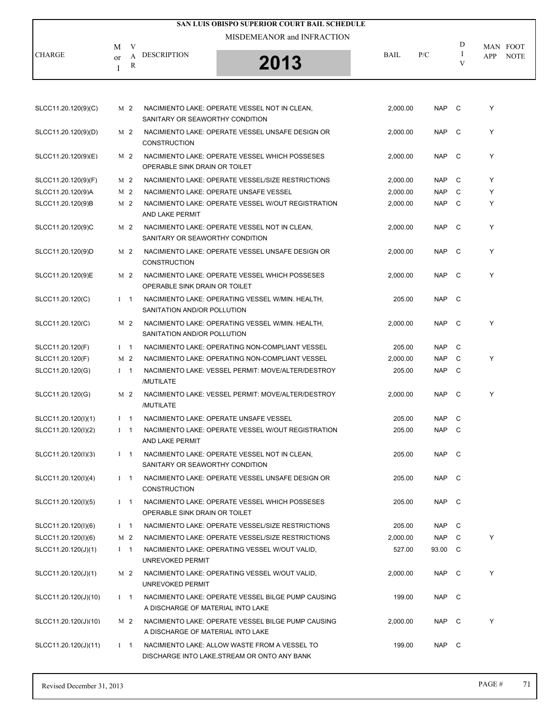|                      |                    |                |                                   | SAN LUIS OBISPO SUPERIOR COURT BAIL SCHEDULE                                                  |          |            |              |                 |             |
|----------------------|--------------------|----------------|-----------------------------------|-----------------------------------------------------------------------------------------------|----------|------------|--------------|-----------------|-------------|
|                      |                    |                |                                   | MISDEMEANOR and INFRACTION                                                                    |          |            |              |                 |             |
| <b>CHARGE</b>        | M<br><sub>or</sub> | V<br>A         | <b>DESCRIPTION</b>                |                                                                                               | BAIL     | P/C        | D<br>Ι       | MAN FOOT<br>APP | <b>NOTE</b> |
|                      | I                  | R              |                                   | 2013                                                                                          |          |            | V            |                 |             |
|                      |                    |                |                                   |                                                                                               |          |            |              |                 |             |
| SLCC11.20.120(9)(C)  |                    | M 2            | SANITARY OR SEAWORTHY CONDITION   | NACIMIENTO LAKE: OPERATE VESSEL NOT IN CLEAN,                                                 | 2,000.00 | NAP C      |              | Υ               |             |
| SLCC11.20.120(9)(D)  |                    | M 2            | <b>CONSTRUCTION</b>               | NACIMIENTO LAKE: OPERATE VESSEL UNSAFE DESIGN OR                                              | 2.000.00 | <b>NAP</b> | $\mathbf{C}$ | Υ               |             |
| SLCC11.20.120(9)(E)  |                    | M 2            | OPERABLE SINK DRAIN OR TOILET     | NACIMIENTO LAKE: OPERATE VESSEL WHICH POSSESES                                                | 2,000.00 | <b>NAP</b> | C            | Υ               |             |
| SLCC11.20.120(9)(F)  |                    | M 2            |                                   | NACIMIENTO LAKE: OPERATE VESSEL/SIZE RESTRICTIONS                                             | 2,000.00 | <b>NAP</b> | C            | Υ               |             |
| SLCC11.20.120(9)A    |                    | M 2            |                                   | NACIMIENTO LAKE: OPERATE UNSAFE VESSEL                                                        | 2,000.00 | <b>NAP</b> | C            | Υ               |             |
| SLCC11.20.120(9)B    |                    | M 2            | AND LAKE PERMIT                   | NACIMIENTO LAKE: OPERATE VESSEL W/OUT REGISTRATION                                            | 2,000.00 | <b>NAP</b> | C            | Υ               |             |
| SLCC11.20.120(9)C    |                    | M 2            | SANITARY OR SEAWORTHY CONDITION   | NACIMIENTO LAKE: OPERATE VESSEL NOT IN CLEAN,                                                 | 2,000.00 | <b>NAP</b> | C            | Y               |             |
| SLCC11.20.120(9)D    |                    | M 2            | <b>CONSTRUCTION</b>               | NACIMIENTO LAKE: OPERATE VESSEL UNSAFE DESIGN OR                                              | 2,000.00 | NAP        | C            | Υ               |             |
| SLCC11.20.120(9)E    |                    | M 2            | OPERABLE SINK DRAIN OR TOILET     | NACIMIENTO LAKE: OPERATE VESSEL WHICH POSSESES                                                | 2,000.00 | <b>NAP</b> | - C          | Υ               |             |
| SLCC11.20.120(C)     |                    | $1 \quad 1$    | SANITATION AND/OR POLLUTION       | NACIMIENTO LAKE: OPERATING VESSEL W/MIN. HEALTH,                                              | 205.00   | <b>NAP</b> | $\mathbf{C}$ |                 |             |
| SLCC11.20.120(C)     |                    | M 2            | SANITATION AND/OR POLLUTION       | NACIMIENTO LAKE: OPERATING VESSEL W/MIN. HEALTH,                                              | 2,000.00 | NAP.       | C            | Υ               |             |
| SLCC11.20.120(F)     |                    | $1 \quad 1$    |                                   | NACIMIENTO LAKE: OPERATING NON-COMPLIANT VESSEL                                               | 205.00   | <b>NAP</b> | C            |                 |             |
| SLCC11.20.120(F)     |                    | M <sub>2</sub> |                                   | NACIMIENTO LAKE: OPERATING NON-COMPLIANT VESSEL                                               | 2,000.00 | <b>NAP</b> | C            | Υ               |             |
| SLCC11.20.120(G)     |                    | $1 \quad 1$    | /MUTILATE                         | NACIMIENTO LAKE: VESSEL PERMIT: MOVE/ALTER/DESTROY                                            | 205.00   | <b>NAP</b> | C            |                 |             |
| SLCC11.20.120(G)     |                    | M 2            | /MUTILATE                         | NACIMIENTO LAKE: VESSEL PERMIT: MOVE/ALTER/DESTROY                                            | 2,000.00 | <b>NAP</b> | $\mathbf{C}$ | Υ               |             |
| SLCC11.20.120(I)(1)  |                    | $1 \quad 1$    |                                   | NACIMIENTO LAKE: OPERATE UNSAFE VESSEL                                                        | 205.00   | NAP C      |              |                 |             |
| SLCC11.20.120(I)(2)  |                    | $1 \quad 1$    | AND LAKE PERMIT                   | NACIMIENTO LAKE: OPERATE VESSEL W/OUT REGISTRATION                                            | 205.00   | NAP C      |              |                 |             |
| SLCC11.20.120(I)(3)  |                    | $1 \quad 1$    | SANITARY OR SEAWORTHY CONDITION   | NACIMIENTO LAKE: OPERATE VESSEL NOT IN CLEAN,                                                 | 205.00   | NAP C      |              |                 |             |
| SLCC11.20.120(I)(4)  |                    | $1 \quad 1$    | <b>CONSTRUCTION</b>               | NACIMIENTO LAKE: OPERATE VESSEL UNSAFE DESIGN OR                                              | 205.00   | NAP C      |              |                 |             |
| SLCC11.20.120(I)(5)  |                    | $1 \quad 1$    | OPERABLE SINK DRAIN OR TOILET     | NACIMIENTO LAKE: OPERATE VESSEL WHICH POSSESES                                                | 205.00   | NAP C      |              |                 |             |
| SLCC11.20.120(I)(6)  |                    | $1 \quad 1$    |                                   | NACIMIENTO LAKE: OPERATE VESSEL/SIZE RESTRICTIONS                                             | 205.00   | NAP C      |              |                 |             |
| SLCC11.20.120(I)(6)  |                    | M 2            |                                   | NACIMIENTO LAKE: OPERATE VESSEL/SIZE RESTRICTIONS                                             | 2,000.00 | NAP        | C            | Υ               |             |
| SLCC11.20.120(J)(1)  |                    | $1 \quad 1$    | UNREVOKED PERMIT                  | NACIMIENTO LAKE: OPERATING VESSEL W/OUT VALID,                                                | 527.00   | 93.00 C    |              |                 |             |
| SLCC11.20.120(J)(1)  |                    | M 2            | UNREVOKED PERMIT                  | NACIMIENTO LAKE: OPERATING VESSEL W/OUT VALID,                                                | 2,000.00 | NAP C      |              | Υ               |             |
| SLCC11.20.120(J)(10) |                    | $1 \quad 1$    | A DISCHARGE OF MATERIAL INTO LAKE | NACIMIENTO LAKE: OPERATE VESSEL BILGE PUMP CAUSING                                            | 199.00   | NAP C      |              |                 |             |
| SLCC11.20.120(J)(10) |                    | M 2            | A DISCHARGE OF MATERIAL INTO LAKE | NACIMIENTO LAKE: OPERATE VESSEL BILGE PUMP CAUSING                                            | 2,000.00 | NAP C      |              | Υ               |             |
| SLCC11.20.120(J)(11) |                    | $I \quad 1$    |                                   | NACIMIENTO LAKE: ALLOW WASTE FROM A VESSEL TO<br>DISCHARGE INTO LAKE, STREAM OR ONTO ANY BANK | 199.00   | NAP C      |              |                 |             |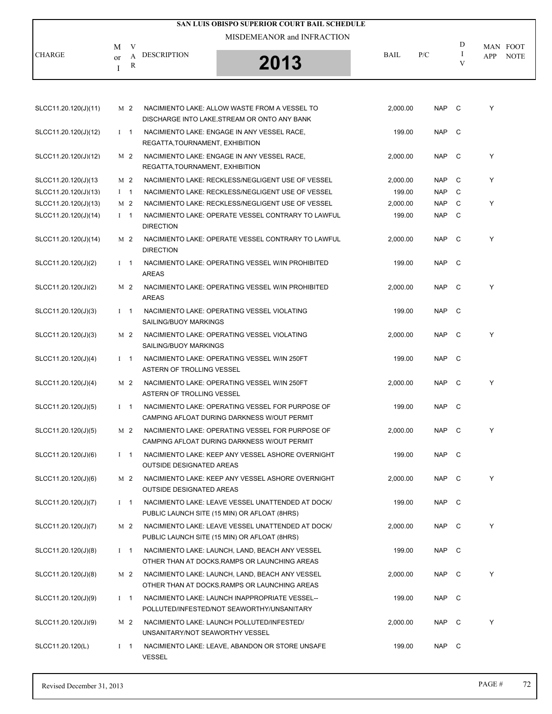| SAN LUIS OBISPO SUPERIOR COURT BAIL SCHEDULE |               |                |                                 |                                                                                                   |             |            |              |                                       |  |  |  |
|----------------------------------------------|---------------|----------------|---------------------------------|---------------------------------------------------------------------------------------------------|-------------|------------|--------------|---------------------------------------|--|--|--|
|                                              |               |                |                                 | MISDEMEANOR and INFRACTION                                                                        |             |            |              |                                       |  |  |  |
| <b>CHARGE</b>                                | М<br>$\alpha$ | V<br>A         | <b>DESCRIPTION</b>              |                                                                                                   | <b>BAIL</b> | P/C        | D<br>Ι       | MAN FOOT<br><b>APP</b><br><b>NOTE</b> |  |  |  |
|                                              | Ι             | R              |                                 | 2013                                                                                              |             |            | V            |                                       |  |  |  |
|                                              |               |                |                                 |                                                                                                   |             |            |              |                                       |  |  |  |
| SLCC11.20.120(J)(11)                         |               | M 2            |                                 | NACIMIENTO LAKE: ALLOW WASTE FROM A VESSEL TO<br>DISCHARGE INTO LAKE, STREAM OR ONTO ANY BANK     | 2,000.00    | NAP C      |              | Y                                     |  |  |  |
| SLCC11.20.120(J)(12)                         |               | $1 \quad 1$    | REGATTA, TOURNAMENT, EXHIBITION | NACIMIENTO LAKE: ENGAGE IN ANY VESSEL RACE,                                                       | 199.00      | <b>NAP</b> | - C          |                                       |  |  |  |
| SLCC11.20.120(J)(12)                         |               | M 2            | REGATTA, TOURNAMENT, EXHIBITION | NACIMIENTO LAKE: ENGAGE IN ANY VESSEL RACE,                                                       | 2,000.00    | NAP        | $\mathbf C$  | Y                                     |  |  |  |
| SLCC11.20.120(J)(13                          |               | M 2            |                                 | NACIMIENTO LAKE: RECKLESS/NEGLIGENT USE OF VESSEL                                                 | 2,000.00    | NAP        | C            | Y                                     |  |  |  |
| SLCC11.20.120(J)(13)                         |               | $1 \quad 1$    |                                 | NACIMIENTO LAKE: RECKLESS/NEGLIGENT USE OF VESSEL                                                 | 199.00      | <b>NAP</b> | C            |                                       |  |  |  |
| SLCC11.20.120(J)(13)                         |               | M 2            |                                 | NACIMIENTO LAKE: RECKLESS/NEGLIGENT USE OF VESSEL                                                 | 2,000.00    | <b>NAP</b> | C            | Y                                     |  |  |  |
| SLCC11.20.120(J)(14)                         |               | $1 \quad 1$    | <b>DIRECTION</b>                | NACIMIENTO LAKE: OPERATE VESSEL CONTRARY TO LAWFUL                                                | 199.00      | <b>NAP</b> | - C          |                                       |  |  |  |
| SLCC11.20.120(J)(14)                         |               | M <sub>2</sub> | <b>DIRECTION</b>                | NACIMIENTO LAKE: OPERATE VESSEL CONTRARY TO LAWFUL                                                | 2,000.00    | <b>NAP</b> | - C          | Y                                     |  |  |  |
| SLCC11.20.120(J)(2)                          |               | $1 \quad 1$    | <b>AREAS</b>                    | NACIMIENTO LAKE: OPERATING VESSEL W/IN PROHIBITED                                                 | 199.00      | NAP        | $\mathbf{C}$ |                                       |  |  |  |
| SLCC11.20.120(J)(2)                          |               | M 2            | <b>AREAS</b>                    | NACIMIENTO LAKE: OPERATING VESSEL W/IN PROHIBITED                                                 | 2,000.00    | <b>NAP</b> | - C          | Y                                     |  |  |  |
| SLCC11.20.120(J)(3)                          |               | $1 \quad 1$    | SAILING/BUOY MARKINGS           | NACIMIENTO LAKE: OPERATING VESSEL VIOLATING                                                       | 199.00      | <b>NAP</b> | - C          |                                       |  |  |  |
| SLCC11.20.120(J)(3)                          |               | M 2            | SAILING/BUOY MARKINGS           | NACIMIENTO LAKE: OPERATING VESSEL VIOLATING                                                       | 2,000.00    | NAP C      |              | Y                                     |  |  |  |
| SLCC11.20.120(J)(4)                          |               | $1 \quad 1$    | ASTERN OF TROLLING VESSEL       | NACIMIENTO LAKE: OPERATING VESSEL W/IN 250FT                                                      | 199.00      | <b>NAP</b> | $\mathbf C$  |                                       |  |  |  |
| SLCC11.20.120(J)(4)                          |               | M 2            | ASTERN OF TROLLING VESSEL       | NACIMIENTO LAKE: OPERATING VESSEL W/IN 250FT                                                      | 2,000.00    | NAP C      |              | Y                                     |  |  |  |
| SLCC11.20.120(J)(5)                          |               | $1 \quad 1$    |                                 | NACIMIENTO LAKE: OPERATING VESSEL FOR PURPOSE OF<br>CAMPING AFLOAT DURING DARKNESS W/OUT PERMIT   | 199.00      | NAP        | - C          |                                       |  |  |  |
| SLCC11.20.120(J)(5)                          |               | M 2            |                                 | NACIMIENTO LAKE: OPERATING VESSEL FOR PURPOSE OF<br>CAMPING AFLOAT DURING DARKNESS W/OUT PERMIT   | 2,000.00    | NAP C      |              | Y                                     |  |  |  |
| SLCC11.20.120(J)(6)                          |               | $I \quad 1$    | <b>OUTSIDE DESIGNATED AREAS</b> | NACIMIENTO LAKE: KEEP ANY VESSEL ASHORE OVERNIGHT                                                 | 199.00      | NAP C      |              |                                       |  |  |  |
| SLCC11.20.120(J)(6)                          |               | M 2            | <b>OUTSIDE DESIGNATED AREAS</b> | NACIMIENTO LAKE: KEEP ANY VESSEL ASHORE OVERNIGHT                                                 | 2,000.00    | NAP C      |              | Y                                     |  |  |  |
| SLCC11.20.120(J)(7)                          |               | $I \quad 1$    |                                 | NACIMIENTO LAKE: LEAVE VESSEL UNATTENDED AT DOCK/<br>PUBLIC LAUNCH SITE (15 MIN) OR AFLOAT (8HRS) | 199.00      | NAP C      |              |                                       |  |  |  |
| SLCC11.20.120(J)(7)                          |               | M 2            |                                 | NACIMIENTO LAKE: LEAVE VESSEL UNATTENDED AT DOCK/<br>PUBLIC LAUNCH SITE (15 MIN) OR AFLOAT (8HRS) | 2,000.00    | NAP C      |              | Y                                     |  |  |  |
| SLCC11.20.120(J)(8)                          |               | $I \quad 1$    |                                 | NACIMIENTO LAKE: LAUNCH, LAND, BEACH ANY VESSEL<br>OTHER THAN AT DOCKS, RAMPS OR LAUNCHING AREAS  | 199.00      | NAP C      |              |                                       |  |  |  |
| SLCC11.20.120(J)(8)                          |               | M 2            |                                 | NACIMIENTO LAKE: LAUNCH, LAND, BEACH ANY VESSEL<br>OTHER THAN AT DOCKS, RAMPS OR LAUNCHING AREAS  | 2,000.00    | NAP C      |              | Y                                     |  |  |  |
| SLCC11.20.120(J)(9)                          |               | $1 \quad 1$    |                                 | NACIMIENTO LAKE: LAUNCH INAPPROPRIATE VESSEL--<br>POLLUTED/INFESTED/NOT SEAWORTHY/UNSANITARY      | 199.00      | NAP C      |              |                                       |  |  |  |
| SLCC11.20.120(J)(9)                          |               | M 2            | UNSANITARY/NOT SEAWORTHY VESSEL | NACIMIENTO LAKE: LAUNCH POLLUTED/INFESTED/                                                        | 2,000.00    | NAP C      |              | Y                                     |  |  |  |
| SLCC11.20.120(L)                             |               | $I \quad 1$    | <b>VESSEL</b>                   | NACIMIENTO LAKE: LEAVE, ABANDON OR STORE UNSAFE                                                   | 199.00      | NAP C      |              |                                       |  |  |  |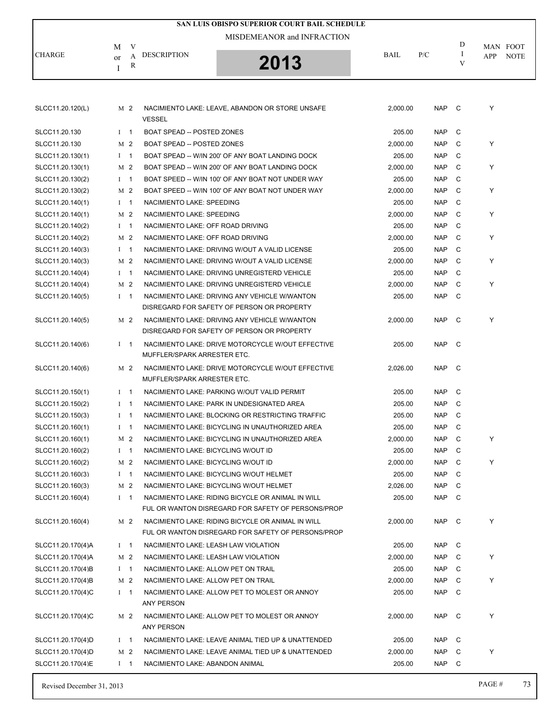| <b>SAN LUIS OBISPO SUPERIOR COURT BAIL SCHEDULE</b> |                |   |                                      |                                                    |          |            |        |                    |  |
|-----------------------------------------------------|----------------|---|--------------------------------------|----------------------------------------------------|----------|------------|--------|--------------------|--|
|                                                     |                |   |                                      | MISDEMEANOR and INFRACTION                         |          |            |        |                    |  |
|                                                     | M              | V |                                      |                                                    |          |            | D      | MAN FOOT           |  |
| <b>CHARGE</b>                                       | or             | A | <b>DESCRIPTION</b>                   | 2013                                               | BAIL     | P/C        | Ι<br>V | <b>NOTE</b><br>APP |  |
|                                                     | I              | R |                                      |                                                    |          |            |        |                    |  |
|                                                     |                |   |                                      |                                                    |          |            |        |                    |  |
|                                                     |                |   |                                      |                                                    |          |            |        |                    |  |
| SLCC11.20.120(L)                                    | M 2            |   |                                      | NACIMIENTO LAKE: LEAVE, ABANDON OR STORE UNSAFE    | 2,000.00 | <b>NAP</b> | C      | Y                  |  |
|                                                     |                |   | <b>VESSEL</b>                        |                                                    |          |            |        |                    |  |
| SLCC11.20.130                                       | $1 \quad 1$    |   | BOAT SPEAD -- POSTED ZONES           |                                                    | 205.00   | <b>NAP</b> | C      |                    |  |
| SLCC11.20.130                                       | M <sub>2</sub> |   | <b>BOAT SPEAD -- POSTED ZONES</b>    |                                                    | 2,000.00 | <b>NAP</b> | C      | Y                  |  |
| SLCC11.20.130(1)                                    | $1 \quad 1$    |   |                                      | BOAT SPEAD -- W/IN 200' OF ANY BOAT LANDING DOCK   | 205.00   | <b>NAP</b> | C      |                    |  |
| SLCC11.20.130(1)                                    | M 2            |   |                                      | BOAT SPEAD -- W/IN 200' OF ANY BOAT LANDING DOCK   | 2,000.00 | <b>NAP</b> | C      | Y                  |  |
| SLCC11.20.130(2)                                    | $I \quad 1$    |   |                                      | BOAT SPEED -- W/IN 100' OF ANY BOAT NOT UNDER WAY  | 205.00   | <b>NAP</b> | C      |                    |  |
| SLCC11.20.130(2)                                    | M <sub>2</sub> |   |                                      | BOAT SPEED -- W/IN 100' OF ANY BOAT NOT UNDER WAY  | 2,000.00 | <b>NAP</b> | C      | Y                  |  |
| SLCC11.20.140(1)                                    | $I \quad 1$    |   | NACIMIENTO LAKE: SPEEDING            |                                                    | 205.00   | <b>NAP</b> | C      |                    |  |
| SLCC11.20.140(1)                                    | M <sub>2</sub> |   | NACIMIENTO LAKE: SPEEDING            |                                                    | 2,000.00 | <b>NAP</b> | C      | Y                  |  |
| SLCC11.20.140(2)                                    | $1 \quad 1$    |   | NACIMIENTO LAKE: OFF ROAD DRIVING    |                                                    | 205.00   | <b>NAP</b> | C      |                    |  |
| SLCC11.20.140(2)                                    | M 2            |   | NACIMIENTO LAKE: OFF ROAD DRIVING    |                                                    | 2,000.00 | <b>NAP</b> | C      | Y                  |  |
| SLCC11.20.140(3)                                    | $I \quad 1$    |   |                                      | NACIMIENTO LAKE: DRIVING W/OUT A VALID LICENSE     | 205.00   | <b>NAP</b> | C      |                    |  |
| SLCC11.20.140(3)                                    | M <sub>2</sub> |   |                                      | NACIMIENTO LAKE: DRIVING W/OUT A VALID LICENSE     | 2,000.00 | <b>NAP</b> | C      | Y                  |  |
| SLCC11.20.140(4)                                    | $I \quad 1$    |   |                                      | NACIMIENTO LAKE: DRIVING UNREGISTERD VEHICLE       | 205.00   | <b>NAP</b> | C      |                    |  |
| SLCC11.20.140(4)                                    | M 2            |   |                                      | NACIMIENTO LAKE: DRIVING UNREGISTERD VEHICLE       | 2,000.00 | <b>NAP</b> | C      | Y                  |  |
| SLCC11.20.140(5)                                    | $1 \quad 1$    |   |                                      | NACIMIENTO LAKE: DRIVING ANY VEHICLE W/WANTON      | 205.00   | <b>NAP</b> | C      |                    |  |
|                                                     |                |   |                                      | DISREGARD FOR SAFETY OF PERSON OR PROPERTY         |          |            |        |                    |  |
| SLCC11.20.140(5)                                    | M 2            |   |                                      | NACIMIENTO LAKE: DRIVING ANY VEHICLE W/WANTON      | 2,000.00 | <b>NAP</b> | C      | Υ                  |  |
|                                                     |                |   |                                      | DISREGARD FOR SAFETY OF PERSON OR PROPERTY         |          |            |        |                    |  |
| SLCC11.20.140(6)                                    | $I \quad 1$    |   |                                      | NACIMIENTO LAKE: DRIVE MOTORCYCLE W/OUT EFFECTIVE  | 205.00   | <b>NAP</b> | C.     |                    |  |
|                                                     |                |   | MUFFLER/SPARK ARRESTER ETC.          |                                                    |          |            |        |                    |  |
| SLCC11.20.140(6)                                    | M 2            |   |                                      | NACIMIENTO LAKE: DRIVE MOTORCYCLE W/OUT EFFECTIVE  | 2,026.00 | <b>NAP</b> | C      |                    |  |
|                                                     |                |   | MUFFLER/SPARK ARRESTER ETC.          |                                                    |          |            |        |                    |  |
| SLCC11.20.150(1)                                    | $1 \quad 1$    |   |                                      | NACIMIENTO LAKE: PARKING W/OUT VALID PERMIT        | 205.00   | <b>NAP</b> | C      |                    |  |
| SLCC11.20.150(2)                                    | $1 \quad 1$    |   |                                      | NACIMIENTO LAKE: PARK IN UNDESIGNATED AREA         | 205.00   | <b>NAP</b> | C      |                    |  |
| SLCC11.20.150(3)                                    | $I \quad 1$    |   |                                      | NACIMIENTO LAKE: BLOCKING OR RESTRICTING TRAFFIC   | 205.00   | <b>NAP</b> | C      |                    |  |
| SLCC11.20.160(1)                                    | $I \quad 1$    |   |                                      | NACIMIENTO LAKE: BICYCLING IN UNAUTHORIZED AREA    | 205.00   | <b>NAP</b> | C      |                    |  |
| SLCC11.20.160(1)                                    | M 2            |   |                                      | NACIMIENTO LAKE: BICYCLING IN UNAUTHORIZED AREA    | 2,000.00 | <b>NAP</b> | C      | Y                  |  |
| SLCC11.20.160(2)                                    | $I$ 1          |   | NACIMIENTO LAKE: BICYCLING W/OUT ID  |                                                    | 205.00   | <b>NAP</b> | C      |                    |  |
| SLCC11.20.160(2)                                    | M 2            |   | NACIMIENTO LAKE: BICYCLING W/OUT ID  |                                                    | 2.000.00 | <b>NAP</b> | C      | Y                  |  |
| SLCC11.20.160(3)                                    | $I \quad 1$    |   |                                      | NACIMIENTO LAKE: BICYCLING W/OUT HELMET            | 205.00   | <b>NAP</b> | C      |                    |  |
| SLCC11.20.160(3)                                    | M 2            |   |                                      | NACIMIENTO LAKE: BICYCLING W/OUT HELMET            | 2,026.00 | <b>NAP</b> | C      |                    |  |
| SLCC11.20.160(4)                                    | $I \quad 1$    |   |                                      | NACIMIENTO LAKE: RIDING BICYCLE OR ANIMAL IN WILL  | 205.00   | <b>NAP</b> | C      |                    |  |
|                                                     |                |   |                                      | FUL OR WANTON DISREGARD FOR SAFETY OF PERSONS/PROP |          |            |        |                    |  |
| SLCC11.20.160(4)                                    | M 2            |   |                                      | NACIMIENTO LAKE: RIDING BICYCLE OR ANIMAL IN WILL  | 2,000.00 | NAP        | - C    | Y                  |  |
|                                                     |                |   |                                      | FUL OR WANTON DISREGARD FOR SAFETY OF PERSONS/PROP |          |            |        |                    |  |
| SLCC11.20.170(4)A                                   | $I \quad 1$    |   | NACIMIENTO LAKE: LEASH LAW VIOLATION |                                                    | 205.00   | <b>NAP</b> | C      |                    |  |
| SLCC11.20.170(4)A                                   | M 2            |   | NACIMIENTO LAKE: LEASH LAW VIOLATION |                                                    | 2,000.00 | NAP        | C      | Y                  |  |
| SLCC11.20.170(4)B                                   | $I \quad 1$    |   | NACIMIENTO LAKE: ALLOW PET ON TRAIL  |                                                    | 205.00   | <b>NAP</b> | C      |                    |  |
| SLCC11.20.170(4)B                                   | M 2            |   | NACIMIENTO LAKE: ALLOW PET ON TRAIL  |                                                    | 2,000.00 | <b>NAP</b> | C      | Y                  |  |
| SLCC11.20.170(4)C                                   | $I \quad 1$    |   |                                      | NACIMIENTO LAKE: ALLOW PET TO MOLEST OR ANNOY      | 205.00   | <b>NAP</b> | C      |                    |  |
|                                                     |                |   | <b>ANY PERSON</b>                    |                                                    |          |            |        |                    |  |
| SLCC11.20.170(4)C                                   | M 2            |   |                                      | NACIMIENTO LAKE: ALLOW PET TO MOLEST OR ANNOY      | 2,000.00 | <b>NAP</b> | C      | Y                  |  |
|                                                     |                |   | ANY PERSON                           |                                                    |          |            |        |                    |  |
| SLCC11.20.170(4)D                                   | $I \quad 1$    |   |                                      | NACIMIENTO LAKE: LEAVE ANIMAL TIED UP & UNATTENDED | 205.00   | <b>NAP</b> | C      |                    |  |
| SLCC11.20.170(4)D                                   | M 2            |   |                                      | NACIMIENTO LAKE: LEAVE ANIMAL TIED UP & UNATTENDED | 2,000.00 | <b>NAP</b> | C      | Y                  |  |
| SLCC11.20.170(4)E                                   | $I \quad 1$    |   | NACIMIENTO LAKE: ABANDON ANIMAL      |                                                    | 205.00   | NAP C      |        |                    |  |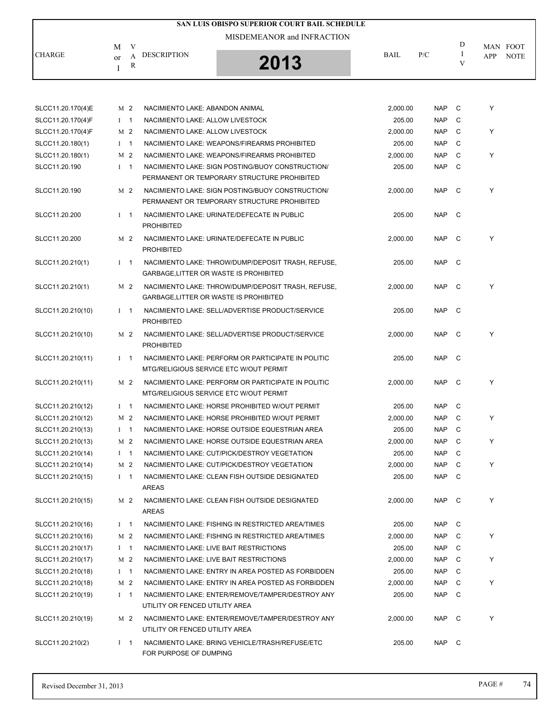|                           |                            | SAN LUIS OBISPO SUPERIOR COURT BAIL SCHEDULE |             |     |        |                                |
|---------------------------|----------------------------|----------------------------------------------|-------------|-----|--------|--------------------------------|
| <b>CHARGE</b><br>$\alpha$ | М<br>V<br>DESCRIPTION<br>R | MISDEMEANOR and INFRACTION<br>2013           | <b>BAIL</b> | P/C | D<br>v | MAN FOOT<br><b>NOTE</b><br>APP |

| SLCC11.20.170(4)E | M 2                            | NACIMIENTO LAKE: ABANDON ANIMAL                                                                 | 2,000.00 | <b>NAP</b> | C   | Υ |
|-------------------|--------------------------------|-------------------------------------------------------------------------------------------------|----------|------------|-----|---|
| SLCC11.20.170(4)F | $1 \quad 1$                    | NACIMIENTO LAKE: ALLOW LIVESTOCK                                                                | 205.00   | <b>NAP</b> | C   |   |
| SLCC11.20.170(4)F | M 2                            | NACIMIENTO LAKE: ALLOW LIVESTOCK                                                                | 2,000.00 | <b>NAP</b> | C   | Y |
| SLCC11.20.180(1)  | $I \quad 1$                    | NACIMIENTO LAKE: WEAPONS/FIREARMS PROHIBITED                                                    | 205.00   | <b>NAP</b> | C   |   |
| SLCC11.20.180(1)  | M 2                            | NACIMIENTO LAKE: WEAPONS/FIREARMS PROHIBITED                                                    | 2,000.00 | <b>NAP</b> | C   | Y |
| SLCC11.20.190     | $I \quad 1$                    | NACIMIENTO LAKE: SIGN POSTING/BUOY CONSTRUCTION/                                                | 205.00   | <b>NAP</b> | C   |   |
|                   |                                | PERMANENT OR TEMPORARY STRUCTURE PROHIBITED                                                     |          |            |     |   |
| SLCC11.20.190     | M 2                            | NACIMIENTO LAKE: SIGN POSTING/BUOY CONSTRUCTION/<br>PERMANENT OR TEMPORARY STRUCTURE PROHIBITED | 2,000.00 | <b>NAP</b> | C   | Y |
| SLCC11.20.200     | $1 \quad 1$                    | NACIMIENTO LAKE: URINATE/DEFECATE IN PUBLIC<br><b>PROHIBITED</b>                                | 205.00   | <b>NAP</b> | C)  |   |
| SLCC11.20.200     | M 2                            | NACIMIENTO LAKE: URINATE/DEFECATE IN PUBLIC<br><b>PROHIBITED</b>                                | 2,000.00 | <b>NAP</b> | C   | Y |
| SLCC11.20.210(1)  | $I \quad 1$                    | NACIMIENTO LAKE: THROW/DUMP/DEPOSIT TRASH, REFUSE,<br>GARBAGE,LITTER OR WASTE IS PROHIBITED     | 205.00   | <b>NAP</b> | - C |   |
| SLCC11.20.210(1)  | M 2                            | NACIMIENTO LAKE: THROW/DUMP/DEPOSIT TRASH, REFUSE,<br>GARBAGE,LITTER OR WASTE IS PROHIBITED     | 2,000.00 | <b>NAP</b> | C)  | Y |
| SLCC11.20.210(10) | $1 \quad 1$                    | NACIMIENTO LAKE: SELL/ADVERTISE PRODUCT/SERVICE<br><b>PROHIBITED</b>                            | 205.00   | <b>NAP</b> | C   |   |
| SLCC11.20.210(10) | M 2                            | NACIMIENTO LAKE: SELL/ADVERTISE PRODUCT/SERVICE<br><b>PROHIBITED</b>                            | 2,000.00 | <b>NAP</b> | C   | Y |
| SLCC11.20.210(11) | $1 \quad 1$                    | NACIMIENTO LAKE: PERFORM OR PARTICIPATE IN POLITIC<br>MTG/RELIGIOUS SERVICE ETC W/OUT PERMIT    | 205.00   | <b>NAP</b> | C   |   |
| SLCC11.20.210(11) | M 2                            | NACIMIENTO LAKE: PERFORM OR PARTICIPATE IN POLITIC<br>MTG/RELIGIOUS SERVICE ETC W/OUT PERMIT    | 2,000.00 | <b>NAP</b> | C)  | Υ |
| SLCC11.20.210(12) | $\overline{1}$<br>$\mathbf{I}$ | NACIMIENTO LAKE: HORSE PROHIBITED W/OUT PERMIT                                                  | 205.00   | <b>NAP</b> | C   |   |
| SLCC11.20.210(12) | M 2                            | NACIMIENTO LAKE: HORSE PROHIBITED W/OUT PERMIT                                                  | 2,000.00 | <b>NAP</b> | C   | Y |
| SLCC11.20.210(13) | $I \quad 1$                    | NACIMIENTO LAKE: HORSE OUTSIDE EQUESTRIAN AREA                                                  | 205.00   | <b>NAP</b> | C   |   |
| SLCC11.20.210(13) | M 2                            | NACIMIENTO LAKE: HORSE OUTSIDE EQUESTRIAN AREA                                                  | 2,000.00 | <b>NAP</b> | C   | Y |
| SLCC11.20.210(14) | $\overline{1}$<br>$\bf{I}$     | NACIMIENTO LAKE: CUT/PICK/DESTROY VEGETATION                                                    | 205.00   | <b>NAP</b> | C   |   |
| SLCC11.20.210(14) | M 2                            | NACIMIENTO LAKE: CUT/PICK/DESTROY VEGETATION                                                    | 2,000.00 | <b>NAP</b> | C   | Y |
| SLCC11.20.210(15) | $I \quad 1$                    | NACIMIENTO LAKE: CLEAN FISH OUTSIDE DESIGNATED<br><b>AREAS</b>                                  | 205.00   | <b>NAP</b> | C   |   |
| SLCC11.20.210(15) | M 2                            | NACIMIENTO LAKE: CLEAN FISH OUTSIDE DESIGNATED<br>AREAS                                         | 2,000.00 | NAP C      |     | Y |
| SLCC11.20.210(16) | $I \quad 1$                    | NACIMIENTO LAKE: FISHING IN RESTRICTED AREA/TIMES                                               | 205.00   | <b>NAP</b> | C   |   |
| SLCC11.20.210(16) | M 2                            | NACIMIENTO LAKE: FISHING IN RESTRICTED AREA/TIMES                                               | 2.000.00 | <b>NAP</b> | C   | Y |
| SLCC11.20.210(17) | $1 \quad 1$                    | NACIMIENTO LAKE: LIVE BAIT RESTRICTIONS                                                         | 205.00   | <b>NAP</b> | C   |   |
| SLCC11.20.210(17) | M 2                            | NACIMIENTO LAKE: LIVE BAIT RESTRICTIONS                                                         | 2,000.00 | NAP        | C   | Y |
| SLCC11.20.210(18) | $I \quad 1$                    | NACIMIENTO LAKE: ENTRY IN AREA POSTED AS FORBIDDEN                                              | 205.00   | <b>NAP</b> | C   |   |
| SLCC11.20.210(18) | M 2                            | NACIMIENTO LAKE: ENTRY IN AREA POSTED AS FORBIDDEN                                              | 2,000.00 | <b>NAP</b> | C   | Y |
| SLCC11.20.210(19) | $1 \quad 1$                    | NACIMIENTO LAKE: ENTER/REMOVE/TAMPER/DESTROY ANY<br>UTILITY OR FENCED UTILITY AREA              | 205.00   | <b>NAP</b> | C   |   |
| SLCC11.20.210(19) | M 2                            | NACIMIENTO LAKE: ENTER/REMOVE/TAMPER/DESTROY ANY<br>UTILITY OR FENCED UTILITY AREA              | 2,000.00 | <b>NAP</b> | C   | Y |
| SLCC11.20.210(2)  | $I \quad 1$                    | NACIMIENTO LAKE: BRING VEHICLE/TRASH/REFUSE/ETC<br>FOR PURPOSE OF DUMPING                       | 205.00   | NAP        | C)  |   |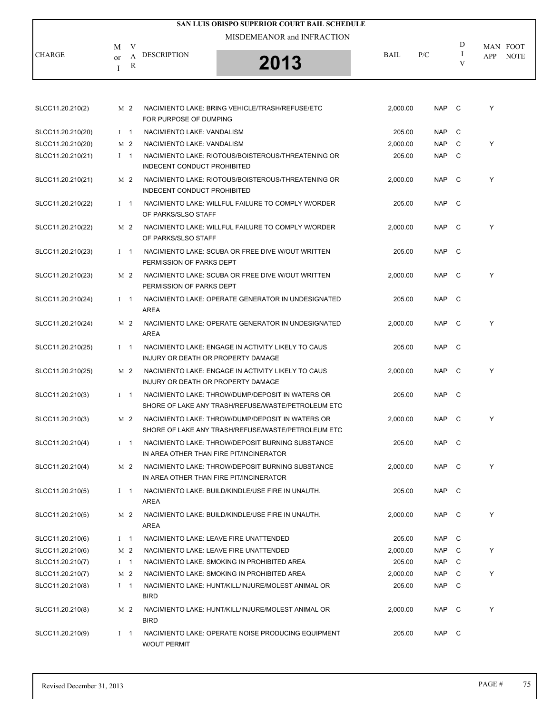|                   |              |                |                                         | <b>SAN LUIS OBISPO SUPERIOR COURT BAIL SCHEDULE</b>                                                    |          |            |               |            |                         |
|-------------------|--------------|----------------|-----------------------------------------|--------------------------------------------------------------------------------------------------------|----------|------------|---------------|------------|-------------------------|
|                   |              |                |                                         | MISDEMEANOR and INFRACTION                                                                             |          |            | D             |            |                         |
| <b>CHARGE</b>     | M<br>or<br>I | V<br>A<br>R    | <b>DESCRIPTION</b>                      | 2013                                                                                                   | BAIL     | P/C        | $\bf{I}$<br>V | <b>APP</b> | MAN FOOT<br><b>NOTE</b> |
|                   |              |                |                                         |                                                                                                        |          |            |               |            |                         |
| SLCC11.20.210(2)  |              | M <sub>2</sub> | FOR PURPOSE OF DUMPING                  | NACIMIENTO LAKE: BRING VEHICLE/TRASH/REFUSE/ETC                                                        | 2,000.00 | NAP C      |               | Υ          |                         |
| SLCC11.20.210(20) |              | $1 \quad 1$    | NACIMIENTO LAKE: VANDALISM              |                                                                                                        | 205.00   | <b>NAP</b> | C             |            |                         |
| SLCC11.20.210(20) |              | M 2            | NACIMIENTO LAKE: VANDALISM              |                                                                                                        | 2,000.00 | <b>NAP</b> | C             | Υ          |                         |
| SLCC11.20.210(21) |              | $1 \quad 1$    | INDECENT CONDUCT PROHIBITED             | NACIMIENTO LAKE: RIOTOUS/BOISTEROUS/THREATENING OR                                                     | 205.00   | <b>NAP</b> | C             |            |                         |
| SLCC11.20.210(21) |              | M 2            | INDECENT CONDUCT PROHIBITED             | NACIMIENTO LAKE: RIOTOUS/BOISTEROUS/THREATENING OR                                                     | 2,000.00 | <b>NAP</b> | C             | Y          |                         |
| SLCC11.20.210(22) |              | $1 \quad 1$    | OF PARKS/SLSO STAFF                     | NACIMIENTO LAKE: WILLFUL FAILURE TO COMPLY W/ORDER                                                     | 205.00   | <b>NAP</b> | C             |            |                         |
| SLCC11.20.210(22) |              | M 2            | OF PARKS/SLSO STAFF                     | NACIMIENTO LAKE: WILLFUL FAILURE TO COMPLY W/ORDER                                                     | 2,000.00 | <b>NAP</b> | C             | Y          |                         |
| SLCC11.20.210(23) |              | $I \quad 1$    | PERMISSION OF PARKS DEPT                | NACIMIENTO LAKE: SCUBA OR FREE DIVE W/OUT WRITTEN                                                      | 205.00   | NAP C      |               |            |                         |
| SLCC11.20.210(23) |              | M 2            | PERMISSION OF PARKS DEPT                | NACIMIENTO LAKE: SCUBA OR FREE DIVE W/OUT WRITTEN                                                      | 2,000.00 | <b>NAP</b> | C             | Y          |                         |
| SLCC11.20.210(24) |              | $I \quad 1$    | <b>AREA</b>                             | NACIMIENTO LAKE: OPERATE GENERATOR IN UNDESIGNATED                                                     | 205.00   | <b>NAP</b> | C             |            |                         |
| SLCC11.20.210(24) |              | M 2            | <b>AREA</b>                             | NACIMIENTO LAKE: OPERATE GENERATOR IN UNDESIGNATED                                                     | 2,000.00 | NAP        | C             | Y          |                         |
| SLCC11.20.210(25) |              | $I \quad 1$    | INJURY OR DEATH OR PROPERTY DAMAGE      | NACIMIENTO LAKE: ENGAGE IN ACTIVITY LIKELY TO CAUS                                                     | 205.00   | NAP        | C             |            |                         |
| SLCC11.20.210(25) |              | M 2            | INJURY OR DEATH OR PROPERTY DAMAGE      | NACIMIENTO LAKE: ENGAGE IN ACTIVITY LIKELY TO CAUS                                                     | 2,000.00 | <b>NAP</b> | C             | Y          |                         |
| SLCC11.20.210(3)  |              | $I \quad 1$    |                                         | NACIMIENTO LAKE: THROW/DUMP/DEPOSIT IN WATERS OR<br>SHORE OF LAKE ANY TRASH/REFUSE/WASTE/PETROLEUM ETC | 205.00   | <b>NAP</b> | C             |            |                         |
| SLCC11.20.210(3)  |              | M 2            |                                         | NACIMIENTO LAKE: THROW/DUMP/DEPOSIT IN WATERS OR<br>SHORE OF LAKE ANY TRASH/REFUSE/WASTE/PETROLEUM ETC | 2,000.00 | NAP C      |               | Υ          |                         |
| SLCC11.20.210(4)  |              | $I \quad 1$    | IN AREA OTHER THAN FIRE PIT/INCINERATOR | NACIMIENTO LAKE: THROW/DEPOSIT BURNING SUBSTANCE                                                       | 205.00   | NAP C      |               |            |                         |
| SLCC11.20.210(4)  |              | M 2            | IN AREA OTHER THAN FIRE PIT/INCINERATOR | NACIMIENTO LAKE: THROW/DEPOSIT BURNING SUBSTANCE                                                       | 2,000.00 | NAP C      |               | Υ          |                         |
| SLCC11.20.210(5)  |              | $I \quad 1$    | AREA                                    | NACIMIENTO LAKE: BUILD/KINDLE/USE FIRE IN UNAUTH.                                                      | 205.00   | NAP C      |               |            |                         |
| SLCC11.20.210(5)  |              | M 2            | AREA                                    | NACIMIENTO LAKE: BUILD/KINDLE/USE FIRE IN UNAUTH.                                                      | 2,000.00 | NAP C      |               | Υ          |                         |
| SLCC11.20.210(6)  |              | $I \quad 1$    |                                         | NACIMIENTO LAKE: LEAVE FIRE UNATTENDED                                                                 | 205.00   | <b>NAP</b> | C             |            |                         |
| SLCC11.20.210(6)  |              | M 2            |                                         | NACIMIENTO LAKE: LEAVE FIRE UNATTENDED                                                                 | 2,000.00 | <b>NAP</b> | C             | Y          |                         |
| SLCC11.20.210(7)  |              | $I \quad 1$    |                                         | NACIMIENTO LAKE: SMOKING IN PROHIBITED AREA                                                            | 205.00   | <b>NAP</b> | C             |            |                         |
| SLCC11.20.210(7)  |              | M <sub>2</sub> |                                         | NACIMIENTO LAKE: SMOKING IN PROHIBITED AREA                                                            | 2,000.00 | <b>NAP</b> | C             | Υ          |                         |
| SLCC11.20.210(8)  |              | $I \quad 1$    | <b>BIRD</b>                             | NACIMIENTO LAKE: HUNT/KILL/INJURE/MOLEST ANIMAL OR                                                     | 205.00   | <b>NAP</b> | C             |            |                         |
| SLCC11.20.210(8)  |              | M 2            | <b>BIRD</b>                             | NACIMIENTO LAKE: HUNT/KILL/INJURE/MOLEST ANIMAL OR                                                     | 2,000.00 | NAP        | C             | Y          |                         |
| SLCC11.20.210(9)  |              | $1 \quad 1$    | <b>W/OUT PERMIT</b>                     | NACIMIENTO LAKE: OPERATE NOISE PRODUCING EQUIPMENT                                                     | 205.00   | NAP C      |               |            |                         |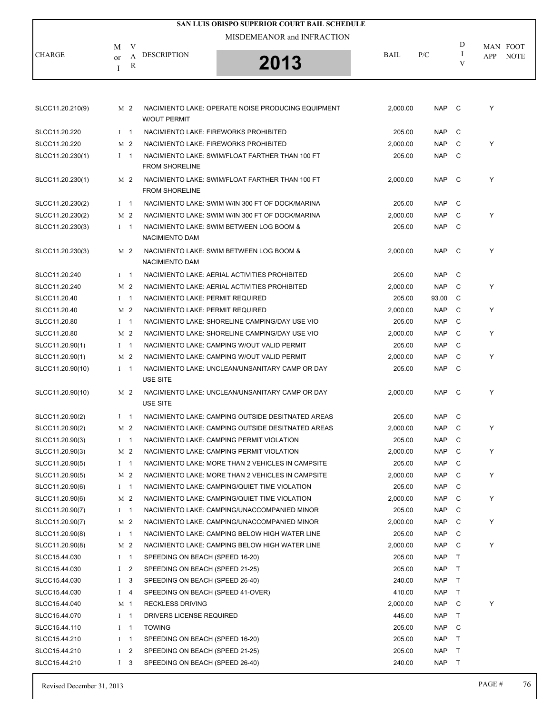| SAN LUIS OBISPO SUPERIOR COURT BAIL SCHEDULE |             |                |                                       |                                                    |             |            |              |     |             |  |
|----------------------------------------------|-------------|----------------|---------------------------------------|----------------------------------------------------|-------------|------------|--------------|-----|-------------|--|
|                                              |             |                |                                       | MISDEMEANOR and INFRACTION                         |             |            |              |     |             |  |
|                                              | M           | V              |                                       |                                                    |             |            | D            |     | MAN FOOT    |  |
| <b>CHARGE</b>                                | or          | A              | <b>DESCRIPTION</b>                    | 2013                                               | <b>BAIL</b> | P/C        | Ι<br>V       | APP | <b>NOTE</b> |  |
|                                              | Ι           | R              |                                       |                                                    |             |            |              |     |             |  |
|                                              |             |                |                                       |                                                    |             |            |              |     |             |  |
|                                              |             |                |                                       |                                                    |             |            |              |     |             |  |
| SLCC11.20.210(9)                             |             | M 2            | <b>W/OUT PERMIT</b>                   | NACIMIENTO LAKE: OPERATE NOISE PRODUCING EQUIPMENT | 2,000.00    | NAP C      |              | Υ   |             |  |
| SLCC11.20.220                                | $1 \quad 1$ |                | NACIMIENTO LAKE: FIREWORKS PROHIBITED |                                                    | 205.00      | NAP        | C            |     |             |  |
| SLCC11.20.220                                |             | M <sub>2</sub> | NACIMIENTO LAKE: FIREWORKS PROHIBITED |                                                    | 2,000.00    | <b>NAP</b> | C            | Y   |             |  |
| SLCC11.20.230(1)                             | $1 \quad 1$ |                | <b>FROM SHORELINE</b>                 | NACIMIENTO LAKE: SWIM/FLOAT FARTHER THAN 100 FT    | 205.00      | <b>NAP</b> | C            |     |             |  |
| SLCC11.20.230(1)                             |             | M 2            | <b>FROM SHORELINE</b>                 | NACIMIENTO LAKE: SWIM/FLOAT FARTHER THAN 100 FT    | 2,000.00    | <b>NAP</b> | - C          | Y   |             |  |
| SLCC11.20.230(2)                             | $1 \quad 1$ |                |                                       | NACIMIENTO LAKE: SWIM W/IN 300 FT OF DOCK/MARINA   | 205.00      | <b>NAP</b> | C            |     |             |  |
| SLCC11.20.230(2)                             |             | M <sub>2</sub> |                                       | NACIMIENTO LAKE: SWIM W/IN 300 FT OF DOCK/MARINA   | 2,000.00    | <b>NAP</b> | C            | Y   |             |  |
| SLCC11.20.230(3)                             | $1 \quad 1$ |                |                                       | NACIMIENTO LAKE: SWIM BETWEEN LOG BOOM &           | 205.00      | <b>NAP</b> | C.           |     |             |  |
|                                              |             |                | <b>NACIMIENTO DAM</b>                 |                                                    |             |            |              |     |             |  |
| SLCC11.20.230(3)                             |             | M 2            | <b>NACIMIENTO DAM</b>                 | NACIMIENTO LAKE: SWIM BETWEEN LOG BOOM &           | 2,000.00    | <b>NAP</b> | C            | Υ   |             |  |
| SLCC11.20.240                                | $I \quad 1$ |                |                                       | NACIMIENTO LAKE: AERIAL ACTIVITIES PROHIBITED      | 205.00      | <b>NAP</b> | $\mathsf{C}$ |     |             |  |
| SLCC11.20.240                                |             | M <sub>2</sub> |                                       | NACIMIENTO LAKE: AERIAL ACTIVITIES PROHIBITED      | 2,000.00    | <b>NAP</b> | C            | Υ   |             |  |
| SLCC11.20.40                                 | $1 \quad 1$ |                | NACIMIENTO LAKE: PERMIT REQUIRED      |                                                    | 205.00      | 93.00      | C            |     |             |  |
| SLCC11.20.40                                 |             | M <sub>2</sub> | NACIMIENTO LAKE: PERMIT REQUIRED      |                                                    | 2,000.00    | <b>NAP</b> | C            | Y   |             |  |
| SLCC11.20.80                                 | $1 \quad 1$ |                |                                       | NACIMIENTO LAKE: SHORELINE CAMPING/DAY USE VIO     | 205.00      | <b>NAP</b> | C            |     |             |  |
| SLCC11.20.80                                 |             | M <sub>2</sub> |                                       | NACIMIENTO LAKE: SHORELINE CAMPING/DAY USE VIO     | 2,000.00    | <b>NAP</b> | C            | Y   |             |  |
| SLCC11.20.90(1)                              | $1 \quad 1$ |                |                                       | NACIMIENTO LAKE: CAMPING W/OUT VALID PERMIT        | 205.00      | <b>NAP</b> | C            |     |             |  |
| SLCC11.20.90(1)                              |             | M <sub>2</sub> |                                       | NACIMIENTO LAKE: CAMPING W/OUT VALID PERMIT        | 2,000.00    | <b>NAP</b> | C            | Υ   |             |  |
| SLCC11.20.90(10)                             | $1 \quad 1$ |                |                                       | NACIMIENTO LAKE: UNCLEAN/UNSANITARY CAMP OR DAY    | 205.00      | <b>NAP</b> | C            |     |             |  |
|                                              |             |                | USE SITE                              |                                                    |             |            |              |     |             |  |
| SLCC11.20.90(10)                             |             | M <sub>2</sub> | <b>USE SITE</b>                       | NACIMIENTO LAKE: UNCLEAN/UNSANITARY CAMP OR DAY    | 2,000.00    | <b>NAP</b> | - C          | Y   |             |  |
| SLCC11.20.90(2)                              |             | $1 \quad 1$    |                                       | NACIMIENTO LAKE: CAMPING OUTSIDE DESITNATED AREAS  | 205.00      | NAP        | - C          |     |             |  |
| SLCC11.20.90(2)                              |             | M 2            |                                       | NACIMIENTO LAKE: CAMPING OUTSIDE DESITNATED AREAS  | 2,000.00    | <b>NAP</b> | $\mathbf C$  | Y   |             |  |
| SLCC11.20.90(3)                              | $I \quad 1$ |                |                                       | NACIMIENTO LAKE: CAMPING PERMIT VIOLATION          | 205.00      | <b>NAP</b> | C            |     |             |  |
| SLCC11.20.90(3)                              |             | M <sub>2</sub> |                                       | NACIMIENTO LAKE: CAMPING PERMIT VIOLATION          | 2,000.00    | NAP        | C            | Y   |             |  |
| SLCC11.20.90(5)                              | $I \quad 1$ |                |                                       | NACIMIENTO LAKE: MORE THAN 2 VEHICLES IN CAMPSITE  | 205.00      | NAP        | C            |     |             |  |
| SLCC11.20.90(5)                              |             | M <sub>2</sub> |                                       | NACIMIENTO LAKE: MORE THAN 2 VEHICLES IN CAMPSITE  | 2,000.00    | NAP        | C            | Y   |             |  |
| SLCC11.20.90(6)                              |             | $I \quad 1$    |                                       | NACIMIENTO LAKE: CAMPING/QUIET TIME VIOLATION      | 205.00      | NAP        | C            |     |             |  |
| SLCC11.20.90(6)                              |             | M 2            |                                       | NACIMIENTO LAKE: CAMPING/QUIET TIME VIOLATION      | 2,000.00    | <b>NAP</b> | - C          | Y   |             |  |
| SLCC11.20.90(7)                              | $I \quad 1$ |                |                                       | NACIMIENTO LAKE: CAMPING/UNACCOMPANIED MINOR       | 205.00      | <b>NAP</b> | C            |     |             |  |
| SLCC11.20.90(7)                              |             | M <sub>2</sub> |                                       | NACIMIENTO LAKE: CAMPING/UNACCOMPANIED MINOR       | 2,000.00    | NAP        | C            | Y   |             |  |
| SLCC11.20.90(8)                              | $I \quad 1$ |                |                                       | NACIMIENTO LAKE: CAMPING BELOW HIGH WATER LINE     | 205.00      | <b>NAP</b> | C            |     |             |  |
| SLCC11.20.90(8)                              |             | M <sub>2</sub> |                                       | NACIMIENTO LAKE: CAMPING BELOW HIGH WATER LINE     | 2,000.00    | NAP        | C            | Y   |             |  |
| SLCC15.44.030                                |             | $I \quad 1$    | SPEEDING ON BEACH (SPEED 16-20)       |                                                    | 205.00      | <b>NAP</b> | T            |     |             |  |
| SLCC15.44.030                                |             | I <sub>2</sub> | SPEEDING ON BEACH (SPEED 21-25)       |                                                    | 205.00      | <b>NAP</b> | $\top$       |     |             |  |
| SLCC15.44.030                                |             | I <sub>3</sub> | SPEEDING ON BEACH (SPEED 26-40)       |                                                    | 240.00      | <b>NAP</b> | $\top$       |     |             |  |
| SLCC15.44.030                                |             | $I \quad 4$    | SPEEDING ON BEACH (SPEED 41-OVER)     |                                                    | 410.00      | <b>NAP</b> | $\top$       |     |             |  |
| SLCC15.44.040                                | M 1         |                | <b>RECKLESS DRIVING</b>               |                                                    | 2,000.00    | NAP C      |              | Y   |             |  |
| SLCC15.44.070                                | $I \quad 1$ |                | DRIVERS LICENSE REQUIRED              |                                                    | 445.00      | <b>NAP</b> | $\top$       |     |             |  |
| SLCC15.44.110                                |             | $I \quad 1$    | <b>TOWING</b>                         |                                                    | 205.00      | NAP        | C            |     |             |  |
| SLCC15.44.210                                | $I \quad 1$ |                | SPEEDING ON BEACH (SPEED 16-20)       |                                                    | 205.00      | <b>NAP</b> | $\top$       |     |             |  |
| SLCC15.44.210                                |             | I <sub>2</sub> | SPEEDING ON BEACH (SPEED 21-25)       |                                                    | 205.00      | <b>NAP</b> | T            |     |             |  |
| SLCC15.44.210                                |             | $1 \quad 3$    | SPEEDING ON BEACH (SPEED 26-40)       |                                                    | 240.00      | NAP        | $\top$       |     |             |  |
|                                              |             |                |                                       |                                                    |             |            |              |     |             |  |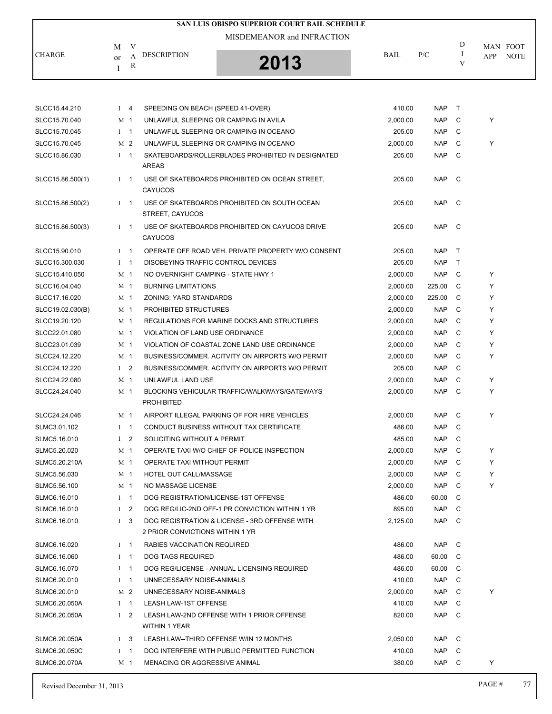|               |         |                                   | SAN LUIS OBISPO SUPERIOR COURT BAIL SCHEDULE |             |     |                   |                                |
|---------------|---------|-----------------------------------|----------------------------------------------|-------------|-----|-------------------|--------------------------------|
| <b>CHARGE</b> | М<br>or | V<br><b>DESCRIPTION</b><br>А<br>R | MISDEMEANOR and INFRACTION<br>2013           | <b>BAIL</b> | P/C | D<br>$\mathbf{V}$ | MAN FOOT<br><b>NOTE</b><br>APP |

| SLCC15.44.210    | $I \quad 4$    |                | SPEEDING ON BEACH (SPEED 41-OVER)                                                | 410.00   | <b>NAP</b> | $\top$         |   |
|------------------|----------------|----------------|----------------------------------------------------------------------------------|----------|------------|----------------|---|
| SLCC15.70.040    | M 1            |                | UNLAWFUL SLEEPING OR CAMPING IN AVILA                                            | 2,000.00 | <b>NAP</b> | C              | Y |
| SLCC15.70.045    | $I \quad 1$    |                | UNLAWFUL SLEEPING OR CAMPING IN OCEANO                                           | 205.00   | <b>NAP</b> | C              |   |
| SLCC15.70.045    | M 2            |                | UNLAWFUL SLEEPING OR CAMPING IN OCEANO                                           | 2,000.00 | <b>NAP</b> | C              | Y |
| SLCC15.86.030    | $I \quad 1$    |                | SKATEBOARDS/ROLLERBLADES PROHIBITED IN DESIGNATED<br><b>AREAS</b>                | 205.00   | <b>NAP</b> | C              |   |
| SLCC15.86.500(1) | $1 \quad 1$    |                | USE OF SKATEBOARDS PROHIBITED ON OCEAN STREET,<br><b>CAYUCOS</b>                 | 205.00   | <b>NAP</b> | - C            |   |
| SLCC15.86.500(2) | $1 \quad 1$    |                | USE OF SKATEBOARDS PROHIBITED ON SOUTH OCEAN<br>STREET, CAYUCOS                  | 205.00   | <b>NAP</b> | - C            |   |
| SLCC15.86.500(3) | $1 \quad 1$    |                | USE OF SKATEBOARDS PROHIBITED ON CAYUCOS DRIVE<br><b>CAYUCOS</b>                 | 205.00   | <b>NAP</b> | C <sub>c</sub> |   |
| SLCC15.90.010    | $I \quad 1$    |                | OPERATE OFF ROAD VEH. PRIVATE PROPERTY W/O CONSENT                               | 205.00   | <b>NAP</b> | $\top$         |   |
| SLCC15.300.030   | $I \quad 1$    |                | DISOBEYING TRAFFIC CONTROL DEVICES                                               | 205.00   | <b>NAP</b> | $\mathsf{T}$   |   |
| SLCC15.410.050   | M 1            |                | NO OVERNIGHT CAMPING - STATE HWY 1                                               | 2,000.00 | <b>NAP</b> | C              | Y |
| SLCC16.04.040    | M 1            |                | <b>BURNING LIMITATIONS</b>                                                       | 2,000.00 | 225.00     | C              | Y |
| SLCC17.16.020    | M 1            |                | <b>ZONING: YARD STANDARDS</b>                                                    | 2.000.00 | 225.00     | C              | Y |
| SLCC19.02.030(B) | M <sub>1</sub> |                | PROHIBITED STRUCTURES                                                            | 2,000.00 | <b>NAP</b> | C              | Y |
| SLCC19.20.120    | M 1            |                | REGULATIONS FOR MARINE DOCKS AND STRUCTURES                                      | 2,000.00 | <b>NAP</b> | C              | Y |
| SLCC22.01.080    | M 1            |                | VIOLATION OF LAND USE ORDINANCE                                                  | 2,000.00 | <b>NAP</b> | C              | Y |
| SLCC23.01.039    | M <sub>1</sub> |                | VIOLATION OF COASTAL ZONE LAND USE ORDINANCE                                     | 2,000.00 | <b>NAP</b> | C              | Y |
| SLCC24.12.220    | M 1            |                | BUSINESS/COMMER. ACITVITY ON AIRPORTS W/O PERMIT                                 | 2,000.00 | <b>NAP</b> | C              | Y |
| SLCC24.12.220    | I <sub>2</sub> |                | BUSINESS/COMMER. ACITVITY ON AIRPORTS W/O PERMIT                                 | 205.00   | <b>NAP</b> | C              |   |
| SLCC24.22.080    | M <sub>1</sub> |                | UNLAWFUL LAND USE                                                                | 2,000.00 | <b>NAP</b> | C              | Y |
| SLCC24.24.040    | M 1            |                | BLOCKING VEHICULAR TRAFFIC/WALKWAYS/GATEWAYS<br><b>PROHIBITED</b>                | 2,000.00 | <b>NAP</b> | C              | Y |
| SLCC24.24.046    | M 1            |                | AIRPORT ILLEGAL PARKING OF FOR HIRE VEHICLES                                     | 2,000.00 | <b>NAP</b> | C              | Y |
| SLMC3.01.102     | $I \quad 1$    |                | CONDUCT BUSINESS WITHOUT TAX CERTIFICATE                                         | 486.00   | <b>NAP</b> | C              |   |
| SLMC5.16.010     | $\bf{I}$       | 2              | SOLICITING WITHOUT A PERMIT                                                      | 485.00   | <b>NAP</b> | C              |   |
| SLMC5.20.020     | M 1            |                | OPERATE TAXI W/O CHIEF OF POLICE INSPECTION                                      | 2,000.00 | <b>NAP</b> | C              | Y |
| SLMC5.20.210A    | M 1            |                | OPERATE TAXI WITHOUT PERMIT                                                      | 2,000.00 | <b>NAP</b> | C              | Y |
| SLMC5.56.030     | M <sub>1</sub> |                | HOTEL OUT CALL/MASSAGE                                                           | 2,000.00 | <b>NAP</b> | C              | Y |
| SLMC5.56.100     | M <sub>1</sub> |                | NO MASSAGE LICENSE                                                               | 2,000.00 | <b>NAP</b> | C              | Y |
| SLMC6.16.010     | $I \quad 1$    |                | DOG REGISTRATION/LICENSE-1ST OFFENSE                                             | 486.00   | 60.00      | C.             |   |
| SLMC6.16.010     | I <sub>2</sub> |                | DOG REG/LIC-2ND OFF-1 PR CONVICTION WITHIN 1 YR                                  | 895.00   | <b>NAP</b> | C              |   |
| SLMC6.16.010     | $\mathbf{I}$   | 3              | DOG REGISTRATION & LICENSE - 3RD OFFENSE WITH<br>2 PRIOR CONVICTIONS WITHIN 1 YR | 2,125.00 | <b>NAP</b> | C              |   |
| SLMC6.16.020     | Ι.             | $\mathbf{1}$   | RABIES VACCINATION REQUIRED                                                      | 486.00   | <b>NAP</b> | C              |   |
| SLMC6.16.060     | $\mathbf{I}$   | $\overline{1}$ | <b>DOG TAGS REQUIRED</b>                                                         | 486.00   | 60.00      | C.             |   |
| SLMC6.16.070     | $\bf{I}$       | $\mathbf{1}$   | DOG REG/LICENSE - ANNUAL LICENSING REQUIRED                                      | 486.00   | 60.00      | C              |   |
| SLMC6.20.010     | $\bf{I}$       | $\mathbf{1}$   | UNNECESSARY NOISE-ANIMALS                                                        | 410.00   | <b>NAP</b> | C              |   |
| SLMC6.20.010     | M 2            |                | UNNECESSARY NOISE-ANIMALS                                                        | 2,000.00 | <b>NAP</b> | C              | Y |
| SLMC6.20.050A    | $I \quad 1$    |                | LEASH LAW-1ST OFFENSE                                                            | 410.00   | <b>NAP</b> | C              |   |
| SLMC6.20.050A    | $\bf{I}$       | 2              | LEASH LAW-2ND OFFENSE WITH 1 PRIOR OFFENSE<br><b>WITHIN 1 YEAR</b>               | 820.00   | <b>NAP</b> | C              |   |
| SLMC6.20.050A    | $\bf{I}$       | 3              | LEASH LAW--THIRD OFFENSE W/IN 12 MONTHS                                          | 2,050.00 | <b>NAP</b> | C              |   |
| SLMC6.20.050C    | $\bf{I}$       | $\mathbf{1}$   | DOG INTERFERE WITH PUBLIC PERMITTED FUNCTION                                     | 410.00   | <b>NAP</b> | С              |   |
| SLMC6.20.070A    | M 1            |                | MENACING OR AGGRESSIVE ANIMAL                                                    | 380.00   | <b>NAP</b> | C              | Y |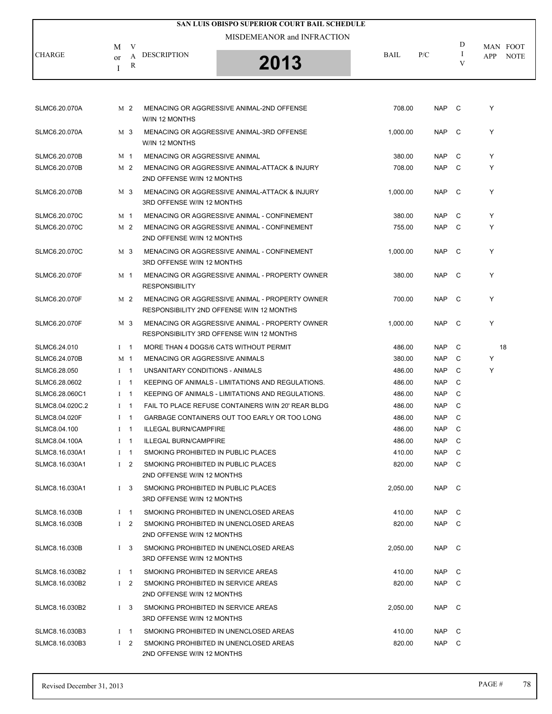|                 |              |                |                                                                   | SAN LUIS OBISPO SUPERIOR COURT BAIL SCHEDULE                                                |          |            |              |                                |
|-----------------|--------------|----------------|-------------------------------------------------------------------|---------------------------------------------------------------------------------------------|----------|------------|--------------|--------------------------------|
|                 |              |                |                                                                   | MISDEMEANOR and INFRACTION                                                                  |          |            |              |                                |
| CHARGE          | M<br>or<br>Ι | V<br>A<br>R    | <b>DESCRIPTION</b>                                                | 2013                                                                                        | BAIL     | P/C        | D<br>1<br>V  | MAN FOOT<br>APP<br><b>NOTE</b> |
|                 |              |                |                                                                   |                                                                                             |          |            |              |                                |
| SLMC6.20.070A   |              | M 2            | W/IN 12 MONTHS                                                    | MENACING OR AGGRESSIVE ANIMAL-2ND OFFENSE                                                   | 708.00   | <b>NAP</b> | $\mathbf{C}$ | Υ                              |
| SLMC6.20.070A   |              | M 3            | W/IN 12 MONTHS                                                    | MENACING OR AGGRESSIVE ANIMAL-3RD OFFENSE                                                   | 1,000.00 | <b>NAP</b> | C            | Υ                              |
| SLMC6.20.070B   | M 1          |                | MENACING OR AGGRESSIVE ANIMAL                                     |                                                                                             | 380.00   | <b>NAP</b> | C            | Y                              |
| SLMC6.20.070B   |              | M 2            | 2ND OFFENSE W/IN 12 MONTHS                                        | MENACING OR AGGRESSIVE ANIMAL-ATTACK & INJURY                                               | 708.00   | <b>NAP</b> | C            | Υ                              |
| SLMC6.20.070B   |              | M 3            | 3RD OFFENSE W/IN 12 MONTHS                                        | MENACING OR AGGRESSIVE ANIMAL-ATTACK & INJURY                                               | 1,000.00 | <b>NAP</b> | C            | Υ                              |
| SLMC6.20.070C   | M 1          |                |                                                                   | MENACING OR AGGRESSIVE ANIMAL - CONFINEMENT                                                 | 380.00   | <b>NAP</b> | C            | Y                              |
| SLMC6.20.070C   |              | M <sub>2</sub> | 2ND OFFENSE W/IN 12 MONTHS                                        | MENACING OR AGGRESSIVE ANIMAL - CONFINEMENT                                                 | 755.00   | <b>NAP</b> | C            | Y                              |
| SLMC6.20.070C   |              | M 3            | 3RD OFFENSE W/IN 12 MONTHS                                        | MENACING OR AGGRESSIVE ANIMAL - CONFINEMENT                                                 | 1,000.00 | <b>NAP</b> | C            | Υ                              |
| SLMC6.20.070F   | M 1          |                | <b>RESPONSIBILITY</b>                                             | MENACING OR AGGRESSIVE ANIMAL - PROPERTY OWNER                                              | 380.00   | <b>NAP</b> | C            | Υ                              |
| SLMC6.20.070F   |              | M 2            |                                                                   | MENACING OR AGGRESSIVE ANIMAL - PROPERTY OWNER<br>RESPONSIBILITY 2ND OFFENSE W/IN 12 MONTHS | 700.00   | <b>NAP</b> | C            | Υ                              |
| SLMC6.20.070F   |              | M 3            |                                                                   | MENACING OR AGGRESSIVE ANIMAL - PROPERTY OWNER<br>RESPONSIBILITY 3RD OFFENSE W/IN 12 MONTHS | 1,000.00 | <b>NAP</b> | C            | Y                              |
| SLMC6.24.010    | $1 \quad 1$  |                |                                                                   | MORE THAN 4 DOGS/6 CATS WITHOUT PERMIT                                                      | 486.00   | <b>NAP</b> | C            | 18                             |
| SLMC6.24.070B   | M 1          |                | MENACING OR AGGRESSIVE ANIMALS                                    |                                                                                             | 380.00   | <b>NAP</b> | C            | Y                              |
| SLMC6.28.050    | $1 \quad 1$  |                | UNSANITARY CONDITIONS - ANIMALS                                   |                                                                                             | 486.00   | <b>NAP</b> | C            | Υ                              |
| SLMC6.28.0602   |              | $1 \quad 1$    |                                                                   | KEEPING OF ANIMALS - LIMITATIONS AND REGULATIONS.                                           | 486.00   | <b>NAP</b> | C            |                                |
| SLMC6.28.060C1  | $1 \quad 1$  |                |                                                                   | KEEPING OF ANIMALS - LIMITATIONS AND REGULATIONS.                                           | 486.00   | <b>NAP</b> | C            |                                |
| SLMC8.04.020C.2 | $1 \quad 1$  |                |                                                                   | FAIL TO PLACE REFUSE CONTAINERS W/IN 20' REAR BLDG                                          | 486.00   | <b>NAP</b> | C            |                                |
| SLMC8.04.020F   | $1 \quad 1$  |                |                                                                   | GARBAGE CONTAINERS OUT TOO EARLY OR TOO LONG                                                | 486.00   | <b>NAP</b> | C            |                                |
| SLMC8.04.100    |              | $1 \quad 1$    | <b>ILLEGAL BURN/CAMPFIRE</b>                                      |                                                                                             | 486.00   | <b>NAP</b> | C            |                                |
| SLMC8.04.100A   |              | $I \quad 1$    | <b>ILLEGAL BURN/CAMPFIRE</b>                                      |                                                                                             | 486.00   | <b>NAP</b> | C            |                                |
| SLMC8.16.030A1  |              | $1 \quad 1$    | SMOKING PROHIBITED IN PUBLIC PLACES                               |                                                                                             | 410.00   | NAP        | C            |                                |
| SLMC8.16.030A1  |              | $1\quad 2$     | SMOKING PROHIBITED IN PUBLIC PLACES<br>2ND OFFENSE W/IN 12 MONTHS |                                                                                             | 820.00   | <b>NAP</b> | C            |                                |
| SLMC8.16.030A1  |              | $1 \quad 3$    | SMOKING PROHIBITED IN PUBLIC PLACES<br>3RD OFFENSE W/IN 12 MONTHS |                                                                                             | 2,050.00 | <b>NAP</b> | $\mathbf{C}$ |                                |
| SLMC8.16.030B   |              | $I \quad 1$    |                                                                   | SMOKING PROHIBITED IN UNENCLOSED AREAS                                                      | 410.00   | NAP C      |              |                                |
| SLMC8.16.030B   |              | $1\quad 2$     | 2ND OFFENSE W/IN 12 MONTHS                                        | SMOKING PROHIBITED IN UNENCLOSED AREAS                                                      | 820.00   | NAP        | $\mathsf{C}$ |                                |
| SLMC8.16.030B   |              | $1 \quad 3$    | 3RD OFFENSE W/IN 12 MONTHS                                        | SMOKING PROHIBITED IN UNENCLOSED AREAS                                                      | 2,050.00 | NAP C      |              |                                |
| SLMC8.16.030B2  |              | $1 \quad 1$    | SMOKING PROHIBITED IN SERVICE AREAS                               |                                                                                             | 410.00   | NAP        | C            |                                |
| SLMC8.16.030B2  |              | $1\quad 2$     | SMOKING PROHIBITED IN SERVICE AREAS<br>2ND OFFENSE W/IN 12 MONTHS |                                                                                             | 820.00   | <b>NAP</b> | C            |                                |
| SLMC8.16.030B2  |              | $1 \quad 3$    | SMOKING PROHIBITED IN SERVICE AREAS<br>3RD OFFENSE W/IN 12 MONTHS |                                                                                             | 2,050.00 | <b>NAP</b> | $\mathbf{C}$ |                                |
| SLMC8.16.030B3  |              | $I \quad 1$    |                                                                   | SMOKING PROHIBITED IN UNENCLOSED AREAS                                                      | 410.00   | NAP        | $\mathbf{C}$ |                                |
| SLMC8.16.030B3  |              | $1\quad 2$     | 2ND OFFENSE W/IN 12 MONTHS                                        | SMOKING PROHIBITED IN UNENCLOSED AREAS                                                      | 820.00   | NAP C      |              |                                |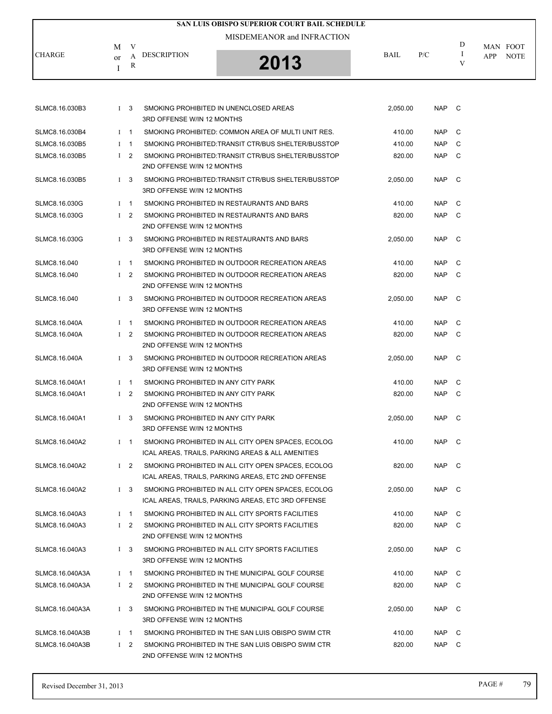|                 | <b>SAN LUIS OBISPO SUPERIOR COURT BAIL SCHEDULE</b> |             |                                                                   |                                                                                                          |          |            |              |     |                         |  |
|-----------------|-----------------------------------------------------|-------------|-------------------------------------------------------------------|----------------------------------------------------------------------------------------------------------|----------|------------|--------------|-----|-------------------------|--|
|                 |                                                     |             |                                                                   | MISDEMEANOR and INFRACTION                                                                               |          |            |              |     |                         |  |
| CHARGE          | М<br>or<br>I                                        | V<br>A<br>R | <b>DESCRIPTION</b>                                                | 2013                                                                                                     | BAIL     | P/C        | D<br>Ι.<br>V | APP | MAN FOOT<br><b>NOTE</b> |  |
|                 |                                                     |             |                                                                   |                                                                                                          |          |            |              |     |                         |  |
| SLMC8.16.030B3  |                                                     | $1\quad 3$  | 3RD OFFENSE W/IN 12 MONTHS                                        | SMOKING PROHIBITED IN UNENCLOSED AREAS                                                                   | 2,050.00 | NAP C      |              |     |                         |  |
| SLMC8.16.030B4  |                                                     | $1 \quad 1$ |                                                                   | SMOKING PROHIBITED: COMMON AREA OF MULTI UNIT RES.                                                       | 410.00   | NAP.       | C            |     |                         |  |
| SLMC8.16.030B5  |                                                     | $1 \quad 1$ |                                                                   | SMOKING PROHIBITED:TRANSIT CTR/BUS SHELTER/BUSSTOP                                                       | 410.00   | NAP        | C            |     |                         |  |
| SLMC8.16.030B5  |                                                     | $1\quad 2$  | 2ND OFFENSE W/IN 12 MONTHS                                        | SMOKING PROHIBITED:TRANSIT CTR/BUS SHELTER/BUSSTOP                                                       | 820.00   | NAP        | $\mathbf{C}$ |     |                         |  |
| SLMC8.16.030B5  |                                                     | $1 \quad 3$ | 3RD OFFENSE W/IN 12 MONTHS                                        | SMOKING PROHIBITED:TRANSIT CTR/BUS SHELTER/BUSSTOP                                                       | 2,050.00 | NAP C      |              |     |                         |  |
| SLMC8.16.030G   |                                                     | $I$ 1       |                                                                   | SMOKING PROHIBITED IN RESTAURANTS AND BARS                                                               | 410.00   | <b>NAP</b> | C            |     |                         |  |
| SLMC8.16.030G   |                                                     | $1\quad 2$  | 2ND OFFENSE W/IN 12 MONTHS                                        | SMOKING PROHIBITED IN RESTAURANTS AND BARS                                                               | 820.00   | NAP        | C            |     |                         |  |
| SLMC8.16.030G   |                                                     | $1\quad 3$  | 3RD OFFENSE W/IN 12 MONTHS                                        | SMOKING PROHIBITED IN RESTAURANTS AND BARS                                                               | 2,050.00 | NAP        | $\mathbf{C}$ |     |                         |  |
| SLMC8.16.040    |                                                     | $1 \quad 1$ |                                                                   | SMOKING PROHIBITED IN OUTDOOR RECREATION AREAS                                                           | 410.00   | <b>NAP</b> | C            |     |                         |  |
| SLMC8.16.040    |                                                     | $1\quad 2$  | 2ND OFFENSE W/IN 12 MONTHS                                        | SMOKING PROHIBITED IN OUTDOOR RECREATION AREAS                                                           | 820.00   | NAP C      |              |     |                         |  |
| SLMC8.16.040    |                                                     | $1 \quad 3$ | 3RD OFFENSE W/IN 12 MONTHS                                        | SMOKING PROHIBITED IN OUTDOOR RECREATION AREAS                                                           | 2,050.00 | NAP C      |              |     |                         |  |
| SLMC8.16.040A   |                                                     | $1 \quad 1$ |                                                                   | SMOKING PROHIBITED IN OUTDOOR RECREATION AREAS                                                           | 410.00   | <b>NAP</b> | C            |     |                         |  |
| SLMC8.16.040A   |                                                     | $1\quad 2$  | 2ND OFFENSE W/IN 12 MONTHS                                        | SMOKING PROHIBITED IN OUTDOOR RECREATION AREAS                                                           | 820.00   | NAP        | C            |     |                         |  |
| SLMC8.16.040A   |                                                     | $1 \quad 3$ | 3RD OFFENSE W/IN 12 MONTHS                                        | SMOKING PROHIBITED IN OUTDOOR RECREATION AREAS                                                           | 2,050.00 | NAP C      |              |     |                         |  |
| SLMC8.16.040A1  |                                                     | $I$ 1       | SMOKING PROHIBITED IN ANY CITY PARK                               |                                                                                                          | 410.00   | NAP        | C            |     |                         |  |
| SLMC8.16.040A1  |                                                     | $1\quad 2$  | SMOKING PROHIBITED IN ANY CITY PARK<br>2ND OFFENSE W/IN 12 MONTHS |                                                                                                          | 820.00   | NAP        | C            |     |                         |  |
| SLMC8.16.040A1  |                                                     | $1 \quad 3$ | SMOKING PROHIBITED IN ANY CITY PARK<br>3RD OFFENSE W/IN 12 MONTHS |                                                                                                          | 2,050.00 | NAP C      |              |     |                         |  |
| SLMC8.16.040A2  |                                                     | $1 \quad 1$ |                                                                   | SMOKING PROHIBITED IN ALL CITY OPEN SPACES, ECOLOG<br>ICAL AREAS, TRAILS, PARKING AREAS & ALL AMENITIES  | 410.00   | NAP C      |              |     |                         |  |
| SLMC8.16.040A2  |                                                     | $1\quad 2$  |                                                                   | SMOKING PROHIBITED IN ALL CITY OPEN SPACES, ECOLOG<br>ICAL AREAS, TRAILS, PARKING AREAS, ETC 2ND OFFENSE | 820.00   | NAP C      |              |     |                         |  |
| SLMC8.16.040A2  |                                                     | $1 \quad 3$ |                                                                   | SMOKING PROHIBITED IN ALL CITY OPEN SPACES, ECOLOG<br>ICAL AREAS, TRAILS, PARKING AREAS, ETC 3RD OFFENSE | 2.050.00 | NAP C      |              |     |                         |  |
| SLMC8.16.040A3  |                                                     | $1 \quad 1$ |                                                                   | SMOKING PROHIBITED IN ALL CITY SPORTS FACILITIES                                                         | 410.00   | NAP        | C            |     |                         |  |
| SLMC8.16.040A3  |                                                     | $1\quad 2$  | 2ND OFFENSE W/IN 12 MONTHS                                        | SMOKING PROHIBITED IN ALL CITY SPORTS FACILITIES                                                         | 820.00   | NAP C      |              |     |                         |  |
| SLMC8.16.040A3  |                                                     | $1 \quad 3$ | 3RD OFFENSE W/IN 12 MONTHS                                        | SMOKING PROHIBITED IN ALL CITY SPORTS FACILITIES                                                         | 2,050.00 | NAP C      |              |     |                         |  |
| SLMC8.16.040A3A |                                                     | $I \quad 1$ |                                                                   | SMOKING PROHIBITED IN THE MUNICIPAL GOLF COURSE                                                          | 410.00   | NAP        | C            |     |                         |  |
| SLMC8.16.040A3A |                                                     | $1\quad 2$  | 2ND OFFENSE W/IN 12 MONTHS                                        | SMOKING PROHIBITED IN THE MUNICIPAL GOLF COURSE                                                          | 820.00   | NAP C      |              |     |                         |  |
| SLMC8.16.040A3A |                                                     | $1 \quad 3$ | 3RD OFFENSE W/IN 12 MONTHS                                        | SMOKING PROHIBITED IN THE MUNICIPAL GOLF COURSE                                                          | 2,050.00 | NAP C      |              |     |                         |  |
| SLMC8.16.040A3B |                                                     | $I \quad 1$ |                                                                   | SMOKING PROHIBITED IN THE SAN LUIS OBISPO SWIM CTR                                                       | 410.00   | NAP        | C            |     |                         |  |
| SLMC8.16.040A3B |                                                     | $1\quad 2$  | 2ND OFFENSE W/IN 12 MONTHS                                        | SMOKING PROHIBITED IN THE SAN LUIS OBISPO SWIM CTR                                                       | 820.00   | NAP C      |              |     |                         |  |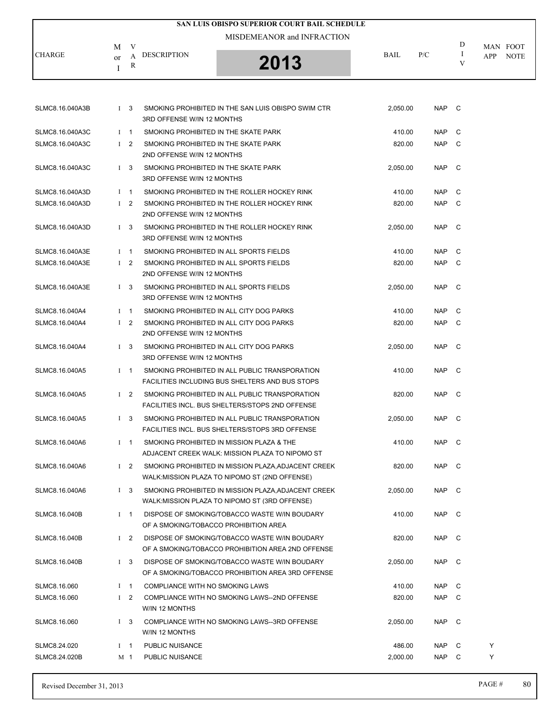| <b>SAN LUIS OBISPO SUPERIOR COURT BAIL SCHEDULE</b> |         |                |                                                                    |                                                                                                       |          |       |               |                                       |  |  |
|-----------------------------------------------------|---------|----------------|--------------------------------------------------------------------|-------------------------------------------------------------------------------------------------------|----------|-------|---------------|---------------------------------------|--|--|
|                                                     |         |                |                                                                    | MISDEMEANOR and INFRACTION                                                                            |          |       |               |                                       |  |  |
| <b>CHARGE</b>                                       | М       | V<br>A         | <b>DESCRIPTION</b>                                                 |                                                                                                       | BAIL     | P/C   | D<br>$\bf{I}$ | MAN FOOT<br><b>APP</b><br><b>NOTE</b> |  |  |
|                                                     | or<br>Ι | R              |                                                                    | 2013                                                                                                  |          |       | V             |                                       |  |  |
|                                                     |         |                |                                                                    |                                                                                                       |          |       |               |                                       |  |  |
|                                                     |         |                |                                                                    |                                                                                                       |          |       |               |                                       |  |  |
| SLMC8.16.040A3B                                     |         | I <sub>3</sub> | 3RD OFFENSE W/IN 12 MONTHS                                         | SMOKING PROHIBITED IN THE SAN LUIS OBISPO SWIM CTR                                                    | 2,050.00 | NAP C |               |                                       |  |  |
| SLMC8.16.040A3C                                     |         | $1 \quad 1$    | SMOKING PROHIBITED IN THE SKATE PARK                               |                                                                                                       | 410.00   | NAP   | C             |                                       |  |  |
| SLMC8.16.040A3C                                     |         | $1\quad 2$     | SMOKING PROHIBITED IN THE SKATE PARK<br>2ND OFFENSE W/IN 12 MONTHS |                                                                                                       | 820.00   | NAP.  | $\mathbf{C}$  |                                       |  |  |
| SLMC8.16.040A3C                                     |         | $1 \quad 3$    | SMOKING PROHIBITED IN THE SKATE PARK<br>3RD OFFENSE W/IN 12 MONTHS |                                                                                                       | 2,050.00 | NAP   | $\mathbb C$   |                                       |  |  |
| SLMC8.16.040A3D                                     |         | $1 \quad 1$    |                                                                    | SMOKING PROHIBITED IN THE ROLLER HOCKEY RINK                                                          | 410.00   | NAP   | C             |                                       |  |  |
| SLMC8.16.040A3D                                     |         | $1\quad 2$     | 2ND OFFENSE W/IN 12 MONTHS                                         | SMOKING PROHIBITED IN THE ROLLER HOCKEY RINK                                                          | 820.00   | NAP   | $\mathbb C$   |                                       |  |  |
| SLMC8.16.040A3D                                     |         | $1 \quad 3$    | 3RD OFFENSE W/IN 12 MONTHS                                         | SMOKING PROHIBITED IN THE ROLLER HOCKEY RINK                                                          | 2,050.00 | NAP   | $\mathbf{C}$  |                                       |  |  |
| SLMC8.16.040A3E                                     |         | $1 \quad 1$    |                                                                    | SMOKING PROHIBITED IN ALL SPORTS FIELDS                                                               | 410.00   | NAP   | C             |                                       |  |  |
| SLMC8.16.040A3E                                     |         | $1\quad 2$     |                                                                    | SMOKING PROHIBITED IN ALL SPORTS FIELDS                                                               | 820.00   | NAP.  | $\mathbf{C}$  |                                       |  |  |
|                                                     |         |                | 2ND OFFENSE W/IN 12 MONTHS                                         |                                                                                                       |          |       |               |                                       |  |  |
| SLMC8.16.040A3E                                     |         | $1 \quad 3$    | 3RD OFFENSE W/IN 12 MONTHS                                         | SMOKING PROHIBITED IN ALL SPORTS FIELDS                                                               | 2,050.00 | NAP   | $\mathbb C$   |                                       |  |  |
| SLMC8.16.040A4                                      |         | $1 \quad 1$    |                                                                    | SMOKING PROHIBITED IN ALL CITY DOG PARKS                                                              | 410.00   | NAP   | C             |                                       |  |  |
| SLMC8.16.040A4                                      |         | $1\quad 2$     | 2ND OFFENSE W/IN 12 MONTHS                                         | SMOKING PROHIBITED IN ALL CITY DOG PARKS                                                              | 820.00   | NAP C |               |                                       |  |  |
| SLMC8.16.040A4                                      |         | $1 \quad 3$    | 3RD OFFENSE W/IN 12 MONTHS                                         | SMOKING PROHIBITED IN ALL CITY DOG PARKS                                                              | 2,050.00 | NAP.  | $\mathbf{C}$  |                                       |  |  |
| SLMC8.16.040A5                                      |         | $1 \quad 1$    |                                                                    | SMOKING PROHIBITED IN ALL PUBLIC TRANSPORATION<br>FACILITIES INCLUDING BUS SHELTERS AND BUS STOPS     | 410.00   | NAP   | $\mathbf{C}$  |                                       |  |  |
| SLMC8.16.040A5                                      |         | $1\quad 2$     |                                                                    | SMOKING PROHIBITED IN ALL PUBLIC TRANSPORATION<br>FACILITIES INCL. BUS SHELTERS/STOPS 2ND OFFENSE     | 820.00   | NAP C |               |                                       |  |  |
| SLMC8.16.040A5                                      |         | $1 \quad 3$    |                                                                    | SMOKING PROHIBITED IN ALL PUBLIC TRANSPORATION<br>FACILITIES INCL. BUS SHELTERS/STOPS 3RD OFFENSE     | 2.050.00 | NAP C |               |                                       |  |  |
| SLMC8.16.040A6                                      |         | $I \quad 1$    |                                                                    | SMOKING PROHIBITED IN MISSION PLAZA & THE<br>ADJACENT CREEK WALK: MISSION PLAZA TO NIPOMO ST          | 410.00   | NAP   | $\mathbf{C}$  |                                       |  |  |
| SLMC8.16.040A6                                      |         | $1\quad 2$     |                                                                    | SMOKING PROHIBITED IN MISSION PLAZA, ADJACENT CREEK<br>WALK: MISSION PLAZA TO NIPOMO ST (2ND OFFENSE) | 820.00   | NAP C |               |                                       |  |  |
| SLMC8.16.040A6                                      |         | $1\quad 3$     |                                                                    | SMOKING PROHIBITED IN MISSION PLAZA, ADJACENT CREEK<br>WALK: MISSION PLAZA TO NIPOMO ST (3RD OFFENSE) | 2,050.00 | NAP   | $\mathbf{C}$  |                                       |  |  |
| SLMC8.16.040B                                       |         | $1 \quad 1$    | OF A SMOKING/TOBACCO PROHIBITION AREA                              | DISPOSE OF SMOKING/TOBACCO WASTE W/IN BOUDARY                                                         | 410.00   | NAP.  | $\mathbf{C}$  |                                       |  |  |
| SLMC8.16.040B                                       |         | $1\quad 2$     |                                                                    | DISPOSE OF SMOKING/TOBACCO WASTE W/IN BOUDARY<br>OF A SMOKING/TOBACCO PROHIBITION AREA 2ND OFFENSE    | 820.00   | NAP   | $\mathbf{C}$  |                                       |  |  |
| SLMC8.16.040B                                       |         | $1\quad 3$     |                                                                    | DISPOSE OF SMOKING/TOBACCO WASTE W/IN BOUDARY<br>OF A SMOKING/TOBACCO PROHIBITION AREA 3RD OFFENSE    | 2,050.00 | NAP C |               |                                       |  |  |
| SLMC8.16.060                                        |         | $1 \quad 1$    | COMPLIANCE WITH NO SMOKING LAWS                                    |                                                                                                       | 410.00   | NAP   | C             |                                       |  |  |
| SLMC8.16.060                                        |         | $1\quad 2$     | W/IN 12 MONTHS                                                     | COMPLIANCE WITH NO SMOKING LAWS--2ND OFFENSE                                                          | 820.00   | NAP   | C             |                                       |  |  |
| SLMC8.16.060                                        |         | $1 \quad 3$    | W/IN 12 MONTHS                                                     | COMPLIANCE WITH NO SMOKING LAWS--3RD OFFENSE                                                          | 2,050.00 | NAP   | - C           |                                       |  |  |
| SLMC8.24.020                                        |         | $I \quad 1$    | PUBLIC NUISANCE                                                    |                                                                                                       | 486.00   | NAP   | C             | Y                                     |  |  |
| SLMC8.24.020B                                       |         | M 1            | PUBLIC NUISANCE                                                    |                                                                                                       | 2,000.00 | NAP C |               | Y                                     |  |  |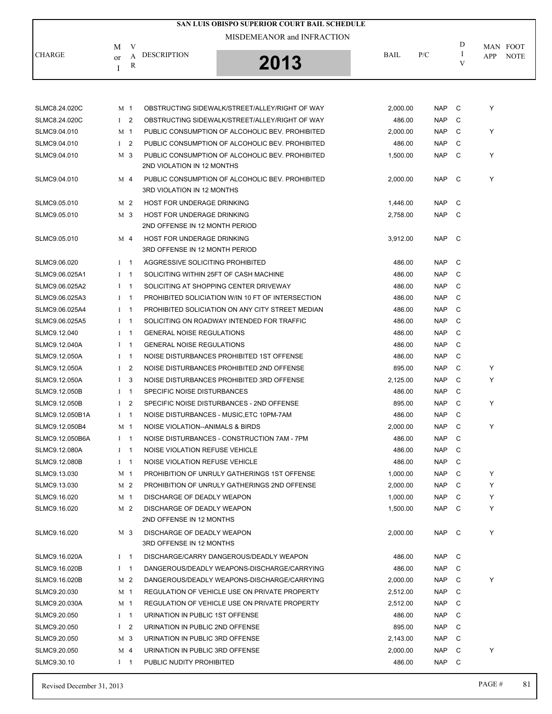|                 |              |                |                                                        | SAN LUIS OBISPO SUPERIOR COURT BAIL SCHEDULE      |                    |            |              |     |             |
|-----------------|--------------|----------------|--------------------------------------------------------|---------------------------------------------------|--------------------|------------|--------------|-----|-------------|
|                 |              |                |                                                        | MISDEMEANOR and INFRACTION                        |                    |            |              |     |             |
|                 | M            | V              |                                                        |                                                   |                    |            | D            |     | MAN FOOT    |
| <b>CHARGE</b>   | or           | A              | <b>DESCRIPTION</b>                                     | 2013                                              | BAIL               | P/C        | I<br>V       | APP | <b>NOTE</b> |
|                 | I            | R              |                                                        |                                                   |                    |            |              |     |             |
|                 |              |                |                                                        |                                                   |                    |            |              |     |             |
| SLMC8.24.020C   |              | M 1            |                                                        | OBSTRUCTING SIDEWALK/STREET/ALLEY/RIGHT OF WAY    | 2,000.00           | <b>NAP</b> | C            | Y   |             |
| SLMC8.24.020C   |              | $1\quad 2$     |                                                        | OBSTRUCTING SIDEWALK/STREET/ALLEY/RIGHT OF WAY    | 486.00             | <b>NAP</b> | C            |     |             |
| SLMC9.04.010    |              | M <sub>1</sub> |                                                        | PUBLIC CONSUMPTION OF ALCOHOLIC BEV. PROHIBITED   | 2,000.00           | <b>NAP</b> | C            | Y   |             |
| SLMC9.04.010    |              | $1\quad 2$     |                                                        | PUBLIC CONSUMPTION OF ALCOHOLIC BEV. PROHIBITED   | 486.00             | <b>NAP</b> | C            |     |             |
| SLMC9.04.010    |              | M 3            |                                                        | PUBLIC CONSUMPTION OF ALCOHOLIC BEV. PROHIBITED   | 1,500.00           | <b>NAP</b> | C            | Y   |             |
|                 |              |                | 2ND VIOLATION IN 12 MONTHS                             |                                                   |                    |            |              |     |             |
| SLMC9.04.010    |              | M 4            | 3RD VIOLATION IN 12 MONTHS                             | PUBLIC CONSUMPTION OF ALCOHOLIC BEV. PROHIBITED   | 2,000.00           | <b>NAP</b> | - C          | Y   |             |
| SLMC9.05.010    |              | M <sub>2</sub> | HOST FOR UNDERAGE DRINKING                             |                                                   | 1,446.00           | <b>NAP</b> | C            |     |             |
| SLMC9.05.010    |              | M 3            | HOST FOR UNDERAGE DRINKING                             |                                                   | 2,758.00           | <b>NAP</b> | - C          |     |             |
|                 |              |                | 2ND OFFENSE IN 12 MONTH PERIOD                         |                                                   |                    |            |              |     |             |
| SLMC9.05.010    |              | M 4            | HOST FOR UNDERAGE DRINKING                             |                                                   | 3,912.00           | <b>NAP</b> | $\mathbf C$  |     |             |
|                 |              |                | 3RD OFFENSE IN 12 MONTH PERIOD                         |                                                   |                    |            |              |     |             |
| SLMC9.06.020    |              | $1 \quad 1$    | AGGRESSIVE SOLICITING PROHIBITED                       |                                                   | 486.00             | NAP        | C            |     |             |
| SLMC9.06.025A1  | $\mathbf{I}$ | $\overline{1}$ |                                                        | SOLICITING WITHIN 25FT OF CASH MACHINE            | 486.00             | <b>NAP</b> | C            |     |             |
| SLMC9.06.025A2  |              | $1 \quad 1$    |                                                        | SOLICITING AT SHOPPING CENTER DRIVEWAY            | 486.00             | <b>NAP</b> | C            |     |             |
| SLMC9.06.025A3  |              | $1 \quad 1$    |                                                        | PROHIBITED SOLICIATION W/IN 10 FT OF INTERSECTION | 486.00             | <b>NAP</b> | C            |     |             |
| SLMC9.06.025A4  |              | $I \quad 1$    |                                                        | PROHIBITED SOLICIATION ON ANY CITY STREET MEDIAN  | 486.00             | <b>NAP</b> | C            |     |             |
| SLMC9.06.025A5  |              | $I \quad 1$    |                                                        | SOLICITING ON ROADWAY INTENDED FOR TRAFFIC        | 486.00             | <b>NAP</b> | C            |     |             |
| SLMC9.12.040    | $\bf{I}$     | $\mathbf{1}$   | <b>GENERAL NOISE REGULATIONS</b>                       |                                                   | 486.00             | <b>NAP</b> | C            |     |             |
| SLMC9.12.040A   | $\mathbf{I}$ | $\overline{1}$ | <b>GENERAL NOISE REGULATIONS</b>                       |                                                   | 486.00             | <b>NAP</b> | C            |     |             |
| SLMC9.12.050A   |              | $1 \quad 1$    |                                                        | NOISE DISTURBANCES PROHIBITED 1ST OFFENSE         | 486.00             | <b>NAP</b> | C            |     |             |
| SLMC9.12.050A   | $\mathbf{I}$ | $\overline{2}$ |                                                        | NOISE DISTURBANCES PROHIBITED 2ND OFFENSE         | 895.00             | <b>NAP</b> | C            | Y   |             |
| SLMC9.12.050A   | $\mathbf{I}$ | 3              |                                                        | NOISE DISTURBANCES PROHIBITED 3RD OFFENSE         |                    | <b>NAP</b> | C            | Y   |             |
|                 |              |                | SPECIFIC NOISE DISTURBANCES                            |                                                   | 2,125.00<br>486.00 |            | C            |     |             |
| SLMC9.12.050B   |              | $I \quad 1$    |                                                        | SPECIFIC NOISE DISTURBANCES - 2ND OFFENSE         |                    | NAP.       |              | Υ   |             |
| SLMC9.12.050B   | $\bf{I}$     | 2              |                                                        |                                                   | 895.00             | <b>NAP</b> | C            |     |             |
| SLMC9.12.050B1A | $\mathbf{I}$ | $\mathbf{1}$   |                                                        | NOISE DISTURBANCES - MUSIC.ETC 10PM-7AM           | 486.00             | <b>NAP</b> | C            |     |             |
| SLMC9.12.050B4  |              | M <sub>1</sub> | NOISE VIOLATION--ANIMALS & BIRDS                       |                                                   | 2,000.00           | NAP        | C            | Υ   |             |
| SLMC9.12.050B6A |              | $I \quad 1$    |                                                        | NOISE DISTURBANCES - CONSTRUCTION 7AM - 7PM       | 486.00             | <b>NAP</b> | C            |     |             |
| SLMC9.12.080A   |              | $I \quad 1$    | NOISE VIOLATION REFUSE VEHICLE                         |                                                   | 486.00             | <b>NAP</b> | C            |     |             |
| SLMC9.12.080B   |              | $I \quad 1$    | NOISE VIOLATION REFUSE VEHICLE                         |                                                   | 486.00             | NAP        | - C          |     |             |
| SLMC9.13.030    |              | M 1            |                                                        | PROHIBITION OF UNRULY GATHERINGS 1ST OFFENSE      | 1,000.00           | NAP        | C            | Y   |             |
| SLMC9.13.030    |              | M 2            |                                                        | PROHIBITION OF UNRULY GATHERINGS 2ND OFFENSE      | 2,000.00           | NAP        | C            | Y   |             |
| SLMC9.16.020    |              | M 1            | DISCHARGE OF DEADLY WEAPON                             |                                                   | 1,000.00           | NAP        | C            | Y   |             |
| SLMC9.16.020    |              | M 2            | DISCHARGE OF DEADLY WEAPON<br>2ND OFFENSE IN 12 MONTHS |                                                   | 1,500.00           | <b>NAP</b> | $\mathbf{C}$ | Y   |             |
| SLMC9.16.020    |              | M 3            | DISCHARGE OF DEADLY WEAPON                             |                                                   | 2,000.00           | NAP C      |              | Y   |             |
|                 |              |                | 3RD OFFENSE IN 12 MONTHS                               |                                                   |                    |            |              |     |             |
| SLMC9.16.020A   |              | $I \quad 1$    |                                                        | DISCHARGE/CARRY DANGEROUS/DEADLY WEAPON           | 486.00             | NAP C      |              |     |             |
| SLMC9.16.020B   |              | $I \quad 1$    |                                                        | DANGEROUS/DEADLY WEAPONS-DISCHARGE/CARRYING       | 486.00             | NAP        | C            |     |             |
| SLMC9.16.020B   |              | M 2            |                                                        | DANGEROUS/DEADLY WEAPONS-DISCHARGE/CARRYING       | 2,000.00           | NAP        | C            | Y   |             |
| SLMC9.20.030    |              | M 1            |                                                        | REGULATION OF VEHICLE USE ON PRIVATE PROPERTY     | 2,512.00           | NAP        | C            |     |             |
| SLMC9.20.030A   |              | M 1            |                                                        | REGULATION OF VEHICLE USE ON PRIVATE PROPERTY     | 2,512.00           | NAP        | C            |     |             |
| SLMC9.20.050    |              | $I \quad 1$    | URINATION IN PUBLIC 1ST OFFENSE                        |                                                   | 486.00             | NAP        | C            |     |             |
| SLMC9.20.050    |              | $1\quad 2$     | URINATION IN PUBLIC 2ND OFFENSE                        |                                                   | 895.00             | NAP        | - C          |     |             |
| SLMC9.20.050    |              | M 3            | URINATION IN PUBLIC 3RD OFFENSE                        |                                                   | 2,143.00           | <b>NAP</b> | C            |     |             |
| SLMC9.20.050    |              | M 4            | URINATION IN PUBLIC 3RD OFFENSE                        |                                                   | 2,000.00           | <b>NAP</b> | C            | Y   |             |
| SLMC9.30.10     |              | $1 \quad 1$    | PUBLIC NUDITY PROHIBITED                               |                                                   | 486.00             | NAP C      |              |     |             |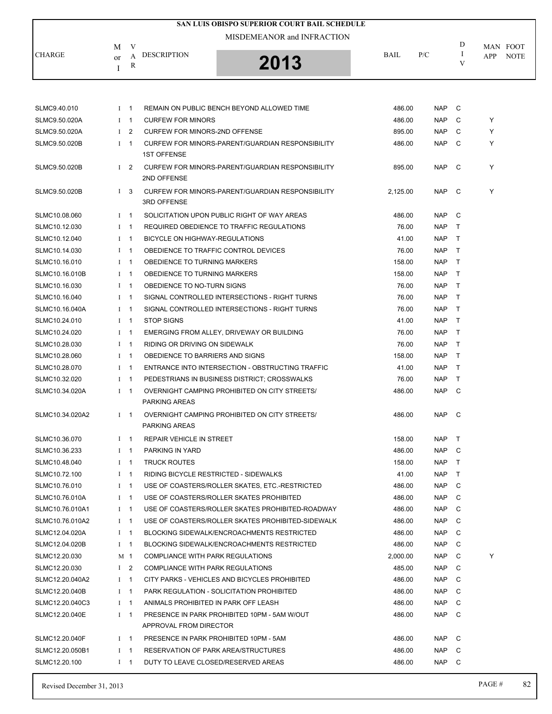| <b>SAN LUIS OBISPO SUPERIOR COURT BAIL SCHEDULE</b> |              |                |                                                                        |             |            |              |                    |  |  |  |
|-----------------------------------------------------|--------------|----------------|------------------------------------------------------------------------|-------------|------------|--------------|--------------------|--|--|--|
|                                                     |              |                | MISDEMEANOR and INFRACTION                                             |             |            |              |                    |  |  |  |
|                                                     | М            | V              |                                                                        |             |            | D            | MAN FOOT           |  |  |  |
| <b>CHARGE</b>                                       | or           | A<br>R         | <b>DESCRIPTION</b><br>2013                                             | <b>BAIL</b> | P/C        | I<br>V       | APP<br><b>NOTE</b> |  |  |  |
|                                                     | I            |                |                                                                        |             |            |              |                    |  |  |  |
|                                                     |              |                |                                                                        |             |            |              |                    |  |  |  |
| SLMC9.40.010                                        |              | $1 \quad 1$    | REMAIN ON PUBLIC BENCH BEYOND ALLOWED TIME                             | 486.00      | <b>NAP</b> | C            |                    |  |  |  |
| SLMC9.50.020A                                       |              | $I$ 1          | <b>CURFEW FOR MINORS</b>                                               | 486.00      | <b>NAP</b> | C            | Y                  |  |  |  |
| SLMC9.50.020A                                       | $\mathbf{I}$ | $\overline{2}$ | <b>CURFEW FOR MINORS-2ND OFFENSE</b>                                   | 895.00      | <b>NAP</b> | С            | Y                  |  |  |  |
| SLMC9.50.020B                                       | Ι            | $\overline{1}$ | CURFEW FOR MINORS-PARENT/GUARDIAN RESPONSIBILITY                       | 486.00      | <b>NAP</b> | C            | Y                  |  |  |  |
|                                                     |              |                | <b>1ST OFFENSE</b>                                                     |             |            |              |                    |  |  |  |
| SLMC9.50.020B                                       | Ι            | $\overline{2}$ | CURFEW FOR MINORS-PARENT/GUARDIAN RESPONSIBILITY<br>2ND OFFENSE        | 895.00      | <b>NAP</b> | C            | Y                  |  |  |  |
| SLMC9.50.020B                                       |              | I <sub>3</sub> | CURFEW FOR MINORS-PARENT/GUARDIAN RESPONSIBILITY<br><b>3RD OFFENSE</b> | 2,125.00    | <b>NAP</b> | C            | Y                  |  |  |  |
| SLMC10.08.060                                       |              | $I \quad 1$    | SOLICITATION UPON PUBLIC RIGHT OF WAY AREAS                            | 486.00      | <b>NAP</b> | C            |                    |  |  |  |
| SLMC10.12.030                                       |              | $I \quad 1$    | REQUIRED OBEDIENCE TO TRAFFIC REGULATIONS                              | 76.00       | <b>NAP</b> | $\mathsf{T}$ |                    |  |  |  |
| SLMC10.12.040                                       |              | $I \quad 1$    | BICYCLE ON HIGHWAY-REGULATIONS                                         | 41.00       | <b>NAP</b> | T            |                    |  |  |  |
| SLMC10.14.030                                       |              | $1 \quad 1$    | OBEDIENCE TO TRAFFIC CONTROL DEVICES                                   | 76.00       | <b>NAP</b> | T.           |                    |  |  |  |
| SLMC10.16.010                                       |              | $1 \quad 1$    | OBEDIENCE TO TURNING MARKERS                                           | 158.00      | <b>NAP</b> | $\mathsf{T}$ |                    |  |  |  |
| SLMC10.16.010B                                      |              | $I \quad 1$    | OBEDIENCE TO TURNING MARKERS                                           | 158.00      | <b>NAP</b> | Τ            |                    |  |  |  |
| SLMC10.16.030                                       |              | $I \quad 1$    | OBEDIENCE TO NO-TURN SIGNS                                             | 76.00       | <b>NAP</b> | $\mathsf{T}$ |                    |  |  |  |
| SLMC10.16.040                                       |              | $I \quad 1$    | SIGNAL CONTROLLED INTERSECTIONS - RIGHT TURNS                          | 76.00       | <b>NAP</b> | $\mathsf{T}$ |                    |  |  |  |
| SLMC10.16.040A                                      | $I \quad 1$  |                | SIGNAL CONTROLLED INTERSECTIONS - RIGHT TURNS                          | 76.00       | <b>NAP</b> | T            |                    |  |  |  |
| SLMC10.24.010                                       |              | $I \quad 1$    | <b>STOP SIGNS</b>                                                      | 41.00       | <b>NAP</b> | T.           |                    |  |  |  |
| SLMC10.24.020                                       |              | $1 \quad 1$    | EMERGING FROM ALLEY, DRIVEWAY OR BUILDING                              | 76.00       | <b>NAP</b> | T.           |                    |  |  |  |
| SLMC10.28.030                                       |              | $I \quad 1$    | RIDING OR DRIVING ON SIDEWALK                                          | 76.00       | <b>NAP</b> | $\mathsf{T}$ |                    |  |  |  |
| SLMC10.28.060                                       |              | $I \quad 1$    | OBEDIENCE TO BARRIERS AND SIGNS                                        | 158.00      | <b>NAP</b> | $\top$       |                    |  |  |  |
| SLMC10.28.070                                       |              | $I \quad 1$    | ENTRANCE INTO INTERSECTION - OBSTRUCTING TRAFFIC                       | 41.00       | <b>NAP</b> | $\mathsf{T}$ |                    |  |  |  |
| SLMC10.32.020                                       |              | $I \quad 1$    | PEDESTRIANS IN BUSINESS DISTRICT; CROSSWALKS                           | 76.00       | <b>NAP</b> | Τ            |                    |  |  |  |
| SLMC10.34.020A                                      |              | $I \quad 1$    | OVERNIGHT CAMPING PROHIBITED ON CITY STREETS/<br><b>PARKING AREAS</b>  | 486.00      | <b>NAP</b> | C            |                    |  |  |  |
| SLMC10.34.020A2                                     |              | $1 \quad 1$    | OVERNIGHT CAMPING PROHIBITED ON CITY STREETS/<br>PARKING AREAS         | 486.00      | <b>NAP</b> | C            |                    |  |  |  |
| SLMC10.36.070                                       |              | $I \quad 1$    | REPAIR VEHICLE IN STREET                                               | 158.00      | <b>NAP</b> | Τ            |                    |  |  |  |
| SLMC10.36.233                                       |              | $I \quad 1$    | PARKING IN YARD                                                        | 486.00      | <b>NAP</b> | C            |                    |  |  |  |
| SLMC10.48.040                                       |              | $I \quad 1$    | <b>TRUCK ROUTES</b>                                                    | 158.00      | <b>NAP</b> | $\mathsf{T}$ |                    |  |  |  |
| SLMC10.72.100                                       |              | $I \quad 1$    | RIDING BICYCLE RESTRICTED - SIDEWALKS                                  | 41.00       | <b>NAP</b> | Τ            |                    |  |  |  |
| SLMC10.76.010                                       |              | $I \quad 1$    | USE OF COASTERS/ROLLER SKATES, ETC.-RESTRICTED                         | 486.00      | <b>NAP</b> | C            |                    |  |  |  |
| SLMC10.76.010A                                      |              | $I \quad 1$    | USE OF COASTERS/ROLLER SKATES PROHIBITED                               | 486.00      | <b>NAP</b> | C            |                    |  |  |  |
| SLMC10.76.010A1                                     | $I \quad 1$  |                | USE OF COASTERS/ROLLER SKATES PROHIBITED-ROADWAY                       | 486.00      | NAP        | C            |                    |  |  |  |
| SLMC10.76.010A2                                     |              | $I \quad 1$    | USE OF COASTERS/ROLLER SKATES PROHIBITED-SIDEWALK                      | 486.00      | <b>NAP</b> | C            |                    |  |  |  |
| SLMC12.04.020A                                      |              | $I \quad 1$    | <b>BLOCKING SIDEWALK/ENCROACHMENTS RESTRICTED</b>                      | 486.00      | <b>NAP</b> | C            |                    |  |  |  |
| SLMC12.04.020B                                      |              | $I \quad 1$    | <b>BLOCKING SIDEWALK/ENCROACHMENTS RESTRICTED</b>                      | 486.00      | NAP        | C            |                    |  |  |  |
| SLMC12.20.030                                       |              | M 1            | COMPLIANCE WITH PARK REGULATIONS                                       | 2,000.00    | NAP        | C            | Y                  |  |  |  |
| SLMC12.20.030                                       |              | I <sub>2</sub> | COMPLIANCE WITH PARK REGULATIONS                                       | 485.00      | <b>NAP</b> | C            |                    |  |  |  |
| SLMC12.20.040A2                                     |              | $I \quad 1$    | CITY PARKS - VEHICLES AND BICYCLES PROHIBITED                          | 486.00      | NAP        | C            |                    |  |  |  |
| SLMC12.20.040B                                      |              | $I \quad 1$    | PARK REGULATION - SOLICITATION PROHIBITED                              | 486.00      | NAP        | C            |                    |  |  |  |
| SLMC12.20.040C3                                     |              | $1 \quad 1$    | ANIMALS PROHIBITED IN PARK OFF LEASH                                   | 486.00      | <b>NAP</b> | C            |                    |  |  |  |
| SLMC12.20.040E                                      |              | $I \quad 1$    | PRESENCE IN PARK PROHIBITED 10PM - 5AM W/OUT                           | 486.00      | <b>NAP</b> | C            |                    |  |  |  |
|                                                     |              |                | APPROVAL FROM DIRECTOR                                                 |             |            |              |                    |  |  |  |
| SLMC12.20.040F                                      |              | $I \quad 1$    | PRESENCE IN PARK PROHIBITED 10PM - 5AM                                 | 486.00      | <b>NAP</b> | C            |                    |  |  |  |
| SLMC12.20.050B1                                     |              | $I \quad 1$    | RESERVATION OF PARK AREA/STRUCTURES                                    | 486.00      | <b>NAP</b> | C            |                    |  |  |  |
| SLMC12.20.100                                       |              | $I \quad 1$    | DUTY TO LEAVE CLOSED/RESERVED AREAS                                    | 486.00      | <b>NAP</b> | C            |                    |  |  |  |
|                                                     |              |                |                                                                        |             |            |              |                    |  |  |  |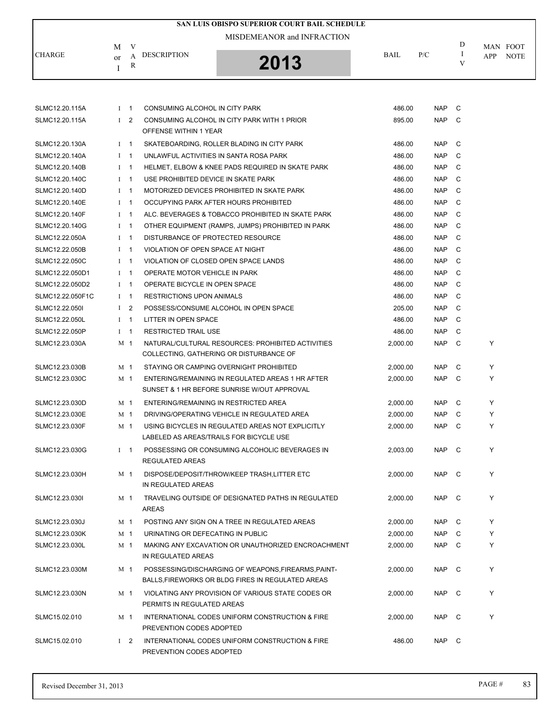|                  |                |            | SAN LUIS OBISPO SUPERIOR COURT BAIL SCHEDULE                                                |          |            |        |          |             |
|------------------|----------------|------------|---------------------------------------------------------------------------------------------|----------|------------|--------|----------|-------------|
|                  |                |            | MISDEMEANOR and INFRACTION                                                                  |          |            |        |          |             |
|                  | M              | V          |                                                                                             |          |            | D      | MAN FOOT |             |
| <b>CHARGE</b>    | or             | A          | <b>DESCRIPTION</b><br>2013                                                                  | BAIL     | P/C        | I<br>V | APP      | <b>NOTE</b> |
|                  | I              | R          |                                                                                             |          |            |        |          |             |
|                  |                |            |                                                                                             |          |            |        |          |             |
|                  |                |            |                                                                                             |          |            |        |          |             |
| SLMC12.20.115A   | $I$ 1          |            | CONSUMING ALCOHOL IN CITY PARK                                                              | 486.00   | <b>NAP</b> | - C    |          |             |
| SLMC12.20.115A   | $1\quad 2$     |            | CONSUMING ALCOHOL IN CITY PARK WITH 1 PRIOR<br>OFFENSE WITHIN 1 YEAR                        | 895.00   | <b>NAP</b> | C      |          |             |
| SLMC12.20.130A   | $1 \quad 1$    |            | SKATEBOARDING, ROLLER BLADING IN CITY PARK                                                  | 486.00   | <b>NAP</b> | C      |          |             |
| SLMC12.20.140A   | $I \quad 1$    |            | UNLAWFUL ACTIVITIES IN SANTA ROSA PARK                                                      | 486.00   | <b>NAP</b> | C      |          |             |
| SLMC12.20.140B   | $I \quad 1$    |            | HELMET, ELBOW & KNEE PADS REQUIRED IN SKATE PARK                                            | 486.00   | <b>NAP</b> | C      |          |             |
| SLMC12.20.140C   | $I \quad 1$    |            | USE PROHIBITED DEVICE IN SKATE PARK                                                         | 486.00   | <b>NAP</b> | C      |          |             |
| SLMC12.20.140D   | $I \quad 1$    |            | MOTORIZED DEVICES PROHIBITED IN SKATE PARK                                                  | 486.00   | <b>NAP</b> | C      |          |             |
| SLMC12.20.140E   | $I \quad 1$    |            | OCCUPYING PARK AFTER HOURS PROHIBITED                                                       | 486.00   | <b>NAP</b> | C      |          |             |
| SLMC12.20.140F   | $I \quad 1$    |            | ALC. BEVERAGES & TOBACCO PROHIBITED IN SKATE PARK                                           | 486.00   | <b>NAP</b> | C      |          |             |
| SLMC12.20.140G   | $I \quad 1$    |            | OTHER EQUIPMENT (RAMPS, JUMPS) PROHIBITED IN PARK                                           | 486.00   | <b>NAP</b> | C      |          |             |
| SLMC12.22.050A   | $I \quad 1$    |            | DISTURBANCE OF PROTECTED RESOURCE                                                           | 486.00   | <b>NAP</b> | C      |          |             |
| SLMC12.22.050B   | $I \quad 1$    |            | VIOLATION OF OPEN SPACE AT NIGHT                                                            | 486.00   | <b>NAP</b> | C      |          |             |
| SLMC12.22.050C   | $I \quad 1$    |            | VIOLATION OF CLOSED OPEN SPACE LANDS                                                        | 486.00   | <b>NAP</b> | C      |          |             |
| SLMC12.22.050D1  | $I \quad 1$    |            | OPERATE MOTOR VEHICLE IN PARK                                                               | 486.00   | <b>NAP</b> | C      |          |             |
| SLMC12.22.050D2  | $I \quad 1$    |            | OPERATE BICYCLE IN OPEN SPACE                                                               | 486.00   | <b>NAP</b> | C      |          |             |
| SLMC12.22.050F1C | $I \quad 1$    |            | <b>RESTRICTIONS UPON ANIMALS</b>                                                            | 486.00   | <b>NAP</b> | C      |          |             |
| SLMC12.22.050I   | $1\quad 2$     |            | POSSESS/CONSUME ALCOHOL IN OPEN SPACE                                                       | 205.00   | <b>NAP</b> | C      |          |             |
| SLMC12.22.050L   | $I \quad 1$    |            | LITTER IN OPEN SPACE                                                                        | 486.00   | <b>NAP</b> | C      |          |             |
| SLMC12.22.050P   | $I \quad 1$    |            | <b>RESTRICTED TRAIL USE</b>                                                                 | 486.00   | <b>NAP</b> | C      |          |             |
| SLMC12.23.030A   | M <sub>1</sub> |            | NATURAL/CULTURAL RESOURCES: PROHIBITED ACTIVITIES                                           | 2,000.00 | <b>NAP</b> | C      | Y        |             |
|                  |                |            | COLLECTING, GATHERING OR DISTURBANCE OF                                                     |          |            |        |          |             |
| SLMC12.23.030B   | M 1            |            | STAYING OR CAMPING OVERNIGHT PROHIBITED                                                     | 2.000.00 | <b>NAP</b> | C      | Y        |             |
| SLMC12.23.030C   | M 1            |            | ENTERING/REMAINING IN REGULATED AREAS 1 HR AFTER                                            | 2,000.00 | <b>NAP</b> | - C    | Y        |             |
|                  |                |            | SUNSET & 1 HR BEFORE SUNRISE W/OUT APPROVAL                                                 |          |            |        |          |             |
| SLMC12.23.030D   | M 1            |            | ENTERING/REMAINING IN RESTRICTED AREA                                                       | 2,000.00 | NAP        | - C    | Y        |             |
| SLMC12.23.030E   | M 1            |            | DRIVING/OPERATING VEHICLE IN REGULATED AREA                                                 | 2,000.00 | <b>NAP</b> | C      | Y        |             |
| SLMC12.23.030F   |                | M 1        | USING BICYCLES IN REGULATED AREAS NOT EXPLICITLY<br>LABELED AS AREAS/TRAILS FOR BICYCLE USE | 2,000.00 | NAP C      |        | Y        |             |
| SLMC12.23.030G   | $1 \quad 1$    |            | POSSESSING OR CONSUMING ALCOHOLIC BEVERAGES IN                                              | 2,003.00 | NAP C      |        | Y        |             |
|                  |                |            | REGULATED AREAS                                                                             |          |            |        |          |             |
| SLMC12.23.030H   | M 1            |            | DISPOSE/DEPOSIT/THROW/KEEP TRASH, LITTER ETC                                                | 2,000.00 | NAP C      |        | Y        |             |
|                  |                |            | IN REGULATED AREAS                                                                          |          |            |        |          |             |
| SLMC12.23.030I   | M 1            |            | TRAVELING OUTSIDE OF DESIGNATED PATHS IN REGULATED<br><b>AREAS</b>                          | 2,000.00 | NAP C      |        | Y        |             |
| SLMC12.23.030J   | M 1            |            | POSTING ANY SIGN ON A TREE IN REGULATED AREAS                                               | 2,000.00 | NAP C      |        | Y        |             |
| SLMC12.23.030K   | M 1            |            | URINATING OR DEFECATING IN PUBLIC                                                           | 2,000.00 | NAP C      |        | Y        |             |
| SLMC12.23.030L   | M <sub>1</sub> |            | MAKING ANY EXCAVATION OR UNAUTHORIZED ENCROACHMENT                                          | 2,000.00 | NAP C      |        | Y        |             |
|                  |                |            | IN REGULATED AREAS                                                                          |          |            |        |          |             |
| SLMC12.23.030M   | M 1            |            | POSSESSING/DISCHARGING OF WEAPONS, FIREARMS, PAINT-                                         | 2,000.00 | NAP C      |        | Y        |             |
|                  |                |            | BALLS, FIREWORKS OR BLDG FIRES IN REGULATED AREAS                                           |          |            |        |          |             |
| SLMC12.23.030N   | M 1            |            | VIOLATING ANY PROVISION OF VARIOUS STATE CODES OR<br>PERMITS IN REGULATED AREAS             | 2,000.00 | NAP C      |        | Y        |             |
| SLMC15.02.010    | M 1            |            | INTERNATIONAL CODES UNIFORM CONSTRUCTION & FIRE<br>PREVENTION CODES ADOPTED                 | 2,000.00 | NAP C      |        | Y        |             |
| SLMC15.02.010    |                | $1\quad 2$ | INTERNATIONAL CODES UNIFORM CONSTRUCTION & FIRE                                             | 486.00   | NAP C      |        |          |             |
|                  |                |            | PREVENTION CODES ADOPTED                                                                    |          |            |        |          |             |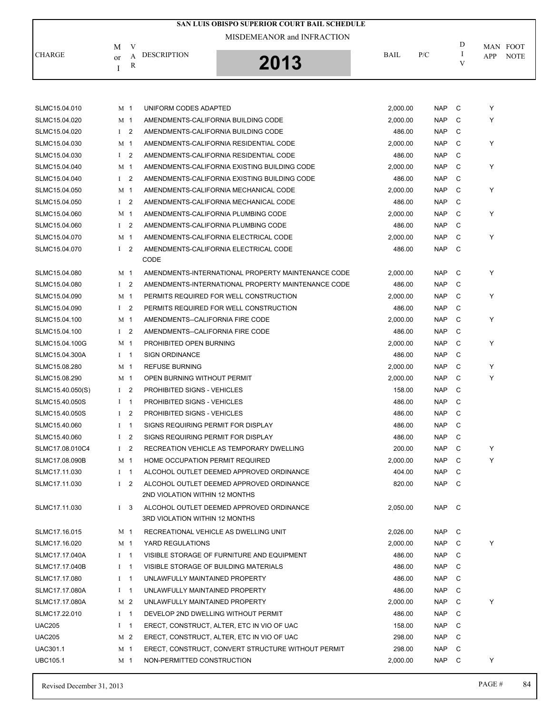|                  |                |                | SAN LUIS OBISPO SUPERIOR COURT BAIL SCHEDULE       |             |            |              |                    |
|------------------|----------------|----------------|----------------------------------------------------|-------------|------------|--------------|--------------------|
|                  | M              | V              | MISDEMEANOR and INFRACTION                         |             |            | D            | MAN FOOT           |
| <b>CHARGE</b>    | or<br>I        | A<br>R         | <b>DESCRIPTION</b><br>2013                         | <b>BAIL</b> | P/C        | I<br>V       | <b>NOTE</b><br>APP |
|                  |                |                |                                                    |             |            |              |                    |
| SLMC15.04.010    | M <sub>1</sub> |                | UNIFORM CODES ADAPTED                              | 2,000.00    | <b>NAP</b> | C            | Υ                  |
| SLMC15.04.020    | M 1            |                | AMENDMENTS-CALIFORNIA BUILDING CODE                | 2,000.00    | <b>NAP</b> | C            | Υ                  |
| SLMC15.04.020    | $\mathbf{I}$   | $\overline{2}$ | AMENDMENTS-CALIFORNIA BUILDING CODE                | 486.00      | <b>NAP</b> | C            |                    |
| SLMC15.04.030    | M <sub>1</sub> |                | AMENDMENTS-CALIFORNIA RESIDENTIAL CODE             | 2,000.00    | <b>NAP</b> | $\mathsf{C}$ | Y                  |
| SLMC15.04.030    | $\mathbf{I}$   | $\overline{2}$ | AMENDMENTS-CALIFORNIA RESIDENTIAL CODE             | 486.00      | <b>NAP</b> | $\mathsf{C}$ |                    |
| SLMC15.04.040    | M <sub>1</sub> |                | AMENDMENTS-CALIFORNIA EXISTING BUILDING CODE       | 2,000.00    | <b>NAP</b> | C            | Υ                  |
| SLMC15.04.040    | $\mathbf{I}$   | $\overline{2}$ | AMENDMENTS-CALIFORNIA EXISTING BUILDING CODE       | 486.00      | <b>NAP</b> | C            |                    |
| SLMC15.04.050    | M <sub>1</sub> |                | AMENDMENTS-CALIFORNIA MECHANICAL CODE              | 2,000.00    | <b>NAP</b> | C            | Υ                  |
| SLMC15.04.050    | $\mathbf{I}$   | $\overline{2}$ | AMENDMENTS-CALIFORNIA MECHANICAL CODE              | 486.00      | <b>NAP</b> | C            |                    |
| SLMC15.04.060    | M <sub>1</sub> |                | AMENDMENTS-CALIFORNIA PLUMBING CODE                | 2,000.00    | <b>NAP</b> | C            | Υ                  |
| SLMC15.04.060    | I <sub>2</sub> |                | AMENDMENTS-CALIFORNIA PLUMBING CODE                | 486.00      | <b>NAP</b> | C            |                    |
| SLMC15.04.070    | M <sub>1</sub> |                | AMENDMENTS-CALIFORNIA ELECTRICAL CODE              | 2,000.00    | <b>NAP</b> | C            | Y                  |
| SLMC15.04.070    | I <sub>2</sub> |                | AMENDMENTS-CALIFORNIA ELECTRICAL CODE<br>CODE      | 486.00      | <b>NAP</b> | C            |                    |
| SLMC15.04.080    | M <sub>1</sub> |                | AMENDMENTS-INTERNATIONAL PROPERTY MAINTENANCE CODE | 2,000.00    | <b>NAP</b> | C            | Υ                  |
| SLMC15.04.080    | I <sub>2</sub> |                | AMENDMENTS-INTERNATIONAL PROPERTY MAINTENANCE CODE | 486.00      | <b>NAP</b> | C            |                    |
| SLMC15.04.090    | M 1            |                | PERMITS REQUIRED FOR WELL CONSTRUCTION             | 2,000.00    | <b>NAP</b> | C            | Υ                  |
| SLMC15.04.090    | $\mathbf{I}$   | $\overline{2}$ | PERMITS REQUIRED FOR WELL CONSTRUCTION             | 486.00      | <b>NAP</b> | C            |                    |
| SLMC15.04.100    | M 1            |                | AMENDMENTS--CALIFORNIA FIRE CODE                   | 2,000.00    | <b>NAP</b> | C            | Y                  |
| SLMC15.04.100    | $\mathbf{I}$   | $\overline{2}$ | AMENDMENTS--CALIFORNIA FIRE CODE                   | 486.00      | <b>NAP</b> | C            |                    |
| SLMC15.04.100G   | M <sub>1</sub> |                | PROHIBITED OPEN BURNING                            | 2,000.00    | <b>NAP</b> | C            | Υ                  |
| SLMC15.04.300A   | $I \quad 1$    |                | <b>SIGN ORDINANCE</b>                              | 486.00      | <b>NAP</b> | C            |                    |
| SLMC15.08.280    | M 1            |                | <b>REFUSE BURNING</b>                              | 2,000.00    | <b>NAP</b> | C            | Υ                  |
| SLMC15.08.290    | M <sub>1</sub> |                | OPEN BURNING WITHOUT PERMIT                        | 2,000.00    | <b>NAP</b> | C            | Υ                  |
| SLMC15.40.050(S) | I <sub>2</sub> |                | <b>PROHIBITED SIGNS - VEHICLES</b>                 | 158.00      | <b>NAP</b> | C            |                    |
| SLMC15.40.050S   | $\mathbf I$    | -1             | <b>PROHIBITED SIGNS - VEHICLES</b>                 | 486.00      | <b>NAP</b> | $\mathsf{C}$ |                    |
| SLMC15.40.050S   | $\mathbf{I}$   | $\overline{2}$ | <b>PROHIBITED SIGNS - VEHICLES</b>                 | 486.00      | <b>NAP</b> | $\mathsf{C}$ |                    |

| SLMC15.40.060   | 2<br>L                         | SIGNS REQUIRING PERMIT FOR DISPLAY                 | 486.00   | <b>NAP</b> | C  |   |
|-----------------|--------------------------------|----------------------------------------------------|----------|------------|----|---|
| SLMC17.08.010C4 | $1\quad 2$                     | RECREATION VEHICLE AS TEMPORARY DWELLING           | 200.00   | <b>NAP</b> | C  | Υ |
| SLMC17.08.090B  | M 1                            | HOME OCCUPATION PERMIT REQUIRED                    | 2.000.00 | <b>NAP</b> | C  |   |
| SLMC17.11.030   | $\mathbf{I}$<br>$\overline{1}$ | ALCOHOL OUTLET DEEMED APPROVED ORDINANCE           | 404.00   | <b>NAP</b> | C  |   |
| SLMC17.11.030   | 2<br>$\mathbf{I}$              | ALCOHOL OUTLET DEEMED APPROVED ORDINANCE           | 820.00   | <b>NAP</b> | C  |   |
|                 |                                | 2ND VIOLATION WITHIN 12 MONTHS                     |          |            |    |   |
| SLMC17.11.030   | $\mathbf{3}$<br>Т.             | ALCOHOL OUTLET DEEMED APPROVED ORDINANCE           | 2.050.00 | <b>NAP</b> | C. |   |
|                 |                                | 3RD VIOLATION WITHIN 12 MONTHS                     |          |            |    |   |
| SLMC17.16.015   | M 1                            | RECREATIONAL VEHICLE AS DWELLING UNIT              | 2,026.00 | <b>NAP</b> | C  |   |
| SLMC17.16.020   | M <sub>1</sub>                 | YARD REGULATIONS                                   | 2,000.00 | <b>NAP</b> | C  |   |
| SLMC17.17.040A  | $I$ 1                          | VISIBLE STORAGE OF FURNITURE AND EQUIPMENT         | 486.00   | <b>NAP</b> | C  |   |
| SLMC17.17.040B  | $\overline{1}$<br>$\mathbf{I}$ | VISIBLE STORAGE OF BUILDING MATERIALS              | 486.00   | <b>NAP</b> | C  |   |
| SLMC17.17.080   | $\mathbf{I}$<br>$\overline{1}$ | UNLAWFULLY MAINTAINED PROPERTY                     | 486.00   | <b>NAP</b> | C  |   |
| SLMC17.17.080A  | $\mathbf{I}$<br>$\overline{1}$ | UNLAWFULLY MAINTAINED PROPERTY                     | 486.00   | <b>NAP</b> | C  |   |
| SLMC17.17.080A  | M 2                            | UNLAWFULLY MAINTAINED PROPERTY                     | 2.000.00 | <b>NAP</b> | C  |   |
| SLMC17.22.010   | $I = 1$                        | DEVELOP 2ND DWELLING WITHOUT PERMIT                | 486.00   | <b>NAP</b> | C  |   |
| <b>UAC205</b>   | $\mathbf{I}$<br>$\overline{1}$ | ERECT, CONSTRUCT, ALTER, ETC IN VIO OF UAC         | 158.00   | <b>NAP</b> | C  |   |
| <b>UAC205</b>   | M <sub>2</sub>                 | ERECT. CONSTRUCT. ALTER. ETC IN VIO OF UAC         | 298.00   | <b>NAP</b> | C  |   |
| <b>UAC301.1</b> | M 1                            | ERECT, CONSTRUCT, CONVERT STRUCTURE WITHOUT PERMIT | 298.00   | <b>NAP</b> | C  |   |
| <b>UBC105.1</b> | M 1                            | NON-PERMITTED CONSTRUCTION                         | 2,000.00 | <b>NAP</b> | C  |   |
|                 |                                |                                                    |          |            |    |   |

SLMC15.40.060 I 1 SIGNS REQUIRING PERMIT FOR DISPLAY **186.00** MAP C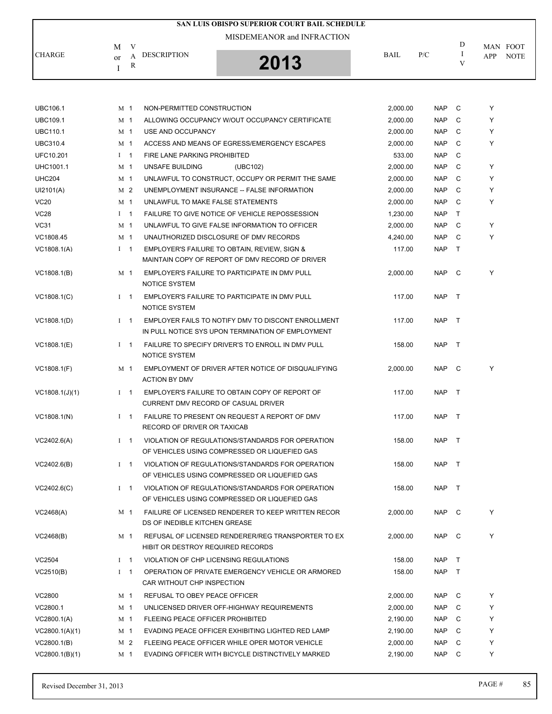|               |                               | SAN LUIS OBISPO SUPERIOR COURT BAIL SCHEDULE |             |     |   |                    |
|---------------|-------------------------------|----------------------------------------------|-------------|-----|---|--------------------|
|               | M                             | MISDEMEANOR and INFRACTION                   |             |     | D | MAN FOOT           |
| <b>CHARGE</b> | <b>DESCRIPTION</b><br>or<br>R | 2013                                         | <b>BAIL</b> | P/C | V | <b>NOTE</b><br>APP |

| <b>UBC106.1</b>  |              | M 1            | NON-PERMITTED CONSTRUCTION                                                                              | 2,000.00 | <b>NAP</b> | C            | Y |
|------------------|--------------|----------------|---------------------------------------------------------------------------------------------------------|----------|------------|--------------|---|
| <b>UBC109.1</b>  |              | M 1            | ALLOWING OCCUPANCY W/OUT OCCUPANCY CERTIFICATE                                                          | 2,000.00 | <b>NAP</b> | C            | Y |
| <b>UBC110.1</b>  |              | M 1            | USE AND OCCUPANCY                                                                                       | 2,000.00 | <b>NAP</b> | C            | Y |
| <b>UBC310.4</b>  |              | M 1            | ACCESS AND MEANS OF EGRESS/EMERGENCY ESCAPES                                                            | 2,000.00 | <b>NAP</b> | C            | Y |
| UFC10.201        |              | $I \quad 1$    | FIRE LANE PARKING PROHIBITED                                                                            | 533.00   | <b>NAP</b> | C            |   |
| <b>UHC1001.1</b> |              | M 1            | UNSAFE BUILDING<br>(UBC102)                                                                             | 2,000.00 | <b>NAP</b> | C            | Y |
| <b>UHC204</b>    |              | M 1            | UNLAWFUL TO CONSTRUCT, OCCUPY OR PERMIT THE SAME                                                        | 2,000.00 | <b>NAP</b> | C            | Y |
| UI2101(A)        |              | M 2            | UNEMPLOYMENT INSURANCE -- FALSE INFORMATION                                                             | 2,000.00 | <b>NAP</b> | C            | Y |
| <b>VC20</b>      |              | M 1            | UNLAWFUL TO MAKE FALSE STATEMENTS                                                                       | 2,000.00 | <b>NAP</b> | C            | Y |
| <b>VC28</b>      |              | $I \quad 1$    | FAILURE TO GIVE NOTICE OF VEHICLE REPOSSESSION                                                          | 1,230.00 | <b>NAP</b> | $\mathsf{T}$ |   |
| VC31             |              | M 1            | UNLAWFUL TO GIVE FALSE INFORMATION TO OFFICER                                                           | 2,000.00 | <b>NAP</b> | C            | Y |
| VC1808.45        |              | M 1            | UNAUTHORIZED DISCLOSURE OF DMV RECORDS                                                                  | 4,240.00 | <b>NAP</b> | C            | Y |
| VC1808.1(A)      |              | $I \quad 1$    | EMPLOYER'S FAILURE TO OBTAIN, REVIEW, SIGN &                                                            | 117.00   | <b>NAP</b> | $\mathsf{T}$ |   |
|                  |              |                | MAINTAIN COPY OF REPORT OF DMV RECORD OF DRIVER                                                         |          |            |              |   |
| VC1808.1(B)      |              | M 1            | EMPLOYER'S FAILURE TO PARTICIPATE IN DMV PULL<br><b>NOTICE SYSTEM</b>                                   | 2,000.00 | NAP C      |              | Y |
| VC1808.1(C)      |              | $I = 1$        | EMPLOYER'S FAILURE TO PARTICIPATE IN DMV PULL<br>NOTICE SYSTEM                                          | 117.00   | <b>NAP</b> | $\top$       |   |
| VC1808.1(D)      |              | $1 \quad 1$    | EMPLOYER FAILS TO NOTIFY DMV TO DISCONT ENROLLMENT<br>IN PULL NOTICE SYS UPON TERMINATION OF EMPLOYMENT | 117.00   | <b>NAP</b> | $\top$       |   |
| VC1808.1(E)      |              | $I \quad 1$    | FAILURE TO SPECIFY DRIVER'S TO ENROLL IN DMV PULL<br><b>NOTICE SYSTEM</b>                               | 158.00   | NAP        | $\top$       |   |
| VC1808.1(F)      |              | M 1            | EMPLOYMENT OF DRIVER AFTER NOTICE OF DISQUALIFYING<br><b>ACTION BY DMV</b>                              | 2,000.00 | NAP        | $\mathbf{C}$ | Υ |
| VC1808.1(J)(1)   |              | $1 \quad 1$    | EMPLOYER'S FAILURE TO OBTAIN COPY OF REPORT OF<br>CURRENT DMV RECORD OF CASUAL DRIVER                   | 117.00   | NAP T      |              |   |
| VC1808.1(N)      | $\mathbf{I}$ | $\overline{1}$ | FAILURE TO PRESENT ON REQUEST A REPORT OF DMV<br>RECORD OF DRIVER OR TAXICAB                            | 117.00   | <b>NAP</b> | $\top$       |   |
| VC2402.6(A)      |              | $1 \quad 1$    | VIOLATION OF REGULATIONS/STANDARDS FOR OPERATION<br>OF VEHICLES USING COMPRESSED OR LIQUEFIED GAS       | 158.00   | NAP T      |              |   |
| VC2402.6(B)      |              | $1 \quad 1$    | VIOLATION OF REGULATIONS/STANDARDS FOR OPERATION<br>OF VEHICLES USING COMPRESSED OR LIQUEFIED GAS       | 158.00   | NAP        | $\top$       |   |
| VC2402.6(C)      |              | $I \quad 1$    | VIOLATION OF REGULATIONS/STANDARDS FOR OPERATION<br>OF VEHICLES USING COMPRESSED OR LIQUEFIED GAS       | 158.00   | <b>NAP</b> | $\top$       |   |
| VC2468(A)        |              | M 1            | FAILURE OF LICENSED RENDERER TO KEEP WRITTEN RECOR<br>DS OF INEDIBLE KITCHEN GREASE                     | 2,000.00 | NAP C      |              | Y |
| VC2468(B)        |              | M <sub>1</sub> | REFUSAL OF LICENSED RENDERER/REG TRANSPORTER TO EX<br>HIBIT OR DESTROY REQUIRED RECORDS                 | 2,000.00 | NAP        | C            | Υ |
| VC2504           |              | $1 \quad 1$    | VIOLATION OF CHP LICENSING REGULATIONS                                                                  | 158.00   | NAP T      |              |   |
| VC2510(B)        |              | $1 \quad 1$    | OPERATION OF PRIVATE EMERGENCY VEHICLE OR ARMORED<br>CAR WITHOUT CHP INSPECTION                         | 158.00   | NAP        | $\top$       |   |
| VC2800           |              | M 1            | REFUSAL TO OBEY PEACE OFFICER                                                                           | 2,000.00 | NAP        | C            | Y |
| VC2800.1         |              | M 1            | UNLICENSED DRIVER OFF-HIGHWAY REQUIREMENTS                                                              | 2,000.00 | NAP        | C            | Y |
| VC2800.1(A)      |              | M <sub>1</sub> | <b>FLEEING PEACE OFFICER PROHIBITED</b>                                                                 | 2,190.00 | <b>NAP</b> | C            | Y |
| VC2800.1(A)(1)   |              | M <sub>1</sub> | EVADING PEACE OFFICER EXHIBITING LIGHTED RED LAMP                                                       | 2,190.00 | NAP        | C            | Y |
| VC2800.1(B)      |              | M 2            | FLEEING PEACE OFFICER WHILE OPER MOTOR VEHICLE                                                          | 2,000.00 | NAP        | C            | Y |
| VC2800.1(B)(1)   |              | M 1            | EVADING OFFICER WITH BICYCLE DISTINCTIVELY MARKED                                                       | 2,190.00 | <b>NAP</b> | C            | Y |
|                  |              |                |                                                                                                         |          |            |              |   |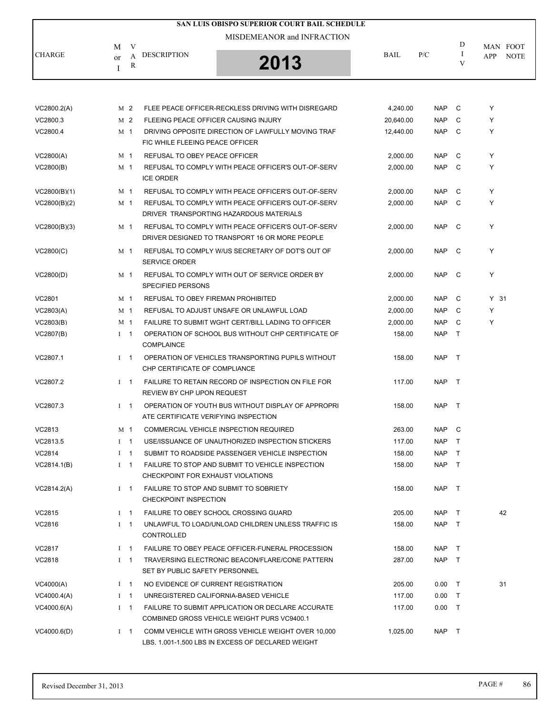|               |                                               | SAN LUIS OBISPO SUPERIOR COURT BAIL SCHEDULE |             |     |   |             |
|---------------|-----------------------------------------------|----------------------------------------------|-------------|-----|---|-------------|
|               | V<br>M                                        | MISDEMEANOR and INFRACTION                   |             |     | D | MAN FOOT    |
| <b>CHARGE</b> | <b>DESCRIPTION</b><br>A<br><sub>or</sub><br>R | 2013                                         | <b>BAIL</b> | P/C |   | NOTE<br>APP |

| VC2800.2(A)   |              | M 2            | FLEE PEACE OFFICER-RECKLESS DRIVING WITH DISREGARD                                                      | 4,240.00  | <b>NAP</b> | C              | Y      |
|---------------|--------------|----------------|---------------------------------------------------------------------------------------------------------|-----------|------------|----------------|--------|
| VC2800.3      |              | M 2            | FLEEING PEACE OFFICER CAUSING INJURY                                                                    | 20,640.00 | <b>NAP</b> | C              | Y      |
| VC2800.4      |              | M 1            | DRIVING OPPOSITE DIRECTION OF LAWFULLY MOVING TRAF<br>FIC WHILE FLEEING PEACE OFFICER                   | 12,440.00 | <b>NAP</b> | C              | Y      |
| VC2800(A)     |              | M 1            | REFUSAL TO OBEY PEACE OFFICER                                                                           | 2,000.00  | NAP        | C              | Y      |
| VC2800(B)     |              | M 1            | REFUSAL TO COMPLY WITH PEACE OFFICER'S OUT-OF-SERV<br><b>ICE ORDER</b>                                  | 2.000.00  | <b>NAP</b> | C              | Y      |
| VC2800(B)(1)  |              | M 1            | REFUSAL TO COMPLY WITH PEACE OFFICER'S OUT-OF-SERV                                                      | 2,000.00  | <b>NAP</b> | C              | Y      |
| VC2800(B)(2)  |              | M 1            | REFUSAL TO COMPLY WITH PEACE OFFICER'S OUT-OF-SERV<br>DRIVER TRANSPORTING HAZARDOUS MATERIALS           | 2,000.00  | <b>NAP</b> | C <sub>c</sub> | Y      |
| VC2800(B)(3)  |              | M 1            | REFUSAL TO COMPLY WITH PEACE OFFICER'S OUT-OF-SERV<br>DRIVER DESIGNED TO TRANSPORT 16 OR MORE PEOPLE    | 2,000.00  | NAP C      |                | Y      |
| VC2800(C)     |              | M 1            | REFUSAL TO COMPLY W/US SECRETARY OF DOT'S OUT OF<br><b>SERVICE ORDER</b>                                | 2,000.00  | NAP C      |                | Y      |
| VC2800(D)     |              | M 1            | REFUSAL TO COMPLY WITH OUT OF SERVICE ORDER BY<br><b>SPECIFIED PERSONS</b>                              | 2,000.00  | NAP C      |                | Y      |
| VC2801        | M 1          |                | REFUSAL TO OBEY FIREMAN PROHIBITED                                                                      | 2,000.00  | <b>NAP</b> | C              | $Y$ 31 |
| VC2803(A)     |              | M 1            | REFUSAL TO ADJUST UNSAFE OR UNLAWFUL LOAD                                                               | 2,000.00  | <b>NAP</b> | C              | Υ      |
| VC2803(B)     |              | M 1            | FAILURE TO SUBMIT WGHT CERT/BILL LADING TO OFFICER                                                      | 2,000.00  | <b>NAP</b> | C              | Y      |
| VC2807(B)     |              | $I \quad 1$    | OPERATION OF SCHOOL BUS WITHOUT CHP CERTIFICATE OF<br>COMPLAINCE                                        | 158.00    | <b>NAP</b> | $\top$         |        |
| VC2807.1      |              | $1 \quad 1$    | OPERATION OF VEHICLES TRANSPORTING PUPILS WITHOUT<br>CHP CERTIFICATE OF COMPLIANCE                      | 158.00    | NAP T      |                |        |
| VC2807.2      |              | $1 \quad 1$    | FAILURE TO RETAIN RECORD OF INSPECTION ON FILE FOR<br>REVIEW BY CHP UPON REQUEST                        | 117.00    | NAP T      |                |        |
| VC2807.3      |              | $I \quad 1$    | OPERATION OF YOUTH BUS WITHOUT DISPLAY OF APPROPRI<br>ATE CERTIFICATE VERIFYING INSPECTION              | 158.00    | NAP T      |                |        |
| VC2813        |              | M <sub>1</sub> | COMMERCIAL VEHICLE INSPECTION REQUIRED                                                                  | 263.00    | NAP C      |                |        |
| VC2813.5      |              | $1 \quad 1$    | USE/ISSUANCE OF UNAUTHORIZED INSPECTION STICKERS                                                        | 117.00    | NAP        | $\top$         |        |
| VC2814        | $\mathbf{I}$ | $\mathbf{1}$   | SUBMIT TO ROADSIDE PASSENGER VEHICLE INSPECTION                                                         | 158.00    | NAP        | $\mathsf{T}$   |        |
| VC2814.1(B)   |              | $I \quad 1$    | FAILURE TO STOP AND SUBMIT TO VEHICLE INSPECTION<br>CHECKPOINT FOR EXHAUST VIOLATIONS                   | 158.00    | <b>NAP</b> | $\top$         |        |
| VC2814.2(A)   |              | $I \quad 1$    | FAILURE TO STOP AND SUBMIT TO SOBRIETY<br><b>CHECKPOINT INSPECTION</b>                                  | 158.00    | NAP T      |                |        |
| VC2815        | $I \quad 1$  |                | FAILURE TO OBEY SCHOOL CROSSING GUARD                                                                   | 205.00    | NAP        | $\top$         | 42     |
| VC2816        | $I \quad 1$  |                | UNLAWFUL TO LOAD/UNLOAD CHILDREN UNLESS TRAFFIC IS<br>CONTROLLED                                        | 158.00    | NAP T      |                |        |
| VC2817        |              | $I \quad 1$    | FAILURE TO OBEY PEACE OFFICER-FUNERAL PROCESSION                                                        | 158.00    | NAP T      |                |        |
| <b>VC2818</b> | $I \quad 1$  |                | TRAVERSING ELECTRONIC BEACON/FLARE/CONE PATTERN<br>SET BY PUBLIC SAFETY PERSONNEL                       | 287.00    | NAP T      |                |        |
| VC4000(A)     | $I \quad 1$  |                | NO EVIDENCE OF CURRENT REGISTRATION                                                                     | 205.00    | $0.00$ T   |                | 31     |
| VC4000.4(A)   | $I \quad 1$  |                | UNREGISTERED CALIFORNIA-BASED VEHICLE                                                                   | 117.00    | 0.00       | $\top$         |        |
| VC4000.6(A)   | $\mathbf{I}$ | $\mathbf 1$    | FAILURE TO SUBMIT APPLICATION OR DECLARE ACCURATE<br>COMBINED GROSS VEHICLE WEIGHT PURS VC9400.1        | 117.00    | $0.00$ T   |                |        |
| VC4000.6(D)   |              | $I \quad 1$    | COMM VEHICLE WITH GROSS VEHICLE WEIGHT OVER 10,000<br>LBS, 1,001-1,500 LBS IN EXCESS OF DECLARED WEIGHT | 1,025.00  | NAP T      |                |        |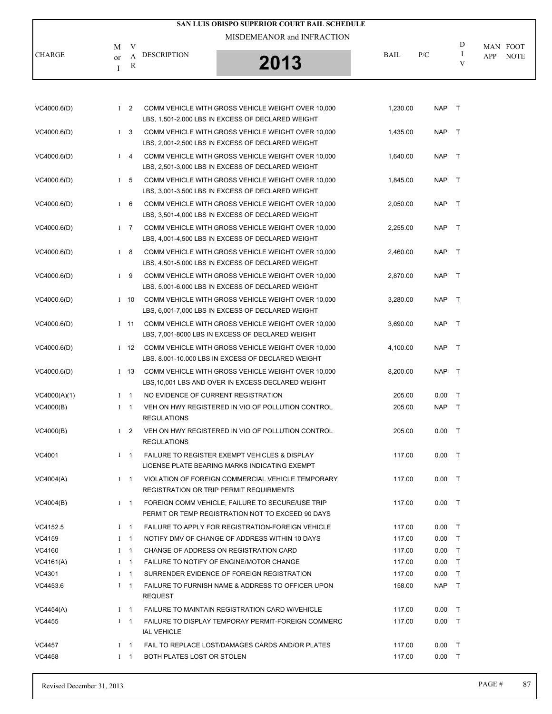|               |                                             | SAN LUIS OBISPO SUPERIOR COURT BAIL SCHEDULE |             |     |   |                                |
|---------------|---------------------------------------------|----------------------------------------------|-------------|-----|---|--------------------------------|
| <b>CHARGE</b> | M<br>DESCRIPTION<br>А<br><sub>or</sub><br>R | MISDEMEANOR and INFRACTION<br>2013           | <b>BAIL</b> | P/C | D | MAN FOOT<br><b>NOTE</b><br>APP |
|               |                                             |                                              |             |     |   |                                |

| VC4000.6(D)  |              | $1\quad 2$     | COMM VEHICLE WITH GROSS VEHICLE WEIGHT OVER 10,000<br>LBS, 1,501-2,000 LBS IN EXCESS OF DECLARED WEIGHT       | 1,230.00 | NAP T      |        |
|--------------|--------------|----------------|---------------------------------------------------------------------------------------------------------------|----------|------------|--------|
| VC4000.6(D)  |              | $1\quad 3$     | COMM VEHICLE WITH GROSS VEHICLE WEIGHT OVER 10,000<br>LBS, 2,001-2,500 LBS IN EXCESS OF DECLARED WEIGHT       | 1,435.00 | <b>NAP</b> | $\top$ |
| VC4000.6(D)  |              |                | I 4 COMM VEHICLE WITH GROSS VEHICLE WEIGHT OVER 10,000<br>LBS, 2,501-3,000 LBS IN EXCESS OF DECLARED WEIGHT   | 1,640.00 | NAP T      |        |
| VC4000.6(D)  |              | I <sub>5</sub> | COMM VEHICLE WITH GROSS VEHICLE WEIGHT OVER 10,000<br>LBS, 3,001-3,500 LBS IN EXCESS OF DECLARED WEIGHT       | 1,845.00 | <b>NAP</b> | $\top$ |
| VC4000.6(D)  |              | $1\quad 6$     | COMM VEHICLE WITH GROSS VEHICLE WEIGHT OVER 10,000<br>LBS, 3,501-4,000 LBS IN EXCESS OF DECLARED WEIGHT       | 2,050.00 | NAP T      |        |
| VC4000.6(D)  |              | $1 \quad 7$    | COMM VEHICLE WITH GROSS VEHICLE WEIGHT OVER 10,000<br>LBS, 4,001-4,500 LBS IN EXCESS OF DECLARED WEIGHT       | 2,255.00 | <b>NAP</b> | $\top$ |
| VC4000.6(D)  |              | $1 \quad 8$    | COMM VEHICLE WITH GROSS VEHICLE WEIGHT OVER 10,000<br>LBS, 4,501-5,000 LBS IN EXCESS OF DECLARED WEIGHT       | 2,460.00 | <b>NAP</b> | $\top$ |
| VC4000.6(D)  |              | $1 \quad 9$    | COMM VEHICLE WITH GROSS VEHICLE WEIGHT OVER 10,000<br>LBS. 5.001-6.000 LBS IN EXCESS OF DECLARED WEIGHT       | 2,870.00 | <b>NAP</b> | $\top$ |
| VC4000.6(D)  |              | $1\quad10$     | COMM VEHICLE WITH GROSS VEHICLE WEIGHT OVER 10,000<br>LBS, 6,001-7,000 LBS IN EXCESS OF DECLARED WEIGHT       | 3,280.00 | <b>NAP</b> | $\top$ |
| VC4000.6(D)  |              | $I$ 11         | COMM VEHICLE WITH GROSS VEHICLE WEIGHT OVER 10,000<br>LBS, 7,001-8000 LBS IN EXCESS OF DECLARED WEIGHT        | 3,690.00 | NAP T      |        |
| VC4000.6(D)  |              |                | I 12 COMM VEHICLE WITH GROSS VEHICLE WEIGHT OVER 10,000<br>LBS, 8,001-10,000 LBS IN EXCESS OF DECLARED WEIGHT | 4,100.00 | <b>NAP</b> | $\top$ |
| VC4000.6(D)  |              |                | I 13 COMM VEHICLE WITH GROSS VEHICLE WEIGHT OVER 10,000<br>LBS, 10,001 LBS AND OVER IN EXCESS DECLARED WEIGHT | 8,200.00 | <b>NAP</b> | $\top$ |
| VC4000(A)(1) |              | $1 \quad 1$    | NO EVIDENCE OF CURRENT REGISTRATION                                                                           | 205.00   | 0.00       | $\top$ |
| VC4000(B)    |              | $1 \quad 1$    | VEH ON HWY REGISTERED IN VIO OF POLLUTION CONTROL<br><b>REGULATIONS</b>                                       | 205.00   | <b>NAP</b> | $\top$ |
| VC4000(B)    |              | $1\quad 2$     | VEH ON HWY REGISTERED IN VIO OF POLLUTION CONTROL<br><b>REGULATIONS</b>                                       | 205.00   | 0.00       | $\top$ |
| VC4001       |              | $1 \quad 1$    | <b>FAILURE TO REGISTER EXEMPT VEHICLES &amp; DISPLAY</b><br>LICENSE PLATE BEARING MARKS INDICATING EXEMPT     | 117.00   | 0.00       | $\top$ |
| VC4004(A)    |              | $1 \quad 1$    | VIOLATION OF FOREIGN COMMERCIAL VEHICLE TEMPORARY<br><b>REGISTRATION OR TRIP PERMIT REQUIRMENTS</b>           | 117.00   | 0.00       | $\top$ |
| VC4004(B)    |              |                | I 1 FOREIGN COMM VEHICLE; FAILURE TO SECURE/USE TRIP<br>PERMIT OR TEMP REGISTRATION NOT TO EXCEED 90 DAYS     | 117.00   | $0.00$ T   |        |
| VC4152.5     |              | $I \quad 1$    | FAILURE TO APPLY FOR REGISTRATION-FOREIGN VEHICLE                                                             | 117.00   | 0.00       | $\top$ |
| VC4159       | $\mathbf{I}$ | $\overline{1}$ | NOTIFY DMV OF CHANGE OF ADDRESS WITHIN 10 DAYS                                                                | 117.00   | 0.00       | $\top$ |
| VC4160       |              | $I \quad 1$    | CHANGE OF ADDRESS ON REGISTRATION CARD                                                                        | 117.00   | 0.00       | $\top$ |
| VC4161(A)    |              | $1 \quad 1$    | FAILURE TO NOTIFY OF ENGINE/MOTOR CHANGE                                                                      | 117.00   | 0.00       | $\top$ |
| VC4301       |              | $I \quad 1$    | SURRENDER EVIDENCE OF FOREIGN REGISTRATION                                                                    | 117.00   | 0.00       | $\top$ |
| VC4453.6     |              | $I \quad 1$    | FAILURE TO FURNISH NAME & ADDRESS TO OFFICER UPON<br><b>REQUEST</b>                                           | 158.00   | NAP T      |        |
| VC4454(A)    |              | $I \quad 1$    | FAILURE TO MAINTAIN REGISTRATION CARD W/VEHICLE                                                               | 117.00   | 0.00       | $\top$ |
| VC4455       |              | $1 \quad 1$    | FAILURE TO DISPLAY TEMPORAY PERMIT-FOREIGN COMMERC<br><b>IAL VEHICLE</b>                                      | 117.00   | $0.00$ T   |        |
| VC4457       |              | $I \quad 1$    | FAIL TO REPLACE LOST/DAMAGES CARDS AND/OR PLATES                                                              | 117.00   | 0.00       | $\top$ |
| VC4458       |              | $I \quad 1$    | BOTH PLATES LOST OR STOLEN                                                                                    | 117.00   | 0.00       | $\top$ |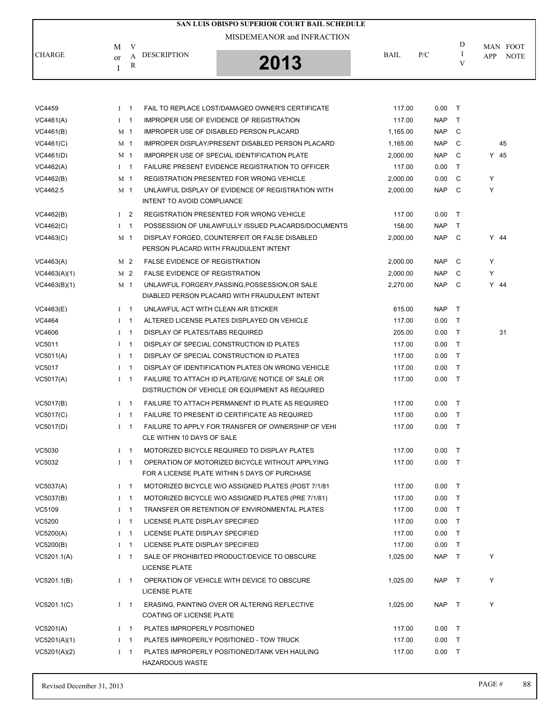|               |              |                          |                                       | SAN LUIS OBISPO SUPERIOR COURT BAIL SCHEDULE                                                         |             |            |                    |        |                         |
|---------------|--------------|--------------------------|---------------------------------------|------------------------------------------------------------------------------------------------------|-------------|------------|--------------------|--------|-------------------------|
|               |              |                          |                                       | MISDEMEANOR and INFRACTION                                                                           |             |            |                    |        |                         |
| <b>CHARGE</b> | M<br>or<br>I | V<br>A<br>$\mathbb{R}$   | <b>DESCRIPTION</b>                    | 2013                                                                                                 | <b>BAIL</b> | P/C        | D<br>$\bf{I}$<br>V | APP    | MAN FOOT<br><b>NOTE</b> |
|               |              |                          |                                       |                                                                                                      |             |            |                    |        |                         |
| VC4459        | $I \quad 1$  |                          |                                       | FAIL TO REPLACE LOST/DAMAGED OWNER'S CERTIFICATE                                                     | 117.00      | 0.00       | $\top$             |        |                         |
| VC4461(A)     | $1 \quad 1$  |                          |                                       | IMPROPER USE OF EVIDENCE OF REGISTRATION                                                             | 117.00      | <b>NAP</b> | $\top$             |        |                         |
| VC4461(B)     |              | M 1                      |                                       | IMPROPER USE OF DISABLED PERSON PLACARD                                                              | 1,165.00    | <b>NAP</b> | C                  |        |                         |
| VC4461(C)     |              | M 1                      |                                       | IMPROPER DISPLAY/PRESENT DISABLED PERSON PLACARD                                                     | 1,165.00    | <b>NAP</b> | C                  |        | 45                      |
| VC4461(D)     |              | M 1                      |                                       | IMPORPER USE OF SPECIAL IDENTIFICATION PLATE                                                         | 2,000.00    | <b>NAP</b> | C                  | Y 45   |                         |
| VC4462(A)     |              | $1 \quad 1$              |                                       | <b>FAILURE PRESENT EVIDENCE REGISTRATION TO OFFICER</b>                                              | 117.00      | 0.00       | $\top$             |        |                         |
| VC4462(B)     |              | M 1                      |                                       | <b>REGISTRATION PRESENTED FOR WRONG VEHICLE</b>                                                      | 2,000.00    | 0.00       | C                  | Υ      |                         |
| VC4462.5      |              | M 1                      | INTENT TO AVOID COMPLIANCE            | UNLAWFUL DISPLAY OF EVIDENCE OF REGISTRATION WITH                                                    | 2,000.00    | <b>NAP</b> | C                  | Υ      |                         |
| VC4462(B)     |              | I <sub>2</sub>           |                                       | <b>REGISTRATION PRESENTED FOR WRONG VEHICLE</b>                                                      | 117.00      | 0.00       | $\top$             |        |                         |
| VC4462(C)     |              | $I \quad 1$              |                                       | POSSESSION OF UNLAWFULLY ISSUED PLACARDS/DOCUMENTS                                                   | 158.00      | <b>NAP</b> | T                  |        |                         |
| VC4463(C)     |              | M 1                      |                                       | DISPLAY FORGED, COUNTERFEIT OR FALSE DISABLED<br>PERSON PLACARD WITH FRAUDULENT INTENT               | 2,000.00    | <b>NAP</b> | C                  | Y 44   |                         |
| VC4463(A)     |              | M 2                      | <b>FALSE EVIDENCE OF REGISTRATION</b> |                                                                                                      | 2,000.00    | <b>NAP</b> | C                  | Y      |                         |
| VC4463(A)(1)  |              | M <sub>2</sub>           | <b>FALSE EVIDENCE OF REGISTRATION</b> |                                                                                                      | 2,000.00    | <b>NAP</b> | C                  | Υ      |                         |
| VC4463(B)(1)  |              | M 1                      |                                       | UNLAWFUL FORGERY, PASSING, POSSESSION, OR SALE                                                       | 2,270.00    | <b>NAP</b> | C                  | $Y$ 44 |                         |
|               |              |                          |                                       | DIABLED PERSON PLACARD WITH FRAUDULENT INTENT                                                        |             |            |                    |        |                         |
| VC4463(E)     | $\mathbf{I}$ | - 1                      | UNLAWFUL ACT WITH CLEAN AIR STICKER   |                                                                                                      | 615.00      | <b>NAP</b> | $\top$             |        |                         |
| VC4464        | $I \quad 1$  |                          |                                       | ALTERED LICENSE PLATES DISPLAYED ON VEHICLE                                                          | 117.00      | 0.00       | $\top$             |        |                         |
| VC4606        |              | $I \quad 1$              | DISPLAY OF PLATES/TABS REQUIRED       |                                                                                                      | 205.00      | 0.00       | $\top$             |        | 31                      |
| VC5011        | $\bf{I}$     | -1                       |                                       | DISPLAY OF SPECIAL CONSTRUCTION ID PLATES                                                            | 117.00      | 0.00       | $\top$             |        |                         |
| VC5011(A)     |              | $I \quad 1$              |                                       | DISPLAY OF SPECIAL CONSTRUCTION ID PLATES                                                            | 117.00      | 0.00       | $\top$             |        |                         |
| VC5017        | $\bf{I}$     | $\overline{\phantom{0}}$ |                                       | DISPLAY OF IDENTIFICATION PLATES ON WRONG VEHICLE                                                    | 117.00      | 0.00       | $\top$             |        |                         |
| VC5017(A)     | Ι.           | - 1                      |                                       | FAILURE TO ATTACH ID PLATE/GIVE NOTICE OF SALE OR<br>DISTRUCTION OF VEHICLE OR EQUIPMENT AS REQUIRED | 117.00      | 0.00       | $\top$             |        |                         |
| VC5017(B)     |              | $I \quad 1$              |                                       | FAILURE TO ATTACH PERMANENT ID PLATE AS REQUIRED                                                     | 117.00      | 0.00       | $\top$             |        |                         |
| VC5017(C)     | $\bf{I}$     | $\overline{\phantom{1}}$ |                                       | <b>FAILURE TO PRESENT ID CERTIFICATE AS REQUIRED</b>                                                 | 117.00      | 0.00       | $\top$             |        |                         |
| VC5017(D)     |              | $I \quad 1$              | CLE WITHIN 10 DAYS OF SALE            | FAILURE TO APPLY FOR TRANSFER OF OWNERSHIP OF VEHI                                                   | 117.00      | $0.00$ T   |                    |        |                         |
| VC5030        |              | $I \quad 1$              |                                       | MOTORIZED BICYCLE REQUIRED TO DISPLAY PLATES                                                         | 117.00      | $0.00$ T   |                    |        |                         |
| VC5032        |              | $I \quad 1$              |                                       | OPERATION OF MOTORIZED BICYCLE WITHOUT APPLYING<br>FOR A LICENSE PLATE WITHIN 5 DAYS OF PURCHASE     | 117.00      | $0.00$ T   |                    |        |                         |
| VC5037(A)     |              | $I \quad 1$              |                                       | MOTORIZED BICYCLE W/O ASSIGNED PLATES (POST 7/1/81)                                                  | 117.00      | $0.00$ T   |                    |        |                         |
| VC5037(B)     | $I \quad 1$  |                          |                                       | MOTORIZED BICYCLE W/O ASSIGNED PLATES (PRE 7/1/81)                                                   | 117.00      | $0.00$ T   |                    |        |                         |
| VC5109        | $I \quad 1$  |                          |                                       | TRANSFER OR RETENTION OF ENVIRONMENTAL PLATES                                                        | 117.00      | $0.00$ T   |                    |        |                         |
| VC5200        |              | $1 \quad 1$              | LICENSE PLATE DISPLAY SPECIFIED       |                                                                                                      | 117.00      | $0.00$ T   |                    |        |                         |
| VC5200(A)     |              | $I \quad 1$              | LICENSE PLATE DISPLAY SPECIFIED       |                                                                                                      | 117.00      | $0.00$ T   |                    |        |                         |
| VC5200(B)     |              | $I \quad 1$              | LICENSE PLATE DISPLAY SPECIFIED       |                                                                                                      | 117.00      | $0.00$ T   |                    |        |                         |
| VC5201.1(A)   |              | $1 \quad 1$              | <b>LICENSE PLATE</b>                  | SALE OF PROHIBITED PRODUCT/DEVICE TO OBSCURE                                                         | 1,025.00    | NAP T      |                    | Y      |                         |
| VC5201.1(B)   |              | $I \quad 1$              | <b>LICENSE PLATE</b>                  | OPERATION OF VEHICLE WITH DEVICE TO OBSCURE                                                          | 1,025.00    | NAP T      |                    | Y      |                         |
| VC5201.1(C)   |              | $I \quad 1$              | COATING OF LICENSE PLATE              | ERASING, PAINTING OVER OR ALTERING REFLECTIVE                                                        | 1,025.00    | NAP T      |                    | Y      |                         |
| VC5201(A)     | $I \quad 1$  |                          | PLATES IMPROPERLY POSITIONED          |                                                                                                      | 117.00      | $0.00$ T   |                    |        |                         |
| VC5201(A)(1)  |              | $1 \quad 1$              |                                       | PLATES IMPROPERLY POSITIONED - TOW TRUCK                                                             | 117.00      | $0.00$ T   |                    |        |                         |
| VC5201(A)(2)  |              | $I \quad 1$              | <b>HAZARDOUS WASTE</b>                | PLATES IMPROPERLY POSITIONED/TANK VEH HAULING                                                        | 117.00      | $0.00$ T   |                    |        |                         |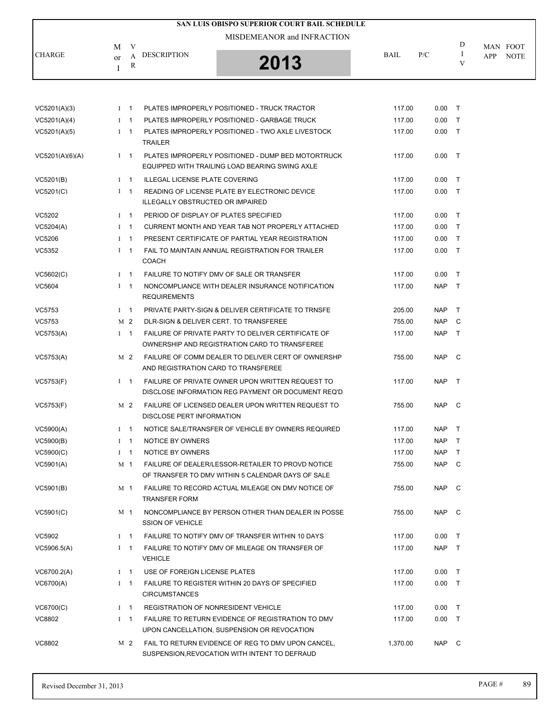|                 |              |             |                                            | <b>SAN LUIS OBISPO SUPERIOR COURT BAIL SCHEDULE</b>                                                    |             |            |        |     |                         |
|-----------------|--------------|-------------|--------------------------------------------|--------------------------------------------------------------------------------------------------------|-------------|------------|--------|-----|-------------------------|
|                 |              |             |                                            | MISDEMEANOR and INFRACTION                                                                             |             |            | D      |     |                         |
| <b>CHARGE</b>   | M<br>or<br>Ι | V<br>A<br>R | <b>DESCRIPTION</b>                         | 2013                                                                                                   | <b>BAIL</b> | P/C        | Ι<br>V | APP | MAN FOOT<br><b>NOTE</b> |
|                 |              |             |                                            |                                                                                                        |             |            |        |     |                         |
| VC5201(A)(3)    |              | $I \quad 1$ |                                            | PLATES IMPROPERLY POSITIONED - TRUCK TRACTOR                                                           | 117.00      | $0.00$ T   |        |     |                         |
| VC5201(A)(4)    |              | $1 \quad 1$ |                                            | PLATES IMPROPERLY POSITIONED - GARBAGE TRUCK                                                           | 117.00      | 0.00       | $\top$ |     |                         |
| VC5201(A)(5)    |              | $I \quad 1$ | <b>TRAILER</b>                             | PLATES IMPROPERLY POSITIONED - TWO AXLE LIVESTOCK                                                      | 117.00      | 0.00       | $\top$ |     |                         |
| VC5201(A)(6)(A) |              | $I \quad 1$ |                                            | PLATES IMPROPERLY POSITIONED - DUMP BED MOTORTRUCK<br>EQUIPPED WITH TRAILING LOAD BEARING SWING AXLE   | 117.00      | $0.00$ T   |        |     |                         |
| VC5201(B)       |              | $I \quad 1$ | <b>ILLEGAL LICENSE PLATE COVERING</b>      |                                                                                                        | 117.00      | 0.00       | $\top$ |     |                         |
| VC5201(C)       |              | $1 \quad 1$ | <b>ILLEGALLY OBSTRUCTED OR IMPAIRED</b>    | READING OF LICENSE PLATE BY ELECTRONIC DEVICE                                                          | 117.00      | $0.00$ T   |        |     |                         |
| VC5202          |              | $I \quad 1$ | PERIOD OF DISPLAY OF PLATES SPECIFIED      |                                                                                                        | 117.00      | 0.00       | $\top$ |     |                         |
| VC5204(A)       |              | $I \quad 1$ |                                            | CURRENT MONTH AND YEAR TAB NOT PROPERLY ATTACHED                                                       | 117.00      | 0.00       | $\top$ |     |                         |
| VC5206          |              | $1 \quad 1$ |                                            | PRESENT CERTIFICATE OF PARTIAL YEAR REGISTRATION                                                       | 117.00      | 0.00       | $\top$ |     |                         |
| VC5352          |              | $I \quad 1$ | <b>COACH</b>                               | FAIL TO MAINTAIN ANNUAL REGISTRATION FOR TRAILER                                                       | 117.00      | 0.00       | $\top$ |     |                         |
| VC5602(C)       |              | $I \quad 1$ |                                            | FAILURE TO NOTIFY DMV OF SALE OR TRANSFER                                                              | 117.00      | 0.00       | $\top$ |     |                         |
| VC5604          |              | $I \quad 1$ | <b>REQUIREMENTS</b>                        | NONCOMPLIANCE WITH DEALER INSURANCE NOTIFICATION                                                       | 117.00      | <b>NAP</b> | $\top$ |     |                         |
| VC5753          |              | $I \quad 1$ |                                            | PRIVATE PARTY-SIGN & DELIVER CERTIFICATE TO TRNSFE                                                     | 205.00      | NAP        | $\top$ |     |                         |
| VC5753          |              | M 2         |                                            | DLR-SIGN & DELIVER CERT. TO TRANSFEREE                                                                 | 755.00      | NAP        | C      |     |                         |
| VC5753(A)       |              | $I \quad 1$ |                                            | FAILURE OF PRIVATE PARTY TO DELIVER CERTIFICATE OF<br>OWNERSHIP AND REGISTRATION CARD TO TRANSFEREE    | 117.00      | NAP        | $\top$ |     |                         |
| VC5753(A)       |              | M 2         | AND REGISTRATION CARD TO TRANSFEREE        | FAILURE OF COMM DEALER TO DELIVER CERT OF OWNERSHP                                                     | 755.00      | NAP        | C      |     |                         |
| VC5753(F)       |              | $I \quad 1$ |                                            | FAILURE OF PRIVATE OWNER UPON WRITTEN REQUEST TO<br>DISCLOSE INFORMATION REG PAYMENT OR DOCUMENT REQ'D | 117.00      | NAP T      |        |     |                         |
| VC5753(F)       |              | M 2         | DISCLOSE PERT INFORMATION                  | FAILURE OF LICENSED DEALER UPON WRITTEN REQUEST TO                                                     | 755.00      | NAP.       | C      |     |                         |
| VC5900(A)       |              | $I \quad 1$ |                                            | NOTICE SALE/TRANSFER OF VEHICLE BY OWNERS REQUIRED                                                     | 117.00      | <b>NAP</b> | T      |     |                         |
| VC5900(B)       |              | $I \quad 1$ | NOTICE BY OWNERS                           |                                                                                                        | 117.00      | NAP        | $\top$ |     |                         |
| VC5900(C)       |              | $I \quad 1$ | NOTICE BY OWNERS                           |                                                                                                        | 117.00      | <b>NAP</b> | $\top$ |     |                         |
| VC5901(A)       |              | M 1         |                                            | FAILURE OF DEALER/LESSOR-RETAILER TO PROVD NOTICE<br>OF TRANSFER TO DMV WITHIN 5 CALENDAR DAYS OF SALE | 755.00      | NAP C      |        |     |                         |
| VC5901(B)       |              | M 1         | <b>TRANSFER FORM</b>                       | FAILURE TO RECORD ACTUAL MILEAGE ON DMV NOTICE OF                                                      | 755.00      | NAP C      |        |     |                         |
| VC5901(C)       |              | M 1         | <b>SSION OF VEHICLE</b>                    | NONCOMPLIANCE BY PERSON OTHER THAN DEALER IN POSSE                                                     | 755.00      | NAP C      |        |     |                         |
| VC5902          |              | $1 \quad 1$ |                                            | FAILURE TO NOTIFY DMV OF TRANSFER WITHIN 10 DAYS                                                       | 117.00      | 0.00       | $\top$ |     |                         |
| VC5906.5(A)     |              | $I \quad 1$ | <b>VEHICLE</b>                             | FAILURE TO NOTIFY DMV OF MILEAGE ON TRANSFER OF                                                        | 117.00      | NAP T      |        |     |                         |
| VC6700.2(A)     |              | $I \quad 1$ | USE OF FOREIGN LICENSE PLATES              |                                                                                                        | 117.00      | $0.00$ T   |        |     |                         |
| VC6700(A)       |              | $I \quad 1$ | <b>CIRCUMSTANCES</b>                       | FAILURE TO REGISTER WITHIN 20 DAYS OF SPECIFIED                                                        | 117.00      | $0.00$ T   |        |     |                         |
| VC6700(C)       |              | $I \quad 1$ | <b>REGISTRATION OF NONRESIDENT VEHICLE</b> |                                                                                                        | 117.00      | $0.00$ T   |        |     |                         |
| VC8802          |              | $I \quad 1$ |                                            | FAILURE TO RETURN EVIDENCE OF REGISTRATION TO DMV<br>UPON CANCELLATION, SUSPENSION OR REVOCATION       | 117.00      | $0.00$ T   |        |     |                         |
| VC8802          |              | M 2         |                                            | FAIL TO RETURN EVIDENCE OF REG TO DMV UPON CANCEL,<br>SUSPENSION, REVOCATION WITH INTENT TO DEFRAUD    | 1,370.00    | NAP C      |        |     |                         |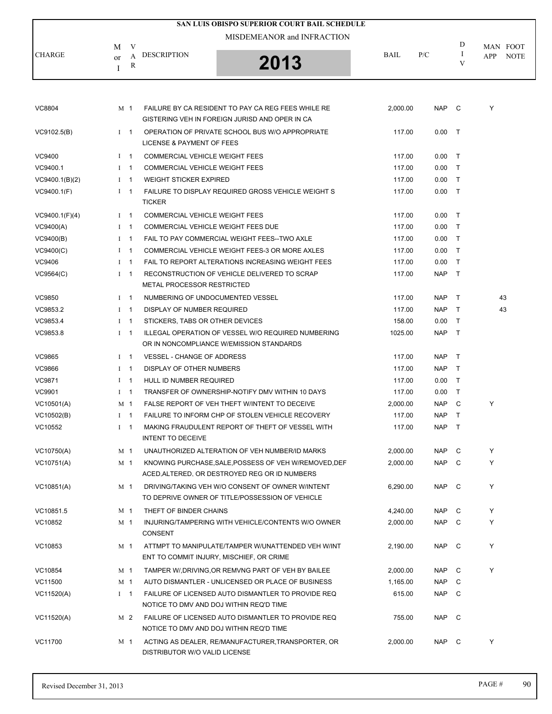|                |              |             |                                       | SAN LUIS OBISPO SUPERIOR COURT BAIL SCHEDULE                                                           |             |            |                    |                                |
|----------------|--------------|-------------|---------------------------------------|--------------------------------------------------------------------------------------------------------|-------------|------------|--------------------|--------------------------------|
|                |              |             |                                       | MISDEMEANOR and INFRACTION                                                                             |             |            |                    |                                |
| <b>CHARGE</b>  | M<br>or<br>I | V<br>A<br>R | <b>DESCRIPTION</b>                    | 2013                                                                                                   | <b>BAIL</b> | P/C        | D<br><b>I</b><br>V | MAN FOOT<br>APP<br><b>NOTE</b> |
|                |              |             |                                       |                                                                                                        |             |            |                    |                                |
| VC8804         |              | M 1         |                                       | FAILURE BY CA RESIDENT TO PAY CA REG FEES WHILE RE<br>GISTERING VEH IN FOREIGN JURISD AND OPER IN CA   | 2,000.00    | NAP C      |                    | Υ                              |
| VC9102.5(B)    |              | $1 \quad 1$ | LICENSE & PAYMENT OF FEES             | OPERATION OF PRIVATE SCHOOL BUS W/O APPROPRIATE                                                        | 117.00      | $0.00$ T   |                    |                                |
| VC9400         |              | $1 \quad 1$ | COMMERCIAL VEHICLE WEIGHT FEES        |                                                                                                        | 117.00      | $0.00$ T   |                    |                                |
| VC9400.1       |              | $1 \quad 1$ | COMMERCIAL VEHICLE WEIGHT FEES        |                                                                                                        | 117.00      | $0.00$ T   |                    |                                |
| VC9400.1(B)(2) |              | $I \quad 1$ | <b>WEIGHT STICKER EXPIRED</b>         |                                                                                                        | 117.00      | $0.00$ T   |                    |                                |
| VC9400.1(F)    |              | $1 \quad 1$ | <b>TICKER</b>                         | FAILURE TO DISPLAY REQUIRED GROSS VEHICLE WEIGHT S                                                     | 117.00      | $0.00$ T   |                    |                                |
| VC9400.1(F)(4) |              | $1 \quad 1$ | <b>COMMERCIAL VEHICLE WEIGHT FEES</b> |                                                                                                        | 117.00      | $0.00$ T   |                    |                                |
| VC9400(A)      |              | $I \quad 1$ | COMMERCIAL VEHICLE WEIGHT FEES DUE    |                                                                                                        | 117.00      | $0.00$ T   |                    |                                |
| VC9400(B)      |              | $I \quad 1$ |                                       | FAIL TO PAY COMMERCIAL WEIGHT FEES--TWO AXLE                                                           | 117.00      | $0.00$ T   |                    |                                |
| VC9400(C)      |              | $I \quad 1$ |                                       | COMMERCIAL VEHICLE WEIGHT FEES-3 OR MORE AXLES                                                         | 117.00      | $0.00$ T   |                    |                                |
| VC9406         |              | $1 \quad 1$ |                                       | FAIL TO REPORT ALTERATIONS INCREASING WEIGHT FEES                                                      | 117.00      | 0.00       | $\top$             |                                |
| VC9564(C)      |              | $1 \quad 1$ | METAL PROCESSOR RESTRICTED            | RECONSTRUCTION OF VEHICLE DELIVERED TO SCRAP                                                           | 117.00      | NAP T      |                    |                                |
| <b>VC9850</b>  |              | $1 \quad 1$ | NUMBERING OF UNDOCUMENTED VESSEL      |                                                                                                        | 117.00      | NAP T      |                    | 43                             |
| VC9853.2       |              | $1 \quad 1$ | DISPLAY OF NUMBER REQUIRED            |                                                                                                        | 117.00      | NAP T      |                    | 43                             |
| VC9853.4       |              | $1 \quad 1$ | STICKERS, TABS OR OTHER DEVICES       |                                                                                                        | 158.00      | 0.00       | $\top$             |                                |
| VC9853.8       |              | $1 \quad 1$ |                                       | ILLEGAL OPERATION OF VESSEL W/O REQUIRED NUMBERING<br>OR IN NONCOMPLIANCE W/EMISSION STANDARDS         | 1025.00     | <b>NAP</b> | $\top$             |                                |
| VC9865         |              | $1 \quad 1$ | <b>VESSEL - CHANGE OF ADDRESS</b>     |                                                                                                        | 117.00      | NAP        | $\top$             |                                |
| VC9866         |              | $I \quad 1$ | DISPLAY OF OTHER NUMBERS              |                                                                                                        | 117.00      | NAP T      |                    |                                |
| <b>VC9871</b>  |              | $1 \quad 1$ | HULL ID NUMBER REQUIRED               |                                                                                                        | 117.00      | 0.00       | $\top$             |                                |
| VC9901         |              | $1 \quad 1$ |                                       | TRANSFER OF OWNERSHIP-NOTIFY DMV WITHIN 10 DAYS                                                        | 117.00      | 0.00       | $\top$             |                                |
| VC10501(A)     |              | M 1         |                                       | FALSE REPORT OF VEH THEFT WINTENT TO DECEIVE                                                           | 2,000.00    | <b>NAP</b> | C                  | Υ                              |
| VC10502(B)     |              | $1 \quad 1$ |                                       | FAILURE TO INFORM CHP OF STOLEN VEHICLE RECOVERY                                                       | 117.00      | <b>NAP</b> | $\top$             |                                |
| VC10552        |              | $I \quad 1$ | <b>INTENT TO DECEIVE</b>              | MAKING FRAUDULENT REPORT OF THEFT OF VESSEL WITH                                                       | 117.00      | NAP T      |                    |                                |
| VC10750(A)     |              | M 1         |                                       | UNAUTHORIZED ALTERATION OF VEH NUMBER/ID MARKS                                                         | 2,000.00    | NAP C      |                    | Y                              |
| VC10751(A)     |              | M 1         |                                       | KNOWING PURCHASE, SALE, POSSESS OF VEH W/REMOVED, DEF<br>ACED, ALTERED, OR DESTROYED REG OR ID NUMBERS | 2,000.00    | NAP C      |                    | Y                              |
| VC10851(A)     |              | M 1         |                                       | DRIVING/TAKING VEH W/O CONSENT OF OWNER W/INTENT<br>TO DEPRIVE OWNER OF TITLE/POSSESSION OF VEHICLE    | 6,290.00    | NAP C      |                    | Y                              |
| VC10851.5      |              | M 1         | THEFT OF BINDER CHAINS                |                                                                                                        | 4,240.00    | NAP C      |                    | Y                              |
| VC10852        |              | M 1         | <b>CONSENT</b>                        | INJURING/TAMPERING WITH VEHICLE/CONTENTS W/O OWNER                                                     | 2.000.00    | NAP C      |                    | Y                              |
| VC10853        |              | M 1         |                                       | ATTMPT TO MANIPULATE/TAMPER W/UNATTENDED VEH W/INT<br>ENT TO COMMIT INJURY, MISCHIEF, OR CRIME         | 2,190.00    | NAP C      |                    | Y                              |
| VC10854        |              | M 1         |                                       | TAMPER W/, DRIVING, OR REMVNG PART OF VEH BY BAILEE                                                    | 2,000.00    | NAP        | C                  | Y                              |
| VC11500        |              | M 1         |                                       | AUTO DISMANTLER - UNLICENSED OR PLACE OF BUSINESS                                                      | 1,165.00    | NAP C      |                    |                                |
| VC11520(A)     |              | $I \quad 1$ |                                       | FAILURE OF LICENSED AUTO DISMANTLER TO PROVIDE REQ<br>NOTICE TO DMV AND DOJ WITHIN REQ'D TIME          | 615.00      | NAP C      |                    |                                |
| VC11520(A)     |              | M 2         |                                       | FAILURE OF LICENSED AUTO DISMANTLER TO PROVIDE REQ<br>NOTICE TO DMV AND DOJ WITHIN REQ'D TIME          | 755.00      | NAP C      |                    |                                |
| VC11700        |              | M 1         | DISTRIBUTOR W/O VALID LICENSE         | ACTING AS DEALER, RE/MANUFACTURER, TRANSPORTER, OR                                                     | 2,000.00    | NAP C      |                    | Y                              |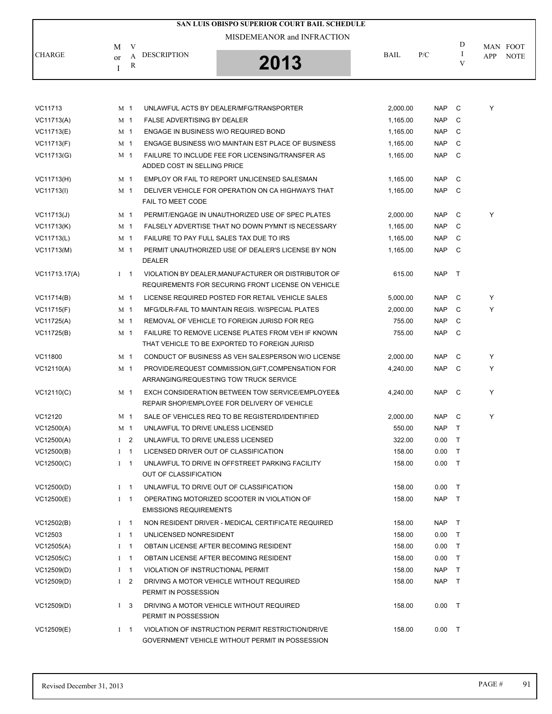|               |                    |                |                                          | SAN LUIS OBISPO SUPERIOR COURT BAIL SCHEDULE<br>MISDEMEANOR and INFRACTION                                |             |            |        |     |             |
|---------------|--------------------|----------------|------------------------------------------|-----------------------------------------------------------------------------------------------------------|-------------|------------|--------|-----|-------------|
|               | M                  | V              |                                          |                                                                                                           |             |            | D      |     | MAN FOOT    |
| <b>CHARGE</b> | <sub>or</sub><br>I | A<br>R         | <b>DESCRIPTION</b>                       | 2013                                                                                                      | <b>BAIL</b> | P/C        | Ι<br>V | APP | <b>NOTE</b> |
|               |                    |                |                                          |                                                                                                           |             |            |        |     |             |
| VC11713       |                    | M 1            |                                          | UNLAWFUL ACTS BY DEALER/MFG/TRANSPORTER                                                                   | 2,000.00    | <b>NAP</b> | C      | Y   |             |
| VC11713(A)    |                    | M <sub>1</sub> | <b>FALSE ADVERTISING BY DEALER</b>       |                                                                                                           | 1,165.00    | <b>NAP</b> | C      |     |             |
| VC11713(E)    |                    | M 1            | ENGAGE IN BUSINESS W/O REQUIRED BOND     |                                                                                                           | 1,165.00    | <b>NAP</b> | C      |     |             |
| VC11713(F)    |                    | M 1            |                                          | ENGAGE BUSINESS W/O MAINTAIN EST PLACE OF BUSINESS                                                        | 1,165.00    | <b>NAP</b> | C      |     |             |
| VC11713(G)    |                    | M 1            | ADDED COST IN SELLING PRICE              | FAILURE TO INCLUDE FEE FOR LICENSING/TRANSFER AS                                                          | 1,165.00    | <b>NAP</b> | C      |     |             |
| VC11713(H)    |                    | M 1            |                                          | EMPLOY OR FAIL TO REPORT UNLICENSED SALESMAN                                                              | 1,165.00    | <b>NAP</b> | C      |     |             |
| VC11713(I)    |                    | M 1            | FAIL TO MEET CODE                        | DELIVER VEHICLE FOR OPERATION ON CA HIGHWAYS THAT                                                         | 1,165.00    | <b>NAP</b> | C      |     |             |
| VC11713(J)    |                    | M 1            |                                          | PERMIT/ENGAGE IN UNAUTHORIZED USE OF SPEC PLATES                                                          | 2,000.00    | <b>NAP</b> | C      | Y   |             |
| VC11713(K)    |                    | M 1            |                                          | FALSELY ADVERTISE THAT NO DOWN PYMNT IS NECESSARY                                                         | 1,165.00    | <b>NAP</b> | C      |     |             |
| VC11713(L)    |                    | M 1            | FAILURE TO PAY FULL SALES TAX DUE TO IRS |                                                                                                           | 1,165.00    | <b>NAP</b> | C      |     |             |
| VC11713(M)    |                    | M 1            | <b>DEALER</b>                            | PERMIT UNAUTHORIZED USE OF DEALER'S LICENSE BY NON                                                        | 1,165.00    | <b>NAP</b> | C      |     |             |
| VC11713.17(A) |                    | $I \quad 1$    |                                          | VIOLATION BY DEALER, MANUFACTURER OR DISTRIBUTOR OF<br>REQUIREMENTS FOR SECURING FRONT LICENSE ON VEHICLE | 615.00      | NAP        | $\top$ |     |             |
| VC11714(B)    |                    | M 1            |                                          | LICENSE REQUIRED POSTED FOR RETAIL VEHICLE SALES                                                          | 5,000.00    | <b>NAP</b> | C      | Y   |             |
| VC11715(F)    |                    | M 1            |                                          | MFG/DLR-FAIL TO MAINTAIN REGIS. W/SPECIAL PLATES                                                          | 2,000.00    | <b>NAP</b> | C      | Y   |             |
| VC11725(A)    |                    | M 1            |                                          | REMOVAL OF VEHICLE TO FOREIGN JURISD FOR REG                                                              | 755.00      | <b>NAP</b> | C      |     |             |
| VC11725(B)    |                    | M 1            |                                          | FAILURE TO REMOVE LICENSE PLATES FROM VEH IF KNOWN<br>THAT VEHICLE TO BE EXPORTED TO FOREIGN JURISD       | 755.00      | <b>NAP</b> | C      |     |             |
| VC11800       |                    | M 1            |                                          | CONDUCT OF BUSINESS AS VEH SALESPERSON W/O LICENSE                                                        | 2,000.00    | <b>NAP</b> | C      | Y   |             |
| VC12110(A)    |                    | M 1            |                                          | PROVIDE/REQUEST COMMISSION, GIFT, COMPENSATION FOR<br>ARRANGING/REQUESTING TOW TRUCK SERVICE              | 4,240.00    | <b>NAP</b> | C      | Υ   |             |
| VC12110(C)    |                    | M 1            |                                          | EXCH CONSIDERATION BETWEEN TOW SERVICE/EMPLOYEE&<br>REPAIR SHOP/EMPLOYEE FOR DELIVERY OF VEHICLE          | 4,240.00    | NAP        | C      | Y   |             |
| VC12120       |                    | M 1            |                                          | SALE OF VEHICLES REQ TO BE REGISTERD/IDENTIFIED                                                           | 2,000.00    | NAP        | - C    | Y   |             |
| VC12500(A)    |                    | M 1            | UNLAWFUL TO DRIVE UNLESS LICENSED        |                                                                                                           | 550.00      | NAP.       |        |     |             |
| VC12500(A)    |                    | I <sub>2</sub> | UNLAWFUL TO DRIVE UNLESS LICENSED        |                                                                                                           | 322.00      | 0.00       | $\top$ |     |             |
| VC12500(B)    |                    | $1 \quad 1$    | LICENSED DRIVER OUT OF CLASSIFICATION    |                                                                                                           | 158.00      | 0.00       | $\top$ |     |             |
| VC12500(C)    |                    | $1 \quad 1$    | OUT OF CLASSIFICATION                    | UNLAWFUL TO DRIVE IN OFFSTREET PARKING FACILITY                                                           | 158.00      | $0.00$ T   |        |     |             |
| VC12500(D)    |                    | $I \quad 1$    |                                          | UNLAWFUL TO DRIVE OUT OF CLASSIFICATION                                                                   | 158.00      | 0.00       | $\top$ |     |             |
| VC12500(E)    |                    | $1 \quad 1$    | <b>EMISSIONS REQUIREMENTS</b>            | OPERATING MOTORIZED SCOOTER IN VIOLATION OF                                                               | 158.00      | NAP T      |        |     |             |
| VC12502(B)    |                    | $1 \quad 1$    |                                          | NON RESIDENT DRIVER - MEDICAL CERTIFICATE REQUIRED                                                        | 158.00      | NAP        | $\top$ |     |             |
| VC12503       |                    | $1 \quad 1$    | UNLICENSED NONRESIDENT                   |                                                                                                           | 158.00      | 0.00       | $\top$ |     |             |
| VC12505(A)    |                    | $1 \quad 1$    |                                          | OBTAIN LICENSE AFTER BECOMING RESIDENT                                                                    | 158.00      | 0.00       | $\top$ |     |             |
| VC12505(C)    |                    | $I \quad 1$    |                                          | OBTAIN LICENSE AFTER BECOMING RESIDENT                                                                    | 158.00      | 0.00       | $\top$ |     |             |
| VC12509(D)    |                    | $1 \quad 1$    | VIOLATION OF INSTRUCTIONAL PERMIT        |                                                                                                           | 158.00      | NAP        | $\top$ |     |             |
| VC12509(D)    |                    | $1 \quad 2$    | PERMIT IN POSSESSION                     | DRIVING A MOTOR VEHICLE WITHOUT REQUIRED                                                                  | 158.00      | NAP T      |        |     |             |
| VC12509(D)    |                    | $1\quad 3$     | PERMIT IN POSSESSION                     | DRIVING A MOTOR VEHICLE WITHOUT REQUIRED                                                                  | 158.00      | $0.00$ T   |        |     |             |
| VC12509(E)    |                    | $I \quad 1$    |                                          | VIOLATION OF INSTRUCTION PERMIT RESTRICTION/DRIVE<br>GOVERNMENT VEHICLE WITHOUT PERMIT IN POSSESSION      | 158.00      | $0.00$ T   |        |     |             |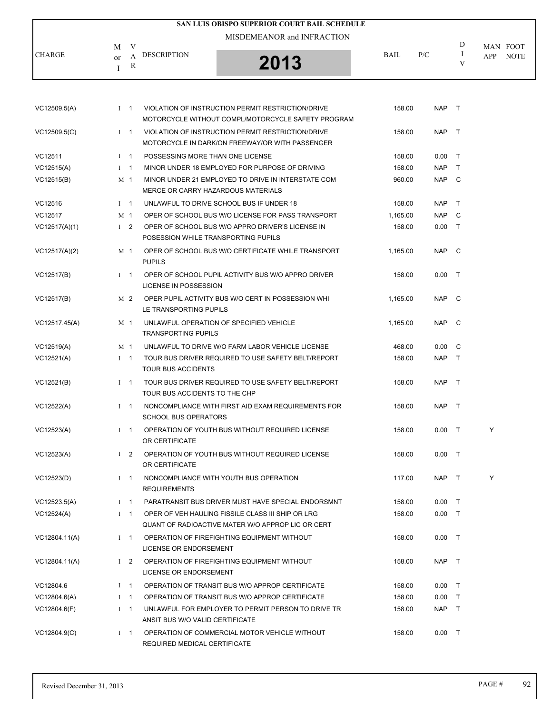|               |                                             | SAN LUIS OBISPO SUPERIOR COURT BAIL SCHEDULE |             |     |   |                                |
|---------------|---------------------------------------------|----------------------------------------------|-------------|-----|---|--------------------------------|
|               |                                             | MISDEMEANOR and INFRACTION                   |             |     |   |                                |
| <b>CHARGE</b> | V<br>M<br>DESCRIPTION<br><sub>or</sub><br>R | 2013                                         | <b>BAIL</b> | P/C | D | MAN FOOT<br><b>NOTE</b><br>APP |

| VC12509.5(A)  |             | $1 \quad 1$    | VIOLATION OF INSTRUCTION PERMIT RESTRICTION/DRIVE<br>MOTORCYCLE WITHOUT COMPL/MOTORCYCLE SAFETY PROGRAM | 158.00   | NAP T      |              |   |
|---------------|-------------|----------------|---------------------------------------------------------------------------------------------------------|----------|------------|--------------|---|
|               |             |                |                                                                                                         |          |            |              |   |
| VC12509.5(C)  |             | $1 \quad 1$    | VIOLATION OF INSTRUCTION PERMIT RESTRICTION/DRIVE<br>MOTORCYCLE IN DARK/ON FREEWAY/OR WITH PASSENGER    | 158.00   | <b>NAP</b> | $\top$       |   |
| VC12511       |             | $1 \quad 1$    | POSSESSING MORE THAN ONE LICENSE                                                                        | 158.00   | 0.00       | $\top$       |   |
| VC12515(A)    | $1 \quad 1$ |                | MINOR UNDER 18 EMPLOYED FOR PURPOSE OF DRIVING                                                          | 158.00   | NAP        | $\top$       |   |
| VC12515(B)    |             | M 1            | MINOR UNDER 21 EMPLOYED TO DRIVE IN INTERSTATE COM                                                      | 960.00   | NAP C      |              |   |
|               |             |                | MERCE OR CARRY HAZARDOUS MATERIALS                                                                      |          |            |              |   |
| VC12516       |             | $1 \quad 1$    | UNLAWFUL TO DRIVE SCHOOL BUS IF UNDER 18                                                                | 158.00   | NAP T      |              |   |
| VC12517       |             | M 1            | OPER OF SCHOOL BUS W/O LICENSE FOR PASS TRANSPORT                                                       | 1,165.00 | NAP C      |              |   |
| VC12517(A)(1) |             | $1\quad 2$     | OPER OF SCHOOL BUS W/O APPRO DRIVER'S LICENSE IN<br>POSESSION WHILE TRANSPORTING PUPILS                 | 158.00   | $0.00$ T   |              |   |
| VC12517(A)(2) |             | M 1            | OPER OF SCHOOL BUS W/O CERTIFICATE WHILE TRANSPORT<br><b>PUPILS</b>                                     | 1,165.00 | NAP C      |              |   |
| VC12517(B)    |             | $1 \quad 1$    | OPER OF SCHOOL PUPIL ACTIVITY BUS W/O APPRO DRIVER<br>LICENSE IN POSSESSION                             | 158.00   | 0.00       | $\top$       |   |
| VC12517(B)    |             | M 2            | OPER PUPIL ACTIVITY BUS W/O CERT IN POSSESSION WHI<br>LE TRANSPORTING PUPILS                            | 1,165.00 | <b>NAP</b> | $\mathbb C$  |   |
| VC12517.45(A) |             | M 1            | UNLAWFUL OPERATION OF SPECIFIED VEHICLE<br><b>TRANSPORTING PUPILS</b>                                   | 1,165.00 | NAP C      |              |   |
| VC12519(A)    |             | M <sub>1</sub> | UNLAWFUL TO DRIVE W/O FARM LABOR VEHICLE LICENSE                                                        | 468.00   | 0.00       | $\mathbf{C}$ |   |
| VC12521(A)    |             | $1 \quad 1$    | TOUR BUS DRIVER REQUIRED TO USE SAFETY BELT/REPORT<br><b>TOUR BUS ACCIDENTS</b>                         | 158.00   | NAP T      |              |   |
| VC12521(B)    |             | $1 \quad 1$    | TOUR BUS DRIVER REQUIRED TO USE SAFETY BELT/REPORT<br>TOUR BUS ACCIDENTS TO THE CHP                     | 158.00   | NAP T      |              |   |
| VC12522(A)    |             | $1 \quad 1$    | NONCOMPLIANCE WITH FIRST AID EXAM REQUIREMENTS FOR<br><b>SCHOOL BUS OPERATORS</b>                       | 158.00   | NAP        | $\top$       |   |
| VC12523(A)    |             | $1 \quad 1$    | OPERATION OF YOUTH BUS WITHOUT REQUIRED LICENSE<br>OR CERTIFICATE                                       | 158.00   | $0.00$ T   |              | Y |
| VC12523(A)    |             | $1\quad 2$     | OPERATION OF YOUTH BUS WITHOUT REQUIRED LICENSE<br>OR CERTIFICATE                                       | 158.00   | 0.00       | $\top$       |   |
| VC12523(D)    |             | $1 \quad 1$    | NONCOMPLIANCE WITH YOUTH BUS OPERATION<br><b>REQUIREMENTS</b>                                           | 117.00   | NAP T      |              | Y |
| VC12523.5(A)  |             | $1 \quad 1$    | PARATRANSIT BUS DRIVER MUST HAVE SPECIAL ENDORSMNT                                                      | 158.00   | $0.00$ T   |              |   |
| VC12524(A)    |             | $I \quad 1$    | OPER OF VEH HAULING FISSILE CLASS III SHIP OR LRG<br>QUANT OF RADIOACTIVE MATER W/O APPROP LIC OR CERT  | 158.00   | $0.00$ T   |              |   |
| VC12804.11(A) |             | $1 \quad 1$    | OPERATION OF FIREFIGHTING EQUIPMENT WITHOUT<br><b>LICENSE OR ENDORSEMENT</b>                            | 158.00   | $0.00$ T   |              |   |
| VC12804.11(A) |             | $1\quad 2$     | OPERATION OF FIREFIGHTING EQUIPMENT WITHOUT<br>LICENSE OR ENDORSEMENT                                   | 158.00   | NAP T      |              |   |
| VC12804.6     |             | $I \quad 1$    | OPERATION OF TRANSIT BUS W/O APPROP CERTIFICATE                                                         | 158.00   | 0.00       | $\top$       |   |
| VC12804.6(A)  |             | $1 \quad 1$    | OPERATION OF TRANSIT BUS W/O APPROP CERTIFICATE                                                         | 158.00   | $0.00$ T   |              |   |
| VC12804.6(F)  |             | $I \quad 1$    | UNLAWFUL FOR EMPLOYER TO PERMIT PERSON TO DRIVE TR<br>ANSIT BUS W/O VALID CERTIFICATE                   | 158.00   | NAP T      |              |   |
| VC12804.9(C)  |             | $I \quad 1$    | OPERATION OF COMMERCIAL MOTOR VEHICLE WITHOUT<br>REQUIRED MEDICAL CERTIFICATE                           | 158.00   | $0.00$ T   |              |   |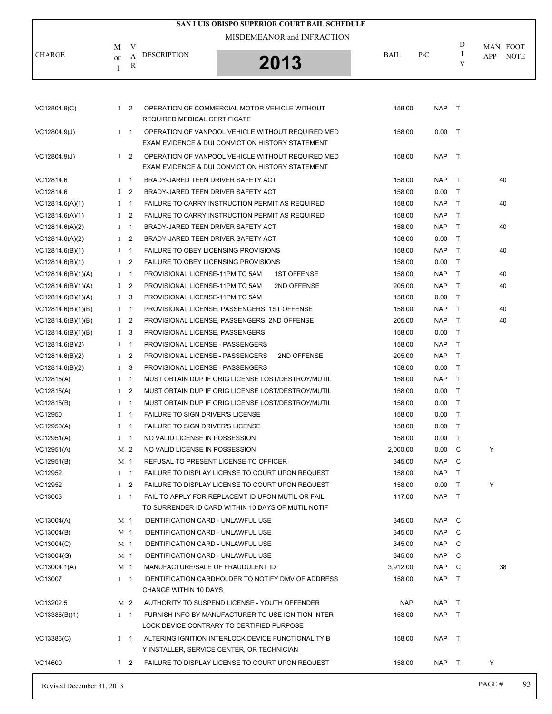|                           |              |                          |                                             | SAN LUIS OBISPO SUPERIOR COURT BAIL SCHEDULE                                                                     |            |            |        |                                |
|---------------------------|--------------|--------------------------|---------------------------------------------|------------------------------------------------------------------------------------------------------------------|------------|------------|--------|--------------------------------|
|                           |              |                          |                                             | MISDEMEANOR and INFRACTION                                                                                       |            |            | D      |                                |
| <b>CHARGE</b>             | M            | V<br>A                   | <b>DESCRIPTION</b>                          |                                                                                                                  | BAIL       | P/C        | I      | MAN FOOT<br><b>NOTE</b><br>APP |
|                           | or<br>I      | R                        |                                             | 2013                                                                                                             |            |            | V      |                                |
|                           |              |                          |                                             |                                                                                                                  |            |            |        |                                |
| VC12804.9(C)              |              | $1\quad 2$               | REQUIRED MEDICAL CERTIFICATE                | OPERATION OF COMMERCIAL MOTOR VEHICLE WITHOUT                                                                    | 158.00     | <b>NAP</b> | $\top$ |                                |
| VC12804.9(J)              |              | $I \quad 1$              |                                             | OPERATION OF VANPOOL VEHICLE WITHOUT REQUIRED MED<br><b>EXAM EVIDENCE &amp; DUI CONVICTION HISTORY STATEMENT</b> | 158.00     | 0.00       | $\top$ |                                |
| VC12804.9(J)              |              | $1\quad 2$               |                                             | OPERATION OF VANPOOL VEHICLE WITHOUT REQUIRED MED<br>EXAM EVIDENCE & DUI CONVICTION HISTORY STATEMENT            | 158.00     | <b>NAP</b> | $\top$ |                                |
| VC12814.6                 |              | $1 \quad 1$              | BRADY-JARED TEEN DRIVER SAFETY ACT          |                                                                                                                  | 158.00     | <b>NAP</b> | $\top$ | 40                             |
| VC12814.6                 |              | $1\quad 2$               | BRADY-JARED TEEN DRIVER SAFETY ACT          |                                                                                                                  | 158.00     | 0.00       | $\top$ |                                |
| VC12814.6(A)(1)           |              | $I \quad 1$              |                                             | FAILURE TO CARRY INSTRUCTION PERMIT AS REQUIRED                                                                  | 158.00     | <b>NAP</b> | $\top$ | 40                             |
| VC12814.6(A)(1)           |              | I <sub>2</sub>           |                                             | FAILURE TO CARRY INSTRUCTION PERMIT AS REQUIRED                                                                  | 158.00     | <b>NAP</b> | $\top$ |                                |
| VC12814.6(A)(2)           |              | $1 \quad 1$              | BRADY-JARED TEEN DRIVER SAFETY ACT          |                                                                                                                  | 158.00     | <b>NAP</b> | $\top$ | 40                             |
| VC12814.6(A)(2)           |              | $1 \quad 2$              | BRADY-JARED TEEN DRIVER SAFETY ACT          |                                                                                                                  | 158.00     | 0.00       | $\top$ |                                |
| VC12814.6(B)(1)           |              | $I \quad 1$              | <b>FAILURE TO OBEY LICENSING PROVISIONS</b> |                                                                                                                  | 158.00     | <b>NAP</b> | $\top$ | 40                             |
| VC12814.6(B)(1)           |              | $1\quad 2$               | FAILURE TO OBEY LICENSING PROVISIONS        |                                                                                                                  | 158.00     | 0.00       | $\top$ |                                |
| VC12814.6(B)(1)(A)        |              | $I \quad 1$              | PROVISIONAL LICENSE-11PM TO 5AM             | <b>1ST OFFENSE</b>                                                                                               | 158.00     | <b>NAP</b> | $\top$ | 40                             |
| VC12814.6(B)(1)(A)        |              | $1\quad 2$               | PROVISIONAL LICENSE-11PM TO 5AM             | 2ND OFFENSE                                                                                                      | 205.00     | <b>NAP</b> | $\top$ | 40                             |
| VC12814.6(B)(1)(A)        |              | 1 <sup>3</sup>           | PROVISIONAL LICENSE-11PM TO 5AM             |                                                                                                                  | 158.00     | 0.00       | $\top$ |                                |
| VC12814.6(B)(1)(B)        |              | $I \quad 1$              |                                             | PROVISIONAL LICENSE, PASSENGERS 1ST OFFENSE                                                                      | 158.00     | <b>NAP</b> | $\top$ | 40                             |
| VC12814.6(B)(1)(B)        |              | $1\quad 2$               |                                             | PROVISIONAL LICENSE, PASSENGERS 2ND OFFENSE                                                                      | 205.00     | <b>NAP</b> | $\top$ | 40                             |
| VC12814.6(B)(1)(B)        |              | 1 <sup>3</sup>           | PROVISIONAL LICENSE, PASSENGERS             |                                                                                                                  | 158.00     | 0.00       | $\top$ |                                |
| VC12814.6(B)(2)           |              | $I \quad 1$              | PROVISIONAL LICENSE - PASSENGERS            |                                                                                                                  | 158.00     | <b>NAP</b> | $\top$ |                                |
| VC12814.6(B)(2)           |              | $1 \quad 2$              | PROVISIONAL LICENSE - PASSENGERS            | 2ND OFFENSE                                                                                                      | 205.00     | <b>NAP</b> | $\top$ |                                |
| VC12814.6(B)(2)           |              | $1 \quad 3$              | PROVISIONAL LICENSE - PASSENGERS            |                                                                                                                  | 158.00     | 0.00       | $\top$ |                                |
| VC12815(A)                |              | $I \quad 1$              |                                             | MUST OBTAIN DUP IF ORIG LICENSE LOST/DESTROY/MUTIL                                                               | 158.00     | <b>NAP</b> | $\top$ |                                |
| VC12815(A)                |              | $1\quad 2$               |                                             | MUST OBTAIN DUP IF ORIG LICENSE LOST/DESTROY/MUTIL                                                               | 158.00     | 0.00       | $\top$ |                                |
| VC12815(B)                |              | $1 \quad 1$              |                                             | MUST OBTAIN DUP IF ORIG LICENSE LOST/DESTROY/MUTIL                                                               | 158.00     | 0.00       | $\top$ |                                |
| VC12950                   |              | $I \quad 1$              | <b>FAILURE TO SIGN DRIVER'S LICENSE</b>     |                                                                                                                  | 158.00     | 0.00       | $\top$ |                                |
| VC12950(A)                | $\mathbf{I}$ | $\overline{\phantom{0}}$ | FAILURE TO SIGN DRIVER'S LICENSE            |                                                                                                                  | 158.00     | 0.00       | $\top$ |                                |
| VC12951(A)                |              | $1 \quad 1$              | NO VALID LICENSE IN POSSESSION              |                                                                                                                  | 158.00     | 0.00       | $\top$ |                                |
| VC12951(A)                |              | M 2                      | NO VALID LICENSE IN POSSESSION              |                                                                                                                  | 2,000.00   | 0.00       | C      | Y                              |
| VC12951(B)                |              | M 1                      |                                             | REFUSAL TO PRESENT LICENSE TO OFFICER                                                                            | 345.00     | <b>NAP</b> | C      |                                |
| VC12952                   |              | $1 \quad 1$              |                                             | FAILURE TO DISPLAY LICENSE TO COURT UPON REQUEST                                                                 | 158.00     | <b>NAP</b> | $\top$ |                                |
| VC12952                   |              | $1\quad 2$               |                                             | FAILURE TO DISPLAY LICENSE TO COURT UPON REQUEST                                                                 | 158.00     | 0.00       | $\top$ | Y                              |
| VC13003                   |              | $I \quad 1$              |                                             | FAIL TO APPLY FOR REPLACEMT ID UPON MUTIL OR FAIL<br>TO SURRENDER ID CARD WITHIN 10 DAYS OF MUTIL NOTIF          | 117.00     | <b>NAP</b> | $\top$ |                                |
| VC13004(A)                |              | M 1                      | IDENTIFICATION CARD - UNLAWFUL USE          |                                                                                                                  | 345.00     | <b>NAP</b> | C      |                                |
| VC13004(B)                |              | M <sub>1</sub>           | <b>IDENTIFICATION CARD - UNLAWFUL USE</b>   |                                                                                                                  | 345.00     | <b>NAP</b> | C      |                                |
| VC13004(C)                |              | M <sub>1</sub>           | <b>IDENTIFICATION CARD - UNLAWFUL USE</b>   |                                                                                                                  | 345.00     | NAP        | C      |                                |
| VC13004(G)                |              | M 1                      | IDENTIFICATION CARD - UNLAWFUL USE          |                                                                                                                  | 345.00     | <b>NAP</b> | C      |                                |
| VC13004.1(A)              |              | M 1                      | MANUFACTURE/SALE OF FRAUDULENT ID           |                                                                                                                  | 3,912.00   | <b>NAP</b> | C      | 38                             |
| VC13007                   |              | $I \quad 1$              | CHANGE WITHIN 10 DAYS                       | <b>IDENTIFICATION CARDHOLDER TO NOTIFY DMV OF ADDRESS</b>                                                        | 158.00     | <b>NAP</b> | $\top$ |                                |
| VC13202.5                 |              | M 2                      |                                             | AUTHORITY TO SUSPEND LICENSE - YOUTH OFFENDER                                                                    | <b>NAP</b> | <b>NAP</b> | $\top$ |                                |
| VC13386(B)(1)             |              | $I \quad 1$              |                                             | FURNISH INFO BY MANUFACTURER TO USE IGNITION INTER<br>LOCK DEVICE CONTRARY TO CERTIFIED PURPOSE                  | 158.00     | <b>NAP</b> | $\top$ |                                |
| VC13386(C)                |              | $1 \quad 1$              |                                             | ALTERING IGNITION INTERLOCK DEVICE FUNCTIONALITY B<br>Y INSTALLER, SERVICE CENTER, OR TECHNICIAN                 | 158.00     | NAP T      |        |                                |
| VC14600                   |              | $1\quad 2$               |                                             | FAILURE TO DISPLAY LICENSE TO COURT UPON REQUEST                                                                 | 158.00     | NAP T      |        | Y                              |
| Revised December 31, 2013 |              |                          |                                             |                                                                                                                  |            |            |        | PAGE#<br>93                    |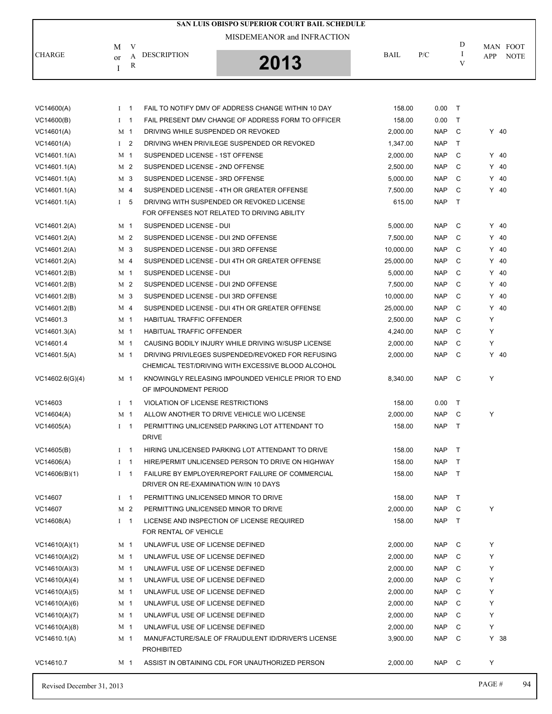|                 |                |     |                                       | SAN LUIS OBISPO SUPERIOR COURT BAIL SCHEDULE                                                            |             |            |              |            |             |
|-----------------|----------------|-----|---------------------------------------|---------------------------------------------------------------------------------------------------------|-------------|------------|--------------|------------|-------------|
|                 |                |     |                                       | MISDEMEANOR and INFRACTION                                                                              |             |            |              |            |             |
|                 | M              | V   |                                       |                                                                                                         |             |            | D            |            | MAN FOOT    |
| <b>CHARGE</b>   | or             | A   | <b>DESCRIPTION</b>                    | 2013                                                                                                    | <b>BAIL</b> | P/C        | I<br>V       | <b>APP</b> | <b>NOTE</b> |
|                 | I              | R   |                                       |                                                                                                         |             |            |              |            |             |
|                 |                |     |                                       |                                                                                                         |             |            |              |            |             |
|                 |                |     |                                       |                                                                                                         |             |            |              |            |             |
| VC14600(A)      | $\mathbf{I}$   | - 1 |                                       | FAIL TO NOTIFY DMV OF ADDRESS CHANGE WITHIN 10 DAY                                                      | 158.00      | 0.00       | $\top$       |            |             |
| VC14600(B)      | $I \quad 1$    |     |                                       | FAIL PRESENT DMV CHANGE OF ADDRESS FORM TO OFFICER                                                      | 158.00      | 0.00       | $\top$       |            |             |
| VC14601(A)      | M 1            |     | DRIVING WHILE SUSPENDED OR REVOKED    |                                                                                                         | 2,000.00    | <b>NAP</b> | C            |            | $Y$ 40      |
| VC14601(A)      | $1\quad 2$     |     |                                       | DRIVING WHEN PRIVILEGE SUSPENDED OR REVOKED                                                             | 1,347.00    | <b>NAP</b> | $\mathsf{T}$ |            |             |
| VC14601.1(A)    | M 1            |     | SUSPENDED LICENSE - 1ST OFFENSE       |                                                                                                         | 2,000.00    | <b>NAP</b> | C            |            | $Y$ 40      |
| VC14601.1(A)    | M <sub>2</sub> |     | SUSPENDED LICENSE - 2ND OFFENSE       |                                                                                                         | 2,500.00    | <b>NAP</b> | C            |            | $Y$ 40      |
| VC14601.1(A)    | M 3            |     | SUSPENDED LICENSE - 3RD OFFENSE       |                                                                                                         | 5,000.00    | <b>NAP</b> | C            |            | $Y$ 40      |
| VC14601.1(A)    | M 4            |     |                                       | SUSPENDED LICENSE - 4TH OR GREATER OFFENSE                                                              | 7,500.00    | <b>NAP</b> | C            |            | $Y$ 40      |
| VC14601.1(A)    | I <sub>5</sub> |     |                                       | DRIVING WITH SUSPENDED OR REVOKED LICENSE                                                               | 615.00      | <b>NAP</b> | $\mathsf{T}$ |            |             |
|                 |                |     |                                       | FOR OFFENSES NOT RELATED TO DRIVING ABILITY                                                             |             |            |              |            |             |
| VC14601.2(A)    | M 1            |     | SUSPENDED LICENSE - DUI               |                                                                                                         | 5,000.00    | <b>NAP</b> | C            |            | $Y$ 40      |
| VC14601.2(A)    | M 2            |     | SUSPENDED LICENSE - DUI 2ND OFFENSE   |                                                                                                         | 7,500.00    | <b>NAP</b> | C            |            | $Y$ 40      |
| VC14601.2(A)    | M 3            |     | SUSPENDED LICENSE - DUI 3RD OFFENSE   |                                                                                                         | 10,000.00   | <b>NAP</b> | C            |            | $Y$ 40      |
| VC14601.2(A)    | M 4            |     |                                       | SUSPENDED LICENSE - DUI 4TH OR GREATER OFFENSE                                                          | 25,000.00   | <b>NAP</b> | C            |            | $Y$ 40      |
| VC14601.2(B)    | M 1            |     | SUSPENDED LICENSE - DUI               |                                                                                                         | 5,000.00    | <b>NAP</b> | C            |            | $Y$ 40      |
| VC14601.2(B)    | M 2            |     | SUSPENDED LICENSE - DUI 2ND OFFENSE   |                                                                                                         | 7,500.00    | <b>NAP</b> | C            |            | $Y$ 40      |
| VC14601.2(B)    | M 3            |     | SUSPENDED LICENSE - DUI 3RD OFFENSE   |                                                                                                         | 10,000.00   | <b>NAP</b> | C            |            | $Y$ 40      |
| VC14601.2(B)    | M <sub>4</sub> |     |                                       | SUSPENDED LICENSE - DUI 4TH OR GREATER OFFENSE                                                          | 25,000.00   | <b>NAP</b> | C            |            | $Y$ 40      |
| VC14601.3       | M 1            |     | HABITUAL TRAFFIC OFFENDER             |                                                                                                         | 2,500.00    | <b>NAP</b> | C            | Y          |             |
| VC14601.3(A)    | M 1            |     | <b>HABITUAL TRAFFIC OFFENDER</b>      |                                                                                                         | 4,240.00    | <b>NAP</b> | C            | Y          |             |
| VC14601.4       | M 1            |     |                                       | CAUSING BODILY INJURY WHILE DRIVING W/SUSP LICENSE                                                      | 2,000.00    | <b>NAP</b> | C            | Y          |             |
| VC14601.5(A)    | M 1            |     |                                       | DRIVING PRIVILEGES SUSPENDED/REVOKED FOR REFUSING<br>CHEMICAL TEST/DRIVING WITH EXCESSIVE BLOOD ALCOHOL | 2,000.00    | <b>NAP</b> | C            |            | $Y$ 40      |
| VC14602.6(G)(4) | M 1            |     |                                       | KNOWINGLY RELEASING IMPOUNDED VEHICLE PRIOR TO END                                                      | 8,340.00    | <b>NAP</b> | C            | Y          |             |
|                 |                |     | OF IMPOUNDMENT PERIOD                 |                                                                                                         |             |            |              |            |             |
| VC14603         | $1 \quad 1$    |     | VIOLATION OF LICENSE RESTRICTIONS     |                                                                                                         | 158.00      | 0.00       | $\mathsf{T}$ |            |             |
| VC14604(A)      | M 1            |     |                                       | ALLOW ANOTHER TO DRIVE VEHICLE W/O LICENSE                                                              | 2,000.00    | <b>NAP</b> | C            | Υ          |             |
| VC14605(A)      | $I \quad 1$    |     |                                       | PERMITTING UNLICENSED PARKING LOT ATTENDANT TO                                                          | 158.00      | NAP T      |              |            |             |
|                 |                |     | <b>DRIVE</b>                          |                                                                                                         |             |            |              |            |             |
| VC14605(B)      | $I \quad 1$    |     |                                       | HIRING UNLICENSED PARKING LOT ATTENDANT TO DRIVE                                                        | 158.00      | <b>NAP</b> | $\top$       |            |             |
| VC14606(A)      | $1 \quad 1$    |     |                                       | HIRE/PERMIT UNLICENSED PERSON TO DRIVE ON HIGHWAY                                                       | 158.00      | <b>NAP</b> | $\top$       |            |             |
| VC14606(B)(1)   | $1 \quad 1$    |     |                                       | FAILURE BY EMPLOYER/REPORT FAILURE OF COMMERCIAL                                                        | 158.00      | <b>NAP</b> | $\top$       |            |             |
|                 |                |     | DRIVER ON RE-EXAMINATION W/IN 10 DAYS |                                                                                                         |             |            |              |            |             |
| VC14607         | $I \quad 1$    |     | PERMITTING UNLICENSED MINOR TO DRIVE  |                                                                                                         | 158.00      | <b>NAP</b> | $\top$       |            |             |
| VC14607         | M 2            |     | PERMITTING UNLICENSED MINOR TO DRIVE  |                                                                                                         | 2,000.00    | <b>NAP</b> | C            | Υ          |             |
| VC14608(A)      | $1 \quad 1$    |     | FOR RENTAL OF VEHICLE                 | LICENSE AND INSPECTION OF LICENSE REQUIRED                                                              | 158.00      | <b>NAP</b> | $\top$       |            |             |
| VC14610(A)(1)   | M 1            |     | UNLAWFUL USE OF LICENSE DEFINED       |                                                                                                         | 2,000.00    | <b>NAP</b> | C            | Υ          |             |
| VC14610(A)(2)   | M 1            |     | UNLAWFUL USE OF LICENSE DEFINED       |                                                                                                         | 2,000.00    | <b>NAP</b> | C            | Υ          |             |
| VC14610(A)(3)   | M 1            |     | UNLAWFUL USE OF LICENSE DEFINED       |                                                                                                         | 2,000.00    | <b>NAP</b> | C            | Υ          |             |
| VC14610(A)(4)   | M 1            |     | UNLAWFUL USE OF LICENSE DEFINED       |                                                                                                         | 2,000.00    | <b>NAP</b> | C            | Υ          |             |
| VC14610(A)(5)   | M 1            |     | UNLAWFUL USE OF LICENSE DEFINED       |                                                                                                         | 2,000.00    | <b>NAP</b> | C            | Υ          |             |
| VC14610(A)(6)   | M 1            |     | UNLAWFUL USE OF LICENSE DEFINED       |                                                                                                         | 2,000.00    | <b>NAP</b> | C            | Υ          |             |
| VC14610(A)(7)   | M 1            |     | UNLAWFUL USE OF LICENSE DEFINED       |                                                                                                         | 2,000.00    | <b>NAP</b> | C            | Υ          |             |
| VC14610(A)(8)   | M 1            |     | UNLAWFUL USE OF LICENSE DEFINED       |                                                                                                         | 2,000.00    | <b>NAP</b> | C            | Υ          |             |
| VC14610.1(A)    | M 1            |     | <b>PROHIBITED</b>                     | MANUFACTURE/SALE OF FRAUDULENT ID/DRIVER'S LICENSE                                                      | 3,900.00    | <b>NAP</b> | C            |            | Y 38        |
| VC14610.7       | M 1            |     |                                       | ASSIST IN OBTAINING CDL FOR UNAUTHORIZED PERSON                                                         | 2,000.00    | NAP C      |              | Υ          |             |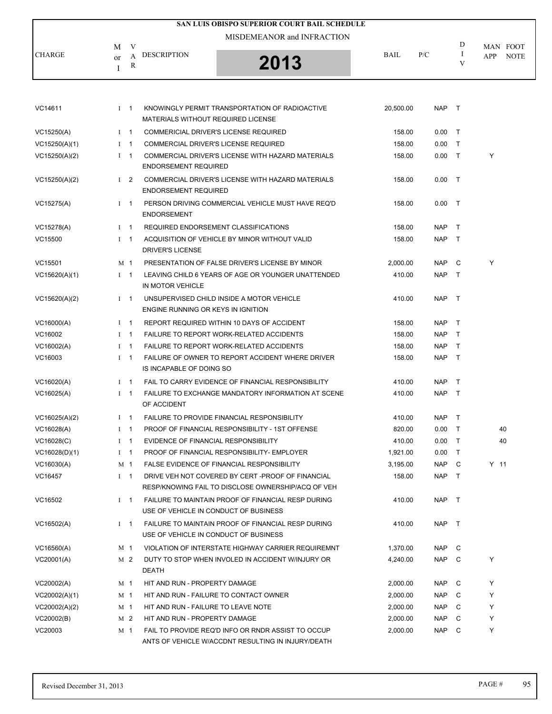|               |         |             |                                           | SAN LUIS OBISPO SUPERIOR COURT BAIL SCHEDULE                                                           |           |            |        |                 |
|---------------|---------|-------------|-------------------------------------------|--------------------------------------------------------------------------------------------------------|-----------|------------|--------|-----------------|
|               |         |             |                                           | MISDEMEANOR and INFRACTION                                                                             |           |            |        |                 |
| <b>CHARGE</b> | M       | V           | <b>DESCRIPTION</b>                        |                                                                                                        | BAIL      | P/C        | D<br>Ι | MAN FOOT<br>APP |
|               | or<br>I | A<br>R      |                                           | 2013                                                                                                   |           |            | V      | <b>NOTE</b>     |
|               |         |             |                                           |                                                                                                        |           |            |        |                 |
|               |         |             |                                           |                                                                                                        |           |            |        |                 |
| VC14611       |         | $I \quad 1$ | <b>MATERIALS WITHOUT REQUIRED LICENSE</b> | KNOWINGLY PERMIT TRANSPORTATION OF RADIOACTIVE                                                         | 20,500.00 | NAP T      |        |                 |
| VC15250(A)    |         | $I \quad 1$ |                                           | COMMERICIAL DRIVER'S LICENSE REQUIRED                                                                  | 158.00    | 0.00       | $\top$ |                 |
| VC15250(A)(1) |         | $I \quad 1$ |                                           | <b>COMMERCIAL DRIVER'S LICENSE REQUIRED</b>                                                            | 158.00    | 0.00       | $\top$ |                 |
| VC15250(A)(2) |         | $I \quad 1$ | <b>ENDORSEMENT REQUIRED</b>               | COMMERCIAL DRIVER'S LICENSE WITH HAZARD MATERIALS                                                      | 158.00    | 0.00       | $\top$ | Y               |
| VC15250(A)(2) |         | $1\quad 2$  | <b>ENDORSEMENT REQUIRED</b>               | COMMERCIAL DRIVER'S LICENSE WITH HAZARD MATERIALS                                                      | 158.00    | $0.00$ T   |        |                 |
| VC15275(A)    |         | $1 \quad 1$ | <b>ENDORSEMENT</b>                        | PERSON DRIVING COMMERCIAL VEHICLE MUST HAVE REQ'D                                                      | 158.00    | $0.00$ T   |        |                 |
| VC15278(A)    |         | $I \quad 1$ |                                           | REQUIRED ENDORSEMENT CLASSIFICATIONS                                                                   | 158.00    | NAP        | $\top$ |                 |
| VC15500       |         | $1 \quad 1$ |                                           | ACQUISITION OF VEHICLE BY MINOR WITHOUT VALID                                                          | 158.00    | NAP        | $\top$ |                 |
|               |         |             | <b>DRIVER'S LICENSE</b>                   |                                                                                                        |           |            |        |                 |
| VC15501       |         | M 1         |                                           | PRESENTATION OF FALSE DRIVER'S LICENSE BY MINOR                                                        | 2.000.00  | <b>NAP</b> | C      | Y               |
| VC15620(A)(1) |         | $1 \quad 1$ | IN MOTOR VEHICLE                          | LEAVING CHILD 6 YEARS OF AGE OR YOUNGER UNATTENDED                                                     | 410.00    | NAP        | $\top$ |                 |
| VC15620(A)(2) |         | $1 \quad 1$ | ENGINE RUNNING OR KEYS IN IGNITION        | UNSUPERVISED CHILD INSIDE A MOTOR VEHICLE                                                              | 410.00    | NAP T      |        |                 |
| VC16000(A)    |         | $1 \quad 1$ |                                           | REPORT REQUIRED WITHIN 10 DAYS OF ACCIDENT                                                             | 158.00    | NAP        | $\top$ |                 |
| VC16002       |         | $1 \quad 1$ |                                           | <b>FAILURE TO REPORT WORK-RELATED ACCIDENTS</b>                                                        | 158.00    | <b>NAP</b> | $\top$ |                 |
| VC16002(A)    |         | $I \quad 1$ |                                           | <b>FAILURE TO REPORT WORK-RELATED ACCIDENTS</b>                                                        | 158.00    | <b>NAP</b> | $\top$ |                 |
| VC16003       |         | $1 \quad 1$ | IS INCAPABLE OF DOING SO                  | FAILURE OF OWNER TO REPORT ACCIDENT WHERE DRIVER                                                       | 158.00    | NAP        | $\top$ |                 |
| VC16020(A)    |         | $1 \quad 1$ |                                           | FAIL TO CARRY EVIDENCE OF FINANCIAL RESPONSIBILITY                                                     | 410.00    | NAP        | $\top$ |                 |
| VC16025(A)    |         | $1 \quad 1$ | OF ACCIDENT                               | FAILURE TO EXCHANGE MANDATORY INFORMATION AT SCENE                                                     | 410.00    | NAP        | $\top$ |                 |
| VC16025(A)(2) |         | $1 \quad 1$ |                                           | <b>FAILURE TO PROVIDE FINANCIAL RESPONSIBILITY</b>                                                     | 410.00    | NAP T      |        |                 |
| VC16028(A)    |         | $I \quad 1$ |                                           | PROOF OF FINANCIAL RESPONSIBILITY - 1ST OFFENSE                                                        | 820.00    | $0.00\,$   | $\top$ | 40              |
| VC16028(C)    |         | $I \quad 1$ | EVIDENCE OF FINANCIAL RESPONSIBILITY      |                                                                                                        | 410.00    | 0.00       | $\top$ | 40              |
| VC16028(D)(1) |         | $I \quad 1$ |                                           | PROOF OF FINANCIAL RESPONSIBILITY- EMPLOYER                                                            | 1,921.00  | 0.00       | $\top$ |                 |
| VC16030(A)    |         | M 1         |                                           | FALSE EVIDENCE OF FINANCIAL RESPONSIBILITY                                                             | 3,195.00  | NAP        | C      | $Y$ 11          |
| VC16457       |         | $1 \quad 1$ |                                           | DRIVE VEH NOT COVERED BY CERT-PROOF OF FINANCIAL<br>RESP/KNOWING FAIL TO DISCLOSE OWNERSHIP/ACQ OF VEH | 158.00    | <b>NAP</b> | $\top$ |                 |
| VC16502       |         | $1 \quad 1$ | USE OF VEHICLE IN CONDUCT OF BUSINESS     | FAILURE TO MAINTAIN PROOF OF FINANCIAL RESP DURING                                                     | 410.00    | NAP T      |        |                 |
| VC16502(A)    |         | $I \quad 1$ | USE OF VEHICLE IN CONDUCT OF BUSINESS     | FAILURE TO MAINTAIN PROOF OF FINANCIAL RESP DURING                                                     | 410.00    | NAP T      |        |                 |
| VC16560(A)    |         | M 1         |                                           | VIOLATION OF INTERSTATE HIGHWAY CARRIER REQUIREMNT                                                     | 1,370.00  | NAP C      |        |                 |
| VC20001(A)    |         | M 2         | <b>DEATH</b>                              | DUTY TO STOP WHEN INVOLED IN ACCIDENT WINJURY OR                                                       | 4,240.00  | NAP C      |        | Υ               |
| VC20002(A)    |         | M 1         | HIT AND RUN - PROPERTY DAMAGE             |                                                                                                        | 2,000.00  | NAP        | C      | Υ               |
| VC20002(A)(1) |         | M 1         |                                           | HIT AND RUN - FAILURE TO CONTACT OWNER                                                                 | 2,000.00  | NAP        | C      | Υ               |
| VC20002(A)(2) |         | M 1         | HIT AND RUN - FAILURE TO LEAVE NOTE       |                                                                                                        | 2,000.00  | <b>NAP</b> | C      | Υ               |
| VC20002(B)    |         | M 2         | HIT AND RUN - PROPERTY DAMAGE             |                                                                                                        | 2,000.00  | <b>NAP</b> | C      | Υ               |
| VC20003       |         | M 1         |                                           | FAIL TO PROVIDE REQ'D INFO OR RNDR ASSIST TO OCCUP                                                     | 2,000.00  | NAP        | C      | Υ               |
|               |         |             |                                           | ANTS OF VEHICLE W/ACCDNT RESULTING IN INJURY/DEATH                                                     |           |            |        |                 |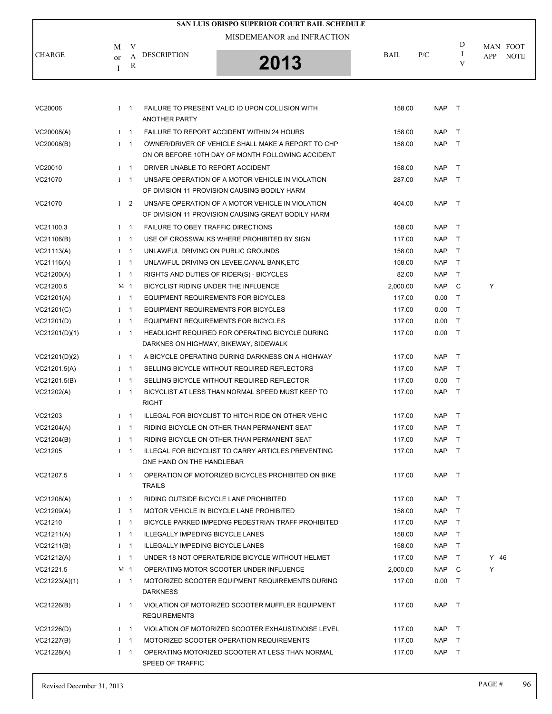|               |    |             |                                          | SAN LUIS OBISPO SUPERIOR COURT BAIL SCHEDULE                                                            |             |            |        |                    |
|---------------|----|-------------|------------------------------------------|---------------------------------------------------------------------------------------------------------|-------------|------------|--------|--------------------|
|               |    |             |                                          | MISDEMEANOR and INFRACTION                                                                              |             |            |        |                    |
|               | М  | V           |                                          |                                                                                                         |             |            | D      | MAN FOOT           |
| <b>CHARGE</b> | or | A           | <b>DESCRIPTION</b>                       | 2013                                                                                                    | <b>BAIL</b> | P/C        | I<br>V | APP<br><b>NOTE</b> |
|               | T  | R           |                                          |                                                                                                         |             |            |        |                    |
|               |    |             |                                          |                                                                                                         |             |            |        |                    |
|               |    |             |                                          |                                                                                                         |             |            |        |                    |
| VC20006       |    | $1 \quad 1$ | <b>ANOTHER PARTY</b>                     | FAILURE TO PRESENT VALID ID UPON COLLISION WITH                                                         | 158.00      | NAP T      |        |                    |
| VC20008(A)    |    | $I \quad 1$ |                                          | FAILURE TO REPORT ACCIDENT WITHIN 24 HOURS                                                              | 158.00      | <b>NAP</b> | $\top$ |                    |
| VC20008(B)    |    | $I \quad 1$ |                                          | OWNER/DRIVER OF VEHICLE SHALL MAKE A REPORT TO CHP<br>ON OR BEFORE 10TH DAY OF MONTH FOLLOWING ACCIDENT | 158.00      | <b>NAP</b> | $\top$ |                    |
| VC20010       |    | $1 \quad 1$ | DRIVER UNABLE TO REPORT ACCIDENT         |                                                                                                         | 158.00      | NAP        | $\top$ |                    |
| VC21070       |    | $I \quad 1$ |                                          | UNSAFE OPERATION OF A MOTOR VEHICLE IN VIOLATION                                                        | 287.00      | <b>NAP</b> | $\top$ |                    |
|               |    |             |                                          | OF DIVISION 11 PROVISION CAUSING BODILY HARM                                                            |             |            |        |                    |
| VC21070       |    | $1\quad 2$  |                                          | UNSAFE OPERATION OF A MOTOR VEHICLE IN VIOLATION<br>OF DIVISION 11 PROVISION CAUSING GREAT BODILY HARM  | 404.00      | <b>NAP</b> | $\top$ |                    |
| VC21100.3     |    | $1 \quad 1$ | FAILURE TO OBEY TRAFFIC DIRECTIONS       |                                                                                                         | 158.00      | <b>NAP</b> | $\top$ |                    |
| VC21106(B)    |    | $1 \quad 1$ |                                          | USE OF CROSSWALKS WHERE PROHIBITED BY SIGN                                                              | 117.00      | <b>NAP</b> | $\top$ |                    |
| VC21113(A)    |    | $I \quad 1$ | UNLAWFUL DRIVING ON PUBLIC GROUNDS       |                                                                                                         | 158.00      | <b>NAP</b> | $\top$ |                    |
| VC21116(A)    |    | $I \quad 1$ |                                          | UNLAWFUL DRIVING ON LEVEE, CANAL BANK, ETC                                                              | 158.00      | <b>NAP</b> | $\top$ |                    |
| VC21200(A)    |    | $I \quad 1$ | RIGHTS AND DUTIES OF RIDER(S) - BICYCLES |                                                                                                         | 82.00       | <b>NAP</b> | Τ      |                    |
| VC21200.5     |    | M 1         | BICYCLIST RIDING UNDER THE INFLUENCE     |                                                                                                         | 2,000.00    | NAP.       | C      | Y                  |
| VC21201(A)    |    | $1 \quad 1$ | EQUIPMENT REQUIREMENTS FOR BICYCLES      |                                                                                                         | 117.00      | 0.00       | $\top$ |                    |
| VC21201(C)    |    | $1 \quad 1$ | EQUIPMENT REQUIREMENTS FOR BICYCLES      |                                                                                                         | 117.00      | 0.00       | $\top$ |                    |
| VC21201(D)    |    | $I \quad 1$ | EQUIPMENT REQUIREMENTS FOR BICYCLES      |                                                                                                         | 117.00      | 0.00       | $\top$ |                    |
| VC21201(D)(1) |    | $1 \quad 1$ |                                          | HEADLIGHT REQUIRED FOR OPERATING BICYCLE DURING                                                         | 117.00      | 0.00       | $\top$ |                    |
|               |    |             | DARKNES ON HIGHWAY, BIKEWAY, SIDEWALK    |                                                                                                         |             |            |        |                    |
| VC21201(D)(2) |    | $1 \quad 1$ |                                          | A BICYCLE OPERATING DURING DARKNESS ON A HIGHWAY                                                        | 117.00      | <b>NAP</b> | $\top$ |                    |
| VC21201.5(A)  |    | $I \quad 1$ |                                          | SELLING BICYCLE WITHOUT REQUIRED REFLECTORS                                                             | 117.00      | NAP        | $\top$ |                    |
| VC21201.5(B)  |    | $1 \quad 1$ |                                          | SELLING BICYCLE WITHOUT REQUIRED REFLECTOR                                                              | 117.00      | 0.00       | $\top$ |                    |
| VC21202(A)    |    | $1 \quad 1$ |                                          | BICYCLIST AT LESS THAN NORMAL SPEED MUST KEEP TO                                                        | 117.00      | <b>NAP</b> | $\top$ |                    |
|               |    |             | RIGHT                                    |                                                                                                         |             |            |        |                    |
| VC21203       |    | $1 \quad 1$ |                                          | ILLEGAL FOR BICYCLIST TO HITCH RIDE ON OTHER VEHIC                                                      | 117.00      | <b>NAP</b> | $\top$ |                    |
| VC21204(A)    |    | $I \quad 1$ |                                          | RIDING BICYCLE ON OTHER THAN PERMANENT SEAT                                                             | 117.00      | NAP T      |        |                    |
| VC21204(B)    |    | $I \quad 1$ |                                          | RIDING BICYCLE ON OTHER THAN PERMANENT SEAT                                                             | 117.00      | NAP T      |        |                    |
| VC21205       |    | $1 \quad 1$ |                                          | ILLEGAL FOR BICYCLIST TO CARRY ARTICLES PREVENTING                                                      | 117.00      | NAP T      |        |                    |
|               |    |             | ONE HAND ON THE HANDLEBAR                |                                                                                                         |             |            |        |                    |
| VC21207.5     |    | $I \quad 1$ | TRAILS                                   | OPERATION OF MOTORIZED BICYCLES PROHIBITED ON BIKE                                                      | 117.00      | NAP T      |        |                    |
| VC21208(A)    |    | $I \quad 1$ | RIDING OUTSIDE BICYCLE LANE PROHIBITED   |                                                                                                         | 117.00      | NAP T      |        |                    |
| VC21209(A)    |    | $I \quad 1$ |                                          | MOTOR VEHICLE IN BICYCLE LANE PROHIBITED                                                                | 158.00      | NAP T      |        |                    |
| VC21210       |    | $1 \quad 1$ |                                          | BICYCLE PARKED IMPEDNG PEDESTRIAN TRAFF PROHIBITED                                                      | 117.00      | NAP T      |        |                    |
| VC21211(A)    |    | $I \quad 1$ | <b>ILLEGALLY IMPEDING BICYCLE LANES</b>  |                                                                                                         | 158.00      | NAP        | $\top$ |                    |
| VC21211(B)    |    | $I \quad 1$ | ILLEGALLY IMPEDING BICYCLE LANES         |                                                                                                         | 158.00      | NAP T      |        |                    |
| VC21212(A)    |    | $I \quad 1$ |                                          | UNDER 18 NOT OPERATE/RIDE BICYCLE WITHOUT HELMET                                                        | 117.00      | NAP        | $\top$ | $Y$ 46             |
| VC21221.5     |    | M 1         |                                          | OPERATING MOTOR SCOOTER UNDER INFLUENCE                                                                 | 2,000.00    | NAP        | C      | Y                  |
| VC21223(A)(1) |    | $I \quad 1$ |                                          | MOTORIZED SCOOTER EQUIPMENT REQUIREMENTS DURING                                                         | 117.00      | $0.00$ T   |        |                    |
|               |    |             | <b>DARKNESS</b>                          |                                                                                                         |             |            |        |                    |
| VC21226(B)    |    | $1 \quad 1$ | <b>REQUIREMENTS</b>                      | VIOLATION OF MOTORIZED SCOOTER MUFFLER EQUIPMENT                                                        | 117.00      | NAP T      |        |                    |
| VC21226(D)    |    | $1 \quad 1$ |                                          | VIOLATION OF MOTORIZED SCOOTER EXHAUST/NOISE LEVEL                                                      | 117.00      | NAP T      |        |                    |
| VC21227(B)    |    | $I \quad 1$ |                                          | MOTORIZED SCOOTER OPERATION REQUIREMENTS                                                                | 117.00      | NAP T      |        |                    |
| VC21228(A)    |    | $I \quad 1$ |                                          | OPERATING MOTORIZED SCOOTER AT LESS THAN NORMAL                                                         | 117.00      | NAP T      |        |                    |
|               |    |             | SPEED OF TRAFFIC                         |                                                                                                         |             |            |        |                    |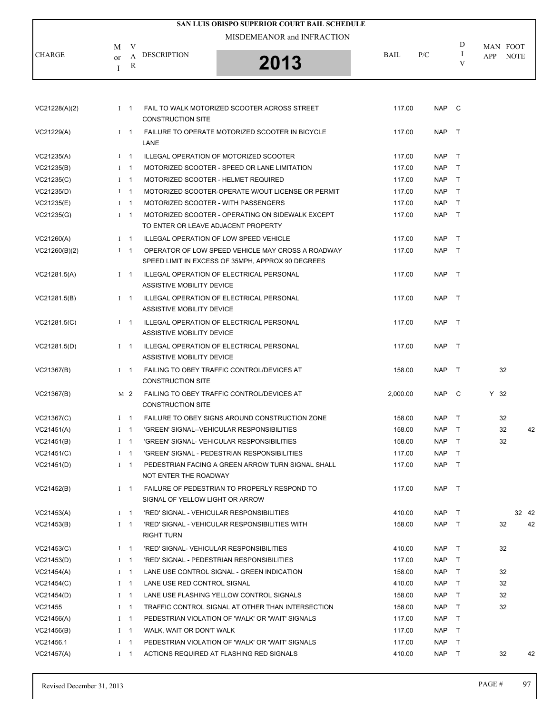|               |              |             | SAN LUIS OBISPO SUPERIOR COURT BAIL SCHEDULE                                                           |          |            |               |                 |             |    |
|---------------|--------------|-------------|--------------------------------------------------------------------------------------------------------|----------|------------|---------------|-----------------|-------------|----|
|               |              |             | MISDEMEANOR and INFRACTION                                                                             |          |            | D             |                 |             |    |
| <b>CHARGE</b> | M<br>or<br>T | V<br>A<br>R | <b>DESCRIPTION</b><br>2013                                                                             | BAIL     | P/C        | $\bf{I}$<br>V | MAN FOOT<br>APP | <b>NOTE</b> |    |
|               |              |             |                                                                                                        |          |            |               |                 |             |    |
| VC21228(A)(2) |              | $1 \quad 1$ | FAIL TO WALK MOTORIZED SCOOTER ACROSS STREET<br><b>CONSTRUCTION SITE</b>                               | 117.00   | <b>NAP</b> | $\mathbf{C}$  |                 |             |    |
| VC21229(A)    |              | $1 \quad 1$ | FAILURE TO OPERATE MOTORIZED SCOOTER IN BICYCLE<br>LANE                                                | 117.00   | <b>NAP</b> | $\top$        |                 |             |    |
| VC21235(A)    |              | $1 \quad 1$ | ILLEGAL OPERATION OF MOTORIZED SCOOTER                                                                 | 117.00   | <b>NAP</b> | $\top$        |                 |             |    |
| VC21235(B)    |              | $1 \quad 1$ | MOTORIZED SCOOTER - SPEED OR LANE LIMITATION                                                           | 117.00   | <b>NAP</b> | $\top$        |                 |             |    |
| VC21235(C)    |              | $I \quad 1$ | MOTORIZED SCOOTER - HELMET REQUIRED                                                                    | 117.00   | <b>NAP</b> | $\top$        |                 |             |    |
| VC21235(D)    |              | $1 \quad 1$ | MOTORIZED SCOOTER-OPERATE W/OUT LICENSE OR PERMIT                                                      | 117.00   | <b>NAP</b> | $\top$        |                 |             |    |
| VC21235(E)    |              | $1 \quad 1$ | MOTORIZED SCOOTER - WITH PASSENGERS                                                                    | 117.00   | <b>NAP</b> | $\top$        |                 |             |    |
| VC21235(G)    |              | $1 \quad 1$ | MOTORIZED SCOOTER - OPERATING ON SIDEWALK EXCEPT<br>TO ENTER OR LEAVE ADJACENT PROPERTY                | 117.00   | <b>NAP</b> | $\top$        |                 |             |    |
| VC21260(A)    |              | $1 \quad 1$ | ILLEGAL OPERATION OF LOW SPEED VEHICLE                                                                 | 117.00   | <b>NAP</b> | $\top$        |                 |             |    |
| VC21260(B)(2) |              | $1 \quad 1$ | OPERATOR OF LOW SPEED VEHICLE MAY CROSS A ROADWAY<br>SPEED LIMIT IN EXCESS OF 35MPH, APPROX 90 DEGREES | 117.00   | <b>NAP</b> | $\top$        |                 |             |    |
| VC21281.5(A)  |              | $I \quad 1$ | ILLEGAL OPERATION OF ELECTRICAL PERSONAL<br>ASSISTIVE MOBILITY DEVICE                                  | 117.00   | <b>NAP</b> | $\top$        |                 |             |    |
| VC21281.5(B)  |              | $1 \quad 1$ | ILLEGAL OPERATION OF ELECTRICAL PERSONAL<br>ASSISTIVE MOBILITY DEVICE                                  | 117.00   | <b>NAP</b> | $\top$        |                 |             |    |
| VC21281.5(C)  |              | $1 \quad 1$ | ILLEGAL OPERATION OF ELECTRICAL PERSONAL<br>ASSISTIVE MOBILITY DEVICE                                  | 117.00   | <b>NAP</b> | $\top$        |                 |             |    |
| VC21281.5(D)  |              | $1 \quad 1$ | ILLEGAL OPERATION OF ELECTRICAL PERSONAL<br>ASSISTIVE MOBILITY DEVICE                                  | 117.00   | <b>NAP</b> | $\top$        |                 |             |    |
| VC21367(B)    |              | $1 \quad 1$ | FAILING TO OBEY TRAFFIC CONTROL/DEVICES AT<br><b>CONSTRUCTION SITE</b>                                 | 158.00   | <b>NAP</b> | $\top$        | 32              |             |    |
| VC21367(B)    |              | M 2         | FAILING TO OBEY TRAFFIC CONTROL/DEVICES AT<br><b>CONSTRUCTION SITE</b>                                 | 2.000.00 | <b>NAP</b> | C             | Y 32            |             |    |
| VC21367(C)    |              | $1 \quad 1$ | FAILURE TO OBEY SIGNS AROUND CONSTRUCTION ZONE                                                         | 158.00   | <b>NAP</b> | $\top$        | 32              |             |    |
| VC21451(A)    |              | $1 \quad 1$ | 'GREEN' SIGNAL--VEHICULAR RESPONSIBILITIES                                                             | 158.00   | <b>NAP</b> | $\top$        | 32              |             | 42 |
| VC21451(B)    |              | $I \quad 1$ | 'GREEN' SIGNAL- VEHICULAR RESPONSIBILITIES                                                             | 158.00   | <b>NAP</b> | $\mathsf{T}$  | 32              |             |    |
| VC21451(C)    |              | $I \quad 1$ | 'GREEN' SIGNAL - PEDESTRIAN RESPONSIBILITIES                                                           | 117.00   | <b>NAP</b> | $\top$        |                 |             |    |
| VC21451(D)    |              | $1 \quad 1$ | PEDESTRIAN FACING A GREEN ARROW TURN SIGNAL SHALL<br>NOT ENTER THE ROADWAY                             | 117.00   | <b>NAP</b> | $\top$        |                 |             |    |
| VC21452(B)    |              | $I \quad 1$ | FAILURE OF PEDESTRIAN TO PROPERLY RESPOND TO<br>SIGNAL OF YELLOW LIGHT OR ARROW                        | 117.00   | <b>NAP</b> | $\top$        |                 |             |    |
| VC21453(A)    |              | $1 \quad 1$ | 'RED' SIGNAL - VEHICULAR RESPONSIBILITIES                                                              | 410.00   | <b>NAP</b> | T             |                 | 32 42       |    |
| VC21453(B)    |              | $I \quad 1$ | 'RED' SIGNAL - VEHICULAR RESPONSIBILITIES WITH<br>RIGHT TURN                                           | 158.00   | <b>NAP</b> | $\top$        | 32              |             | 42 |
| VC21453(C)    |              | $I \quad 1$ | 'RED' SIGNAL- VEHICULAR RESPONSIBILITIES                                                               | 410.00   | <b>NAP</b> | $\top$        | 32              |             |    |
| VC21453(D)    |              | $I \quad 1$ | 'RED' SIGNAL - PEDESTRIAN RESPONSIBILITIES                                                             | 117.00   | <b>NAP</b> | $\top$        |                 |             |    |
| VC21454(A)    |              | $1 \quad 1$ | LANE USE CONTROL SIGNAL - GREEN INDICATION                                                             | 158.00   | <b>NAP</b> | $\top$        | 32              |             |    |
| VC21454(C)    |              | $I \quad 1$ | LANE USE RED CONTROL SIGNAL                                                                            | 410.00   | <b>NAP</b> | T             | 32              |             |    |
| VC21454(D)    |              | $I \quad 1$ | LANE USE FLASHING YELLOW CONTROL SIGNALS                                                               | 158.00   | <b>NAP</b> | $\top$        | 32              |             |    |
| VC21455       |              | $1 \quad 1$ | TRAFFIC CONTROL SIGNAL AT OTHER THAN INTERSECTION                                                      | 158.00   | <b>NAP</b> | $\top$        | 32              |             |    |
| VC21456(A)    |              | $I \quad 1$ | PEDESTRIAN VIOLATION OF 'WALK' OR 'WAIT' SIGNALS                                                       | 117.00   | <b>NAP</b> | T             |                 |             |    |
| VC21456(B)    |              | $I \quad 1$ | WALK, WAIT OR DON'T WALK                                                                               | 117.00   | <b>NAP</b> | $\top$        |                 |             |    |
| VC21456.1     |              | $I \quad 1$ | PEDESTRIAN VIOLATION OF 'WALK' OR 'WAIT' SIGNALS                                                       | 117.00   | <b>NAP</b> | $\top$        |                 |             |    |
| VC21457(A)    |              | $1 \quad 1$ | ACTIONS REQUIRED AT FLASHING RED SIGNALS                                                               | 410.00   | <b>NAP</b> | T             | 32              |             | 42 |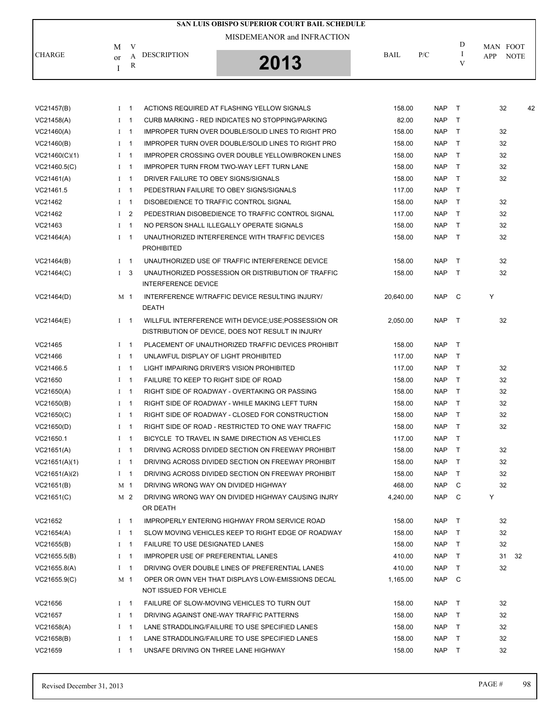|               |                        | SAN LUIS OBISPO SUPERIOR COURT BAIL SCHEDULE |      |     |   |                           |
|---------------|------------------------|----------------------------------------------|------|-----|---|---------------------------|
|               | – V<br>M               | MISDEMEANOR and INFRACTION                   |      |     | D | MAN FOOT                  |
| <b>CHARGE</b> | DESCRIPTION<br>or<br>R | 2013<br>ט ו                                  | BAIL | P/C |   | <b>NOTE</b><br><b>APP</b> |

| VC21457(B)    | $1 \quad 1$ | ACTIONS REQUIRED AT FLASHING YELLOW SIGNALS              | 158.00    | <b>NAP</b> | $\top$       | 32<br>42 |
|---------------|-------------|----------------------------------------------------------|-----------|------------|--------------|----------|
| VC21458(A)    | $1 \quad 1$ | CURB MARKING - RED INDICATES NO STOPPING/PARKING         | 82.00     | <b>NAP</b> | $\top$       |          |
| VC21460(A)    | $I \quad 1$ | IMPROPER TURN OVER DOUBLE/SOLID LINES TO RIGHT PRO       | 158.00    | <b>NAP</b> | $\mathsf{T}$ | 32       |
| VC21460(B)    | $I \quad 1$ | IMPROPER TURN OVER DOUBLE/SOLID LINES TO RIGHT PRO       | 158.00    | <b>NAP</b> | $\mathsf{T}$ | 32       |
| VC21460(C)(1) | $I \quad 1$ | <b>IMPROPER CROSSING OVER DOUBLE YELLOW/BROKEN LINES</b> | 158.00    | <b>NAP</b> | $\mathsf{T}$ | 32       |
| VC21460.5(C)  | $1 \quad 1$ | <b>IMPROPER TURN FROM TWO-WAY LEFT TURN LANE</b>         | 158.00    | <b>NAP</b> | $\mathsf{T}$ | 32       |
| VC21461(A)    | $I \quad 1$ | DRIVER FAILURE TO OBEY SIGNS/SIGNALS                     | 158.00    | <b>NAP</b> | $\top$       | 32       |
| VC21461.5     | $1 \quad 1$ | PEDESTRIAN FAILURE TO OBEY SIGNS/SIGNALS                 | 117.00    | <b>NAP</b> | $\mathsf{T}$ |          |
| VC21462       | $I \quad 1$ | DISOBEDIENCE TO TRAFFIC CONTROL SIGNAL                   | 158.00    | <b>NAP</b> | $\mathsf{T}$ | 32       |
| VC21462       | $1\quad 2$  | PEDESTRIAN DISOBEDIENCE TO TRAFFIC CONTROL SIGNAL        | 117.00    | <b>NAP</b> | $\mathsf{T}$ | 32       |
| VC21463       | $1 \quad 1$ | NO PERSON SHALL ILLEGALLY OPERATE SIGNALS                | 158.00    | <b>NAP</b> | $\mathsf{T}$ | 32       |
| VC21464(A)    | $I \quad 1$ | UNAUTHORIZED INTERFERENCE WITH TRAFFIC DEVICES           | 158.00    | <b>NAP</b> | $\top$       | 32       |
|               |             | <b>PROHIBITED</b>                                        |           |            |              |          |
| VC21464(B)    | $1 \quad 1$ | UNAUTHORIZED USE OF TRAFFIC INTERFERENCE DEVICE          | 158.00    | <b>NAP</b> | $\top$       | 32       |
| VC21464(C)    | $1 \quad 3$ | UNAUTHORIZED POSSESSION OR DISTRIBUTION OF TRAFFIC       | 158.00    | <b>NAP</b> | $\top$       | 32       |
|               |             | <b>INTERFERENCE DEVICE</b>                               |           |            |              |          |
| VC21464(D)    | M 1         | INTERFERENCE W/TRAFFIC DEVICE RESULTING INJURY/          | 20,640.00 | <b>NAP</b> | $\mathsf{C}$ | Υ        |
|               |             | DEATH                                                    |           |            |              |          |
| VC21464(E)    | $I \quad 1$ | WILLFUL INTERFERENCE WITH DEVICE;USE;POSSESSION OR       | 2.050.00  | <b>NAP</b> | $\top$       | 32       |
|               |             | DISTRIBUTION OF DEVICE. DOES NOT RESULT IN INJURY        |           |            |              |          |
| VC21465       | $1 \quad 1$ | PLACEMENT OF UNAUTHORIZED TRAFFIC DEVICES PROHIBIT       | 158.00    | <b>NAP</b> | $\mathsf{T}$ |          |
| VC21466       | $1 \quad 1$ | UNLAWFUL DISPLAY OF LIGHT PROHIBITED                     | 117.00    | <b>NAP</b> | $\mathsf{T}$ |          |
| VC21466.5     | $I \quad 1$ | LIGHT IMPAIRING DRIVER'S VISION PROHIBITED               | 117.00    | <b>NAP</b> | $\top$       | 32       |
| VC21650       | $1 \quad 1$ | FAILURE TO KEEP TO RIGHT SIDE OF ROAD                    | 158.00    | <b>NAP</b> | $\mathsf{T}$ | 32       |
| VC21650(A)    | $I \quad 1$ | RIGHT SIDE OF ROADWAY - OVERTAKING OR PASSING            | 158.00    | <b>NAP</b> | $\top$       | 32       |
| VC21650(B)    | $I \quad 1$ | RIGHT SIDE OF ROADWAY - WHILE MAKING LEFT TURN           | 158.00    | <b>NAP</b> | $\mathsf{T}$ | 32       |
| VC21650(C)    | $I \quad 1$ | RIGHT SIDE OF ROADWAY - CLOSED FOR CONSTRUCTION          | 158.00    | <b>NAP</b> | $\mathsf{T}$ | 32       |
| VC21650(D)    | $I \quad 1$ | RIGHT SIDE OF ROAD - RESTRICTED TO ONE WAY TRAFFIC       | 158.00    | <b>NAP</b> | T            | 32       |
| VC21650.1     | $I \quad 1$ | BICYCLE TO TRAVEL IN SAME DIRECTION AS VEHICLES          | 117.00    | <b>NAP</b> | $\mathsf{T}$ |          |
| VC21651(A)    | $1 \quad 1$ | DRIVING ACROSS DIVIDED SECTION ON FREEWAY PROHIBIT       | 158.00    | <b>NAP</b> | $\mathsf{T}$ | 32       |
| VC21651(A)(1) | $I \quad 1$ | DRIVING ACROSS DIVIDED SECTION ON FREEWAY PROHIBIT       | 158.00    | <b>NAP</b> | $\mathsf{T}$ | 32       |
| VC21651(A)(2) | $I \quad 1$ | DRIVING ACROSS DIVIDED SECTION ON FREEWAY PROHIBIT       | 158.00    | <b>NAP</b> | T            | 32       |
| VC21651(B)    | M 1         | DRIVING WRONG WAY ON DIVIDED HIGHWAY                     | 468.00    | <b>NAP</b> | C            | 32       |
| VC21651(C)    | M 2         | DRIVING WRONG WAY ON DIVIDED HIGHWAY CAUSING INJRY       | 4.240.00  | <b>NAP</b> | C            | Υ        |
|               |             | OR DEATH                                                 |           |            |              |          |
| VC21652       | $I \quad 1$ | IMPROPERLY ENTERING HIGHWAY FROM SERVICE ROAD            | 158.00    | <b>NAP</b> | Τ            | 32       |
| VC21654(A)    | $1 \quad 1$ | SLOW MOVING VEHICLES KEEP TO RIGHT EDGE OF ROADWAY       | 158.00    | <b>NAP</b> | $\top$       | 32       |
| VC21655(B)    | $I \quad 1$ | <b>FAILURE TO USE DESIGNATED LANES</b>                   | 158.00    | <b>NAP</b> | T            | 32       |
| VC21655.5(B)  | $I \quad 1$ | <b>IMPROPER USE OF PREFERENTIAL LANES</b>                | 410.00    | <b>NAP</b> | $\top$       | 31<br>32 |
| VC21655.8(A)  | $1 \quad 1$ | DRIVING OVER DOUBLE LINES OF PREFERENTIAL LANES          | 410.00    | <b>NAP</b> | $\top$       | 32       |
| VC21655.9(C)  | M 1         | OPER OR OWN VEH THAT DISPLAYS LOW-EMISSIONS DECAL        | 1,165.00  | <b>NAP</b> | C            |          |
|               |             | NOT ISSUED FOR VEHICLE                                   |           |            |              |          |
| VC21656       | $I \quad 1$ | FAILURE OF SLOW-MOVING VEHICLES TO TURN OUT              | 158.00    | <b>NAP</b> | T            | 32       |
| VC21657       | $I \quad 1$ | DRIVING AGAINST ONE-WAY TRAFFIC PATTERNS                 | 158.00    | <b>NAP</b> | $\top$       | 32       |
| VC21658(A)    | $1 \quad 1$ | LANE STRADDLING/FAILURE TO USE SPECIFIED LANES           | 158.00    | <b>NAP</b> | $\top$       | 32       |
| VC21658(B)    | $I \quad 1$ | LANE STRADDLING/FAILURE TO USE SPECIFIED LANES           | 158.00    | <b>NAP</b> | $\mathsf{T}$ | 32       |
| VC21659       | $I \quad 1$ | UNSAFE DRIVING ON THREE LANE HIGHWAY                     | 158.00    | <b>NAP</b> | T            | 32       |
|               |             |                                                          |           |            |              |          |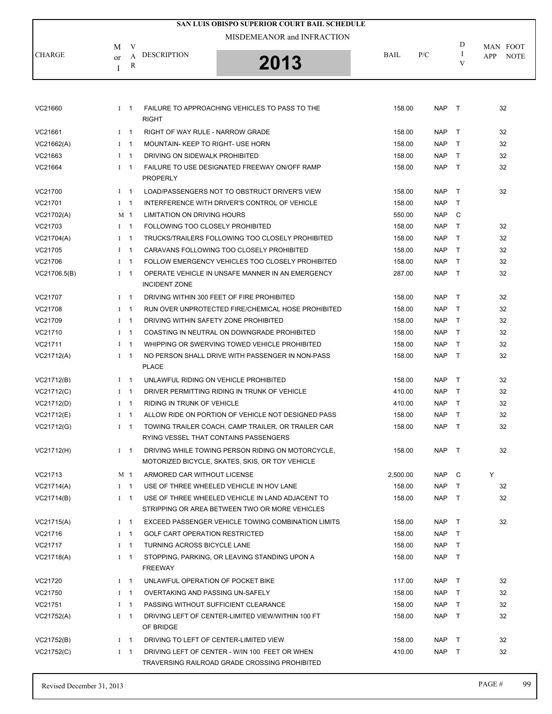|               |                            |                          | SAN LUIS OBISPO SUPERIOR COURT BAIL SCHEDULE                     |             |            |              |                           |  |  |
|---------------|----------------------------|--------------------------|------------------------------------------------------------------|-------------|------------|--------------|---------------------------|--|--|
|               | MISDEMEANOR and INFRACTION |                          |                                                                  |             |            |              |                           |  |  |
|               | M                          | V                        |                                                                  |             |            | D            | MAN FOOT                  |  |  |
| <b>CHARGE</b> | or                         | A                        | <b>DESCRIPTION</b><br>2013                                       | <b>BAIL</b> | P/C        | Ι.<br>V      | <b>NOTE</b><br><b>APP</b> |  |  |
|               | Ι                          | R                        |                                                                  |             |            |              |                           |  |  |
|               |                            |                          |                                                                  |             |            |              |                           |  |  |
|               |                            |                          | FAILURE TO APPROACHING VEHICLES TO PASS TO THE                   |             |            |              |                           |  |  |
| VC21660       | $I \quad 1$                |                          | <b>RIGHT</b>                                                     | 158.00      | <b>NAP</b> | $\top$       | 32                        |  |  |
| VC21661       | $I$ 1                      |                          | RIGHT OF WAY RULE - NARROW GRADE                                 | 158.00      | <b>NAP</b> | $\top$       | 32                        |  |  |
| VC21662(A)    | $I \quad 1$                |                          | MOUNTAIN- KEEP TO RIGHT- USE HORN                                | 158.00      | <b>NAP</b> | $\top$       | 32                        |  |  |
| VC21663       | $I \quad 1$                |                          | DRIVING ON SIDEWALK PROHIBITED                                   | 158.00      | <b>NAP</b> | T.           | 32                        |  |  |
| VC21664       | $1 \quad 1$                |                          | FAILURE TO USE DESIGNATED FREEWAY ON/OFF RAMP                    | 158.00      | <b>NAP</b> | $\top$       | 32                        |  |  |
|               |                            |                          | <b>PROPERLY</b>                                                  |             |            |              |                           |  |  |
| VC21700       | $I \quad 1$                |                          | LOAD/PASSENGERS NOT TO OBSTRUCT DRIVER'S VIEW                    | 158.00      | <b>NAP</b> | $\mathsf{T}$ | 32                        |  |  |
| VC21701       | $I \quad 1$                |                          | INTERFERENCE WITH DRIVER'S CONTROL OF VEHICLE                    | 158.00      | <b>NAP</b> | T.           |                           |  |  |
| VC21702(A)    | M 1                        |                          | LIMITATION ON DRIVING HOURS                                      | 550.00      | <b>NAP</b> | C            |                           |  |  |
| VC21703       | $I \quad 1$                |                          | FOLLOWING TOO CLOSELY PROHIBITED                                 | 158.00      | <b>NAP</b> | $\mathsf{T}$ | 32                        |  |  |
| VC21704(A)    | $I \quad 1$                |                          | TRUCKS/TRAILERS FOLLOWING TOO CLOSELY PROHIBITED                 | 158.00      | <b>NAP</b> | T.           | 32                        |  |  |
| VC21705       | $\bf{I}$                   | $\mathbf{1}$             | CARAVANS FOLLOWING TOO CLOSELY PROHIBITED                        | 158.00      | <b>NAP</b> | T.           | 32                        |  |  |
| VC21706       | $I \quad 1$                |                          | FOLLOW EMERGENCY VEHICLES TOO CLOSELY PROHIBITED                 | 158.00      | <b>NAP</b> | $\mathsf{T}$ | 32                        |  |  |
| VC21706.5(B)  | $1 \quad 1$                |                          | OPERATE VEHICLE IN UNSAFE MANNER IN AN EMERGENCY                 | 287.00      | <b>NAP</b> | $\top$       | 32                        |  |  |
|               |                            |                          | <b>INCIDENT ZONE</b>                                             |             |            |              |                           |  |  |
| VC21707       | $1 \quad 1$                |                          | DRIVING WITHIN 300 FEET OF FIRE PROHIBITED                       | 158.00      | <b>NAP</b> | $\top$       | 32                        |  |  |
| VC21708       | $\mathbf{I}$               | -1                       | RUN OVER UNPROTECTED FIRE/CHEMICAL HOSE PROHIBITED               | 158.00      | <b>NAP</b> | T.           | 32                        |  |  |
| VC21709       | $I \quad 1$                |                          | DRIVING WITHIN SAFETY ZONE PROHIBITED                            | 158.00      | <b>NAP</b> | $\mathsf{T}$ | 32                        |  |  |
| VC21710       | $1 \quad 1$                |                          | COASTING IN NEUTRAL ON DOWNGRADE PROHIBITED                      | 158.00      | <b>NAP</b> | $\top$       | 32                        |  |  |
| VC21711       | $I \quad 1$                |                          | WHIPPING OR SWERVING TOWED VEHICLE PROHIBITED                    | 158.00      | <b>NAP</b> | $\mathsf{T}$ | 32                        |  |  |
| VC21712(A)    | $I \quad 1$                |                          | NO PERSON SHALL DRIVE WITH PASSENGER IN NON-PASS<br><b>PLACE</b> | 158.00      | <b>NAP</b> | $\mathsf{T}$ | 32                        |  |  |
| VC21712(B)    | $1 \quad 1$                |                          | UNLAWFUL RIDING ON VEHICLE PROHIBITED                            | 158.00      | <b>NAP</b> | T            | 32                        |  |  |
| VC21712(C)    | $I \quad 1$                |                          | DRIVER PERMITTING RIDING IN TRUNK OF VEHICLE                     | 410.00      | <b>NAP</b> | $\top$       | 32                        |  |  |
| VC21712(D)    | $\bf{I}$                   | $\overline{\phantom{1}}$ | RIDING IN TRUNK OF VEHICLE                                       | 410.00      | <b>NAP</b> | $\top$       | 32                        |  |  |
| VC21712(E)    | $1 \quad 1$                |                          | ALLOW RIDE ON PORTION OF VEHICLE NOT DESIGNED PASS               | 158.00      | <b>NAP</b> | $\top$       | 32                        |  |  |
| VC21712(G)    |                            | $I \quad 1$              | TOWING TRAILER COACH, CAMP TRAILER, OR TRAILER CAR               | 158.00      | <b>NAP</b> | $\top$       | 32                        |  |  |
|               |                            |                          | RYING VESSEL THAT CONTAINS PASSENGERS                            |             |            |              |                           |  |  |
| VC21712(H)    |                            | $I \quad 1$              | DRIVING WHILE TOWING PERSON RIDING ON MOTORCYCLE,                | 158.00      | <b>NAP</b> | $\top$       | 32                        |  |  |
|               |                            |                          | MOTORIZED BICYCLE, SKATES, SKIS, OR TOY VEHICLE                  |             |            |              |                           |  |  |
| VC21713       |                            | M 1                      | ARMORED CAR WITHOUT LICENSE                                      | 2,500.00    | <b>NAP</b> | $\mathbf{C}$ | Y                         |  |  |
| VC21714(A)    |                            | $I \quad 1$              | USE OF THREE WHEELED VEHICLE IN HOV LANE                         | 158.00      | NAP        | $\top$       | 32                        |  |  |
| VC21714(B)    |                            | $I \quad 1$              | USE OF THREE WHEELED VEHICLE IN LAND ADJACENT TO                 | 158.00      | <b>NAP</b> | $\top$       | 32                        |  |  |
|               |                            |                          | STRIPPING OR AREA BETWEEN TWO OR MORE VEHICLES                   |             |            |              |                           |  |  |
| VC21715(A)    | $I \quad 1$                |                          | EXCEED PASSENGER VEHICLE TOWING COMBINATION LIMITS               | 158.00      | <b>NAP</b> | $\top$       | 32                        |  |  |
| VC21716       |                            | $I \quad 1$              | <b>GOLF CART OPERATION RESTRICTED</b>                            | 158.00      | <b>NAP</b> | $\top$       |                           |  |  |
| VC21717       |                            | $I \quad 1$              | TURNING ACROSS BICYCLE LANE                                      | 158.00      | <b>NAP</b> | T            |                           |  |  |
| VC21718(A)    |                            | $I \quad 1$              | STOPPING, PARKING, OR LEAVING STANDING UPON A                    | 158.00      | <b>NAP</b> | $\top$       |                           |  |  |
|               |                            |                          | <b>FREEWAY</b>                                                   |             |            |              |                           |  |  |
| VC21720       | $I \quad 1$                |                          | UNLAWFUL OPERATION OF POCKET BIKE                                | 117.00      | NAP        | $\top$       | 32                        |  |  |
| VC21750       |                            | $I \quad 1$              | OVERTAKING AND PASSING UN-SAFELY                                 | 158.00      | <b>NAP</b> | $\top$       | 32                        |  |  |
| VC21751       |                            | $I \quad 1$              | PASSING WITHOUT SUFFICIENT CLEARANCE                             | 158.00      | <b>NAP</b> | $\top$       | 32                        |  |  |
| VC21752(A)    | $I \quad 1$                |                          | DRIVING LEFT OF CENTER-LIMITED VIEW/WITHIN 100 FT<br>OF BRIDGE   | 158.00      | <b>NAP</b> | $\top$       | 32                        |  |  |
| VC21752(B)    |                            | $I \quad 1$              | DRIVING TO LEFT OF CENTER-LIMITED VIEW                           | 158.00      | <b>NAP</b> | $\top$       | 32                        |  |  |
| VC21752(C)    |                            | $I \quad 1$              | DRIVING LEFT OF CENTER - W/IN 100 FEET OR WHEN                   | 410.00      | NAP        | $\top$       | 32                        |  |  |
|               |                            |                          | TRAVERSING RAILROAD GRADE CROSSING PROHIBITED                    |             |            |              |                           |  |  |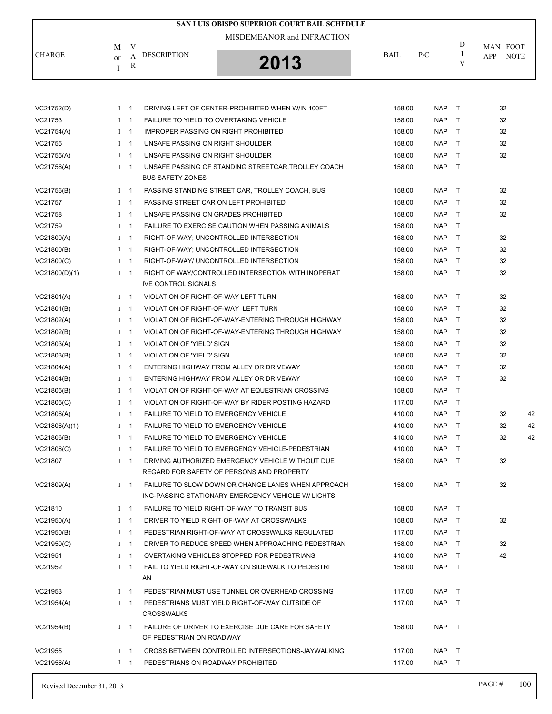|               |         |             |                                     | SAN LUIS OBISPO SUPERIOR COURT BAIL SCHEDULE                                                  |        |            |              |                    |
|---------------|---------|-------------|-------------------------------------|-----------------------------------------------------------------------------------------------|--------|------------|--------------|--------------------|
|               |         |             |                                     | MISDEMEANOR and INFRACTION                                                                    |        |            |              |                    |
|               | M       | V           |                                     |                                                                                               |        |            | D<br>I       | MAN FOOT           |
| <b>CHARGE</b> | or<br>I | A<br>R      | <b>DESCRIPTION</b>                  | 2013                                                                                          | BAIL   | P/C        | V            | <b>NOTE</b><br>APP |
|               |         |             |                                     |                                                                                               |        |            |              |                    |
|               |         |             |                                     |                                                                                               |        |            |              |                    |
| VC21752(D)    |         | $1 \quad 1$ |                                     | DRIVING LEFT OF CENTER-PROHIBITED WHEN W/IN 100FT                                             | 158.00 | <b>NAP</b> | T            | 32                 |
| VC21753       |         | $1 \quad 1$ |                                     | <b>FAILURE TO YIELD TO OVERTAKING VEHICLE</b>                                                 | 158.00 | <b>NAP</b> | $\top$       | 32                 |
| VC21754(A)    |         | $I \quad 1$ |                                     | <b>IMPROPER PASSING ON RIGHT PROHIBITED</b>                                                   | 158.00 | <b>NAP</b> | $\mathsf{T}$ | 32                 |
| VC21755       |         | $I \quad 1$ | UNSAFE PASSING ON RIGHT SHOULDER    |                                                                                               | 158.00 | <b>NAP</b> | $\mathsf{T}$ | 32                 |
| VC21755(A)    |         | $1 \quad 1$ | UNSAFE PASSING ON RIGHT SHOULDER    |                                                                                               | 158.00 | <b>NAP</b> | $\top$       | 32                 |
| VC21756(A)    |         | $I \quad 1$ | <b>BUS SAFETY ZONES</b>             | UNSAFE PASSING OF STANDING STREETCAR, TROLLEY COACH                                           | 158.00 | <b>NAP</b> | $\mathsf{T}$ |                    |
| VC21756(B)    |         | $1 \quad 1$ |                                     | PASSING STANDING STREET CAR, TROLLEY COACH, BUS                                               | 158.00 | <b>NAP</b> | T            | 32                 |
| VC21757       |         | $I \quad 1$ |                                     | PASSING STREET CAR ON LEFT PROHIBITED                                                         | 158.00 | <b>NAP</b> | $\mathsf{T}$ | 32                 |
| VC21758       |         | $I \quad 1$ |                                     | UNSAFE PASSING ON GRADES PROHIBITED                                                           | 158.00 | <b>NAP</b> | $\mathsf{T}$ | 32                 |
| VC21759       |         | $1 \quad 1$ |                                     | FAILURE TO EXERCISE CAUTION WHEN PASSING ANIMALS                                              | 158.00 | <b>NAP</b> | $\mathsf{T}$ |                    |
| VC21800(A)    |         | $1 \quad 1$ |                                     | RIGHT-OF-WAY; UNCONTROLLED INTERSECTION                                                       | 158.00 | <b>NAP</b> | $\mathsf{T}$ | 32                 |
| VC21800(B)    |         | $1 \quad 1$ |                                     | RIGHT-OF-WAY; UNCONTROLLED INTERSECTION                                                       | 158.00 | <b>NAP</b> | $\mathsf{T}$ | 32                 |
| VC21800(C)    |         | $1 \quad 1$ |                                     | RIGHT-OF-WAY/ UNCONTROLLED INTERSECTION                                                       | 158.00 | <b>NAP</b> | $\mathsf{T}$ | 32                 |
| VC21800(D)(1) |         | $I \quad 1$ |                                     | RIGHT OF WAY/CONTROLLED INTERSECTION WITH INOPERAT                                            | 158.00 | <b>NAP</b> | $\mathsf{T}$ | 32                 |
|               |         |             | <b>IVE CONTROL SIGNALS</b>          |                                                                                               |        |            |              |                    |
| VC21801(A)    |         | $I \quad 1$ | VIOLATION OF RIGHT-OF-WAY LEFT TURN |                                                                                               | 158.00 | <b>NAP</b> | $\mathsf{T}$ | 32                 |
| VC21801(B)    |         | $1 \quad 1$ | VIOLATION OF RIGHT-OF-WAY LEFT TURN |                                                                                               | 158.00 | <b>NAP</b> | $\top$       | 32                 |
| VC21802(A)    |         | $1 \quad 1$ |                                     | VIOLATION OF RIGHT-OF-WAY-ENTERING THROUGH HIGHWAY                                            | 158.00 | <b>NAP</b> | $\top$       | 32                 |
| VC21802(B)    |         | $I \quad 1$ |                                     | VIOLATION OF RIGHT-OF-WAY-ENTERING THROUGH HIGHWAY                                            | 158.00 | <b>NAP</b> | $\mathsf{T}$ | 32                 |
| VC21803(A)    |         | $1 \quad 1$ | VIOLATION OF 'YIELD' SIGN           |                                                                                               | 158.00 | <b>NAP</b> | $\top$       | 32                 |
| VC21803(B)    |         | $I \quad 1$ | VIOLATION OF 'YIELD' SIGN           |                                                                                               | 158.00 | <b>NAP</b> | $\top$       | 32                 |
| VC21804(A)    |         | $1 \quad 1$ |                                     | ENTERING HIGHWAY FROM ALLEY OR DRIVEWAY                                                       | 158.00 | <b>NAP</b> | $\mathsf{T}$ | 32                 |
| VC21804(B)    |         | $1 \quad 1$ |                                     | ENTERING HIGHWAY FROM ALLEY OR DRIVEWAY                                                       | 158.00 | <b>NAP</b> | $\top$       | 32                 |
| VC21805(B)    |         | $1 \quad 1$ |                                     | VIOLATION OF RIGHT-OF-WAY AT EQUESTRIAN CROSSING                                              | 158.00 | <b>NAP</b> | T            |                    |
| VC21805(C)    |         | $1 \quad 1$ |                                     | VIOLATION OF RIGHT-OF-WAY BY RIDER POSTING HAZARD                                             | 117.00 | <b>NAP</b> | Τ            |                    |
| VC21806(A)    |         | $I \quad 1$ |                                     | <b>FAILURE TO YIELD TO EMERGENCY VEHICLE</b>                                                  | 410.00 | <b>NAP</b> | $\mathsf{T}$ | 32<br>42           |
| VC21806(A)(1) |         | $I \quad 1$ |                                     | <b>FAILURE TO YIELD TO EMERGENCY VEHICLE</b>                                                  | 410.00 | <b>NAP</b> | $\top$       | 42<br>32           |
| VC21806(B)    |         | $1 \quad 1$ |                                     | <b>FAILURE TO YIELD TO EMERGENCY VEHICLE</b>                                                  | 410.00 | <b>NAP</b> | $\top$       | 32<br>42           |
| VC21806(C)    |         | $1 \quad 1$ |                                     | FAILURE TO YIELD TO EMERGENGY VEHICLE-PEDESTRIAN                                              | 410.00 | <b>NAP</b> | $\top$       |                    |
| VC21807       |         | $I \quad 1$ |                                     | DRIVING AUTHORIZED EMERGENCY VEHICLE WITHOUT DUE<br>REGARD FOR SAFETY OF PERSONS AND PROPERTY | 158.00 | <b>NAP</b> | $\top$       | 32                 |
| VC21809(A)    |         | $1 \quad 1$ |                                     | FAILURE TO SLOW DOWN OR CHANGE LANES WHEN APPROACH                                            | 158.00 | <b>NAP</b> | $\top$       | 32                 |
|               |         |             |                                     | ING-PASSING STATIONARY EMERGENCY VEHICLE W/ LIGHTS                                            |        |            |              |                    |
| VC21810       |         | $I \quad 1$ |                                     | FAILURE TO YIELD RIGHT-OF-WAY TO TRANSIT BUS                                                  | 158.00 | <b>NAP</b> | $\top$       |                    |
| VC21950(A)    |         | $1 \quad 1$ |                                     | DRIVER TO YIELD RIGHT-OF-WAY AT CROSSWALKS                                                    | 158.00 | <b>NAP</b> | $\top$       | 32                 |
| VC21950(B)    |         | $I \quad 1$ |                                     | PEDESTRIAN RIGHT-OF-WAY AT CROSSWALKS REGULATED                                               | 117.00 | <b>NAP</b> | $\mathsf{T}$ |                    |
| VC21950(C)    |         | $1 \quad 1$ |                                     | DRIVER TO REDUCE SPEED WHEN APPROACHING PEDESTRIAN                                            | 158.00 | <b>NAP</b> | $\top$       | 32                 |
| VC21951       |         | $1 \quad 1$ |                                     | OVERTAKING VEHICLES STOPPED FOR PEDESTRIANS                                                   | 410.00 | <b>NAP</b> | $\top$       | 42                 |
| VC21952       |         | $I \quad 1$ | AN                                  | FAIL TO YIELD RIGHT-OF-WAY ON SIDEWALK TO PEDESTRI                                            | 158.00 | <b>NAP</b> | $\top$       |                    |
| VC21953       |         | $I \quad 1$ |                                     | PEDESTRIAN MUST USE TUNNEL OR OVERHEAD CROSSING                                               | 117.00 | NAP        | $\top$       |                    |
| VC21954(A)    |         | $I \quad 1$ | <b>CROSSWALKS</b>                   | PEDESTRIANS MUST YIELD RIGHT-OF-WAY OUTSIDE OF                                                | 117.00 | <b>NAP</b> | $\top$       |                    |
| VC21954(B)    |         | $1 \quad 1$ | OF PEDESTRIAN ON ROADWAY            | FAILURE OF DRIVER TO EXERCISE DUE CARE FOR SAFETY                                             | 158.00 | <b>NAP</b> | $\top$       |                    |
| VC21955       |         | $I \quad 1$ |                                     | CROSS BETWEEN CONTROLLED INTERSECTIONS-JAYWALKING                                             | 117.00 | <b>NAP</b> | T            |                    |
| VC21956(A)    |         | $1 \quad 1$ | PEDESTRIANS ON ROADWAY PROHIBITED   |                                                                                               | 117.00 | NAP T      |              |                    |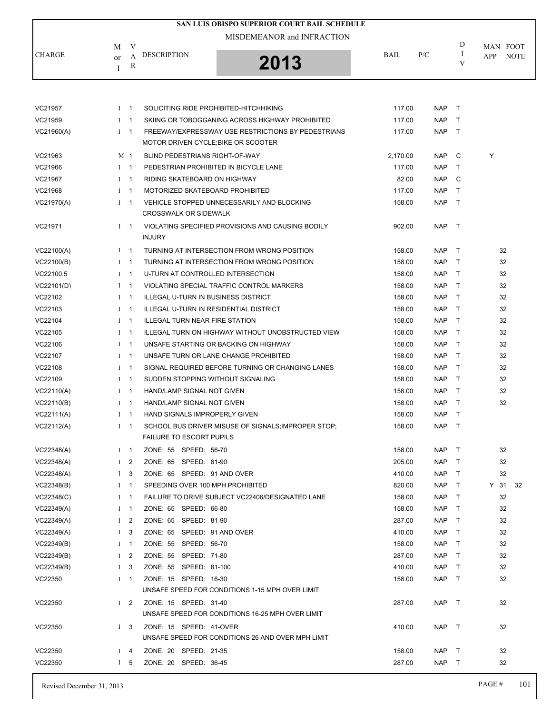|            |                |                          | SAN LUIS OBISPO SUPERIOR COURT BAIL SCHEDULE                                              |             |            |              |                    |
|------------|----------------|--------------------------|-------------------------------------------------------------------------------------------|-------------|------------|--------------|--------------------|
|            | M              | V                        | MISDEMEANOR and INFRACTION                                                                |             |            | D            | MAN FOOT           |
| CHARGE     | or             | А                        | <b>DESCRIPTION</b>                                                                        | <b>BAIL</b> | P/C        | Ι            | APP<br><b>NOTE</b> |
|            | I              | R                        | 2013                                                                                      |             |            | V            |                    |
|            |                |                          |                                                                                           |             |            |              |                    |
| VC21957    | $I$ 1          |                          | SOLICITING RIDE PROHIBITED-HITCHHIKING                                                    | 117.00      | <b>NAP</b> | $\top$       |                    |
| VC21959    | L              | -1                       | SKIING OR TOBOGGANING ACROSS HIGHWAY PROHIBITED                                           | 117.00      | <b>NAP</b> | $\top$       |                    |
| VC21960(A) | $I \quad 1$    |                          | FREEWAY/EXPRESSWAY USE RESTRICTIONS BY PEDESTRIANS<br>MOTOR DRIVEN CYCLE: BIKE OR SCOOTER | 117.00      | <b>NAP</b> | $\top$       |                    |
| VC21963    | M 1            |                          | BLIND PEDESTRIANS RIGHT-OF-WAY                                                            | 2,170.00    | <b>NAP</b> | C            | Y                  |
| VC21966    | $I$ 1          |                          | PEDESTRIAN PROHIBITED IN BICYCLE LANE                                                     | 117.00      | <b>NAP</b> | $\top$       |                    |
| VC21967    | $\bf{I}$       | -1                       | RIDING SKATEBOARD ON HIGHWAY                                                              | 82.00       | <b>NAP</b> | C            |                    |
| VC21968    | $1 \quad 1$    |                          | MOTORIZED SKATEBOARD PROHIBITED                                                           | 117.00      | <b>NAP</b> | $\mathsf{T}$ |                    |
| VC21970(A) | $1 \quad 1$    |                          | VEHICLE STOPPED UNNECESSARILY AND BLOCKING<br><b>CROSSWALK OR SIDEWALK</b>                | 158.00      | <b>NAP</b> | $\top$       |                    |
| VC21971    | $I$ 1          |                          | VIOLATING SPECIFIED PROVISIONS AND CAUSING BODILY<br><b>INJURY</b>                        | 902.00      | <b>NAP</b> | $\top$       |                    |
| VC22100(A) | $I \quad 1$    |                          | TURNING AT INTERSECTION FROM WRONG POSITION                                               | 158.00      | <b>NAP</b> | $\top$       | 32                 |
| VC22100(B) | $1 \quad 1$    |                          | TURNING AT INTERSECTION FROM WRONG POSITION                                               | 158.00      | <b>NAP</b> | $\top$       | 32                 |
| VC22100.5  | $\bf{I}$       | $\mathbf 1$              | U-TURN AT CONTROLLED INTERSECTION                                                         | 158.00      | <b>NAP</b> | $\top$       | 32                 |
| VC22101(D) | $\bf{I}$       | $\mathbf 1$              | VIOLATING SPECIAL TRAFFIC CONTROL MARKERS                                                 | 158.00      | <b>NAP</b> | T            | 32                 |
| VC22102    | $1 \quad 1$    |                          | ILLEGAL U-TURN IN BUSINESS DISTRICT                                                       | 158.00      | <b>NAP</b> | $\top$       | 32                 |
| VC22103    | $\bf{I}$       | $\mathbf 1$              | ILLEGAL U-TURN IN RESIDENTIAL DISTRICT                                                    | 158.00      | <b>NAP</b> | $\top$       | 32                 |
| VC22104    | $I \quad 1$    |                          | <b>ILLEGAL TURN NEAR FIRE STATION</b>                                                     | 158.00      | <b>NAP</b> | T            | 32                 |
| VC22105    | $1 \quad 1$    |                          | ILLEGAL TURN ON HIGHWAY WITHOUT UNOBSTRUCTED VIEW                                         | 158.00      | <b>NAP</b> | $\top$       | 32                 |
| VC22106    | $\bf{I}$       | $\mathbf 1$              | UNSAFE STARTING OR BACKING ON HIGHWAY                                                     | 158.00      | <b>NAP</b> | $\top$       | 32                 |
| VC22107    | $\mathbf I$    | $\mathbf{1}$             | UNSAFE TURN OR LANE CHANGE PROHIBITED                                                     | 158.00      | <b>NAP</b> | $\top$       | 32                 |
| VC22108    | $\bf{I}$       | $\mathbf{1}$             | SIGNAL REQUIRED BEFORE TURNING OR CHANGING LANES                                          | 158.00      | <b>NAP</b> | $\top$       | 32                 |
| VC22109    | $\bf{I}$       | -1                       | SUDDEN STOPPING WITHOUT SIGNALING                                                         | 158.00      | <b>NAP</b> | $\top$       | 32                 |
| VC22110(A) | $\bf{I}$       | -1                       | HAND/LAMP SIGNAL NOT GIVEN                                                                | 158.00      | <b>NAP</b> | $\top$       | 32                 |
| VC22110(B) | $I \quad 1$    |                          | HAND/LAMP SIGNAL NOT GIVEN                                                                | 158.00      | <b>NAP</b> | $\top$       | 32                 |
| VC22111(A) | $\bf{I}$       | $\overline{\phantom{1}}$ | HAND SIGNALS IMPROPERLY GIVEN                                                             | 158.00      | <b>NAP</b> | $\top$       |                    |
| VC22112(A) | $I \quad 1$    |                          | SCHOOL BUS DRIVER MISUSE OF SIGNALS; IMPROPER STOP;<br><b>FAILURE TO ESCORT PUPILS</b>    | 158.00      | <b>NAP</b> | $\top$       |                    |
| VC22348(A) | $I \quad 1$    |                          | ZONE: 55 SPEED: 56-70                                                                     | 158.00      | <b>NAP</b> | $\top$       | 32                 |
| VC22348(A) | I <sub>2</sub> |                          | ZONE: 65 SPEED: 81-90                                                                     | 205.00      | <b>NAP</b> | $\top$       | 32                 |
| VC22348(A) | I <sub>3</sub> |                          | ZONE: 65 SPEED: 91 AND OVER                                                               | 410.00      | <b>NAP</b> | $\top$       | 32                 |
| VC22348(B) | $\bf{I}$       | $\overline{1}$           | SPEEDING OVER 100 MPH PROHIBITED                                                          | 820.00      | <b>NAP</b> | $\top$       | Y 31 32            |
| VC22348(C) | $I \quad 1$    |                          | FAILURE TO DRIVE SUBJECT VC22406/DESIGNATED LANE                                          | 158.00      | <b>NAP</b> | $\top$       | 32                 |
| VC22349(A) | $\mathbf{I}$   | $\mathbf 1$              | ZONE: 65 SPEED: 66-80                                                                     | 158.00      | <b>NAP</b> | $\top$       | 32                 |
| VC22349(A) | $\mathbf{I}$   | 2                        | ZONE: 65 SPEED: 81-90                                                                     | 287.00      | <b>NAP</b> | $\top$       | 32                 |
| VC22349(A) | I <sub>3</sub> |                          | ZONE: 65 SPEED: 91 AND OVER                                                               | 410.00      | <b>NAP</b> | $\top$       | 32                 |
| VC22349(B) | $\bf{I}$       | $\overline{1}$           | ZONE: 55 SPEED: 56-70                                                                     | 158.00      | <b>NAP</b> | $\top$       | 32                 |
| VC22349(B) | $\bf{I}$       | 2                        | ZONE: 55 SPEED: 71-80                                                                     | 287.00      | <b>NAP</b> | $\top$       | 32                 |
| VC22349(B) | $1\quad 3$     |                          | ZONE: 55 SPEED: 81-100                                                                    | 410.00      | <b>NAP</b> | $\top$       | 32                 |
| 11000000   |                |                          | 701F<br>CDEED.<br>10.22                                                                   | 10000       |            |              | $\sim$             |

| <b>VCZZ349(B)</b> |     | z           | LUNE: 55 SPEED: 71-80    |                                                   | 287.00 | NAP.       |          | 32 |
|-------------------|-----|-------------|--------------------------|---------------------------------------------------|--------|------------|----------|----|
| VC22349(B)        |     | $1 \quad 3$ | ZONE: 55 SPEED: 81-100   |                                                   | 410.00 | <b>NAP</b> |          | 32 |
| VC22350           | I 1 |             | SPEED: 16-30<br>ZONE: 15 |                                                   | 158.00 | <b>NAP</b> | <b>T</b> | 32 |
|                   |     |             |                          | UNSAFE SPEED FOR CONDITIONS 1-15 MPH OVER LIMIT   |        |            |          |    |
| VC22350           |     | $1\quad 2$  | ZONE: 15 SPEED: 31-40    |                                                   | 287.00 | <b>NAP</b> | $\top$   | 32 |
|                   |     |             |                          | UNSAFE SPEED FOR CONDITIONS 16-25 MPH OVER LIMIT  |        |            |          |    |
| VC22350           |     | $1 \quad 3$ | ZONE: 15 SPEED: 41-OVER  |                                                   | 410.00 | NAP        | $\top$   | 32 |
|                   |     |             |                          | UNSAFE SPEED FOR CONDITIONS 26 AND OVER MPH LIMIT |        |            |          |    |
| VC22350           |     | $I$ 4       | ZONE: 20 SPEED: 21-35    |                                                   | 158.00 | <b>NAP</b> | $\top$   | 32 |
| VC22350           |     | $5^{\circ}$ | ZONE: 20 SPEED: 36-45    |                                                   | 287.00 | <b>NAP</b> |          | 32 |
|                   |     |             |                          |                                                   |        |            |          |    |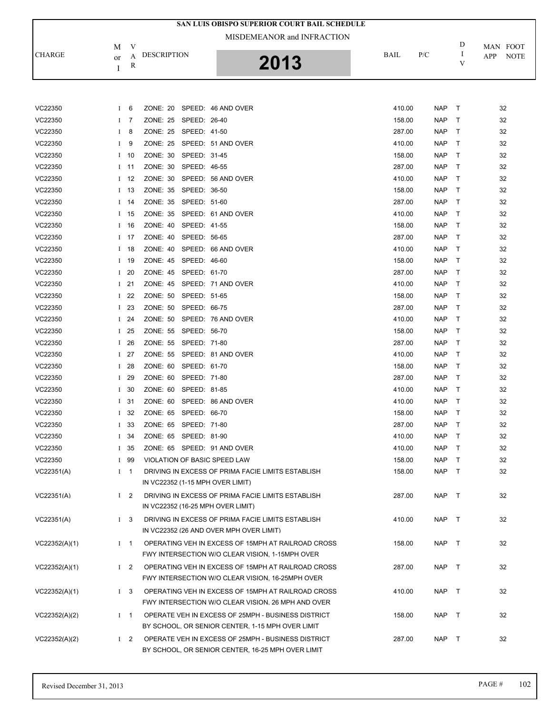|               |          |                |                                   | SAN LUIS OBISPO SUPERIOR COURT BAIL SCHEDULE       |             |            |                   |                    |
|---------------|----------|----------------|-----------------------------------|----------------------------------------------------|-------------|------------|-------------------|--------------------|
|               |          |                |                                   | MISDEMEANOR and INFRACTION                         |             |            |                   |                    |
|               | М        | V              |                                   |                                                    |             |            | D                 | MAN FOOT           |
| <b>CHARGE</b> | or       | A              | <b>DESCRIPTION</b>                |                                                    | <b>BAIL</b> | P/C        | $\mathbf{I}$<br>V | APP<br><b>NOTE</b> |
|               | Ι        | R              |                                   | 2013                                               |             |            |                   |                    |
|               |          |                |                                   |                                                    |             |            |                   |                    |
|               |          |                |                                   |                                                    |             |            |                   |                    |
| VC22350       | $\bf{I}$ | 6              | <b>ZONE: 20</b>                   | SPEED: 46 AND OVER                                 | 410.00      | <b>NAP</b> | $\top$            | 32                 |
| VC22350       |          | I <sub>7</sub> | ZONE: 25<br>SPEED: 26-40          |                                                    | 158.00      | NAP        | Τ                 | 32                 |
| VC22350       | Ι        | 8              | ZONE: 25<br>SPEED: 41-50          |                                                    | 287.00      | <b>NAP</b> | Τ                 | 32                 |
| VC22350       | Ι        | 9              | <b>ZONE: 25</b>                   | SPEED: 51 AND OVER                                 | 410.00      | NAP        | Τ                 | 32                 |
| VC22350       |          | $1 \quad 10$   | ZONE: 30<br>SPEED: 31-45          |                                                    | 158.00      | NAP        | T                 | 32                 |
| VC22350       |          | $I$ 11         | SPEED: 46-55<br>ZONE: 30          |                                                    | 287.00      | <b>NAP</b> | Т                 | 32                 |
| VC22350       |          | $1 \quad 12$   | ZONE: 30                          | SPEED: 56 AND OVER                                 | 410.00      | NAP        | Т                 | 32                 |
| VC22350       |          | $1 \quad 13$   | ZONE: 35<br>SPEED: 36-50          |                                                    | 158.00      | NAP        | Т                 | 32                 |
| VC22350       |          | $I$ 14         | ZONE: 35<br>SPEED: 51-60          |                                                    | 287.00      | <b>NAP</b> | Τ                 | 32                 |
| VC22350       |          | $I$ 15         | ZONE: 35                          | SPEED: 61 AND OVER                                 | 410.00      | <b>NAP</b> | Τ                 | 32                 |
| VC22350       |          | $I$ 16         | ZONE: 40<br>SPEED: 41-55          |                                                    | 158.00      | NAP        | $\top$            | 32                 |
| VC22350       |          | $1 \quad 17$   | ZONE: 40<br>SPEED: 56-65          |                                                    | 287.00      | <b>NAP</b> | Т                 | 32                 |
| VC22350       | $\bf{I}$ | 18             | ZONE: 40                          | SPEED: 66 AND OVER                                 | 410.00      | <b>NAP</b> | Т                 | 32                 |
| VC22350       |          | $I$ 19         | <b>ZONE: 45</b><br>SPEED: 46-60   |                                                    | 158.00      | NAP        | $\top$            | 32                 |
| VC22350       | L        | -20            | <b>ZONE: 45</b><br>SPEED: 61-70   |                                                    | 287.00      | <b>NAP</b> | Τ                 | 32                 |
| VC22350       |          | $I$ 21         | ZONE: 45                          | SPEED: 71 AND OVER                                 | 410.00      | NAP        | Τ                 | 32                 |
| VC22350       |          | $I$ 22         | ZONE: 50<br>SPEED: 51-65          |                                                    | 158.00      | NAP        | $\top$            | 32                 |
| VC22350       |          | $I$ 23         | ZONE: 50<br>SPEED: 66-75          |                                                    | 287.00      | <b>NAP</b> | Т                 | 32                 |
| VC22350       | L        | 24             | ZONE: 50                          | SPEED: 76 AND OVER                                 | 410.00      | NAP        | Т                 | 32                 |
| VC22350       | $\bf{I}$ | 25             | ZONE: 55<br>SPEED: 56-70          |                                                    | 158.00      | NAP        | $\top$            | 32                 |
| VC22350       |          | $I$ 26         | ZONE: 55<br>SPEED: 71-80          |                                                    | 287.00      | <b>NAP</b> | Т                 | 32                 |
| VC22350       |          | $I$ 27         | ZONE: 55                          | SPEED: 81 AND OVER                                 | 410.00      | <b>NAP</b> | Τ                 | 32                 |
| VC22350       |          | $I$ 28         | ZONE: 60<br>SPEED: 61-70          |                                                    | 158.00      | NAP        | T                 | 32                 |
| VC22350       | L        | 29             | ZONE: 60<br>SPEED: 71-80          |                                                    | 287.00      | <b>NAP</b> | Т                 | 32                 |
| VC22350       | $\bf{I}$ | 30             | ZONE: 60<br>SPEED: 81-85          |                                                    | 410.00      | <b>NAP</b> | Т                 | 32                 |
| VC22350       | Ι.       | -31            | ZONE: 60                          | SPEED: 86 AND OVER                                 | 410.00      | NAP        | $\mathsf{T}$      | 32                 |
| VC22350       | Ι.       | 32             | ZONE: 65<br>SPEED: 66-70          |                                                    | 158.00      | <b>NAP</b> | $\top$            | 32                 |
| VC22350       | Ι.       | 33             | ZONE: 65 SPEED: 71-80             |                                                    | 287.00      | NAP        | $\top$            | 32                 |
| VC22350       |          | $1\quad34$     | ZONE: 65 SPEED: 81-90             |                                                    | 410.00      | NAP        | $\top$            | 32                 |
| VC22350       |          | $I$ 35         | ZONE: 65 SPEED: 91 AND OVER       |                                                    | 410.00      | NAP        | $\top$            | 32                 |
| VC22350       |          | I 99           | VIOLATION OF BASIC SPEED LAW      |                                                    | 158.00      | NAP        | $\top$            | 32                 |
| VC22351(A)    |          | $I \quad 1$    |                                   | DRIVING IN EXCESS OF PRIMA FACIE LIMITS ESTABLISH  | 158.00      | NAP T      |                   | 32                 |
|               |          |                | IN VC22352 (1-15 MPH OVER LIMIT)  |                                                    |             |            |                   |                    |
| VC22351(A)    |          | $1\quad 2$     |                                   | DRIVING IN EXCESS OF PRIMA FACIE LIMITS ESTABLISH  | 287.00      | NAP T      |                   | 32                 |
|               |          |                | IN VC22352 (16-25 MPH OVER LIMIT) |                                                    |             |            |                   |                    |
| VC22351(A)    |          | $1 \quad 3$    |                                   | DRIVING IN EXCESS OF PRIMA FACIE LIMITS ESTABLISH  | 410.00      | NAP T      |                   | 32                 |
|               |          |                |                                   | IN VC22352 (26 AND OVER MPH OVER LIMIT)            |             |            |                   |                    |
| VC22352(A)(1) |          | $1 \quad 1$    |                                   | OPERATING VEH IN EXCESS OF 15MPH AT RAILROAD CROSS | 158.00      | NAP T      |                   | 32                 |
|               |          |                |                                   | FWY INTERSECTION W/O CLEAR VISION, 1-15MPH OVER    |             |            |                   |                    |
| VC22352(A)(1) |          | $1\quad 2$     |                                   | OPERATING VEH IN EXCESS OF 15MPH AT RAILROAD CROSS | 287.00      | NAP T      |                   | 32                 |
|               |          |                |                                   | FWY INTERSECTION W/O CLEAR VISION, 16-25MPH OVER   |             |            |                   |                    |
| VC22352(A)(1) |          | $1 \quad 3$    |                                   | OPERATING VEH IN EXCESS OF 15MPH AT RAILROAD CROSS | 410.00      | NAP T      |                   | 32                 |
|               |          |                |                                   | FWY INTERSECTION W/O CLEAR VISION, 26 MPH AND OVER |             |            |                   |                    |
| VC22352(A)(2) |          | $1 \quad 1$    |                                   | OPERATE VEH IN EXCESS OF 25MPH - BUSINESS DISTRICT | 158.00      | NAP T      |                   | 32                 |
|               |          |                |                                   | BY SCHOOL, OR SENIOR CENTER, 1-15 MPH OVER LIMIT   |             |            |                   |                    |
| VC22352(A)(2) |          | $1\quad 2$     |                                   | OPERATE VEH IN EXCESS OF 25MPH - BUSINESS DISTRICT | 287.00      | NAP T      |                   | 32                 |
|               |          |                |                                   | BY SCHOOL, OR SENIOR CENTER, 16-25 MPH OVER LIMIT  |             |            |                   |                    |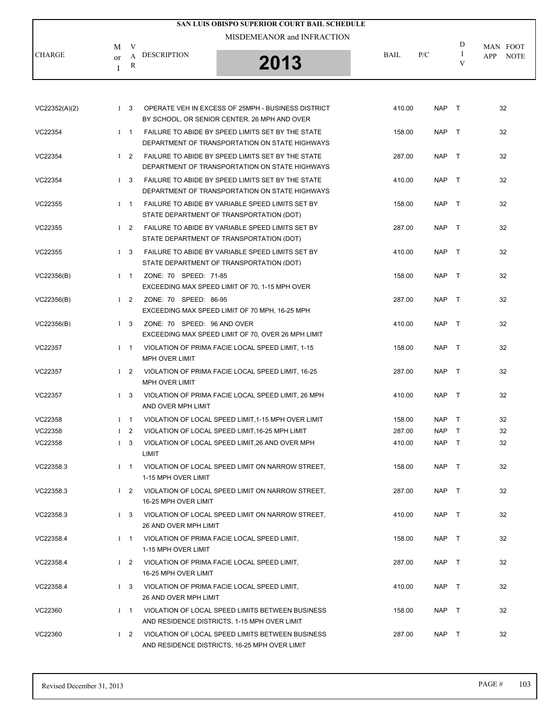|               |                                               | SAN LUIS OBISPO SUPERIOR COURT BAIL SCHEDULE |             |     |   |                    |
|---------------|-----------------------------------------------|----------------------------------------------|-------------|-----|---|--------------------|
|               | V<br>М                                        | MISDEMEANOR and INFRACTION                   |             |     | D | MAN FOOT           |
| <b>CHARGE</b> | <b>DESCRIPTION</b><br>А<br><sub>or</sub><br>R | 2013                                         | <b>BAIL</b> | P/C | V | <b>NOTE</b><br>APP |

| VC22352(A)(2) | $1 \quad 3$    | OPERATE VEH IN EXCESS OF 25MPH - BUSINESS DISTRICT<br>BY SCHOOL, OR SENIOR CENTER, 26 MPH AND OVER  | 410.00 | <b>NAP</b> | $\top$ | 32 |
|---------------|----------------|-----------------------------------------------------------------------------------------------------|--------|------------|--------|----|
| VC22354       | $I$ 1          | FAILURE TO ABIDE BY SPEED LIMITS SET BY THE STATE<br>DEPARTMENT OF TRANSPORTATION ON STATE HIGHWAYS | 158.00 | <b>NAP</b> | $\top$ | 32 |
| VC22354       | $1\quad 2$     | FAILURE TO ABIDE BY SPEED LIMITS SET BY THE STATE<br>DEPARTMENT OF TRANSPORTATION ON STATE HIGHWAYS | 287.00 | <b>NAP</b> | $\top$ | 32 |
| VC22354       | $1 \quad 3$    | FAILURE TO ABIDE BY SPEED LIMITS SET BY THE STATE<br>DEPARTMENT OF TRANSPORTATION ON STATE HIGHWAYS | 410.00 | <b>NAP</b> | $\top$ | 32 |
| VC22355       | $I \quad 1$    | FAILURE TO ABIDE BY VARIABLE SPEED LIMITS SET BY<br>STATE DEPARTMENT OF TRANSPORTATION (DOT)        | 158.00 | <b>NAP</b> | $\top$ | 32 |
| VC22355       | $1\quad 2$     | FAILURE TO ABIDE BY VARIABLE SPEED LIMITS SET BY<br>STATE DEPARTMENT OF TRANSPORTATION (DOT)        | 287.00 | <b>NAP</b> | $\top$ | 32 |
| VC22355       | $1 \quad 3$    | FAILURE TO ABIDE BY VARIABLE SPEED LIMITS SET BY<br>STATE DEPARTMENT OF TRANSPORTATION (DOT)        | 410.00 | <b>NAP</b> | $\top$ | 32 |
| VC22356(B)    | $I \quad 1$    | ZONE: 70 SPEED: 71-85<br>EXCEEDING MAX SPEED LIMIT OF 70, 1-15 MPH OVER                             | 158.00 | <b>NAP</b> | $\top$ | 32 |
| VC22356(B)    | $1\quad 2$     | ZONE: 70 SPEED: 86-95<br>EXCEEDING MAX SPEED LIMIT OF 70 MPH, 16-25 MPH                             | 287.00 | <b>NAP</b> | $\top$ | 32 |
| VC22356(B)    | I <sub>3</sub> | ZONE: 70 SPEED: 96 AND OVER<br>EXCEEDING MAX SPEED LIMIT OF 70, OVER 26 MPH LIMIT                   | 410.00 | <b>NAP</b> | $\top$ | 32 |
| VC22357       | $I \quad 1$    | VIOLATION OF PRIMA FACIE LOCAL SPEED LIMIT, 1-15<br>MPH OVER LIMIT                                  | 158.00 | <b>NAP</b> | $\top$ | 32 |
| VC22357       | $1\quad 2$     | VIOLATION OF PRIMA FACIE LOCAL SPEED LIMIT, 16-25<br><b>MPH OVER LIMIT</b>                          | 287.00 | <b>NAP</b> | $\top$ | 32 |
| VC22357       | $1 \quad 3$    | VIOLATION OF PRIMA FACIE LOCAL SPEED LIMIT, 26 MPH<br>AND OVER MPH LIMIT                            | 410.00 | <b>NAP</b> | $\top$ | 32 |
| VC22358       | $I$ 1          | VIOLATION OF LOCAL SPEED LIMIT, 1-15 MPH OVER LIMIT                                                 | 158.00 | <b>NAP</b> | $\top$ | 32 |
| VC22358       | $1\quad 2$     | VIOLATION OF LOCAL SPEED LIMIT, 16-25 MPH LIMIT                                                     | 287.00 | <b>NAP</b> | $\top$ | 32 |
| VC22358       | I <sub>3</sub> | VIOLATION OF LOCAL SPEED LIMIT, 26 AND OVER MPH<br>LIMIT                                            | 410.00 | <b>NAP</b> | $\top$ | 32 |
| VC22358.3     | $I \quad 1$    | VIOLATION OF LOCAL SPEED LIMIT ON NARROW STREET,<br>1-15 MPH OVER LIMIT                             | 158.00 | <b>NAP</b> | $\top$ | 32 |
| VC22358.3     | $1\quad 2$     | VIOLATION OF LOCAL SPEED LIMIT ON NARROW STREET,<br>16-25 MPH OVER LIMIT                            | 287.00 | <b>NAP</b> | $\top$ | 32 |
| VC22358.3     | $1\quad 3$     | VIOLATION OF LOCAL SPEED LIMIT ON NARROW STREET,<br>26 AND OVER MPH LIMIT                           | 410.00 | <b>NAP</b> | $\top$ | 32 |
| VC22358.4     | $1 \quad 1$    | VIOLATION OF PRIMA FACIE LOCAL SPEED LIMIT,<br>1-15 MPH OVER LIMIT                                  | 158.00 | <b>NAP</b> | $\top$ | 32 |
| VC22358.4     | $1\quad 2$     | VIOLATION OF PRIMA FACIE LOCAL SPEED LIMIT,<br>16-25 MPH OVER LIMIT                                 | 287.00 | <b>NAP</b> | $\top$ | 32 |
| VC22358.4     | $1 \quad 3$    | VIOLATION OF PRIMA FACIE LOCAL SPEED LIMIT,<br>26 AND OVER MPH LIMIT                                | 410.00 | <b>NAP</b> | $\top$ | 32 |
| VC22360       | $I \quad 1$    | VIOLATION OF LOCAL SPEED LIMITS BETWEEN BUSINESS<br>AND RESIDENCE DISTRICTS, 1-15 MPH OVER LIMIT    | 158.00 | <b>NAP</b> | $\top$ | 32 |
| VC22360       | $1\quad 2$     | VIOLATION OF LOCAL SPEED LIMITS BETWEEN BUSINESS<br>AND RESIDENCE DISTRICTS, 16-25 MPH OVER LIMIT   | 287.00 | <b>NAP</b> | $\top$ | 32 |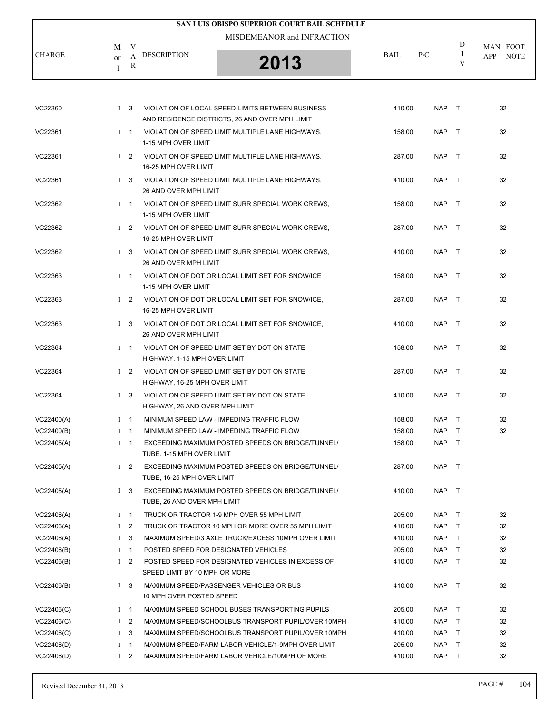|               |                               | SAN LUIS OBISPO SUPERIOR COURT BAIL SCHEDULE |             |     |   |                    |
|---------------|-------------------------------|----------------------------------------------|-------------|-----|---|--------------------|
|               | M                             | MISDEMEANOR and INFRACTION                   |             |     | D | MAN FOOT           |
| <b>CHARGE</b> | <b>DESCRIPTION</b><br>or<br>R | 2013                                         | <b>BAIL</b> | P/C | V | <b>NOTE</b><br>APP |

| VC22360    |          | $1 \quad 3$    | VIOLATION OF LOCAL SPEED LIMITS BETWEEN BUSINESS<br>AND RESIDENCE DISTRICTS, 26 AND OVER MPH LIMIT | 410.00 | <b>NAP</b> | $\top$       | 32 |
|------------|----------|----------------|----------------------------------------------------------------------------------------------------|--------|------------|--------------|----|
| VC22361    |          | $I = 1$        | VIOLATION OF SPEED LIMIT MULTIPLE LANE HIGHWAYS,<br>1-15 MPH OVER LIMIT                            | 158.00 | <b>NAP</b> | $\top$       | 32 |
| VC22361    |          | $1\quad 2$     | VIOLATION OF SPEED LIMIT MULTIPLE LANE HIGHWAYS,<br>16-25 MPH OVER LIMIT                           | 287.00 | <b>NAP</b> | $\top$       | 32 |
| VC22361    |          | $1\quad 3$     | VIOLATION OF SPEED LIMIT MULTIPLE LANE HIGHWAYS,<br>26 AND OVER MPH LIMIT                          | 410.00 | <b>NAP</b> | $\top$       | 32 |
| VC22362    |          | $1 \quad 1$    | VIOLATION OF SPEED LIMIT SURR SPECIAL WORK CREWS,<br>1-15 MPH OVER LIMIT                           | 158.00 | <b>NAP</b> | $\top$       | 32 |
| VC22362    |          | $1\quad 2$     | VIOLATION OF SPEED LIMIT SURR SPECIAL WORK CREWS,<br>16-25 MPH OVER LIMIT                          | 287.00 | <b>NAP</b> | $\top$       | 32 |
| VC22362    |          | $1 \quad 3$    | VIOLATION OF SPEED LIMIT SURR SPECIAL WORK CREWS,<br>26 AND OVER MPH LIMIT                         | 410.00 | <b>NAP</b> | $\top$       | 32 |
| VC22363    |          | $I$ 1          | VIOLATION OF DOT OR LOCAL LIMIT SET FOR SNOW/ICE<br>1-15 MPH OVER LIMIT                            | 158.00 | <b>NAP</b> | $\top$       | 32 |
| VC22363    |          |                | I 2 VIOLATION OF DOT OR LOCAL LIMIT SET FOR SNOW/ICE.<br>16-25 MPH OVER LIMIT                      | 287.00 | <b>NAP</b> | $\top$       | 32 |
| VC22363    |          | $1 \quad 3$    | VIOLATION OF DOT OR LOCAL LIMIT SET FOR SNOW/ICE,<br>26 AND OVER MPH LIMIT                         | 410.00 | <b>NAP</b> | $\top$       | 32 |
| VC22364    |          | $I \quad 1$    | VIOLATION OF SPEED LIMIT SET BY DOT ON STATE<br>HIGHWAY, 1-15 MPH OVER LIMIT                       | 158.00 | <b>NAP</b> | $\top$       | 32 |
| VC22364    |          | $1\quad 2$     | VIOLATION OF SPEED LIMIT SET BY DOT ON STATE<br>HIGHWAY, 16-25 MPH OVER LIMIT                      | 287.00 | <b>NAP</b> | $\top$       | 32 |
| VC22364    |          | $1 \quad 3$    | VIOLATION OF SPEED LIMIT SET BY DOT ON STATE<br>HIGHWAY, 26 AND OVER MPH LIMIT                     | 410.00 | <b>NAP</b> | $\top$       | 32 |
| VC22400(A) |          | $I$ 1          | MINIMUM SPEED LAW - IMPEDING TRAFFIC FLOW                                                          | 158.00 | <b>NAP</b> | $\top$       | 32 |
| VC22400(B) |          | $I \quad 1$    | MINIMUM SPEED LAW - IMPEDING TRAFFIC FLOW                                                          | 158.00 | <b>NAP</b> | $\top$       | 32 |
| VC22405(A) |          | $I \quad 1$    | EXCEEDING MAXIMUM POSTED SPEEDS ON BRIDGE/TUNNEL/<br>TUBE, 1-15 MPH OVER LIMIT                     | 158.00 | <b>NAP</b> | $\top$       |    |
| VC22405(A) |          | $1\quad 2$     | EXCEEDING MAXIMUM POSTED SPEEDS ON BRIDGE/TUNNEL/<br>TUBE, 16-25 MPH OVER LIMIT                    | 287.00 | <b>NAP</b> | $\top$       |    |
| VC22405(A) |          | $1 \quad 3$    | EXCEEDING MAXIMUM POSTED SPEEDS ON BRIDGE/TUNNEL/<br>TUBE, 26 AND OVER MPH LIMIT                   | 410.00 | <b>NAP</b> | $\top$       |    |
| VC22406(A) |          | $I \quad 1$    | TRUCK OR TRACTOR 1-9 MPH OVER 55 MPH LIMIT                                                         | 205.00 | <b>NAP</b> | $\top$       | 32 |
| VC22406(A) | $\bf{I}$ | 2              | TRUCK OR TRACTOR 10 MPH OR MORE OVER 55 MPH LIMIT                                                  | 410.00 | <b>NAP</b> | Τ            | 32 |
| VC22406(A) | $\bf{I}$ | 3              | MAXIMUM SPEED/3 AXLE TRUCK/EXCESS 10MPH OVER LIMIT                                                 | 410.00 | <b>NAP</b> | $\top$       | 32 |
| VC22406(B) | $\bf{I}$ | $\mathbf{1}$   | POSTED SPEED FOR DESIGNATED VEHICLES                                                               | 205.00 | <b>NAP</b> | $\mathsf{T}$ | 32 |
| VC22406(B) |          | I <sub>2</sub> | POSTED SPEED FOR DESIGNATED VEHICLES IN EXCESS OF<br>SPEED LIMIT BY 10 MPH OR MORE                 | 410.00 | <b>NAP</b> | $\mathsf{T}$ | 32 |
| VC22406(B) |          | $1 \quad 3$    | MAXIMUM SPEED/PASSENGER VEHICLES OR BUS<br>10 MPH OVER POSTED SPEED                                | 410.00 | <b>NAP</b> | T            | 32 |
| VC22406(C) | $\bf{I}$ | $\overline{1}$ | MAXIMUM SPEED SCHOOL BUSES TRANSPORTING PUPILS                                                     | 205.00 | <b>NAP</b> | T            | 32 |
| VC22406(C) |          | $1\quad 2$     | MAXIMUM SPEED/SCHOOLBUS TRANSPORT PUPIL/OVER 10MPH                                                 | 410.00 | <b>NAP</b> | $\mathsf{T}$ | 32 |
| VC22406(C) |          | $1 \quad 3$    | MAXIMUM SPEED/SCHOOLBUS TRANSPORT PUPIL/OVER 10MPH                                                 | 410.00 | <b>NAP</b> | T            | 32 |
| VC22406(D) | $\bf{I}$ | $\mathbf{1}$   | MAXIMUM SPEED/FARM LABOR VEHICLE/1-9MPH OVER LIMIT                                                 | 205.00 | <b>NAP</b> | T            | 32 |
| VC22406(D) |          | $1\quad 2$     | MAXIMUM SPEED/FARM LABOR VEHICLE/10MPH OF MORE                                                     | 410.00 | <b>NAP</b> | $\top$       | 32 |
|            |          |                |                                                                                                    |        |            |              |    |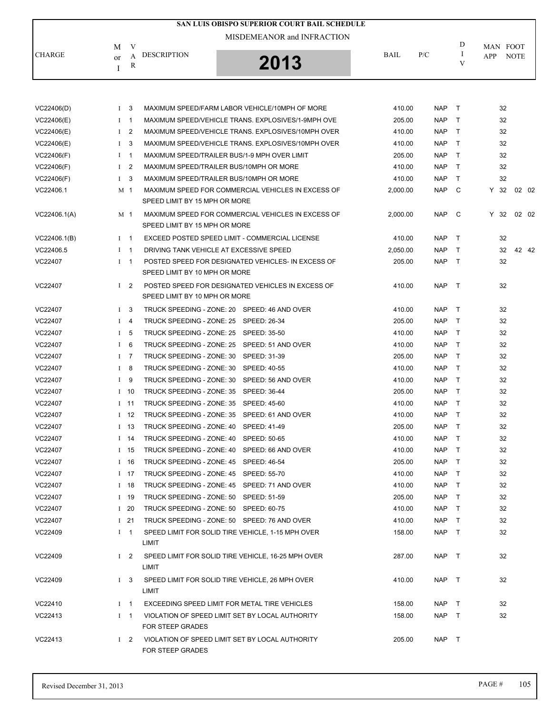|               |                        | SAN LUIS OBISPO SUPERIOR COURT BAIL SCHEDULE |             |     |   |                     |
|---------------|------------------------|----------------------------------------------|-------------|-----|---|---------------------|
|               | V<br>M                 | MISDEMEANOR and INFRACTION                   |             |     | D | MAN FOOT            |
| <b>CHARGE</b> | DESCRIPTION<br>or<br>R | 2013                                         | <b>BAIL</b> | P/C |   | <b>NOTE</b><br>APP. |

| VC22406(D)   | $1 \quad 3$    |            | MAXIMUM SPEED/FARM LABOR VEHICLE/10MPH OF MORE                                      | 410.00   | <b>NAP</b> | $\top$       | 32   |       |       |
|--------------|----------------|------------|-------------------------------------------------------------------------------------|----------|------------|--------------|------|-------|-------|
| VC22406(E)   | $I \quad 1$    |            | MAXIMUM SPEED/VEHICLE TRANS. EXPLOSIVES/1-9MPH OVE                                  | 205.00   | <b>NAP</b> | $\top$       | 32   |       |       |
| VC22406(E)   | I <sub>2</sub> |            | MAXIMUM SPEED/VEHICLE TRANS. EXPLOSIVES/10MPH OVER                                  | 410.00   | <b>NAP</b> | T            | 32   |       |       |
| VC22406(E)   | $1 \quad 3$    |            | MAXIMUM SPEED/VEHICLE TRANS. EXPLOSIVES/10MPH OVER                                  | 410.00   | <b>NAP</b> | $\top$       | 32   |       |       |
| VC22406(F)   | $I \quad 1$    |            | MAXIMUM SPEED/TRAILER BUS/1-9 MPH OVER LIMIT                                        | 205.00   | <b>NAP</b> | $\mathsf{T}$ | 32   |       |       |
| VC22406(F)   | $1 \quad 2$    |            | MAXIMUM SPEED/TRAILER BUS/10MPH OR MORE                                             | 410.00   | <b>NAP</b> | T            | 32   |       |       |
| VC22406(F)   | $1\quad 3$     |            | MAXIMUM SPEED/TRAILER BUS/10MPH OR MORE                                             | 410.00   | <b>NAP</b> | $\top$       | 32   |       |       |
| VC22406.1    | M 1            |            | MAXIMUM SPEED FOR COMMERCIAL VEHICLES IN EXCESS OF                                  | 2,000.00 | <b>NAP</b> | C.           | Y 32 | 02 02 |       |
|              |                |            | SPEED LIMIT BY 15 MPH OR MORE                                                       |          |            |              |      |       |       |
| VC22406.1(A) | M 1            |            | MAXIMUM SPEED FOR COMMERCIAL VEHICLES IN EXCESS OF<br>SPEED LIMIT BY 15 MPH OR MORE | 2,000.00 | <b>NAP</b> | C            | Y 32 | 02 02 |       |
| VC22406.1(B) | $1 \quad 1$    |            | EXCEED POSTED SPEED LIMIT - COMMERCIAL LICENSE                                      | 410.00   | <b>NAP</b> | $\top$       | 32   |       |       |
| VC22406.5    | $1 \quad 1$    |            | DRIVING TANK VEHICLE AT EXCESSIVE SPEED                                             | 2,050.00 | <b>NAP</b> | $\top$       | 32   |       | 42 42 |
| VC22407      | $I \quad 1$    |            | POSTED SPEED FOR DESIGNATED VEHICLES- IN EXCESS OF<br>SPEED LIMIT BY 10 MPH OR MORE | 205.00   | <b>NAP</b> | $\top$       | 32   |       |       |
| VC22407      | $1\quad 2$     |            | POSTED SPEED FOR DESIGNATED VEHICLES IN EXCESS OF                                   | 410.00   | NAP        | $\top$       | 32   |       |       |
|              |                |            | SPEED LIMIT BY 10 MPH OR MORE                                                       |          |            |              |      |       |       |
| VC22407      | $1 \quad 3$    |            | TRUCK SPEEDING - ZONE: 20 SPEED: 46 AND OVER                                        | 410.00   | NAP        | $\top$       | 32   |       |       |
| VC22407      | $I \quad 4$    |            | TRUCK SPEEDING - ZONE: 25 SPEED: 26-34                                              | 205.00   | <b>NAP</b> | $\top$       | 32   |       |       |
| VC22407      | I <sub>5</sub> |            | TRUCK SPEEDING - ZONE: 25 SPEED: 35-50                                              | 410.00   | <b>NAP</b> | $\top$       | 32   |       |       |
| VC22407      | $I \quad 6$    |            | TRUCK SPEEDING - ZONE: 25 SPEED: 51 AND OVER                                        | 410.00   | <b>NAP</b> | $\mathsf{T}$ | 32   |       |       |
| VC22407      | $I$ 7          |            | TRUCK SPEEDING - ZONE: 30 SPEED: 31-39                                              | 205.00   | <b>NAP</b> | T            | 32   |       |       |
| VC22407      | $I$ 8          |            | TRUCK SPEEDING - ZONE: 30 SPEED: 40-55                                              | 410.00   | <b>NAP</b> | $\top$       | 32   |       |       |
| VC22407      | $I$ 9          |            | TRUCK SPEEDING - ZONE: 30<br>SPEED: 56 AND OVER                                     | 410.00   | <b>NAP</b> | $\top$       | 32   |       |       |
| VC22407      | $I$ 10         |            | TRUCK SPEEDING - ZONE: 35 SPEED: 36-44                                              | 205.00   | <b>NAP</b> | T            | 32   |       |       |
| VC22407      | $I$ 11         |            | TRUCK SPEEDING - ZONE: 35 SPEED: 45-60                                              | 410.00   | <b>NAP</b> | $\top$       | 32   |       |       |
| VC22407      | $I$ 12         |            | SPEED: 61 AND OVER<br>TRUCK SPEEDING - ZONE: 35                                     | 410.00   | <b>NAP</b> | $\top$       | 32   |       |       |
| VC22407      | $I$ 13         |            | TRUCK SPEEDING - ZONE: 40 SPEED: 41-49                                              | 205.00   | <b>NAP</b> | T            | 32   |       |       |
| VC22407      | $I$ 14         |            | TRUCK SPEEDING - ZONE: 40 SPEED: 50-65                                              | 410.00   | <b>NAP</b> | $\top$       | 32   |       |       |
| VC22407      | $1 \quad 15$   |            | TRUCK SPEEDING - ZONE: 40 SPEED: 66 AND OVER                                        | 410.00   | <b>NAP</b> | $\top$       | 32   |       |       |
| VC22407      | $I$ 16         |            | TRUCK SPEEDING - ZONE: 45 SPEED: 46-54                                              | 205.00   | <b>NAP</b> | T            | 32   |       |       |
| VC22407      | $I$ 17         |            | TRUCK SPEEDING - ZONE: 45 SPEED: 55-70                                              | 410.00   | <b>NAP</b> | $\top$       | 32   |       |       |
| VC22407      | $I$ 18         |            | TRUCK SPEEDING - ZONE: 45 SPEED: 71 AND OVER                                        | 410.00   | <b>NAP</b> | $\top$       | 32   |       |       |
| VC22407      | $I$ 19         |            | TRUCK SPEEDING - ZONE: 50 SPEED: 51-59                                              | 205.00   | <b>NAP</b> | $\top$       | 32   |       |       |
| VC22407      |                | $I$ 20     | TRUCK SPEEDING - ZONE: 50 SPEED: 60-75                                              | 410.00   | NAP T      |              | 32   |       |       |
| VC22407      | $1\quad21$     |            | TRUCK SPEEDING - ZONE: 50 SPEED: 76 AND OVER                                        | 410.00   | NAP        | $\top$       | 32   |       |       |
| VC22409      | $I \quad 1$    |            | SPEED LIMIT FOR SOLID TIRE VEHICLE, 1-15 MPH OVER<br>LIMIT                          | 158.00   | <b>NAP</b> | $\top$       | 32   |       |       |
| VC22409      |                | $1\quad 2$ | SPEED LIMIT FOR SOLID TIRE VEHICLE, 16-25 MPH OVER<br>LIMIT                         | 287.00   | NAP T      |              | 32   |       |       |
| VC22409      | $1\quad 3$     |            | SPEED LIMIT FOR SOLID TIRE VEHICLE, 26 MPH OVER<br><b>LIMIT</b>                     | 410.00   | NAP T      |              | 32   |       |       |
| VC22410      | $1 \quad 1$    |            | EXCEEDING SPEED LIMIT FOR METAL TIRE VEHICLES                                       | 158.00   | NAP T      |              | 32   |       |       |
| VC22413      | $I \quad 1$    |            | VIOLATION OF SPEED LIMIT SET BY LOCAL AUTHORITY<br><b>FOR STEEP GRADES</b>          | 158.00   | NAP        | $\top$       | 32   |       |       |
| VC22413      | $1\quad 2$     |            | VIOLATION OF SPEED LIMIT SET BY LOCAL AUTHORITY<br>FOR STEEP GRADES                 | 205.00   | NAP T      |              |      |       |       |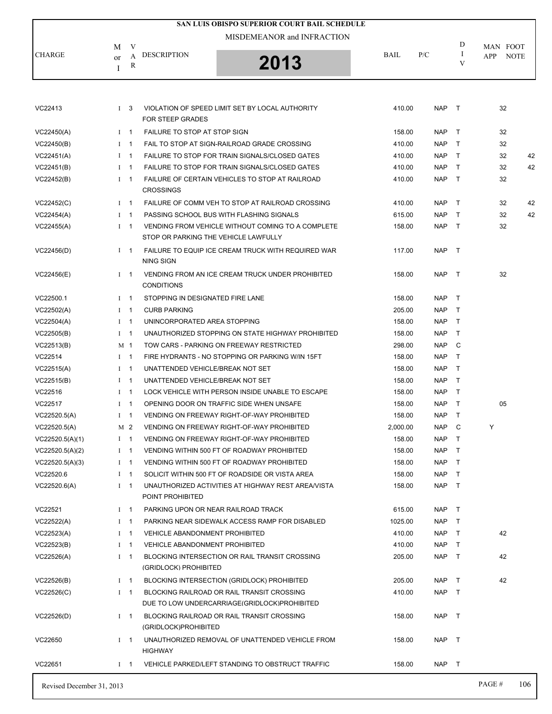|                           |    |                            |                                                         | SAN LUIS OBISPO SUPERIOR COURT BAIL SCHEDULE                                                 |                  |                          |                  |            |             |
|---------------------------|----|----------------------------|---------------------------------------------------------|----------------------------------------------------------------------------------------------|------------------|--------------------------|------------------|------------|-------------|
|                           |    |                            |                                                         | MISDEMEANOR and INFRACTION                                                                   |                  |                          |                  |            |             |
| <b>CHARGE</b>             | M  | V                          | <b>DESCRIPTION</b>                                      |                                                                                              | BAIL             | P/C                      | D<br>1           | MAN FOOT   |             |
|                           | or | A<br>$\mathbb{R}$          |                                                         | 2013                                                                                         |                  |                          | V                | <b>APP</b> | <b>NOTE</b> |
|                           | I  |                            |                                                         |                                                                                              |                  |                          |                  |            |             |
|                           |    |                            |                                                         |                                                                                              |                  |                          |                  |            |             |
| VC22413                   |    | I <sub>3</sub>             | <b>FOR STEEP GRADES</b>                                 | VIOLATION OF SPEED LIMIT SET BY LOCAL AUTHORITY                                              | 410.00           | <b>NAP</b>               | $\top$           | 32         |             |
| VC22450(A)                |    | $I \quad 1$                | <b>FAILURE TO STOP AT STOP SIGN</b>                     |                                                                                              | 158.00           | <b>NAP</b>               | $\top$           | 32         |             |
| VC22450(B)                |    | $1 \quad 1$                |                                                         | FAIL TO STOP AT SIGN-RAILROAD GRADE CROSSING                                                 | 410.00           | <b>NAP</b>               | $\mathsf{T}$     | 32         |             |
| VC22451(A)                |    | $1 \quad 1$                |                                                         | FAILURE TO STOP FOR TRAIN SIGNALS/CLOSED GATES                                               | 410.00           | <b>NAP</b>               | $\mathsf{T}$     | 32         | 42          |
| VC22451(B)                |    | $I \quad 1$                |                                                         | FAILURE TO STOP FOR TRAIN SIGNALS/CLOSED GATES                                               | 410.00           | <b>NAP</b>               | $\top$           | 32         | 42          |
| VC22452(B)                |    | $1 \quad 1$                | <b>CROSSINGS</b>                                        | FAILURE OF CERTAIN VEHICLES TO STOP AT RAILROAD                                              | 410.00           | <b>NAP</b>               | $\top$           | 32         |             |
| VC22452(C)                |    | $I \quad 1$                |                                                         | FAILURE OF COMM VEH TO STOP AT RAILROAD CROSSING                                             | 410.00           | <b>NAP</b>               | $\top$           | 32         | 42          |
| VC22454(A)                |    | $I \quad 1$                |                                                         | PASSING SCHOOL BUS WITH FLASHING SIGNALS                                                     | 615.00           | <b>NAP</b>               | $\mathsf{T}$     | 32         | 42          |
| VC22455(A)                |    | $I \quad 1$                | STOP OR PARKING THE VEHICLE LAWFULLY                    | VENDING FROM VEHICLE WITHOUT COMING TO A COMPLETE                                            | 158.00           | <b>NAP</b>               | $\top$           | 32         |             |
| VC22456(D)                |    | $1 \quad 1$                | <b>NING SIGN</b>                                        | FAILURE TO EQUIP ICE CREAM TRUCK WITH REQUIRED WAR                                           | 117.00           | <b>NAP</b>               | $\top$           |            |             |
| VC22456(E)                |    | $I \quad 1$                | <b>CONDITIONS</b>                                       | VENDING FROM AN ICE CREAM TRUCK UNDER PROHIBITED                                             | 158.00           | <b>NAP</b>               | $\top$           | 32         |             |
|                           |    |                            |                                                         |                                                                                              |                  |                          |                  |            |             |
| VC22500.1                 |    | $1 \quad 1$                | STOPPING IN DESIGNATED FIRE LANE<br><b>CURB PARKING</b> |                                                                                              | 158.00<br>205.00 | <b>NAP</b>               | $\top$           |            |             |
| VC22502(A)                |    | $1 \quad 1$<br>$1 \quad 1$ | UNINCORPORATED AREA STOPPING                            |                                                                                              |                  | <b>NAP</b>               | $\top$<br>$\top$ |            |             |
| VC22504(A)<br>VC22505(B)  |    | $1 \quad 1$                |                                                         | UNAUTHORIZED STOPPING ON STATE HIGHWAY PROHIBITED                                            | 158.00<br>158.00 | <b>NAP</b><br><b>NAP</b> | $\mathsf{T}$     |            |             |
| VC22513(B)                |    | M 1                        |                                                         | TOW CARS - PARKING ON FREEWAY RESTRICTED                                                     | 298.00           | <b>NAP</b>               | C                |            |             |
| VC22514                   |    | $I \quad 1$                |                                                         | FIRE HYDRANTS - NO STOPPING OR PARKING W/IN 15FT                                             | 158.00           | <b>NAP</b>               | T                |            |             |
| VC22515(A)                |    | $I \quad 1$                | UNATTENDED VEHICLE/BREAK NOT SET                        |                                                                                              | 158.00           | <b>NAP</b>               | $\mathsf{T}$     |            |             |
| VC22515(B)                |    | $1 \quad 1$                | UNATTENDED VEHICLE/BREAK NOT SET                        |                                                                                              | 158.00           | <b>NAP</b>               | $\mathsf{T}$     |            |             |
| VC22516                   |    | $I \quad 1$                |                                                         | LOCK VEHICLE WITH PERSON INSIDE UNABLE TO ESCAPE                                             | 158.00           | <b>NAP</b>               | $\mathsf{T}$     |            |             |
| VC22517                   |    | $1 \quad 1$                |                                                         | OPENING DOOR ON TRAFFIC SIDE WHEN UNSAFE                                                     | 158.00           | <b>NAP</b>               | $\mathsf{T}$     | 05         |             |
| VC22520.5(A)              |    | $1 \quad 1$                |                                                         | <b>VENDING ON FREEWAY RIGHT-OF-WAY PROHIBITED</b>                                            | 158.00           | <b>NAP</b>               | $\top$           |            |             |
| VC22520.5(A)              |    | M 2                        |                                                         | VENDING ON FREEWAY RIGHT-OF-WAY PROHIBITED                                                   | 2,000.00         | <b>NAP</b>               | C                | Υ          |             |
| VC22520.5(A)(1)           |    | $I \quad 1$                |                                                         | VENDING ON FREEWAY RIGHT-OF-WAY PROHIBITED                                                   | 158.00           | <b>NAP</b>               | $\mathsf{T}$     |            |             |
| VC22520.5(A)(2)           |    | $I \quad 1$                |                                                         | VENDING WITHIN 500 FT OF ROADWAY PROHIBITED                                                  | 158.00           | <b>NAP</b>               | $\top$           |            |             |
| VC22520.5(A)(3)           |    | $I \quad 1$                |                                                         | VENDING WITHIN 500 FT OF ROADWAY PROHIBITED                                                  | 158.00           | <b>NAP</b>               | $\top$           |            |             |
| VC22520.6                 |    | $I \quad 1$                |                                                         | SOLICIT WITHIN 500 FT OF ROADSIDE OR VISTA AREA                                              | 158.00           | NAP                      | $\top$           |            |             |
| VC22520.6(A)              |    | $I \quad 1$                | POINT PROHIBITED                                        | UNAUTHORIZED ACTIVITIES AT HIGHWAY REST AREA/VISTA                                           | 158.00           | <b>NAP</b>               | $\top$           |            |             |
| VC22521                   |    | $I \quad 1$                | PARKING UPON OR NEAR RAILROAD TRACK                     |                                                                                              | 615.00           | NAP T                    |                  |            |             |
| VC22522(A)                |    | $1 \quad 1$                |                                                         | PARKING NEAR SIDEWALK ACCESS RAMP FOR DISABLED                                               | 1025.00          | NAP                      | $\top$           |            |             |
| VC22523(A)                |    | $1 \quad 1$                | <b>VEHICLE ABANDONMENT PROHIBITED</b>                   |                                                                                              | 410.00           | NAP                      | $\top$           | 42         |             |
| VC22523(B)                |    | $I \quad 1$                | <b>VEHICLE ABANDONMENT PROHIBITED</b>                   |                                                                                              | 410.00           | <b>NAP</b>               | T                |            |             |
| VC22526(A)                |    | $1 \quad 1$                | (GRIDLOCK) PROHIBITED                                   | BLOCKING INTERSECTION OR RAIL TRANSIT CROSSING                                               | 205.00           | <b>NAP</b>               | $\top$           | 42         |             |
| VC22526(B)                |    | $I \quad 1$                |                                                         | <b>BLOCKING INTERSECTION (GRIDLOCK) PROHIBITED</b>                                           | 205.00           | NAP                      | $\top$           | 42         |             |
| VC22526(C)                |    | $I \quad 1$                |                                                         | BLOCKING RAILROAD OR RAIL TRANSIT CROSSING<br>DUE TO LOW UNDERCARRIAGE (GRIDLOCK) PROHIBITED | 410.00           | <b>NAP</b>               | $\top$           |            |             |
| VC22526(D)                |    | $1 \quad 1$                | (GRIDLOCK)PROHIBITED                                    | BLOCKING RAILROAD OR RAIL TRANSIT CROSSING                                                   | 158.00           | NAP T                    |                  |            |             |
| VC22650                   |    | $1 \quad 1$                |                                                         | UNAUTHORIZED REMOVAL OF UNATTENDED VEHICLE FROM                                              | 158.00           | NAP T                    |                  |            |             |
| VC22651                   |    | $I \quad 1$                | <b>HIGHWAY</b>                                          | VEHICLE PARKED/LEFT STANDING TO OBSTRUCT TRAFFIC                                             | 158.00           | NAP T                    |                  |            |             |
| Revised December 31, 2013 |    |                            |                                                         |                                                                                              |                  |                          |                  | PAGE#      | 106         |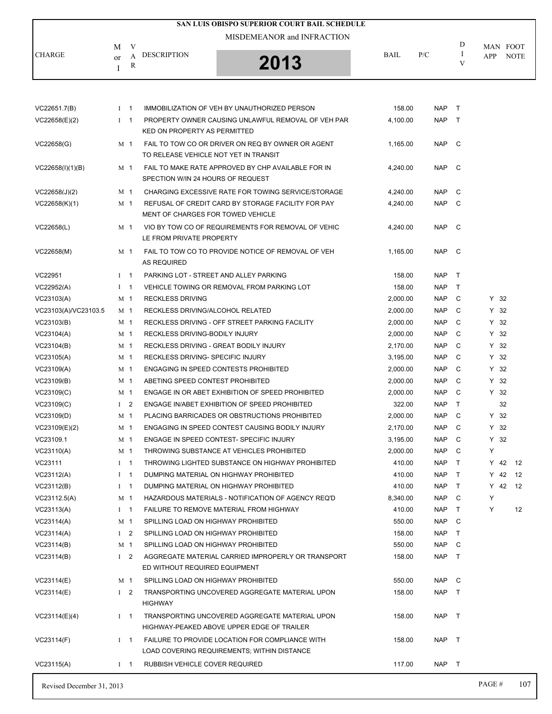| <b>CHARGE</b><br>VC22651.7(B)<br>VC22658(E)(2)<br>VC22658(G) | M<br>or<br>I<br>$1 \quad 1$<br>$1 \quad 1$<br>M 1 | V<br>A<br>R | MISDEMEANOR and INFRACTION<br><b>DESCRIPTION</b><br>2013                                       | BAIL     | P/C        | D<br>Ι<br>V  | APP    | MAN FOOT<br><b>NOTE</b> |
|--------------------------------------------------------------|---------------------------------------------------|-------------|------------------------------------------------------------------------------------------------|----------|------------|--------------|--------|-------------------------|
|                                                              |                                                   |             |                                                                                                |          |            |              |        |                         |
|                                                              |                                                   |             |                                                                                                |          |            |              |        |                         |
|                                                              |                                                   |             |                                                                                                |          |            |              |        |                         |
|                                                              |                                                   |             | IMMOBILIZATION OF VEH BY UNAUTHORIZED PERSON                                                   | 158.00   | <b>NAP</b> | $\top$       |        |                         |
|                                                              |                                                   |             | PROPERTY OWNER CAUSING UNLAWFUL REMOVAL OF VEH PAR<br>KED ON PROPERTY AS PERMITTED             | 4,100.00 | <b>NAP</b> | $\top$       |        |                         |
|                                                              |                                                   |             | FAIL TO TOW CO OR DRIVER ON REQ BY OWNER OR AGENT<br>TO RELEASE VEHICLE NOT YET IN TRANSIT     | 1,165.00 | <b>NAP</b> | - C          |        |                         |
| VC22658(I)(1)(B)                                             | M <sub>1</sub>                                    |             | FAIL TO MAKE RATE APPROVED BY CHP AVAILABLE FOR IN<br>SPECTION W/IN 24 HOURS OF REQUEST        | 4,240.00 | <b>NAP</b> | C            |        |                         |
| VC22658(J)(2)                                                | M 1                                               |             | CHARGING EXCESSIVE RATE FOR TOWING SERVICE/STORAGE                                             | 4,240.00 | <b>NAP</b> | C            |        |                         |
| VC22658(K)(1)                                                | M 1                                               |             | REFUSAL OF CREDIT CARD BY STORAGE FACILITY FOR PAY<br>MENT OF CHARGES FOR TOWED VEHICLE        | 4,240.00 | <b>NAP</b> | - C          |        |                         |
| VC22658(L)                                                   | M 1                                               |             | VIO BY TOW CO OF REQUIREMENTS FOR REMOVAL OF VEHIC<br>LE FROM PRIVATE PROPERTY                 | 4.240.00 | <b>NAP</b> | C            |        |                         |
| VC22658(M)                                                   | M 1                                               |             | FAIL TO TOW CO TO PROVIDE NOTICE OF REMOVAL OF VEH<br><b>AS REQUIRED</b>                       | 1,165.00 | <b>NAP</b> | C            |        |                         |
| VC22951                                                      | $1 \quad 1$                                       |             | PARKING LOT - STREET AND ALLEY PARKING                                                         | 158.00   | <b>NAP</b> | $\top$       |        |                         |
| VC22952(A)                                                   | $1 \quad 1$                                       |             | VEHICLE TOWING OR REMOVAL FROM PARKING LOT                                                     | 158.00   | <b>NAP</b> | $\top$       |        |                         |
| VC23103(A)                                                   | M 1                                               |             | <b>RECKLESS DRIVING</b>                                                                        | 2,000.00 | <b>NAP</b> | C            | Y 32   |                         |
| VC23103(A)/VC23103.5                                         | M 1                                               |             | RECKLESS DRIVING/ALCOHOL RELATED                                                               | 2,000.00 | <b>NAP</b> | C            | $Y$ 32 |                         |
| VC23103(B)                                                   | M 1                                               |             | RECKLESS DRIVING - OFF STREET PARKING FACILITY                                                 | 2,000.00 | <b>NAP</b> | C            | $Y$ 32 |                         |
| VC23104(A)                                                   | M <sub>1</sub>                                    |             | RECKLESS DRIVING-BODILY INJURY                                                                 | 2,000.00 | <b>NAP</b> | C            | $Y$ 32 |                         |
| VC23104(B)                                                   | M 1                                               |             | RECKLESS DRIVING - GREAT BODILY INJURY                                                         | 2,170.00 | <b>NAP</b> | C            | $Y$ 32 |                         |
| VC23105(A)                                                   | M 1                                               |             | RECKLESS DRIVING- SPECIFIC INJURY                                                              | 3,195.00 | <b>NAP</b> | C            | $Y$ 32 |                         |
| VC23109(A)                                                   | M <sub>1</sub>                                    |             | <b>ENGAGING IN SPEED CONTESTS PROHIBITED</b>                                                   | 2,000.00 | <b>NAP</b> | C            | $Y$ 32 |                         |
| VC23109(B)                                                   | M 1                                               |             | ABETING SPEED CONTEST PROHIBITED                                                               | 2,000.00 | <b>NAP</b> | C            | $Y$ 32 |                         |
| VC23109(C)                                                   | M 1                                               |             | ENGAGE IN OR ABET EXHIBITION OF SPEED PROHIBITED                                               | 2,000.00 | <b>NAP</b> | C            | $Y$ 32 |                         |
| VC23109(C)                                                   | $1\quad 2$                                        |             | ENGAGE IN/ABET EXHIBITION OF SPEED PROHIBITED                                                  | 322.00   | <b>NAP</b> | $\top$       | 32     |                         |
| VC23109(D)                                                   | M 1                                               |             | PLACING BARRICADES OR OBSTRUCTIONS PROHIBITED                                                  | 2,000.00 | <b>NAP</b> | C            | $Y$ 32 |                         |
| VC23109(E)(2)                                                | M <sub>1</sub>                                    |             | ENGAGING IN SPEED CONTEST CAUSING BODILY INJURY                                                | 2,170.00 | <b>NAP</b> | C            | $Y$ 32 |                         |
| VC23109.1                                                    | M <sub>1</sub>                                    |             | ENGAGE IN SPEED CONTEST- SPECIFIC INJURY                                                       | 3,195.00 | <b>NAP</b> | C            | $Y$ 32 |                         |
| VC23110(A)                                                   | M 1                                               |             | THROWING SUBSTANCE AT VEHICLES PROHIBITED                                                      | 2,000.00 | <b>NAP</b> | C            | Υ      |                         |
| VC23111                                                      | $I \quad 1$                                       |             | THROWING LIGHTED SUBSTANCE ON HIGHWAY PROHIBITED                                               | 410.00   | NAP        | $\top$       | $Y$ 42 | 12                      |
| VC23112(A)                                                   | $I \quad 1$                                       |             | DUMPING MATERIAL ON HIGHWAY PROHIBITED                                                         | 410.00   | <b>NAP</b> | $\top$       | Y 42   | - 12                    |
| VC23112(B)                                                   | $I \quad 1$                                       |             | DUMPING MATERIAL ON HIGHWAY PROHIBITED                                                         | 410.00   | <b>NAP</b> | $\top$       |        | Y 42 12                 |
| VC23112.5(A)                                                 | M 1                                               |             | HAZARDOUS MATERIALS - NOTIFICATION OF AGENCY REQ'D                                             | 8,340.00 | NAP        | C            | Y      |                         |
| VC23113(A)                                                   | $I \quad 1$                                       |             | FAILURE TO REMOVE MATERIAL FROM HIGHWAY                                                        | 410.00   | <b>NAP</b> | $\top$       | Y      | 12                      |
| VC23114(A)                                                   | M 1                                               |             | SPILLING LOAD ON HIGHWAY PROHIBITED                                                            | 550.00   | <b>NAP</b> | C            |        |                         |
| VC23114(A)                                                   | $1 \quad 2$                                       |             | SPILLING LOAD ON HIGHWAY PROHIBITED                                                            | 158.00   | <b>NAP</b> | $\top$       |        |                         |
| VC23114(B)                                                   | M 1                                               |             | SPILLING LOAD ON HIGHWAY PROHIBITED                                                            | 550.00   | <b>NAP</b> | $\mathbf{C}$ |        |                         |
| VC23114(B)                                                   | $1\quad 2$                                        |             | AGGREGATE MATERIAL CARRIED IMPROPERLY OR TRANSPORT<br>ED WITHOUT REQUIRED EQUIPMENT            | 158.00   | NAP        | $\top$       |        |                         |
| VC23114(E)                                                   | M 1                                               |             | SPILLING LOAD ON HIGHWAY PROHIBITED                                                            | 550.00   | <b>NAP</b> | C            |        |                         |
| VC23114(E)                                                   | $1 \quad 2$                                       |             | TRANSPORTING UNCOVERED AGGREGATE MATERIAL UPON<br><b>HIGHWAY</b>                               | 158.00   | <b>NAP</b> | $\top$       |        |                         |
| VC23114(E)(4)                                                | $I \quad 1$                                       |             | TRANSPORTING UNCOVERED AGGREGATE MATERIAL UPON<br>HIGHWAY-PEAKED ABOVE UPPER EDGE OF TRAILER   | 158.00   | NAP T      |              |        |                         |
| VC23114(F)                                                   | $1 \quad 1$                                       |             | FAILURE TO PROVIDE LOCATION FOR COMPLIANCE WITH<br>LOAD COVERING REQUIREMENTS; WITHIN DISTANCE | 158.00   | NAP        | $\top$       |        |                         |
| VC23115(A)                                                   | $I \quad 1$                                       |             | RUBBISH VEHICLE COVER REQUIRED                                                                 | 117.00   | NAP T      |              |        |                         |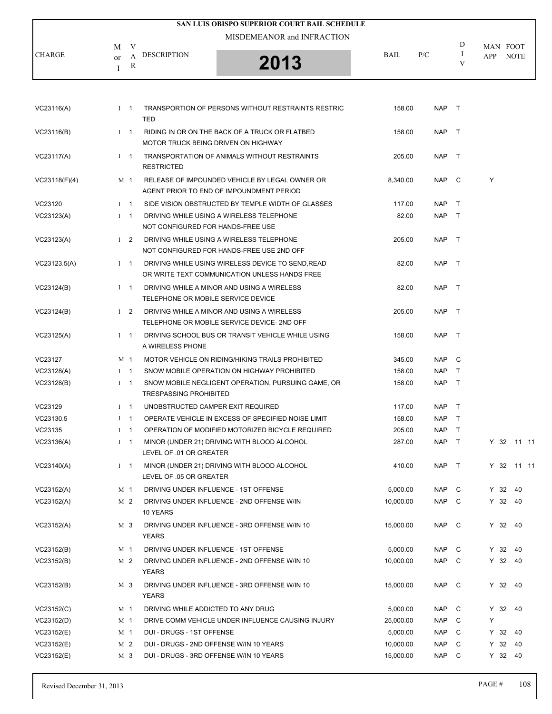|               |                                   | SAN LUIS OBISPO SUPERIOR COURT BAIL SCHEDULE |             |     |   |                                |
|---------------|-----------------------------------|----------------------------------------------|-------------|-----|---|--------------------------------|
| <b>CHARGE</b> | V<br>М<br><b>DESCRIPTION</b><br>А | MISDEMEANOR and INFRACTION                   | <b>BAIL</b> | P/C | D | MAN FOOT<br><b>NOTE</b><br>APP |
|               | <sub>or</sub><br>R                | 2013                                         |             |     |   |                                |

| VC23116(A)    | $1 \quad 1$ |            | TRANSPORTION OF PERSONS WITHOUT RESTRAINTS RESTRIC<br><b>TED</b>                                   | 158.00    | NAP T      |              |            |     |  |
|---------------|-------------|------------|----------------------------------------------------------------------------------------------------|-----------|------------|--------------|------------|-----|--|
| VC23116(B)    | $I \quad 1$ |            | RIDING IN OR ON THE BACK OF A TRUCK OR FLATBED<br>MOTOR TRUCK BEING DRIVEN ON HIGHWAY              | 158.00    | NAP T      |              |            |     |  |
| VC23117(A)    | $1 \quad 1$ |            | TRANSPORTATION OF ANIMALS WITHOUT RESTRAINTS<br><b>RESTRICTED</b>                                  | 205.00    | NAP        | $\top$       |            |     |  |
| VC23118(F)(4) | M 1         |            | RELEASE OF IMPOUNDED VEHICLE BY LEGAL OWNER OR<br>AGENT PRIOR TO END OF IMPOUNDMENT PERIOD         | 8,340.00  | NAP C      |              | Υ          |     |  |
| VC23120       | $I \quad 1$ |            | SIDE VISION OBSTRUCTED BY TEMPLE WIDTH OF GLASSES                                                  | 117.00    | <b>NAP</b> | $\top$       |            |     |  |
| VC23123(A)    | $1 \quad 1$ |            | DRIVING WHILE USING A WIRELESS TELEPHONE<br>NOT CONFIGURED FOR HANDS-FREE USE                      | 82.00     | NAP T      |              |            |     |  |
| VC23123(A)    | $1\quad 2$  |            | DRIVING WHILE USING A WIRELESS TELEPHONE<br>NOT CONFIGURED FOR HANDS-FREE USE 2ND OFF              | 205.00    | NAP T      |              |            |     |  |
| VC23123.5(A)  | $1 \quad 1$ |            | DRIVING WHILE USING WIRELESS DEVICE TO SEND, READ<br>OR WRITE TEXT COMMUNICATION UNLESS HANDS FREE | 82.00     | NAP T      |              |            |     |  |
| VC23124(B)    | $I \quad 1$ |            | DRIVING WHILE A MINOR AND USING A WIRELESS<br>TELEPHONE OR MOBILE SERVICE DEVICE                   | 82.00     | NAP T      |              |            |     |  |
| VC23124(B)    |             | $1\quad 2$ | DRIVING WHILE A MINOR AND USING A WIRELESS<br>TELEPHONE OR MOBILE SERVICE DEVICE- 2ND OFF          | 205.00    | NAP T      |              |            |     |  |
| VC23125(A)    | $I \quad 1$ |            | DRIVING SCHOOL BUS OR TRANSIT VEHICLE WHILE USING<br>A WIRELESS PHONE                              | 158.00    | <b>NAP</b> | $\top$       |            |     |  |
| VC23127       | M 1         |            | MOTOR VEHICLE ON RIDING/HIKING TRAILS PROHIBITED                                                   | 345.00    | NAP C      |              |            |     |  |
| VC23128(A)    | $I \quad 1$ |            | SNOW MOBILE OPERATION ON HIGHWAY PROHIBITED                                                        | 158.00    | <b>NAP</b> | $\top$       |            |     |  |
| VC23128(B)    | $I \quad 1$ |            | SNOW MOBILE NEGLIGENT OPERATION, PURSUING GAME, OR<br><b>TRESPASSING PROHIBITED</b>                | 158.00    | <b>NAP</b> | $\top$       |            |     |  |
| VC23129       | $I \quad 1$ |            | UNOBSTRUCTED CAMPER EXIT REQUIRED                                                                  | 117.00    | NAP T      |              |            |     |  |
| VC23130.5     | $I \quad 1$ |            | OPERATE VEHICLE IN EXCESS OF SPECIFIED NOISE LIMIT                                                 | 158.00    | NAP T      |              |            |     |  |
| VC23135       | $1 \quad 1$ |            | OPERATION OF MODIFIED MOTORIZED BICYCLE REQUIRED                                                   | 205.00    | <b>NAP</b> | $\top$       |            |     |  |
| VC23136(A)    | $I \quad 1$ |            | MINOR (UNDER 21) DRIVING WITH BLOOD ALCOHOL<br>LEVEL OF .01 OR GREATER                             | 287.00    | NAP T      |              | Y 32 11 11 |     |  |
| VC23140(A)    | $I \quad 1$ |            | MINOR (UNDER 21) DRIVING WITH BLOOD ALCOHOL<br>LEVEL OF .05 OR GREATER                             | 410.00    | NAP T      |              | Y 32 11 11 |     |  |
| VC23152(A)    | M 1         |            | DRIVING UNDER INFLUENCE - 1ST OFFENSE                                                              | 5,000.00  | NAP C      |              | Y 32 40    |     |  |
| VC23152(A)    | M 2         |            | DRIVING UNDER INFLUENCE - 2ND OFFENSE W/IN<br>10 YEARS                                             | 10,000.00 | NAP C      |              | Y 32 40    |     |  |
| VC23152(A)    | M 3         |            | DRIVING UNDER INFLUENCE - 3RD OFFENSE W/IN 10<br><b>YEARS</b>                                      | 15,000.00 | <b>NAP</b> | $\mathbf{C}$ | Y 32 40    |     |  |
| VC23152(B)    | M 1         |            | DRIVING UNDER INFLUENCE - 1ST OFFENSE                                                              | 5,000.00  | <b>NAP</b> | C            | Y 32       | -40 |  |
| VC23152(B)    | M 2         |            | DRIVING UNDER INFLUENCE - 2ND OFFENSE W/IN 10<br><b>YEARS</b>                                      | 10,000.00 | <b>NAP</b> | C            | Y 32 40    |     |  |
| VC23152(B)    | M 3         |            | DRIVING UNDER INFLUENCE - 3RD OFFENSE W/IN 10<br><b>YEARS</b>                                      | 15,000.00 | <b>NAP</b> | C            | Y 32 40    |     |  |
| VC23152(C)    | M 1         |            | DRIVING WHILE ADDICTED TO ANY DRUG                                                                 | 5,000.00  | <b>NAP</b> | C            | Y 32 40    |     |  |
| VC23152(D)    | M 1         |            | DRIVE COMM VEHICLE UNDER INFLUENCE CAUSING INJURY                                                  | 25,000.00 | <b>NAP</b> | C            | Υ          |     |  |
| VC23152(E)    | M 1         |            | DUI - DRUGS - 1ST OFFENSE                                                                          | 5,000.00  | <b>NAP</b> | C            | Y 32       | 40  |  |
| VC23152(E)    |             | M 2        | DUI - DRUGS - 2ND OFFENSE W/IN 10 YEARS                                                            | 10,000.00 | <b>NAP</b> | C            | $Y$ 32     | 40  |  |
| VC23152(E)    |             | M 3        | DUI - DRUGS - 3RD OFFENSE W/IN 10 YEARS                                                            | 15,000.00 | <b>NAP</b> | C            | Y 32 40    |     |  |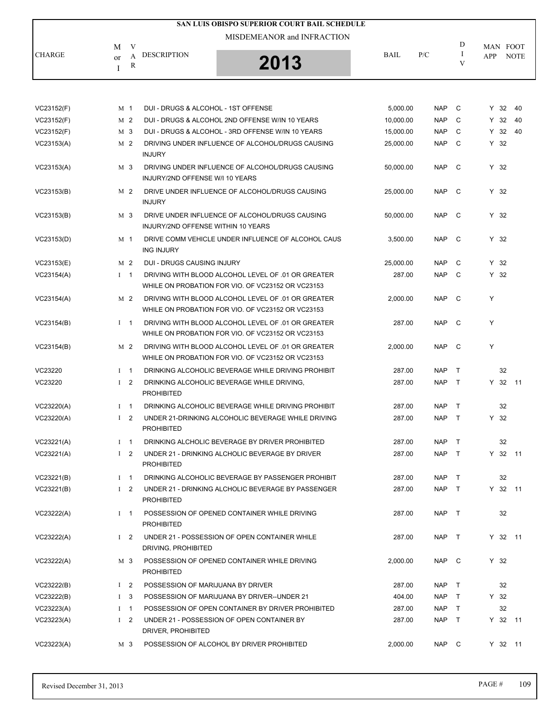|               |                         |                |                                     | SAN LUIS OBISPO SUPERIOR COURT BAIL SCHEDULE                                                            |             |            |              |                 |         |             |
|---------------|-------------------------|----------------|-------------------------------------|---------------------------------------------------------------------------------------------------------|-------------|------------|--------------|-----------------|---------|-------------|
|               |                         |                |                                     | MISDEMEANOR and INFRACTION                                                                              |             |            |              |                 |         |             |
| <b>CHARGE</b> | M<br><sub>or</sub><br>I | V<br>A<br>R    | <b>DESCRIPTION</b>                  | 2013                                                                                                    | <b>BAIL</b> | P/C        | D<br>-1<br>V | MAN FOOT<br>APP |         | <b>NOTE</b> |
|               |                         |                |                                     |                                                                                                         |             |            |              |                 |         |             |
| VC23152(F)    |                         | M 1            | DUI - DRUGS & ALCOHOL - 1ST OFFENSE |                                                                                                         | 5,000.00    | <b>NAP</b> | C            | Y 32            |         | 40          |
| VC23152(F)    |                         | M 2            |                                     | DUI - DRUGS & ALCOHOL 2ND OFFENSE W/IN 10 YEARS                                                         | 10,000.00   | <b>NAP</b> | C            |                 | Y 32    | 40          |
| VC23152(F)    |                         | M 3            |                                     | DUI - DRUGS & ALCOHOL - 3RD OFFENSE W/IN 10 YEARS                                                       | 15,000.00   | <b>NAP</b> | C            | Y 32            |         | 40          |
| VC23153(A)    |                         | M 2            | <b>INJURY</b>                       | DRIVING UNDER INFLUENCE OF ALCOHOL/DRUGS CAUSING                                                        | 25,000.00   | <b>NAP</b> | C            | $Y$ 32          |         |             |
| VC23153(A)    |                         | M 3            | INJURY/2ND OFFENSE W/I 10 YEARS     | DRIVING UNDER INFLUENCE OF ALCOHOL/DRUGS CAUSING                                                        | 50,000.00   | <b>NAP</b> | C            | $Y$ 32          |         |             |
| VC23153(B)    |                         | M 2            | <b>INJURY</b>                       | DRIVE UNDER INFLUENCE OF ALCOHOL/DRUGS CAUSING                                                          | 25,000.00   | <b>NAP</b> | C            | $Y$ 32          |         |             |
| VC23153(B)    |                         | M 3            | INJURY/2ND OFFENSE WITHIN 10 YEARS  | DRIVE UNDER INFLUENCE OF ALCOHOL/DRUGS CAUSING                                                          | 50,000.00   | <b>NAP</b> | C            | $Y$ 32          |         |             |
| VC23153(D)    |                         | M 1            | <b>ING INJURY</b>                   | DRIVE COMM VEHICLE UNDER INFLUENCE OF ALCOHOL CAUS                                                      | 3.500.00    | <b>NAP</b> | $\mathbf{C}$ | $Y$ 32          |         |             |
| VC23153(E)    |                         | M <sub>2</sub> | DUI - DRUGS CAUSING INJURY          |                                                                                                         | 25,000.00   | <b>NAP</b> | C            | $Y$ 32          |         |             |
| VC23154(A)    |                         | $I \quad 1$    |                                     | DRIVING WITH BLOOD ALCOHOL LEVEL OF .01 OR GREATER<br>WHILE ON PROBATION FOR VIO. OF VC23152 OR VC23153 | 287.00      | <b>NAP</b> | C            | $Y$ 32          |         |             |
| VC23154(A)    |                         | M 2            |                                     | DRIVING WITH BLOOD ALCOHOL LEVEL OF .01 OR GREATER<br>WHILE ON PROBATION FOR VIO. OF VC23152 OR VC23153 | 2,000.00    | <b>NAP</b> | $\mathbf{C}$ | Y               |         |             |
| VC23154(B)    |                         | $I \quad 1$    |                                     | DRIVING WITH BLOOD ALCOHOL LEVEL OF .01 OR GREATER<br>WHILE ON PROBATION FOR VIO. OF VC23152 OR VC23153 | 287.00      | <b>NAP</b> | $\mathbb C$  | Y               |         |             |
| VC23154(B)    |                         | M <sub>2</sub> |                                     | DRIVING WITH BLOOD ALCOHOL LEVEL OF .01 OR GREATER<br>WHILE ON PROBATION FOR VIO. OF VC23152 OR VC23153 | 2,000.00    | <b>NAP</b> | $\mathbf{C}$ | Y               |         |             |
| VC23220       |                         | $I \quad 1$    |                                     | DRINKING ALCOHOLIC BEVERAGE WHILE DRIVING PROHIBIT                                                      | 287.00      | <b>NAP</b> | T            |                 | 32      |             |
| VC23220       |                         | I <sub>2</sub> | <b>PROHIBITED</b>                   | DRINKING ALCOHOLIC BEVERAGE WHILE DRIVING,                                                              | 287.00      | <b>NAP</b> | $\top$       |                 | Y 32 11 |             |
| VC23220(A)    |                         | I <sub>1</sub> |                                     | DRINKING ALCOHOLIC BEVERAGE WHILE DRIVING PROHIBIT                                                      | 287.00      | <b>NAP</b> | $\top$       |                 | 32      |             |
| VC23220(A)    |                         | I <sub>2</sub> | <b>PROHIBITED</b>                   | UNDER 21-DRINKING ALCOHOLIC BEVERAGE WHILE DRIVING                                                      | 287.00      | <b>NAP</b> | T            | $Y$ 32          |         |             |
| VC23221(A)    |                         | $I \quad 1$    |                                     | DRINKING ALCHOLIC BEVERAGE BY DRIVER PROHIBITED                                                         | 287.00      | NAP T      |              |                 | 32      |             |
| VC23221(A)    |                         | $1 \quad 2$    | <b>PROHIBITED</b>                   | UNDER 21 - DRINKING ALCHOLIC BEVERAGE BY DRIVER                                                         | 287.00      | NAP        | $\top$       |                 | Y 32 11 |             |
| VC23221(B)    |                         | $I \quad 1$    |                                     | DRINKING ALCOHOLIC BEVERAGE BY PASSENGER PROHIBIT                                                       | 287.00      | <b>NAP</b> | $\top$       |                 | 32      |             |
| VC23221(B)    |                         | I <sub>2</sub> | <b>PROHIBITED</b>                   | UNDER 21 - DRINKING ALCHOLIC BEVERAGE BY PASSENGER                                                      | 287.00      | <b>NAP</b> | $\top$       |                 | Y 32 11 |             |
| VC23222(A)    |                         | $I \quad 1$    | <b>PROHIBITED</b>                   | POSSESSION OF OPENED CONTAINER WHILE DRIVING                                                            | 287.00      | NAP T      |              |                 | 32      |             |
| VC23222(A)    |                         | I <sub>2</sub> | DRIVING, PROHIBITED                 | UNDER 21 - POSSESSION OF OPEN CONTAINER WHILE                                                           | 287.00      | NAP        | $\top$       |                 | Y 32 11 |             |
| VC23222(A)    |                         | M 3            | <b>PROHIBITED</b>                   | POSSESSION OF OPENED CONTAINER WHILE DRIVING                                                            | 2,000.00    | NAP C      |              | Y 32            |         |             |
| VC23222(B)    |                         | $1\quad 2$     | POSSESSION OF MARIJUANA BY DRIVER   |                                                                                                         | 287.00      | <b>NAP</b> | $\top$       |                 | 32      |             |
| VC23222(B)    | $\mathbf{I}$            | 3              |                                     | POSSESSION OF MARIJUANA BY DRIVER--UNDER 21                                                             | 404.00      | NAP        | $\top$       | $Y$ 32          |         |             |
| VC23223(A)    |                         | $1 \quad 1$    |                                     | POSSESSION OF OPEN CONTAINER BY DRIVER PROHIBITED                                                       | 287.00      | NAP        | $\top$       |                 | 32      |             |
| VC23223(A)    |                         | $1\quad 2$     | DRIVER, PROHIBITED                  | UNDER 21 - POSSESSION OF OPEN CONTAINER BY                                                              | 287.00      | <b>NAP</b> | $\top$       |                 | Y 32 11 |             |
| VC23223(A)    |                         | M 3            |                                     | POSSESSION OF ALCOHOL BY DRIVER PROHIBITED                                                              | 2,000.00    | NAP C      |              |                 | Y 32 11 |             |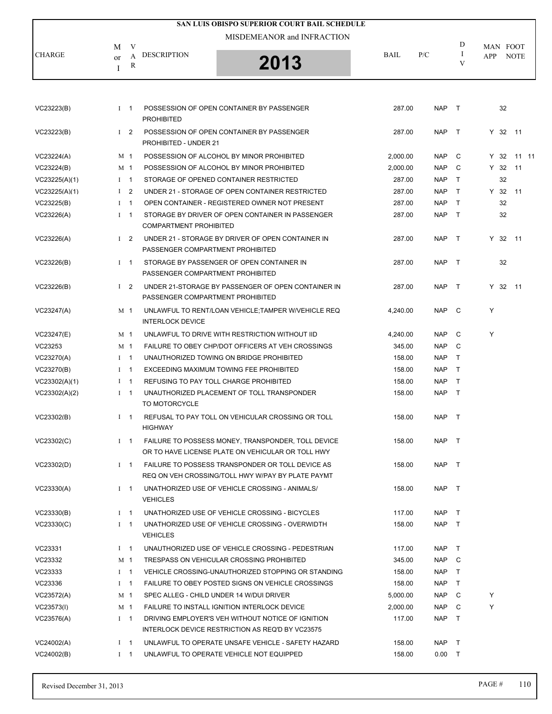|               |              |                |                                  | SAN LUIS OBISPO SUPERIOR COURT BAIL SCHEDULE                                                            |             |            |              |      |                         |  |
|---------------|--------------|----------------|----------------------------------|---------------------------------------------------------------------------------------------------------|-------------|------------|--------------|------|-------------------------|--|
|               |              |                |                                  | MISDEMEANOR and INFRACTION                                                                              |             |            |              |      |                         |  |
| <b>CHARGE</b> | M<br>or<br>I | V<br>A<br>R    | <b>DESCRIPTION</b>               | 2013                                                                                                    | <b>BAIL</b> | P/C        | D<br>I<br>V  | APP  | MAN FOOT<br><b>NOTE</b> |  |
|               |              |                |                                  |                                                                                                         |             |            |              |      |                         |  |
| VC23223(B)    |              | $I \quad 1$    | <b>PROHIBITED</b>                | POSSESSION OF OPEN CONTAINER BY PASSENGER                                                               | 287.00      | <b>NAP</b> | $\top$       |      | 32                      |  |
| VC23223(B)    |              | $1\quad 2$     | PROHIBITED - UNDER 21            | POSSESSION OF OPEN CONTAINER BY PASSENGER                                                               | 287.00      | <b>NAP</b> | $\top$       |      | Y 32 11                 |  |
| VC23224(A)    |              | M 1            |                                  | POSSESSION OF ALCOHOL BY MINOR PROHIBITED                                                               | 2,000.00    | <b>NAP</b> | C            | Y 32 | 11 11                   |  |
| VC23224(B)    |              | M <sub>1</sub> |                                  | POSSESSION OF ALCOHOL BY MINOR PROHIBITED                                                               | 2,000.00    | <b>NAP</b> | C            | Y 32 | 11                      |  |
| VC23225(A)(1) |              | $I \quad 1$    |                                  | STORAGE OF OPENED CONTAINER RESTRICTED                                                                  | 287.00      | <b>NAP</b> | $\top$       |      | 32                      |  |
| VC23225(A)(1) |              | $1 \quad 2$    |                                  | UNDER 21 - STORAGE OF OPEN CONTAINER RESTRICTED                                                         | 287.00      | <b>NAP</b> | $\top$       | Y 32 | 11                      |  |
| VC23225(B)    |              | $1 \quad 1$    |                                  | OPEN CONTAINER - REGISTERED OWNER NOT PRESENT                                                           | 287.00      | <b>NAP</b> | $\mathsf{T}$ |      | 32                      |  |
| VC23226(A)    |              | $I \quad 1$    | <b>COMPARTMENT PROHIBITED</b>    | STORAGE BY DRIVER OF OPEN CONTAINER IN PASSENGER                                                        | 287.00      | <b>NAP</b> | $\top$       |      | 32                      |  |
| VC23226(A)    |              | $1\quad 2$     | PASSENGER COMPARTMENT PROHIBITED | UNDER 21 - STORAGE BY DRIVER OF OPEN CONTAINER IN                                                       | 287.00      | <b>NAP</b> | $\top$       |      | Y 32 11                 |  |
| VC23226(B)    |              | $I \quad 1$    | PASSENGER COMPARTMENT PROHIBITED | STORAGE BY PASSENGER OF OPEN CONTAINER IN                                                               | 287.00      | <b>NAP</b> | $\top$       |      | 32                      |  |
| VC23226(B)    |              | $1\quad 2$     | PASSENGER COMPARTMENT PROHIBITED | UNDER 21-STORAGE BY PASSENGER OF OPEN CONTAINER IN                                                      | 287.00      | <b>NAP</b> | $\top$       |      | Y 32 11                 |  |
| VC23247(A)    |              | M 1            | <b>INTERLOCK DEVICE</b>          | UNLAWFUL TO RENT/LOAN VEHICLE; TAMPER W/VEHICLE REQ                                                     | 4,240.00    | <b>NAP</b> | C            | Y    |                         |  |
| VC23247(E)    |              | M <sub>1</sub> |                                  | UNLAWFUL TO DRIVE WITH RESTRICTION WITHOUT IID                                                          | 4,240.00    | <b>NAP</b> | C            | Y    |                         |  |
| VC23253       |              | M <sub>1</sub> |                                  | FAILURE TO OBEY CHP/DOT OFFICERS AT VEH CROSSINGS                                                       | 345.00      | <b>NAP</b> | C            |      |                         |  |
| VC23270(A)    |              | $I \quad 1$    |                                  | UNAUTHORIZED TOWING ON BRIDGE PROHIBITED                                                                | 158.00      | <b>NAP</b> | $\mathsf{T}$ |      |                         |  |
| VC23270(B)    |              | $I \quad 1$    |                                  | EXCEEDING MAXIMUM TOWING FEE PROHIBITED                                                                 | 158.00      | <b>NAP</b> | $\top$       |      |                         |  |
| VC23302(A)(1) |              | $I \quad 1$    |                                  | REFUSING TO PAY TOLL CHARGE PROHIBITED                                                                  | 158.00      | <b>NAP</b> | $\mathsf{T}$ |      |                         |  |
| VC23302(A)(2) |              | $I \quad 1$    | TO MOTORCYCLE                    | UNAUTHORIZED PLACEMENT OF TOLL TRANSPONDER                                                              | 158.00      | <b>NAP</b> | $\top$       |      |                         |  |
| VC23302(B)    |              | $1 \quad 1$    | <b>HIGHWAY</b>                   | REFUSAL TO PAY TOLL ON VEHICULAR CROSSING OR TOLL                                                       | 158.00      | <b>NAP</b> | $\top$       |      |                         |  |
| VC23302(C)    |              | $I \quad 1$    |                                  | FAILURE TO POSSESS MONEY, TRANSPONDER, TOLL DEVICE<br>OR TO HAVE LICENSE PLATE ON VEHICULAR OR TOLL HWY | 158.00      | NAP T      |              |      |                         |  |
| VC23302(D)    |              | $I \quad 1$    |                                  | FAILURE TO POSSESS TRANSPONDER OR TOLL DEVICE AS<br>REQ ON VEH CROSSING/TOLL HWY W/PAY BY PLATE PAYMT   | 158.00      | NAP        | $\top$       |      |                         |  |
| VC23330(A)    |              | $1 \quad 1$    | <b>VEHICLES</b>                  | UNATHORIZED USE OF VEHICLE CROSSING - ANIMALS/                                                          | 158.00      | <b>NAP</b> | $\top$       |      |                         |  |
| VC23330(B)    |              | $I \quad 1$    |                                  | UNATHORIZED USE OF VEHICLE CROSSING - BICYCLES                                                          | 117.00      | <b>NAP</b> | $\mathsf{T}$ |      |                         |  |
| VC23330(C)    |              | $I \quad 1$    | <b>VEHICLES</b>                  | UNATHORIZED USE OF VEHICLE CROSSING - OVERWIDTH                                                         | 158.00      | <b>NAP</b> | $\top$       |      |                         |  |
| VC23331       |              | $1 \quad 1$    |                                  | UNAUTHORIZED USE OF VEHICLE CROSSING - PEDESTRIAN                                                       | 117.00      | <b>NAP</b> | $\mathsf{T}$ |      |                         |  |
| VC23332       |              | M 1            |                                  | TRESPASS ON VEHICULAR CROSSING PROHIBITED                                                               | 345.00      | <b>NAP</b> | C            |      |                         |  |
| VC23333       |              | $I \quad 1$    |                                  | VEHICLE CROSSING-UNAUTHORIZED STOPPING OR STANDING                                                      | 158.00      | <b>NAP</b> | T            |      |                         |  |
| VC23336       |              | $I \quad 1$    |                                  | FAILURE TO OBEY POSTED SIGNS ON VEHICLE CROSSINGS                                                       | 158.00      | <b>NAP</b> | $\top$       |      |                         |  |
| VC23572(A)    |              | M 1            |                                  | SPEC ALLEG - CHILD UNDER 14 W/DUI DRIVER                                                                | 5,000.00    | <b>NAP</b> | C            | Y    |                         |  |
| VC23573(I)    |              | M 1            |                                  | FAILURE TO INSTALL IGNITION INTERLOCK DEVICE                                                            | 2,000.00    | <b>NAP</b> | C            | Υ    |                         |  |
| VC23576(A)    |              | $I \quad 1$    |                                  | DRIVING EMPLOYER'S VEH WITHOUT NOTICE OF IGNITION<br>INTERLOCK DEVICE RESTRICTION AS REQ'D BY VC23575   | 117.00      | <b>NAP</b> | $\top$       |      |                         |  |
| VC24002(A)    |              | $I \quad 1$    |                                  | UNLAWFUL TO OPERATE UNSAFE VEHICLE - SAFETY HAZARD                                                      | 158.00      | <b>NAP</b> | T            |      |                         |  |
| VC24002(B)    |              | $1 \quad 1$    |                                  | UNLAWFUL TO OPERATE VEHICLE NOT EQUIPPED                                                                | 158.00      | 0.00       | $\top$       |      |                         |  |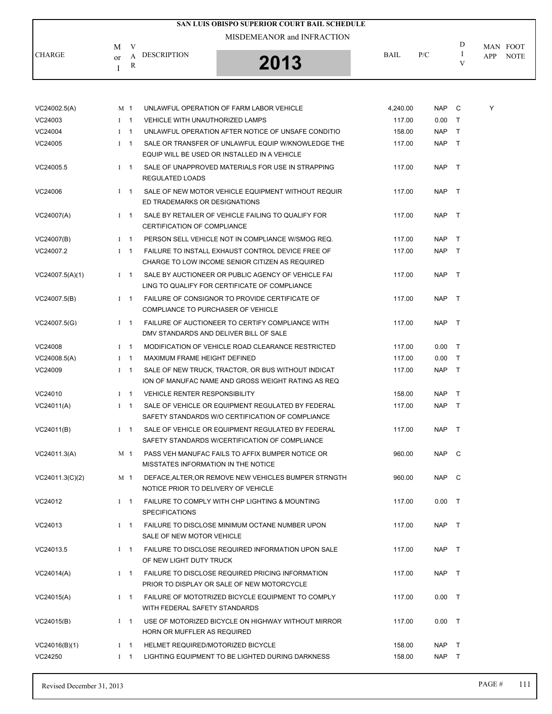|               |                                               | SAN LUIS OBISPO SUPERIOR COURT BAIL SCHEDULE |             |     |   |                    |
|---------------|-----------------------------------------------|----------------------------------------------|-------------|-----|---|--------------------|
|               | М                                             | MISDEMEANOR and INFRACTION                   |             |     | D | MAN FOOT           |
| <b>CHARGE</b> | <b>DESCRIPTION</b><br>А<br><sub>or</sub><br>R | 2013                                         | <b>BAIL</b> | P/C |   | <b>NOTE</b><br>APP |

| VC24002.5(A)    |              | M 1            | UNLAWFUL OPERATION OF FARM LABOR VEHICLE             | 4,240.00 | NAP        | C      | Y |
|-----------------|--------------|----------------|------------------------------------------------------|----------|------------|--------|---|
| VC24003         | $1 \quad 1$  |                | <b>VEHICLE WITH UNAUTHORIZED LAMPS</b>               | 117.00   | 0.00       | $\top$ |   |
| VC24004         | $\bf{I}$     | $\overline{1}$ | UNLAWFUL OPERATION AFTER NOTICE OF UNSAFE CONDITIO   | 158.00   | <b>NAP</b> | $\top$ |   |
| VC24005         |              | $I \quad 1$    | SALE OR TRANSFER OF UNLAWFUL EQUIP W/KNOWLEDGE THE   | 117.00   | NAP T      |        |   |
|                 |              |                | EQUIP WILL BE USED OR INSTALLED IN A VEHICLE         |          |            |        |   |
| VC24005.5       |              | $1 \quad 1$    | SALE OF UNAPPROVED MATERIALS FOR USE IN STRAPPING    | 117.00   | NAP T      |        |   |
|                 |              |                | REGULATED LOADS                                      |          |            |        |   |
| VC24006         |              | $1 \quad 1$    | SALE OF NEW MOTOR VEHICLE EQUIPMENT WITHOUT REQUIR   | 117.00   | NAP T      |        |   |
|                 |              |                | ED TRADEMARKS OR DESIGNATIONS                        |          |            |        |   |
| VC24007(A)      |              | $1 \quad 1$    | SALE BY RETAILER OF VEHICLE FAILING TO QUALIFY FOR   | 117.00   | NAP T      |        |   |
|                 |              |                | CERTIFICATION OF COMPLIANCE                          |          |            |        |   |
| VC24007(B)      |              | $1 \quad 1$    | PERSON SELL VEHICLE NOT IN COMPLIANCE W/SMOG REQ.    | 117.00   | NAP T      |        |   |
| VC24007.2       |              | $1 \quad 1$    | FAILURE TO INSTALL EXHAUST CONTROL DEVICE FREE OF    | 117.00   | NAP T      |        |   |
|                 |              |                | CHARGE TO LOW INCOME SENIOR CITIZEN AS REQUIRED      |          |            |        |   |
| VC24007.5(A)(1) |              | $1 \quad 1$    | SALE BY AUCTIONEER OR PUBLIC AGENCY OF VEHICLE FAI   | 117.00   | NAP T      |        |   |
|                 |              |                | LING TO QUALIFY FOR CERTIFICATE OF COMPLIANCE        |          |            |        |   |
| VC24007.5(B)    |              | $1 \quad 1$    | FAILURE OF CONSIGNOR TO PROVIDE CERTIFICATE OF       | 117.00   | NAP T      |        |   |
|                 |              |                | COMPLIANCE TO PURCHASER OF VEHICLE                   |          |            |        |   |
| VC24007.5(G)    |              | $1 \quad 1$    | FAILURE OF AUCTIONEER TO CERTIFY COMPLIANCE WITH     | 117.00   | NAP T      |        |   |
|                 |              |                | DMV STANDARDS AND DELIVER BILL OF SALE               |          |            |        |   |
| VC24008         | $I \quad 1$  |                | MODIFICATION OF VEHICLE ROAD CLEARANCE RESTRICTED    | 117.00   | 0.00       | $\top$ |   |
| VC24008.5(A)    | $\mathbf{I}$ | $\overline{1}$ | MAXIMUM FRAME HEIGHT DEFINED                         | 117.00   | 0.00       | $\top$ |   |
| VC24009         |              | $1 \quad 1$    | SALE OF NEW TRUCK, TRACTOR, OR BUS WITHOUT INDICAT   | 117.00   | NAP T      |        |   |
|                 |              |                | ION OF MANUFAC NAME AND GROSS WEIGHT RATING AS REQ   |          |            |        |   |
| VC24010         |              | $1 \quad 1$    | <b>VEHICLE RENTER RESPONSIBILITY</b>                 | 158.00   | NAP T      |        |   |
| VC24011(A)      |              | $I \quad 1$    | SALE OF VEHICLE OR EQUIPMENT REGULATED BY FEDERAL    | 117.00   | NAP T      |        |   |
|                 |              |                | SAFETY STANDARDS W/O CERTIFICATION OF COMPLIANCE     |          |            |        |   |
| VC24011(B)      |              | $I \quad 1$    | SALE OF VEHICLE OR EQUIPMENT REGULATED BY FEDERAL    | 117.00   | NAP        | $\top$ |   |
|                 |              |                | SAFETY STANDARDS W/CERTIFICATION OF COMPLIANCE       |          |            |        |   |
| VC24011.3(A)    |              | M 1            | PASS VEH MANUFAC FAILS TO AFFIX BUMPER NOTICE OR     | 960.00   | NAP C      |        |   |
|                 |              |                | MISSTATES INFORMATION IN THE NOTICE                  |          |            |        |   |
| VC24011.3(C)(2) |              | M 1            | DEFACE, ALTER, OR REMOVE NEW VEHICLES BUMPER STRNGTH | 960.00   | NAP C      |        |   |
|                 |              |                | NOTICE PRIOR TO DELIVERY OF VEHICLE                  |          |            |        |   |
| VC24012         |              | $1 \quad 1$    | FAILURE TO COMPLY WITH CHP LIGHTING & MOUNTING       | 117.00   | $0.00$ T   |        |   |
|                 |              |                | <b>SPECIFICATIONS</b>                                |          |            |        |   |
| VC24013         |              | $I = 1$        | FAILURE TO DISCLOSE MINIMUM OCTANE NUMBER UPON       | 117.00   | NAP T      |        |   |
|                 |              |                | SALE OF NEW MOTOR VEHICLE                            |          |            |        |   |
| VC24013.5       |              | $I \quad 1$    | FAILURE TO DISCLOSE REQUIRED INFORMATION UPON SALE   | 117.00   | NAP T      |        |   |
|                 |              |                | OF NEW LIGHT DUTY TRUCK                              |          |            |        |   |
| VC24014(A)      |              | $1 \quad 1$    | FAILURE TO DISCLOSE REQUIRED PRICING INFORMATION     | 117.00   | NAP T      |        |   |
|                 |              |                | PRIOR TO DISPLAY OR SALE OF NEW MOTORCYCLE           |          |            |        |   |
| VC24015(A)      |              | $1 \quad 1$    | FAILURE OF MOTOTRIZED BICYCLE EQUIPMENT TO COMPLY    | 117.00   | 0.00       | $\top$ |   |
|                 |              |                | WITH FEDERAL SAFETY STANDARDS                        |          |            |        |   |
| VC24015(B)      |              | $1 \quad 1$    | USE OF MOTORIZED BICYCLE ON HIGHWAY WITHOUT MIRROR   | 117.00   | 0.00       | $\top$ |   |
|                 |              |                | HORN OR MUFFLER AS REQUIRED                          |          |            |        |   |
| VC24016(B)(1)   |              | $I \quad 1$    | HELMET REQUIRED/MOTORIZED BICYCLE                    | 158.00   | NAP T      |        |   |
| VC24250         |              | $1 \quad 1$    | LIGHTING EQUIPMENT TO BE LIGHTED DURING DARKNESS     | 158.00   | NAP T      |        |   |
|                 |              |                |                                                      |          |            |        |   |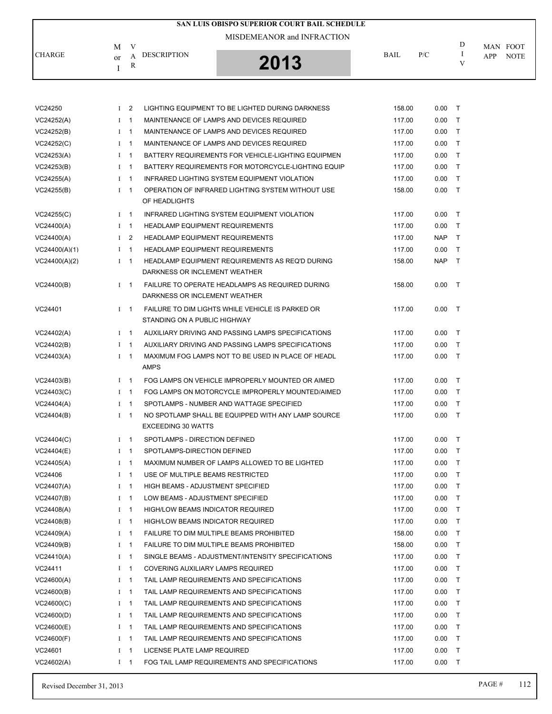|               |                                               | SAN LUIS OBISPO SUPERIOR COURT BAIL SCHEDULE |             |     |   |                                |
|---------------|-----------------------------------------------|----------------------------------------------|-------------|-----|---|--------------------------------|
|               |                                               | MISDEMEANOR and INFRACTION                   |             |     |   |                                |
| <b>CHARGE</b> | V<br>M<br><b>DESCRIPTION</b><br>$\alpha$<br>R | 2013                                         | <b>BAIL</b> | P/C | D | MAN FOOT<br><b>NOTE</b><br>APP |

| VC24250       | $1\quad 2$  |                | LIGHTING EQUIPMENT TO BE LIGHTED DURING DARKNESS                                 | 158.00 | 0.00       | $\top$       |
|---------------|-------------|----------------|----------------------------------------------------------------------------------|--------|------------|--------------|
| VC24252(A)    | $1 \quad 1$ |                | MAINTENANCE OF LAMPS AND DEVICES REQUIRED                                        | 117.00 | 0.00       | $\top$       |
| VC24252(B)    | $I \quad 1$ |                | MAINTENANCE OF LAMPS AND DEVICES REQUIRED                                        | 117.00 | 0.00       | T            |
| VC24252(C)    | $1 \quad 1$ |                | MAINTENANCE OF LAMPS AND DEVICES REQUIRED                                        | 117.00 | 0.00       | $\top$       |
| VC24253(A)    | $I \quad 1$ |                | BATTERY REQUIREMENTS FOR VEHICLE-LIGHTING EQUIPMEN                               | 117.00 | 0.00       | $\top$       |
| VC24253(B)    | $I \quad 1$ |                | BATTERY REQUIREMENTS FOR MOTORCYCLE-LIGHTING EQUIP                               | 117.00 | 0.00       | $\top$       |
| VC24255(A)    | $1 \quad 1$ |                | INFRARED LIGHTING SYSTEM EQUIPMENT VIOLATION                                     | 117.00 | 0.00       | $\top$       |
| VC24255(B)    | $1 \quad 1$ |                | OPERATION OF INFRARED LIGHTING SYSTEM WITHOUT USE<br>OF HEADLIGHTS               | 158.00 | 0.00       | T            |
| VC24255(C)    | $1 \quad 1$ |                | INFRARED LIGHTING SYSTEM EQUIPMENT VIOLATION                                     | 117.00 | 0.00       | $\top$       |
| VC24400(A)    | $1 \quad 1$ |                | <b>HEADLAMP EQUIPMENT REQUIREMENTS</b>                                           | 117.00 | 0.00       | $\mathsf{T}$ |
| VC24400(A)    | $1\quad 2$  |                | <b>HEADLAMP EQUIPMENT REQUIREMENTS</b>                                           | 117.00 | NAP        | $\top$       |
| VC24400(A)(1) | $1 \quad 1$ |                | <b>HEADLAMP EQUIPMENT REQUIREMENTS</b>                                           | 117.00 | 0.00       | $\top$       |
| VC24400(A)(2) | $1 \quad 1$ |                | HEADLAMP EQUIPMENT REQUIREMENTS AS REQ'D DURING<br>DARKNESS OR INCLEMENT WEATHER | 158.00 | <b>NAP</b> | $\top$       |
| VC24400(B)    |             | $I \quad 1$    | FAILURE TO OPERATE HEADLAMPS AS REQUIRED DURING<br>DARKNESS OR INCLEMENT WEATHER | 158.00 | 0.00       | $\top$       |
| VC24401       | $I \quad 1$ |                | FAILURE TO DIM LIGHTS WHILE VEHICLE IS PARKED OR<br>STANDING ON A PUBLIC HIGHWAY | 117.00 | 0.00       | $\top$       |
| VC24402(A)    | $1 \quad 1$ |                | AUXILIARY DRIVING AND PASSING LAMPS SPECIFICATIONS                               | 117.00 | 0.00       | $\top$       |
| VC24402(B)    | $1 \quad 1$ |                | AUXILIARY DRIVING AND PASSING LAMPS SPECIFICATIONS                               | 117.00 | 0.00       | $\top$       |
| VC24403(A)    | $1 \quad 1$ |                | MAXIMUM FOG LAMPS NOT TO BE USED IN PLACE OF HEADL                               | 117.00 | 0.00       | $\top$       |
|               |             |                | <b>AMPS</b>                                                                      |        |            |              |
| VC24403(B)    | $I \quad 1$ |                | FOG LAMPS ON VEHICLE IMPROPERLY MOUNTED OR AIMED                                 | 117.00 | 0.00       | $\top$       |
| VC24403(C)    | $1 \quad 1$ |                | FOG LAMPS ON MOTORCYCLE IMPROPERLY MOUNTED/AIMED                                 | 117.00 | 0.00       | $\top$       |
| VC24404(A)    | $I \quad 1$ |                | SPOTLAMPS - NUMBER AND WATTAGE SPECIFIED                                         | 117.00 | 0.00       | $\top$       |
| VC24404(B)    | $I \quad 1$ |                | NO SPOTLAMP SHALL BE EQUIPPED WITH ANY LAMP SOURCE<br><b>EXCEEDING 30 WATTS</b>  | 117.00 | 0.00       | $\top$       |
| VC24404(C)    | $1 \quad 1$ |                | SPOTLAMPS - DIRECTION DEFINED                                                    | 117.00 | 0.00       | $\top$       |
| VC24404(E)    | $1 \quad 1$ |                | SPOTLAMPS-DIRECTION DEFINED                                                      | 117.00 | 0.00       | $\top$       |
| VC24405(A)    | $1 \quad 1$ |                | MAXIMUM NUMBER OF LAMPS ALLOWED TO BE LIGHTED                                    | 117.00 | 0.00       | $\top$       |
| VC24406       | $1 \quad 1$ |                | USE OF MULTIPLE BEAMS RESTRICTED                                                 | 117.00 | 0.00       | $\top$       |
| VC24407(A)    | $1 \quad 1$ |                | <b>HIGH BEAMS - ADJUSTMENT SPECIFIED</b>                                         | 117.00 | 0.00       | $\top$       |
| VC24407(B)    | $1 \quad 1$ |                | LOW BEAMS - ADJUSTMENT SPECIFIED                                                 | 117.00 | 0.00       | $\top$       |
| VC24408(A)    | $I$ 1       |                | HIGH/LOW BEAMS INDICATOR REQUIRED                                                | 117.00 | 0.00       | $\mathsf{T}$ |
| VC24408(B)    | $\bf{I}$    | $\mathbf{1}$   | <b>HIGH/LOW BEAMS INDICATOR REQUIRED</b>                                         | 117.00 | 0.00       | Τ            |
| VC24409(A)    | Ι           | $\overline{1}$ | FAILURE TO DIM MULTIPLE BEAMS PROHIBITED                                         | 158.00 | 0.00       | T            |
| VC24409(B)    | Ι           | $\overline{1}$ | <b>FAILURE TO DIM MULTIPLE BEAMS PROHIBITED</b>                                  | 158.00 | 0.00       | T            |
| VC24410(A)    | $\bf{I}$    | $\overline{1}$ | SINGLE BEAMS - ADJUSTMENT/INTENSITY SPECIFICATIONS                               | 117.00 | 0.00       | $\mathsf{T}$ |
| VC24411       | Ι           | $\mathbf 1$    | COVERING AUXILIARY LAMPS REQUIRED                                                | 117.00 | 0.00       | $\mathsf{T}$ |
| VC24600(A)    | Ι           | $\overline{1}$ | TAIL LAMP REQUIREMENTS AND SPECIFICATIONS                                        | 117.00 | 0.00       | T            |
| VC24600(B)    | $\bf{I}$    | $\overline{1}$ | TAIL LAMP REQUIREMENTS AND SPECIFICATIONS                                        | 117.00 | 0.00       | T            |
| VC24600(C)    | Ι           | $\overline{1}$ | TAIL LAMP REQUIREMENTS AND SPECIFICATIONS                                        | 117.00 | 0.00       | T            |
| VC24600(D)    | Ι           | $\overline{1}$ | TAIL LAMP REQUIREMENTS AND SPECIFICATIONS                                        | 117.00 | 0.00       | Τ            |
| VC24600(E)    | $\bf{I}$    | $\overline{1}$ | TAIL LAMP REQUIREMENTS AND SPECIFICATIONS                                        | 117.00 | 0.00       | T            |
| VC24600(F)    | Ι           | $\mathbf{1}$   | TAIL LAMP REQUIREMENTS AND SPECIFICATIONS                                        | 117.00 | 0.00       | $\mathsf{T}$ |
| VC24601       | Ι.          | $\mathbf{1}$   | LICENSE PLATE LAMP REQUIRED                                                      | 117.00 | 0.00       | Τ            |
| VC24602(A)    | $I \quad 1$ |                | FOG TAIL LAMP REQUIREMENTS AND SPECIFICATIONS                                    | 117.00 | 0.00       | Τ            |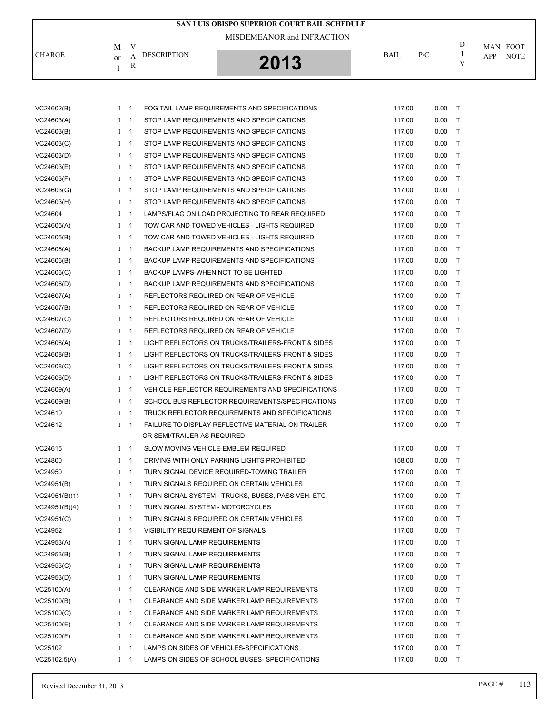|               | M            | V              |                                                   |        |      | D            | MAN FOOT           |
|---------------|--------------|----------------|---------------------------------------------------|--------|------|--------------|--------------------|
| <b>CHARGE</b> | or           | A              | <b>DESCRIPTION</b><br>2013                        | BAIL   | P/C  | I<br>V       | APP<br><b>NOTE</b> |
|               | I            | R              |                                                   |        |      |              |                    |
|               |              |                |                                                   |        |      |              |                    |
|               |              |                |                                                   |        |      |              |                    |
| VC24602(B)    |              | $I \quad 1$    | FOG TAIL LAMP REQUIREMENTS AND SPECIFICATIONS     | 117.00 | 0.00 | $\top$       |                    |
| VC24603(A)    |              | $1 \quad 1$    | STOP LAMP REQUIREMENTS AND SPECIFICATIONS         | 117.00 | 0.00 | Τ            |                    |
| VC24603(B)    | $\mathbf{I}$ | $\overline{1}$ | STOP LAMP REQUIREMENTS AND SPECIFICATIONS         | 117.00 | 0.00 | Τ            |                    |
| VC24603(C)    | $\mathbf{I}$ | $\overline{1}$ | STOP LAMP REQUIREMENTS AND SPECIFICATIONS         | 117.00 | 0.00 | $\top$       |                    |
| VC24603(D)    | Ι.           | $\overline{1}$ | STOP LAMP REQUIREMENTS AND SPECIFICATIONS         | 117.00 | 0.00 | $\mathsf{T}$ |                    |
| VC24603(E)    | $\mathbf{I}$ | $\overline{1}$ | STOP LAMP REQUIREMENTS AND SPECIFICATIONS         | 117.00 | 0.00 | $\mathsf{T}$ |                    |
| VC24603(F)    | $\mathbf{I}$ | $\overline{1}$ | STOP LAMP REQUIREMENTS AND SPECIFICATIONS         | 117.00 | 0.00 | $\mathsf{T}$ |                    |
| VC24603(G)    | $\bf{I}$     | $\overline{1}$ | STOP LAMP REQUIREMENTS AND SPECIFICATIONS         | 117.00 | 0.00 | Τ            |                    |
| VC24603(H)    | $\mathbf{I}$ | $\overline{1}$ | STOP LAMP REQUIREMENTS AND SPECIFICATIONS         | 117.00 | 0.00 | Τ            |                    |
| VC24604       | $\mathbf{I}$ | $\overline{1}$ | LAMPS/FLAG ON LOAD PROJECTING TO REAR REQUIRED    | 117.00 | 0.00 | $\mathsf{T}$ |                    |
| VC24605(A)    | $\mathbf{I}$ | -1             | TOW CAR AND TOWED VEHICLES - LIGHTS REQUIRED      | 117.00 | 0.00 | $\mathsf{T}$ |                    |
| VC24605(B)    |              | $1 \quad 1$    | TOW CAR AND TOWED VEHICLES - LIGHTS REQUIRED      | 117.00 | 0.00 | $\mathsf{T}$ |                    |
| VC24606(A)    |              | $I \quad 1$    | BACKUP LAMP REQUIREMENTS AND SPECIFICATIONS       | 117.00 | 0.00 | $\mathsf{T}$ |                    |
| VC24606(B)    | $\mathbf{I}$ | $\overline{1}$ | BACKUP LAMP REQUIREMENTS AND SPECIFICATIONS       | 117.00 | 0.00 | $\mathsf{T}$ |                    |
| VC24606(C)    | $\bf{I}$     | $\overline{1}$ | BACKUP LAMPS-WHEN NOT TO BE LIGHTED               | 117.00 | 0.00 | Τ            |                    |
| VC24606(D)    | $\mathbf{I}$ | $\overline{1}$ | BACKUP LAMP REQUIREMENTS AND SPECIFICATIONS       | 117.00 | 0.00 | $\top$       |                    |
| VC24607(A)    | Ι.           | -1             | REFLECTORS REQUIRED ON REAR OF VEHICLE            | 117.00 | 0.00 | $\mathsf{T}$ |                    |
| VC24607(B)    | $\mathbf{I}$ | -1             | REFLECTORS REQUIRED ON REAR OF VEHICLE            | 117.00 | 0.00 | $\mathsf{T}$ |                    |
| VC24607(C)    |              | $1 \quad 1$    | REFLECTORS REQUIRED ON REAR OF VEHICLE            | 117.00 | 0.00 | $\mathsf{T}$ |                    |
| VC24607(D)    |              | $1 \quad 1$    | REFLECTORS REQUIRED ON REAR OF VEHICLE            | 117.00 | 0.00 | Τ            |                    |
| VC24608(A)    | $\bf{I}$     | $\overline{1}$ | LIGHT REFLECTORS ON TRUCKS/TRAILERS-FRONT & SIDES | 117.00 | 0.00 | Τ            |                    |
| VC24608(B)    | $\mathbf{I}$ | $\overline{1}$ | LIGHT REFLECTORS ON TRUCKS/TRAILERS-FRONT & SIDES | 117.00 | 0.00 | $\mathsf{T}$ |                    |
| VC24608(C)    | $\mathbf{I}$ | -1             | LIGHT REFLECTORS ON TRUCKS/TRAILERS-FRONT & SIDES | 117.00 | 0.00 | $\mathsf{T}$ |                    |
| VC24608(D)    |              | $I \quad 1$    | LIGHT REFLECTORS ON TRUCKS/TRAILERS-FRONT & SIDES | 117.00 | 0.00 | $\mathsf{T}$ |                    |
| VC24609(A)    |              | $1 \quad 1$    | VEHICLE REFLECTOR REQUIREMENTS AND SPECIFICATIONS | 117.00 | 0.00 | $\mathsf{T}$ |                    |
| VC24609(B)    | $\bf{I}$     | $\overline{1}$ | SCHOOL BUS REFLECTOR REQUIREMENTS/SPECIFICATIONS  | 117.00 | 0.00 | Τ            |                    |
| VC24610       | $\mathbf{I}$ | $\overline{1}$ | TRUCK REFLECTOR REQUIREMENTS AND SPECIFICATIONS   | 117.00 | 0.00 | T            |                    |
| VC24612       |              | $1 \quad 1$    | FAILURE TO DISPLAY REFLECTIVE MATERIAL ON TRAILER | 117.00 | 0.00 | $\top$       |                    |
|               |              |                | OR SEMI/TRAILER AS REQUIRED                       |        |      |              |                    |
| VC24615       |              | $I \quad 1$    | SLOW MOVING VEHICLE-EMBLEM REQUIRED               | 117.00 | 0.00 | $\top$       |                    |
| VC24800       |              | $I \quad 1$    | DRIVING WITH ONLY PARKING LIGHTS PROHIBITED       | 158.00 | 0.00 | $\top$       |                    |
| VC24950       | $\mathbf{I}$ | $\overline{1}$ | TURN SIGNAL DEVICE REQUIRED-TOWING TRAILER        | 117.00 | 0.00 | T            |                    |
| VC24951(B)    | $\mathbf{I}$ | $\overline{1}$ | TURN SIGNALS REQUIRED ON CERTAIN VEHICLES         | 117.00 | 0.00 | T            |                    |
| VC24951(B)(1) | $\mathbf{I}$ | $\overline{1}$ | TURN SIGNAL SYSTEM - TRUCKS, BUSES, PASS VEH. ETC | 117.00 | 0.00 | T            |                    |
| VC24951(B)(4) | $\mathbf{I}$ | -1             | TURN SIGNAL SYSTEM - MOTORCYCLES                  | 117.00 | 0.00 | $\mathsf{T}$ |                    |
| VC24951(C)    |              | $I \quad 1$    | TURN SIGNALS REQUIRED ON CERTAIN VEHICLES         | 117.00 | 0.00 | Τ            |                    |
| VC24952       |              | $I \quad 1$    | VISIBILITY REQUIREMENT OF SIGNALS                 | 117.00 | 0.00 | Τ            |                    |
| VC24953(A)    |              | $I \quad 1$    | <b>TURN SIGNAL LAMP REQUIREMENTS</b>              | 117.00 | 0.00 | Τ            |                    |
| VC24953(B)    |              | $I \quad 1$    | TURN SIGNAL LAMP REQUIREMENTS                     | 117.00 | 0.00 | T            |                    |
| VC24953(C)    |              | $1 \quad 1$    | TURN SIGNAL LAMP REQUIREMENTS                     | 117.00 | 0.00 | T            |                    |
| VC24953(D)    |              | $1 \quad 1$    | TURN SIGNAL LAMP REQUIREMENTS                     | 117.00 | 0.00 | $\mathsf{T}$ |                    |
| VC25100(A)    |              | $I \quad 1$    | CLEARANCE AND SIDE MARKER LAMP REQUIREMENTS       | 117.00 | 0.00 | T            |                    |
| VC25100(B)    |              | $I \quad 1$    | CLEARANCE AND SIDE MARKER LAMP REQUIREMENTS       | 117.00 | 0.00 | T            |                    |
| VC25100(C)    | $\bf{I}$     | $\overline{1}$ | CLEARANCE AND SIDE MARKER LAMP REQUIREMENTS       | 117.00 | 0.00 | T            |                    |
| VC25100(E)    | $\mathbf{I}$ | $\mathbf{1}$   | CLEARANCE AND SIDE MARKER LAMP REQUIREMENTS       | 117.00 | 0.00 | T            |                    |
| VC25100(F)    | $\mathbf I$  | $\overline{1}$ | CLEARANCE AND SIDE MARKER LAMP REQUIREMENTS       | 117.00 | 0.00 | T            |                    |
| VC25102       | $\mathbf{I}$ | $\overline{1}$ | LAMPS ON SIDES OF VEHICLES-SPECIFICATIONS         | 117.00 | 0.00 | T            |                    |
| VC25102.5(A)  |              | $I \quad 1$    | LAMPS ON SIDES OF SCHOOL BUSES- SPECIFICATIONS    | 117.00 | 0.00 | Τ            |                    |

**SAN LUIS OBISPO SUPERIOR COURT BAIL SCHEDULE**

MISDEMEANOR and INFRACTION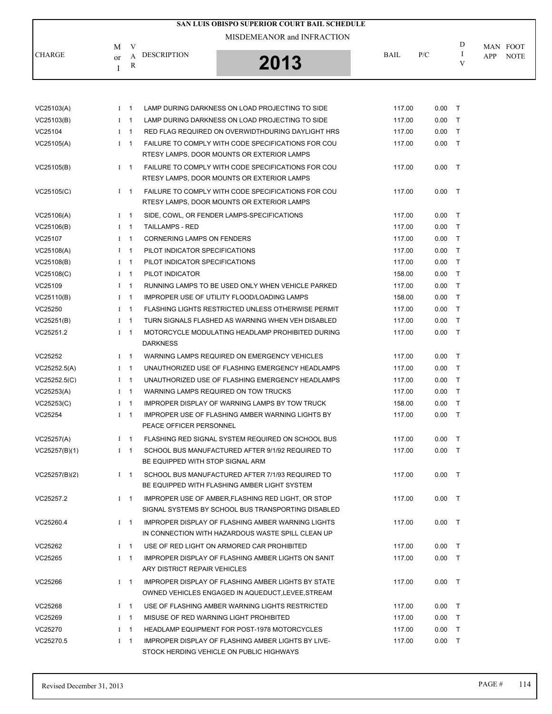|                          |                                   | SAN LUIS OBISPO SUPERIOR COURT BAIL SCHEDULE |             |     |   |                                       |
|--------------------------|-----------------------------------|----------------------------------------------|-------------|-----|---|---------------------------------------|
| М<br><b>CHARGE</b><br>or | V<br><b>DESCRIPTION</b><br>А<br>R | MISDEMEANOR and INFRACTION<br>2013           | <b>BAIL</b> | P/C | D | MAN FOOT<br><b>NOTE</b><br><b>APP</b> |

| VC25103(A)    | $I \quad 1$ |                | LAMP DURING DARKNESS ON LOAD PROJECTING TO SIDE                                                              | 117.00 | 0.00     | $\top$       |
|---------------|-------------|----------------|--------------------------------------------------------------------------------------------------------------|--------|----------|--------------|
| VC25103(B)    | $1 \quad 1$ |                | LAMP DURING DARKNESS ON LOAD PROJECTING TO SIDE                                                              | 117.00 | 0.00     | $\top$       |
| VC25104       | $I \quad 1$ |                | RED FLAG REQUIRED ON OVERWIDTHDURING DAYLIGHT HRS                                                            | 117.00 | 0.00     | T            |
| VC25105(A)    |             | $I \quad 1$    | FAILURE TO COMPLY WITH CODE SPECIFICATIONS FOR COU<br>RTESY LAMPS. DOOR MOUNTS OR EXTERIOR LAMPS             | 117.00 | 0.00     | $\top$       |
| VC25105(B)    | $I \quad 1$ |                | FAILURE TO COMPLY WITH CODE SPECIFICATIONS FOR COU<br>RTESY LAMPS, DOOR MOUNTS OR EXTERIOR LAMPS             | 117.00 | 0.00     | $\top$       |
| VC25105(C)    |             | $I \quad 1$    | FAILURE TO COMPLY WITH CODE SPECIFICATIONS FOR COU<br>RTESY LAMPS, DOOR MOUNTS OR EXTERIOR LAMPS             | 117.00 | 0.00     | $\top$       |
| VC25106(A)    |             | $1 \quad 1$    | SIDE, COWL, OR FENDER LAMPS-SPECIFICATIONS                                                                   | 117.00 | 0.00     | T            |
| VC25106(B)    | $1 \quad 1$ |                | <b>TAILLAMPS - RED</b>                                                                                       | 117.00 | 0.00     | $\top$       |
| VC25107       | $I \quad 1$ |                | <b>CORNERING LAMPS ON FENDERS</b>                                                                            | 117.00 | 0.00     | T            |
| VC25108(A)    | $I \quad 1$ |                | PILOT INDICATOR SPECIFICATIONS                                                                               | 117.00 | 0.00     | T            |
| VC25108(B)    | $1 \quad 1$ |                | PILOT INDICATOR SPECIFICATIONS                                                                               | 117.00 | 0.00     | T            |
| VC25108(C)    | $I \quad 1$ |                | PILOT INDICATOR                                                                                              | 158.00 | 0.00     | T            |
| VC25109       | $I \quad 1$ |                | RUNNING LAMPS TO BE USED ONLY WHEN VEHICLE PARKED                                                            | 117.00 | 0.00     | T            |
| VC25110(B)    | $1 \quad 1$ |                | IMPROPER USE OF UTILITY FLOOD/LOADING LAMPS                                                                  | 158.00 | 0.00     | T            |
| VC25250       | $I \quad 1$ |                | <b>FLASHING LIGHTS RESTRICTED UNLESS OTHERWISE PERMIT</b>                                                    | 117.00 | 0.00     | T            |
| VC25251(B)    | $I \quad 1$ |                | TURN SIGNALS FLASHED AS WARNING WHEN VEH DISABLED                                                            | 117.00 | 0.00     | T            |
| VC25251.2     | $1 \quad 1$ |                | MOTORCYCLE MODULATING HEADLAMP PROHIBITED DURING<br><b>DARKNESS</b>                                          | 117.00 | 0.00     | $\top$       |
| VC25252       |             | $I \quad 1$    | WARNING LAMPS REQUIRED ON EMERGENCY VEHICLES                                                                 | 117.00 | 0.00     | T            |
| VC25252.5(A)  | $I \quad 1$ |                | UNAUTHORIZED USE OF FLASHING EMERGENCY HEADLAMPS                                                             | 117.00 | 0.00     | T            |
| VC25252.5(C)  | $1 \quad 1$ |                | UNAUTHORIZED USE OF FLASHING EMERGENCY HEADLAMPS                                                             | 117.00 | 0.00     | $\mathsf{T}$ |
| VC25253(A)    | $I \quad 1$ |                | WARNING LAMPS REQUIRED ON TOW TRUCKS                                                                         | 117.00 | 0.00     | T            |
| VC25253(C)    | $I \quad 1$ |                | IMPROPER DISPLAY OF WARNING LAMPS BY TOW TRUCK                                                               | 158.00 | 0.00     | T            |
| VC25254       | $1 \quad 1$ |                | IMPROPER USE OF FLASHING AMBER WARNING LIGHTS BY<br>PEACE OFFICER PERSONNEL                                  | 117.00 | 0.00     | T            |
| VC25257(A)    |             | $I \quad 1$    | FLASHING RED SIGNAL SYSTEM REQUIRED ON SCHOOL BUS                                                            | 117.00 | 0.00     | T            |
| VC25257(B)(1) |             | $I \quad 1$    | SCHOOL BUS MANUFACTURED AFTER 9/1/92 REQUIRED TO<br>BE EQUIPPED WITH STOP SIGNAL ARM                         | 117.00 | 0.00     | T            |
| VC25257(B)(2) |             | $1 \quad 1$    | SCHOOL BUS MANUFACTURED AFTER 7/1/93 REQUIRED TO<br>BE EQUIPPED WITH FLASHING AMBER LIGHT SYSTEM             | 117.00 | 0.00     | $\top$       |
| VC25257.2     |             | $1 \quad 1$    | IMPROPER USE OF AMBER, FLASHING RED LIGHT, OR STOP<br>SIGNAL SYSTEMS BY SCHOOL BUS TRANSPORTING DISABLED     | 117.00 | $0.00$ T |              |
| VC25260.4     |             | $1 \quad 1$    | IMPROPER DISPLAY OF FLASHING AMBER WARNING LIGHTS<br>IN CONNECTION WITH HAZARDOUS WASTE SPILL CLEAN UP       | 117.00 | 0.00     | T            |
| VC25262       | $I \quad 1$ |                | USE OF RED LIGHT ON ARMORED CAR PROHIBITED                                                                   | 117.00 | 0.00     | $\top$       |
| VC25265       | $1 \quad 1$ |                | IMPROPER DISPLAY OF FLASHING AMBER LIGHTS ON SANIT<br>ARY DISTRICT REPAIR VEHICLES                           | 117.00 | 0.00     | $\top$       |
| VC25266       | $1 \quad 1$ |                | <b>IMPROPER DISPLAY OF FLASHING AMBER LIGHTS BY STATE</b><br>OWNED VEHICLES ENGAGED IN AQUEDUCT.LEVEE.STREAM | 117.00 | 0.00     | T            |
| VC25268       | $\mathbf I$ | $\overline{1}$ | USE OF FLASHING AMBER WARNING LIGHTS RESTRICTED                                                              | 117.00 | 0.00     | $\top$       |
| VC25269       | Ι           | $\overline{1}$ | MISUSE OF RED WARNING LIGHT PROHIBITED                                                                       | 117.00 | 0.00     | $\mathsf{T}$ |
| VC25270       | $I \quad 1$ |                | <b>HEADLAMP EQUIPMENT FOR POST-1978 MOTORCYCLES</b>                                                          | 117.00 | 0.00     | $\mathsf{T}$ |
| VC25270.5     | $1 \quad 1$ |                | IMPROPER DISPLAY OF FLASHING AMBER LIGHTS BY LIVE-<br>STOCK HERDING VEHICLE ON PUBLIC HIGHWAYS               | 117.00 | 0.00     | $\top$       |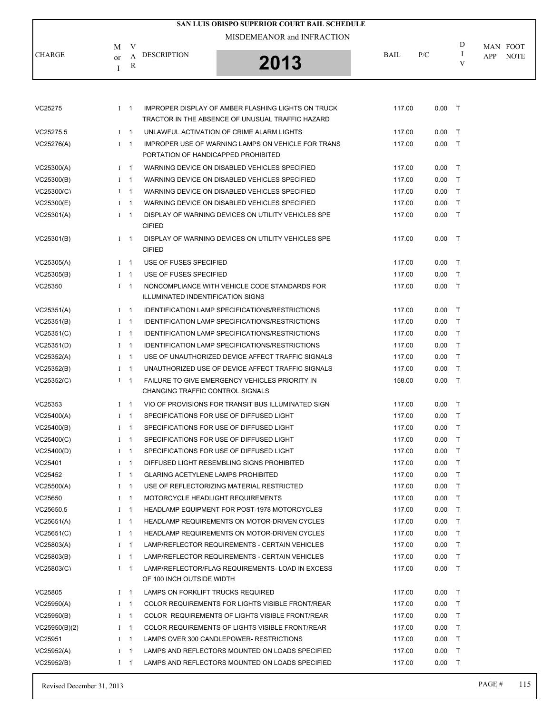|                          |              |                            |                                           | SAN LUIS OBISPO SUPERIOR COURT BAIL SCHEDULE                                                           |                  |              |              |     |             |
|--------------------------|--------------|----------------------------|-------------------------------------------|--------------------------------------------------------------------------------------------------------|------------------|--------------|--------------|-----|-------------|
|                          |              |                            |                                           | MISDEMEANOR and INFRACTION                                                                             |                  |              |              |     |             |
|                          | M            | V                          |                                           |                                                                                                        |                  |              | D            |     | MAN FOOT    |
| <b>CHARGE</b>            | or           | А                          | <b>DESCRIPTION</b>                        | 2013                                                                                                   | <b>BAIL</b>      | P/C          | 1<br>V       | APP | <b>NOTE</b> |
|                          | T            | R                          |                                           |                                                                                                        |                  |              |              |     |             |
|                          |              |                            |                                           |                                                                                                        |                  |              |              |     |             |
| VC25275                  |              | $I \quad 1$                |                                           | <b>IMPROPER DISPLAY OF AMBER FLASHING LIGHTS ON TRUCK</b>                                              | 117.00           | $0.00$ T     |              |     |             |
|                          |              |                            |                                           | TRACTOR IN THE ABSENCE OF UNUSUAL TRAFFIC HAZARD                                                       |                  |              |              |     |             |
| VC25275.5                |              | $I \quad 1$                |                                           | UNLAWFUL ACTIVATION OF CRIME ALARM LIGHTS                                                              | 117.00           | 0.00         | $\top$       |     |             |
| VC25276(A)               |              | $1 \quad 1$                |                                           | <b>IMPROPER USE OF WARNING LAMPS ON VEHICLE FOR TRANS</b>                                              | 117.00           | 0.00         | $\top$       |     |             |
|                          |              |                            | PORTATION OF HANDICAPPED PROHIBITED       |                                                                                                        |                  |              |              |     |             |
| VC25300(A)               |              | $1 \quad 1$                |                                           | WARNING DEVICE ON DISABLED VEHICLES SPECIFIED                                                          | 117.00           | 0.00         | $\top$       |     |             |
| VC25300(B)               |              | $I \quad 1$                |                                           | WARNING DEVICE ON DISABLED VEHICLES SPECIFIED                                                          | 117.00           | 0.00         | $\top$       |     |             |
| VC25300(C)               |              | $1 \quad 1$                |                                           | WARNING DEVICE ON DISABLED VEHICLES SPECIFIED                                                          | 117.00           | 0.00         | $\top$       |     |             |
| VC25300(E)               | $\mathbf{I}$ | $\overline{1}$             |                                           | WARNING DEVICE ON DISABLED VEHICLES SPECIFIED                                                          | 117.00           | 0.00         | $\top$       |     |             |
| VC25301(A)               |              | $1 \quad 1$                |                                           | DISPLAY OF WARNING DEVICES ON UTILITY VEHICLES SPE                                                     | 117.00           | 0.00         | $\top$       |     |             |
|                          |              |                            | <b>CIFIED</b>                             |                                                                                                        |                  |              |              |     |             |
| VC25301(B)               |              | $I \quad 1$                |                                           | DISPLAY OF WARNING DEVICES ON UTILITY VEHICLES SPE                                                     | 117.00           | $0.00$ T     |              |     |             |
|                          |              |                            | <b>CIFIED</b>                             |                                                                                                        |                  |              |              |     |             |
| VC25305(A)               |              | $I \quad 1$                | USE OF FUSES SPECIFIED                    |                                                                                                        | 117.00           | 0.00         | $\top$       |     |             |
| VC25305(B)               |              | $1 \quad 1$                | USE OF FUSES SPECIFIED                    |                                                                                                        | 117.00           | 0.00         | $\mathsf{T}$ |     |             |
| VC25350                  |              | $1 \quad 1$                | ILLUMINATED INDENTIFICATION SIGNS         | NONCOMPLIANCE WITH VEHICLE CODE STANDARDS FOR                                                          | 117.00           | 0.00         | $\top$       |     |             |
| VC25351(A)               |              | $I \quad 1$                |                                           | <b>IDENTIFICATION LAMP SPECIFICATIONS/RESTRICTIONS</b>                                                 | 117.00           | 0.00         | $\top$       |     |             |
| VC25351(B)               | Ι            | $\overline{1}$             |                                           | <b>IDENTIFICATION LAMP SPECIFICATIONS/RESTRICTIONS</b>                                                 | 117.00           | 0.00         | $\top$       |     |             |
|                          |              |                            |                                           | <b>IDENTIFICATION LAMP SPECIFICATIONS/RESTRICTIONS</b>                                                 |                  | 0.00         | $\top$       |     |             |
| VC25351(C)<br>VC25351(D) |              | $I \quad 1$<br>$I \quad 1$ |                                           | <b>IDENTIFICATION LAMP SPECIFICATIONS/RESTRICTIONS</b>                                                 | 117.00<br>117.00 | 0.00         | $\top$       |     |             |
|                          |              | $I \quad 1$                |                                           |                                                                                                        |                  |              | $\top$       |     |             |
| VC25352(A)<br>VC25352(B) | Ι.           | $\overline{1}$             |                                           | USE OF UNAUTHORIZED DEVICE AFFECT TRAFFIC SIGNALS<br>UNAUTHORIZED USE OF DEVICE AFFECT TRAFFIC SIGNALS | 117.00<br>117.00 | 0.00<br>0.00 | $\top$       |     |             |
| VC25352(C)               |              | $1 \quad 1$                |                                           | FAILURE TO GIVE EMERGENCY VEHICLES PRIORITY IN                                                         | 158.00           | 0.00         | $\top$       |     |             |
|                          |              |                            | <b>CHANGING TRAFFIC CONTROL SIGNALS</b>   |                                                                                                        |                  |              |              |     |             |
| VC25353                  |              | $I \quad 1$                |                                           | VIO OF PROVISIONS FOR TRANSIT BUS ILLUMINATED SIGN                                                     | 117.00           | 0.00         | $\top$       |     |             |
| VC25400(A)               |              | $1 \quad 1$                |                                           | SPECIFICATIONS FOR USE OF DIFFUSED LIGHT                                                               | 117.00           | 0.00         | $\top$       |     |             |
| VC25400(B)               | Ι            | $\overline{1}$             |                                           | SPECIFICATIONS FOR USE OF DIFFUSED LIGHT                                                               | 117.00           | 0.00         | $\top$       |     |             |
| VC25400(C)               |              | $I \quad 1$                |                                           | SPECIFICATIONS FOR USE OF DIFFUSED LIGHT                                                               | 117.00           | 0.00         | $\top$       |     |             |
| VC25400(D)               | Ι            | $\overline{1}$             |                                           | SPECIFICATIONS FOR USE OF DIFFUSED LIGHT                                                               | 117.00           | 0.00         | $\top$       |     |             |
| VC25401                  | Ι            | $\overline{1}$             |                                           | DIFFUSED LIGHT RESEMBLING SIGNS PROHIBITED                                                             | 117.00           | 0.00         | $\top$       |     |             |
| VC25452                  |              | $I \quad 1$                | <b>GLARING ACETYLENE LAMPS PROHIBITED</b> |                                                                                                        | 117.00           | 0.00         | $\top$       |     |             |
| VC25500(A)               |              | $I \quad 1$                |                                           | USE OF REFLECTORIZING MATERIAL RESTRICTED                                                              | 117.00           | 0.00         | $\top$       |     |             |
| VC25650                  |              | $1 \quad 1$                | MOTORCYCLE HEADLIGHT REQUIREMENTS         |                                                                                                        | 117.00           | 0.00         | $\top$       |     |             |
| VC25650.5                |              | $I \quad 1$                |                                           | <b>HEADLAMP EQUIPMENT FOR POST-1978 MOTORCYCLES</b>                                                    | 117.00           | 0.00         | $\top$       |     |             |
| VC25651(A)               |              | $I \quad 1$                |                                           | HEADLAMP REQUIREMENTS ON MOTOR-DRIVEN CYCLES                                                           | 117.00           | 0.00         | $\top$       |     |             |
| VC25651(C)               | Ι            | $\overline{1}$             |                                           | HEADLAMP REQUIREMENTS ON MOTOR-DRIVEN CYCLES                                                           | 117.00           | 0.00         | $\top$       |     |             |
| VC25803(A)               |              | $I \quad 1$                |                                           | LAMP/REFLECTOR REQUIREMENTS - CERTAIN VEHICLES                                                         | 117.00           | 0.00         | $\top$       |     |             |
| VC25803(B)               |              | $1 \quad 1$                |                                           | LAMP/REFLECTOR REQUIREMENTS - CERTAIN VEHICLES                                                         | 117.00           | 0.00         | $\top$       |     |             |
| VC25803(C)               |              | $I \quad 1$                |                                           | LAMP/REFLECTOR/FLAG REQUIREMENTS- LOAD IN EXCESS                                                       | 117.00           | 0.00         | $\top$       |     |             |
|                          |              |                            | OF 100 INCH OUTSIDE WIDTH                 |                                                                                                        |                  |              |              |     |             |
| VC25805                  | $\bf{I}$     | $\overline{\phantom{0}}$ 1 | LAMPS ON FORKLIFT TRUCKS REQUIRED         |                                                                                                        | 117.00           | 0.00         | $\top$       |     |             |
| VC25950(A)               | Ι            | $\overline{1}$             |                                           | COLOR REQUIREMENTS FOR LIGHTS VISIBLE FRONT/REAR                                                       | 117.00           | 0.00         | $\top$       |     |             |
| VC25950(B)               |              | $I \quad 1$                |                                           | COLOR REQUIREMENTS OF LIGHTS VISIBLE FRONT/REAR                                                        | 117.00           | 0.00         | $\top$       |     |             |
| VC25950(B)(2)            |              | $I \quad 1$                |                                           | COLOR REQUIREMENTS OF LIGHTS VISIBLE FRONT/REAR                                                        | 117.00           | 0.00         | $\top$       |     |             |
| VC25951                  | Ι            | $\overline{1}$             |                                           | LAMPS OVER 300 CANDLEPOWER- RESTRICTIONS                                                               | 117.00           | 0.00         | $\top$       |     |             |
| VC25952(A)               |              | $I \quad 1$                |                                           | LAMPS AND REFLECTORS MOUNTED ON LOADS SPECIFIED                                                        | 117.00           | 0.00         | $\top$       |     |             |
| VC25952(B)               |              | $I \quad 1$                |                                           | LAMPS AND REFLECTORS MOUNTED ON LOADS SPECIFIED                                                        | 117.00           | 0.00         | $\top$       |     |             |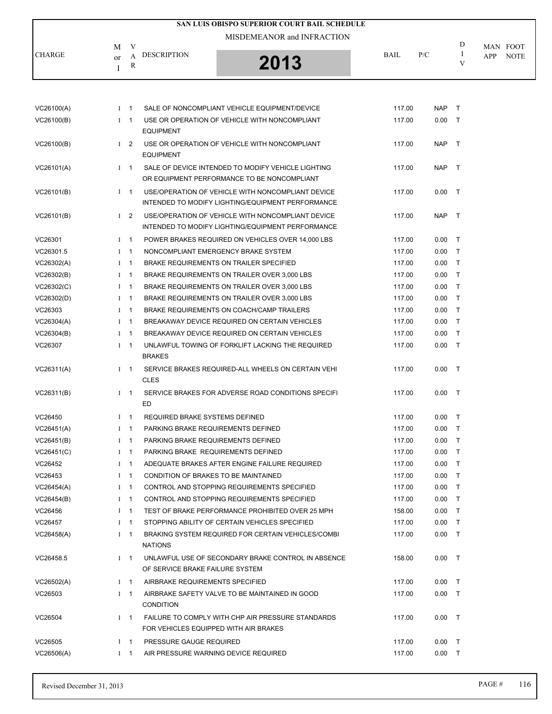|               |    |                |                                       | <b>SAN LUIS OBISPO SUPERIOR COURT BAIL SCHEDULE</b>                                                    |             |          |        |                    |
|---------------|----|----------------|---------------------------------------|--------------------------------------------------------------------------------------------------------|-------------|----------|--------|--------------------|
|               |    |                |                                       | MISDEMEANOR and INFRACTION                                                                             |             |          |        |                    |
| <b>CHARGE</b> | M  | V              | <b>DESCRIPTION</b>                    |                                                                                                        | <b>BAIL</b> | P/C      | D<br>1 | MAN FOOT           |
|               | or | A<br>R         |                                       | 2013                                                                                                   |             |          | V      | <b>NOTE</b><br>APP |
|               | I  |                |                                       |                                                                                                        |             |          |        |                    |
|               |    |                |                                       |                                                                                                        |             |          |        |                    |
| VC26100(A)    |    | $1 \quad 1$    |                                       | SALE OF NONCOMPLIANT VEHICLE EQUIPMENT/DEVICE                                                          | 117.00      | NAP T    |        |                    |
| VC26100(B)    |    | $I \quad 1$    |                                       | USE OR OPERATION OF VEHICLE WITH NONCOMPLIANT                                                          | 117.00      | $0.00$ T |        |                    |
|               |    |                | <b>EQUIPMENT</b>                      |                                                                                                        |             |          |        |                    |
| VC26100(B)    |    | $1\quad 2$     |                                       | USE OR OPERATION OF VEHICLE WITH NONCOMPLIANT                                                          | 117.00      | NAP T    |        |                    |
|               |    | $1 \quad 1$    | <b>EQUIPMENT</b>                      | SALE OF DEVICE INTENDED TO MODIFY VEHICLE LIGHTING                                                     | 117.00      | NAP T    |        |                    |
| VC26101(A)    |    |                |                                       | OR EQUIPMENT PERFORMANCE TO BE NONCOMPLIANT                                                            |             |          |        |                    |
| VC26101(B)    |    | $I \quad 1$    |                                       | USE/OPERATION OF VEHICLE WITH NONCOMPLIANT DEVICE<br>INTENDED TO MODIFY LIGHTING/EQUIPMENT PERFORMANCE | 117.00      | $0.00$ T |        |                    |
| VC26101(B)    |    | I <sub>2</sub> |                                       | USE/OPERATION OF VEHICLE WITH NONCOMPLIANT DEVICE<br>INTENDED TO MODIFY LIGHTING/EQUIPMENT PERFORMANCE | 117.00      | NAP T    |        |                    |
| VC26301       |    | $1 \quad 1$    |                                       | POWER BRAKES REQUIRED ON VEHICLES OVER 14,000 LBS                                                      | 117.00      | $0.00$ T |        |                    |
| VC26301.5     |    | $I \quad 1$    |                                       | NONCOMPLIANT EMERGENCY BRAKE SYSTEM                                                                    | 117.00      | 0.00     | $\top$ |                    |
| VC26302(A)    |    | $1 \quad 1$    |                                       | BRAKE REQUIREMENTS ON TRAILER SPECIFIED                                                                | 117.00      | $0.00$ T |        |                    |
| VC26302(B)    |    | $1 \quad 1$    |                                       | BRAKE REQUIREMENTS ON TRAILER OVER 3,000 LBS                                                           | 117.00      | 0.00     | $\top$ |                    |
| VC26302(C)    |    | $I \quad 1$    |                                       | BRAKE REQUIREMENTS ON TRAILER OVER 3,000 LBS                                                           | 117.00      | 0.00     | $\top$ |                    |
| VC26302(D)    |    | $I \quad 1$    |                                       | BRAKE REQUIREMENTS ON TRAILER OVER 3,000 LBS                                                           | 117.00      | $0.00$ T |        |                    |
| VC26303       |    | $1 \quad 1$    |                                       | BRAKE REQUIREMENTS ON COACH/CAMP TRAILERS                                                              | 117.00      | 0.00     | $\top$ |                    |
| VC26304(A)    |    | $I \quad 1$    |                                       | BREAKAWAY DEVICE REQUIRED ON CERTAIN VEHICLES                                                          | 117.00      | 0.00     | $\top$ |                    |
|               |    |                |                                       |                                                                                                        |             |          |        |                    |
| VC26304(B)    |    | $1 \quad 1$    |                                       | BREAKAWAY DEVICE REQUIRED ON CERTAIN VEHICLES                                                          | 117.00      | $0.00$ T |        |                    |
| VC26307       |    | $1 \quad 1$    | <b>BRAKES</b>                         | UNLAWFUL TOWING OF FORKLIFT LACKING THE REQUIRED                                                       | 117.00      | 0.00     | $\top$ |                    |
| VC26311(A)    |    | $I \quad 1$    | CLES                                  | SERVICE BRAKES REQUIRED-ALL WHEELS ON CERTAIN VEHI                                                     | 117.00      | $0.00$ T |        |                    |
| VC26311(B)    |    | $1 \quad 1$    | ED                                    | SERVICE BRAKES FOR ADVERSE ROAD CONDITIONS SPECIFI                                                     | 117.00      | $0.00$ T |        |                    |
| VC26450       |    | $1 \quad 1$    | REQUIRED BRAKE SYSTEMS DEFINED        |                                                                                                        | 117.00      | $0.00$ T |        |                    |
| VC26451(A)    |    | $I \quad 1$    | PARKING BRAKE REQUIREMENTS DEFINED    |                                                                                                        | 117.00      | $0.00$ T |        |                    |
| VC26451(B)    |    | $I \quad 1$    | PARKING BRAKE REQUIREMENTS DEFINED    |                                                                                                        | 117.00      | $0.00$ T |        |                    |
| VC26451(C)    |    | $1 \quad 1$    | PARKING BRAKE REQUIREMENTS DEFINED    |                                                                                                        | 117.00      | $0.00$ T |        |                    |
| VC26452       |    | $1 \quad 1$    |                                       | ADEQUATE BRAKES AFTER ENGINE FAILURE REQUIRED                                                          | 117.00      | $0.00$ T |        |                    |
| VC26453       |    | $I \quad 1$    | CONDITION OF BRAKES TO BE MAINTAINED  |                                                                                                        | 117.00      | $0.00$ T |        |                    |
| VC26454(A)    |    | $1 \quad 1$    |                                       | CONTROL AND STOPPING REQUIREMENTS SPECIFIED                                                            | 117.00      | $0.00$ T |        |                    |
| VC26454(B)    |    | $I \quad 1$    |                                       | CONTROL AND STOPPING REQUIREMENTS SPECIFIED                                                            | 117.00      | $0.00$ T |        |                    |
| VC26456       |    | $I \quad 1$    |                                       | TEST OF BRAKE PERFORMANCE PROHIBITED OVER 25 MPH                                                       | 158.00      | $0.00$ T |        |                    |
| VC26457       |    | $1 \quad 1$    |                                       | STOPPING ABILITY OF CERTAIN VEHICLES SPECIFIED                                                         | 117.00      | $0.00$ T |        |                    |
| VC26458(A)    |    | $1 \quad 1$    |                                       | BRAKING SYSTEM REQUIRED FOR CERTAIN VEHICLES/COMBI                                                     | 117.00      | $0.00$ T |        |                    |
|               |    |                | <b>NATIONS</b>                        |                                                                                                        |             |          |        |                    |
| VC26458.5     |    | $I \quad 1$    | OF SERVICE BRAKE FAILURE SYSTEM       | UNLAWFUL USE OF SECONDARY BRAKE CONTROL IN ABSENCE                                                     | 158.00      | $0.00$ T |        |                    |
| VC26502(A)    |    | $1 \quad 1$    | AIRBRAKE REQUIREMENTS SPECIFIED       |                                                                                                        | 117.00      | $0.00$ T |        |                    |
| VC26503       |    | $1 \quad 1$    | <b>CONDITION</b>                      | AIRBRAKE SAFETY VALVE TO BE MAINTAINED IN GOOD                                                         | 117.00      | $0.00$ T |        |                    |
| VC26504       |    | $1 \quad 1$    | FOR VEHICLES EQUIPPED WITH AIR BRAKES | FAILURE TO COMPLY WITH CHP AIR PRESSURE STANDARDS                                                      | 117.00      | $0.00$ T |        |                    |
| VC26505       |    | $1 \quad 1$    | PRESSURE GAUGE REQUIRED               |                                                                                                        | 117.00      | $0.00$ T |        |                    |
| VC26506(A)    |    | $1 \quad 1$    |                                       | AIR PRESSURE WARNING DEVICE REQUIRED                                                                   | 117.00      | $0.00$ T |        |                    |
|               |    |                |                                       |                                                                                                        |             |          |        |                    |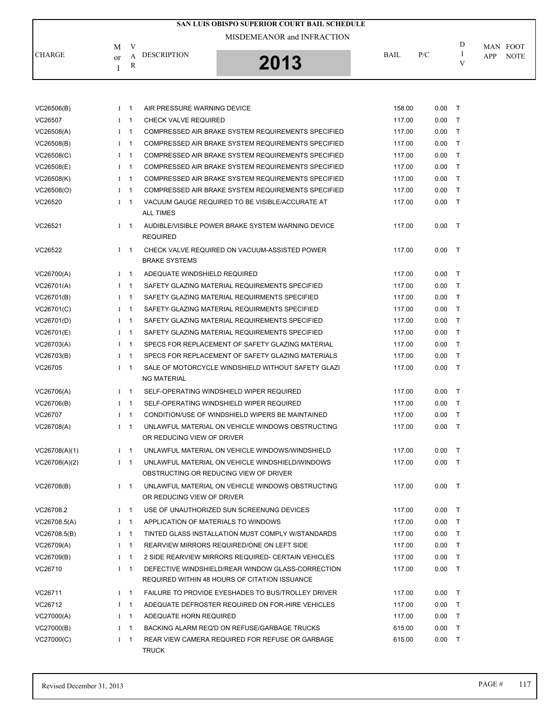|               |                                         | SAN LUIS OBISPO SUPERIOR COURT BAIL SCHEDULE |             |     |   |                                |
|---------------|-----------------------------------------|----------------------------------------------|-------------|-----|---|--------------------------------|
| <b>CHARGE</b> | V<br>М<br><b>DESCRIPTION</b><br>or<br>R | MISDEMEANOR and INFRACTION<br>2013           | <b>BAIL</b> | P/C | D | MAN FOOT<br><b>NOTE</b><br>APP |

| VC26506(B)    | $1 \quad 1$  |                          | AIR PRESSURE WARNING DEVICE                                                                        | 158.00 | 0.00 | $\top$       |
|---------------|--------------|--------------------------|----------------------------------------------------------------------------------------------------|--------|------|--------------|
| VC26507       | Ι            | $\overline{1}$           | <b>CHECK VALVE REQUIRED</b>                                                                        | 117.00 | 0.00 | $\top$       |
| VC26508(A)    | $I \quad 1$  |                          | COMPRESSED AIR BRAKE SYSTEM REQUIREMENTS SPECIFIED                                                 | 117.00 | 0.00 | $\mathsf{T}$ |
| VC26508(B)    | $I \quad 1$  |                          | COMPRESSED AIR BRAKE SYSTEM REQUIREMENTS SPECIFIED                                                 | 117.00 | 0.00 | T            |
| VC26508(C)    | $\mathbf{I}$ | $\overline{1}$           | COMPRESSED AIR BRAKE SYSTEM REQUIREMENTS SPECIFIED                                                 | 117.00 | 0.00 | T            |
| VC26508(E)    | $I \quad 1$  |                          | COMPRESSED AIR BRAKE SYSTEM REQUIREMENTS SPECIFIED                                                 | 117.00 | 0.00 | $\mathsf{T}$ |
| VC26508(K)    | $\mathbf{I}$ | $\overline{1}$           | COMPRESSED AIR BRAKE SYSTEM REQUIREMENTS SPECIFIED                                                 | 117.00 | 0.00 | T            |
| VC26508(O)    | $\bf{I}$     | $\overline{1}$           | COMPRESSED AIR BRAKE SYSTEM REQUIREMENTS SPECIFIED                                                 | 117.00 | 0.00 | T            |
| VC26520       | $I \quad 1$  |                          | VACUUM GAUGE REQUIRED TO BE VISIBLE/ACCURATE AT<br><b>ALL TIMES</b>                                | 117.00 | 0.00 | $\top$       |
| VC26521       | $1 \quad 1$  |                          | AUDIBLE/VISIBLE POWER BRAKE SYSTEM WARNING DEVICE<br><b>REQUIRED</b>                               | 117.00 | 0.00 | $\top$       |
| VC26522       | $1 \quad 1$  |                          | CHECK VALVE REQUIRED ON VACUUM-ASSISTED POWER<br><b>BRAKE SYSTEMS</b>                              | 117.00 | 0.00 | $\top$       |
| VC26700(A)    | $I \quad 1$  |                          | ADEQUATE WINDSHIELD REQUIRED                                                                       | 117.00 | 0.00 | $\top$       |
| VC26701(A)    | $I \quad 1$  |                          | SAFETY GLAZING MATERIAL REQUIREMENTS SPECIFIED                                                     | 117.00 | 0.00 | $\mathsf{T}$ |
| VC26701(B)    | $\mathbf{I}$ | $\overline{1}$           | SAFETY GLAZING MATERIAL REQUIRMENTS SPECIFIED                                                      | 117.00 | 0.00 | T            |
| VC26701(C)    | $\bf{I}$     | $\overline{1}$           | SAFETY GLAZING MATERIAL REQUIRMENTS SPECIFIED                                                      | 117.00 | 0.00 | T            |
| VC26701(D)    | $\mathbf{I}$ | $\overline{1}$           | SAFETY GLAZING MATERIAL REQUIREMENTS SPECIFIED                                                     | 117.00 | 0.00 | $\mathsf{T}$ |
| VC26701(E)    | $1 \quad 1$  |                          | SAFETY GLAZING MATERIAL REQUIREMENTS SPECIFIED                                                     | 117.00 | 0.00 | $\mathsf{T}$ |
| VC26703(A)    | $\bf{I}$     | $\overline{1}$           | SPECS FOR REPLACEMENT OF SAFETY GLAZING MATERIAL                                                   | 117.00 | 0.00 | $\mathsf{T}$ |
| VC26703(B)    | $I \quad 1$  |                          | SPECS FOR REPLACEMENT OF SAFETY GLAZING MATERIALS                                                  | 117.00 | 0.00 | $\mathsf{T}$ |
| VC26705       | $1 \quad 1$  |                          | SALE OF MOTORCYCLE WINDSHIELD WITHOUT SAFETY GLAZI<br><b>NG MATERIAL</b>                           | 117.00 | 0.00 | $\top$       |
| VC26706(A)    | $I \quad 1$  |                          | SELF-OPERATING WINDSHIELD WIPER REQUIRED                                                           | 117.00 | 0.00 | $\top$       |
| VC26706(B)    | $I \quad 1$  |                          | SELF-OPERATING WINDSHIELD WIPER REQUIRED                                                           | 117.00 | 0.00 | $\mathsf{T}$ |
| VC26707       | $1 \quad 1$  |                          | CONDITION/USE OF WINDSHIELD WIPERS BE MAINTAINED                                                   | 117.00 | 0.00 | T            |
| VC26708(A)    | $I \quad 1$  |                          | UNLAWFUL MATERIAL ON VEHICLE WINDOWS OBSTRUCTING<br>OR REDUCING VIEW OF DRIVER                     | 117.00 | 0.00 | $\top$       |
| VC26708(A)(1) | $I \quad 1$  |                          | UNLAWFUL MATERIAL ON VEHICLE WINDOWS/WINDSHIELD                                                    | 117.00 | 0.00 | $\mathsf{T}$ |
| VC26708(A)(2) | $1 \quad 1$  |                          | UNLAWFUL MATERIAL ON VEHICLE WINDSHIELD/WINDOWS<br>OBSTRUCTING OR REDUCING VIEW OF DRIVER          | 117.00 | 0.00 | $\top$       |
| VC26708(B)    | $1 \quad 1$  |                          | UNLAWFUL MATERIAL ON VEHICLE WINDOWS OBSTRUCTING<br>OR REDUCING VIEW OF DRIVER                     | 117.00 | 0.00 | $\top$       |
| VC26708.2     | Ι            | $\mathbf{1}$             | USE OF UNAUTHORIZED SUN SCREENUNG DEVICES                                                          | 117.00 | 0.00 | Т            |
| VC26708.5(A)  | Ι            | $\overline{\phantom{0}}$ | APPLICATION OF MATERIALS TO WINDOWS                                                                | 117.00 | 0.00 | $\mathsf{T}$ |
| VC26708.5(B)  | Ι            | $\overline{1}$           | TINTED GLASS INSTALLATION MUST COMPLY W/STANDARDS                                                  | 117.00 | 0.00 | $\mathsf{T}$ |
| VC26709(A)    | Ι            | $\overline{1}$           | REARVIEW MIRRORS REQUIRED/ONE ON LEFT SIDE                                                         | 117.00 | 0.00 | $\mathsf{T}$ |
| VC26709(B)    | Ι            | $\overline{1}$           | 2 SIDE REARVIEW MIRRORS REQUIRED- CERTAIN VEHICLES                                                 | 117.00 | 0.00 | $\mathsf{T}$ |
| VC26710       | Ι            | $\overline{1}$           | DEFECTIVE WINDSHIELD/REAR WINDOW GLASS-CORRECTION<br>REQUIRED WITHIN 48 HOURS OF CITATION ISSUANCE | 117.00 | 0.00 | $\top$       |
| VC26711       | $1 \quad 1$  |                          | <b>FAILURE TO PROVIDE EYESHADES TO BUS/TROLLEY DRIVER</b>                                          | 117.00 | 0.00 | $\mathsf{T}$ |
| VC26712       | Ι            | $\overline{1}$           | ADEQUATE DEFROSTER REQUIRED ON FOR-HIRE VEHICLES                                                   | 117.00 | 0.00 | $\mathsf{T}$ |
| VC27000(A)    | Ι            | $\mathbf 1$              | ADEQUATE HORN REQUIRED                                                                             | 117.00 | 0.00 | $\top$       |
| VC27000(B)    | Ι            | $\mathbf{1}$             | BACKING ALARM REQ'D ON REFUSE/GARBAGE TRUCKS                                                       | 615.00 | 0.00 | $\mathsf{T}$ |
| VC27000(C)    | $I \quad 1$  |                          | REAR VIEW CAMERA REQUIRED FOR REFUSE OR GARBAGE<br><b>TRUCK</b>                                    | 615.00 | 0.00 | $\mathsf{T}$ |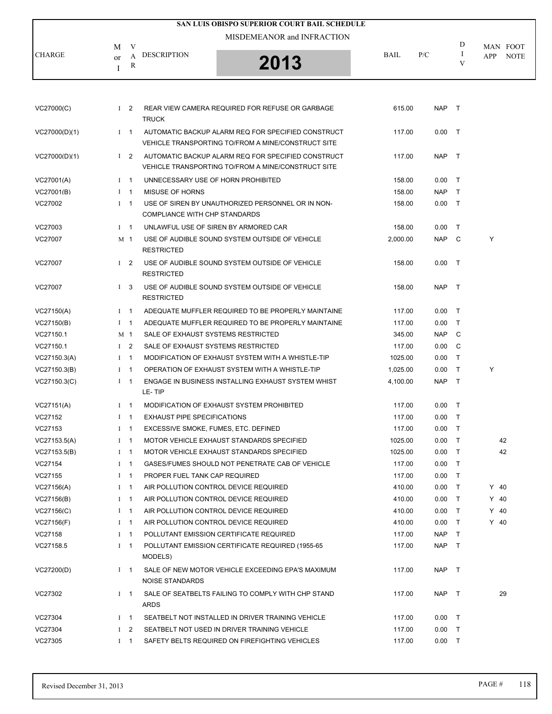|               |                    |                | SAN LUIS OBISPO SUPERIOR COURT BAIL SCHEDULE                                                             |          |            |         |                                |
|---------------|--------------------|----------------|----------------------------------------------------------------------------------------------------------|----------|------------|---------|--------------------------------|
|               |                    |                | MISDEMEANOR and INFRACTION                                                                               |          |            |         |                                |
| <b>CHARGE</b> | M                  | V              | <b>DESCRIPTION</b>                                                                                       | BAIL     | P/C        | D<br>Ι. | MAN FOOT<br>APP<br><b>NOTE</b> |
|               | <sub>or</sub><br>I | A<br>R         | 2013                                                                                                     |          |            | V       |                                |
|               |                    |                |                                                                                                          |          |            |         |                                |
| VC27000(C)    |                    | I <sub>2</sub> | REAR VIEW CAMERA REQUIRED FOR REFUSE OR GARBAGE<br><b>TRUCK</b>                                          | 615.00   | NAP        | $\top$  |                                |
| VC27000(D)(1) |                    | $I \quad 1$    | AUTOMATIC BACKUP ALARM REQ FOR SPECIFIED CONSTRUCT<br>VEHICLE TRANSPORTING TO/FROM A MINE/CONSTRUCT SITE | 117.00   | $0.00$ T   |         |                                |
| VC27000(D)(1) |                    | I <sub>2</sub> | AUTOMATIC BACKUP ALARM REQ FOR SPECIFIED CONSTRUCT<br>VEHICLE TRANSPORTING TO/FROM A MINE/CONSTRUCT SITE | 117.00   | <b>NAP</b> | $\top$  |                                |
| VC27001(A)    |                    | $1 \quad 1$    | UNNECESSARY USE OF HORN PROHIBITED                                                                       | 158.00   | 0.00       | $\top$  |                                |
| VC27001(B)    |                    | $I \quad 1$    | <b>MISUSE OF HORNS</b>                                                                                   | 158.00   | <b>NAP</b> | T       |                                |
| VC27002       |                    | $I \quad 1$    | USE OF SIREN BY UNAUTHORIZED PERSONNEL OR IN NON-<br>COMPLIANCE WITH CHP STANDARDS                       | 158.00   | $0.00$ T   |         |                                |
| VC27003       |                    | $I \quad 1$    | UNLAWFUL USE OF SIREN BY ARMORED CAR                                                                     | 158.00   | $0.00\,$   | $\top$  |                                |
| VC27007       |                    | M 1            | USE OF AUDIBLE SOUND SYSTEM OUTSIDE OF VEHICLE<br><b>RESTRICTED</b>                                      | 2,000.00 | NAP        | C       | Y                              |
| VC27007       |                    | $1 \quad 2$    | USE OF AUDIBLE SOUND SYSTEM OUTSIDE OF VEHICLE<br><b>RESTRICTED</b>                                      | 158.00   | $0.00$ T   |         |                                |
| VC27007       |                    | $1 \quad 3$    | USE OF AUDIBLE SOUND SYSTEM OUTSIDE OF VEHICLE<br><b>RESTRICTED</b>                                      | 158.00   | NAP T      |         |                                |
| VC27150(A)    |                    | $I \quad 1$    | ADEQUATE MUFFLER REQUIRED TO BE PROPERLY MAINTAINE                                                       | 117.00   | $0.00$ T   |         |                                |
| VC27150(B)    |                    | $1 \quad 1$    | ADEQUATE MUFFLER REQUIRED TO BE PROPERLY MAINTAINE                                                       | 117.00   | 0.00       | T       |                                |
| VC27150.1     |                    | M 1            | SALE OF EXHAUST SYSTEMS RESTRICTED                                                                       | 345.00   | <b>NAP</b> | C       |                                |
| VC27150.1     |                    | I <sub>2</sub> | SALE OF EXHAUST SYSTEMS RESTRICTED                                                                       | 117.00   | 0.00       | C       |                                |
| VC27150.3(A)  |                    | $1 \quad 1$    | MODIFICATION OF EXHAUST SYSTEM WITH A WHISTLE-TIP                                                        | 1025.00  | 0.00       | T       |                                |
| VC27150.3(B)  |                    | $1 \quad 1$    | OPERATION OF EXHAUST SYSTEM WITH A WHISTLE-TIP                                                           | 1,025.00 | 0.00       | $\top$  | Y                              |
| VC27150.3(C)  |                    | $I \quad 1$    | ENGAGE IN BUSINESS INSTALLING EXHAUST SYSTEM WHIST<br>LE-TIP                                             | 4,100.00 | <b>NAP</b> | $\top$  |                                |
| VC27151(A)    |                    | $1 \quad 1$    | MODIFICATION OF EXHAUST SYSTEM PROHIBITED                                                                | 117.00   | $0.00$ T   |         |                                |
| VC27152       |                    | $I \quad 1$    | <b>EXHAUST PIPE SPECIFICATIONS</b>                                                                       | 117.00   | $0.00$ T   |         |                                |
| VC27153       |                    | $I \quad 1$    | EXCESSIVE SMOKE, FUMES, ETC. DEFINED                                                                     | 117.00   | $0.00$ T   |         |                                |
| VC27153.5(A)  |                    | $I \quad 1$    | MOTOR VEHICLE EXHAUST STANDARDS SPECIFIED                                                                | 1025.00  | $0.00$ T   |         | 42                             |
| VC27153.5(B)  |                    | $I \quad 1$    | MOTOR VEHICLE EXHAUST STANDARDS SPECIFIED                                                                | 1025.00  | 0.00       | $\top$  | 42                             |
| VC27154       |                    | $I \quad 1$    | GASES/FUMES SHOULD NOT PENETRATE CAB OF VEHICLE                                                          | 117.00   | 0.00       | $\top$  |                                |
| VC27155       |                    | $I \quad 1$    | PROPER FUEL TANK CAP REQUIRED                                                                            | 117.00   | $0.00\,$   | $\top$  |                                |
| VC27156(A)    |                    | $1 \quad 1$    | AIR POLLUTION CONTROL DEVICE REQUIRED                                                                    | 410.00   | $0.00$ T   |         | $Y$ 40                         |
| VC27156(B)    |                    | $1 \quad 1$    | AIR POLLUTION CONTROL DEVICE REQUIRED                                                                    | 410.00   | 0.00       | $\top$  | $Y$ 40                         |
| VC27156(C)    |                    | $I \quad 1$    | AIR POLLUTION CONTROL DEVICE REQUIRED                                                                    | 410.00   | 0.00       | $\top$  | $Y$ 40                         |
| VC27156(F)    |                    | $I \quad 1$    | AIR POLLUTION CONTROL DEVICE REQUIRED                                                                    | 410.00   | 0.00       | $\top$  | $Y$ 40                         |
| VC27158       |                    | $I \quad 1$    | POLLUTANT EMISSION CERTIFICATE REQUIRED                                                                  | 117.00   | <b>NAP</b> | $\top$  |                                |
| VC27158.5     |                    | $I \quad 1$    | POLLUTANT EMISSION CERTIFICATE REQUIRED (1955-65)<br>MODELS)                                             | 117.00   | <b>NAP</b> | $\top$  |                                |
| VC27200(D)    |                    | $I \quad 1$    | SALE OF NEW MOTOR VEHICLE EXCEEDING EPA'S MAXIMUM<br>NOISE STANDARDS                                     | 117.00   | NAP        | $\top$  |                                |
| VC27302       |                    | $I \quad 1$    | SALE OF SEATBELTS FAILING TO COMPLY WITH CHP STAND<br><b>ARDS</b>                                        | 117.00   | <b>NAP</b> | $\top$  | 29                             |
| VC27304       |                    | $I \quad 1$    | SEATBELT NOT INSTALLED IN DRIVER TRAINING VEHICLE                                                        | 117.00   | $0.00$ T   |         |                                |
| VC27304       | $\mathbf{I}$       | 2              | SEATBELT NOT USED IN DRIVER TRAINING VEHICLE                                                             | 117.00   | $0.00$ T   |         |                                |
| VC27305       |                    | $I \quad 1$    | SAFETY BELTS REQUIRED ON FIREFIGHTING VEHICLES                                                           | 117.00   | $0.00$ T   |         |                                |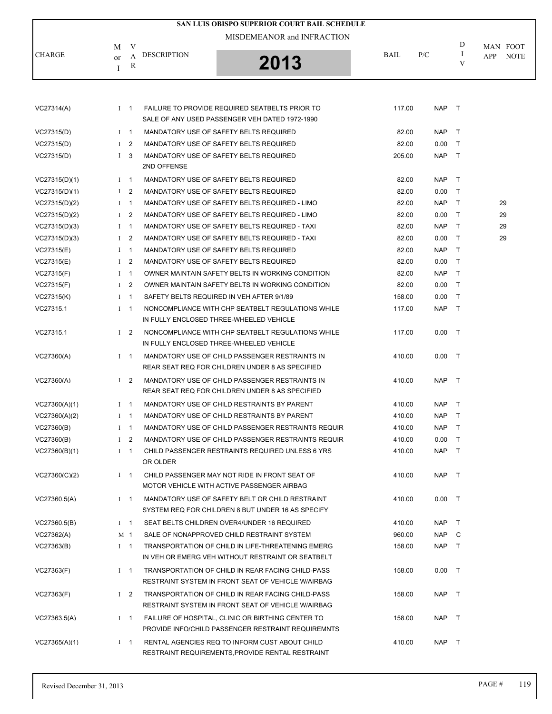|               |              |                |                    | SAN LUIS OBISPO SUPERIOR COURT BAIL SCHEDULE                                                            |        |            |              |                                |
|---------------|--------------|----------------|--------------------|---------------------------------------------------------------------------------------------------------|--------|------------|--------------|--------------------------------|
|               |              |                |                    | MISDEMEANOR and INFRACTION                                                                              |        |            |              |                                |
| <b>CHARGE</b> | M<br>or<br>I | V<br>A<br>R    | <b>DESCRIPTION</b> | 2013                                                                                                    | BAIL   | P/C        | D<br>-1<br>V | MAN FOOT<br>APP<br><b>NOTE</b> |
|               |              |                |                    |                                                                                                         |        |            |              |                                |
| VC27314(A)    |              | $1 \quad 1$    |                    | FAILURE TO PROVIDE REQUIRED SEATBELTS PRIOR TO<br>SALE OF ANY USED PASSENGER VEH DATED 1972-1990        | 117.00 | NAP T      |              |                                |
| VC27315(D)    |              | $1 \quad 1$    |                    | MANDATORY USE OF SAFETY BELTS REQUIRED                                                                  | 82.00  | NAP T      |              |                                |
| VC27315(D)    | $\bf{I}$     | $\overline{2}$ |                    | MANDATORY USE OF SAFETY BELTS REQUIRED                                                                  | 82.00  | 0.00       | $\top$       |                                |
| VC27315(D)    | $\mathbf{I}$ | -3             | 2ND OFFENSE        | MANDATORY USE OF SAFETY BELTS REQUIRED                                                                  | 205.00 | <b>NAP</b> | $\top$       |                                |
| VC27315(D)(1) |              | $1 \quad 1$    |                    | MANDATORY USE OF SAFETY BELTS REQUIRED                                                                  | 82.00  | NAP        | $\top$       |                                |
| VC27315(D)(1) |              | $1\quad 2$     |                    | MANDATORY USE OF SAFETY BELTS REQUIRED                                                                  | 82.00  | 0.00       | $\top$       |                                |
| VC27315(D)(2) | $\bf{I}$     | $\overline{1}$ |                    | MANDATORY USE OF SAFETY BELTS REQUIRED - LIMO                                                           | 82.00  | <b>NAP</b> | $\top$       | 29                             |
| VC27315(D)(2) | $\bf{I}$     | 2              |                    | MANDATORY USE OF SAFETY BELTS REQUIRED - LIMO                                                           | 82.00  | 0.00       | $\top$       | 29                             |
| VC27315(D)(3) | $\bf{I}$     | $\overline{1}$ |                    | MANDATORY USE OF SAFETY BELTS REQUIRED - TAXI                                                           | 82.00  | <b>NAP</b> | $\top$       | 29                             |
| VC27315(D)(3) | Ι.           | $\overline{2}$ |                    | MANDATORY USE OF SAFETY BELTS REQUIRED - TAXI                                                           | 82.00  | 0.00       | $\top$       | 29                             |
| VC27315(E)    | $\mathbf{I}$ | $\overline{1}$ |                    | MANDATORY USE OF SAFETY BELTS REQUIRED                                                                  | 82.00  | <b>NAP</b> | $\top$       |                                |
| VC27315(E)    | $\mathbf{I}$ | $\overline{2}$ |                    | MANDATORY USE OF SAFETY BELTS REQUIRED                                                                  | 82.00  | 0.00       | $\top$       |                                |
| VC27315(F)    | Ι.           | $\overline{1}$ |                    | OWNER MAINTAIN SAFETY BELTS IN WORKING CONDITION                                                        | 82.00  | <b>NAP</b> | $\top$       |                                |
| VC27315(F)    | $\bf{I}$     | $\overline{2}$ |                    | OWNER MAINTAIN SAFETY BELTS IN WORKING CONDITION                                                        | 82.00  | 0.00       | $\top$       |                                |
| VC27315(K)    | $\mathbf{I}$ | $\overline{1}$ |                    | SAFETY BELTS REQUIRED IN VEH AFTER 9/1/89                                                               | 158.00 | 0.00       | $\top$       |                                |
| VC27315.1     |              | $I \quad 1$    |                    | NONCOMPLIANCE WITH CHP SEATBELT REGULATIONS WHILE<br>IN FULLY ENCLOSED THREE-WHEELED VEHICLE            | 117.00 | <b>NAP</b> | $\top$       |                                |
| VC27315.1     |              | $1\quad 2$     |                    | NONCOMPLIANCE WITH CHP SEATBELT REGULATIONS WHILE<br>IN FULLY ENCLOSED THREE-WHEELED VEHICLE            | 117.00 | $0.00$ T   |              |                                |
| VC27360(A)    |              | $1 \quad 1$    |                    | MANDATORY USE OF CHILD PASSENGER RESTRAINTS IN<br>REAR SEAT REQ FOR CHILDREN UNDER 8 AS SPECIFIED       | 410.00 | $0.00$ T   |              |                                |
| VC27360(A)    |              | $1\quad 2$     |                    | MANDATORY USE OF CHILD PASSENGER RESTRAINTS IN<br>REAR SEAT REQ FOR CHILDREN UNDER 8 AS SPECIFIED       | 410.00 | NAP T      |              |                                |
| VC27360(A)(1) |              | $1 \quad 1$    |                    | MANDATORY USE OF CHILD RESTRAINTS BY PARENT                                                             | 410.00 | <b>NAP</b> | $\top$       |                                |
| VC27360(A)(2) |              | $1 \quad 1$    |                    | MANDATORY USE OF CHILD RESTRAINTS BY PARENT                                                             | 410.00 | <b>NAP</b> | $\top$       |                                |
| VC27360(B)    |              | $I \quad 1$    |                    | MANDATORY USE OF CHILD PASSENGER RESTRAINTS REQUIR                                                      | 410.00 | NAP T      |              |                                |
| VC27360(B)    |              | $1\quad 2$     |                    | MANDATORY USE OF CHILD PASSENGER RESTRAINTS REQUIR                                                      | 410.00 | $0.00$ T   |              |                                |
| VC27360(B)(1) |              | $1 \quad 1$    | OR OLDER           | CHILD PASSENGER RESTRAINTS REQUIRED UNLESS 6 YRS                                                        | 410.00 | NAP T      |              |                                |
| VC27360(C)(2) |              | $1 \quad 1$    |                    | CHILD PASSENGER MAY NOT RIDE IN FRONT SEAT OF<br>MOTOR VEHICLE WITH ACTIVE PASSENGER AIRBAG             | 410.00 | NAP T      |              |                                |
| VC27360.5(A)  |              | $I \quad 1$    |                    | MANDATORY USE OF SAFETY BELT OR CHILD RESTRAINT<br>SYSTEM REQ FOR CHILDREN 8 BUT UNDER 16 AS SPECIFY    | 410.00 | $0.00$ T   |              |                                |
| VC27360.5(B)  |              | $I \quad 1$    |                    | SEAT BELTS CHILDREN OVER4/UNDER 16 REQUIRED                                                             | 410.00 | NAP T      |              |                                |
| VC27362(A)    |              | M 1            |                    | SALE OF NONAPPROVED CHILD RESTRAINT SYSTEM                                                              | 960.00 | NAP C      |              |                                |
| VC27363(B)    |              | $1 \quad 1$    |                    | TRANSPORTATION OF CHILD IN LIFE-THREATENING EMERG<br>IN VEH OR EMERG VEH WITHOUT RESTRAINT OR SEATBELT  | 158.00 | NAP T      |              |                                |
| VC27363(F)    |              | $I \quad 1$    |                    | TRANSPORTATION OF CHILD IN REAR FACING CHILD-PASS<br>RESTRAINT SYSTEM IN FRONT SEAT OF VEHICLE W/AIRBAG | 158.00 | $0.00$ T   |              |                                |
| VC27363(F)    |              | $1\quad 2$     |                    | TRANSPORTATION OF CHILD IN REAR FACING CHILD-PASS<br>RESTRAINT SYSTEM IN FRONT SEAT OF VEHICLE W/AIRBAG | 158.00 | NAP T      |              |                                |
| VC27363.5(A)  |              | $1 \quad 1$    |                    | FAILURE OF HOSPITAL, CLINIC OR BIRTHING CENTER TO<br>PROVIDE INFO/CHILD PASSENGER RESTRAINT REQUIREMNTS | 158.00 | NAP T      |              |                                |
| VC27365(A)(1) |              | $I \quad 1$    |                    | RENTAL AGENCIES REQ TO INFORM CUST ABOUT CHILD<br>RESTRAINT REQUIREMENTS, PROVIDE RENTAL RESTRAINT      | 410.00 | NAP T      |              |                                |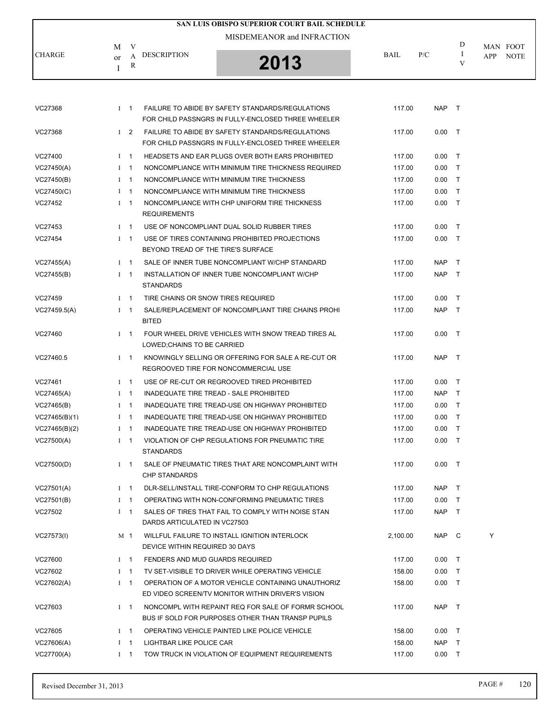|               |                                        | SAN LUIS OBISPO SUPERIOR COURT BAIL SCHEDULE |             |     |   |                    |
|---------------|----------------------------------------|----------------------------------------------|-------------|-----|---|--------------------|
|               | V<br>М                                 | MISDEMEANOR and INFRACTION                   |             |     | D | MAN FOOT           |
| <b>CHARGE</b> | DESCRIPTION<br>А<br><sub>or</sub><br>R | 2013                                         | <b>BAIL</b> | P/C |   | <b>NOTE</b><br>APP |

| VC27368       | $1 \quad 1$    | FAILURE TO ABIDE BY SAFETY STANDARDS/REGULATIONS<br>FOR CHILD PASSNGRS IN FULLY-ENCLOSED THREE WHEELER  | 117.00   | NAP        | $\top$ |   |
|---------------|----------------|---------------------------------------------------------------------------------------------------------|----------|------------|--------|---|
| VC27368       | $1\quad 2$     | FAILURE TO ABIDE BY SAFETY STANDARDS/REGULATIONS<br>FOR CHILD PASSNGRS IN FULLY-ENCLOSED THREE WHEELER  | 117.00   | 0.00       | $\top$ |   |
| VC27400       | $1 \quad 1$    | HEADSETS AND EAR PLUGS OVER BOTH EARS PROHIBITED                                                        | 117.00   | 0.00       | $\top$ |   |
| VC27450(A)    | $1 \quad 1$    | NONCOMPLIANCE WITH MINIMUM TIRE THICKNESS REQUIRED                                                      | 117.00   | 0.00       | $\top$ |   |
| VC27450(B)    | $1 \quad 1$    | NONCOMPLIANCE WITH MINIMUM TIRE THICKNESS                                                               | 117.00   | 0.00       | $\top$ |   |
| VC27450(C)    | $1 \quad 1$    | NONCOMPLIANCE WITH MINIMUM TIRE THICKNESS                                                               | 117.00   | 0.00       | $\top$ |   |
| VC27452       | $1 \quad 1$    | NONCOMPLIANCE WITH CHP UNIFORM TIRE THICKNESS<br><b>REQUIREMENTS</b>                                    | 117.00   | 0.00       | $\top$ |   |
| VC27453       | $I \quad 1$    | USE OF NONCOMPLIANT DUAL SOLID RUBBER TIRES                                                             | 117.00   | 0.00       | $\top$ |   |
| VC27454       | $1 \quad 1$    | USE OF TIRES CONTAINING PROHIBITED PROJECTIONS<br>BEYOND TREAD OF THE TIRE'S SURFACE                    | 117.00   | 0.00       | $\top$ |   |
| VC27455(A)    | $1 \quad 1$    | SALE OF INNER TUBE NONCOMPLIANT W/CHP STANDARD                                                          | 117.00   | NAP        | $\top$ |   |
| VC27455(B)    | $1 \quad 1$    | INSTALLATION OF INNER TUBE NONCOMPLIANT W/CHP<br><b>STANDARDS</b>                                       | 117.00   | <b>NAP</b> | $\top$ |   |
| VC27459       | $1 \quad 1$    | TIRE CHAINS OR SNOW TIRES REQUIRED                                                                      | 117.00   | 0.00       | $\top$ |   |
| VC27459.5(A)  | $1 \quad 1$    | SALE/REPLACEMENT OF NONCOMPLIANT TIRE CHAINS PROHI<br><b>BITED</b>                                      | 117.00   | NAP T      |        |   |
| VC27460       | $I \quad 1$    | FOUR WHEEL DRIVE VEHICLES WITH SNOW TREAD TIRES AL<br>LOWED: CHAINS TO BE CARRIED                       | 117.00   | 0.00       | $\top$ |   |
| VC27460.5     | $1 \quad 1$    | KNOWINGLY SELLING OR OFFERING FOR SALE A RE-CUT OR<br>REGROOVED TIRE FOR NONCOMMERCIAL USE              | 117.00   | <b>NAP</b> | $\top$ |   |
| VC27461       | $1 \quad 1$    | USE OF RE-CUT OR REGROOVED TIRED PROHIBITED                                                             | 117.00   | 0.00       | $\top$ |   |
| VC27465(A)    | $1 \quad 1$    | INADEQUATE TIRE TREAD - SALE PROHIBITED                                                                 | 117.00   | NAP T      |        |   |
| VC27465(B)    | $1 \quad 1$    | INADEQUATE TIRE TREAD-USE ON HIGHWAY PROHIBITED                                                         | 117.00   | 0.00       | $\top$ |   |
| VC27465(B)(1) | $1 \quad 1$    | INADEQUATE TIRE TREAD-USE ON HIGHWAY PROHIBITED                                                         | 117.00   | 0.00       | $\top$ |   |
| VC27465(B)(2) | $1 \quad 1$    | INADEQUATE TIRE TREAD-USE ON HIGHWAY PROHIBITED                                                         | 117.00   | 0.00       | $\top$ |   |
| VC27500(A)    | $1 \quad 1$    | VIOLATION OF CHP REGULATIONS FOR PNEUMATIC TIRE<br><b>STANDARDS</b>                                     | 117.00   | 0.00       | $\top$ |   |
| VC27500(D)    | $1 \quad 1$    | SALE OF PNEUMATIC TIRES THAT ARE NONCOMPLAINT WITH<br><b>CHP STANDARDS</b>                              | 117.00   | 0.00       | $\top$ |   |
| VC27501(A)    | $1 \quad 1$    | DLR-SELL/INSTALL TIRE-CONFORM TO CHP REGULATIONS                                                        | 117.00   | <b>NAP</b> | $\top$ |   |
| VC27501(B)    | $1 \quad 1$    | OPERATING WITH NON-CONFORMING PNEUMATIC TIRES                                                           | 117.00   | 0.00       | $\top$ |   |
| VC27502       | $1 \quad 1$    | SALES OF TIRES THAT FAIL TO COMPLY WITH NOISE STAN<br>DARDS ARTICULATED IN VC27503                      | 117.00   | NAP T      |        |   |
| VC27573(I)    | M <sub>1</sub> | WILLFUL FAILURE TO INSTALL IGNITION INTERLOCK<br>DEVICE WITHIN REQUIRED 30 DAYS                         | 2,100.00 | NAP C      |        | Y |
| VC27600       | $I \quad 1$    | FENDERS AND MUD GUARDS REQUIRED                                                                         | 117.00   | $0.00$ T   |        |   |
| VC27602       | $I \quad 1$    | TV SET-VISIBLE TO DRIVER WHILE OPERATING VEHICLE                                                        | 158.00   | $0.00$ T   |        |   |
| VC27602(A)    | $1 \quad 1$    | OPERATION OF A MOTOR VEHICLE CONTAINING UNAUTHORIZ<br>ED VIDEO SCREEN/TV MONITOR WITHIN DRIVER'S VISION | 158.00   | $0.00$ T   |        |   |
| VC27603       | $1 \quad 1$    | NONCOMPL WITH REPAINT REQ FOR SALE OF FORMR SCHOOL<br>BUS IF SOLD FOR PURPOSES OTHER THAN TRANSP PUPILS | 117.00   | NAP T      |        |   |
| VC27605       | $1 \quad 1$    | OPERATING VEHICLE PAINTED LIKE POLICE VEHICLE                                                           | 158.00   | $0.00$ T   |        |   |
| VC27606(A)    | $1 \quad 1$    | LIGHTBAR LIKE POLICE CAR                                                                                | 158.00   | NAP T      |        |   |
| VC27700(A)    | $1 \quad 1$    | TOW TRUCK IN VIOLATION OF EQUIPMENT REQUIREMENTS                                                        | 117.00   | $0.00$ T   |        |   |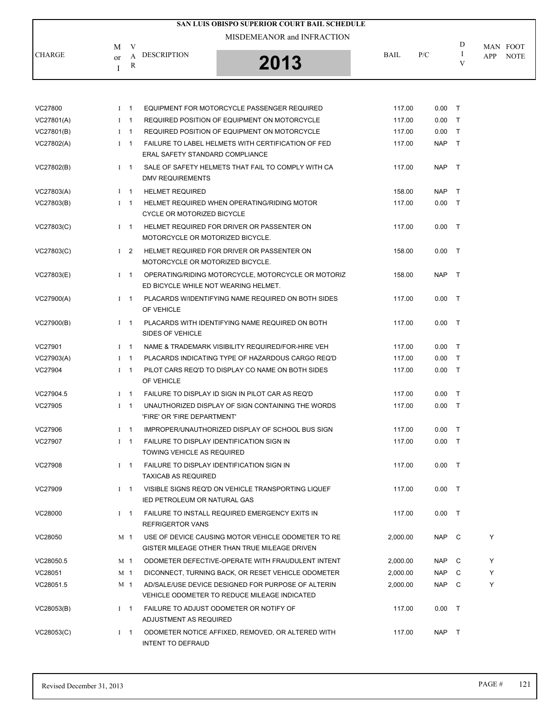|               |                                                    | SAN LUIS OBISPO SUPERIOR COURT BAIL SCHEDULE |             |     |   |                                |
|---------------|----------------------------------------------------|----------------------------------------------|-------------|-----|---|--------------------------------|
| <b>CHARGE</b> | M<br>V<br><b>DESCRIPTION</b><br><sub>or</sub><br>R | MISDEMEANOR and INFRACTION<br>2013           | <b>BAIL</b> | P/C | D | MAN FOOT<br><b>NOTE</b><br>APP |
|               |                                                    |                                              |             |     |   |                                |

| VC27800    | $I \quad 1$ | EQUIPMENT FOR MOTORCYCLE PASSENGER REQUIRED                                                         | 117.00   | 0.00     | $\top$ |   |
|------------|-------------|-----------------------------------------------------------------------------------------------------|----------|----------|--------|---|
| VC27801(A) | $1 \quad 1$ | REQUIRED POSITION OF EQUIPMENT ON MOTORCYCLE                                                        | 117.00   | 0.00     | $\top$ |   |
| VC27801(B) | $1 \quad 1$ | REQUIRED POSITION OF EQUIPMENT ON MOTORCYCLE                                                        | 117.00   | 0.00     | $\top$ |   |
| VC27802(A) | $1 \quad 1$ | FAILURE TO LABEL HELMETS WITH CERTIFICATION OF FED<br>ERAL SAFETY STANDARD COMPLIANCE               | 117.00   | NAP T    |        |   |
| VC27802(B) | $1 \quad 1$ | SALE OF SAFETY HELMETS THAT FAIL TO COMPLY WITH CA<br>DMV REQUIREMENTS                              | 117.00   | NAP T    |        |   |
| VC27803(A) | $I$ 1       | <b>HELMET REQUIRED</b>                                                                              | 158.00   | NAP.     | $\top$ |   |
| VC27803(B) | $1 \quad 1$ | HELMET REQUIRED WHEN OPERATING/RIDING MOTOR<br>CYCLE OR MOTORIZED BICYCLE                           | 117.00   | 0.00     | $\top$ |   |
| VC27803(C) |             | I 1 HELMET REQUIRED FOR DRIVER OR PASSENTER ON<br>MOTORCYCLE OR MOTORIZED BICYCLE.                  | 117.00   | $0.00$ T |        |   |
| VC27803(C) | $1\quad 2$  | HELMET REQUIRED FOR DRIVER OR PASSENTER ON<br>MOTORCYCLE OR MOTORIZED BICYCLE.                      | 158.00   | $0.00$ T |        |   |
| VC27803(E) | $1 \quad 1$ | OPERATING/RIDING MOTORCYCLE, MOTORCYCLE OR MOTORIZ<br>ED BICYCLE WHILE NOT WEARING HELMET.          | 158.00   | NAP T    |        |   |
| VC27900(A) | $I \quad 1$ | PLACARDS WIDENTIFYING NAME REQUIRED ON BOTH SIDES<br>OF VEHICLE                                     | 117.00   | 0.00     | $\top$ |   |
| VC27900(B) | $1 \quad 1$ | PLACARDS WITH IDENTIFYING NAME REQUIRED ON BOTH<br>SIDES OF VEHICLE                                 | 117.00   | $0.00$ T |        |   |
| VC27901    | $1 \quad 1$ | NAME & TRADEMARK VISIBILITY REQUIRED/FOR-HIRE VEH                                                   | 117.00   | 0.00     | $\top$ |   |
| VC27903(A) | $I \quad 1$ | PLACARDS INDICATING TYPE OF HAZARDOUS CARGO REQ'D                                                   | 117.00   | 0.00     | $\top$ |   |
| VC27904    | $1 \quad 1$ | PILOT CARS REQ'D TO DISPLAY CO NAME ON BOTH SIDES<br>OF VEHICLE                                     | 117.00   | 0.00     | $\top$ |   |
| VC27904.5  | $I \quad 1$ | FAILURE TO DISPLAY ID SIGN IN PILOT CAR AS REQ'D                                                    | 117.00   | $0.00$ T |        |   |
| VC27905    | $1 \quad 1$ | UNAUTHORIZED DISPLAY OF SIGN CONTAINING THE WORDS<br>'FIRE' OR 'FIRE DEPARTMENT'                    | 117.00   | $0.00$ T |        |   |
| VC27906    | $I$ 1       | IMPROPER/UNAUTHORIZED DISPLAY OF SCHOOL BUS SIGN                                                    | 117.00   | 0.00     | $\top$ |   |
| VC27907    | $1 \quad 1$ | FAILURE TO DISPLAY IDENTIFICATION SIGN IN<br>TOWING VEHICLE AS REQUIRED                             | 117.00   | 0.00     | $\top$ |   |
| VC27908    | $I \quad 1$ | FAILURE TO DISPLAY IDENTIFICATION SIGN IN<br><b>TAXICAB AS REQUIRED</b>                             | 117.00   | $0.00$ T |        |   |
| VC27909    | $1 \quad 1$ | VISIBLE SIGNS REQ'D ON VEHICLE TRANSPORTING LIQUEF<br><b>IED PETROLEUM OR NATURAL GAS</b>           | 117.00   | $0.00$ T |        |   |
| VC28000    | $I \quad 1$ | FAILURE TO INSTALL REQUIRED EMERGENCY EXITS IN<br><b>REFRIGERTOR VANS</b>                           | 117.00   | $0.00$ T |        |   |
| VC28050    | M 1         | USE OF DEVICE CAUSING MOTOR VEHICLE ODOMETER TO RE<br>GISTER MILEAGE OTHER THAN TRUE MILEAGE DRIVEN | 2,000.00 | NAP C    |        | Y |
| VC28050.5  | M 1         | ODOMETER DEFECTIVE-OPERATE WITH FRAUDULENT INTENT                                                   | 2,000.00 | NAP      | C      | Y |
| VC28051    | M 1         | DICONNECT, TURNING BACK, OR RESET VEHICLE ODOMETER                                                  | 2,000.00 | NAP      | C      | Y |
| VC28051.5  | M 1         | AD/SALE/USE DEVICE DESIGNED FOR PURPOSE OF ALTERIN<br>VEHICLE ODOMETER TO REDUCE MILEAGE INDICATED  | 2,000.00 | NAP C    |        | Υ |
| VC28053(B) | $1 \quad 1$ | FAILURE TO ADJUST ODOMETER OR NOTIFY OF<br>ADJUSTMENT AS REQUIRED                                   | 117.00   | 0.00     | $\top$ |   |
| VC28053(C) | $I \quad 1$ | ODOMETER NOTICE AFFIXED, REMOVED, OR ALTERED WITH<br><b>INTENT TO DEFRAUD</b>                       | 117.00   | NAP T    |        |   |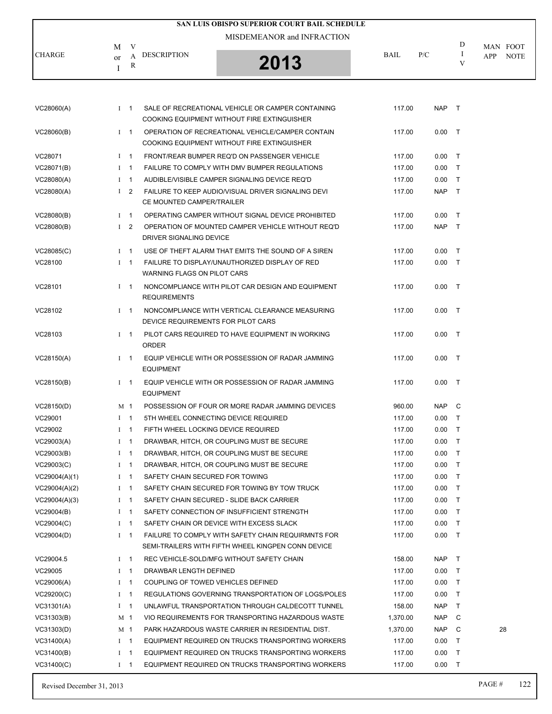|               |               |             | SAN LUIS OBISPO SUPERIOR COURT BAIL SCHEDULE                                                     |             |            |              |                                       |
|---------------|---------------|-------------|--------------------------------------------------------------------------------------------------|-------------|------------|--------------|---------------------------------------|
| <b>CHARGE</b> | M<br>$\alpha$ | V<br>A<br>R | MISDEMEANOR and INFRACTION<br><b>DESCRIPTION</b><br>2013                                         | <b>BAIL</b> | P/C        | D<br>1<br>V  | MAN FOOT<br><b>APP</b><br><b>NOTE</b> |
|               |               |             |                                                                                                  |             |            |              |                                       |
| VC28060(A)    |               | $I$ 1       | SALE OF RECREATIONAL VEHICLE OR CAMPER CONTAINING<br>COOKING EQUIPMENT WITHOUT FIRE EXTINGUISHER | 117.00      | <b>NAP</b> | $\mathsf{T}$ |                                       |
| VC28060(B)    |               | $1 \quad 1$ | OPERATION OF RECREATIONAL VEHICLE/CAMPER CONTAIN<br>COOKING EQUIPMENT WITHOUT FIRE EXTINGUISHER  | 117.00      | 0.00       | $\mathsf{T}$ |                                       |
| VC28071       |               | $I$ 1       | FRONT/REAR BUMPER REQ'D ON PASSENGER VEHICLE                                                     | 117.00      | 0.00       | $\top$       |                                       |
| VC28071(B)    |               | $1 \quad 1$ | FAILURE TO COMPLY WITH DMV BUMPER REGULATIONS                                                    | 117.00      | 0.00       | $\mathsf{T}$ |                                       |
| VC28080(A)    |               | $1 \quad 1$ | AUDIBLE/VISIBLE CAMPER SIGNALING DEVICE REQ'D                                                    | 117.00      | 0.00       | $\mathsf{T}$ |                                       |
| VC28080(A)    | $\mathbf{I}$  | 2           | FAILURE TO KEEP AUDIO/VISUAL DRIVER SIGNALING DEVI<br>CE MOUNTED CAMPER/TRAILER                  | 117.00      | <b>NAP</b> | $\top$       |                                       |
| VC28080(B)    |               | $I$ 1       | OPERATING CAMPER WITHOUT SIGNAL DEVICE PROHIBITED                                                | 117.00      | 0.00       | $\top$       |                                       |
| VC28080(B)    | $\mathbf{I}$  | 2           | OPERATION OF MOUNTED CAMPER VEHICLE WITHOUT REQ'D<br>DRIVER SIGNALING DEVICE                     | 117.00      | <b>NAP</b> | $\mathsf{T}$ |                                       |
| VC28085(C)    |               | $1 \quad 1$ | USE OF THEFT ALARM THAT EMITS THE SOUND OF A SIREN                                               | 117.00      | 0.00       | т            |                                       |
| VC28100       | $\mathbf{I}$  | - 1         | FAILURE TO DISPLAY/UNAUTHORIZED DISPLAY OF RED<br><b>WARNING FLAGS ON PILOT CARS</b>             | 117.00      | 0.00       | $\top$       |                                       |
| VC28101       |               | $I$ 1       | NONCOMPLIANCE WITH PILOT CAR DESIGN AND EQUIPMENT<br><b>REQUIREMENTS</b>                         | 117.00      | 0.00       | $\top$       |                                       |
| VC28102       | L             | - 1         | NONCOMPLIANCE WITH VERTICAL CLEARANCE MEASURING                                                  | 117.00      | 0.00       | $\mathsf{T}$ |                                       |

DEVICE REQUIREMENTS FOR PILOT CARS

ORDER

EQUIPMENT

EQUIPMENT

VC28103 I 1 PILOT CARS REQUIRED TO HAVE EQUIPMENT IN WORKING 117.00 0.00 T

VC28150(A) I 1 EQUIP VEHICLE WITH OR POSSESSION OF RADAR JAMMING 117.00 0.00 T

VC28150(B) I 1 EQUIP VEHICLE WITH OR POSSESSION OF RADAR JAMMING 117.00 0.00 T

VC28150(D) M 1 POSSESSION OF FOUR OR MORE RADAR JAMMING DEVICES 960.00 NAP C VC29001 I 1 5TH WHEEL CONNECTING DEVICE REQUIRED 117.00 0.00 T VC29002 1 1 FIFTH WHEEL LOCKING DEVICE REQUIRED 117.00 117.00 0.00 T VC29003(A) I 1 DRAWBAR, HITCH, OR COUPLING MUST BE SECURE 117.00 0.00 T VC29003(B) THE 1 DRAWBAR, HITCH, OR COUPLING MUST BE SECURE THE 117.00 0.00 THE 117.00 VC29003(C) THE 1 DRAWBAR, HITCH, OR COUPLING MUST BE SECURE THE 117.00 0.00 T VC29004(A)(1) The International International SAFETY CHAIN SECURED FOR TOWING THE CONSTRUCTION ON A 117.00 0.00 T VC29004(A)(2) THE SAFETY CHAIN SECURED FOR TOWING BY TOW TRUCK THE 117.00 0.00 T VC29004(A)(3) I 1 SAFETY CHAIN SECURED - SLIDE BACK CARRIER 117.00 0.00 T VC29004(B)  $1 \quad 1$  SAFETY CONNECTION OF INSUFFICIENT STRENGTH 117.00 0.00 T VC29004(C) THE SAFETY CHAIN OR DEVICE WITH EXCESS SLACK THE SAFETY ON DUIT THE SAFETY CHAIN OR DEVICE WITH EXCESS SLACK VC29004(D) I 1 FAILURE TO COMPLY WITH SAFETY CHAIN REQUIRMNTS FOR 117.00 0.00 T SEMI-TRAILERS WITH FIFTH WHEEL KINGPEN CONN DEVICE VC29004.5 I 1 REC VEHICLE-SOLD/MFG WITHOUT SAFETY CHAIN 158.00 NAP T VC29005 I 1 DRAWBAR LENGTH DEFINED 117.00 0.00 T VC29006(A) I 1 COUPLING OF TOWED VEHICLES DEFINED 117.00 0.00 T VC29200(C) I 1 REGULATIONS GOVERNING TRANSPORTATION OF LOGS/POLES 117.00 0.00 T VC31301(A) The State of the UNLAWFUL TRANSPORTATION THROUGH CALDECOTT TUNNEL THE 158.00 NAP T VC31303(B) M 1 VIO REQUIREMENTS FOR TRANSPORTING HAZARDOUS WASTE 1,370.00 NAP C

VC31400(A) I 1 EQUIPMENT REQUIRED ON TRUCKS TRANSPORTING WORKERS 117.00 0.00 T VC31400(B) I 1 EQUIPMENT REQUIRED ON TRUCKS TRANSPORTING WORKERS 117.00 0.00 T VC31400(C) I 1 EQUIPMENT REQUIRED ON TRUCKS TRANSPORTING WORKERS 117.00 0.00 T

VC31303(D) M 1 PARK HAZARDOUS WASTE CARRIER IN RESIDENTIAL DIST. 1,370.00 NAP C 28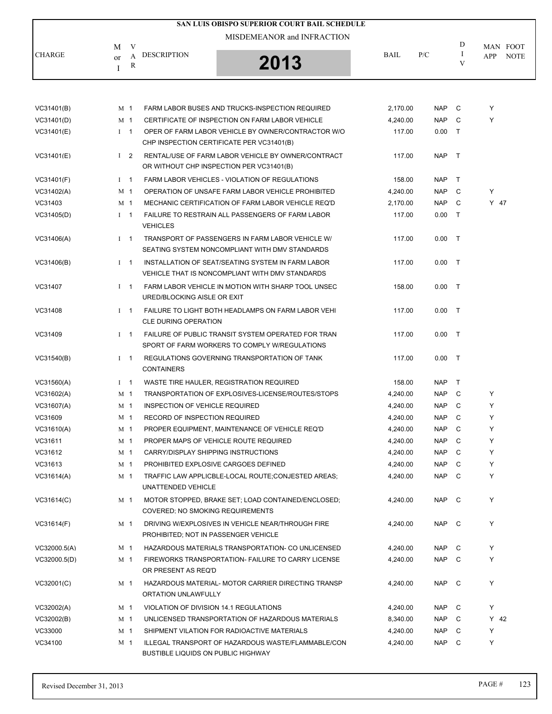|               |                                               | SAN LUIS OBISPO SUPERIOR COURT BAIL SCHEDULE |             |     |   |                                |
|---------------|-----------------------------------------------|----------------------------------------------|-------------|-----|---|--------------------------------|
| <b>CHARGE</b> | V<br>М<br><b>DESCRIPTION</b><br>$\alpha$<br>R | MISDEMEANOR and INFRACTION<br>2013           | <b>BAIL</b> | P/C | D | MAN FOOT<br><b>NOTE</b><br>APP |
|               |                                               |                                              |             |     |   |                                |

| VC31401(B)   |             | M 1            | FARM LABOR BUSES AND TRUCKS-INSPECTION REQUIRED                                                      | 2,170.00 | <b>NAP</b> | C      | Y      |
|--------------|-------------|----------------|------------------------------------------------------------------------------------------------------|----------|------------|--------|--------|
| VC31401(D)   |             | M 1            | CERTIFICATE OF INSPECTION ON FARM LABOR VEHICLE                                                      | 4,240.00 | <b>NAP</b> | C      | Y      |
| VC31401(E)   |             | $1 \quad 1$    | OPER OF FARM LABOR VEHICLE BY OWNER/CONTRACTOR W/O<br>CHP INSPECTION CERTIFICATE PER VC31401(B)      | 117.00   | 0.00       | $\top$ |        |
| VC31401(E)   |             | $1\quad 2$     | RENTAL/USE OF FARM LABOR VEHICLE BY OWNER/CONTRACT<br>OR WITHOUT CHP INSPECTION PER VC31401(B)       | 117.00   | NAP        | $\top$ |        |
| VC31401(F)   | $1 \quad 1$ |                | FARM LABOR VEHICLES - VIOLATION OF REGULATIONS                                                       | 158.00   | <b>NAP</b> | $\top$ |        |
| VC31402(A)   |             | M 1            | OPERATION OF UNSAFE FARM LABOR VEHICLE PROHIBITED                                                    | 4,240.00 | <b>NAP</b> | C      | Y      |
| VC31403      |             | M 1            | MECHANIC CERTIFICATION OF FARM LABOR VEHICLE REQ'D                                                   | 2,170.00 | NAP        | C      | $Y$ 47 |
| VC31405(D)   |             | $1 \quad 1$    | FAILURE TO RESTRAIN ALL PASSENGERS OF FARM LABOR<br><b>VEHICLES</b>                                  | 117.00   | 0.00       | $\top$ |        |
| VC31406(A)   | $1 \quad 1$ |                | TRANSPORT OF PASSENGERS IN FARM LABOR VEHICLE W/<br>SEATING SYSTEM NONCOMPLIANT WITH DMV STANDARDS   | 117.00   | 0.00       | $\top$ |        |
| VC31406(B)   |             | $I \quad 1$    | INSTALLATION OF SEAT/SEATING SYSTEM IN FARM LABOR<br>VEHICLE THAT IS NONCOMPLIANT WITH DMV STANDARDS | 117.00   | $0.00$ T   |        |        |
| VC31407      | $I$ 1       |                | FARM LABOR VEHICLE IN MOTION WITH SHARP TOOL UNSEC<br>URED/BLOCKING AISLE OR EXIT                    | 158.00   | 0.00       | $\top$ |        |
| VC31408      | $I \quad 1$ |                | FAILURE TO LIGHT BOTH HEADLAMPS ON FARM LABOR VEHI<br><b>CLE DURING OPERATION</b>                    | 117.00   | $0.00$ T   |        |        |
| VC31409      |             | $I$ 1          | FAILURE OF PUBLIC TRANSIT SYSTEM OPERATED FOR TRAN<br>SPORT OF FARM WORKERS TO COMPLY W/REGULATIONS  | 117.00   | 0.00       | $\top$ |        |
| VC31540(B)   | $1 \quad 1$ |                | REGULATIONS GOVERNING TRANSPORTATION OF TANK<br><b>CONTAINERS</b>                                    | 117.00   | 0.00       | $\top$ |        |
| VC31560(A)   | $1 \quad 1$ |                | WASTE TIRE HAULER, REGISTRATION REQUIRED                                                             | 158.00   | <b>NAP</b> | $\top$ |        |
| VC31602(A)   |             | M 1            | TRANSPORTATION OF EXPLOSIVES-LICENSE/ROUTES/STOPS                                                    | 4,240.00 | <b>NAP</b> | C      | Y      |
| VC31607(A)   |             | M 1            | INSPECTION OF VEHICLE REQUIRED                                                                       | 4,240.00 | NAP        | C      | Y      |
| VC31609      |             | M 1            | RECORD OF INSPECTION REQUIRED                                                                        | 4,240.00 | <b>NAP</b> | C      | Y      |
| VC31610(A)   |             | M 1            | PROPER EQUIPMENT, MAINTENANCE OF VEHICLE REQ'D                                                       | 4,240.00 | <b>NAP</b> | C      | Y      |
| VC31611      |             | M <sub>1</sub> | PROPER MAPS OF VEHICLE ROUTE REQUIRED                                                                | 4,240.00 | <b>NAP</b> | C      | Y      |
| VC31612      |             | M 1            | CARRY/DISPLAY SHIPPING INSTRUCTIONS                                                                  | 4,240.00 | <b>NAP</b> | C      | Y      |
| VC31613      |             | M 1            | PROHIBITED EXPLOSIVE CARGOES DEFINED                                                                 | 4,240.00 | <b>NAP</b> | C      | Y      |
| VC31614(A)   |             | M 1            | TRAFFIC LAW APPLICBLE-LOCAL ROUTE;CONJESTED AREAS;<br>UNATTENDED VEHICLE                             | 4,240.00 | <b>NAP</b> | C.     | Y      |
| VC31614(C)   |             | M <sub>1</sub> | MOTOR STOPPED, BRAKE SET; LOAD CONTAINED/ENCLOSED;<br>COVERED; NO SMOKING REQUIREMENTS               | 4,240.00 | NAP C      |        | Y      |
| VC31614(F)   |             | M 1            | DRIVING W/EXPLOSIVES IN VEHICLE NEAR/THROUGH FIRE<br>PROHIBITED; NOT IN PASSENGER VEHICLE            | 4,240.00 | <b>NAP</b> | C      | Y      |
| VC32000.5(A) |             | M 1            | HAZARDOUS MATERIALS TRANSPORTATION- CO UNLICENSED                                                    | 4,240.00 | <b>NAP</b> | C      | Y      |
| VC32000.5(D) |             | M 1            | FIREWORKS TRANSPORTATION- FAILURE TO CARRY LICENSE<br>OR PRESENT AS REQ'D                            | 4,240.00 | <b>NAP</b> | C      | Y      |
| VC32001(C)   |             | M 1            | HAZARDOUS MATERIAL- MOTOR CARRIER DIRECTING TRANSP<br>ORTATION UNLAWFULLY                            | 4,240.00 | NAP        | C      | Y      |
| VC32002(A)   |             | M 1            | VIOLATION OF DIVISION 14.1 REGULATIONS                                                               | 4,240.00 | NAP        | C      | Y      |
| VC32002(B)   |             | M 1            | UNLICENSED TRANSPORTATION OF HAZARDOUS MATERIALS                                                     | 8,340.00 | NAP        | C      | $Y$ 42 |
| VC33000      |             | M 1            | SHIPMENT VILATION FOR RADIOACTIVE MATERIALS                                                          | 4,240.00 | NAP        | C      | Y      |
| VC34100      |             | M 1            | ILLEGAL TRANSPORT OF HAZARDOUS WASTE/FLAMMABLE/CON<br><b>BUSTIBLE LIQUIDS ON PUBLIC HIGHWAY</b>      | 4,240.00 | NAP        | C      | Y      |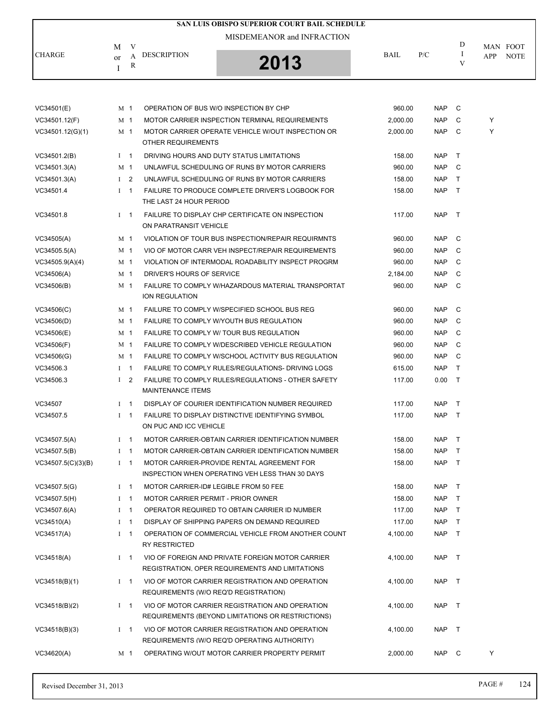|                    |                             |                                           | SAN LUIS OBISPO SUPERIOR COURT BAIL SCHEDULE                                                         |          |            |              |     |                         |
|--------------------|-----------------------------|-------------------------------------------|------------------------------------------------------------------------------------------------------|----------|------------|--------------|-----|-------------------------|
|                    |                             |                                           | MISDEMEANOR and INFRACTION                                                                           |          |            |              |     |                         |
| <b>CHARGE</b>      | V<br>М<br>А<br>or<br>R<br>I | <b>DESCRIPTION</b>                        | 2013                                                                                                 | BAIL     | P/C        | D<br>Ι.<br>V | APP | MAN FOOT<br><b>NOTE</b> |
|                    |                             |                                           |                                                                                                      |          |            |              |     |                         |
| VC34501(E)         | M 1                         |                                           | OPERATION OF BUS W/O INSPECTION BY CHP                                                               | 960.00   | NAP C      |              |     |                         |
| VC34501.12(F)      | M 1                         |                                           | MOTOR CARRIER INSPECTION TERMINAL REQUIREMENTS                                                       | 2,000.00 | <b>NAP</b> | C            | Y   |                         |
| VC34501.12(G)(1)   | M 1                         | OTHER REQUIREMENTS                        | MOTOR CARRIER OPERATE VEHICLE W/OUT INSPECTION OR                                                    | 2.000.00 | NAP        | C            | Υ   |                         |
| VC34501.2(B)       | $1 \quad 1$                 |                                           | DRIVING HOURS AND DUTY STATUS LIMITATIONS                                                            | 158.00   | <b>NAP</b> | $\mathsf{T}$ |     |                         |
| VC34501.3(A)       | M 1                         |                                           | UNLAWFUL SCHEDULING OF RUNS BY MOTOR CARRIERS                                                        | 960.00   | NAP        | C            |     |                         |
| VC34501.3(A)       | $1\quad 2$                  |                                           | UNLAWFUL SCHEDULING OF RUNS BY MOTOR CARRIERS                                                        | 158.00   | NAP        | $\top$       |     |                         |
| VC34501.4          | $1 \quad 1$                 | THE LAST 24 HOUR PERIOD                   | FAILURE TO PRODUCE COMPLETE DRIVER'S LOGBOOK FOR                                                     | 158.00   | NAP        | $\top$       |     |                         |
| VC34501.8          | $1 \quad 1$                 | ON PARATRANSIT VEHICLE                    | FAILURE TO DISPLAY CHP CERTIFICATE ON INSPECTION                                                     | 117.00   | NAP T      |              |     |                         |
| VC34505(A)         | M 1                         |                                           | VIOLATION OF TOUR BUS INSPECTION/REPAIR REQUIRMNTS                                                   | 960.00   | NAP        | C            |     |                         |
| VC34505.5(A)       | M 1                         |                                           | VIO OF MOTOR CARR VEH INSPECT/REPAIR REQUIREMENTS                                                    | 960.00   | <b>NAP</b> | C            |     |                         |
| VC34505.9(A)(4)    | M 1                         |                                           | VIOLATION OF INTERMODAL ROADABILITY INSPECT PROGRM                                                   | 960.00   | <b>NAP</b> | C            |     |                         |
| VC34506(A)         | M 1                         | DRIVER'S HOURS OF SERVICE                 |                                                                                                      | 2,184.00 | <b>NAP</b> | C            |     |                         |
| VC34506(B)         | M 1                         | ION REGULATION                            | FAILURE TO COMPLY W/HAZARDOUS MATERIAL TRANSPORTAT                                                   | 960.00   | <b>NAP</b> | C            |     |                         |
| VC34506(C)         | M 1                         |                                           | FAILURE TO COMPLY W/SPECIFIED SCHOOL BUS REG                                                         | 960.00   | <b>NAP</b> | C            |     |                         |
| VC34506(D)         | M 1                         |                                           | FAILURE TO COMPLY W/YOUTH BUS REGULATION                                                             | 960.00   | NAP        | C            |     |                         |
| VC34506(E)         | M 1                         |                                           | FAILURE TO COMPLY W/ TOUR BUS REGULATION                                                             | 960.00   | <b>NAP</b> | C            |     |                         |
| VC34506(F)         | M 1                         |                                           | FAILURE TO COMPLY W/DESCRIBED VEHICLE REGULATION                                                     | 960.00   | <b>NAP</b> | C            |     |                         |
| VC34506(G)         | M 1                         |                                           | FAILURE TO COMPLY W/SCHOOL ACTIVITY BUS REGULATION                                                   | 960.00   | <b>NAP</b> | C            |     |                         |
| VC34506.3          | $1 \quad 1$                 |                                           | FAILURE TO COMPLY RULES/REGULATIONS- DRIVING LOGS                                                    | 615.00   | NAP.       | $\top$       |     |                         |
| VC34506.3          | $1\quad 2$                  | <b>MAINTENANCE ITEMS</b>                  | FAILURE TO COMPLY RULES/REGULATIONS - OTHER SAFETY                                                   | 117.00   | 0.00       | $\top$       |     |                         |
| VC34507            | $1 \quad 1$                 |                                           | DISPLAY OF COURIER IDENTIFICATION NUMBER REQUIRED                                                    | 117.00   | NAP.       | $\top$       |     |                         |
| VC34507.5          | $1 \quad 1$                 | ON PUC AND ICC VEHICLE                    | FAILURE TO DISPLAY DISTINCTIVE IDENTIFYING SYMBOL                                                    | 117.00   | NAP        | $\top$       |     |                         |
| VC34507.5(A)       | $I \quad 1$                 |                                           | MOTOR CARRIER-OBTAIN CARRIER IDENTIFICATION NUMBER                                                   | 158.00   | NAP T      |              |     |                         |
| VC34507.5(B)       | $I \quad 1$                 |                                           | MOTOR CARRIER-OBTAIN CARRIER IDENTIFICATION NUMBER                                                   | 158.00   | NAP        | $\top$       |     |                         |
| VC34507.5(C)(3)(B) | $1 \quad 1$                 |                                           | MOTOR CARRIER-PROVIDE RENTAL AGREEMENT FOR<br>INSPECTION WHEN OPERATING VEH LESS THAN 30 DAYS        | 158.00   | NAP T      |              |     |                         |
| VC34507.5(G)       | $1 \quad 1$                 | MOTOR CARRIER-ID# LEGIBLE FROM 50 FEE     |                                                                                                      | 158.00   | NAP T      |              |     |                         |
| VC34507.5(H)       | $I \quad 1$                 | <b>MOTOR CARRIER PERMIT - PRIOR OWNER</b> |                                                                                                      | 158.00   | NAP        | T            |     |                         |
| VC34507.6(A)       | $I \quad 1$                 |                                           | OPERATOR REQUIRED TO OBTAIN CARRIER ID NUMBER                                                        | 117.00   | NAP        | T            |     |                         |
| VC34510(A)         | $1 \quad 1$                 |                                           | DISPLAY OF SHIPPING PAPERS ON DEMAND REQUIRED                                                        | 117.00   | NAP.       | $\top$       |     |                         |
| VC34517(A)         | $1 \quad 1$                 | RY RESTRICTED                             | OPERATION OF COMMERCIAL VEHICLE FROM ANOTHER COUNT                                                   | 4,100.00 | NAP        | $\top$       |     |                         |
| VC34518(A)         | $1 \quad 1$                 |                                           | VIO OF FOREIGN AND PRIVATE FOREIGN MOTOR CARRIER<br>REGISTRATION, OPER REQUIREMENTS AND LIMITATIONS  | 4,100.00 | NAP T      |              |     |                         |
| VC34518(B)(1)      | $1 \quad 1$                 | REQUIREMENTS (W/O REQ'D REGISTRATION)     | VIO OF MOTOR CARRIER REGISTRATION AND OPERATION                                                      | 4,100.00 | NAP.       | $\top$       |     |                         |
| VC34518(B)(2)      | $1 \quad 1$                 |                                           | VIO OF MOTOR CARRIER REGISTRATION AND OPERATION<br>REQUIREMENTS (BEYOND LIMITATIONS OR RESTRICTIONS) | 4,100.00 | NAP T      |              |     |                         |
| VC34518(B)(3)      | $1 \quad 1$                 |                                           | VIO OF MOTOR CARRIER REGISTRATION AND OPERATION<br>REQUIREMENTS (W/O REQ'D OPERATING AUTHORITY)      | 4,100.00 | NAP        | $\top$       |     |                         |
| VC34620(A)         | M 1                         |                                           | OPERATING W/OUT MOTOR CARRIER PROPERTY PERMIT                                                        | 2,000.00 | NAP C      |              | Y   |                         |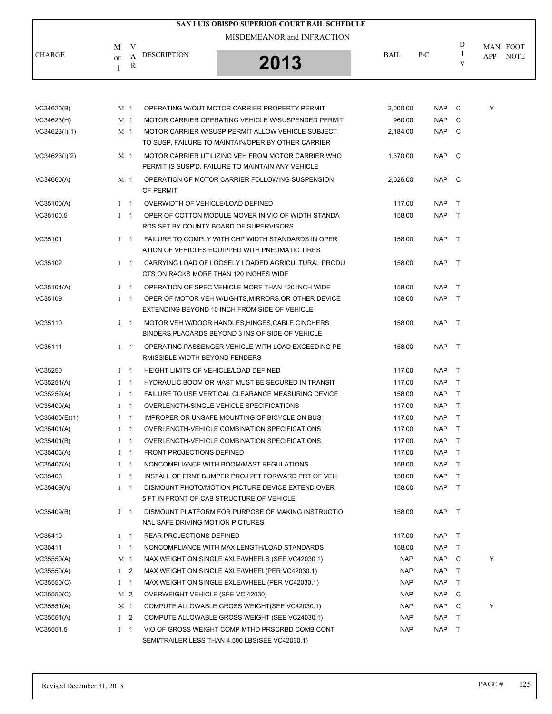|               |                                          | SAN LUIS OBISPO SUPERIOR COURT BAIL SCHEDULE |             |     |   |                    |
|---------------|------------------------------------------|----------------------------------------------|-------------|-----|---|--------------------|
|               | М                                        | MISDEMEANOR and INFRACTION                   |             |     | D | MAN FOOT           |
| <b>CHARGE</b> | <b>DESCRIPTION</b><br><sub>or</sub><br>R | 2013                                         | <b>BAIL</b> | P/C |   | <b>NOTE</b><br>APP |

| VC34620(B)    |              | M 1            | OPERATING W/OUT MOTOR CARRIER PROPERTY PERMIT                                                           | 2,000.00   | <b>NAP</b> | C            | Y |
|---------------|--------------|----------------|---------------------------------------------------------------------------------------------------------|------------|------------|--------------|---|
| VC34623(H)    |              | M 1            | MOTOR CARRIER OPERATING VEHICLE W/SUSPENDED PERMIT                                                      | 960.00     | <b>NAP</b> | C            |   |
| VC34623(I)(1) |              | M 1            | MOTOR CARRIER W/SUSP PERMIT ALLOW VEHICLE SUBJECT<br>TO SUSP, FAILURE TO MAINTAIN/OPER BY OTHER CARRIER | 2,184.00   | NAP        | C.           |   |
| VC34623(I)(2) |              | M 1            | MOTOR CARRIER UTILIZING VEH FROM MOTOR CARRIER WHO<br>PERMIT IS SUSP'D, FAILURE TO MAINTAIN ANY VEHICLE | 1,370.00   | NAP C      |              |   |
| VC34660(A)    |              | M 1            | OPERATION OF MOTOR CARRIER FOLLOWING SUSPENSION<br>OF PERMIT                                            | 2,026.00   | NAP C      |              |   |
| VC35100(A)    |              | $I \quad 1$    | OVERWIDTH OF VEHICLE/LOAD DEFINED                                                                       | 117.00     | NAP T      |              |   |
| VC35100.5     |              | $I \quad 1$    | OPER OF COTTON MODULE MOVER IN VIO OF WIDTH STANDA<br>RDS SET BY COUNTY BOARD OF SUPERVISORS            | 158.00     | NAP T      |              |   |
| VC35101       |              | $1 \quad 1$    | FAILURE TO COMPLY WITH CHP WIDTH STANDARDS IN OPER<br>ATION OF VEHICLES EQUIPPED WITH PNEUMATIC TIRES   | 158.00     | NAP T      |              |   |
| VC35102       |              | $1 \quad 1$    | CARRYING LOAD OF LOOSELY LOADED AGRICULTURAL PRODU<br>CTS ON RACKS MORE THAN 120 INCHES WIDE            | 158.00     | NAP T      |              |   |
| VC35104(A)    |              | $1 \quad 1$    | OPERATION OF SPEC VEHICLE MORE THAN 120 INCH WIDE                                                       | 158.00     | NAP.       | $\top$       |   |
| VC35109       |              | $1 \quad 1$    | OPER OF MOTOR VEH W/LIGHTS, MIRRORS, OR OTHER DEVICE<br>EXTENDING BEYOND 10 INCH FROM SIDE OF VEHICLE   | 158.00     | NAP        | $\top$       |   |
| VC35110       |              | $1 \quad 1$    | MOTOR VEH W/DOOR HANDLES, HINGES, CABLE CINCHERS,<br>BINDERS, PLACARDS BEYOND 3 INS OF SIDE OF VEHICLE  | 158.00     | NAP        | $\top$       |   |
| VC35111       |              | $I \quad 1$    | OPERATING PASSENGER VEHICLE WITH LOAD EXCEEDING PE<br>RMISSIBLE WIDTH BEYOND FENDERS                    | 158.00     | NAP T      |              |   |
| VC35250       |              | $I \quad 1$    | <b>HEIGHT LIMITS OF VEHICLE/LOAD DEFINED</b>                                                            | 117.00     | NAP T      |              |   |
| VC35251(A)    |              | $1 \quad 1$    | HYDRAULIC BOOM OR MAST MUST BE SECURED IN TRANSIT                                                       | 117.00     | <b>NAP</b> | T            |   |
| VC35252(A)    |              | $I \quad 1$    | <b>FAILURE TO USE VERTICAL CLEARANCE MEASURING DEVICE</b>                                               | 158.00     | NAP        | $\top$       |   |
| VC35400(A)    |              | $1 \quad 1$    | OVERLENGTH-SINGLE VEHICLE SPECIFICATIONS                                                                | 117.00     | NAP        | $\top$       |   |
| VC35400(E)(1) | $\mathbf{I}$ | $\mathbf{1}$   | IMPROPER OR UNSAFE MOUNTING OF BICYCLE ON BUS                                                           | 117.00     | NAP        | $\top$       |   |
| VC35401(A)    |              | $I \quad 1$    | OVERLENGTH-VEHICLE COMBINATION SPECIFICATIONS                                                           | 117.00     | <b>NAP</b> | $\top$       |   |
| VC35401(B)    |              | $I \quad 1$    | OVERLENGTH-VEHICLE COMBINATION SPECIFICATIONS                                                           | 117.00     | NAP.       | $\top$       |   |
| VC35406(A)    | $\mathbf{I}$ | $\mathbf{1}$   | <b>FRONT PROJECTIONS DEFINED</b>                                                                        | 117.00     | NAP        | $\top$       |   |
| VC35407(A)    |              | $I \quad 1$    | NONCOMPLIANCE WITH BOOM/MAST REGULATIONS                                                                | 158.00     | <b>NAP</b> | T            |   |
| VC35408       |              | $1 \quad 1$    | INSTALL OF FRNT BUMPER PROJ 2FT FORWARD PRT OF VEH                                                      | 158.00     | <b>NAP</b> | $\top$       |   |
| VC35409(A)    | $\mathbf{I}$ | $\mathbf{1}$   | DISMOUNT PHOTO/MOTION PICTURE DEVICE EXTEND OVER<br>5 FT IN FRONT OF CAB STRUCTURE OF VEHICLE           | 158.00     | <b>NAP</b> | $\top$       |   |
| VC35409(B)    |              | $I \quad 1$    | DISMOUNT PLATFORM FOR PURPOSE OF MAKING INSTRUCTIO<br>NAL SAFE DRIVING MOTION PICTURES                  | 158.00     | NAP T      |              |   |
| VC35410       |              | $I \quad 1$    | <b>REAR PROJECTIONS DEFINED</b>                                                                         | 117.00     | <b>NAP</b> | $\top$       |   |
| VC35411       | L            | $\mathbf{1}$   | NONCOMPLIANCE WITH MAX LENGTH/LOAD STANDARDS                                                            | 158.00     | <b>NAP</b> | T            |   |
| VC35550(A)    |              | M 1            | MAX WEIGHT ON SINGLE AXLE/WHEELS (SEE VC42030.1)                                                        | <b>NAP</b> | NAP        | C            | Y |
| VC35550(A)    |              | I <sub>2</sub> | MAX WEIGHT ON SINGLE AXLE/WHEEL(PER VC42030.1)                                                          | <b>NAP</b> | NAP.       | T            |   |
| VC35550(C)    |              | $I \quad 1$    | MAX WEIGHT ON SINGLE EXLE/WHEEL (PER VC42030.1)                                                         | <b>NAP</b> | NAP        | T            |   |
| VC35550(C)    |              | M 2            | OVERWEIGHT VEHICLE (SEE VC 42030)                                                                       | <b>NAP</b> | NAP.       | C            |   |
| VC35551(A)    |              | M 1            | COMPUTE ALLOWABLE GROSS WEIGHT (SEE VC42030.1)                                                          | <b>NAP</b> | NAP.       | C            | Y |
| VC35551(A)    |              | I <sub>2</sub> | COMPUTE ALLOWABLE GROSS WEIGHT (SEE VC24030.1)                                                          | <b>NAP</b> | NAP        | $\mathsf{T}$ |   |
| VC35551.5     |              | $I \quad 1$    | VIO OF GROSS WEIGHT COMP MTHD PRSCRBD COMB CONT<br>SEMI/TRAILER LESS THAN 4,500 LBS(SEE VC42030.1)      | <b>NAP</b> | NAP        | $\top$       |   |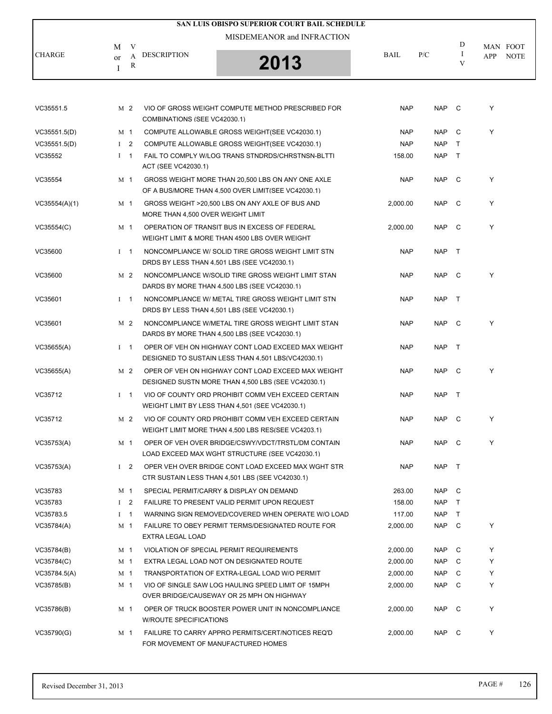|               |              |                     |                                    | SAN LUIS OBISPO SUPERIOR COURT BAIL SCHEDULE                                                             |            |            |                    |                                       |
|---------------|--------------|---------------------|------------------------------------|----------------------------------------------------------------------------------------------------------|------------|------------|--------------------|---------------------------------------|
|               |              |                     |                                    | MISDEMEANOR and INFRACTION                                                                               |            |            |                    |                                       |
| <b>CHARGE</b> | M<br>or<br>Ι | V<br>A<br>${\bf R}$ | <b>DESCRIPTION</b>                 | 2013                                                                                                     | BAIL       | P/C        | D<br>$\bf{I}$<br>V | MAN FOOT<br><b>NOTE</b><br><b>APP</b> |
|               |              |                     |                                    |                                                                                                          |            |            |                    |                                       |
| VC35551.5     |              | M 2                 | COMBINATIONS (SEE VC42030.1)       | VIO OF GROSS WEIGHT COMPUTE METHOD PRESCRIBED FOR                                                        | <b>NAP</b> | <b>NAP</b> | $\mathbf{C}$       | Y                                     |
| VC35551.5(D)  |              | M 1                 |                                    | COMPUTE ALLOWABLE GROSS WEIGHT (SEE VC42030.1)                                                           | <b>NAP</b> | <b>NAP</b> | C                  | Y                                     |
| VC35551.5(D)  |              | I <sub>2</sub>      |                                    | COMPUTE ALLOWABLE GROSS WEIGHT (SEE VC42030.1)                                                           | <b>NAP</b> | <b>NAP</b> | $\top$             |                                       |
| VC35552       |              | $I \quad 1$         | ACT (SEE VC42030.1)                | FAIL TO COMPLY W/LOG TRANS STNDRDS/CHRSTNSN-BLTTI                                                        | 158.00     | <b>NAP</b> | T                  |                                       |
| VC35554       |              | M 1                 |                                    | GROSS WEIGHT MORE THAN 20,500 LBS ON ANY ONE AXLE<br>OF A BUS/MORE THAN 4,500 OVER LIMIT(SEE VC42030.1)  | <b>NAP</b> | <b>NAP</b> | C                  | Y                                     |
| VC35554(A)(1) |              | M 1                 | MORE THAN 4,500 OVER WEIGHT LIMIT  | GROSS WEIGHT >20,500 LBS ON ANY AXLE OF BUS AND                                                          | 2,000.00   | <b>NAP</b> | $\mathbf{C}$       | Y                                     |
| VC35554(C)    |              | M 1                 |                                    | OPERATION OF TRANSIT BUS IN EXCESS OF FEDERAL<br>WEIGHT LIMIT & MORE THAN 4500 LBS OVER WEIGHT           | 2,000.00   | <b>NAP</b> | $\mathbb C$        | Y                                     |
| VC35600       |              | $I \quad 1$         |                                    | NONCOMPLIANCE W/ SOLID TIRE GROSS WEIGHT LIMIT STN<br>DRDS BY LESS THAN 4,501 LBS (SEE VC42030.1)        | <b>NAP</b> | <b>NAP</b> | $\top$             |                                       |
| VC35600       |              | M <sub>2</sub>      |                                    | NONCOMPLIANCE W/SOLID TIRE GROSS WEIGHT LIMIT STAN<br>DARDS BY MORE THAN 4,500 LBS (SEE VC42030.1)       | <b>NAP</b> | <b>NAP</b> | $\mathbf{C}$       | Y                                     |
| VC35601       |              | $I \quad 1$         |                                    | NONCOMPLIANCE W/ METAL TIRE GROSS WEIGHT LIMIT STN<br>DRDS BY LESS THAN 4,501 LBS (SEE VC42030.1)        | <b>NAP</b> | <b>NAP</b> | $\top$             |                                       |
| VC35601       |              | M 2                 |                                    | NONCOMPLIANCE W/METAL TIRE GROSS WEIGHT LIMIT STAN<br>DARDS BY MORE THAN 4,500 LBS (SEE VC42030.1)       | <b>NAP</b> | <b>NAP</b> | C                  | Y                                     |
| VC35655(A)    |              | $I \quad 1$         |                                    | OPER OF VEH ON HIGHWAY CONT LOAD EXCEED MAX WEIGHT<br>DESIGNED TO SUSTAIN LESS THAN 4,501 LBS(VC42030.1) | <b>NAP</b> | <b>NAP</b> | $\top$             |                                       |
| VC35655(A)    |              | M 2                 |                                    | OPER OF VEH ON HIGHWAY CONT LOAD EXCEED MAX WEIGHT<br>DESIGNED SUSTN MORE THAN 4,500 LBS (SEE VC42030.1) | <b>NAP</b> | <b>NAP</b> | $\mathbb C$        | Y                                     |
| VC35712       |              | $1 \quad 1$         |                                    | VIO OF COUNTY ORD PROHIBIT COMM VEH EXCEED CERTAIN<br>WEIGHT LIMIT BY LESS THAN 4,501 (SEE VC42030.1)    | <b>NAP</b> | <b>NAP</b> | $\top$             |                                       |
| VC35712       |              | M 2                 |                                    | VIO OF COUNTY ORD PROHIBIT COMM VEH EXCEED CERTAIN<br>WEIGHT LIMIT MORE THAN 4.500 LBS RES(SEE VC4203.1) | <b>NAP</b> | <b>NAP</b> | $\mathbf{C}$       | Υ                                     |
| VC35753(A)    |              | M <sub>1</sub>      |                                    | OPER OF VEH OVER BRIDGE/CSWY/VDCT/TRSTL/DM CONTAIN<br>LOAD EXCEED MAX WGHT STRUCTURE (SEE VC42030.1)     | <b>NAP</b> | NAP C      |                    | Y                                     |
| VC35753(A)    |              | $1\quad 2$          |                                    | OPER VEH OVER BRIDGE CONT LOAD EXCEED MAX WGHT STR<br>CTR SUSTAIN LESS THAN 4,501 LBS (SEE VC42030.1)    | <b>NAP</b> | NAP        | $\top$             |                                       |
| VC35783       |              | M 1                 |                                    | SPECIAL PERMIT/CARRY & DISPLAY ON DEMAND                                                                 | 263.00     | <b>NAP</b> | C                  |                                       |
| VC35783       |              | $1 \quad 2$         |                                    | FAILURE TO PRESENT VALID PERMIT UPON REQUEST                                                             | 158.00     | <b>NAP</b> | T                  |                                       |
| VC35783.5     |              | $I \quad 1$         |                                    | WARNING SIGN REMOVED/COVERED WHEN OPERATE W/O LOAD                                                       | 117.00     | <b>NAP</b> | T.                 |                                       |
| VC35784(A)    |              | M 1                 | EXTRA LEGAL LOAD                   | FAILURE TO OBEY PERMIT TERMS/DESIGNATED ROUTE FOR                                                        | 2,000.00   | <b>NAP</b> | C                  | Y                                     |
| VC35784(B)    |              | M 1                 |                                    | VIOLATION OF SPECIAL PERMIT REQUIREMENTS                                                                 | 2,000.00   | NAP.       | C                  | Y                                     |
| VC35784(C)    |              | M 1                 |                                    | EXTRA LEGAL LOAD NOT ON DESIGNATED ROUTE                                                                 | 2,000.00   | <b>NAP</b> | C                  | Y                                     |
| VC35784.5(A)  |              | M 1                 |                                    | TRANSPORTATION OF EXTRA-LEGAL LOAD W/O PERMIT                                                            | 2,000.00   | NAP.       | C                  | Y                                     |
| VC35785(B)    |              | M 1                 |                                    | VIO OF SINGLE SAW LOG HAULING SPEED LIMIT OF 15MPH<br>OVER BRIDGE/CAUSEWAY OR 25 MPH ON HIGHWAY          | 2,000.00   | <b>NAP</b> | C                  | Y                                     |
| VC35786(B)    |              | M 1                 | <b>W/ROUTE SPECIFICATIONS</b>      | OPER OF TRUCK BOOSTER POWER UNIT IN NONCOMPLIANCE                                                        | 2,000.00   | <b>NAP</b> | $\mathbf{C}$       | Y                                     |
| VC35790(G)    |              | M 1                 | FOR MOVEMENT OF MANUFACTURED HOMES | FAILURE TO CARRY APPRO PERMITS/CERT/NOTICES REQ'D                                                        | 2,000.00   | NAP C      |                    | Y                                     |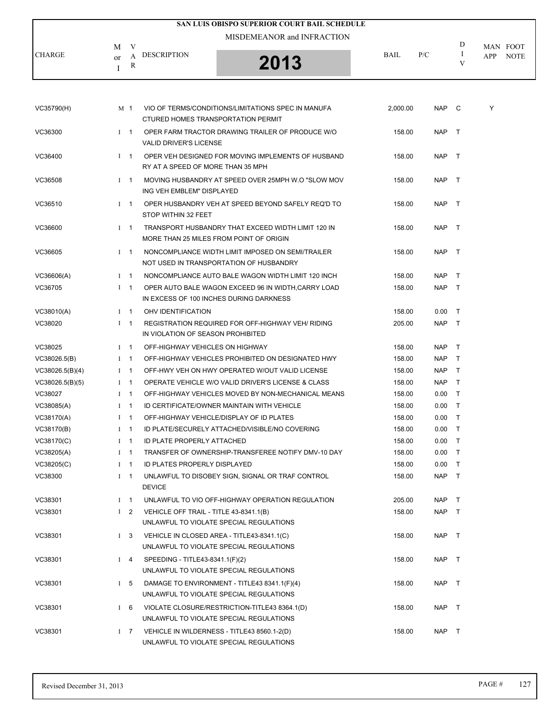|               |                                    | SAN LUIS OBISPO SUPERIOR COURT BAIL SCHEDULE |             |     |   |                    |
|---------------|------------------------------------|----------------------------------------------|-------------|-----|---|--------------------|
|               | V<br>M                             | MISDEMEANOR and INFRACTION                   |             |     | D | MAN FOOT           |
| <b>CHARGE</b> | <b>DESCRIPTION</b><br>А<br>or<br>R | 2013                                         | <b>BAIL</b> | P/C |   | <b>NOTE</b><br>APP |

| VC35790(H)      |          | M 1            | VIO OF TERMS/CONDITIONS/LIMITATIONS SPEC IN MANUFA<br>CTURED HOMES TRANSPORTATION PERMIT       | 2,000.00 | <b>NAP</b> | $\overline{C}$ | Y |
|-----------------|----------|----------------|------------------------------------------------------------------------------------------------|----------|------------|----------------|---|
| VC36300         |          | $I \quad 1$    | OPER FARM TRACTOR DRAWING TRAILER OF PRODUCE W/O<br><b>VALID DRIVER'S LICENSE</b>              | 158.00   | <b>NAP</b> | $\top$         |   |
| VC36400         |          | $I = 1$        | OPER VEH DESIGNED FOR MOVING IMPLEMENTS OF HUSBAND<br>RY AT A SPEED OF MORE THAN 35 MPH        | 158.00   | <b>NAP</b> | $\top$         |   |
| VC36508         |          | $I \quad 1$    | MOVING HUSBANDRY AT SPEED OVER 25MPH W.O "SLOW MOV<br>ING VEH EMBLEM" DISPLAYED                | 158.00   | <b>NAP</b> | $\top$         |   |
| VC36510         |          | $1 \quad 1$    | OPER HUSBANDRY VEH AT SPEED BEYOND SAFELY REQ'D TO<br>STOP WITHIN 32 FEET                      | 158.00   | <b>NAP</b> | $\top$         |   |
| VC36600         |          | $1 \quad 1$    | TRANSPORT HUSBANDRY THAT EXCEED WIDTH LIMIT 120 IN<br>MORE THAN 25 MILES FROM POINT OF ORIGIN  | 158.00   | <b>NAP</b> | $\top$         |   |
| VC36605         |          | $I \quad 1$    | NONCOMPLIANCE WIDTH LIMIT IMPOSED ON SEMI/TRAILER<br>NOT USED IN TRANSPORTATION OF HUSBANDRY   | 158.00   | <b>NAP</b> | $\top$         |   |
| VC36606(A)      |          | $1 \quad 1$    | NONCOMPLIANCE AUTO BALE WAGON WIDTH LIMIT 120 INCH                                             | 158.00   | <b>NAP</b> | $\top$         |   |
| VC36705         |          | $1 \quad 1$    | OPER AUTO BALE WAGON EXCEED 96 IN WIDTH, CARRY LOAD<br>IN EXCESS OF 100 INCHES DURING DARKNESS | 158.00   | NAP T      |                |   |
| VC38010(A)      |          | $I \quad 1$    | OHV IDENTIFICATION                                                                             | 158.00   | 0.00       | $\top$         |   |
| VC38020         |          | $I$ 1          | <b>REGISTRATION REQUIRED FOR OFF-HIGHWAY VEH/ RIDING</b><br>IN VIOLATION OF SEASON PROHIBITED  | 205.00   | <b>NAP</b> | $\top$         |   |
| VC38025         |          | $1 \quad 1$    | OFF-HIGHWAY VEHICLES ON HIGHWAY                                                                | 158.00   | NAP T      |                |   |
| VC38026.5(B)    | Ι.       | $\mathbf{1}$   | OFF-HIGHWAY VEHICLES PROHIBITED ON DESIGNATED HWY                                              | 158.00   | <b>NAP</b> | $\mathsf{T}$   |   |
| VC38026.5(B)(4) |          | $1 \quad 1$    | OFF-HWY VEH ON HWY OPERATED W/OUT VALID LICENSE                                                | 158.00   | <b>NAP</b> | $\top$         |   |
| VC38026.5(B)(5) |          | $1 \quad 1$    | OPERATE VEHICLE W/O VALID DRIVER'S LICENSE & CLASS                                             | 158.00   | NAP T      |                |   |
| VC38027         | Ι.       | $\mathbf{1}$   | OFF-HIGHWAY VEHICLES MOVED BY NON-MECHANICAL MEANS                                             | 158.00   | 0.00       | $\top$         |   |
| VC38085(A)      |          | $1 \quad 1$    | ID CERTIFICATE/OWNER MAINTAIN WITH VEHICLE                                                     | 158.00   | $0.00\,$   | $\top$         |   |
| VC38170(A)      |          | $1 \quad 1$    | OFF-HIGHWAY VEHICLE/DISPLAY OF ID PLATES                                                       | 158.00   | 0.00       | $\top$         |   |
| VC38170(B)      | Ι.       | $\mathbf{1}$   | ID PLATE/SECURELY ATTACHED/VISIBLE/NO COVERING                                                 | 158.00   | $0.00\,$   | $\top$         |   |
| VC38170(C)      |          | $1 \quad 1$    | ID PLATE PROPERLY ATTACHED                                                                     | 158.00   | 0.00       | $\top$         |   |
| VC38205(A)      | $\bf{I}$ | $\overline{1}$ | TRANSFER OF OWNERSHIP-TRANSFEREE NOTIFY DMV-10 DAY                                             | 158.00   | 0.00       | $\top$         |   |
| VC38205(C)      | Ι.       | $\overline{1}$ | <b>ID PLATES PROPERLY DISPLAYED</b>                                                            | 158.00   | 0.00       | $\top$         |   |
| VC38300         |          | $1 \quad 1$    | UNLAWFUL TO DISOBEY SIGN, SIGNAL OR TRAF CONTROL<br><b>DEVICE</b>                              | 158.00   | <b>NAP</b> | $\top$         |   |
| VC38301         |          | $I \quad 1$    | UNLAWFUL TO VIO OFF-HIGHWAY OPERATION REGULATION                                               | 205.00   | NAP T      |                |   |
| VC38301         |          | $1\quad 2$     | VEHICLE OFF TRAIL - TITLE 43-8341.1(B)<br>UNLAWFUL TO VIOLATE SPECIAL REGULATIONS              | 158.00   | NAP T      |                |   |
| VC38301         |          | $1\quad 3$     | VEHICLE IN CLOSED AREA - TITLE43-8341.1(C)<br>UNLAWFUL TO VIOLATE SPECIAL REGULATIONS          | 158.00   | NAP T      |                |   |
| VC38301         |          | $I \quad 4$    | SPEEDING - TITLE43-8341.1(F)(2)<br>UNLAWFUL TO VIOLATE SPECIAL REGULATIONS                     | 158.00   | NAP T      |                |   |
| VC38301         |          | I <sub>5</sub> | DAMAGE TO ENVIRONMENT - TITLE43 8341.1(F)(4)<br>UNLAWFUL TO VIOLATE SPECIAL REGULATIONS        | 158.00   | NAP T      |                |   |
| VC38301         |          | $1\quad 6$     | VIOLATE CLOSURE/RESTRICTION-TITLE43 8364.1(D)<br>UNLAWFUL TO VIOLATE SPECIAL REGULATIONS       | 158.00   | NAP T      |                |   |
| VC38301         |          | $I \quad 7$    | VEHICLE IN WILDERNESS - TITLE43 8560.1-2(D)<br>UNLAWFUL TO VIOLATE SPECIAL REGULATIONS         | 158.00   | NAP T      |                |   |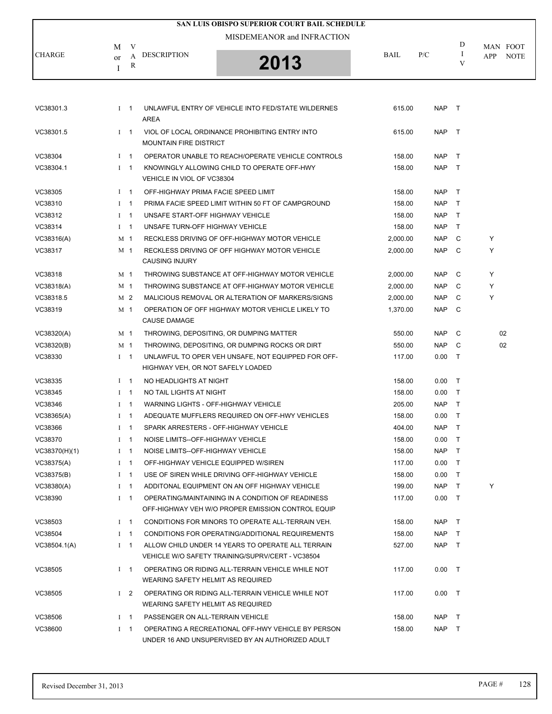|               |                        | SAN LUIS OBISPO SUPERIOR COURT BAIL SCHEDULE |             |     |   |                           |
|---------------|------------------------|----------------------------------------------|-------------|-----|---|---------------------------|
|               | V<br>M                 | MISDEMEANOR and INFRACTION                   |             |     | D | MAN FOOT                  |
| <b>CHARGE</b> | DESCRIPTION<br>or<br>R | 2013                                         | <b>BAIL</b> | P/C |   | <b>NOTE</b><br><b>APP</b> |

| VC38301.3     |              | $I \quad 1$    | UNLAWFUL ENTRY OF VEHICLE INTO FED/STATE WILDERNES<br><b>AREA</b>                                      | 615.00   | <b>NAP</b> | $\top$       |    |
|---------------|--------------|----------------|--------------------------------------------------------------------------------------------------------|----------|------------|--------------|----|
| VC38301.5     |              | $1 \quad 1$    | VIOL OF LOCAL ORDINANCE PROHIBITING ENTRY INTO<br><b>MOUNTAIN FIRE DISTRICT</b>                        | 615.00   | <b>NAP</b> | $\top$       |    |
| VC38304       |              | $1 \quad 1$    | OPERATOR UNABLE TO REACH/OPERATE VEHICLE CONTROLS                                                      | 158.00   | <b>NAP</b> | $\top$       |    |
| VC38304.1     |              | $I \quad 1$    | KNOWINGLY ALLOWING CHILD TO OPERATE OFF-HWY<br>VEHICLE IN VIOL OF VC38304                              | 158.00   | <b>NAP</b> | T            |    |
| VC38305       |              | $I \quad 1$    | OFF-HIGHWAY PRIMA FACIE SPEED LIMIT                                                                    | 158.00   | <b>NAP</b> | $\top$       |    |
| VC38310       |              | $1 \quad 1$    | PRIMA FACIE SPEED LIMIT WITHIN 50 FT OF CAMPGROUND                                                     | 158.00   | <b>NAP</b> | $\mathsf{T}$ |    |
| VC38312       |              | $I \quad 1$    | UNSAFE START-OFF HIGHWAY VEHICLE                                                                       | 158.00   | <b>NAP</b> | $\mathsf{T}$ |    |
| VC38314       |              | $1 \quad 1$    | UNSAFE TURN-OFF HIGHWAY VEHICLE                                                                        | 158.00   | <b>NAP</b> | $\mathsf{T}$ |    |
| VC38316(A)    |              | M 1            | RECKLESS DRIVING OF OFF-HIGHWAY MOTOR VEHICLE                                                          | 2,000.00 | <b>NAP</b> | C            | Y  |
| VC38317       |              | M 1            | RECKLESS DRIVING OF OFF HIGHWAY MOTOR VEHICLE<br><b>CAUSING INJURY</b>                                 | 2,000.00 | <b>NAP</b> | C            | Y  |
| VC38318       |              | M <sub>1</sub> | THROWING SUBSTANCE AT OFF-HIGHWAY MOTOR VEHICLE                                                        | 2,000.00 | <b>NAP</b> | C            | Y  |
| VC38318(A)    |              | M <sub>1</sub> | THROWING SUBSTANCE AT OFF-HIGHWAY MOTOR VEHICLE                                                        | 2,000.00 | <b>NAP</b> | C            | Y  |
| VC38318.5     |              | M 2            | MALICIOUS REMOVAL OR ALTERATION OF MARKERS/SIGNS                                                       | 2,000.00 | <b>NAP</b> | C            | Y  |
| VC38319       |              | M 1            | OPERATION OF OFF HIGHWAY MOTOR VEHICLE LIKELY TO<br><b>CAUSE DAMAGE</b>                                | 1,370.00 | <b>NAP</b> | C            |    |
| VC38320(A)    |              | M 1            | THROWING, DEPOSITING, OR DUMPING MATTER                                                                | 550.00   | <b>NAP</b> | C            | 02 |
| VC38320(B)    |              | M 1            | THROWING, DEPOSITING, OR DUMPING ROCKS OR DIRT                                                         | 550.00   | <b>NAP</b> | C            | 02 |
| VC38330       |              | $I \quad 1$    | UNLAWFUL TO OPER VEH UNSAFE, NOT EQUIPPED FOR OFF-<br>HIGHWAY VEH, OR NOT SAFELY LOADED                | 117.00   | 0.00       | $\top$       |    |
| VC38335       |              | $I \quad 1$    | NO HEADLIGHTS AT NIGHT                                                                                 | 158.00   | 0.00       | $\top$       |    |
| VC38345       |              | $1 \quad 1$    | NO TAIL LIGHTS AT NIGHT                                                                                | 158.00   | 0.00       | T            |    |
| VC38346       |              | $I \quad 1$    | WARNING LIGHTS - OFF-HIGHWAY VEHICLE                                                                   | 205.00   | <b>NAP</b> | T            |    |
| VC38365(A)    |              | $1 \quad 1$    | ADEQUATE MUFFLERS REQUIRED ON OFF-HWY VEHICLES                                                         | 158.00   | 0.00       | $\top$       |    |
| VC38366       | $\mathbf{I}$ | $\overline{1}$ | SPARK ARRESTERS - OFF-HIGHWAY VEHICLE                                                                  | 404.00   | <b>NAP</b> | $\top$       |    |
| VC38370       |              | $I \quad 1$    | NOISE LIMITS--OFF-HIGHWAY VEHICLE                                                                      | 158.00   | 0.00       | $\top$       |    |
| VC38370(H)(1) |              | $1 \quad 1$    | NOISE LIMITS--OFF-HIGHWAY VEHICLE                                                                      | 158.00   | <b>NAP</b> | $\mathsf{T}$ |    |
| VC38375(A)    |              | $1 \quad 1$    | OFF-HIGHWAY VEHICLE EQUIPPED W/SIREN                                                                   | 117.00   | 0.00       | $\mathsf{T}$ |    |
| VC38375(B)    |              | $I \quad 1$    | USE OF SIREN WHILE DRIVING OFF-HIGHWAY VEHICLE                                                         | 158.00   | 0.00       | $\top$       |    |
| VC38380(A)    |              | $1 \quad 1$    | ADDITONAL EQUIPMENT ON AN OFF HIGHWAY VEHICLE                                                          | 199.00   | <b>NAP</b> | T            | Y  |
| VC38390       |              | $1 \quad 1$    | OPERATING/MAINTAINING IN A CONDITION OF READINESS<br>OFF-HIGHWAY VEH W/O PROPER EMISSION CONTROL EQUIP | 117.00   | 0.00       | $\top$       |    |
| VC38503       |              | $1 \quad 1$    | CONDITIONS FOR MINORS TO OPERATE ALL-TERRAIN VEH.                                                      | 158.00   | <b>NAP</b> | $\top$       |    |
| VC38504       |              | $1 \quad 1$    | CONDITIONS FOR OPERATING/ADDITIONAL REQUIREMENTS                                                       | 158.00   | <b>NAP</b> | $\mathsf{T}$ |    |
| VC38504.1(A)  |              | $I \quad 1$    | ALLOW CHILD UNDER 14 YEARS TO OPERATE ALL TERRAIN<br>VEHICLE W/O SAFETY TRAINING/SUPRV/CERT - VC38504  | 527.00   | <b>NAP</b> | $\mathsf{T}$ |    |
| VC38505       |              | $1 \quad 1$    | OPERATING OR RIDING ALL-TERRAIN VEHICLE WHILE NOT<br>WEARING SAFETY HELMIT AS REQUIRED                 | 117.00   | 0.00       | $\top$       |    |
| VC38505       |              | $1\quad 2$     | OPERATING OR RIDING ALL-TERRAIN VEHICLE WHILE NOT<br>WEARING SAFETY HELMIT AS REQUIRED                 | 117.00   | 0.00       | $\top$       |    |
| VC38506       |              | $1 \quad 1$    | PASSENGER ON ALL-TERRAIN VEHICLE                                                                       | 158.00   | <b>NAP</b> | $\top$       |    |
| VC38600       |              | $1 \quad 1$    | OPERATING A RECREATIONAL OFF-HWY VEHICLE BY PERSON<br>UNDER 16 AND UNSUPERVISED BY AN AUTHORIZED ADULT | 158.00   | <b>NAP</b> | T            |    |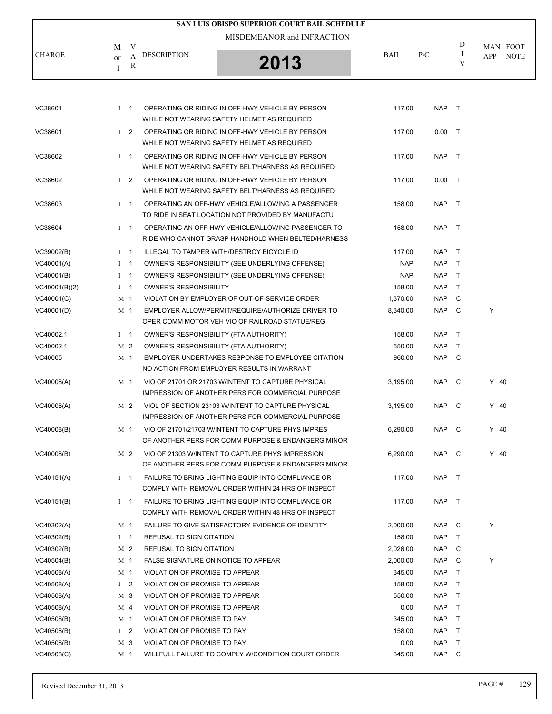|               |                                    | SAN LUIS OBISPO SUPERIOR COURT BAIL SCHEDULE |             |     |                   |                                |
|---------------|------------------------------------|----------------------------------------------|-------------|-----|-------------------|--------------------------------|
|               |                                    | MISDEMEANOR and INFRACTION                   |             |     |                   |                                |
| <b>CHARGE</b> | M<br><b>DESCRIPTION</b><br>or<br>R | 2013                                         | <b>BAIL</b> | P/C | D<br>$\mathbf{V}$ | MAN FOOT<br><b>NOTE</b><br>APP |

| VC38601       | $1 \quad 1$    |     | OPERATING OR RIDING IN OFF-HWY VEHICLE BY PERSON<br>WHILE NOT WEARING SAFETY HELMET AS REQUIRED                | 117.00     | <b>NAP</b> | $\top$       |        |  |
|---------------|----------------|-----|----------------------------------------------------------------------------------------------------------------|------------|------------|--------------|--------|--|
| VC38601       | $1\quad 2$     |     | OPERATING OR RIDING IN OFF-HWY VEHICLE BY PERSON<br>WHILE NOT WEARING SAFETY HELMET AS REQUIRED                | 117.00     | 0.00       | $\top$       |        |  |
| VC38602       | $1 \quad 1$    |     | OPERATING OR RIDING IN OFF-HWY VEHICLE BY PERSON<br>WHILE NOT WEARING SAFETY BELT/HARNESS AS REQUIRED          | 117.00     | <b>NAP</b> | $\top$       |        |  |
| VC38602       | $1 \quad 2$    |     | OPERATING OR RIDING IN OFF-HWY VEHICLE BY PERSON<br>WHILE NOT WEARING SAFETY BELT/HARNESS AS REQUIRED          | 117.00     | $0.00$ T   |              |        |  |
| VC38603       | $1 \quad 1$    |     | OPERATING AN OFF-HWY VEHICLE/ALLOWING A PASSENGER<br>TO RIDE IN SEAT LOCATION NOT PROVIDED BY MANUFACTU        | 158.00     | <b>NAP</b> | $\top$       |        |  |
| VC38604       | $I \quad 1$    |     | OPERATING AN OFF-HWY VEHICLE/ALLOWING PASSENGER TO<br>RIDE WHO CANNOT GRASP HANDHOLD WHEN BELTED/HARNESS       | 158.00     | <b>NAP</b> | $\top$       |        |  |
| VC39002(B)    | $I \quad 1$    |     | ILLEGAL TO TAMPER WITH/DESTROY BICYCLE ID                                                                      | 117.00     | <b>NAP</b> | $\top$       |        |  |
| VC40001(A)    | $1 \quad 1$    |     | OWNER'S RESPONSIBILITY (SEE UNDERLYING OFFENSE)                                                                | <b>NAP</b> | <b>NAP</b> | $\top$       |        |  |
| VC40001(B)    | $1 \quad 1$    |     | OWNER'S RESPONSIBILITY (SEE UNDERLYING OFFENSE)                                                                | <b>NAP</b> | <b>NAP</b> | $\mathsf{T}$ |        |  |
| VC40001(B)(2) | $I \quad 1$    |     | <b>OWNER'S RESPONSIBILITY</b>                                                                                  | 158.00     | <b>NAP</b> | $\mathsf{T}$ |        |  |
| VC40001(C)    | M 1            |     | VIOLATION BY EMPLOYER OF OUT-OF-SERVICE ORDER                                                                  | 1.370.00   | <b>NAP</b> | C            |        |  |
| VC40001(D)    | M 1            |     | EMPLOYER ALLOW/PERMIT/REQUIRE/AUTHORIZE DRIVER TO<br>OPER COMM MOTOR VEH VIO OF RAILROAD STATUE/REG            | 8,340.00   | <b>NAP</b> | C            | Υ      |  |
| VC40002.1     | $I \quad 1$    |     | OWNER'S RESPONSIBILITY (FTA AUTHORITY)                                                                         | 158.00     | <b>NAP</b> | $\top$       |        |  |
| VC40002.1     | M 2            |     | OWNER'S RESPONSIBILITY (FTA AUTHORITY)                                                                         | 550.00     | <b>NAP</b> | T            |        |  |
| VC40005       | M 1            |     | EMPLOYER UNDERTAKES RESPONSE TO EMPLOYEE CITATION<br>NO ACTION FROM EMPLOYER RESULTS IN WARRANT                | 960.00     | <b>NAP</b> | C            |        |  |
| VC40008(A)    | M 1            |     | VIO OF 21701 OR 21703 WINTENT TO CAPTURE PHYSICAL<br>IMPRESSION OF ANOTHER PERS FOR COMMERCIAL PURPOSE         | 3,195.00   | <b>NAP</b> | C            | $Y$ 40 |  |
| VC40008(A)    | M 2            |     | VIOL OF SECTION 23103 W/INTENT TO CAPTURE PHYSICAL<br><b>IMPRESSION OF ANOTHER PERS FOR COMMERCIAL PURPOSE</b> | 3,195.00   | <b>NAP</b> | C            | $Y$ 40 |  |
| VC40008(B)    | M 1            |     | VIO OF 21701/21703 W/INTENT TO CAPTURE PHYS IMPRES<br>OF ANOTHER PERS FOR COMM PURPOSE & ENDANGERG MINOR       | 6,290.00   | <b>NAP</b> | C            | $Y$ 40 |  |
| VC40008(B)    | M 2            |     | VIO OF 21303 W/INTENT TO CAPTURE PHYS IMPRESSION<br>OF ANOTHER PERS FOR COMM PURPOSE & ENDANGERG MINOR         | 6,290.00   | NAP        | C            | $Y$ 40 |  |
| VC40151(A)    | $I \quad 1$    |     | FAILURE TO BRING LIGHTING EQUIP INTO COMPLIANCE OR<br>COMPLY WITH REMOVAL ORDER WITHIN 24 HRS OF INSPECT       | 117.00     | <b>NAP</b> | $\top$       |        |  |
| VC40151(B)    | $1 \quad 1$    |     | FAILURE TO BRING LIGHTING EQUIP INTO COMPLIANCE OR<br>COMPLY WITH REMOVAL ORDER WITHIN 48 HRS OF INSPECT       | 117.00     | <b>NAP</b> | $\top$       |        |  |
| VC40302(A)    | M 1            |     | FAILURE TO GIVE SATISFACTORY EVIDENCE OF IDENTITY                                                              | 2,000.00   | <b>NAP</b> | C            | Υ      |  |
| VC40302(B)    | $I \quad 1$    |     | <b>REFUSAL TO SIGN CITATION</b>                                                                                | 158.00     | <b>NAP</b> | T            |        |  |
| VC40302(B)    | M 2            |     | REFUSAL TO SIGN CITATION                                                                                       | 2,026.00   | <b>NAP</b> | C            |        |  |
| VC40504(B)    | M 1            |     | FALSE SIGNATURE ON NOTICE TO APPEAR                                                                            | 2,000.00   | <b>NAP</b> | C            | Υ      |  |
| VC40508(A)    | M 1            |     | VIOLATION OF PROMISE TO APPEAR                                                                                 | 345.00     | <b>NAP</b> | Т            |        |  |
| VC40508(A)    | I <sub>2</sub> |     | VIOLATION OF PROMISE TO APPEAR                                                                                 | 158.00     | <b>NAP</b> | Τ            |        |  |
| VC40508(A)    |                | M 3 | VIOLATION OF PROMISE TO APPEAR                                                                                 | 550.00     | <b>NAP</b> | T            |        |  |
| VC40508(A)    | M 4            |     | VIOLATION OF PROMISE TO APPEAR                                                                                 | 0.00       | <b>NAP</b> | T            |        |  |
| VC40508(B)    | M <sub>1</sub> |     | VIOLATION OF PROMISE TO PAY                                                                                    | 345.00     | <b>NAP</b> | T            |        |  |
| VC40508(B)    | $\mathbf{I}$   | 2   | VIOLATION OF PROMISE TO PAY                                                                                    | 158.00     | <b>NAP</b> | $\top$       |        |  |
| VC40508(B)    | M 3            |     | VIOLATION OF PROMISE TO PAY                                                                                    | 0.00       | <b>NAP</b> | T            |        |  |
| VC40508(C)    | M 1            |     | WILLFULL FAILURE TO COMPLY W/CONDITION COURT ORDER                                                             | 345.00     | <b>NAP</b> | C            |        |  |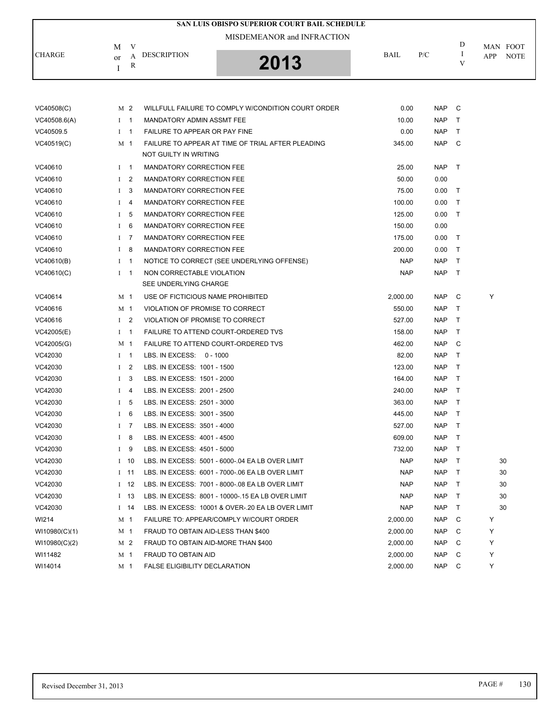|               |              |                | SAN LUIS OBISPO SUPERIOR COURT BAIL SCHEDULE<br>MISDEMEANOR and INFRACTION |            |            |              |                                |
|---------------|--------------|----------------|----------------------------------------------------------------------------|------------|------------|--------------|--------------------------------|
| <b>CHARGE</b> | M<br>or      | V<br>A<br>R    | <b>DESCRIPTION</b><br>2013                                                 | BAIL       | P/C        | D<br>I<br>V  | MAN FOOT<br>APP<br><b>NOTE</b> |
|               | Ι            |                |                                                                            |            |            |              |                                |
| VC40508(C)    |              | M 2            | WILLFULL FAILURE TO COMPLY W/CONDITION COURT ORDER                         | 0.00       | <b>NAP</b> | C            |                                |
| VC40508.6(A)  |              | $1 \quad 1$    | MANDATORY ADMIN ASSMT FEE                                                  | 10.00      | <b>NAP</b> | Т            |                                |
| VC40509.5     |              | $1 \quad 1$    | FAILURE TO APPEAR OR PAY FINE                                              | 0.00       | <b>NAP</b> | T            |                                |
| VC40519(C)    |              | M 1            | FAILURE TO APPEAR AT TIME OF TRIAL AFTER PLEADING<br>NOT GUILTY IN WRITING | 345.00     | <b>NAP</b> | C            |                                |
| VC40610       | $\mathbf I$  | $\overline{1}$ | <b>MANDATORY CORRECTION FEE</b>                                            | 25.00      | <b>NAP</b> | $\top$       |                                |
| VC40610       | $\mathbf{I}$ | $\overline{2}$ | MANDATORY CORRECTION FEE                                                   | 50.00      | 0.00       |              |                                |
| VC40610       | $\bf{I}$     | 3              | <b>MANDATORY CORRECTION FEE</b>                                            | 75.00      | 0.00       | $\top$       |                                |
| VC40610       | $\mathbf I$  | 4              | <b>MANDATORY CORRECTION FEE</b>                                            | 100.00     | 0.00       | $\top$       |                                |
| VC40610       | $\mathbf I$  | 5              | MANDATORY CORRECTION FEE                                                   | 125.00     | 0.00       | Τ            |                                |
| VC40610       | $\bf{I}$     | 6              | <b>MANDATORY CORRECTION FEE</b>                                            | 150.00     | 0.00       |              |                                |
| VC40610       | $\bf{I}$     | 7              | <b>MANDATORY CORRECTION FEE</b>                                            | 175.00     | 0.00       | Т            |                                |
| VC40610       | $\mathbf{I}$ | 8              | MANDATORY CORRECTION FEE                                                   | 200.00     | 0.00       | Τ            |                                |
| VC40610(B)    | $\bf{I}$     | $\overline{1}$ | NOTICE TO CORRECT (SEE UNDERLYING OFFENSE)                                 | <b>NAP</b> | <b>NAP</b> | $\top$       |                                |
| VC40610(C)    | $\bf{I}$     | $\overline{1}$ | NON CORRECTABLE VIOLATION                                                  | <b>NAP</b> | <b>NAP</b> | $\top$       |                                |
|               |              |                | SEE UNDERLYING CHARGE                                                      |            |            |              |                                |
| VC40614       |              | M 1            | USE OF FICTICIOUS NAME PROHIBITED                                          | 2,000.00   | <b>NAP</b> | C            | Y                              |
| VC40616       |              | M 1            | VIOLATION OF PROMISE TO CORRECT                                            | 550.00     | <b>NAP</b> | Т            |                                |
| VC40616       |              | $1\quad 2$     | VIOLATION OF PROMISE TO CORRECT                                            | 527.00     | <b>NAP</b> | Т            |                                |
| VC42005(E)    | $\bf{I}$     | $\overline{1}$ | FAILURE TO ATTEND COURT-ORDERED TVS                                        | 158.00     | <b>NAP</b> | Τ            |                                |
| VC42005(G)    |              | M 1            | FAILURE TO ATTEND COURT-ORDERED TVS                                        | 462.00     | <b>NAP</b> | C            |                                |
| VC42030       |              | $I \quad 1$    | LBS. IN EXCESS: 0 - 1000                                                   | 82.00      | <b>NAP</b> | T            |                                |
| VC42030       | $\mathbf I$  | 2              | LBS. IN EXCESS: 1001 - 1500                                                | 123.00     | <b>NAP</b> | $\mathsf{T}$ |                                |
| VC42030       | $\bf{I}$     | 3              | LBS. IN EXCESS: 1501 - 2000                                                | 164.00     | <b>NAP</b> | Т            |                                |
| VC42030       | $\mathbf I$  | 4              | LBS. IN EXCESS: 2001 - 2500                                                | 240.00     | <b>NAP</b> | Т            |                                |
| VC42030       | $\bf{I}$     | 5              | LBS. IN EXCESS: 2501 - 3000                                                | 363.00     | <b>NAP</b> | Т            |                                |
| VC42030       | $\bf{I}$     | 6              | LBS. IN EXCESS: 3001 - 3500                                                | 445.00     | <b>NAP</b> | $\top$       |                                |
| VC42030       |              | $I$ 7          | LBS. IN EXCESS: 3501 - 4000                                                | 527.00     | <b>NAP</b> | $\top$       |                                |
| VC42030       | $\bf{I}$     | 8              | LBS. IN EXCESS: 4001 - 4500                                                | 609.00     | <b>NAP</b> | Τ            |                                |
| VC42030       | $\mathbf{I}$ | 9              | LBS. IN EXCESS: 4501 - 5000                                                | 732.00     | <b>NAP</b> | Τ            |                                |
| VC42030       |              | $I$ 10         | LBS. IN EXCESS: 5001 - 6000-.04 EA LB OVER LIMIT                           | <b>NAP</b> | <b>NAP</b> | Т            | 30                             |
| VC42030       |              | $I$ 11         | LBS. IN EXCESS: 6001 - 7000-.06 EA LB OVER LIMIT                           | <b>NAP</b> | <b>NAP</b> | Τ            | 30                             |
| VC42030       |              | $1 \quad 12$   | LBS. IN EXCESS: 7001 - 8000-.08 EA LB OVER LIMIT                           | <b>NAP</b> | <b>NAP</b> | Т            | 30                             |
| VC42030       |              | $1 \quad 13$   | LBS. IN EXCESS: 8001 - 10000-.15 EA LB OVER LIMIT                          | <b>NAP</b> | <b>NAP</b> | Τ            | 30                             |
| VC42030       |              | $I$ 14         | LBS. IN EXCESS: 10001 & OVER-.20 EA LB OVER LIMIT                          | <b>NAP</b> | <b>NAP</b> | Т            | 30                             |
| WI214         |              | M 1            | FAILURE TO: APPEAR/COMPLY W/COURT ORDER                                    | 2,000.00   | <b>NAP</b> | C            | Υ                              |
| W110980(C)(1) |              | M 1            | FRAUD TO OBTAIN AID-LESS THAN \$400                                        | 2,000.00   | NAP        | С            | Υ                              |
| WI10980(C)(2) |              | M 2            | FRAUD TO OBTAIN AID-MORE THAN \$400                                        | 2,000.00   | <b>NAP</b> | C            | Υ                              |
| WI11482       |              | M 1            | FRAUD TO OBTAIN AID                                                        | 2,000.00   | NAP        | C            | Υ                              |

WI14014 M 1 FALSE ELIGIBILITY DECLARATION 2,000.00 NAP C Y